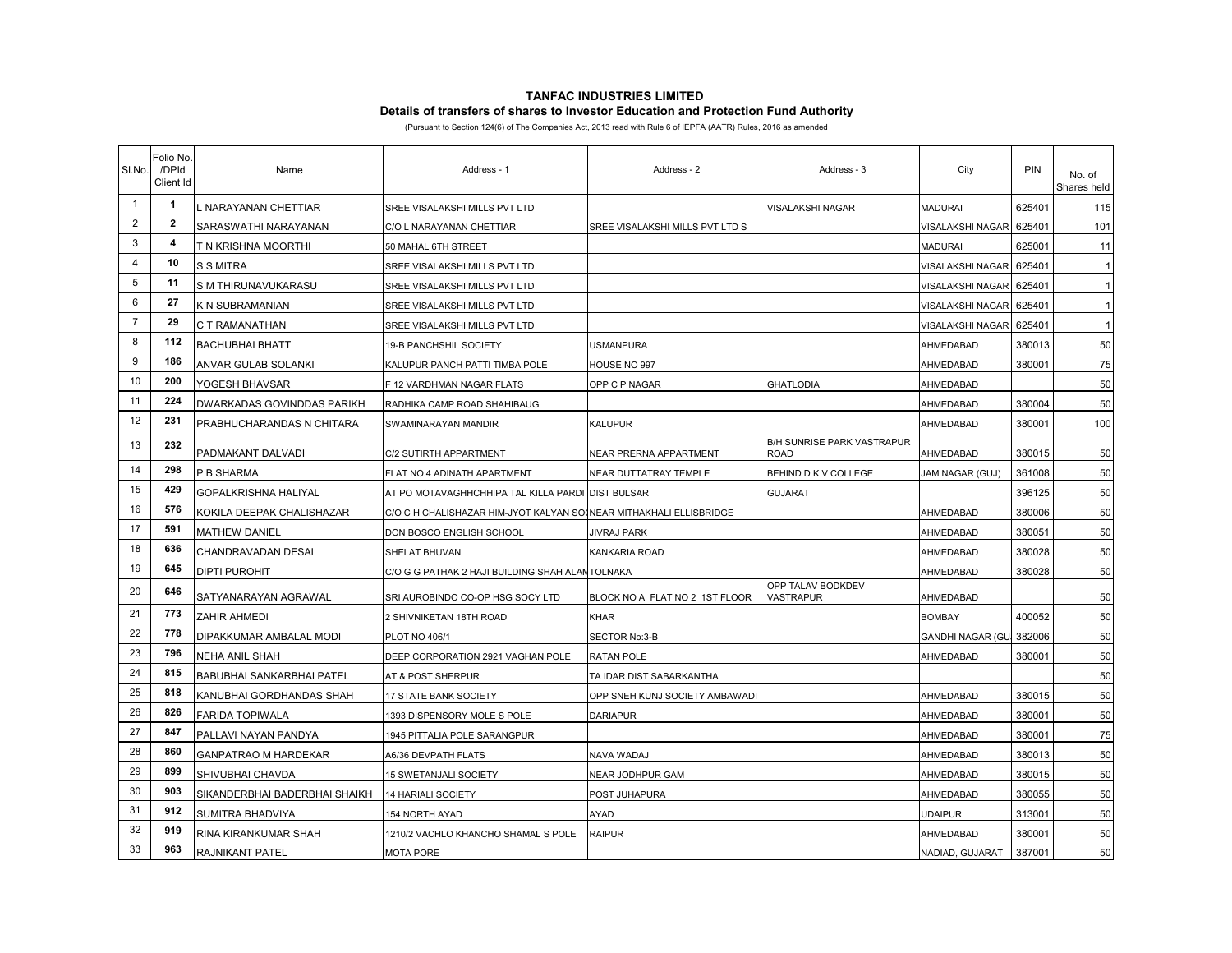# **TANFAC INDUSTRIES LIMITED Details of transfers of shares to Investor Education and Protection Fund Authority**

(Pursuant to Section 124(6) of The Companies Act, 2013 read with Rule 6 of IEPFA (AATR) Rules, 2016 as amended

| SI.No.         | Folio No.<br>/DPId<br>Client Id | Name                          | Address - 1                                                        | Address - 2                     | Address - 3                        | City             | PIN    | No. of<br>Shares held |
|----------------|---------------------------------|-------------------------------|--------------------------------------------------------------------|---------------------------------|------------------------------------|------------------|--------|-----------------------|
| $\mathbf{1}$   | $\mathbf{1}$                    | . NARAYANAN CHETTIAR          | SREE VISALAKSHI MILLS PVT LTD                                      |                                 | VISALAKSHI NAGAR                   | <b>MADURAI</b>   | 625401 | 115                   |
| $\overline{2}$ | $\mathbf{2}$                    | SARASWATHI NARAYANAN          | C/O L NARAYANAN CHETTIAR                                           | SREE VISALAKSHI MILLS PVT LTD S |                                    | VISALAKSHI NAGAR | 625401 | 101                   |
| 3              | 4                               | T N KRISHNA MOORTHI           | 50 MAHAL 6TH STREET                                                |                                 |                                    | MADURAI          | 625001 | 11                    |
| 4              | 10                              | <b>S S MITRA</b>              | SREE VISALAKSHI MILLS PVT LTD                                      |                                 |                                    | VISALAKSHI NAGAR | 625401 | $\mathbf{1}$          |
| 5              | 11                              | S M THIRUNAVUKARASU           | SREE VISALAKSHI MILLS PVT LTD                                      |                                 |                                    | VISALAKSHI NAGAR | 625401 | $\mathbf{1}$          |
| 6              | 27                              | K N SUBRAMANIAN               | SREE VISALAKSHI MILLS PVT LTD                                      |                                 |                                    | VISALAKSHI NAGAR | 625401 | $\mathbf{1}$          |
| $\overline{7}$ | 29                              | C T RAMANATHAN                | SREE VISALAKSHI MILLS PVT LTD                                      |                                 |                                    | VISALAKSHI NAGAR | 625401 | $\overline{1}$        |
| 8              | 112                             | <b>BACHUBHAI BHATT</b>        | 19-B PANCHSHIL SOCIETY                                             | <b>USMANPURA</b>                |                                    | AHMEDABAD        | 380013 | 50                    |
| 9              | 186                             | <b>ANVAR GULAB SOLANKI</b>    | KALUPUR PANCH PATTI TIMBA POLE                                     | HOUSE NO 997                    |                                    | AHMEDABAD        | 380001 | 75                    |
| 10             | 200                             | YOGESH BHAVSAR                | F 12 VARDHMAN NAGAR FLATS                                          | OPP C P NAGAR                   | <b>GHATLODIA</b>                   | AHMEDABAD        |        | 50                    |
| 11             | 224                             | DWARKADAS GOVINDDAS PARIKH    | RADHIKA CAMP ROAD SHAHIBAUG                                        |                                 |                                    | AHMEDABAD        | 380004 | 50                    |
| 12             | 231                             | PRABHUCHARANDAS N CHITARA     | SWAMINARAYAN MANDIR                                                | <b>KALUPUR</b>                  |                                    | AHMEDABAD        | 380001 | 100                   |
| 13             | 232                             | PADMAKANT DALVADI             | C/2 SUTIRTH APPARTMENT                                             | NEAR PRERNA APPARTMENT          | B/H SUNRISE PARK VASTRAPUR<br>ROAD | AHMEDABAD        | 380015 | 50                    |
| 14             | 298                             | P B SHARMA                    | FLAT NO.4 ADINATH APARTMENT                                        | NEAR DUTTATRAY TEMPLE           | BEHIND D K V COLLEGE               | JAM NAGAR (GUJ)  | 361008 | 50                    |
| 15             | 429                             | <b>GOPALKRISHNA HALIYAL</b>   | AT PO MOTAVAGHHCHHIPA TAL KILLA PARDI DIST BULSAR                  |                                 | GUJARAT                            |                  | 396125 | 50                    |
| 16             | 576                             | KOKILA DEEPAK CHALISHAZAR     | C/O C H CHALISHAZAR HIM-JYOT KALYAN SO(NEAR MITHAKHALI ELLISBRIDGE |                                 |                                    | AHMEDABAD        | 380006 | 50                    |
| 17             | 591                             | <b>MATHEW DANIEL</b>          | DON BOSCO ENGLISH SCHOOL                                           | <b>JIVRAJ PARK</b>              |                                    | AHMEDABAD        | 380051 | 50                    |
| 18             | 636                             | CHANDRAVADAN DESAI            | SHELAT BHUVAN                                                      | <b>KANKARIA ROAD</b>            |                                    | AHMEDABAD        | 380028 | 50                    |
| 19             | 645                             | <b>DIPTI PUROHIT</b>          | C/O G G PATHAK 2 HAJI BUILDING SHAH ALANTOLNAKA                    |                                 |                                    | AHMEDABAD        | 380028 | 50                    |
| 20             | 646                             | SATYANARAYAN AGRAWAL          | SRI AUROBINDO CO-OP HSG SOCY LTD                                   | BLOCK NO A FLAT NO 2 1ST FLOOR  | OPP TALAV BODKDEV<br>VASTRAPUR     | AHMEDABAD        |        | 50                    |
| 21             | 773                             | <b>ZAHIR AHMEDI</b>           | 2 SHIVNIKETAN 18TH ROAD                                            | <b>KHAR</b>                     |                                    | <b>BOMBAY</b>    | 400052 | 50                    |
| 22             | 778                             | DIPAKKUMAR AMBALAL MODI       | PLOT NO 406/1                                                      | SECTOR No:3-B                   |                                    | GANDHI NAGAR (GU | 382006 | 50                    |
| 23             | 796                             | <b>NEHA ANIL SHAH</b>         | DEEP CORPORATION 2921 VAGHAN POLE                                  | <b>RATAN POLE</b>               |                                    | AHMEDABAD        | 380001 | 50                    |
| 24             | 815                             | BABUBHAI SANKARBHAI PATEL     | AT & POST SHERPUR                                                  | TA IDAR DIST SABARKANTHA        |                                    |                  |        | 50                    |
| 25             | 818                             | KANUBHAI GORDHANDAS SHAH      | <b>17 STATE BANK SOCIETY</b>                                       | OPP SNEH KUNJ SOCIETY AMBAWADI  |                                    | AHMEDABAD        | 380015 | 50                    |
| 26             | 826                             | <b>FARIDA TOPIWALA</b>        | 1393 DISPENSORY MOLE S POLE                                        | <b>DARIAPUR</b>                 |                                    | AHMEDABAD        | 380001 | 50                    |
| 27             | 847                             | PALLAVI NAYAN PANDYA          | 1945 PITTALIA POLE SARANGPUR                                       |                                 |                                    | AHMEDABAD        | 380001 | 75                    |
| 28             | 860                             | <b>GANPATRAO M HARDEKAR</b>   | A6/36 DEVPATH FLATS                                                | NAVA WADAJ                      |                                    | AHMEDABAD        | 380013 | 50                    |
| 29             | 899                             | SHIVUBHAI CHAVDA              | <b>15 SWETANJALI SOCIETY</b>                                       | NEAR JODHPUR GAM                |                                    | AHMEDABAD        | 380015 | 50                    |
| 30             | 903                             | SIKANDERBHAI BADERBHAI SHAIKH | <b>14 HARIALI SOCIETY</b>                                          | POST JUHAPURA                   |                                    | AHMEDABAD        | 380055 | 50                    |
| 31             | 912                             | SUMITRA BHADVIYA              | 154 NORTH AYAD                                                     | AYAD                            |                                    | UDAIPUR          | 313001 | 50                    |
| 32             | 919                             | RINA KIRANKUMAR SHAH          | 1210/2 VACHLO KHANCHO SHAMAL S POLE                                | <b>RAIPUR</b>                   |                                    | AHMEDABAD        | 380001 | 50                    |
| 33             | 963                             | RAJNIKANT PATEL               | <b>MOTA PORE</b>                                                   |                                 |                                    | NADIAD, GUJARAT  | 387001 | 50                    |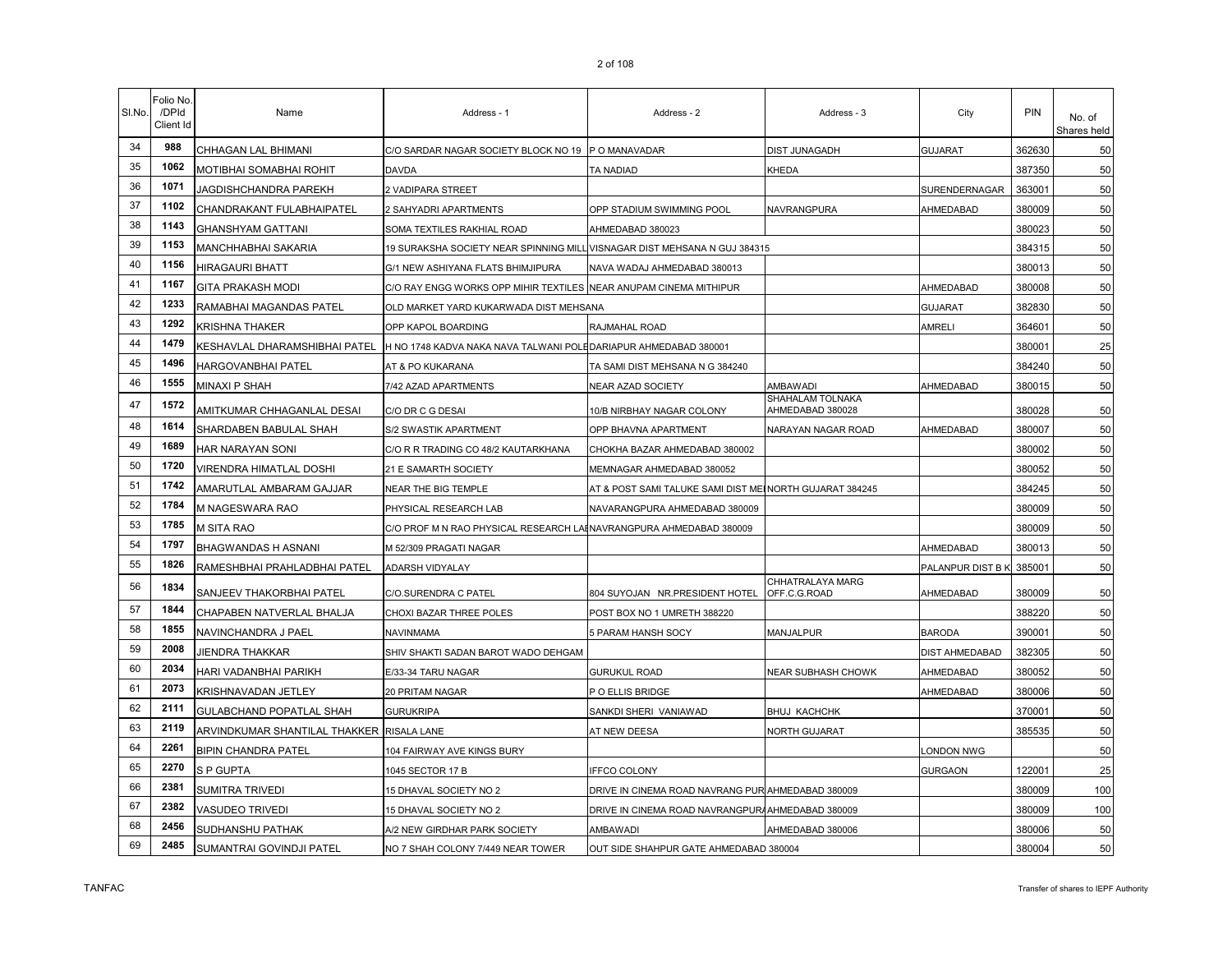| SI.No. | Folio No.<br>/DPId<br>Client Id | Name                                      | Address - 1                                                        | Address - 2                                              | Address - 3                          | City              | PIN    | No. of<br>Shares held |
|--------|---------------------------------|-------------------------------------------|--------------------------------------------------------------------|----------------------------------------------------------|--------------------------------------|-------------------|--------|-----------------------|
| 34     | 988                             | CHHAGAN LAL BHIMANI                       | C/O SARDAR NAGAR SOCIETY BLOCK NO 19 P O MANAVADAR                 |                                                          | DIST JUNAGADH                        | <b>GUJARAT</b>    | 362630 | 50                    |
| 35     | 1062                            | MOTIBHAI SOMABHAI ROHIT                   | DAVDA                                                              | TA NADIAD                                                | KHEDA                                |                   | 387350 | 50                    |
| 36     | 1071                            | JAGDISHCHANDRA PAREKH                     | 2 VADIPARA STREET                                                  |                                                          |                                      | SURENDERNAGAR     | 363001 | 50                    |
| 37     | 1102                            | CHANDRAKANT FULABHAIPATEL                 | 2 SAHYADRI APARTMENTS                                              | OPP STADIUM SWIMMING POOL                                | NAVRANGPURA                          | AHMEDABAD         | 380009 | 50                    |
| 38     | 1143                            | <b>GHANSHYAM GATTANI</b>                  | SOMA TEXTILES RAKHIAL ROAD                                         | AHMEDABAD 380023                                         |                                      |                   | 380023 | 50                    |
| 39     | 1153                            | MANCHHABHAI SAKARIA                       | 19 SURAKSHA SOCIETY NEAR SPINNING MILL                             | VISNAGAR DIST MEHSANA N GUJ 384315                       |                                      |                   | 384315 | 50                    |
| 40     | 1156                            | <b>HIRAGAURI BHATT</b>                    | G/1 NEW ASHIYANA FLATS BHIMJIPURA                                  | NAVA WADAJ AHMEDABAD 380013                              |                                      |                   | 380013 | 50                    |
| 41     | 1167                            | <b>GITA PRAKASH MODI</b>                  | C/O RAY ENGG WORKS OPP MIHIR TEXTILES NEAR ANUPAM CINEMA MITHIPUR  |                                                          |                                      | AHMEDABAD         | 380008 | 50                    |
| 42     | 1233                            | RAMABHAI MAGANDAS PATEL                   | OLD MARKET YARD KUKARWADA DIST MEHSANA                             |                                                          |                                      | <b>GUJARAT</b>    | 382830 | 50                    |
| 43     | 1292                            | <b>KRISHNA THAKER</b>                     | OPP KAPOL BOARDING                                                 | RAJMAHAL ROAD                                            |                                      | AMRELI            | 364601 | 50                    |
| 44     | 1479                            | KESHAVLAL DHARAMSHIBHAI PATEL             | H NO 1748 KADVA NAKA NAVA TALWANI POLEDARIAPUR AHMEDABAD 380001    |                                                          |                                      |                   | 380001 | 25                    |
| 45     | 1496                            | HARGOVANBHAI PATEL                        | AT & PO KUKARANA                                                   | TA SAMI DIST MEHSANA N G 384240                          |                                      |                   | 384240 | 50                    |
| 46     | 1555                            | MINAXI P SHAH                             | 7/42 AZAD APARTMENTS                                               | NEAR AZAD SOCIETY                                        | AMBAWADI                             | AHMEDABAD         | 380015 | 50                    |
| 47     | 1572                            | AMITKUMAR CHHAGANLAL DESAI                | C/O DR C G DESAI                                                   | 10/B NIRBHAY NAGAR COLONY                                | SHAHALAM TOLNAKA<br>AHMEDABAD 380028 |                   | 380028 | 50                    |
| 48     | 1614                            | SHARDABEN BABULAL SHAH                    | S/2 SWASTIK APARTMENT                                              | OPP BHAVNA APARTMENT                                     | <b>VARAYAN NAGAR ROAD</b>            | AHMEDABAD         | 380007 | 50                    |
| 49     | 1689                            | HAR NARAYAN SONI                          | C/O R R TRADING CO 48/2 KAUTARKHANA                                | CHOKHA BAZAR AHMEDABAD 380002                            |                                      |                   | 380002 | 50                    |
| 50     | 1720                            | VIRENDRA HIMATLAL DOSHI                   | 21 E SAMARTH SOCIETY                                               | MEMNAGAR AHMEDABAD 380052                                |                                      |                   | 380052 | 50                    |
| 51     | 1742                            | AMARUTLAL AMBARAM GAJJAR                  | NEAR THE BIG TEMPLE                                                | AT & POST SAMI TALUKE SAMI DIST MEI NORTH GUJARAT 384245 |                                      |                   | 384245 | 50                    |
| 52     | 1784                            | M NAGESWARA RAO                           | PHYSICAL RESEARCH LAB                                              | NAVARANGPURA AHMEDABAD 380009                            |                                      |                   | 380009 | 50                    |
| 53     | 1785                            | M SITA RAO                                | C/O PROF M N RAO PHYSICAL RESEARCH LAHNAVRANGPURA AHMEDABAD 380009 |                                                          |                                      |                   | 380009 | 50                    |
| 54     | 1797                            | BHAGWANDAS H ASNANI                       | M 52/309 PRAGATI NAGAR                                             |                                                          |                                      | AHMEDABAD         | 380013 | 50                    |
| 55     | 1826                            | RAMESHBHAI PRAHLADBHAI PATEL              | ADARSH VIDYALAY                                                    |                                                          |                                      | PALANPUR DIST B K | 385001 | 50                    |
| 56     | 1834                            | SANJEEV THAKORBHAI PATEL                  | C/O.SURENDRA C PATEL                                               | 804 SUYOJAN NR.PRESIDENT HOTEL                           | CHHATRALAYA MARG<br>OFF.C.G.ROAD     | AHMEDABAD         | 380009 | 50                    |
| 57     | 1844                            | CHAPABEN NATVERLAL BHALJA                 | CHOXI BAZAR THREE POLES                                            | POST BOX NO 1 UMRETH 388220                              |                                      |                   | 388220 | 50                    |
| 58     | 1855                            | NAVINCHANDRA J PAEL                       | NAVINMAMA                                                          | 5 PARAM HANSH SOCY                                       | MANJALPUR                            | <b>BARODA</b>     | 390001 | 50                    |
| 59     | 2008                            | JIENDRA THAKKAR                           | SHIV SHAKTI SADAN BAROT WADO DEHGAM                                |                                                          |                                      | DIST AHMEDABAD    | 382305 | 50                    |
| 60     | 2034                            | HARI VADANBHAI PARIKH                     | E/33-34 TARU NAGAR                                                 | <b>GURUKUL ROAD</b>                                      | NEAR SUBHASH CHOWK                   | AHMEDABAD         | 380052 | 50                    |
| 61     | 2073                            | KRISHNAVADAN JETLEY                       | 20 PRITAM NAGAR                                                    | P O ELLIS BRIDGE                                         |                                      | AHMEDABAD         | 380006 | 50                    |
| 62     | 2111                            | <b>GULABCHAND POPATLAL SHAH</b>           | <b>GURUKRIPA</b>                                                   | SANKDI SHERI VANIAWAD                                    | <b>BHUJ KACHCHK</b>                  |                   | 370001 | 50                    |
| 63     | 2119                            | ARVINDKUMAR SHANTILAL THAKKER RISALA LANE |                                                                    | AT NEW DEESA                                             | NORTH GUJARAT                        |                   | 385535 | 50                    |
| 64     | 2261                            | <b>BIPIN CHANDRA PATEL</b>                | 104 FAIRWAY AVE KINGS BURY                                         |                                                          |                                      | ONDON NWG         |        | 50                    |
| 65     | 2270                            | S P GUPTA                                 | 1045 SECTOR 17 B                                                   | <b>IFFCO COLONY</b>                                      |                                      | GURGAON           | 122001 | 25                    |
| 66     | 2381                            | <b>SUMITRA TRIVEDI</b>                    | 15 DHAVAL SOCIETY NO 2                                             | DRIVE IN CINEMA ROAD NAVRANG PUR AHMEDABAD 380009        |                                      |                   | 380009 | 100                   |
| 67     | 2382                            | VASUDEO TRIVEDI                           | 15 DHAVAL SOCIETY NO 2                                             | DRIVE IN CINEMA ROAD NAVRANGPURAAHMEDABAD 380009         |                                      |                   | 380009 | 100                   |
| 68     | 2456                            | SUDHANSHU PATHAK                          | A/2 NEW GIRDHAR PARK SOCIETY                                       | AMBAWADI                                                 | AHMEDABAD 380006                     |                   | 380006 | 50                    |
| 69     | 2485                            | SUMANTRAI GOVINDJI PATEL                  | NO 7 SHAH COLONY 7/449 NEAR TOWER                                  | OUT SIDE SHAHPUR GATE AHMEDABAD 380004                   |                                      |                   | 380004 | 50                    |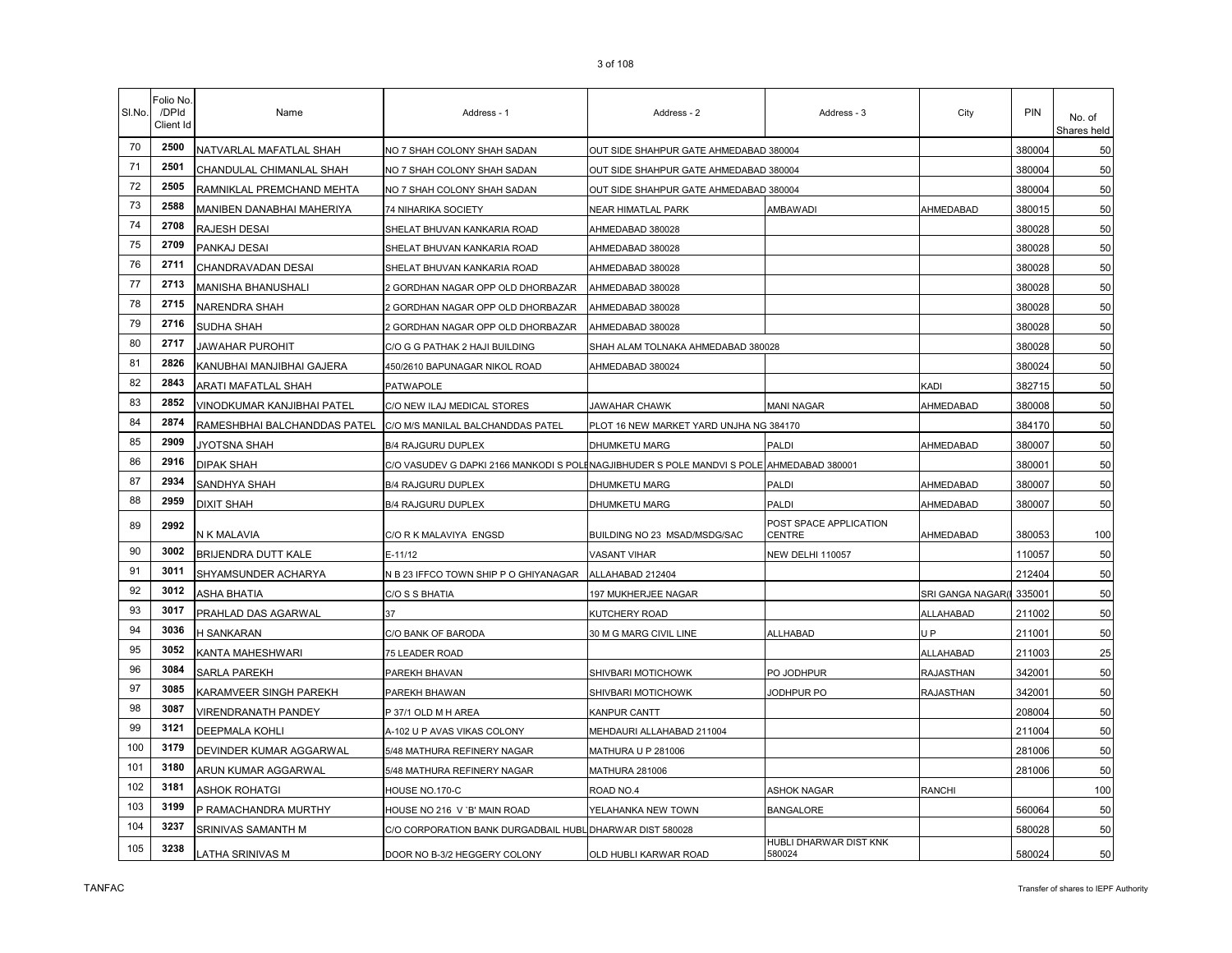| SI.No. | Folio No<br>/DPId<br>Client Id | Name                         | Address - 1                                                                              | Address - 2                             | Address - 3                      | City              | PIN    | No. of<br>Shares held |
|--------|--------------------------------|------------------------------|------------------------------------------------------------------------------------------|-----------------------------------------|----------------------------------|-------------------|--------|-----------------------|
| 70     | 2500                           | NATVARLAL MAFATLAL SHAH      | NO 7 SHAH COLONY SHAH SADAN                                                              | OUT SIDE SHAHPUR GATE AHMEDABAD 380004  |                                  |                   | 380004 | 50                    |
| 71     | 2501                           | CHANDULAL CHIMANLAL SHAH     | NO 7 SHAH COLONY SHAH SADAN                                                              | OUT SIDE SHAHPUR GATE AHMEDABAD 380004  |                                  |                   | 380004 | 50                    |
| 72     | 2505                           | RAMNIKLAL PREMCHAND MEHTA    | NO 7 SHAH COLONY SHAH SADAN                                                              | OUT SIDE SHAHPUR GATE AHMEDABAD 380004  |                                  |                   | 380004 | 50                    |
| 73     | 2588                           | MANIBEN DANABHAI MAHERIYA    | 74 NIHARIKA SOCIETY                                                                      | NEAR HIMATLAL PARK                      | AMBAWADI                         | AHMEDABAD         | 380015 | 50                    |
| 74     | 2708                           | RAJESH DESAI                 | SHELAT BHUVAN KANKARIA ROAD                                                              | AHMEDABAD 380028                        |                                  |                   | 380028 | 50                    |
| 75     | 2709                           | PANKAJ DESAI                 | SHELAT BHUVAN KANKARIA ROAD                                                              | AHMEDABAD 380028                        |                                  |                   | 380028 | 50                    |
| 76     | 2711                           | CHANDRAVADAN DESAI           | SHELAT BHUVAN KANKARIA ROAD                                                              | AHMEDABAD 380028                        |                                  |                   | 380028 | 50                    |
| 77     | 2713                           | MANISHA BHANUSHALI           | 2 GORDHAN NAGAR OPP OLD DHORBAZAR                                                        | AHMEDABAD 380028                        |                                  |                   | 380028 | 50                    |
| 78     | 2715                           | <b>NARENDRA SHAH</b>         | 2 GORDHAN NAGAR OPP OLD DHORBAZAR                                                        | AHMEDABAD 380028                        |                                  |                   | 380028 | 50                    |
| 79     | 2716                           | SUDHA SHAH                   | 2 GORDHAN NAGAR OPP OLD DHORBAZAR                                                        | AHMEDABAD 380028                        |                                  |                   | 380028 | 50                    |
| 80     | 2717                           | JAWAHAR PUROHIT              | C/O G G PATHAK 2 HAJI BUILDING                                                           | SHAH ALAM TOLNAKA AHMEDABAD 380028      |                                  |                   | 380028 | 50                    |
| 81     | 2826                           | KANUBHAI MANJIBHAI GAJERA    | 450/2610 BAPUNAGAR NIKOL ROAD                                                            | AHMEDABAD 380024                        |                                  |                   | 380024 | 50                    |
| 82     | 2843                           | ARATI MAFATLAL SHAH          | <b>PATWAPOLE</b>                                                                         |                                         |                                  | KADI              | 382715 | 50                    |
| 83     | 2852                           | VINODKUMAR KANJIBHAI PATEL   | C/O NEW ILAJ MEDICAL STORES                                                              | JAWAHAR CHAWK                           | <b>MANI NAGAR</b>                | AHMEDABAD         | 380008 | 50                    |
| 84     | 2874                           | RAMESHBHAI BALCHANDDAS PATEL | C/O M/S MANILAL BALCHANDDAS PATEL                                                        | PLOT 16 NEW MARKET YARD UNJHA NG 384170 |                                  |                   | 384170 | 50                    |
| 85     | 2909                           | JYOTSNA SHAH                 | <b>B/4 RAJGURU DUPLEX</b>                                                                | DHUMKETU MARG                           | PALDI                            | AHMEDABAD         | 380007 | 50                    |
| 86     | 2916                           | <b>DIPAK SHAH</b>            | C/O VASUDEV G DAPKI 2166 MANKODI S POLINAGJIBHUDER S POLE MANDVI S POLE AHMEDABAD 380001 |                                         |                                  |                   | 380001 | 50                    |
| 87     | 2934                           | SANDHYA SHAH                 | <b>B/4 RAJGURU DUPLEX</b>                                                                | DHUMKETU MARG                           | PALDI                            | AHMEDABAD         | 380007 | 50                    |
| 88     | 2959                           | <b>DIXIT SHAH</b>            | <b>B/4 RAJGURU DUPLEX</b>                                                                | DHUMKETU MARG                           | PALDI                            | AHMEDABAD         | 380007 | 50                    |
| 89     | 2992                           | N K MALAVIA                  | C/O R K MALAVIYA ENGSD                                                                   | BUILDING NO 23 MSAD/MSDG/SAC            | POST SPACE APPLICATION<br>CENTRE | AHMEDABAD         | 380053 | 100                   |
| 90     | 3002                           | BRIJENDRA DUTT KALE          | $E-11/12$                                                                                | VASANT VIHAR                            | NEW DELHI 110057                 |                   | 110057 | 50                    |
| 91     | 3011                           | SHYAMSUNDER ACHARYA          | N B 23 IFFCO TOWN SHIP P O GHIYANAGAR                                                    | ALLAHABAD 212404                        |                                  |                   | 212404 | 50                    |
| 92     | 3012                           | <b>ASHA BHATIA</b>           | C/O S S BHATIA                                                                           | 197 MUKHERJEE NAGAR                     |                                  | SRI GANGA NAGAR(I | 335001 | 50                    |
| 93     | 3017                           | PRAHLAD DAS AGARWAL          | 37                                                                                       | KUTCHERY ROAD                           |                                  | <b>ALLAHABAD</b>  | 211002 | 50                    |
| 94     | 3036                           | H SANKARAN                   | C/O BANK OF BARODA                                                                       | 30 M G MARG CIVIL LINE                  | ALLHABAD                         | U <sub>P</sub>    | 211001 | 50                    |
| 95     | 3052                           | KANTA MAHESHWARI             | 75 LEADER ROAD                                                                           |                                         |                                  | ALLAHABAD         | 211003 | 25                    |
| 96     | 3084                           | SARLA PAREKH                 | PAREKH BHAVAN                                                                            | SHIVBARI MOTICHOWK                      | PO JODHPUR                       | RAJASTHAN         | 342001 | 50                    |
| 97     | 3085                           | KARAMVEER SINGH PAREKH       | PAREKH BHAWAN                                                                            | SHIVBARI MOTICHOWK                      | JODHPUR PO                       | RAJASTHAN         | 342001 | 50                    |
| 98     | 3087                           | <b>VIRENDRANATH PANDEY</b>   | P 37/1 OLD M H AREA                                                                      | KANPUR CANTT                            |                                  |                   | 208004 | 50                    |
| 99     | 3121                           | DEEPMALA KOHLI               | A-102 U P AVAS VIKAS COLONY                                                              | MEHDAURI ALLAHABAD 211004               |                                  |                   | 211004 | 50                    |
| 100    | 3179                           | DEVINDER KUMAR AGGARWAL      | 5/48 MATHURA REFINERY NAGAR                                                              | MATHURA U P 281006                      |                                  |                   | 281006 | 50                    |
| 101    | 3180                           | ARUN KUMAR AGGARWAL          | 5/48 MATHURA REFINERY NAGAR                                                              | MATHURA 281006                          |                                  |                   | 281006 | 50                    |
| 102    | 3181                           | ASHOK ROHATGI                | HOUSE NO.170-C                                                                           | ROAD NO.4                               | <b>ASHOK NAGAR</b>               | RANCHI            |        | 100                   |
| 103    | 3199                           | P RAMACHANDRA MURTHY         | HOUSE NO 216 V `B' MAIN ROAD                                                             | YELAHANKA NEW TOWN                      | <b>BANGALORE</b>                 |                   | 560064 | 50                    |
| 104    | 3237                           | SRINIVAS SAMANTH M           | C/O CORPORATION BANK DURGADBAIL HUBL DHARWAR DIST 580028                                 |                                         |                                  |                   | 580028 | 50                    |
| 105    | 3238                           | LATHA SRINIVAS M             | DOOR NO B-3/2 HEGGERY COLONY                                                             | OLD HUBLI KARWAR ROAD                   | HUBLI DHARWAR DIST KNK<br>580024 |                   | 580024 | 50                    |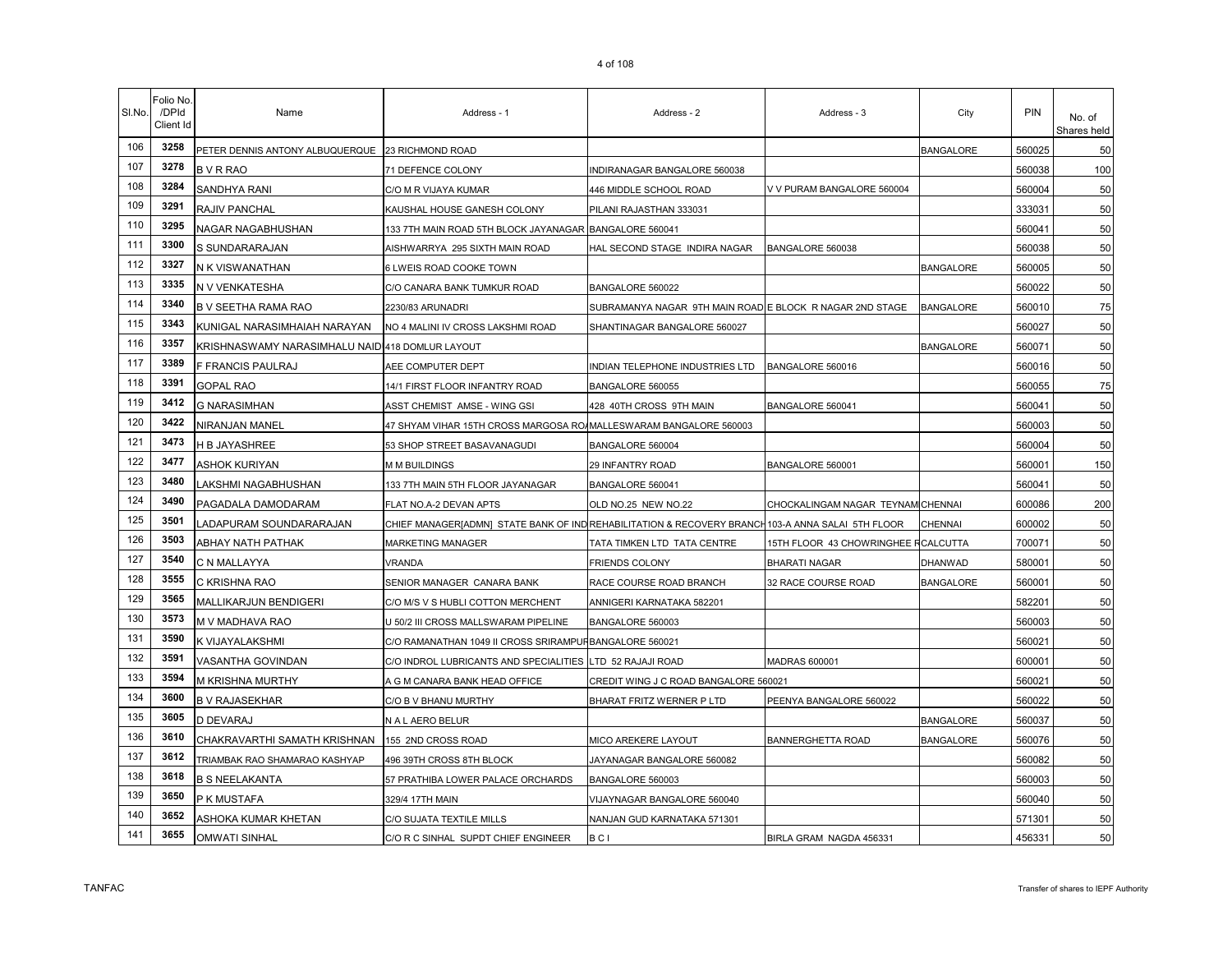| SI.No. | Folio No<br>/DPId<br>Client Id | Name                                             | Address - 1                                                                                       | Address - 2                                              | Address - 3                         | City             | PIN    | No. of<br>Shares held |
|--------|--------------------------------|--------------------------------------------------|---------------------------------------------------------------------------------------------------|----------------------------------------------------------|-------------------------------------|------------------|--------|-----------------------|
| 106    | 3258                           | PETER DENNIS ANTONY ALBUQUERQUE 23 RICHMOND ROAD |                                                                                                   |                                                          |                                     | <b>BANGALORE</b> | 560025 | 50                    |
| 107    | 3278                           | <b>BVRRAO</b>                                    | 71 DEFENCE COLONY                                                                                 | INDIRANAGAR BANGALORE 560038                             |                                     |                  | 560038 | 100                   |
| 108    | 3284                           | SANDHYA RANI                                     | C/O M R VIJAYA KUMAR                                                                              | 446 MIDDLE SCHOOL ROAD                                   | V V PURAM BANGALORE 560004          |                  | 560004 | 50                    |
| 109    | 3291                           | RAJIV PANCHAL                                    | KAUSHAL HOUSE GANESH COLONY                                                                       | PILANI RAJASTHAN 333031                                  |                                     |                  | 333031 | 50                    |
| 110    | 3295                           | NAGAR NAGABHUSHAN                                | 133 7TH MAIN ROAD 5TH BLOCK JAYANAGAR BANGALORE 560041                                            |                                                          |                                     |                  | 560041 | 50                    |
| 111    | 3300                           | S SUNDARARAJAN                                   | AISHWARRYA 295 SIXTH MAIN ROAD                                                                    | HAL SECOND STAGE INDIRA NAGAR                            | BANGALORE 560038                    |                  | 560038 | 50                    |
| 112    | 3327                           | N K VISWANATHAN                                  | 6 LWEIS ROAD COOKE TOWN                                                                           |                                                          |                                     | <b>BANGALORE</b> | 560005 | 50                    |
| 113    | 3335                           | N V VENKATESHA                                   | C/O CANARA BANK TUMKUR ROAD                                                                       | BANGALORE 560022                                         |                                     |                  | 560022 | 50                    |
| 114    | 3340                           | B V SEETHA RAMA RAO                              | 2230/83 ARUNADRI                                                                                  | SUBRAMANYA NAGAR 9TH MAIN ROAD E BLOCK R NAGAR 2ND STAGE |                                     | <b>BANGALORE</b> | 560010 | 75                    |
| 115    | 3343                           | KUNIGAL NARASIMHAIAH NARAYAN                     | NO 4 MALINI IV CROSS LAKSHMI ROAD                                                                 | SHANTINAGAR BANGALORE 560027                             |                                     |                  | 560027 | 50                    |
| 116    | 3357                           | KRISHNASWAMY NARASIMHALU NAIDI418 DOMLUR LAYOUT  |                                                                                                   |                                                          |                                     | <b>BANGALORE</b> | 560071 | 50                    |
| 117    | 3389                           | F FRANCIS PAULRAJ                                | AEE COMPUTER DEPT                                                                                 | INDIAN TELEPHONE INDUSTRIES LTD                          | BANGALORE 560016                    |                  | 560016 | 50                    |
| 118    | 3391                           | <b>GOPAL RAO</b>                                 | 14/1 FIRST FLOOR INFANTRY ROAD                                                                    | BANGALORE 560055                                         |                                     |                  | 560055 | 75                    |
| 119    | 3412                           | <b>G NARASIMHAN</b>                              | ASST CHEMIST AMSE - WING GSI                                                                      | 428 40TH CROSS 9TH MAIN                                  | BANGALORE 560041                    |                  | 560041 | 50                    |
| 120    | 3422                           | NIRANJAN MANEL                                   | 47 SHYAM VIHAR 15TH CROSS MARGOSA RO/MALLESWARAM BANGALORE 560003                                 |                                                          |                                     |                  | 560003 | 50                    |
| 121    | 3473                           | H B JAYASHREE                                    | 53 SHOP STREET BASAVANAGUDI                                                                       | BANGALORE 560004                                         |                                     |                  | 560004 | 50                    |
| 122    | 3477                           | <b>ASHOK KURIYAN</b>                             | <b>M M BUILDINGS</b>                                                                              | 29 INFANTRY ROAD                                         | BANGALORE 560001                    |                  | 560001 | 150                   |
| 123    | 3480                           | LAKSHMI NAGABHUSHAN                              | 133 7TH MAIN 5TH FLOOR JAYANAGAR                                                                  | BANGALORE 560041                                         |                                     |                  | 560041 | 50                    |
| 124    | 3490                           | PAGADALA DAMODARAM                               | FLAT NO.A-2 DEVAN APTS                                                                            | OLD NO.25 NEW NO.22                                      | CHOCKALINGAM NAGAR TEYNAM CHENNAI   |                  | 600086 | 200                   |
| 125    | 3501                           | LADAPURAM SOUNDARARAJAN                          | CHIEF MANAGER[ADMN] STATE BANK OF IND REHABILITATION & RECOVERY BRANCH 103-A ANNA SALAI 5TH FLOOR |                                                          |                                     | CHENNAI          | 600002 | 50                    |
| 126    | 3503                           | ABHAY NATH PATHAK                                | MARKETING MANAGER                                                                                 | TATA TIMKEN LTD TATA CENTRE                              | 15TH FLOOR 43 CHOWRINGHEE RCALCUTTA |                  | 700071 | 50                    |
| 127    | 3540                           | C N MALLAYYA                                     | <b>VRANDA</b>                                                                                     | <b>FRIENDS COLONY</b>                                    | <b>BHARATI NAGAR</b>                | DHANWAD          | 580001 | 50                    |
| 128    | 3555                           | C KRISHNA RAO                                    | SENIOR MANAGER CANARA BANK                                                                        | RACE COURSE ROAD BRANCH                                  | 32 RACE COURSE ROAD                 | <b>BANGALORE</b> | 560001 | 50                    |
| 129    | 3565                           | MALLIKARJUN BENDIGERI                            | C/O M/S V S HUBLI COTTON MERCHENT                                                                 | ANNIGERI KARNATAKA 582201                                |                                     |                  | 582201 | 50                    |
| 130    | 3573                           | M V MADHAVA RAO                                  | U 50/2 III CROSS MALLSWARAM PIPELINE                                                              | BANGALORE 560003                                         |                                     |                  | 560003 | 50                    |
| 131    | 3590                           | K VIJAYALAKSHMI                                  | C/O RAMANATHAN 1049 II CROSS SRIRAMPURBANGALORE 560021                                            |                                                          |                                     |                  | 560021 | 50                    |
| 132    | 3591                           | VASANTHA GOVINDAN                                | C/O INDROL LUBRICANTS AND SPECIALITIES                                                            | LTD 52 RAJAJI ROAD                                       | MADRAS 600001                       |                  | 600001 | 50                    |
| 133    | 3594                           | M KRISHNA MURTHY                                 | A G M CANARA BANK HEAD OFFICE                                                                     | CREDIT WING J C ROAD BANGALORE 560021                    |                                     |                  | 560021 | 50                    |
| 134    | 3600                           | <b>B V RAJASEKHAR</b>                            | C/O B V BHANU MURTHY                                                                              | BHARAT FRITZ WERNER P LTD                                | PEENYA BANGALORE 560022             |                  | 560022 | 50                    |
| 135    | 3605                           | D DEVARAJ                                        | N A L AERO BELUR                                                                                  |                                                          |                                     | <b>BANGALORE</b> | 560037 | 50                    |
| 136    | 3610                           | CHAKRAVARTHI SAMATH KRISHNAN                     | 155 2ND CROSS ROAD                                                                                | MICO AREKERE LAYOUT                                      | <b>BANNERGHETTA ROAD</b>            | <b>BANGALORE</b> | 560076 | 50                    |
| 137    | 3612                           | TRIAMBAK RAO SHAMARAO KASHYAP                    | 496 39TH CROSS 8TH BLOCK                                                                          | JAYANAGAR BANGALORE 560082                               |                                     |                  | 560082 | 50                    |
| 138    | 3618                           | <b>B S NEELAKANTA</b>                            | 57 PRATHIBA LOWER PALACE ORCHARDS                                                                 | BANGALORE 560003                                         |                                     |                  | 560003 | 50                    |
| 139    | 3650                           | P K MUSTAFA                                      | 329/4 17TH MAIN                                                                                   | VIJAYNAGAR BANGALORE 560040                              |                                     |                  | 560040 | 50                    |
| 140    | 3652                           | ASHOKA KUMAR KHETAN                              | C/O SUJATA TEXTILE MILLS                                                                          | NANJAN GUD KARNATAKA 571301                              |                                     |                  | 571301 | 50                    |
| 141    | 3655                           | <b>OMWATI SINHAL</b>                             | C/O R C SINHAL SUPDT CHIEF ENGINEER                                                               | B C I                                                    | BIRLA GRAM NAGDA 456331             |                  | 456331 | 50                    |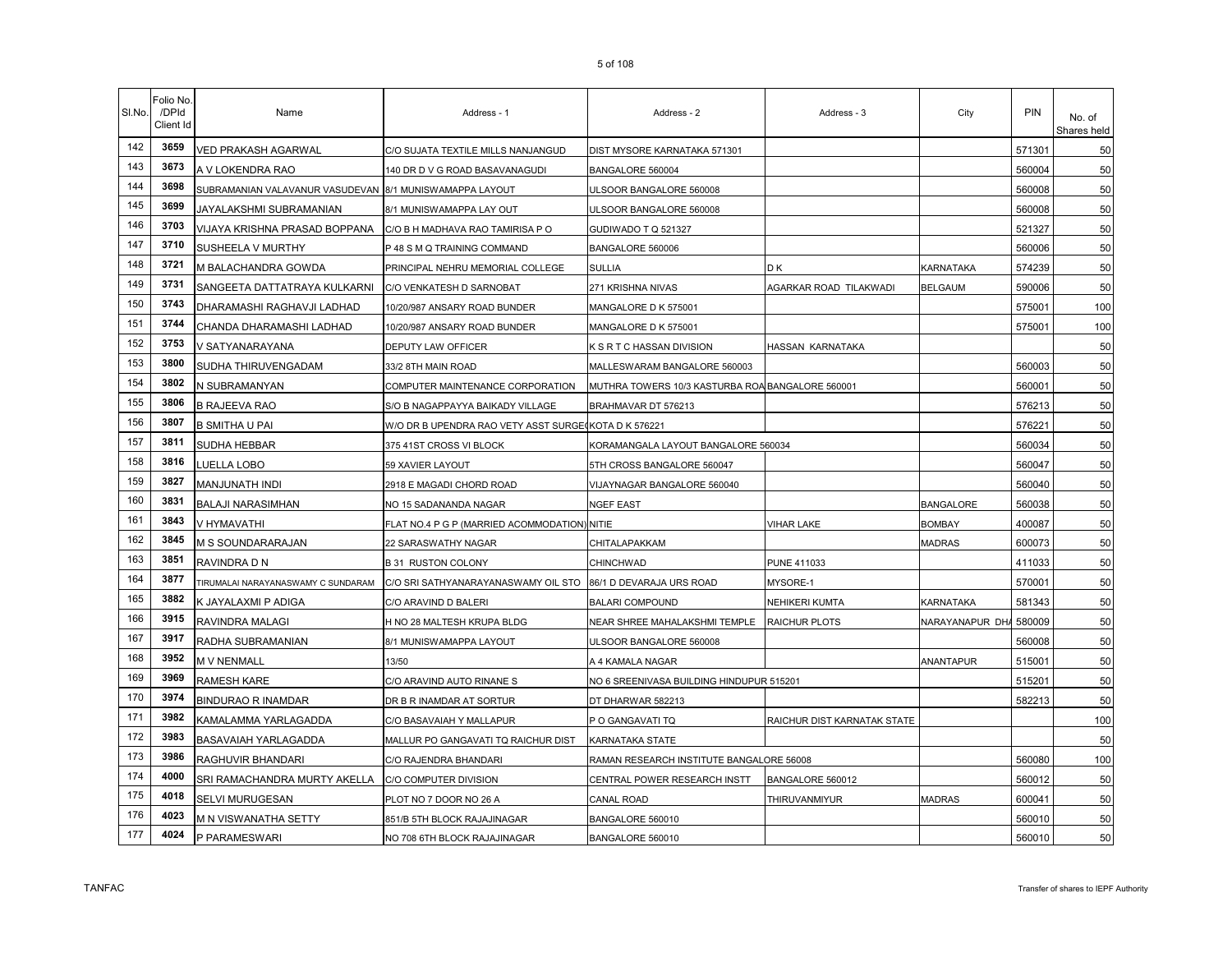| SI.No. | Folio No.<br>/DPId<br>Client Id | Name                                                    | Address - 1                                          | Address - 2                                      | Address - 3                 | City             | <b>PIN</b> | No. of<br>Shares held |
|--------|---------------------------------|---------------------------------------------------------|------------------------------------------------------|--------------------------------------------------|-----------------------------|------------------|------------|-----------------------|
| 142    | 3659                            | <b>VED PRAKASH AGARWAL</b>                              | C/O SUJATA TEXTILE MILLS NANJANGUD                   | DIST MYSORE KARNATAKA 571301                     |                             |                  | 571301     | 50                    |
| 143    | 3673                            | A V LOKENDRA RAO                                        | 140 DR D V G ROAD BASAVANAGUDI                       | BANGALORE 560004                                 |                             |                  | 560004     | 50                    |
| 144    | 3698                            | SUBRAMANIAN VALAVANUR VASUDEVAN 8/1 MUNISWAMAPPA LAYOUT |                                                      | ULSOOR BANGALORE 560008                          |                             |                  | 560008     | 50                    |
| 145    | 3699                            | JAYALAKSHMI SUBRAMANIAN                                 | 8/1 MUNISWAMAPPA LAY OUT                             | ULSOOR BANGALORE 560008                          |                             |                  | 560008     | 50                    |
| 146    | 3703                            | VIJAYA KRISHNA PRASAD BOPPANA                           | C/O B H MADHAVA RAO TAMIRISA P O                     | GUDIWADO T Q 521327                              |                             |                  | 521327     | 50                    |
| 147    | 3710                            | <b>SUSHEELA V MURTHY</b>                                | P 48 S M Q TRAINING COMMAND                          | BANGALORE 560006                                 |                             |                  | 560006     | 50                    |
| 148    | 3721                            | M BALACHANDRA GOWDA                                     | PRINCIPAL NEHRU MEMORIAL COLLEGE                     | <b>SULLIA</b>                                    | DΚ                          | KARNATAKA        | 574239     | 50                    |
| 149    | 3731                            | SANGEETA DATTATRAYA KULKARNI                            | C/O VENKATESH D SARNOBAT                             | 271 KRISHNA NIVAS                                | AGARKAR ROAD TILAKWADI      | <b>BELGAUM</b>   | 590006     | 50                    |
| 150    | 3743                            | DHARAMASHI RAGHAVJI LADHAD                              | 10/20/987 ANSARY ROAD BUNDER                         | MANGALORE D K 575001                             |                             |                  | 575001     | 100                   |
| 151    | 3744                            | CHANDA DHARAMASHI LADHAD                                | 10/20/987 ANSARY ROAD BUNDER                         | MANGALORE D K 575001                             |                             |                  | 575001     | 100                   |
| 152    | 3753                            | V SATYANARAYANA                                         | DEPUTY LAW OFFICER                                   | K S R T C HASSAN DIVISION                        | HASSAN KARNATAKA            |                  |            | 50                    |
| 153    | 3800                            | SUDHA THIRUVENGADAM                                     | 33/2 8TH MAIN ROAD                                   | MALLESWARAM BANGALORE 560003                     |                             |                  | 560003     | 50                    |
| 154    | 3802                            | N SUBRAMANYAN                                           | COMPUTER MAINTENANCE CORPORATION                     | MUTHRA TOWERS 10/3 KASTURBA ROA BANGALORE 560001 |                             |                  | 560001     | 50                    |
| 155    | 3806                            | <b>B RAJEEVA RAO</b>                                    | S/O B NAGAPPAYYA BAIKADY VILLAGE                     | BRAHMAVAR DT 576213                              |                             |                  | 576213     | 50                    |
| 156    | 3807                            | <b>B SMITHA U PAI</b>                                   | W/O DR B UPENDRA RAO VETY ASST SURGE(KOTA D K 576221 |                                                  |                             |                  | 576221     | 50                    |
| 157    | 3811                            | <b>SUDHA HEBBAR</b>                                     | 375 41ST CROSS VI BLOCK                              | KORAMANGALA LAYOUT BANGALORE 560034              |                             |                  | 560034     | 50                    |
| 158    | 3816                            | LUELLA LOBO                                             | 59 XAVIER LAYOUT                                     | 5TH CROSS BANGALORE 560047                       |                             |                  | 560047     | 50                    |
| 159    | 3827                            | MANJUNATH INDI                                          | 2918 E MAGADI CHORD ROAD                             | VIJAYNAGAR BANGALORE 560040                      |                             |                  | 560040     | 50                    |
| 160    | 3831                            | <b>BALAJI NARASIMHAN</b>                                | NO 15 SADANANDA NAGAR                                | <b>NGEF EAST</b>                                 |                             | <b>BANGALORE</b> | 560038     | 50                    |
| 161    | 3843                            | V HYMAVATHI                                             | FLAT NO.4 P G P (MARRIED ACOMMODATION) NITIE         |                                                  | VIHAR LAKE                  | <b>BOMBAY</b>    | 400087     | 50                    |
| 162    | 3845                            | M S SOUNDARARAJAN                                       | 22 SARASWATHY NAGAR                                  | CHITALAPAKKAM                                    |                             | <b>MADRAS</b>    | 600073     | 50                    |
| 163    | 3851                            | RAVINDRA D N                                            | <b>B 31 RUSTON COLONY</b>                            | CHINCHWAD                                        | PUNE 411033                 |                  | 411033     | 50                    |
| 164    | 3877                            | TIRUMALAI NARAYANASWAMY C SUNDARAM                      | C/O SRI SATHYANARAYANASWAMY OIL STO                  | 86/1 D DEVARAJA URS ROAD                         | MYSORE-1                    |                  | 570001     | 50                    |
| 165    | 3882                            | K JAYALAXMI P ADIGA                                     | C/O ARAVIND D BALERI                                 | <b>BALARI COMPOUND</b>                           | NEHIKERI KUMTA              | KARNATAKA        | 581343     | 50                    |
| 166    | 3915                            | RAVINDRA MALAGI                                         | H NO 28 MALTESH KRUPA BLDG                           | NEAR SHREE MAHALAKSHMI TEMPLE                    | RAICHUR PLOTS               | NARAYANAPUR DHA  | 580009     | 50                    |
| 167    | 3917                            | RADHA SUBRAMANIAN                                       | 8/1 MUNISWAMAPPA LAYOUT                              | ULSOOR BANGALORE 560008                          |                             |                  | 560008     | 50                    |
| 168    | 3952                            | M V NENMALL                                             | 13/50                                                | A 4 KAMALA NAGAR                                 |                             | ANANTAPUR        | 515001     | 50                    |
| 169    | 3969                            | <b>RAMESH KARE</b>                                      | C/O ARAVIND AUTO RINANE S                            | NO 6 SREENIVASA BUILDING HINDUPUR 515201         |                             |                  | 515201     | 50                    |
| 170    | 3974                            | <b>BINDURAO R INAMDAR</b>                               | DR B R INAMDAR AT SORTUR                             | DT DHARWAR 582213                                |                             |                  | 582213     | 50                    |
| 171    | 3982                            | KAMALAMMA YARLAGADDA                                    | C/O BASAVAIAH Y MALLAPUR                             | P O GANGAVATI TQ                                 | RAICHUR DIST KARNATAK STATE |                  |            | 100                   |
| 172    | 3983                            | <b>BASAVAIAH YARLAGADDA</b>                             | MALLUR PO GANGAVATI TQ RAICHUR DIST                  | KARNATAKA STATE                                  |                             |                  |            | 50                    |
| 173    | 3986                            | <b>RAGHUVIR BHANDARI</b>                                | C/O RAJENDRA BHANDARI                                | RAMAN RESEARCH INSTITUTE BANGALORE 56008         |                             |                  | 560080     | 100                   |
| 174    | 4000                            | SRI RAMACHANDRA MURTY AKELLA                            | C/O COMPUTER DIVISION                                | CENTRAL POWER RESEARCH INSTT                     | BANGALORE 560012            |                  | 560012     | 50                    |
| 175    | 4018                            | SELVI MURUGESAN                                         | PLOT NO 7 DOOR NO 26 A                               | CANAL ROAD                                       | THIRUVANMIYUR               | <b>MADRAS</b>    | 600041     | 50                    |
| 176    | 4023                            | M N VISWANATHA SETTY                                    | 851/B 5TH BLOCK RAJAJINAGAR                          | BANGALORE 560010                                 |                             |                  | 560010     | 50                    |
| 177    | 4024                            | P PARAMESWARI                                           | NO 708 6TH BLOCK RAJAJINAGAR                         | BANGALORE 560010                                 |                             |                  | 560010     | 50                    |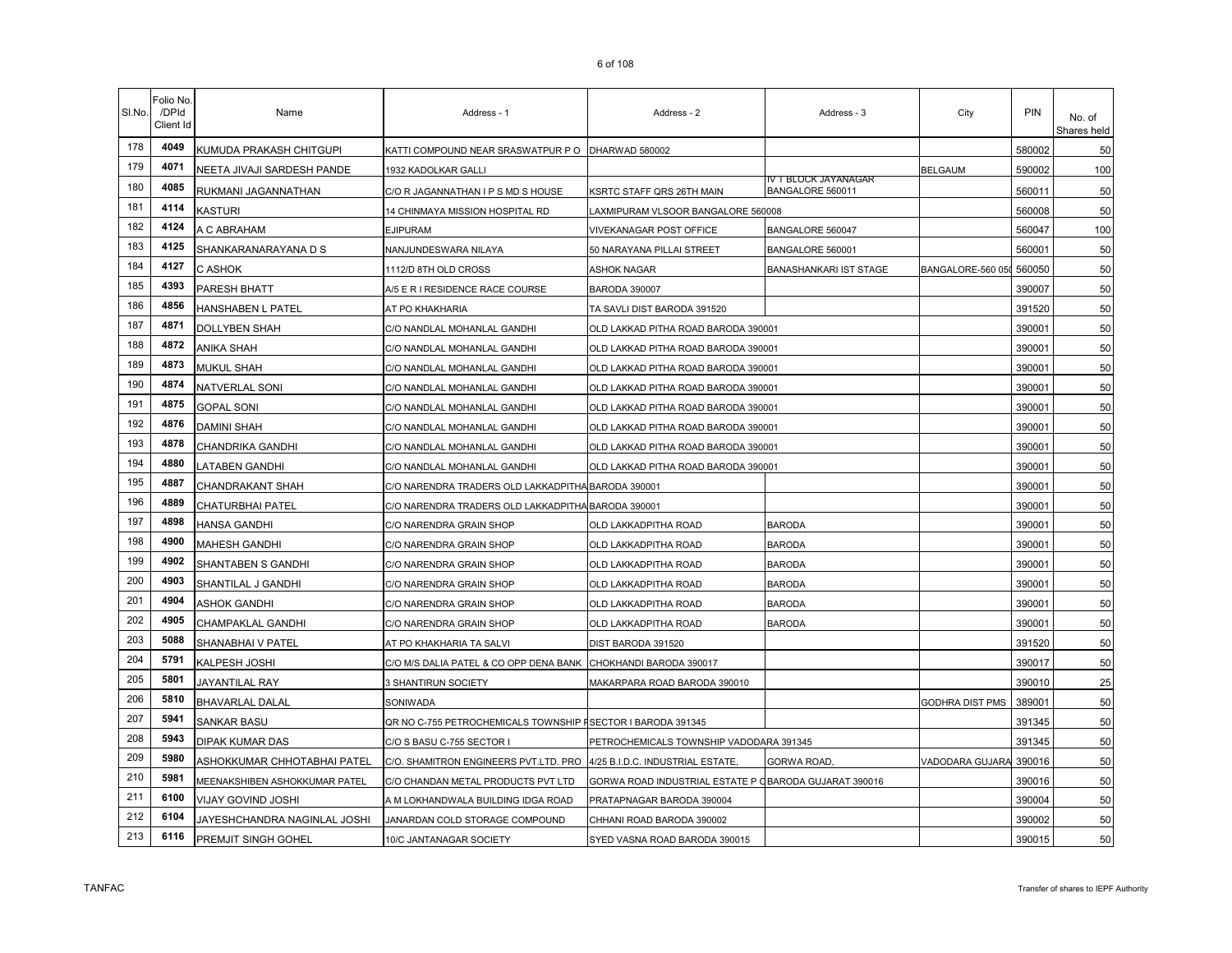| SI.No. | Folio No.<br>/DPId<br>Client Id | Name                          | Address - 1                                                 | Address - 2                                           | Address - 3                              | City                     | PIN    | No. of<br>Shares held |
|--------|---------------------------------|-------------------------------|-------------------------------------------------------------|-------------------------------------------------------|------------------------------------------|--------------------------|--------|-----------------------|
| 178    | 4049                            | KUMUDA PRAKASH CHITGUPI       | KATTI COMPOUND NEAR SRASWATPUR P O                          | DHARWAD 580002                                        |                                          |                          | 580002 | 50                    |
| 179    | 4071                            | NEETA JIVAJI SARDESH PANDE    | 1932 KADOLKAR GALLI                                         |                                                       |                                          | <b>BELGAUM</b>           | 590002 | 100                   |
| 180    | 4085                            | RUKMANI JAGANNATHAN           | C/O R JAGANNATHAN I P S MD S HOUSE                          | KSRTC STAFF QRS 26TH MAIN                             | IV T BLOCK JAYANAGAR<br>BANGALORE 560011 |                          | 560011 | 50                    |
| 181    | 4114                            | <b>KASTURI</b>                | 14 CHINMAYA MISSION HOSPITAL RD                             | LAXMIPURAM VLSOOR BANGALORE 560008                    |                                          |                          | 560008 | 50                    |
| 182    | 4124                            | A C ABRAHAM                   | <b>EJIPURAM</b>                                             | VIVEKANAGAR POST OFFICE                               | BANGALORE 560047                         |                          | 560047 | 100                   |
| 183    | 4125                            | SHANKARANARAYANA D S          | NANJUNDESWARA NILAYA                                        | 50 NARAYANA PILLAI STREET                             | BANGALORE 560001                         |                          | 560001 | 50                    |
| 184    | 4127                            | C ASHOK                       | 1112/D 8TH OLD CROSS                                        | ASHOK NAGAR                                           | BANASHANKARI IST STAGE                   | BANGALORE-560 050 560050 |        | 50                    |
| 185    | 4393                            | PARESH BHATT                  | A/5 E R I RESIDENCE RACE COURSE                             | <b>BARODA 390007</b>                                  |                                          |                          | 390007 | 50                    |
| 186    | 4856                            | HANSHABEN L PATEL             | AT PO KHAKHARIA                                             | TA SAVLI DIST BARODA 391520                           |                                          |                          | 391520 | 50                    |
| 187    | 4871                            | <b>DOLLYBEN SHAH</b>          | C/O NANDLAL MOHANLAL GANDHI                                 | OLD LAKKAD PITHA ROAD BARODA 390001                   |                                          |                          | 390001 | 50                    |
| 188    | 4872                            | <b>ANIKA SHAH</b>             | C/O NANDLAL MOHANLAL GANDHI                                 | OLD LAKKAD PITHA ROAD BARODA 390001                   |                                          |                          | 390001 | 50                    |
| 189    | 4873                            | <b>MUKUL SHAH</b>             | C/O NANDLAL MOHANLAL GANDHI                                 | OLD LAKKAD PITHA ROAD BARODA 390001                   |                                          |                          | 390001 | 50                    |
| 190    | 4874                            | <b>NATVERLAL SONI</b>         | C/O NANDLAL MOHANLAL GANDHI                                 | OLD LAKKAD PITHA ROAD BARODA 390001                   |                                          |                          | 390001 | 50                    |
| 191    | 4875                            | <b>GOPAL SONI</b>             | C/O NANDLAL MOHANLAL GANDHI                                 | OLD LAKKAD PITHA ROAD BARODA 390001                   |                                          |                          | 390001 | 50                    |
| 192    | 4876                            | <b>DAMINI SHAH</b>            | C/O NANDLAL MOHANLAL GANDHI                                 | OLD LAKKAD PITHA ROAD BARODA 390001                   |                                          |                          | 390001 | 50                    |
| 193    | 4878                            | CHANDRIKA GANDHI              | C/O NANDLAL MOHANLAL GANDHI                                 | OLD LAKKAD PITHA ROAD BARODA 390001                   |                                          |                          | 390001 | 50                    |
| 194    | 4880                            | <b>LATABEN GANDHI</b>         | C/O NANDLAL MOHANLAL GANDHI                                 | OLD LAKKAD PITHA ROAD BARODA 390001                   |                                          |                          | 390001 | 50                    |
| 195    | 4887                            | CHANDRAKANT SHAH              | C/O NARENDRA TRADERS OLD LAKKADPITHA BARODA 390001          |                                                       |                                          |                          | 390001 | 50                    |
| 196    | 4889                            | <b>CHATURBHAI PATEL</b>       | C/O NARENDRA TRADERS OLD LAKKADPITHA BARODA 390001          |                                                       |                                          |                          | 390001 | 50                    |
| 197    | 4898                            | <b>HANSA GANDHI</b>           | C/O NARENDRA GRAIN SHOP                                     | OLD LAKKADPITHA ROAD                                  | <b>BARODA</b>                            |                          | 390001 | 50                    |
| 198    | 4900                            | <b>MAHESH GANDHI</b>          | C/O NARENDRA GRAIN SHOP                                     | OLD LAKKADPITHA ROAD                                  | <b>BARODA</b>                            |                          | 390001 | 50                    |
| 199    | 4902                            | SHANTABEN S GANDHI            | C/O NARENDRA GRAIN SHOP                                     | OLD LAKKADPITHA ROAD                                  | <b>BARODA</b>                            |                          | 390001 | 50                    |
| 200    | 4903                            | SHANTILAL J GANDHI            | C/O NARENDRA GRAIN SHOP                                     | OLD LAKKADPITHA ROAD                                  | <b>BARODA</b>                            |                          | 390001 | 50                    |
| 201    | 4904                            | <b>ASHOK GANDHI</b>           | C/O NARENDRA GRAIN SHOP                                     | OLD LAKKADPITHA ROAD                                  | <b>BARODA</b>                            |                          | 390001 | 50                    |
| 202    | 4905                            | <b>CHAMPAKLAL GANDHI</b>      | C/O NARENDRA GRAIN SHOP                                     | OLD LAKKADPITHA ROAD                                  | <b>BARODA</b>                            |                          | 390001 | 50                    |
| 203    | 5088                            | SHANABHAI V PATEL             | AT PO KHAKHARIA TA SALVI                                    | DIST BARODA 391520                                    |                                          |                          | 391520 | 50                    |
| 204    | 5791                            | <b>KALPESH JOSHI</b>          | C/O M/S DALIA PATEL & CO OPP DENA BANK                      | CHOKHANDI BARODA 390017                               |                                          |                          | 390017 | 50                    |
| 205    | 5801                            | JAYANTILAL RAY                | 3 SHANTIRUN SOCIETY                                         | MAKARPARA ROAD BARODA 390010                          |                                          |                          | 390010 | 25                    |
| 206    | 5810                            | <b>BHAVARLAL DALAL</b>        | SONIWADA                                                    |                                                       |                                          | GODHRA DIST PMS          | 389001 | 50                    |
| 207    | 5941                            | <b>SANKAR BASU</b>            | QR NO C-755 PETROCHEMICALS TOWNSHIP FSECTOR I BARODA 391345 |                                                       |                                          |                          | 391345 | 50                    |
| 208    | 5943                            | <b>DIPAK KUMAR DAS</b>        | C/O S BASU C-755 SECTOR I                                   | PETROCHEMICALS TOWNSHIP VADODARA 391345               |                                          |                          | 391345 | 50                    |
| 209    | 5980                            | ASHOKKUMAR CHHOTABHAI PATEL   | C/O. SHAMITRON ENGINEERS PVT.LTD. PRO                       | 4/25 B.I.D.C. INDUSTRIAL ESTATE.                      | GORWA ROAD.                              | VADODARA GUJARA          | 390016 | 50                    |
| 210    | 5981                            | MEENAKSHIBEN ASHOKKUMAR PATEL | C/O CHANDAN METAL PRODUCTS PVT LTD                          | GORWA ROAD INDUSTRIAL ESTATE P OBARODA GUJARAT 390016 |                                          |                          | 390016 | 50                    |
| 211    | 6100                            | VIJAY GOVIND JOSHI            | A M LOKHANDWALA BUILDING IDGA ROAD                          | PRATAPNAGAR BARODA 390004                             |                                          |                          | 390004 | 50                    |
| 212    | 6104                            | JAYESHCHANDRA NAGINLAL JOSHI  | JANARDAN COLD STORAGE COMPOUND                              | CHHANI ROAD BARODA 390002                             |                                          |                          | 390002 | 50                    |
| 213    | 6116                            | PREMJIT SINGH GOHEL           | 10/C JANTANAGAR SOCIETY                                     | SYED VASNA ROAD BARODA 390015                         |                                          |                          | 390015 | 50                    |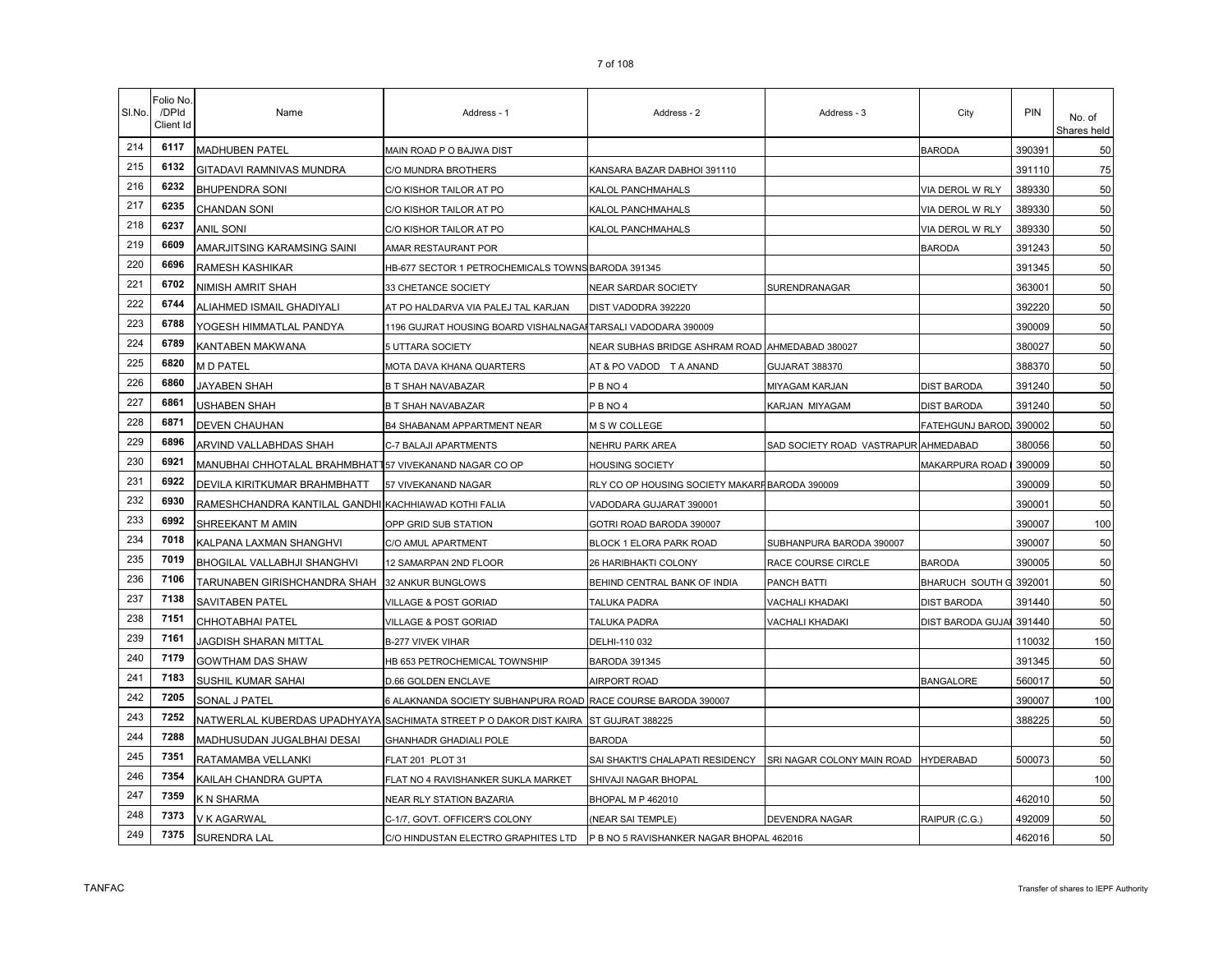| SI.No. | Folio No<br>/DPId<br>Client Id | Name                                                   | Address - 1                                                        | Address - 2                                     | Address - 3                          | City                     | PIN    | No. of<br>Shares held |
|--------|--------------------------------|--------------------------------------------------------|--------------------------------------------------------------------|-------------------------------------------------|--------------------------------------|--------------------------|--------|-----------------------|
| 214    | 6117                           | <b>MADHUBEN PATEL</b>                                  | MAIN ROAD P O BAJWA DIST                                           |                                                 |                                      | <b>BARODA</b>            | 390391 | 50                    |
| 215    | 6132                           | GITADAVI RAMNIVAS MUNDRA                               | C/O MUNDRA BROTHERS                                                | KANSARA BAZAR DABHOI 391110                     |                                      |                          | 391110 | 75                    |
| 216    | 6232                           | <b>BHUPENDRA SONI</b>                                  | C/O KISHOR TAILOR AT PO                                            | KALOL PANCHMAHALS                               |                                      | VIA DEROL W RLY          | 389330 | 50                    |
| 217    | 6235                           | CHANDAN SONI                                           | C/O KISHOR TAILOR AT PO                                            | KALOL PANCHMAHALS                               |                                      | VIA DEROL W RLY          | 389330 | 50                    |
| 218    | 6237                           | <b>ANIL SONI</b>                                       | C/O KISHOR TAILOR AT PO                                            | KALOL PANCHMAHALS                               |                                      | VIA DEROL W RLY          | 389330 | 50                    |
| 219    | 6609                           | AMARJITSING KARAMSING SAINI                            | AMAR RESTAURANT POR                                                |                                                 |                                      | BARODA                   | 391243 | 50                    |
| 220    | 6696                           | RAMESH KASHIKAR                                        | HB-677 SECTOR 1 PETROCHEMICALS TOWNS BARODA 391345                 |                                                 |                                      |                          | 391345 | 50                    |
| 221    | 6702                           | NIMISH AMRIT SHAH                                      | 33 CHETANCE SOCIETY                                                | NEAR SARDAR SOCIETY                             | SURENDRANAGAR                        |                          | 363001 | 50                    |
| 222    | 6744                           | ALIAHMED ISMAIL GHADIYALI                              | AT PO HALDARVA VIA PALEJ TAL KARJAN                                | DIST VADODRA 392220                             |                                      |                          | 392220 | 50                    |
| 223    | 6788                           | YOGESH HIMMATLAL PANDYA                                | 1196 GUJRAT HOUSING BOARD VISHALNAGAI TARSALI VADODARA 390009      |                                                 |                                      |                          | 390009 | 50                    |
| 224    | 6789                           | KANTABEN MAKWANA                                       | 5 UTTARA SOCIETY                                                   | NEAR SUBHAS BRIDGE ASHRAM ROAD AHMEDABAD 380027 |                                      |                          | 380027 | 50                    |
| 225    | 6820                           | M D PATEL                                              | MOTA DAVA KHANA QUARTERS                                           | AT & PO VADOD T A ANAND                         | GUJARAT 388370                       |                          | 388370 | 50                    |
| 226    | 6860                           | JAYABEN SHAH                                           | B T SHAH NAVABAZAR                                                 | PBNO4                                           | MIYAGAM KARJAN                       | <b>DIST BARODA</b>       | 391240 | 50                    |
| 227    | 6861                           | USHABEN SHAH                                           | <b>B T SHAH NAVABAZAR</b>                                          | <b>PBNO4</b>                                    | KARJAN MIYAGAM                       | <b>DIST BARODA</b>       | 391240 | 50                    |
| 228    | 6871                           | <b>DEVEN CHAUHAN</b>                                   | B4 SHABANAM APPARTMENT NEAR                                        | M S W COLLEGE                                   |                                      | FATEHGUNJ BAROD.         | 390002 | 50                    |
| 229    | 6896                           | ARVIND VALLABHDAS SHAH                                 | C-7 BALAJI APARTMENTS                                              | NEHRU PARK AREA                                 | SAD SOCIETY ROAD VASTRAPUR AHMEDABAD |                          | 380056 | 50                    |
| 230    | 6921                           | MANUBHAI CHHOTALAL BRAHMBHATT57 VIVEKANAND NAGAR CO OP |                                                                    | HOUSING SOCIETY                                 |                                      | MAKARPURA ROAD           | 390009 | 50                    |
| 231    | 6922                           | DEVILA KIRITKUMAR BRAHMBHATT                           | 57 VIVEKANAND NAGAR                                                | RLY CO OP HOUSING SOCIETY MAKARFBARODA 390009   |                                      |                          | 390009 | 50                    |
| 232    | 6930                           | RAMESHCHANDRA KANTILAL GANDHI KACHHIAWAD KOTHI FALIA   |                                                                    | VADODARA GUJARAT 390001                         |                                      |                          | 390001 | 50                    |
| 233    | 6992                           | SHREEKANT M AMIN                                       | OPP GRID SUB STATION                                               | GOTRI ROAD BARODA 390007                        |                                      |                          | 390007 | 100                   |
| 234    | 7018                           | KALPANA LAXMAN SHANGHVI                                | C/O AMUL APARTMENT                                                 | BLOCK 1 ELORA PARK ROAD                         | SUBHANPURA BARODA 390007             |                          | 390007 | 50                    |
| 235    | 7019                           | BHOGILAL VALLABHJI SHANGHVI                            | 12 SAMARPAN 2ND FLOOR                                              | 26 HARIBHAKTI COLONY                            | RACE COURSE CIRCLE                   | <b>BARODA</b>            | 390005 | 50                    |
| 236    | 7106                           | TARUNABEN GIRISHCHANDRA SHAH 32 ANKUR BUNGLOWS         |                                                                    | BEHIND CENTRAL BANK OF INDIA                    | PANCH BATTI                          | BHARUCH SOUTH G 392001   |        | 50                    |
| 237    | 7138                           | SAVITABEN PATEL                                        | VILLAGE & POST GORIAD                                              | TALUKA PADRA                                    | VACHALI KHADAKI                      | <b>DIST BARODA</b>       | 391440 | 50                    |
| 238    | 7151                           | CHHOTABHAI PATEL                                       | <b>VILLAGE &amp; POST GORIAD</b>                                   | <b>TALUKA PADRA</b>                             | VACHALI KHADAKI                      | <b>DIST BARODA GUJAI</b> | 391440 | 50                    |
| 239    | 7161                           | JAGDISH SHARAN MITTAL                                  | B-277 VIVEK VIHAR                                                  | DELHI-110 032                                   |                                      |                          | 110032 | 150                   |
| 240    | 7179                           | GOWTHAM DAS SHAW                                       | HB 653 PETROCHEMICAL TOWNSHIP                                      | <b>BARODA 391345</b>                            |                                      |                          | 391345 | 50                    |
| 241    | 7183                           | SUSHIL KUMAR SAHAI                                     | D.66 GOLDEN ENCLAVE                                                | AIRPORT ROAD                                    |                                      | <b>BANGALORE</b>         | 560017 | 50                    |
| 242    | 7205                           | SONAL J PATEL                                          | 6 ALAKNANDA SOCIETY SUBHANPURA ROAD RACE COURSE BARODA 390007      |                                                 |                                      |                          | 390007 | 100                   |
| 243    | 7252                           |                                                        | NATWERLAL KUBERDAS UPADHYAYA SACHIMATA STREET P O DAKOR DIST KAIRA | ST GUJRAT 388225                                |                                      |                          | 388225 | 50                    |
| 244    | 7288                           | MADHUSUDAN JUGALBHAI DESAI                             | <b>GHANHADR GHADIALI POLE</b>                                      | <b>BARODA</b>                                   |                                      |                          |        | 50                    |
| 245    | 7351                           | RATAMAMBA VELLANKI                                     | FLAT 201 PLOT 31                                                   | SAI SHAKTI'S CHALAPATI RESIDENCY                | SRI NAGAR COLONY MAIN ROAD           | <b>HYDERABAD</b>         | 500073 | 50                    |
| 246    | 7354                           | KAILAH CHANDRA GUPTA                                   | FLAT NO 4 RAVISHANKER SUKLA MARKET                                 | SHIVAJI NAGAR BHOPAL                            |                                      |                          |        | 100                   |
| 247    | 7359                           | K N SHARMA                                             | NEAR RLY STATION BAZARIA                                           | BHOPAL M P 462010                               |                                      |                          | 462010 | 50                    |
| 248    | 7373                           | V K AGARWAL                                            | C-1/7, GOVT. OFFICER'S COLONY                                      | (NEAR SAI TEMPLE)                               | <b>DEVENDRA NAGAR</b>                | RAIPUR (C.G.)            | 492009 | 50                    |
| 249    | 7375                           | SURENDRA LAL                                           | C/O HINDUSTAN ELECTRO GRAPHITES LTD                                | P B NO 5 RAVISHANKER NAGAR BHOPAL 462016        |                                      |                          | 462016 | 50                    |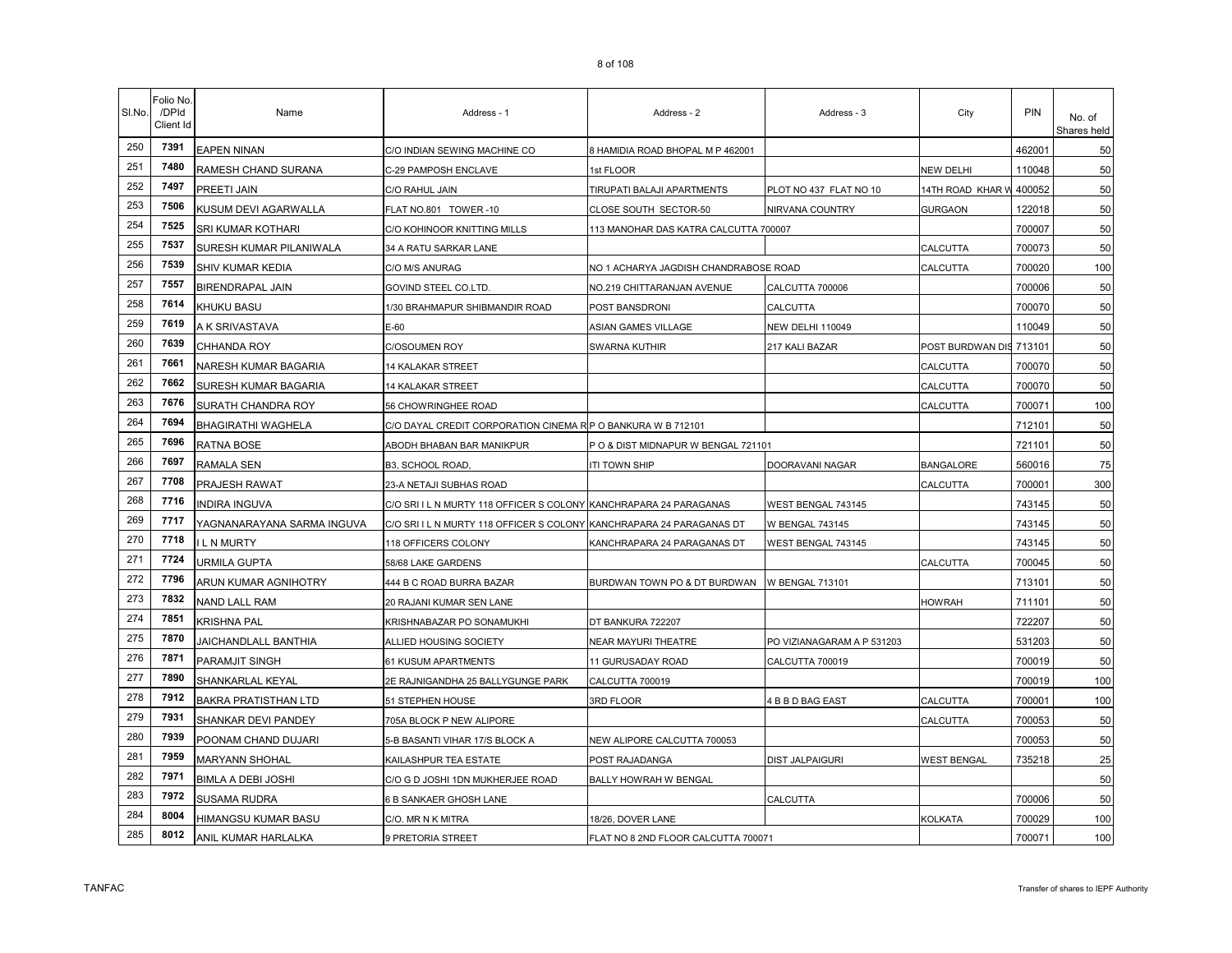| SI.No. | Folio No<br>/DPId<br>Client Id | Name                        | Address - 1                                                          | Address - 2                                  | Address - 3                | City                    | PIN    | No. of<br>Shares held |
|--------|--------------------------------|-----------------------------|----------------------------------------------------------------------|----------------------------------------------|----------------------------|-------------------------|--------|-----------------------|
| 250    | 7391                           | <b>EAPEN NINAN</b>          | C/O INDIAN SEWING MACHINE CO                                         | 8 HAMIDIA ROAD BHOPAL M P 462001             |                            |                         | 462001 | 50                    |
| 251    | 7480                           | RAMESH CHAND SURANA         | C-29 PAMPOSH ENCLAVE                                                 | 1st FLOOR                                    |                            | <b>NEW DELHI</b>        | 110048 | 50                    |
| 252    | 7497                           | PREETI JAIN                 | C/O RAHUL JAIN                                                       | TIRUPATI BALAJI APARTMENTS                   | PLOT NO 437 FLAT NO 10     | 14TH ROAD KHAR W        | 400052 | 50                    |
| 253    | 7506                           | KUSUM DEVI AGARWALLA        | FLAT NO.801 TOWER-10                                                 | CLOSE SOUTH SECTOR-50                        | NIRVANA COUNTRY            | <b>GURGAON</b>          | 122018 | 50                    |
| 254    | 7525                           | SRI KUMAR KOTHARI           | C/O KOHINOOR KNITTING MILLS                                          | 113 MANOHAR DAS KATRA CALCUTTA 700007        |                            |                         | 700007 | 50                    |
| 255    | 7537                           | SURESH KUMAR PILANIWALA     | 34 A RATU SARKAR LANE                                                |                                              |                            | CALCUTTA                | 700073 | 50                    |
| 256    | 7539                           | SHIV KUMAR KEDIA            | C/O M/S ANURAG                                                       | NO 1 ACHARYA JAGDISH CHANDRABOSE ROAD        |                            | CALCUTTA                | 700020 | 100                   |
| 257    | 7557                           | <b>BIRENDRAPAL JAIN</b>     | GOVIND STEEL CO.LTD.                                                 | NO.219 CHITTARANJAN AVENUE                   | CALCUTTA 700006            |                         | 700006 | 50                    |
| 258    | 7614                           | KHUKU BASU                  | 1/30 BRAHMAPUR SHIBMANDIR ROAD                                       | POST BANSDRONI                               | CALCUTTA                   |                         | 700070 | 50                    |
| 259    | 7619                           | A K SRIVASTAVA              | E-60                                                                 | ASIAN GAMES VILLAGE                          | NEW DELHI 110049           |                         | 110049 | 50                    |
| 260    | 7639                           | CHHANDA ROY                 | C/OSOUMEN ROY                                                        | SWARNA KUTHIR                                | 217 KALI BAZAR             | POST BURDWAN DIS 713101 |        | 50                    |
| 261    | 7661                           | NARESH KUMAR BAGARIA        | 14 KALAKAR STREET                                                    |                                              |                            | CALCUTTA                | 700070 | 50                    |
| 262    | 7662                           | SURESH KUMAR BAGARIA        | 14 KALAKAR STREET                                                    |                                              |                            | CALCUTTA                | 700070 | 50                    |
| 263    | 7676                           | SURATH CHANDRA ROY          | 56 CHOWRINGHEE ROAD                                                  |                                              |                            | CALCUTTA                | 700071 | 100                   |
| 264    | 7694                           | <b>BHAGIRATHI WAGHELA</b>   | C/O DAYAL CREDIT CORPORATION CINEMA R P O BANKURA W B 712101         |                                              |                            |                         | 712101 | 50                    |
| 265    | 7696                           | <b>RATNA BOSE</b>           | ABODH BHABAN BAR MANIKPUR                                            | PO & DIST MIDNAPUR W BENGAL 721101           |                            |                         | 721101 | 50                    |
| 266    | 7697                           | RAMALA SEN                  | B3, SCHOOL ROAD,                                                     | iti Town Ship                                | DOORAVANI NAGAR            | <b>BANGALORE</b>        | 560016 | 75                    |
| 267    | 7708                           | PRAJESH RAWAT               | 23-A NETAJI SUBHAS ROAD                                              |                                              |                            | CALCUTTA                | 700001 | 300                   |
| 268    | 7716                           | <b>INDIRA INGUVA</b>        | C/O SRI I L N MURTY 118 OFFICER S COLONY KANCHRAPARA 24 PARAGANAS    |                                              | WEST BENGAL 743145         |                         | 743145 | 50                    |
| 269    | 7717                           | YAGNANARAYANA SARMA INGUVA  | C/O SRI I L N MURTY 118 OFFICER S COLONY KANCHRAPARA 24 PARAGANAS DT |                                              | <b>W BENGAL 743145</b>     |                         | 743145 | 50                    |
| 270    | 7718                           | L N MURTY                   | 118 OFFICERS COLONY                                                  | KANCHRAPARA 24 PARAGANAS DT                  | WEST BENGAL 743145         |                         | 743145 | 50                    |
| 271    | 7724                           | URMILA GUPTA                | 58/68 LAKE GARDENS                                                   |                                              |                            | CALCUTTA                | 700045 | 50                    |
| 272    | 7796                           | ARUN KUMAR AGNIHOTRY        | 444 B C ROAD BURRA BAZAR                                             | BURDWAN TOWN PO & DT BURDWAN W BENGAL 713101 |                            |                         | 713101 | 50                    |
| 273    | 7832                           | <b>NAND LALL RAM</b>        | 20 RAJANI KUMAR SEN LANE                                             |                                              |                            | <b>HOWRAH</b>           | 711101 | 50                    |
| 274    | 7851                           | <b>KRISHNA PAL</b>          | KRISHNABAZAR PO SONAMUKHI                                            | DT BANKURA 722207                            |                            |                         | 722207 | 50                    |
| 275    | 7870                           | JAICHANDLALL BANTHIA        | ALLIED HOUSING SOCIETY                                               | NEAR MAYURI THEATRE                          | PO VIZIANAGARAM A P 531203 |                         | 531203 | 50                    |
| 276    | 7871                           | PARAMJIT SINGH              | 61 KUSUM APARTMENTS                                                  | 11 GURUSADAY ROAD                            | CALCUTTA 700019            |                         | 700019 | 50                    |
| 277    | 7890                           | SHANKARLAL KEYAL            | 2E RAJNIGANDHA 25 BALLYGUNGE PARK                                    | CALCUTTA 700019                              |                            |                         | 700019 | 100                   |
| 278    | 7912                           | <b>BAKRA PRATISTHAN LTD</b> | 51 STEPHEN HOUSE                                                     | 3RD FLOOR                                    | 4 B B D BAG EAST           | <b>CALCUTTA</b>         | 700001 | 100                   |
| 279    | 7931                           | SHANKAR DEVI PANDEY         | 705A BLOCK P NEW ALIPORE                                             |                                              |                            | CALCUTTA                | 700053 | 50                    |
| 280    | 7939                           | POONAM CHAND DUJARI         | 5-B BASANTI VIHAR 17/S BLOCK A                                       | NEW ALIPORE CALCUTTA 700053                  |                            |                         | 700053 | 50                    |
| 281    | 7959                           | MARYANN SHOHAL              | KAILASHPUR TEA ESTATE                                                | POST RAJADANGA                               | DIST JALPAIGURI            | <b>WEST BENGAL</b>      | 735218 | 25                    |
| 282    | 7971                           | <b>BIMLA A DEBI JOSHI</b>   | C/O G D JOSHI 1DN MUKHERJEE ROAD                                     | BALLY HOWRAH W BENGAL                        |                            |                         |        | 50                    |
| 283    | 7972                           | <b>SUSAMA RUDRA</b>         | 6 B SANKAER GHOSH LANE                                               |                                              | CALCUTTA                   |                         | 700006 | 50                    |
| 284    | 8004                           | HIMANGSU KUMAR BASU         | C/O. MR N K MITRA                                                    | 18/26, DOVER LANE                            |                            | KOLKATA                 | 700029 | 100                   |
| 285    | 8012                           | ANIL KUMAR HARLALKA         | 9 PRETORIA STREET                                                    | FLAT NO 8 2ND FLOOR CALCUTTA 700071          |                            |                         | 700071 | 100                   |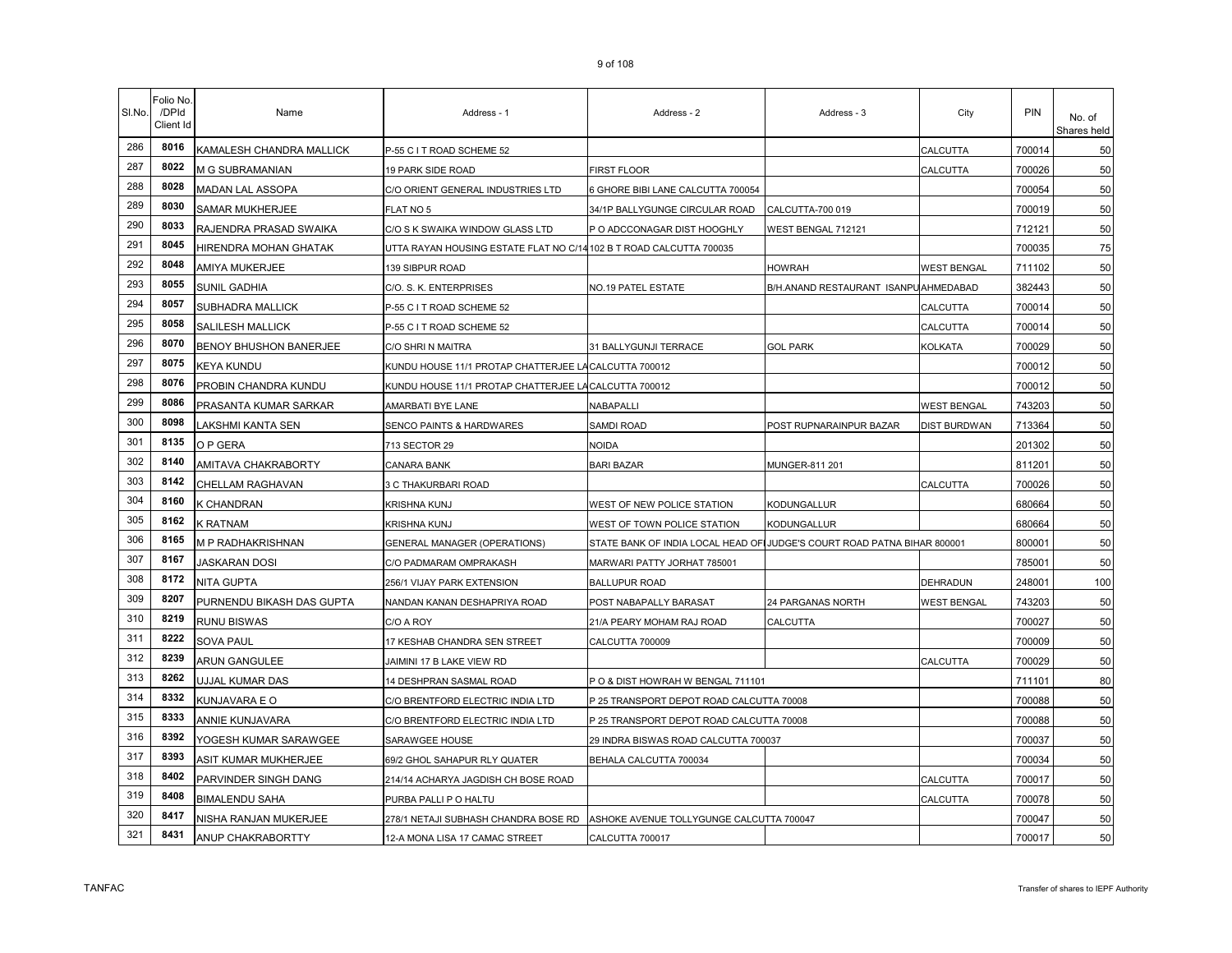| SI.No. | Folio No<br>/DPId<br>Client Id | Name                      | Address - 1                                                         | Address - 2                                                             | Address - 3                          | City                | PIN    | No. of<br>Shares held |
|--------|--------------------------------|---------------------------|---------------------------------------------------------------------|-------------------------------------------------------------------------|--------------------------------------|---------------------|--------|-----------------------|
| 286    | 8016                           | KAMALESH CHANDRA MALLICK  | P-55 C I T ROAD SCHEME 52                                           |                                                                         |                                      | CALCUTTA            | 700014 | 50                    |
| 287    | 8022                           | M G SUBRAMANIAN           | 19 PARK SIDE ROAD                                                   | FIRST FLOOR                                                             |                                      | CALCUTTA            | 700026 | 50                    |
| 288    | 8028                           | MADAN LAL ASSOPA          | C/O ORIENT GENERAL INDUSTRIES LTD                                   | 6 GHORE BIBI LANE CALCUTTA 700054                                       |                                      |                     | 700054 | 50                    |
| 289    | 8030                           | <b>SAMAR MUKHERJEE</b>    | FLAT NO 5                                                           | 34/1P BALLYGUNGE CIRCULAR ROAD                                          | CALCUTTA-700 019                     |                     | 700019 | 50                    |
| 290    | 8033                           | RAJENDRA PRASAD SWAIKA    | C/O S K SWAIKA WINDOW GLASS LTD                                     | P O ADCCONAGAR DIST HOOGHLY                                             | WEST BENGAL 712121                   |                     | 712121 | 50                    |
| 291    | 8045                           | HIRENDRA MOHAN GHATAK     | UTTA RAYAN HOUSING ESTATE FLAT NO C/14 102 B T ROAD CALCUTTA 700035 |                                                                         |                                      |                     | 700035 | 75                    |
| 292    | 8048                           | AMIYA MUKERJEE            | 139 SIBPUR ROAD                                                     |                                                                         | HOWRAH                               | <b>WEST BENGAL</b>  | 711102 | 50                    |
| 293    | 8055                           | SUNIL GADHIA              | C/O. S. K. ENTERPRISES                                              | NO.19 PATEL ESTATE                                                      | B/H.ANAND RESTAURANT ISANPUAHMEDABAD |                     | 382443 | 50                    |
| 294    | 8057                           | SUBHADRA MALLICK          | P-55 C I T ROAD SCHEME 52                                           |                                                                         |                                      | CALCUTTA            | 700014 | 50                    |
| 295    | 8058                           | SALILESH MALLICK          | P-55 C I T ROAD SCHEME 52                                           |                                                                         |                                      | CALCUTTA            | 700014 | 50                    |
| 296    | 8070                           | BENOY BHUSHON BANERJEE    | C/O SHRI N MAITRA                                                   | 31 BALLYGUNJI TERRACE                                                   | <b>GOL PARK</b>                      | KOLKATA             | 700029 | 50                    |
| 297    | 8075                           | KEYA KUNDU                | KUNDU HOUSE 11/1 PROTAP CHATTERJEE LA CALCUTTA 700012               |                                                                         |                                      |                     | 700012 | 50                    |
| 298    | 8076                           | PROBIN CHANDRA KUNDU      | KUNDU HOUSE 11/1 PROTAP CHATTERJEE LA CALCUTTA 700012               |                                                                         |                                      |                     | 700012 | 50                    |
| 299    | 8086                           | PRASANTA KUMAR SARKAR     | AMARBATI BYE LANE                                                   | NABAPALLI                                                               |                                      | <b>WEST BENGAL</b>  | 743203 | 50                    |
| 300    | 8098                           | LAKSHMI KANTA SEN         | SENCO PAINTS & HARDWARES                                            | SAMDI ROAD                                                              | POST RUPNARAINPUR BAZAR              | <b>DIST BURDWAN</b> | 713364 | 50                    |
| 301    | 8135                           | O P GERA                  | 713 SECTOR 29                                                       | NOIDA                                                                   |                                      |                     | 201302 | 50                    |
| 302    | 8140                           | AMITAVA CHAKRABORTY       | CANARA BANK                                                         | <b>BARI BAZAR</b>                                                       | MUNGER-811 201                       |                     | 811201 | 50                    |
| 303    | 8142                           | CHELLAM RAGHAVAN          | 3 C THAKURBARI ROAD                                                 |                                                                         |                                      | CALCUTTA            | 700026 | 50                    |
| 304    | 8160                           | K CHANDRAN                | <b>KRISHNA KUNJ</b>                                                 | WEST OF NEW POLICE STATION                                              | KODUNGALLUR                          |                     | 680664 | 50                    |
| 305    | 8162                           | <b>K RATNAM</b>           | KRISHNA KUNJ                                                        | WEST OF TOWN POLICE STATION                                             | KODUNGALLUR                          |                     | 680664 | 50                    |
| 306    | 8165                           | M P RADHAKRISHNAN         | <b>GENERAL MANAGER (OPERATIONS)</b>                                 | STATE BANK OF INDIA LOCAL HEAD OFIJUDGE'S COURT ROAD PATNA BIHAR 800001 |                                      |                     | 800001 | 50                    |
| 307    | 8167                           | JASKARAN DOSI             | C/O PADMARAM OMPRAKASH                                              | MARWARI PATTY JORHAT 785001                                             |                                      |                     | 785001 | 50                    |
| 308    | 8172                           | NITA GUPTA                | 256/1 VIJAY PARK EXTENSION                                          | <b>BALLUPUR ROAD</b>                                                    |                                      | DEHRADUN            | 248001 | 100                   |
| 309    | 8207                           | PURNENDU BIKASH DAS GUPTA | NANDAN KANAN DESHAPRIYA ROAD                                        | POST NABAPALLY BARASAT                                                  | 24 PARGANAS NORTH                    | WEST BENGAL         | 743203 | 50                    |
| 310    | 8219                           | <b>RUNU BISWAS</b>        | C/O A ROY                                                           | 21/A PEARY MOHAM RAJ ROAD                                               | CALCUTTA                             |                     | 700027 | 50                    |
| 311    | 8222                           | <b>SOVA PAUL</b>          | 17 KESHAB CHANDRA SEN STREET                                        | CALCUTTA 700009                                                         |                                      |                     | 700009 | 50                    |
| 312    | 8239                           | ARUN GANGULEE             | JAIMINI 17 B LAKE VIEW RD                                           |                                                                         |                                      | CALCUTTA            | 700029 | 50                    |
| 313    | 8262                           | UJJAL KUMAR DAS           | 14 DESHPRAN SASMAL ROAD                                             | P O & DIST HOWRAH W BENGAL 711101                                       |                                      |                     | 711101 | 80                    |
| 314    | 8332                           | KUNJAVARA E O             | C/O BRENTFORD ELECTRIC INDIA LTD                                    | P 25 TRANSPORT DEPOT ROAD CALCUTTA 70008                                |                                      |                     | 700088 | 50                    |
| 315    | 8333                           | ANNIE KUNJAVARA           | C/O BRENTFORD ELECTRIC INDIA LTD                                    | P 25 TRANSPORT DEPOT ROAD CALCUTTA 70008                                |                                      |                     | 700088 | 50                    |
| 316    | 8392                           | YOGESH KUMAR SARAWGEE     | SARAWGEE HOUSE                                                      | 29 INDRA BISWAS ROAD CALCUTTA 700037                                    |                                      |                     | 700037 | 50                    |
| 317    | 8393                           | ASIT KUMAR MUKHERJEE      | 69/2 GHOL SAHAPUR RLY QUATER                                        | BEHALA CALCUTTA 700034                                                  |                                      |                     | 700034 | 50                    |
| 318    | 8402                           | PARVINDER SINGH DANG      | 214/14 ACHARYA JAGDISH CH BOSE ROAD                                 |                                                                         |                                      | CALCUTTA            | 700017 | 50                    |
| 319    | 8408                           | <b>BIMALENDU SAHA</b>     | PURBA PALLI P O HALTU                                               |                                                                         |                                      | CALCUTTA            | 700078 | 50                    |
| 320    | 8417                           | NISHA RANJAN MUKERJEE     | 278/1 NETAJI SUBHASH CHANDRA BOSE RD                                | ASHOKE AVENUE TOLLYGUNGE CALCUTTA 700047                                |                                      |                     | 700047 | 50                    |
| 321    | 8431                           | ANUP CHAKRABORTTY         | 12-A MONA LISA 17 CAMAC STREET                                      | CALCUTTA 700017                                                         |                                      |                     | 700017 | 50                    |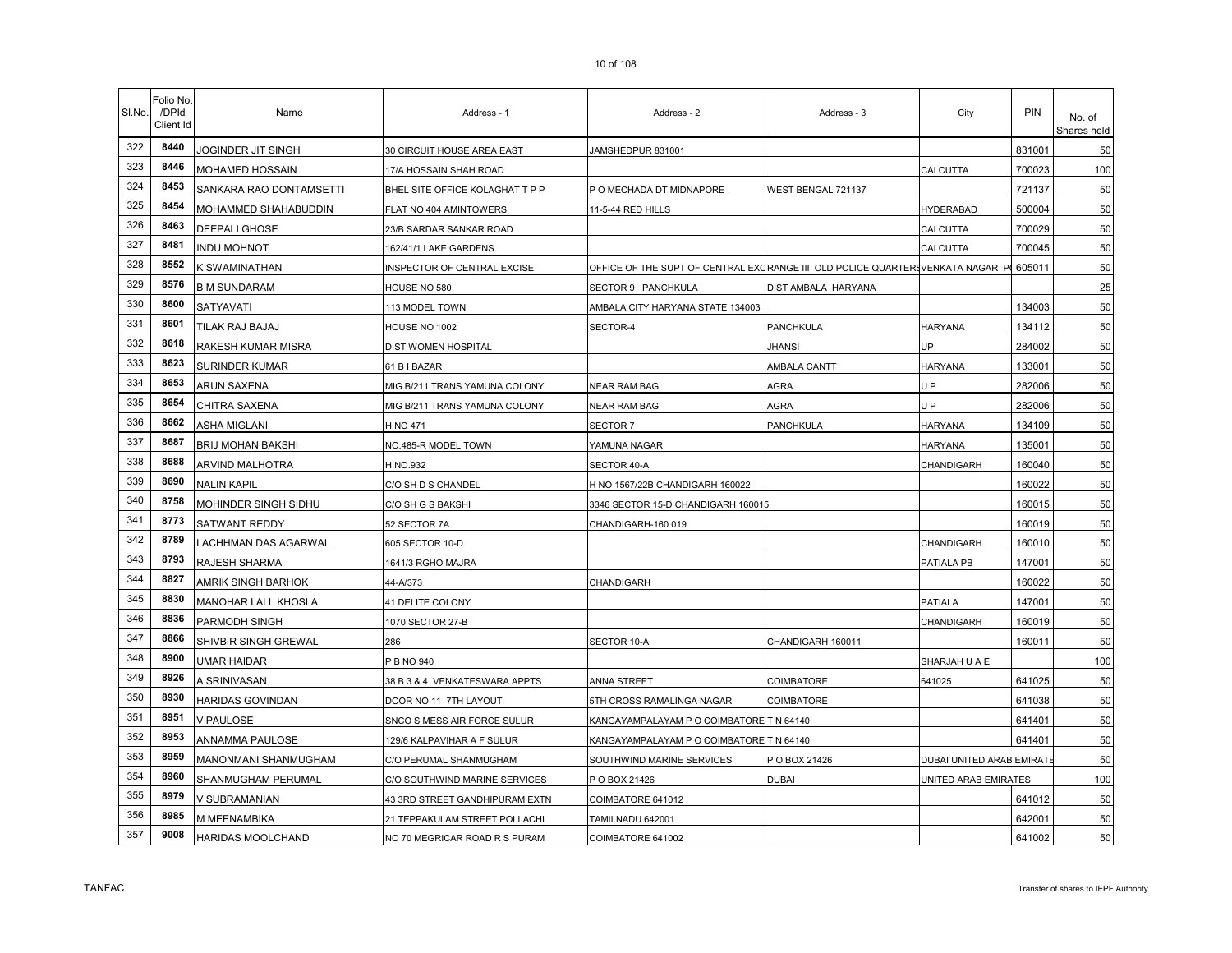| SI.No. | Folio No<br>/DPId<br>Client Id | Name                       | Address - 1                     | Address - 2                                                                   | Address - 3         | City                      | PIN    | No. of<br>Shares held |
|--------|--------------------------------|----------------------------|---------------------------------|-------------------------------------------------------------------------------|---------------------|---------------------------|--------|-----------------------|
| 322    | 8440                           | JOGINDER JIT SINGH         | 30 CIRCUIT HOUSE AREA EAST      | JAMSHEDPUR 831001                                                             |                     |                           | 831001 | 50                    |
| 323    | 8446                           | MOHAMED HOSSAIN            | 17/A HOSSAIN SHAH ROAD          |                                                                               |                     | CALCUTTA                  | 700023 | 100                   |
| 324    | 8453                           | SANKARA RAO DONTAMSETTI    | BHEL SITE OFFICE KOLAGHAT T P P | P O MECHADA DT MIDNAPORE                                                      | WEST BENGAL 721137  |                           | 721137 | 50                    |
| 325    | 8454                           | MOHAMMED SHAHABUDDIN       | FLAT NO 404 AMINTOWERS          | 11-5-44 RED HILLS                                                             |                     | <b>HYDERABAD</b>          | 500004 | 50                    |
| 326    | 8463                           | DEEPALI GHOSE              | 23/B SARDAR SANKAR ROAD         |                                                                               |                     | CALCUTTA                  | 700029 | 50                    |
| 327    | 8481                           | <b>INDU MOHNOT</b>         | 162/41/1 LAKE GARDENS           |                                                                               |                     | CALCUTTA                  | 700045 | 50                    |
| 328    | 8552                           | K SWAMINATHAN              | INSPECTOR OF CENTRAL EXCISE     | OFFICE OF THE SUPT OF CENTRAL EXCRANGE III OLD POLICE QUARTERSVENKATA NAGAR P |                     |                           | 605011 | 50                    |
| 329    | 8576                           | B M SUNDARAM               | HOUSE NO 580                    | SECTOR 9 PANCHKULA                                                            | DIST AMBALA HARYANA |                           |        | 25                    |
| 330    | 8600                           | SATYAVATI                  | 113 MODEL TOWN                  | AMBALA CITY HARYANA STATE 134003                                              |                     |                           | 134003 | 50                    |
| 331    | 8601                           | TILAK RAJ BAJAJ            | HOUSE NO 1002                   | SECTOR-4                                                                      | PANCHKULA           | <b>HARYANA</b>            | 134112 | 50                    |
| 332    | 8618                           | RAKESH KUMAR MISRA         | DIST WOMEN HOSPITAL             |                                                                               | <b>JHANSI</b>       | UP                        | 284002 | 50                    |
| 333    | 8623                           | SURINDER KUMAR             | 61 B I BAZAR                    |                                                                               | AMBALA CANTT        | <b>HARYANA</b>            | 133001 | 50                    |
| 334    | 8653                           | ARUN SAXENA                | MIG B/211 TRANS YAMUNA COLONY   | <b>NEAR RAM BAG</b>                                                           | <b>AGRA</b>         | UP                        | 282006 | 50                    |
| 335    | 8654                           | CHITRA SAXENA              | MIG B/211 TRANS YAMUNA COLONY   | NEAR RAM BAG                                                                  | <b>AGRA</b>         | U <sub>P</sub>            | 282006 | 50                    |
| 336    | 8662                           | ASHA MIGLANI               | H NO 471                        | <b>SECTOR 7</b>                                                               | PANCHKULA           | <b>HARYANA</b>            | 134109 | 50                    |
| 337    | 8687                           | <b>BRIJ MOHAN BAKSHI</b>   | NO.485-R MODEL TOWN             | YAMUNA NAGAR                                                                  |                     | <b>HARYANA</b>            | 135001 | 50                    |
| 338    | 8688                           | ARVIND MALHOTRA            | H.NO.932                        | SECTOR 40-A                                                                   |                     | CHANDIGARH                | 160040 | 50                    |
| 339    | 8690                           | <b>NALIN KAPIL</b>         | C/O SH D S CHANDEL              | H NO 1567/22B CHANDIGARH 160022                                               |                     |                           | 160022 | 50                    |
| 340    | 8758                           | MOHINDER SINGH SIDHU       | C/O SH G S BAKSHI               | 3346 SECTOR 15-D CHANDIGARH 160015                                            |                     |                           | 160015 | 50                    |
| 341    | 8773                           | SATWANT REDDY              | 52 SECTOR 7A                    | CHANDIGARH-160 019                                                            |                     |                           | 160019 | 50                    |
| 342    | 8789                           | LACHHMAN DAS AGARWAL       | 605 SECTOR 10-D                 |                                                                               |                     | CHANDIGARH                | 160010 | 50                    |
| 343    | 8793                           | RAJESH SHARMA              | 1641/3 RGHO MAJRA               |                                                                               |                     | PATIALA PB                | 147001 | 50                    |
| 344    | 8827                           | AMRIK SINGH BARHOK         | 44-A/373                        | CHANDIGARH                                                                    |                     |                           | 160022 | 50                    |
| 345    | 8830                           | <b>MANOHAR LALL KHOSLA</b> | 41 DELITE COLONY                |                                                                               |                     | <b>PATIALA</b>            | 147001 | 50                    |
| 346    | 8836                           | PARMODH SINGH              | 1070 SECTOR 27-B                |                                                                               |                     | CHANDIGARH                | 160019 | 50                    |
| 347    | 8866                           | SHIVBIR SINGH GREWAL       | 286                             | SECTOR 10-A                                                                   | CHANDIGARH 160011   |                           | 160011 | 50                    |
| 348    | 8900                           | <b>UMAR HAIDAR</b>         | P B NO 940                      |                                                                               |                     | SHARJAH U A E             |        | 100                   |
| 349    | 8926                           | A SRINIVASAN               | 38 B 3 & 4 VENKATESWARA APPTS   | ANNA STREET                                                                   | COIMBATORE          | 641025                    | 641025 | 50                    |
| 350    | 8930                           | <b>HARIDAS GOVINDAN</b>    | DOOR NO 11 7TH LAYOUT           | 5TH CROSS RAMALINGA NAGAR                                                     | <b>COIMBATORE</b>   |                           | 641038 | 50                    |
| 351    | 8951                           | <b>V PAULOSE</b>           | SNCO S MESS AIR FORCE SULUR     | KANGAYAMPALAYAM P O COIMBATORE T N 64140                                      |                     |                           | 641401 | 50                    |
| 352    | 8953                           | ANNAMMA PAULOSE            | 129/6 KALPAVIHAR A F SULUR      | KANGAYAMPALAYAM P O COIMBATORE T N 64140                                      |                     |                           | 641401 | 50                    |
| 353    | 8959                           | MANONMANI SHANMUGHAM       | C/O PERUMAL SHANMUGHAM          | SOUTHWIND MARINE SERVICES                                                     | P O BOX 21426       | DUBAI UNITED ARAB EMIRATI |        | 50                    |
| 354    | 8960                           | SHANMUGHAM PERUMAL         | C/O SOUTHWIND MARINE SERVICES   | P O BOX 21426                                                                 | <b>DUBAI</b>        | UNITED ARAB EMIRATES      |        | 100                   |
| 355    | 8979                           | V SUBRAMANIAN              | 43 3RD STREET GANDHIPURAM EXTN  | COIMBATORE 641012                                                             |                     |                           | 641012 | 50                    |
| 356    | 8985                           | M MEENAMBIKA               | 21 TEPPAKULAM STREET POLLACHI   | TAMILNADU 642001                                                              |                     |                           | 642001 | 50                    |
| 357    | 9008                           | HARIDAS MOOLCHAND          | NO 70 MEGRICAR ROAD R S PURAM   | COIMBATORE 641002                                                             |                     |                           | 641002 | 50                    |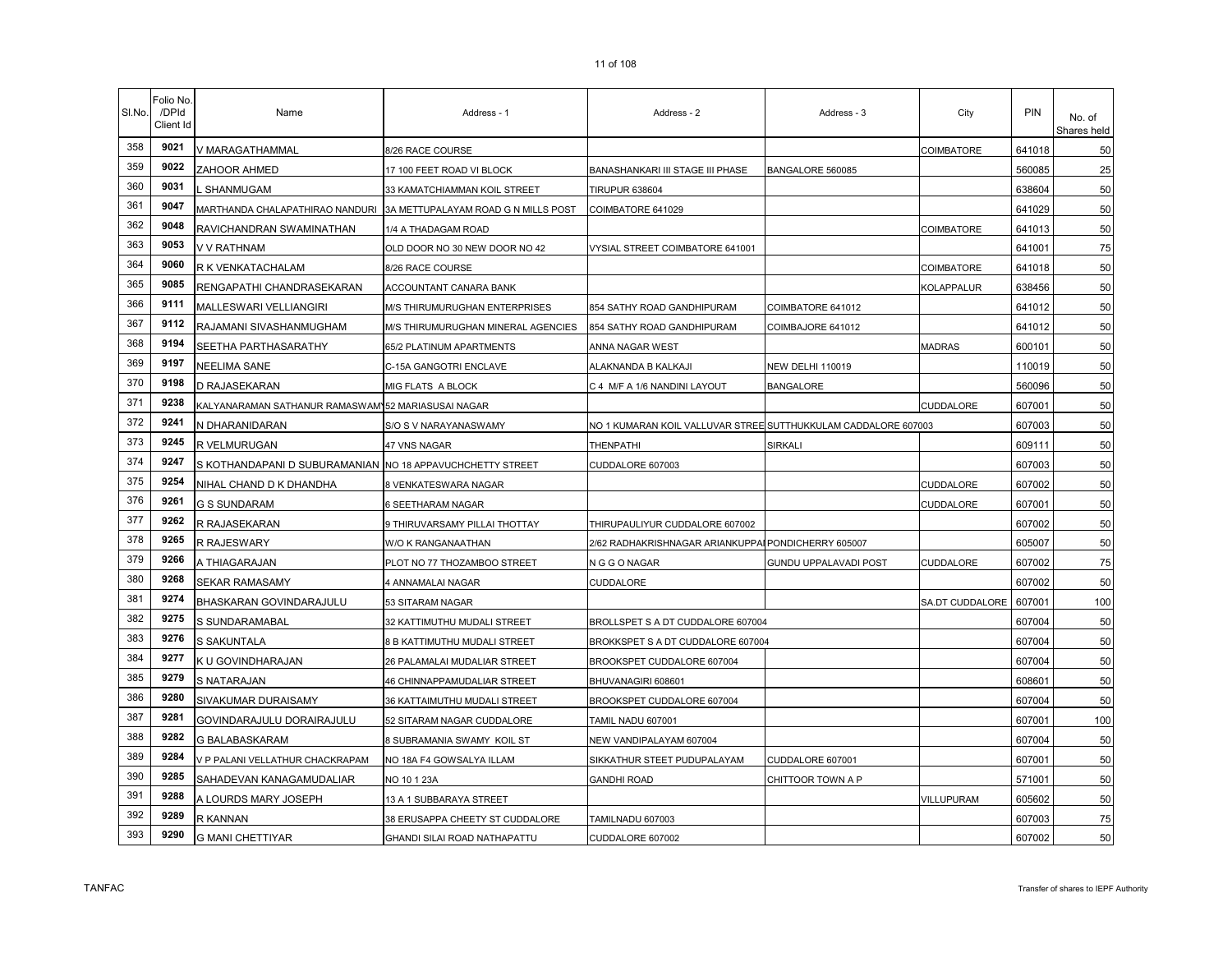|  | . |  |
|--|---|--|
|  |   |  |
|  |   |  |
|  |   |  |
|  |   |  |
|  |   |  |
|  |   |  |
|  |   |  |
|  |   |  |
|  |   |  |
|  |   |  |
|  |   |  |

۰.

 $\mathbf{r}$ 

| SI.No. | Folio No.<br>/DPId<br>Client Id | Name                                                      | Address - 1                                                         | Address - 2                                                    | Address - 3             | City            | PIN    | No. of<br>Shares held |
|--------|---------------------------------|-----------------------------------------------------------|---------------------------------------------------------------------|----------------------------------------------------------------|-------------------------|-----------------|--------|-----------------------|
| 358    | 9021                            | V MARAGATHAMMAL                                           | 8/26 RACE COURSE                                                    |                                                                |                         | COIMBATORE      | 641018 | 50                    |
| 359    | 9022                            | ZAHOOR AHMED                                              | 17 100 FEET ROAD VI BLOCK                                           | BANASHANKARI III STAGE III PHASE                               | BANGALORE 560085        |                 | 560085 | 25                    |
| 360    | 9031                            | L SHANMUGAM                                               | 33 KAMATCHIAMMAN KOIL STREET                                        | <b>TIRUPUR 638604</b>                                          |                         |                 | 638604 | 50                    |
| 361    | 9047                            |                                                           | MARTHANDA CHALAPATHIRAO NANDURI 3A METTUPALAYAM ROAD G N MILLS POST | COIMBATORE 641029                                              |                         |                 | 641029 | 50                    |
| 362    | 9048                            | RAVICHANDRAN SWAMINATHAN                                  | 1/4 A THADAGAM ROAD                                                 |                                                                |                         | COIMBATORE      | 641013 | 50                    |
| 363    | 9053                            | V V RATHNAM                                               | OLD DOOR NO 30 NEW DOOR NO 42                                       | VYSIAL STREET COIMBATORE 641001                                |                         |                 | 641001 | 75                    |
| 364    | 9060                            | R K VENKATACHALAM                                         | 8/26 RACE COURSE                                                    |                                                                |                         | COIMBATORE      | 641018 | 50                    |
| 365    | 9085                            | RENGAPATHI CHANDRASEKARAN                                 | ACCOUNTANT CANARA BANK                                              |                                                                |                         | KOLAPPALUR      | 638456 | 50                    |
| 366    | 9111                            | MALLESWARI VELLIANGIRI                                    | M/S THIRUMURUGHAN ENTERPRISES                                       | 854 SATHY ROAD GANDHIPURAM                                     | COIMBATORE 641012       |                 | 641012 | 50                    |
| 367    | 9112                            | RAJAMANI SIVASHANMUGHAM                                   | M/S THIRUMURUGHAN MINERAL AGENCIES                                  | 854 SATHY ROAD GANDHIPURAM                                     | COIMBAJORE 641012       |                 | 641012 | 50                    |
| 368    | 9194                            | SEETHA PARTHASARATHY                                      | 65/2 PLATINUM APARTMENTS                                            | ANNA NAGAR WEST                                                |                         | MADRAS          | 600101 | 50                    |
| 369    | 9197                            | NEELIMA SANE                                              | C-15A GANGOTRI ENCLAVE                                              | ALAKNANDA B KALKAJI                                            | <b>NEW DELHI 110019</b> |                 | 110019 | 50                    |
| 370    | 9198                            | D RAJASEKARAN                                             | MIG FLATS A BLOCK                                                   | C 4 M/F A 1/6 NANDINI LAYOUT                                   | <b>BANGALORE</b>        |                 | 560096 | 50                    |
| 371    | 9238                            | KALYANARAMAN SATHANUR RAMASWAM 52 MARIASUSAI NAGAR        |                                                                     |                                                                |                         | CUDDALORE       | 607001 | 50                    |
| 372    | 9241                            | N DHARANIDARAN                                            | S/O S V NARAYANASWAMY                                               | NO 1 KUMARAN KOIL VALLUVAR STREE SUTTHUKKULAM CADDALORE 607003 |                         |                 | 607003 | 50                    |
| 373    | 9245                            | R VELMURUGAN                                              | 47 VNS NAGAR                                                        | THENPATHI                                                      | SIRKALI                 |                 | 609111 | 50                    |
| 374    | 9247                            | S KOTHANDAPANI D SUBURAMANIAN NO 18 APPAVUCHCHETTY STREET |                                                                     | CUDDALORE 607003                                               |                         |                 | 607003 | 50                    |
| 375    | 9254                            | NIHAL CHAND D K DHANDHA                                   | 8 VENKATESWARA NAGAR                                                |                                                                |                         | CUDDALORE       | 607002 | 50                    |
| 376    | 9261                            | <b>G S SUNDARAM</b>                                       | 6 SEETHARAM NAGAR                                                   |                                                                |                         | CUDDALORE       | 607001 | 50                    |
| 377    | 9262                            | R RAJASEKARAN                                             | 9 THIRUVARSAMY PILLAI THOTTAY                                       | THIRUPAULIYUR CUDDALORE 607002                                 |                         |                 | 607002 | 50                    |
| 378    | 9265                            | R RAJESWARY                                               | W/O K RANGANAATHAN                                                  | 2/62 RADHAKRISHNAGAR ARIANKUPPAI PONDICHERRY 605007            |                         |                 | 605007 | 50                    |
| 379    | 9266                            | A THIAGARAJAN                                             | PLOT NO 77 THOZAMBOO STREET                                         | N G G O NAGAR                                                  | GUNDU UPPALAVADI POST   | CUDDALORE       | 607002 | 75                    |
| 380    | 9268                            | <b>SEKAR RAMASAMY</b>                                     | 4 ANNAMALAI NAGAR                                                   | CUDDALORE                                                      |                         |                 | 607002 | 50                    |
| 381    | 9274                            | BHASKARAN GOVINDARAJULU                                   | 53 SITARAM NAGAR                                                    |                                                                |                         | SA.DT CUDDALORE | 607001 | 100                   |
| 382    | 9275                            | S SUNDARAMABAL                                            | 32 KATTIMUTHU MUDALI STREET                                         | BROLLSPET S A DT CUDDALORE 607004                              |                         |                 | 607004 | 50                    |
| 383    | 9276                            | S SAKUNTALA                                               | 8 B KATTIMUTHU MUDALI STREET                                        | BROKKSPET S A DT CUDDALORE 607004                              |                         |                 | 607004 | 50                    |
| 384    | 9277                            | K U GOVINDHARAJAN                                         | 26 PALAMALAI MUDALIAR STREET                                        | BROOKSPET CUDDALORE 607004                                     |                         |                 | 607004 | 50                    |
| 385    | 9279                            | S NATARAJAN                                               | <b>46 CHINNAPPAMUDALIAR STREET</b>                                  | BHUVANAGIRI 608601                                             |                         |                 | 608601 | 50                    |
| 386    | 9280                            | SIVAKUMAR DURAISAMY                                       | 36 KATTAIMUTHU MUDALI STREET                                        | BROOKSPET CUDDALORE 607004                                     |                         |                 | 607004 | 50                    |
| 387    | 9281                            | GOVINDARAJULU DORAIRAJULU                                 | 52 SITARAM NAGAR CUDDALORE                                          | TAMIL NADU 607001                                              |                         |                 | 607001 | 100                   |
| 388    | 9282                            | G BALABASKARAM                                            | 8 SUBRAMANIA SWAMY KOIL ST                                          | NEW VANDIPALAYAM 607004                                        |                         |                 | 607004 | 50                    |
| 389    | 9284                            | V P PALANI VELLATHUR CHACKRAPAM                           | NO 18A F4 GOWSALYA ILLAM                                            | SIKKATHUR STEET PUDUPALAYAM                                    | CUDDALORE 607001        |                 | 607001 | 50                    |
| 390    | 9285                            | SAHADEVAN KANAGAMUDALIAR                                  | NO 10 1 23A                                                         | <b>GANDHI ROAD</b>                                             | CHITTOOR TOWN A P       |                 | 571001 | 50                    |
| 391    | 9288                            | A LOURDS MARY JOSEPH                                      | 13 A 1 SUBBARAYA STREET                                             |                                                                |                         | VILLUPURAM      | 605602 | 50                    |
| 392    | 9289                            | R KANNAN                                                  | 38 ERUSAPPA CHEETY ST CUDDALORE                                     | TAMILNADU 607003                                               |                         |                 | 607003 | 75                    |
| 393    | 9290                            | <b>G MANI CHETTIYAR</b>                                   | GHANDI SILAI ROAD NATHAPATTU                                        | CUDDALORE 607002                                               |                         |                 | 607002 | 50                    |

 $\mathbf{r}$ 

 $\mathbf{\tau}$ 

 $\overline{\phantom{a}}$ 

÷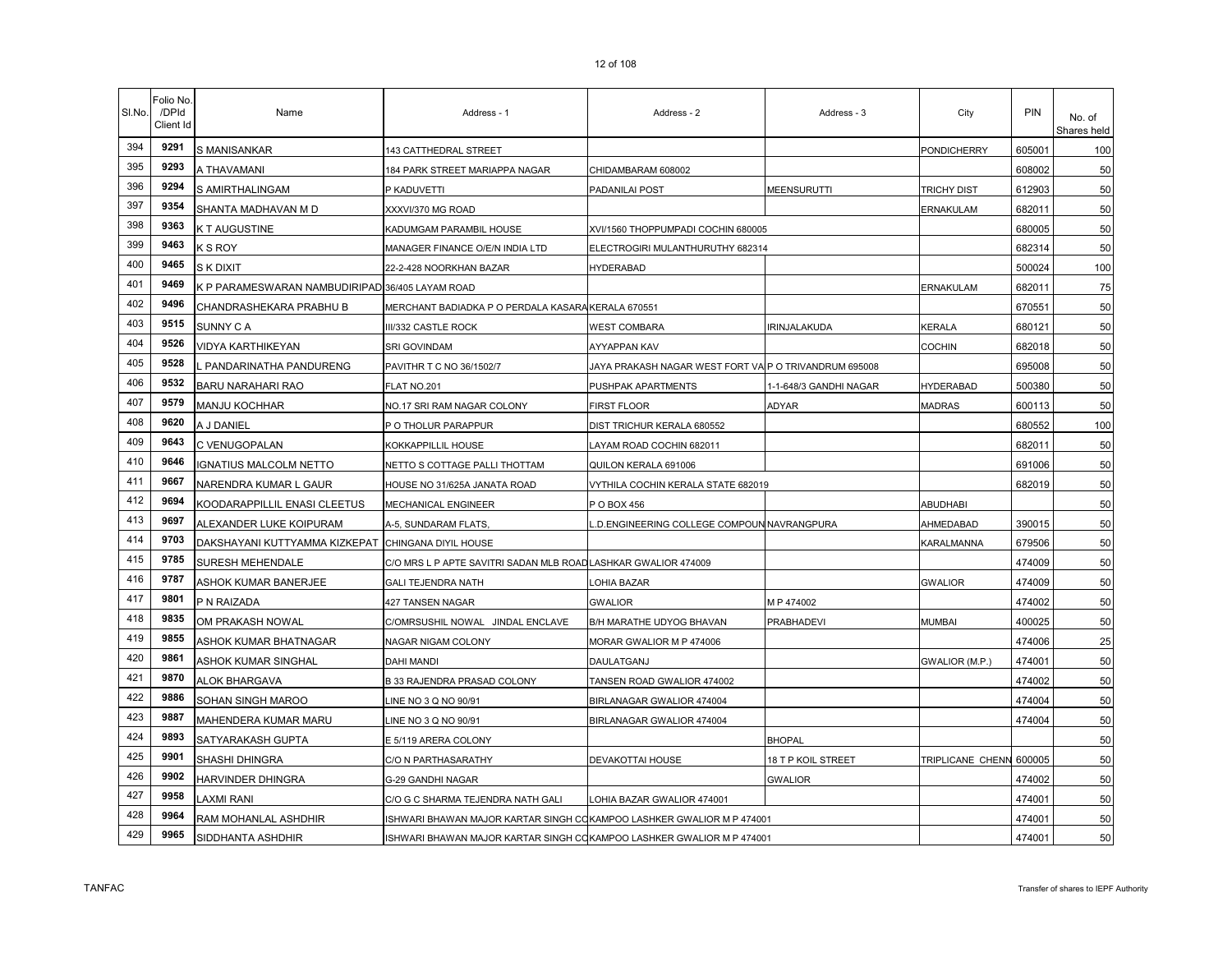| SI.No. | <sup>=</sup> olio No<br>/DPId<br>Client Id | Name                                               | Address - 1                                                            | Address - 2                                           | Address - 3            | City                    | <b>PIN</b> | No. of<br>Shares held |
|--------|--------------------------------------------|----------------------------------------------------|------------------------------------------------------------------------|-------------------------------------------------------|------------------------|-------------------------|------------|-----------------------|
| 394    | 9291                                       | S MANISANKAR                                       | 143 CATTHEDRAL STREET                                                  |                                                       |                        | PONDICHERRY             | 605001     | 100                   |
| 395    | 9293                                       | A THAVAMANI                                        | 184 PARK STREET MARIAPPA NAGAR                                         | CHIDAMBARAM 608002                                    |                        |                         | 608002     | 50                    |
| 396    | 9294                                       | S AMIRTHALINGAM                                    | P KADUVETTI                                                            | PADANILAI POST                                        | MEENSURUTTI            | TRICHY DIST             | 612903     | 50                    |
| 397    | 9354                                       | SHANTA MADHAVAN M D                                | XXXVI/370 MG ROAD                                                      |                                                       |                        | ERNAKULAM               | 682011     | 50                    |
| 398    | 9363                                       | K T AUGUSTINE                                      | KADUMGAM PARAMBIL HOUSE                                                | XVI/1560 THOPPUMPADI COCHIN 680005                    |                        |                         | 680005     | 50                    |
| 399    | 9463                                       | K S ROY                                            | MANAGER FINANCE O/E/N INDIA LTD                                        | ELECTROGIRI MULANTHURUTHY 682314                      |                        |                         | 682314     | 50                    |
| 400    | 9465                                       | S K DIXIT                                          | 22-2-428 NOORKHAN BAZAR                                                | <b>HYDERABAD</b>                                      |                        |                         | 500024     | 100                   |
| 401    | 9469                                       | K P PARAMESWARAN NAMBUDIRIPAD 36/405 LAYAM ROAD    |                                                                        |                                                       |                        | ERNAKULAM               | 682011     | 75                    |
| 402    | 9496                                       | CHANDRASHEKARA PRABHU B                            | MERCHANT BADIADKA P O PERDALA KASARA KERALA 670551                     |                                                       |                        |                         | 670551     | 50                    |
| 403    | 9515                                       | SUNNY C A                                          | III/332 CASTLE ROCK                                                    | <b>WEST COMBARA</b>                                   | RINJALAKUDA            | KERALA                  | 680121     | 50                    |
| 404    | 9526                                       | VIDYA KARTHIKEYAN                                  | SRI GOVINDAM                                                           | AYYAPPAN KAV                                          |                        | <b>COCHIN</b>           | 682018     | 50                    |
| 405    | 9528                                       | PANDARINATHA PANDURENG                             | PAVITHR T C NO 36/1502/7                                               | JAYA PRAKASH NAGAR WEST FORT VAIP O TRIVANDRUM 695008 |                        |                         | 695008     | 50                    |
| 406    | 9532                                       | BARU NARAHARI RAO                                  | FLAT NO.201                                                            | PUSHPAK APARTMENTS                                    | 1-1-648/3 GANDHI NAGAR | <b>HYDERABAD</b>        | 500380     | 50                    |
| 407    | 9579                                       | MANJU KOCHHAR                                      | NO.17 SRI RAM NAGAR COLONY                                             | <b>FIRST FLOOR</b>                                    | ADYAR                  | <b>MADRAS</b>           | 600113     | 50                    |
| 408    | 9620                                       | A J DANIEL                                         | P O THOLUR PARAPPUR                                                    | DIST TRICHUR KERALA 680552                            |                        |                         | 680552     | 100                   |
| 409    | 9643                                       | C VENUGOPALAN                                      | KOKKAPPILLIL HOUSE                                                     | LAYAM ROAD COCHIN 682011                              |                        |                         | 682011     | 50                    |
| 410    | 9646                                       | <b>GNATIUS MALCOLM NETTO</b>                       | NETTO S COTTAGE PALLI THOTTAM                                          | QUILON KERALA 691006                                  |                        |                         | 691006     | 50                    |
| 411    | 9667                                       | NARENDRA KUMAR L GAUR                              | HOUSE NO 31/625A JANATA ROAD                                           | VYTHILA COCHIN KERALA STATE 682019                    |                        |                         | 682019     | 50                    |
| 412    | 9694                                       | KOODARAPPILLIL ENASI CLEETUS                       | MECHANICAL ENGINEER                                                    | P O BOX 456                                           |                        | <b>ABUDHABI</b>         |            | 50                    |
| 413    | 9697                                       | ALEXANDER LUKE KOIPURAM                            | A-5, SUNDARAM FLATS,                                                   | D.ENGINEERING COLLEGE COMPOUN NAVRANGPURA             |                        | AHMEDABAD               | 390015     | 50                    |
| 414    | 9703                                       | DAKSHAYANI KUTTYAMMA KIZKEPAT CHINGANA DIYIL HOUSE |                                                                        |                                                       |                        | KARALMANNA              | 679506     | 50                    |
| 415    | 9785                                       | SURESH MEHENDALE                                   | C/O MRS L P APTE SAVITRI SADAN MLB ROAD LASHKAR GWALIOR 474009         |                                                       |                        |                         | 474009     | 50                    |
| 416    | 9787                                       | ASHOK KUMAR BANERJEE                               | <b>GALI TEJENDRA NATH</b>                                              | LOHIA BAZAR                                           |                        | <b>GWALIOR</b>          | 474009     | 50                    |
| 417    | 9801                                       | P N RAIZADA                                        | 427 TANSEN NAGAR                                                       | <b>GWALIOR</b>                                        | MP 474002              |                         | 474002     | 50                    |
| 418    | 9835                                       | OM PRAKASH NOWAL                                   | C/OMRSUSHIL NOWAL JINDAL ENCLAVE                                       | B/H MARATHE UDYOG BHAVAN                              | <b>PRABHADEVI</b>      | <b>MUMBAI</b>           | 400025     | 50                    |
| 419    | 9855                                       | ASHOK KUMAR BHATNAGAR                              | NAGAR NIGAM COLONY                                                     | MORAR GWALIOR M P 474006                              |                        |                         | 474006     | 25                    |
| 420    | 9861                                       | ASHOK KUMAR SINGHAL                                | <b>DAHI MANDI</b>                                                      | DAULATGANJ                                            |                        | GWALIOR (M.P.)          | 474001     | 50                    |
| 421    | 9870                                       | <b>ALOK BHARGAVA</b>                               | B 33 RAJENDRA PRASAD COLONY                                            | TANSEN ROAD GWALIOR 474002                            |                        |                         | 474002     | 50                    |
| 422    | 9886                                       | SOHAN SINGH MAROO                                  | LINE NO 3 Q NO 90/91                                                   | BIRLANAGAR GWALIOR 474004                             |                        |                         | 474004     | 50                    |
| 423    | 9887                                       | MAHENDERA KUMAR MARU                               | INE NO 3 Q NO 90/91                                                    | BIRLANAGAR GWALIOR 474004                             |                        |                         | 474004     | 50                    |
| 424    | 9893                                       | SATYARAKASH GUPTA                                  | E 5/119 ARERA COLONY                                                   |                                                       | <b>BHOPAL</b>          |                         |            | 50                    |
| 425    | 9901                                       | SHASHI DHINGRA                                     | C/O N PARTHASARATHY                                                    | DEVAKOTTAI HOUSE                                      | 18 T P KOIL STREET     | <b>TRIPLICANE CHENN</b> | 600005     | 50                    |
| 426    | 9902                                       | HARVINDER DHINGRA                                  | G-29 GANDHI NAGAR                                                      |                                                       | <b>GWALIOR</b>         |                         | 474002     | 50                    |
| 427    | 9958                                       | <b>AXMI RANI</b>                                   | C/O G C SHARMA TEJENDRA NATH GALI                                      | LOHIA BAZAR GWALIOR 474001                            |                        |                         | 474001     | 50                    |
| 428    | 9964                                       | RAM MOHANLAL ASHDHIR                               | ISHWARI BHAWAN MAJOR KARTAR SINGH COKAMPOO LASHKER GWALIOR M P 474001  |                                                       |                        |                         | 474001     | 50                    |
| 429    | 9965                                       | SIDDHANTA ASHDHIR                                  | ISHWARI BHAWAN MAJOR KARTAR SINGH CO KAMPOO LASHKER GWALIOR M P 474001 |                                                       |                        |                         | 474001     | 50                    |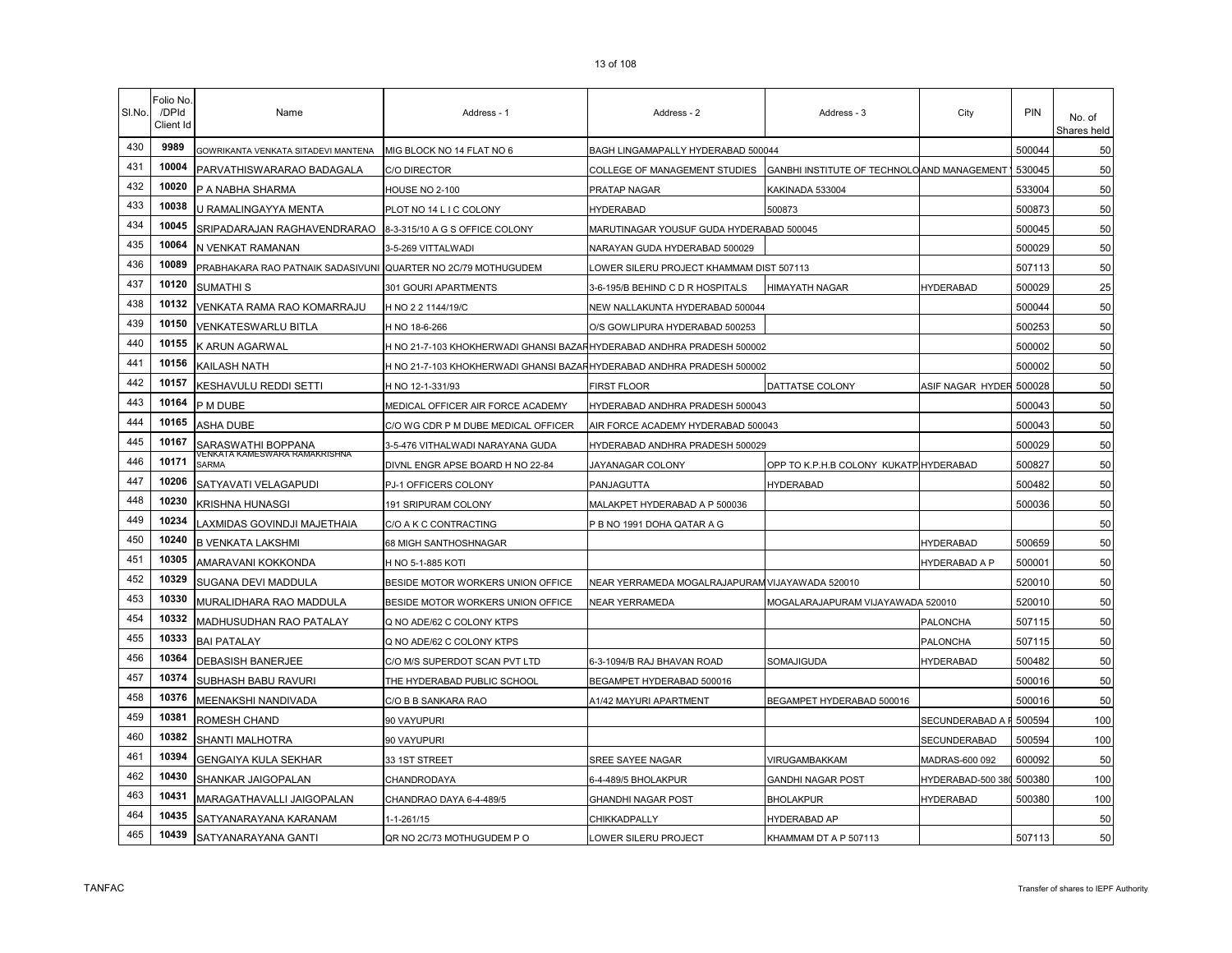| SI.No. | Folio No.<br>/DPId<br>Client Id | Name                                                          | Address - 1                                                           | Address - 2                                     | Address - 3                                 | City              | PIN    | No. of<br>Shares held |
|--------|---------------------------------|---------------------------------------------------------------|-----------------------------------------------------------------------|-------------------------------------------------|---------------------------------------------|-------------------|--------|-----------------------|
| 430    | 9989                            | GOWRIKANTA VENKATA SITADEVI MANTENA                           | MIG BLOCK NO 14 FLAT NO 6                                             | BAGH LINGAMAPALLY HYDERABAD 500044              |                                             |                   | 500044 | 50                    |
| 431    | 10004                           | PARVATHISWARARAO BADAGALA                                     | <b>C/O DIRECTOR</b>                                                   | COLLEGE OF MANAGEMENT STUDIES                   | GANBHI INSTITUTE OF TECHNOLO AND MANAGEMENT |                   | 530045 | 50                    |
| 432    | 10020                           | P A NABHA SHARMA                                              | <b>HOUSE NO 2-100</b>                                                 | PRATAP NAGAR                                    | KAKINADA 533004                             |                   | 533004 | 50                    |
| 433    | 10038                           | U RAMALINGAYYA MENTA                                          | PLOT NO 14 L I C COLONY                                               | <b>HYDERABAD</b>                                | 500873                                      |                   | 500873 | 50                    |
| 434    | 10045                           | SRIPADARAJAN RAGHAVENDRARAO                                   | 8-3-315/10 A G S OFFICE COLONY                                        | MARUTINAGAR YOUSUF GUDA HYDERABAD 500045        |                                             |                   | 500045 | 50                    |
| 435    | 10064                           | N VENKAT RAMANAN                                              | 3-5-269 VITTALWADI                                                    | NARAYAN GUDA HYDERABAD 500029                   |                                             |                   | 500029 | 50                    |
| 436    | 10089                           | PRABHAKARA RAO PATNAIK SADASIVUNI QUARTER NO 2C/79 MOTHUGUDEM |                                                                       | LOWER SILERU PROJECT KHAMMAM DIST 507113        |                                             |                   | 507113 | 50                    |
| 437    | 10120                           | SUMATHI S                                                     | 301 GOURI APARTMENTS                                                  | 3-6-195/B BEHIND C D R HOSPITALS                | <b>HIMAYATH NAGAR</b>                       | HYDERABAD         | 500029 | 25                    |
| 438    | 10132                           | VENKATA RAMA RAO KOMARRAJU                                    | H NO 2 2 1144/19/C                                                    | NEW NALLAKUNTA HYDERABAD 500044                 |                                             |                   | 500044 | 50                    |
| 439    | 10150                           | VENKATESWARLU BITLA                                           | H NO 18-6-266                                                         | O/S GOWLIPURA HYDERABAD 500253                  |                                             |                   | 500253 | 50                    |
| 440    | 10155                           | <b>&lt; ARUN AGARWAL</b>                                      | H NO 21-7-103 KHOKHERWADI GHANSI BAZAHHYDERABAD ANDHRA PRADESH 500002 |                                                 |                                             |                   | 500002 | 50                    |
| 441    | 10156                           | KAILASH NATH                                                  | H NO 21-7-103 KHOKHERWADI GHANSI BAZAHHYDERABAD ANDHRA PRADESH 500002 |                                                 |                                             |                   | 500002 | 50                    |
| 442    | 10157                           | KESHAVULU REDDI SETTI                                         | H NO 12-1-331/93                                                      | FIRST FLOOR                                     | DATTATSE COLONY                             | ASIF NAGAR HYDER  | 500028 | 50                    |
| 443    | 10164                           | P M DUBE                                                      | MEDICAL OFFICER AIR FORCE ACADEMY                                     | HYDERABAD ANDHRA PRADESH 500043                 |                                             |                   | 500043 | 50                    |
| 444    | 10165                           | <b>ASHA DUBE</b>                                              | C/O WG CDR P M DUBE MEDICAL OFFICER                                   | AIR FORCE ACADEMY HYDERABAD 500043              |                                             |                   | 500043 | 50                    |
| 445    | 10167                           | SARASWATHI BOPPANA                                            | 3-5-476 VITHALWADI NARAYANA GUDA                                      | HYDERABAD ANDHRA PRADESH 500029                 |                                             |                   | 500029 | 50                    |
| 446    | 10171                           | /ENKATA KAMESWARA RAMAKRISHNA<br><b>SARMA</b>                 | DIVNL ENGR APSE BOARD H NO 22-84                                      | JAYANAGAR COLONY                                | OPP TO K.P.H.B COLONY KUKATP HYDERABAD      |                   | 500827 | 50                    |
| 447    | 10206                           | SATYAVATI VELAGAPUDI                                          | PJ-1 OFFICERS COLONY                                                  | PANJAGUTTA                                      | <b>HYDERABAD</b>                            |                   | 500482 | 50                    |
| 448    | 10230                           | KRISHNA HUNASGI                                               | 191 SRIPURAM COLONY                                                   | MALAKPET HYDERABAD A P 500036                   |                                             |                   | 500036 | 50                    |
| 449    | 10234                           | LAXMIDAS GOVINDJI MAJETHAIA                                   | C/O A K C CONTRACTING                                                 | P B NO 1991 DOHA QATAR A G                      |                                             |                   |        | 50                    |
| 450    | 10240                           | <b>B VENKATA LAKSHMI</b>                                      | 68 MIGH SANTHOSHNAGAR                                                 |                                                 |                                             | <b>HYDERABAD</b>  | 500659 | 50                    |
| 451    | 10305                           | AMARAVANI KOKKONDA                                            | H NO 5-1-885 KOTI                                                     |                                                 |                                             | HYDERABAD A P     | 500001 | 50                    |
| 452    | 10329                           | SUGANA DEVI MADDULA                                           | BESIDE MOTOR WORKERS UNION OFFICE                                     | NEAR YERRAMEDA MOGALRAJAPURAM VIJAYAWADA 520010 |                                             |                   | 520010 | 50                    |
| 453    | 10330                           | MURALIDHARA RAO MADDULA                                       | BESIDE MOTOR WORKERS UNION OFFICE                                     | <b>NEAR YERRAMEDA</b>                           | MOGALARAJAPURAM VIJAYAWADA 520010           |                   | 520010 | 50                    |
| 454    | 10332                           | MADHUSUDHAN RAO PATALAY                                       | Q NO ADE/62 C COLONY KTPS                                             |                                                 |                                             | PALONCHA          | 507115 | 50                    |
| 455    | 10333                           | <b>BAI PATALAY</b>                                            | Q NO ADE/62 C COLONY KTPS                                             |                                                 |                                             | PALONCHA          | 507115 | 50                    |
| 456    | 10364                           | DEBASISH BANERJEE                                             | C/O M/S SUPERDOT SCAN PVT LTD                                         | 6-3-1094/B RAJ BHAVAN ROAD                      | SOMAJIGUDA                                  | <b>HYDERABAD</b>  | 500482 | 50                    |
| 457    | 10374                           | SUBHASH BABU RAVURI                                           | THE HYDERABAD PUBLIC SCHOOL                                           | BEGAMPET HYDERABAD 500016                       |                                             |                   | 500016 | 50                    |
| 458    | 10376                           | MEENAKSHI NANDIVADA                                           | C/O B B SANKARA RAO                                                   | A1/42 MAYURI APARTMENT                          | BEGAMPET HYDERABAD 500016                   |                   | 500016 | 50                    |
| 459    | 10381                           | ROMESH CHAND                                                  | 90 VAYUPURI                                                           |                                                 |                                             | SECUNDERABAD A    | 500594 | 100                   |
| 460    | 10382                           | SHANTI MALHOTRA                                               | 90 VAYUPURI                                                           |                                                 |                                             | SECUNDERABAD      | 500594 | 100                   |
| 461    | 10394                           | GENGAIYA KULA SEKHAR                                          | 33 1ST STREET                                                         | SREE SAYEE NAGAR                                | VIRUGAMBAKKAM                               | MADRAS-600 092    | 600092 | 50                    |
| 462    | 10430                           | SHANKAR JAIGOPALAN                                            | CHANDRODAYA                                                           | 6-4-489/5 BHOLAKPUR                             | GANDHI NAGAR POST                           | HYDERABAD-500 380 | 500380 | 100                   |
| 463    | 10431                           | MARAGATHAVALLI JAIGOPALAN                                     | CHANDRAO DAYA 6-4-489/5                                               | <b>GHANDHI NAGAR POST</b>                       | <b>BHOLAKPUR</b>                            | <b>HYDERABAD</b>  | 500380 | 100                   |
| 464    | 10435                           | <b>SATYANARAYANA KARANAM</b>                                  | $1 - 1 - 261/15$                                                      | <b>CHIKKADPALLY</b>                             | <b>HYDERABAD AP</b>                         |                   |        | 50                    |

**10439** SATYANARAYANA GANTI QR NO 2C/73 MOTHUGUDEM P O LOWER SILERU PROJECT KHAMMAM DT A P 507113 507113 507113 50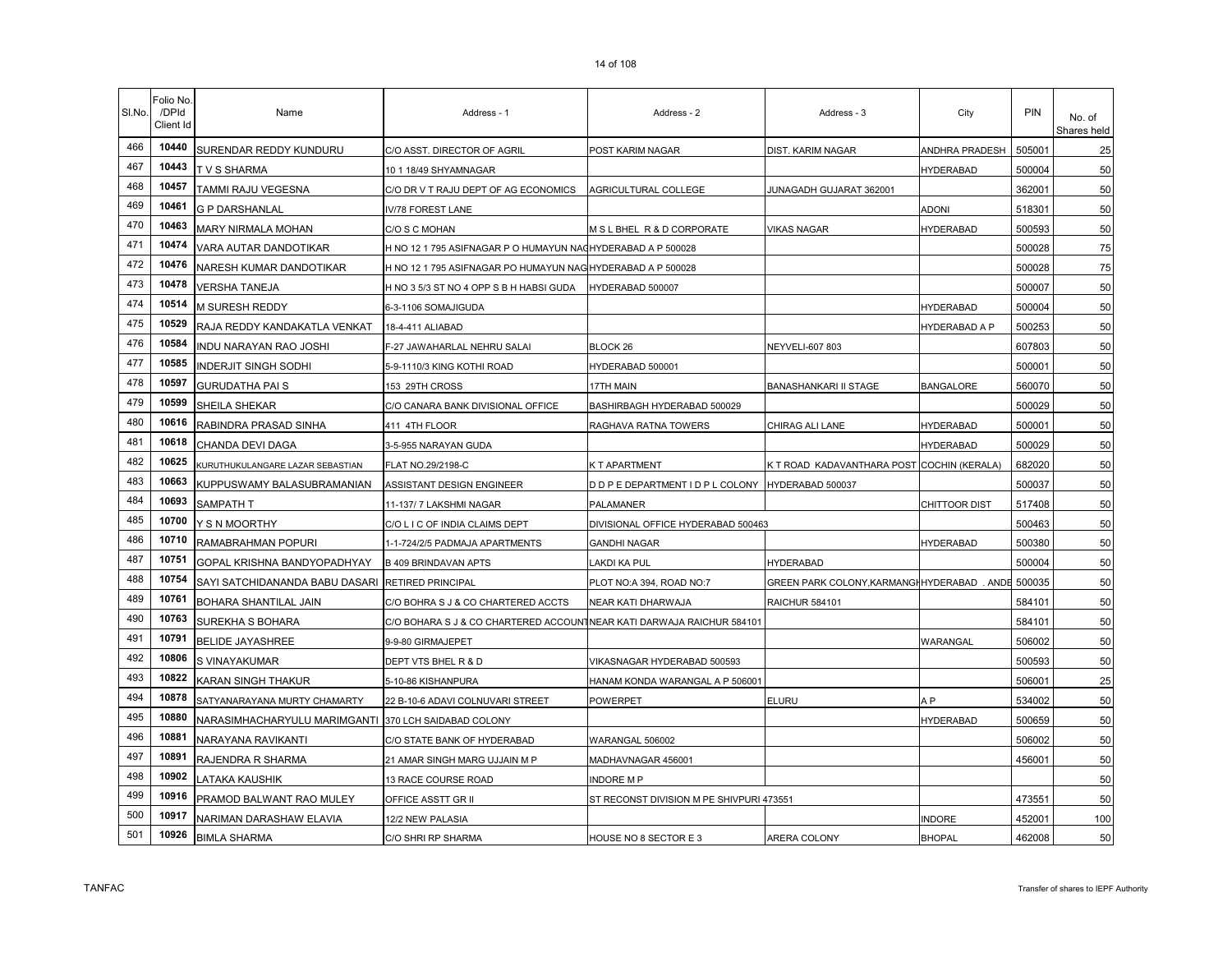| SI.No. | Folio No<br>/DPId<br>Client Id | Name                                             | Address - 1                                                           | Address - 2                              | Address - 3                                        | City                 | <b>PIN</b> | No. of<br>Shares held |
|--------|--------------------------------|--------------------------------------------------|-----------------------------------------------------------------------|------------------------------------------|----------------------------------------------------|----------------------|------------|-----------------------|
| 466    | 10440                          | SURENDAR REDDY KUNDURU                           | C/O ASST. DIRECTOR OF AGRIL                                           | POST KARIM NAGAR                         | DIST. KARIM NAGAR                                  | ANDHRA PRADESH       | 505001     | 25                    |
| 467    | 10443                          | T V S SHARMA                                     | 10 1 18/49 SHYAMNAGAR                                                 |                                          |                                                    | <b>HYDERABAD</b>     | 500004     | 50                    |
| 468    | 10457                          | TAMMI RAJU VEGESNA                               | C/O DR V T RAJU DEPT OF AG ECONOMICS                                  | AGRICULTURAL COLLEGE                     | JUNAGADH GUJARAT 362001                            |                      | 362001     | 50                    |
| 469    | 10461                          | <b>G P DARSHANLAL</b>                            | IV/78 FOREST LANE                                                     |                                          |                                                    | <b>ADONI</b>         | 518301     | 50                    |
| 470    | 10463                          | MARY NIRMALA MOHAN                               | C/O S C MOHAN                                                         | M S L BHEL R & D CORPORATE               | VIKAS NAGAR                                        | <b>HYDERABAD</b>     | 500593     | 50                    |
| 471    | 10474                          | VARA AUTAR DANDOTIKAR                            | H NO 12 1 795 ASIFNAGAR P O HUMAYUN NACHYDERABAD A P 500028           |                                          |                                                    |                      | 500028     | 75                    |
| 472    | 10476                          | NARESH KUMAR DANDOTIKAR                          | H NO 12 1 795 ASIFNAGAR PO HUMAYUN NAG HYDERABAD A P 500028           |                                          |                                                    |                      | 500028     | 75                    |
| 473    | 10478                          | <b>VERSHA TANEJA</b>                             | H NO 3 5/3 ST NO 4 OPP S B H HABSI GUDA                               | HYDERABAD 500007                         |                                                    |                      | 500007     | 50                    |
| 474    | 10514                          | M SURESH REDDY                                   | 6-3-1106 SOMAJIGUDA                                                   |                                          |                                                    | <b>HYDERABAD</b>     | 500004     | 50                    |
| 475    | 10529                          | RAJA REDDY KANDAKATLA VENKAT                     | 18-4-411 ALIABAD                                                      |                                          |                                                    | HYDERABAD A P        | 500253     | 50                    |
| 476    | 10584                          | INDU NARAYAN RAO JOSHI                           | F-27 JAWAHARLAL NEHRU SALAI                                           | BLOCK 26                                 | NEYVELI-607 803                                    |                      | 607803     | 50                    |
| 477    | 10585                          | <b>INDERJIT SINGH SODHI</b>                      | 5-9-1110/3 KING KOTHI ROAD                                            | HYDERABAD 500001                         |                                                    |                      | 500001     | 50                    |
| 478    | 10597                          | <b>GURUDATHA PAI S</b>                           | 153 29TH CROSS                                                        | 17TH MAIN                                | BANASHANKARI II STAGE                              | <b>BANGALORE</b>     | 560070     | 50                    |
| 479    | 10599                          | SHEILA SHEKAR                                    | C/O CANARA BANK DIVISIONAL OFFICE                                     | BASHIRBAGH HYDERABAD 500029              |                                                    |                      | 500029     | 50                    |
| 480    | 10616                          | RABINDRA PRASAD SINHA                            | 411 4TH FLOOR                                                         | RAGHAVA RATNA TOWERS                     | CHIRAG ALI LANE                                    | <b>HYDERABAD</b>     | 500001     | 50                    |
| 481    | 10618                          | CHANDA DEVI DAGA                                 | 3-5-955 NARAYAN GUDA                                                  |                                          |                                                    | <b>HYDERABAD</b>     | 500029     | 50                    |
| 482    | 10625                          | KURUTHUKULANGARE LAZAR SEBASTIAN                 | FLAT NO.29/2198-C                                                     | K T APARTMENT                            | K T ROAD KADAVANTHARA POST COCHIN (KERALA)         |                      | 682020     | 50                    |
| 483    | 10663                          | KUPPUSWAMY BALASUBRAMANIAN                       | ASSISTANT DESIGN ENGINEER                                             | D D P E DEPARTMENT I D P L COLONY        | HYDERABAD 500037                                   |                      | 500037     | 50                    |
| 484    | 10693                          | SAMPATH T                                        | 11-137/7 LAKSHMI NAGAR                                                | PALAMANER                                |                                                    | <b>CHITTOOR DIST</b> | 517408     | 50                    |
| 485    | 10700                          | Y S N MOORTHY                                    | C/O L I C OF INDIA CLAIMS DEPT                                        | DIVISIONAL OFFICE HYDERABAD 500463       |                                                    |                      | 500463     | 50                    |
| 486    | 10710                          | RAMABRAHMAN POPURI                               | 1-1-724/2/5 PADMAJA APARTMENTS                                        | <b>GANDHI NAGAR</b>                      |                                                    | <b>HYDERABAD</b>     | 500380     | 50                    |
| 487    | 10751                          | GOPAL KRISHNA BANDYOPADHYAY                      | <b>B 409 BRINDAVAN APTS</b>                                           | LAKDI KA PUL                             | <b>HYDERABAD</b>                                   |                      | 500004     | 50                    |
| 488    | 10754                          | SAYI SATCHIDANANDA BABU DASARI RETIRED PRINCIPAL |                                                                       | PLOT NO:A 394, ROAD NO:7                 | GREEN PARK COLONY, KARMANGHHYDERABAD . ANDE 500035 |                      |            | 50                    |
| 489    | 10761                          | BOHARA SHANTILAL JAIN                            | C/O BOHRA S J & CO CHARTERED ACCTS                                    | NEAR KATI DHARWAJA                       | RAICHUR 584101                                     |                      | 584101     | 50                    |
| 490    | 10763                          | SUREKHA S BOHARA                                 | C/O BOHARA S J & CO CHARTERED ACCOUNTNEAR KATI DARWAJA RAICHUR 584101 |                                          |                                                    |                      | 584101     | 50                    |
| 491    | 10791                          | <b>BELIDE JAYASHREE</b>                          | 9-9-80 GIRMAJEPET                                                     |                                          |                                                    | WARANGAL             | 506002     | 50                    |
| 492    | 10806                          | S VINAYAKUMAR                                    | DEPT VTS BHEL R & D                                                   | VIKASNAGAR HYDERABAD 500593              |                                                    |                      | 500593     | 50                    |
| 493    | 10822                          | KARAN SINGH THAKUR                               | 5-10-86 KISHANPURA                                                    | HANAM KONDA WARANGAL A P 506001          |                                                    |                      | 506001     | 25                    |
| 494    | 10878                          | SATYANARAYANA MURTY CHAMARTY                     | 22 B-10-6 ADAVI COLNUVARI STREET                                      | POWERPET                                 | ELURU                                              | A <sub>P</sub>       | 534002     | 50                    |
| 495    | 10880                          | NARASIMHACHARYULU MARIMGANTI                     | 370 LCH SAIDABAD COLONY                                               |                                          |                                                    | <b>HYDERABAD</b>     | 500659     | 50                    |
| 496    | 10881                          | NARAYANA RAVIKANTI                               | C/O STATE BANK OF HYDERABAD                                           | WARANGAL 506002                          |                                                    |                      | 506002     | 50                    |
| 497    | 10891                          | RAJENDRA R SHARMA                                | 21 AMAR SINGH MARG UJJAIN M P                                         | MADHAVNAGAR 456001                       |                                                    |                      | 456001     | 50                    |
| 498    | 10902                          | LATAKA KAUSHIK                                   | 13 RACE COURSE ROAD                                                   | <b>INDORE MP</b>                         |                                                    |                      |            | 50                    |
| 499    | 10916                          | PRAMOD BALWANT RAO MULEY                         | OFFICE ASSTT GR II                                                    | ST RECONST DIVISION M PE SHIVPURI 473551 |                                                    |                      | 473551     | 50                    |
| 500    | 10917                          | NARIMAN DARASHAW ELAVIA                          | 12/2 NEW PALASIA                                                      |                                          |                                                    | INDORE               | 452001     | 100                   |
| 501    | 10926                          | <b>BIMLA SHARMA</b>                              | C/O SHRI RP SHARMA                                                    | HOUSE NO 8 SECTOR E 3                    | ARERA COLONY                                       | <b>BHOPAL</b>        | 462008     | 50                    |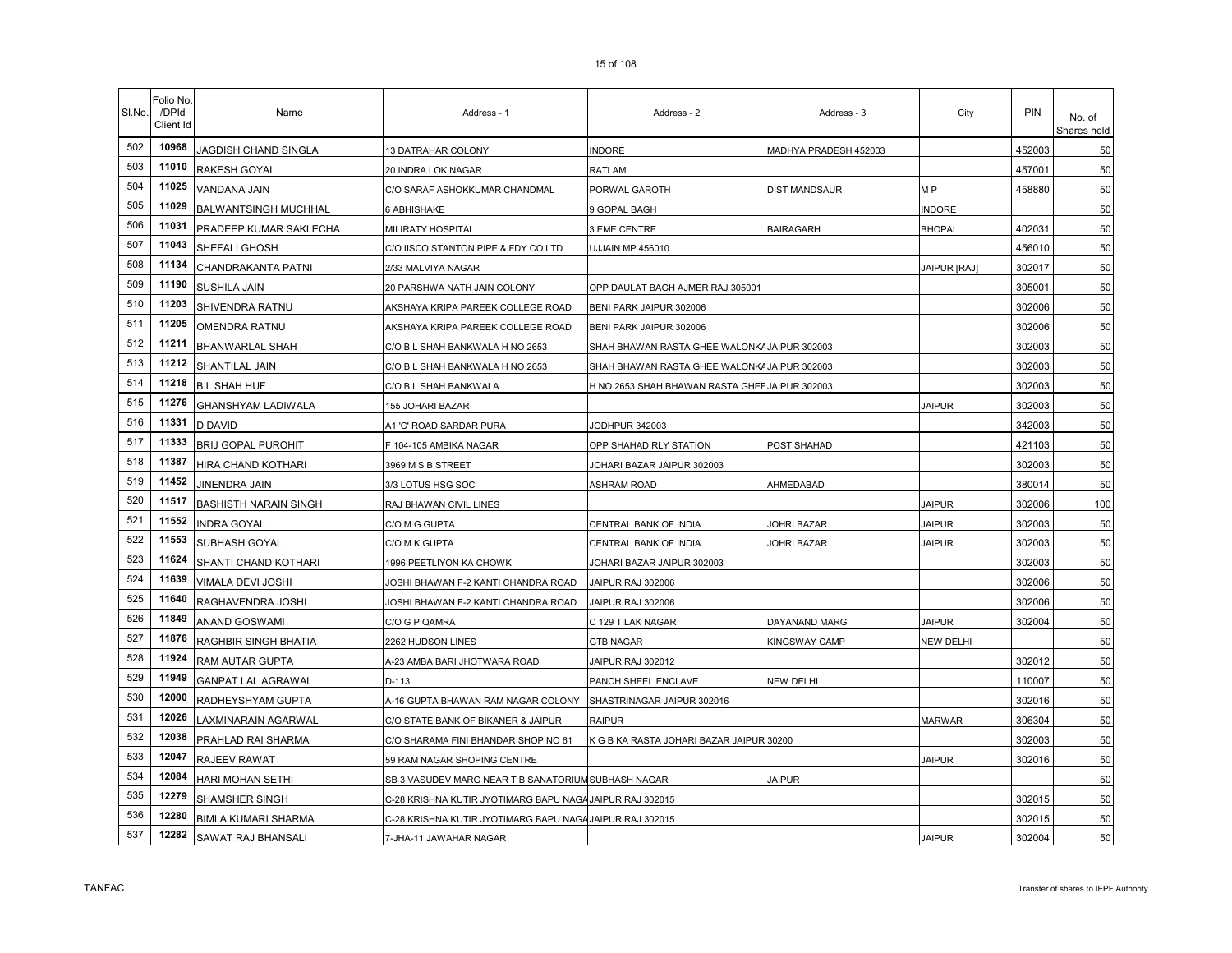| SI.No. | Folio No<br>/DPId<br>Client Id | Name                         | Address - 1                                              | Address - 2                                    | Address - 3           | City                | <b>PIN</b> | No. of<br>Shares held |
|--------|--------------------------------|------------------------------|----------------------------------------------------------|------------------------------------------------|-----------------------|---------------------|------------|-----------------------|
| 502    | 10968                          | JAGDISH CHAND SINGLA         | 13 DATRAHAR COLONY                                       | <b>INDORE</b>                                  | MADHYA PRADESH 452003 |                     | 452003     | 50                    |
| 503    | 11010                          | <b>RAKESH GOYAL</b>          | 20 INDRA LOK NAGAR                                       | RATLAM                                         |                       |                     | 457001     | 50                    |
| 504    | 11025                          | VANDANA JAIN                 | C/O SARAF ASHOKKUMAR CHANDMAL                            | PORWAL GAROTH                                  | DIST MANDSAUR         | M P                 | 458880     | 50                    |
| 505    | 11029                          | <b>BALWANTSINGH MUCHHAL</b>  | 6 ABHISHAKE                                              | 9 GOPAL BAGH                                   |                       | <b>INDORE</b>       |            | 50                    |
| 506    | 11031                          | PRADEEP KUMAR SAKLECHA       | MILIRATY HOSPITAL                                        | 3 EME CENTRE                                   | <b>BAIRAGARH</b>      | <b>BHOPAL</b>       | 402031     | 50                    |
| 507    | 11043                          | SHEFALI GHOSH                | C/O IISCO STANTON PIPE & FDY CO LTD                      | UJJAIN MP 456010                               |                       |                     | 456010     | 50                    |
| 508    | 11134                          | CHANDRAKANTA PATNI           | 2/33 MALVIYA NAGAR                                       |                                                |                       | <b>JAIPUR [RAJ]</b> | 302017     | 50                    |
| 509    | 11190                          | SUSHILA JAIN                 | 20 PARSHWA NATH JAIN COLONY                              | OPP DAULAT BAGH AJMER RAJ 305001               |                       |                     | 305001     | 50                    |
| 510    | 11203                          | SHIVENDRA RATNU              | AKSHAYA KRIPA PAREEK COLLEGE ROAD                        | BENI PARK JAIPUR 302006                        |                       |                     | 302006     | 50                    |
| 511    | 11205                          | <b>OMENDRA RATNU</b>         | AKSHAYA KRIPA PAREEK COLLEGE ROAD                        | BENI PARK JAIPUR 302006                        |                       |                     | 302006     | 50                    |
| 512    | 11211                          | <b>BHANWARLAL SHAH</b>       | C/O B L SHAH BANKWALA H NO 2653                          | SHAH BHAWAN RASTA GHEE WALONKA JAIPUR 302003   |                       |                     | 302003     | 50                    |
| 513    | 11212                          | SHANTILAL JAIN               | C/O B L SHAH BANKWALA H NO 2653                          | SHAH BHAWAN RASTA GHEE WALONKA JAIPUR 302003   |                       |                     | 302003     | 50                    |
| 514    | 11218                          | <b>B L SHAH HUF</b>          | C/O B L SHAH BANKWALA                                    | H NO 2653 SHAH BHAWAN RASTA GHEE JAIPUR 302003 |                       |                     | 302003     | 50                    |
| 515    | 11276                          | GHANSHYAM LADIWALA           | <b>155 JOHARI BAZAR</b>                                  |                                                |                       | <b>JAIPUR</b>       | 302003     | 50                    |
| 516    | 11331                          | <b>D DAVID</b>               | A1 'C' ROAD SARDAR PURA                                  | JODHPUR 342003                                 |                       |                     | 342003     | 50                    |
| 517    | 11333                          | <b>BRIJ GOPAL PUROHIT</b>    | F 104-105 AMBIKA NAGAR                                   | OPP SHAHAD RLY STATION                         | POST SHAHAD           |                     | 421103     | 50                    |
| 518    | 11387                          | HIRA CHAND KOTHARI           | 3969 M S B STREET                                        | JOHARI BAZAR JAIPUR 302003                     |                       |                     | 302003     | 50                    |
| 519    | 11452                          | <b>JINENDRA JAIN</b>         | 3/3 LOTUS HSG SOC                                        | <b>ASHRAM ROAD</b>                             | AHMEDABAD             |                     | 380014     | 50                    |
| 520    | 11517                          | <b>BASHISTH NARAIN SINGH</b> | RAJ BHAWAN CIVIL LINES                                   |                                                |                       | <b>JAIPUR</b>       | 302006     | 100                   |
| 521    | 11552                          | <b>INDRA GOYAL</b>           | C/O M G GUPTA                                            | CENTRAL BANK OF INDIA                          | JOHRI BAZAR           | <b>JAIPUR</b>       | 302003     | 50                    |
| 522    | 11553                          | SUBHASH GOYAL                | C/O M K GUPTA                                            | CENTRAL BANK OF INDIA                          | JOHRI BAZAR           | <b>JAIPUR</b>       | 302003     | 50                    |
| 523    | 11624                          | SHANTI CHAND KOTHARI         | 1996 PEETLIYON KA CHOWK                                  | JOHARI BAZAR JAIPUR 302003                     |                       |                     | 302003     | 50                    |
| 524    | 11639                          | VIMALA DEVI JOSHI            | JOSHI BHAWAN F-2 KANTI CHANDRA ROAD                      | JAIPUR RAJ 302006                              |                       |                     | 302006     | 50                    |
| 525    | 11640                          | RAGHAVENDRA JOSHI            | JOSHI BHAWAN F-2 KANTI CHANDRA ROAD                      | JAIPUR RAJ 302006                              |                       |                     | 302006     | 50                    |
| 526    | 11849                          | ANAND GOSWAMI                | C/O G P QAMRA                                            | C 129 TILAK NAGAR                              | DAYANAND MARG         | <b>JAIPUR</b>       | 302004     | 50                    |
| 527    | 11876                          | RAGHBIR SINGH BHATIA         | 2262 HUDSON LINES                                        | <b>GTB NAGAR</b>                               | KINGSWAY CAMP         | <b>NEW DELHI</b>    |            | 50                    |
| 528    | 11924                          | RAM AUTAR GUPTA              | A-23 AMBA BARI JHOTWARA ROAD                             | JAIPUR RAJ 302012                              |                       |                     | 302012     | 50                    |
| 529    | 11949                          | <b>GANPAT LAL AGRAWAL</b>    | D-113                                                    | PANCH SHEEL ENCLAVE                            | NEW DELHI             |                     | 110007     | 50                    |
| 530    | 12000                          | RADHEYSHYAM GUPTA            | A-16 GUPTA BHAWAN RAM NAGAR COLONY                       | SHASTRINAGAR JAIPUR 302016                     |                       |                     | 302016     | 50                    |
| 531    | 12026                          | LAXMINARAIN AGARWAL          | C/O STATE BANK OF BIKANER & JAIPUR                       | <b>RAIPUR</b>                                  |                       | <b>MARWAR</b>       | 306304     | 50                    |
| 532    | 12038                          | PRAHLAD RAI SHARMA           | C/O SHARAMA FINI BHANDAR SHOP NO 61                      | K G B KA RASTA JOHARI BAZAR JAIPUR 30200       |                       |                     | 302003     | 50                    |
| 533    | 12047                          | RAJEEV RAWAT                 | 59 RAM NAGAR SHOPING CENTRE                              |                                                |                       | <b>JAIPUR</b>       | 302016     | 50                    |
| 534    | 12084                          | HARI MOHAN SETHI             | SB 3 VASUDEV MARG NEAR T B SANATORIUM SUBHASH NAGAR      |                                                | <b>JAIPUR</b>         |                     |            | 50                    |
| 535    | 12279                          | SHAMSHER SINGH               | C-28 KRISHNA KUTIR JYOTIMARG BAPU NAGA JAIPUR RAJ 302015 |                                                |                       |                     | 302015     | 50                    |
| 536    | 12280                          | <b>BIMLA KUMARI SHARMA</b>   | C-28 KRISHNA KUTIR JYOTIMARG BAPU NAGA JAIPUR RAJ 302015 |                                                |                       |                     | 302015     | 50                    |
| 537    | 12282                          | SAWAT RAJ BHANSALI           | 7-JHA-11 JAWAHAR NAGAR                                   |                                                |                       | JAIPUR              | 302004     | 50                    |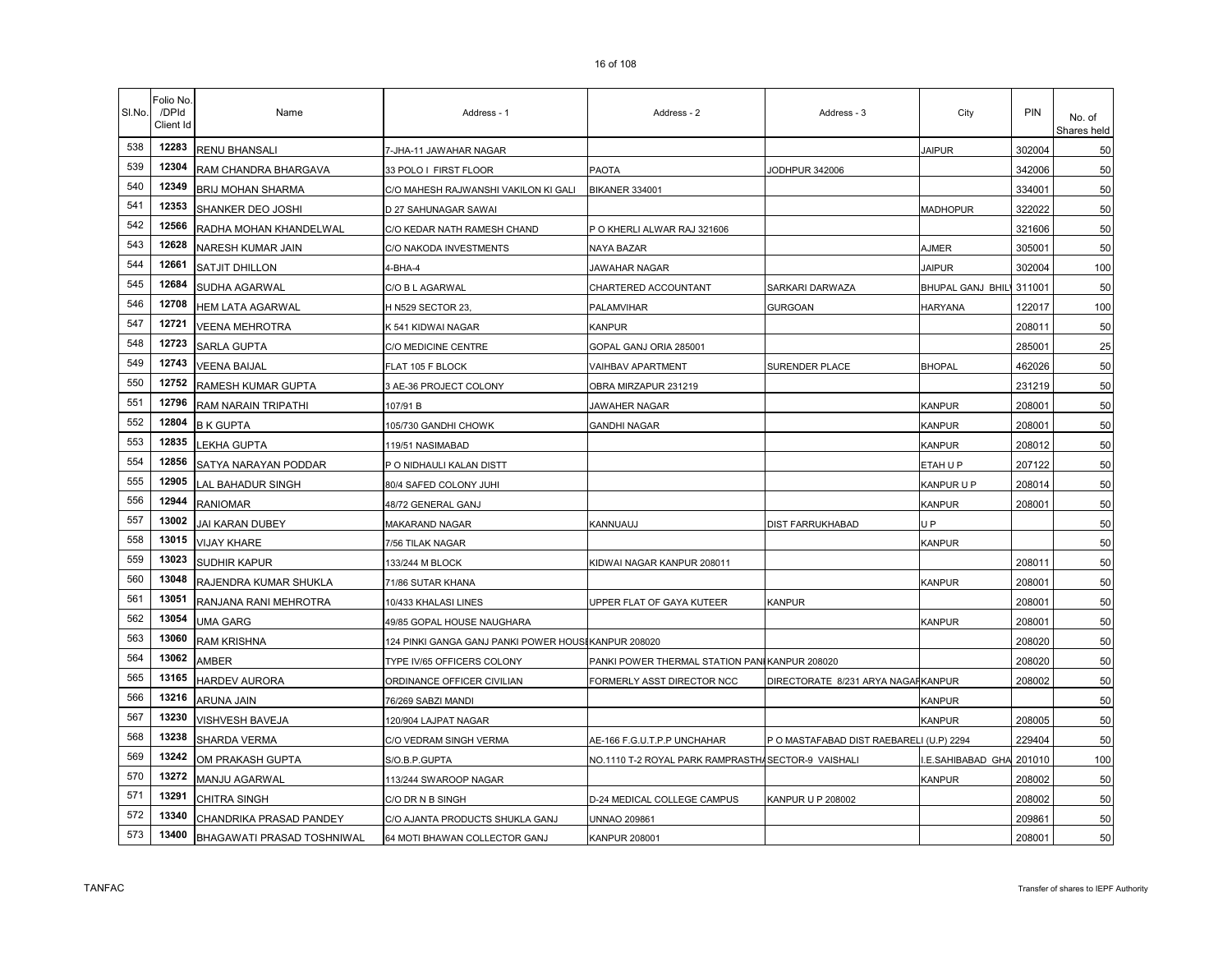| SI.No. | Folio No.<br>/DPId<br>Client Id | Name                              | Address - 1                                          | Address - 2                                   | Address - 3                              | City                     | <b>PIN</b> | No. of<br>Shares held |
|--------|---------------------------------|-----------------------------------|------------------------------------------------------|-----------------------------------------------|------------------------------------------|--------------------------|------------|-----------------------|
| 538    | 12283                           | <b>RENU BHANSALI</b>              | 7-JHA-11 JAWAHAR NAGAR                               |                                               |                                          | <b>JAIPUR</b>            | 302004     | 50                    |
| 539    | 12304                           | RAM CHANDRA BHARGAVA              | 33 POLO I FIRST FLOOR                                | <b>PAOTA</b>                                  | JODHPUR 342006                           |                          | 342006     | 50                    |
| 540    | 12349                           | <b>BRIJ MOHAN SHARMA</b>          | C/O MAHESH RAJWANSHI VAKILON KI GALI                 | BIKANER 334001                                |                                          |                          | 334001     | 50                    |
| 541    | 12353                           | SHANKER DEO JOSHI                 | D 27 SAHUNAGAR SAWAI                                 |                                               |                                          | <b>MADHOPUR</b>          | 322022     | 50                    |
| 542    | 12566                           | RADHA MOHAN KHANDELWAL            | C/O KEDAR NATH RAMESH CHAND                          | P O KHERLI ALWAR RAJ 321606                   |                                          |                          | 321606     | 50                    |
| 543    | 12628                           | NARESH KUMAR JAIN                 | C/O NAKODA INVESTMENTS                               | NAYA BAZAR                                    |                                          | <b>AJMER</b>             | 305001     | 50                    |
| 544    | 12661                           | <b>SATJIT DHILLON</b>             | 4-BHA-4                                              | JAWAHAR NAGAR                                 |                                          | <b>JAIPUR</b>            | 302004     | 100                   |
| 545    | 12684                           | <b>SUDHA AGARWAL</b>              | C/O B L AGARWAL                                      | CHARTERED ACCOUNTANT                          | SARKARI DARWAZA                          | BHUPAL GANJ BHILL 311001 |            | 50                    |
| 546    | 12708                           | <b>HEM LATA AGARWAL</b>           | H N529 SECTOR 23.                                    | PALAMVIHAR                                    | <b>GURGOAN</b>                           | <b>HARYANA</b>           | 122017     | 100                   |
| 547    | 12721                           | <b>VEENA MEHROTRA</b>             | K 541 KIDWAI NAGAR                                   | <b>KANPUR</b>                                 |                                          |                          | 208011     | 50                    |
| 548    | 12723                           | SARLA GUPTA                       | C/O MEDICINE CENTRE                                  | GOPAL GANJ ORIA 285001                        |                                          |                          | 285001     | 25                    |
| 549    | 12743                           | <b>VEENA BAIJAL</b>               | FLAT 105 F BLOCK                                     | <b>VAIHBAV APARTMENT</b>                      | SURENDER PLACE                           | <b>BHOPAL</b>            | 462026     | 50                    |
| 550    | 12752                           | <b>RAMESH KUMAR GUPTA</b>         | 3 AE-36 PROJECT COLONY                               | OBRA MIRZAPUR 231219                          |                                          |                          | 231219     | 50                    |
| 551    | 12796                           | <b>RAM NARAIN TRIPATHI</b>        | 107/91 B                                             | JAWAHER NAGAR                                 |                                          | <b>KANPUR</b>            | 208001     | 50                    |
| 552    | 12804                           | <b>B K GUPTA</b>                  | 105/730 GANDHI CHOWK                                 | <b>GANDHI NAGAR</b>                           |                                          | <b>KANPUR</b>            | 208001     | 50                    |
| 553    | 12835                           | <b>EKHA GUPTA</b>                 | 119/51 NASIMABAD                                     |                                               |                                          | KANPUR                   | 208012     | 50                    |
| 554    | 12856                           | SATYA NARAYAN PODDAR              | P O NIDHAULI KALAN DISTT                             |                                               |                                          | ETAH U P                 | 207122     | 50                    |
| 555    | 12905                           | LAL BAHADUR SINGH                 | 80/4 SAFED COLONY JUHI                               |                                               |                                          | KANPUR U P               | 208014     | 50                    |
| 556    | 12944                           | <b>RANIOMAR</b>                   | 48/72 GENERAL GANJ                                   |                                               |                                          | KANPUR                   | 208001     | 50                    |
| 557    | 13002                           | JAI KARAN DUBEY                   | MAKARAND NAGAR                                       | KANNUAUJ                                      | DIST FARRUKHABAD                         | U P                      |            | 50                    |
| 558    | 13015                           | <b>VIJAY KHARE</b>                | 7/56 TILAK NAGAR                                     |                                               |                                          | <b>KANPUR</b>            |            | 50                    |
| 559    | 13023                           | <b>SUDHIR KAPUR</b>               | 133/244 M BLOCK                                      | KIDWAI NAGAR KANPUR 208011                    |                                          |                          | 208011     | 50                    |
| 560    | 13048                           | RAJENDRA KUMAR SHUKLA             | 71/86 SUTAR KHANA                                    |                                               |                                          | <b>KANPUR</b>            | 208001     | 50                    |
| 561    | 13051                           | RANJANA RANI MEHROTRA             | 10/433 KHALASI LINES                                 | UPPER FLAT OF GAYA KUTEER                     | KANPUR                                   |                          | 208001     | 50                    |
| 562    | 13054                           | <b>UMA GARG</b>                   | 49/85 GOPAL HOUSE NAUGHARA                           |                                               |                                          | <b>KANPUR</b>            | 208001     | 50                    |
| 563    | 13060                           | <b>RAM KRISHNA</b>                | 124 PINKI GANGA GANJ PANKI POWER HOUSI KANPUR 208020 |                                               |                                          |                          | 208020     | 50                    |
| 564    | 13062                           | AMBER                             | TYPE IV/65 OFFICERS COLONY                           | PANKI POWER THERMAL STATION PANIKANPUR 208020 |                                          |                          | 208020     | 50                    |
| 565    | 13165                           | <b>HARDEV AURORA</b>              | ORDINANCE OFFICER CIVILIAN                           | FORMERLY ASST DIRECTOR NCC                    | DIRECTORATE 8/231 ARYA NAGAFKANPUR       |                          | 208002     | 50                    |
| 566    | 13216                           | <b>ARUNA JAIN</b>                 | 76/269 SABZI MANDI                                   |                                               |                                          | <b>KANPUR</b>            |            | 50                    |
| 567    | 13230                           | VISHVESH BAVEJA                   | 120/904 LAJPAT NAGAR                                 |                                               |                                          | <b>KANPUR</b>            | 208005     | 50                    |
| 568    | 13238                           | SHARDA VERMA                      | C/O VEDRAM SINGH VERMA                               | AE-166 F.G.U.T.P.P UNCHAHAR                   | P O MASTAFABAD DIST RAEBARELI (U.P) 2294 |                          | 229404     | 50                    |
| 569    | 13242                           | OM PRAKASH GUPTA                  | S/O.B.P.GUPTA                                        | NO.1110 T-2 ROYAL PARK RAMPRASTH/             | SECTOR-9 VAISHALI                        | .E.SAHIBABAD GHA         | 201010     | 100                   |
| 570    | 13272                           | MANJU AGARWAL                     | 113/244 SWAROOP NAGAR                                |                                               |                                          | <b>KANPUR</b>            | 208002     | 50                    |
| 571    | 13291                           | <b>CHITRA SINGH</b>               | C/O DR N B SINGH                                     | D-24 MEDICAL COLLEGE CAMPUS                   | KANPUR U P 208002                        |                          | 208002     | 50                    |
| 572    | 13340                           | CHANDRIKA PRASAD PANDEY           | C/O AJANTA PRODUCTS SHUKLA GANJ                      | <b>UNNAO 209861</b>                           |                                          |                          | 209861     | 50                    |
| 573    | 13400                           | <b>BHAGAWATI PRASAD TOSHNIWAL</b> | 64 MOTI BHAWAN COLLECTOR GANJ                        | <b>KANPUR 208001</b>                          |                                          |                          | 208001     | 50                    |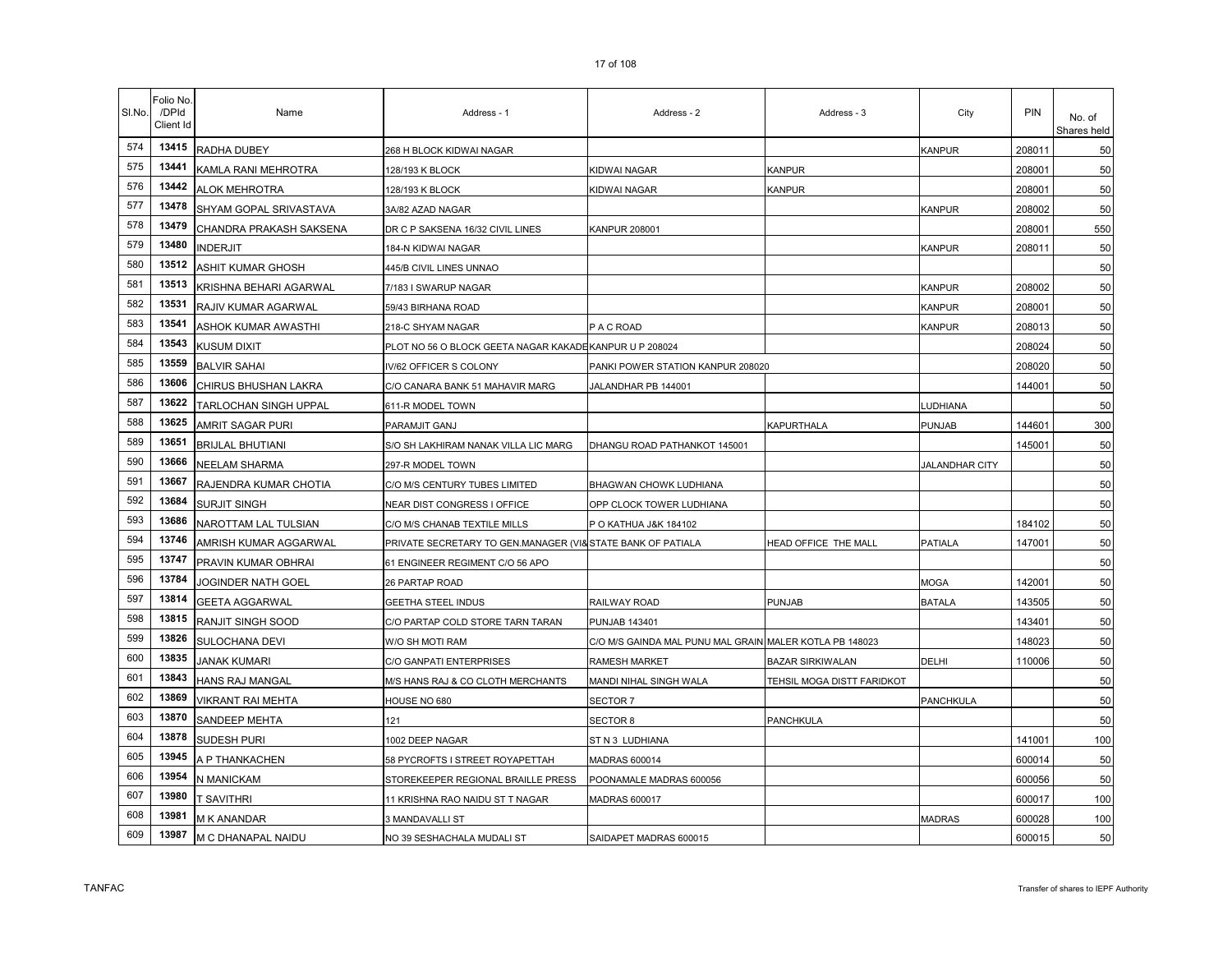| SI.No. | Folio No.<br>/DPId<br>Client Id | Name                    | Address - 1                                                 | Address - 2                                             | Address - 3                | City           | <b>PIN</b> | No. of<br>Shares held |
|--------|---------------------------------|-------------------------|-------------------------------------------------------------|---------------------------------------------------------|----------------------------|----------------|------------|-----------------------|
| 574    | 13415                           | RADHA DUBEY             | 268 H BLOCK KIDWAI NAGAR                                    |                                                         |                            | KANPUR         | 208011     | 50                    |
| 575    | 13441                           | KAMLA RANI MEHROTRA     | 128/193 K BLOCK                                             | KIDWAI NAGAR                                            | <b>KANPUR</b>              |                | 208001     | 50                    |
| 576    | 13442                           | <b>ALOK MEHROTRA</b>    | 128/193 K BLOCK                                             | <b>KIDWAI NAGAR</b>                                     | <b>KANPUR</b>              |                | 208001     | 50                    |
| 577    | 13478                           | SHYAM GOPAL SRIVASTAVA  | 3A/82 AZAD NAGAR                                            |                                                         |                            | KANPUR         | 208002     | 50                    |
| 578    | 13479                           | CHANDRA PRAKASH SAKSENA | DR C P SAKSENA 16/32 CIVIL LINES                            | <b>KANPUR 208001</b>                                    |                            |                | 208001     | 550                   |
| 579    | 13480                           | <b>INDERJIT</b>         | 184-N KIDWAI NAGAR                                          |                                                         |                            | KANPUR         | 208011     | 50                    |
| 580    | 13512                           | ASHIT KUMAR GHOSH       | 445/B CIVIL LINES UNNAO                                     |                                                         |                            |                |            | 50                    |
| 581    | 13513                           | KRISHNA BEHARI AGARWAL  | 7/183 I SWARUP NAGAR                                        |                                                         |                            | KANPUR         | 208002     | 50                    |
| 582    | 13531                           | RAJIV KUMAR AGARWAL     | 59/43 BIRHANA ROAD                                          |                                                         |                            | KANPUR         | 208001     | 50                    |
| 583    | 13541                           | ASHOK KUMAR AWASTHI     | 218-C SHYAM NAGAR                                           | PACROAD                                                 |                            | KANPUR         | 208013     | 50                    |
| 584    | 13543                           | KUSUM DIXIT             | PLOT NO 56 O BLOCK GEETA NAGAR KAKADE KANPUR U P 208024     |                                                         |                            |                | 208024     | 50                    |
| 585    | 13559                           | <b>BALVIR SAHAI</b>     | IV/62 OFFICER S COLONY                                      | PANKI POWER STATION KANPUR 208020                       |                            |                | 208020     | 50                    |
| 586    | 13606                           | CHIRUS BHUSHAN LAKRA    | C/O CANARA BANK 51 MAHAVIR MARG                             | JALANDHAR PB 144001                                     |                            |                | 144001     | 50                    |
| 587    | 13622                           | TARLOCHAN SINGH UPPAL   | 611-R MODEL TOWN                                            |                                                         |                            | <b>UDHIANA</b> |            | 50                    |
| 588    | 13625                           | AMRIT SAGAR PURI        | PARAMJIT GANJ                                               |                                                         | <b>KAPURTHALA</b>          | PUNJAB         | 144601     | 300                   |
| 589    | 13651                           | <b>BRIJLAL BHUTIANI</b> | S/O SH LAKHIRAM NANAK VILLA LIC MARG                        | DHANGU ROAD PATHANKOT 145001                            |                            |                | 145001     | 50                    |
| 590    | 13666                           | <b>NEELAM SHARMA</b>    | 297-R MODEL TOWN                                            |                                                         |                            | JALANDHAR CITY |            | 50                    |
| 591    | 13667                           | RAJENDRA KUMAR CHOTIA   | C/O M/S CENTURY TUBES LIMITED                               | BHAGWAN CHOWK LUDHIANA                                  |                            |                |            | 50                    |
| 592    | 13684                           | <b>SURJIT SINGH</b>     | NEAR DIST CONGRESS I OFFICE                                 | OPP CLOCK TOWER LUDHIANA                                |                            |                |            | 50                    |
| 593    | 13686                           | NAROTTAM LAL TULSIAN    | C/O M/S CHANAB TEXTILE MILLS                                | P O KATHUA J&K 184102                                   |                            |                | 184102     | 50                    |
| 594    | 13746                           | AMRISH KUMAR AGGARWAL   | PRIVATE SECRETARY TO GEN.MANAGER (VI& STATE BANK OF PATIALA |                                                         | HEAD OFFICE THE MALL       | <b>PATIALA</b> | 147001     | 50                    |
| 595    | 13747                           | PRAVIN KUMAR OBHRAI     | 61 ENGINEER REGIMENT C/O 56 APO                             |                                                         |                            |                |            | 50                    |
| 596    | 13784                           | JOGINDER NATH GOEL      | 26 PARTAP ROAD                                              |                                                         |                            | MOGA           | 142001     | 50                    |
| 597    | 13814                           | <b>GEETA AGGARWAL</b>   | <b>GEETHA STEEL INDUS</b>                                   | RAILWAY ROAD                                            | PUNJAB                     | <b>BATALA</b>  | 143505     | 50                    |
| 598    | 13815                           | RANJIT SINGH SOOD       | C/O PARTAP COLD STORE TARN TARAN                            | <b>PUNJAB 143401</b>                                    |                            |                | 143401     | 50                    |
| 599    | 13826                           | SULOCHANA DEVI          | W/O SH MOTI RAM                                             | C/O M/S GAINDA MAL PUNU MAL GRAIN MALER KOTLA PB 148023 |                            |                | 148023     | 50                    |
| 600    | 13835                           | JANAK KUMARI            | C/O GANPATI ENTERPRISES                                     | RAMESH MARKET                                           | <b>BAZAR SIRKIWALAN</b>    | DELHI          | 110006     | 50                    |
| 601    | 13843                           | HANS RAJ MANGAL         | M/S HANS RAJ & CO CLOTH MERCHANTS                           | MANDI NIHAL SINGH WALA                                  | TEHSIL MOGA DISTT FARIDKOT |                |            | 50                    |
| 602    | 13869                           | VIKRANT RAI MEHTA       | HOUSE NO 680                                                | SECTOR 7                                                |                            | PANCHKULA      |            | 50                    |
| 603    | 13870                           | SANDEEP MEHTA           | 121                                                         | SECTOR 8                                                | PANCHKULA                  |                |            | 50                    |
| 604    | 13878                           | SUDESH PURI             | 1002 DEEP NAGAR                                             | ST N 3 LUDHIANA                                         |                            |                | 141001     | 100                   |
| 605    | 13945                           | A P THANKACHEN          | 58 PYCROFTS I STREET ROYAPETTAH                             | MADRAS 600014                                           |                            |                | 600014     | 50                    |
| 606    | 13954                           | <b>V MANICKAM</b>       | STOREKEEPER REGIONAL BRAILLE PRESS                          | POONAMALE MADRAS 600056                                 |                            |                | 600056     | 50                    |
| 607    | 13980                           | t savithri              | 11 KRISHNA RAO NAIDU ST T NAGAR                             | MADRAS 600017                                           |                            |                | 600017     | 100                   |
| 608    | 13981                           | M K ANANDAR             | 3 MANDAVALLI ST                                             |                                                         |                            | <b>MADRAS</b>  | 600028     | 100                   |
| 609    | 13987                           | M C DHANAPAL NAIDU      | NO 39 SESHACHALA MUDALI ST                                  | SAIDAPET MADRAS 600015                                  |                            |                | 600015     | 50                    |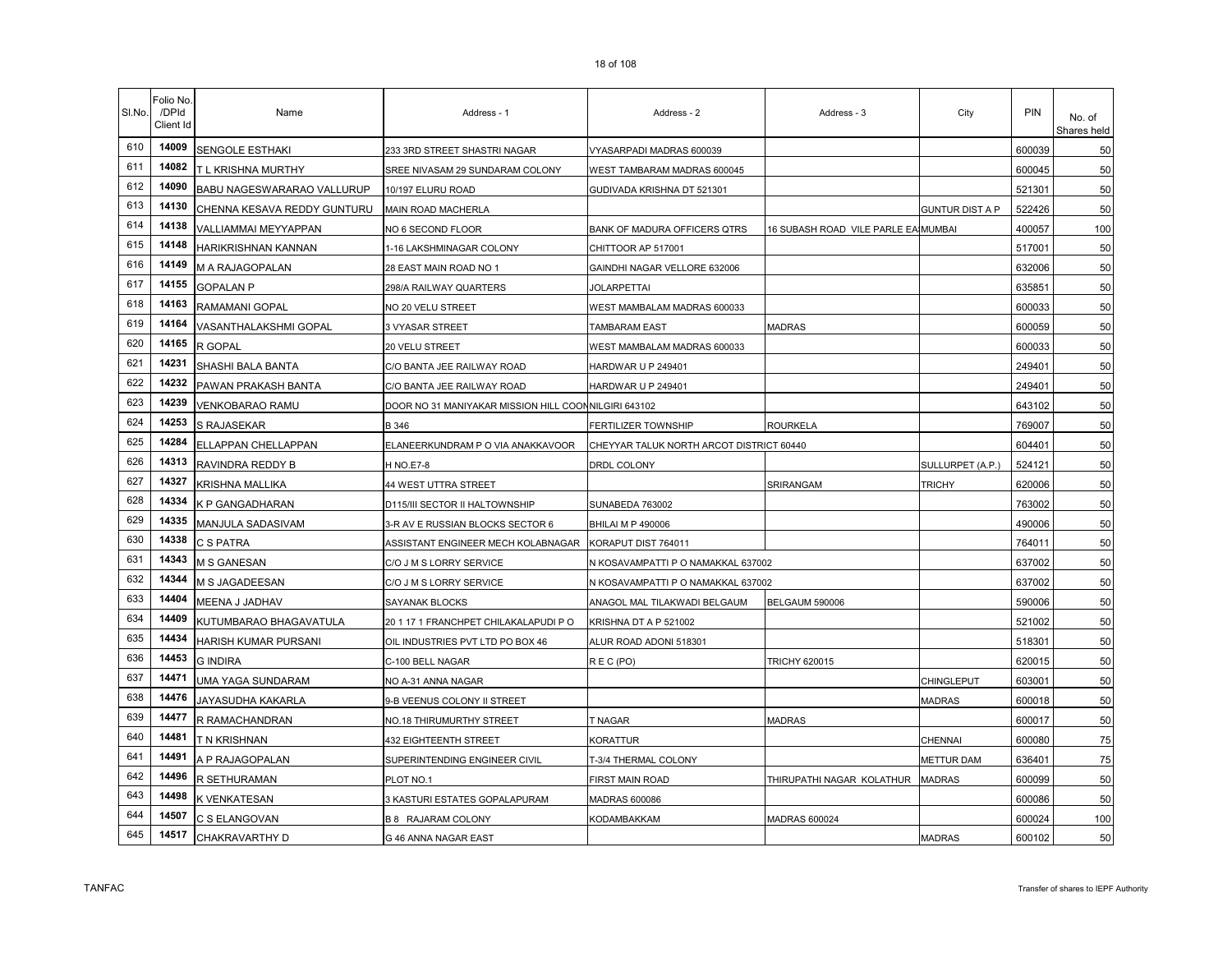| SI.No. | Folio No.<br>/DPId<br>Client Id | Name                        | Address - 1                                          | Address - 2                              | Address - 3                         | City                   | PIN    | No. of<br>Shares held |
|--------|---------------------------------|-----------------------------|------------------------------------------------------|------------------------------------------|-------------------------------------|------------------------|--------|-----------------------|
| 610    | 14009                           | <b>SENGOLE ESTHAKI</b>      | 233 3RD STREET SHASTRI NAGAR                         | VYASARPADI MADRAS 600039                 |                                     |                        | 600039 | 50                    |
| 611    | 14082                           | T L KRISHNA MURTHY          | SREE NIVASAM 29 SUNDARAM COLONY                      | WEST TAMBARAM MADRAS 600045              |                                     |                        | 600045 | 50                    |
| 612    | 14090                           | BABU NAGESWARARAO VALLURUP  | 10/197 ELURU ROAD                                    | GUDIVADA KRISHNA DT 521301               |                                     |                        | 521301 | 50                    |
| 613    | 14130                           | CHENNA KESAVA REDDY GUNTURU | MAIN ROAD MACHERLA                                   |                                          |                                     | <b>GUNTUR DIST A P</b> | 522426 | 50                    |
| 614    | 14138                           | VALLIAMMAI MEYYAPPAN        | NO 6 SECOND FLOOR                                    | BANK OF MADURA OFFICERS QTRS             | 16 SUBASH ROAD VILE PARLE EA MUMBAI |                        | 400057 | 100                   |
| 615    | 14148                           | <b>HARIKRISHNAN KANNAN</b>  | 1-16 LAKSHMINAGAR COLONY                             | CHITTOOR AP 517001                       |                                     |                        | 517001 | 50                    |
| 616    | 14149                           | M A RAJAGOPALAN             | 28 EAST MAIN ROAD NO 1                               | GAINDHI NAGAR VELLORE 632006             |                                     |                        | 632006 | 50                    |
| 617    | 14155                           | <b>GOPALAN P</b>            | 298/A RAILWAY QUARTERS                               | JOLARPETTAI                              |                                     |                        | 635851 | 50                    |
| 618    | 14163                           | RAMAMANI GOPAL              | NO 20 VELU STREET                                    | WEST MAMBALAM MADRAS 600033              |                                     |                        | 600033 | 50                    |
| 619    | 14164                           | VASANTHALAKSHMI GOPAL       | 3 VYASAR STREET                                      | TAMBARAM EAST                            | <b>MADRAS</b>                       |                        | 600059 | 50                    |
| 620    | 14165                           | R GOPAL                     | 20 VELU STREET                                       | WEST MAMBALAM MADRAS 600033              |                                     |                        | 600033 | 50                    |
| 621    | 14231                           | SHASHI BALA BANTA           | C/O BANTA JEE RAILWAY ROAD                           | HARDWAR U P 249401                       |                                     |                        | 249401 | 50                    |
| 622    | 14232                           | PAWAN PRAKASH BANTA         | C/O BANTA JEE RAILWAY ROAD                           | HARDWAR U P 249401                       |                                     |                        | 249401 | 50                    |
| 623    | 14239                           | <b>VENKOBARAO RAMU</b>      | DOOR NO 31 MANIYAKAR MISSION HILL COONNILGIRI 643102 |                                          |                                     |                        | 643102 | 50                    |
| 624    | 14253                           | S RAJASEKAR                 | B 346                                                | FERTILIZER TOWNSHIP                      | <b>ROURKELA</b>                     |                        | 769007 | 50                    |
| 625    | 14284                           | ELLAPPAN CHELLAPPAN         | ELANEERKUNDRAM P O VIA ANAKKAVOOR                    | CHEYYAR TALUK NORTH ARCOT DISTRICT 60440 |                                     |                        | 604401 | 50                    |
| 626    | 14313                           | RAVINDRA REDDY B            | H NO.E7-8                                            | DRDL COLONY                              |                                     | SULLURPET (A.P.)       | 524121 | 50                    |
| 627    | 14327                           | <b>KRISHNA MALLIKA</b>      | 44 WEST UTTRA STREET                                 |                                          | SRIRANGAM                           | <b>TRICHY</b>          | 620006 | 50                    |
| 628    | 14334                           | <b>K P GANGADHARAN</b>      | D115/III SECTOR II HALTOWNSHIP                       | SUNABEDA 763002                          |                                     |                        | 763002 | 50                    |
| 629    | 14335                           | MANJULA SADASIVAM           | 3-R AV E RUSSIAN BLOCKS SECTOR 6                     | <b>BHILAI M P 490006</b>                 |                                     |                        | 490006 | 50                    |
| 630    | 14338                           | C S PATRA                   | ASSISTANT ENGINEER MECH KOLABNAGAR                   | KORAPUT DIST 764011                      |                                     |                        | 764011 | 50                    |
| 631    | 14343                           | <b>M S GANESAN</b>          | C/O J M S LORRY SERVICE                              | N KOSAVAMPATTI P O NAMAKKAL 637002       |                                     |                        | 637002 | 50                    |
| 632    | 14344                           | M S JAGADEESAN              | C/O J M S LORRY SERVICE                              | N KOSAVAMPATTI P O NAMAKKAL 637002       |                                     |                        | 637002 | 50                    |
| 633    | 14404                           | MEENA J JADHAV              | SAYANAK BLOCKS                                       | ANAGOL MAL TILAKWADI BELGAUM             | BELGAUM 590006                      |                        | 590006 | 50                    |
| 634    | 14409                           | KUTUMBARAO BHAGAVATULA      | 20 1 17 1 FRANCHPET CHILAKALAPUDI PO                 | KRISHNA DT A P 521002                    |                                     |                        | 521002 | 50                    |
| 635    | 14434                           | <b>HARISH KUMAR PURSANI</b> | OIL INDUSTRIES PVT LTD PO BOX 46                     | ALUR ROAD ADONI 518301                   |                                     |                        | 518301 | 50                    |
| 636    | 14453                           | <b>G INDIRA</b>             | C-100 BELL NAGAR                                     | REC(PO)                                  | <b>TRICHY 620015</b>                |                        | 620015 | 50                    |
| 637    | 14471                           | <b>UMA YAGA SUNDARAM</b>    | NO A-31 ANNA NAGAR                                   |                                          |                                     | CHINGLEPUT             | 603001 | 50                    |
| 638    | 14476                           | JAYASUDHA KAKARLA           | 9-B VEENUS COLONY II STREET                          |                                          |                                     | <b>MADRAS</b>          | 600018 | 50                    |
| 639    | 14477                           | R RAMACHANDRAN              | NO.18 THIRUMURTHY STREET                             | <b>F NAGAR</b>                           | <b>MADRAS</b>                       |                        | 600017 | 50                    |
| 640    | 14481                           | T N KRISHNAN                | <b>432 EIGHTEENTH STREET</b>                         | KORATTUR                                 |                                     | CHENNAI                | 600080 | 75                    |
| 641    | 14491                           | A P RAJAGOPALAN             | SUPERINTENDING ENGINEER CIVIL                        | <b>F-3/4 THERMAL COLONY</b>              |                                     | METTUR DAM             | 636401 | 75                    |
| 642    | 14496                           | R SETHURAMAN                | PLOT NO.1                                            | FIRST MAIN ROAD                          | THIRUPATHI NAGAR KOLATHUR           | <b>MADRAS</b>          | 600099 | 50                    |
| 643    | 14498                           | K VENKATESAN                | 3 KASTURI ESTATES GOPALAPURAM                        | MADRAS 600086                            |                                     |                        | 600086 | 50                    |
| 644    | 14507                           | C S ELANGOVAN               | <b>B 8 RAJARAM COLONY</b>                            | KODAMBAKKAM                              | <b>MADRAS 600024</b>                |                        | 600024 | 100                   |
| 645    | 14517                           | CHAKRAVARTHY D              | G 46 ANNA NAGAR EAST                                 |                                          |                                     | <b>MADRAS</b>          | 600102 | 50                    |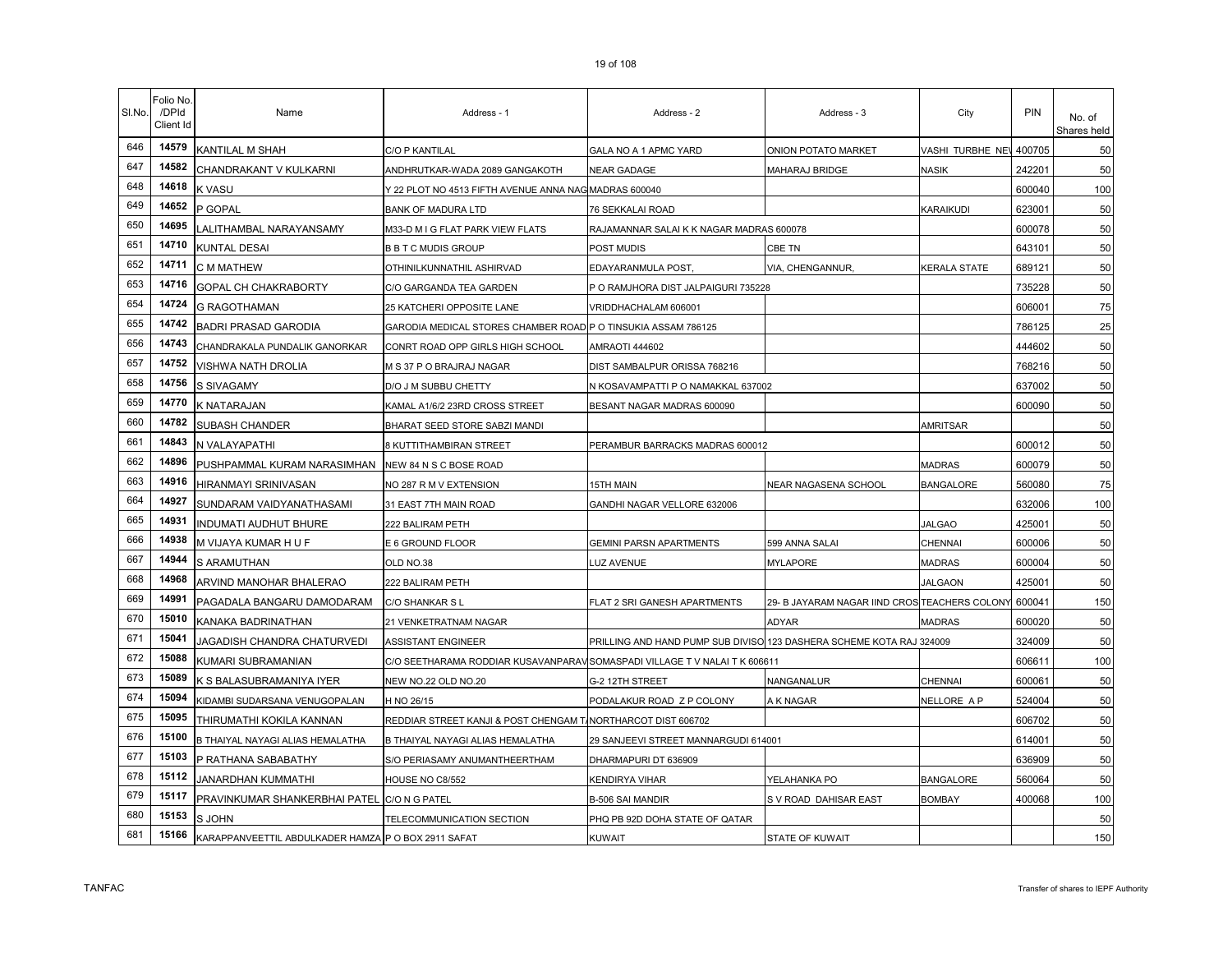| SI.No. | Folio No.<br>/DPId<br>Client Id | Name                                                | Address - 1                                                                | Address - 2                                                          | Address - 3                                   | City             | <b>PIN</b> | No. of<br>Shares held |
|--------|---------------------------------|-----------------------------------------------------|----------------------------------------------------------------------------|----------------------------------------------------------------------|-----------------------------------------------|------------------|------------|-----------------------|
| 646    | 14579                           | <b>KANTILAL M SHAH</b>                              | <b>C/O P KANTILAL</b>                                                      | GALA NO A 1 APMC YARD                                                | ONION POTATO MARKET                           | VASHI TURBHE NEV | 400705     | 50                    |
| 647    | 14582                           | CHANDRAKANT V KULKARNI                              | ANDHRUTKAR-WADA 2089 GANGAKOTH                                             | <b>NEAR GADAGE</b>                                                   | <b>MAHARAJ BRIDGE</b>                         | NASIK            | 242201     | 50                    |
| 648    | 14618                           | <b>K VASU</b>                                       | Y 22 PLOT NO 4513 FIFTH AVENUE ANNA NAG MADRAS 600040                      |                                                                      |                                               |                  | 600040     | 100                   |
| 649    | 14652                           | P GOPAL                                             | <b>BANK OF MADURA LTD</b>                                                  | 76 SEKKALAI ROAD                                                     |                                               | <b>KARAIKUDI</b> | 623001     | 50                    |
| 650    | 14695                           | LALITHAMBAL NARAYANSAMY                             | M33-D M I G FLAT PARK VIEW FLATS                                           | RAJAMANNAR SALAI K K NAGAR MADRAS 600078                             |                                               |                  | 600078     | 50                    |
| 651    | 14710                           | <b>KUNTAL DESAI</b>                                 | <b>B B T C MUDIS GROUP</b>                                                 | POST MUDIS                                                           | CBE TN                                        |                  | 643101     | 50                    |
| 652    | 14711                           | <b>C M MATHEW</b>                                   | OTHINILKUNNATHIL ASHIRVAD                                                  | EDAYARANMULA POST,                                                   | VIA, CHENGANNUR,                              | KERALA STATE     | 689121     | 50                    |
| 653    | 14716                           | GOPAL CH CHAKRABORTY                                | C/O GARGANDA TEA GARDEN                                                    | P O RAMJHORA DIST JALPAIGURI 735228                                  |                                               |                  | 735228     | 50                    |
| 654    | 14724                           | <b>G RAGOTHAMAN</b>                                 | 25 KATCHERI OPPOSITE LANE                                                  | VRIDDHACHALAM 606001                                                 |                                               |                  | 606001     | 75                    |
| 655    | 14742                           | <b>BADRI PRASAD GARODIA</b>                         | GARODIA MEDICAL STORES CHAMBER ROAD P O TINSUKIA ASSAM 786125              |                                                                      |                                               |                  | 786125     | 25                    |
| 656    | 14743                           | CHANDRAKALA PUNDALIK GANORKAR                       | CONRT ROAD OPP GIRLS HIGH SCHOOL                                           | AMRAOTI 444602                                                       |                                               |                  | 444602     | 50                    |
| 657    | 14752                           | <b>VISHWA NATH DROLIA</b>                           | M S 37 P O BRAJRAJ NAGAR                                                   | DIST SAMBALPUR ORISSA 768216                                         |                                               |                  | 768216     | 50                    |
| 658    | 14756                           | <b>S SIVAGAMY</b>                                   | D/O J M SUBBU CHETTY                                                       | N KOSAVAMPATTI P O NAMAKKAL 637002                                   |                                               |                  | 637002     | 50                    |
| 659    | 14770                           | <b>K NATARAJAN</b>                                  | KAMAL A1/6/2 23RD CROSS STREET                                             | BESANT NAGAR MADRAS 600090                                           |                                               |                  | 600090     | 50                    |
| 660    | 14782                           | <b>SUBASH CHANDER</b>                               | BHARAT SEED STORE SABZI MANDI                                              |                                                                      |                                               | <b>AMRITSAR</b>  |            | 50                    |
| 661    | 14843                           | N VALAYAPATHI                                       | 8 KUTTITHAMBIRAN STREET                                                    | PERAMBUR BARRACKS MADRAS 600012                                      |                                               |                  | 600012     | 50                    |
| 662    | 14896                           | PUSHPAMMAL KURAM NARASIMHAN NEW 84 N S C BOSE ROAD  |                                                                            |                                                                      |                                               | <b>MADRAS</b>    | 600079     | 50                    |
| 663    | 14916                           | HIRANMAYI SRINIVASAN                                | NO 287 R M V EXTENSION                                                     | 15TH MAIN                                                            | NEAR NAGASENA SCHOOL                          | <b>BANGALORE</b> | 560080     | 75                    |
| 664    | 14927                           | SUNDARAM VAIDYANATHASAMI                            | 31 EAST 7TH MAIN ROAD                                                      | GANDHI NAGAR VELLORE 632006                                          |                                               |                  | 632006     | 100                   |
| 665    | 14931                           | <b>INDUMATI AUDHUT BHURE</b>                        | 222 BALIRAM PETH                                                           |                                                                      |                                               | <b>JALGAO</b>    | 425001     | 50                    |
| 666    | 14938                           | M VIJAYA KUMAR H U F                                | E 6 GROUND FLOOR                                                           | <b>GEMINI PARSN APARTMENTS</b>                                       | 599 ANNA SALAI                                | CHENNAI          | 600006     | 50                    |
| 667    | 14944                           | S ARAMUTHAN                                         | OLD NO.38                                                                  | LUZ AVENUE                                                           | MYLAPORE                                      | <b>MADRAS</b>    | 600004     | 50                    |
| 668    | 14968                           | ARVIND MANOHAR BHALERAO                             | 222 BALIRAM PETH                                                           |                                                                      |                                               | <b>JALGAON</b>   | 425001     | 50                    |
| 669    | 14991                           | PAGADALA BANGARU DAMODARAM                          | C/O SHANKAR S L                                                            | FLAT 2 SRI GANESH APARTMENTS                                         | 29- B JAYARAM NAGAR IIND CROS TEACHERS COLONY |                  | 600041     | 150                   |
| 670    | 15010                           | KANAKA BADRINATHAN                                  | 21 VENKETRATNAM NAGAR                                                      |                                                                      | ADYAR                                         | <b>MADRAS</b>    | 600020     | 50                    |
| 671    | 15041                           | JAGADISH CHANDRA CHATURVEDI                         | <b>ASSISTANT ENGINEER</b>                                                  | PRILLING AND HAND PUMP SUB DIVISO 123 DASHERA SCHEME KOTA RAJ 324009 |                                               |                  | 324009     | 50                    |
| 672    | 15088                           | KUMARI SUBRAMANIAN                                  | C/O SEETHARAMA RODDIAR KUSAVANPARAV SOMASPADI VILLAGE T V NALAI T K 606611 |                                                                      |                                               |                  | 606611     | 100                   |
| 673    | 15089                           | K S BALASUBRAMANIYA IYER                            | NEW NO.22 OLD NO.20                                                        | G-2 12TH STREET                                                      | VANGANALUR                                    | CHENNAI          | 600061     | 50                    |
| 674    | 15094                           | KIDAMBI SUDARSANA VENUGOPALAN                       | H NO 26/15                                                                 | PODALAKUR ROAD Z P COLONY                                            | A K NAGAR                                     | NELLORE A P      | 524004     | 50                    |
| 675    | 15095                           | THIRUMATHI KOKILA KANNAN                            | REDDIAR STREET KANJI & POST CHENGAM T.                                     | NORTHARCOT DIST 606702                                               |                                               |                  | 606702     | 50                    |
| 676    | 15100                           | B THAIYAL NAYAGI ALIAS HEMALATHA                    | B THAIYAL NAYAGI ALIAS HEMALATHA                                           | 29 SANJEEVI STREET MANNARGUDI 614001                                 |                                               |                  | 614001     | 50                    |
| 677    | 15103                           | P RATHANA SABABATHY                                 | S/O PERIASAMY ANUMANTHEERTHAM                                              | DHARMAPURI DT 636909                                                 |                                               |                  | 636909     | 50                    |
| 678    | 15112                           | JANARDHAN KUMMATHI                                  | HOUSE NO C8/552                                                            | KENDIRYA VIHAR                                                       | YELAHANKA PO                                  | <b>BANGALORE</b> | 560064     | 50                    |
| 679    | 15117                           | PRAVINKUMAR SHANKERBHAI PATEL C/O N G PATEL         |                                                                            | <b>B-506 SAI MANDIR</b>                                              | S V ROAD DAHISAR EAST                         | <b>BOMBAY</b>    | 400068     | 100                   |
| 680    | 15153                           | <b>SJOHN</b>                                        | TELECOMMUNICATION SECTION                                                  | PHQ PB 92D DOHA STATE OF QATAR                                       |                                               |                  |            | 50                    |
| 681    | 15166                           | KARAPPANVEETTIL ABDULKADER HAMZA P O BOX 2911 SAFAT |                                                                            | <b>KUWAIT</b>                                                        | STATE OF KUWAIT                               |                  |            | 150                   |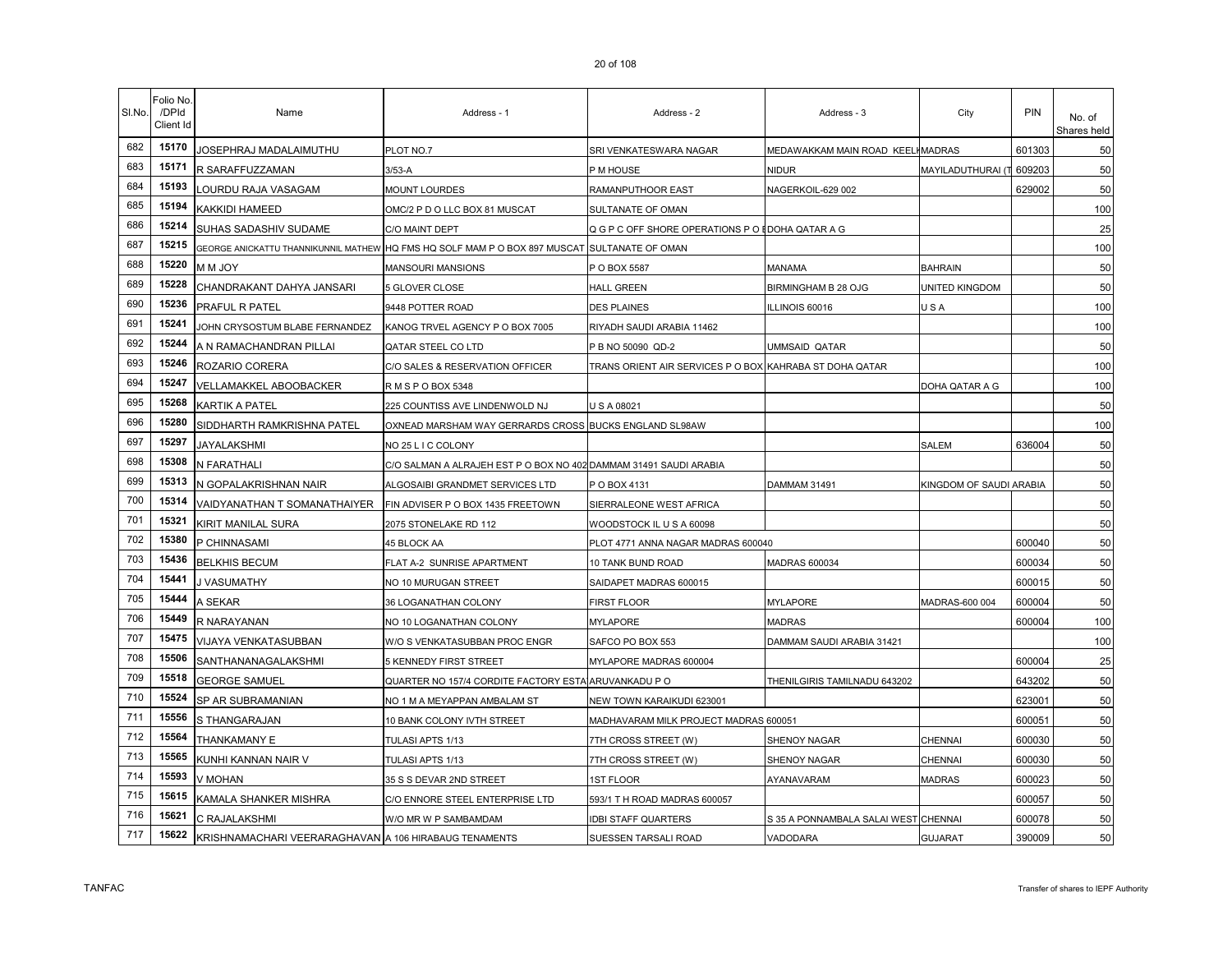|  | 20 OT 108 |  |
|--|-----------|--|
|  |           |  |

| SI.No. | Folio No.<br>/DPId<br>Client Id | Name                                                  | Address - 1                                                                                  | Address - 2                                             | Address - 3                          | City                    | <b>PIN</b> | No. of<br>Shares held |
|--------|---------------------------------|-------------------------------------------------------|----------------------------------------------------------------------------------------------|---------------------------------------------------------|--------------------------------------|-------------------------|------------|-----------------------|
| 682    | 15170                           | JOSEPHRAJ MADALAIMUTHU                                | PLOT NO.7                                                                                    | SRI VENKATESWARA NAGAR                                  | MEDAWAKKAM MAIN ROAD KEELI MADRAS    |                         | 601303     | 50                    |
| 683    | 15171                           | R SARAFFUZZAMAN                                       | $3/53-A$                                                                                     | P M HOUSE                                               | NIDUR                                | MAYILADUTHURAI (T       | 609203     | 50                    |
| 684    | 15193                           | LOURDU RAJA VASAGAM                                   | MOUNT LOURDES                                                                                | RAMANPUTHOOR EAST                                       | NAGERKOIL-629 002                    |                         | 629002     | 50                    |
| 685    | 15194                           | KAKKIDI HAMEED                                        | OMC/2 P D O LLC BOX 81 MUSCAT                                                                | SULTANATE OF OMAN                                       |                                      |                         |            | 100                   |
| 686    | 15214                           | SUHAS SADASHIV SUDAME                                 | C/O MAINT DEPT                                                                               | Q G P C OFF SHORE OPERATIONS P O EDOHA QATAR A G        |                                      |                         |            | 25                    |
| 687    | 15215                           |                                                       | GEORGE ANICKATTU THANNIKUNNIL MATHEW HQ FMS HQ SOLF MAM P O BOX 897 MUSCAT SULTANATE OF OMAN |                                                         |                                      |                         |            | 100                   |
| 688    | 15220                           | N M JOY                                               | MANSOURI MANSIONS                                                                            | P O BOX 5587                                            | MANAMA                               | <b>BAHRAIN</b>          |            | 50                    |
| 689    | 15228                           | CHANDRAKANT DAHYA JANSARI                             | 5 GLOVER CLOSE                                                                               | <b>HALL GREEN</b>                                       | BIRMINGHAM B 28 OJG                  | UNITED KINGDOM          |            | 50                    |
| 690    | 15236                           | PRAFUL R PATEL                                        | 9448 POTTER ROAD                                                                             | <b>DES PLAINES</b>                                      | LLINOIS 60016                        | USA                     |            | 100                   |
| 691    | 15241                           | JOHN CRYSOSTUM BLABE FERNANDEZ                        | KANOG TRVEL AGENCY P O BOX 7005                                                              | RIYADH SAUDI ARABIA 11462                               |                                      |                         |            | 100                   |
| 692    | 15244                           | A N RAMACHANDRAN PILLAI                               | QATAR STEEL CO LTD                                                                           | P B NO 50090 QD-2                                       | UMMSAID QATAR                        |                         |            | 50                    |
| 693    | 15246                           | ROZARIO CORERA                                        | C/O SALES & RESERVATION OFFICER                                                              | TRANS ORIENT AIR SERVICES P O BOX KAHRABA ST DOHA QATAR |                                      |                         |            | 100                   |
| 694    | 15247                           | VELLAMAKKEL ABOOBACKER                                | R M S P O BOX 5348                                                                           |                                                         |                                      | DOHA QATAR A G          |            | 100                   |
| 695    | 15268                           | <b>KARTIK A PATEL</b>                                 | 225 COUNTISS AVE LINDENWOLD NJ                                                               | U S A 08021                                             |                                      |                         |            | 50                    |
| 696    | 15280                           | SIDDHARTH RAMKRISHNA PATEL                            | OXNEAD MARSHAM WAY GERRARDS CROSS BUCKS ENGLAND SL98AW                                       |                                                         |                                      |                         |            | 100                   |
| 697    | 15297                           | JAYALAKSHMI                                           | NO 25 L I C COLONY                                                                           |                                                         |                                      | SALEM                   | 636004     | 50                    |
| 698    | 15308                           | N FARATHALI                                           | C/O SALMAN A ALRAJEH EST P O BOX NO 402 DAMMAM 31491 SAUDI ARABIA                            |                                                         |                                      |                         |            | 50                    |
| 699    | 15313                           | N GOPALAKRISHNAN NAIR                                 | ALGOSAIBI GRANDMET SERVICES LTD                                                              | POBOX 4131                                              | DAMMAM 31491                         | KINGDOM OF SAUDI ARABIA |            | 50                    |
| 700    | 15314                           | VAIDYANATHAN T SOMANATHAIYER                          | FIN ADVISER P O BOX 1435 FREETOWN                                                            | SIERRALEONE WEST AFRICA                                 |                                      |                         |            | 50                    |
| 701    | 15321                           | KIRIT MANILAL SURA                                    | 2075 STONELAKE RD 112                                                                        | WOODSTOCK IL U S A 60098                                |                                      |                         |            | 50                    |
| 702    | 15380                           | P CHINNASAMI                                          | 45 BLOCK AA                                                                                  | PLOT 4771 ANNA NAGAR MADRAS 600040                      |                                      |                         | 600040     | 50                    |
| 703    | 15436                           | <b>BELKHIS BECUM</b>                                  | FLAT A-2 SUNRISE APARTMENT                                                                   | 10 TANK BUND ROAD                                       | <b>MADRAS 600034</b>                 |                         | 600034     | 50                    |
| 704    | 15441                           | J VASUMATHY                                           | NO 10 MURUGAN STREET                                                                         | SAIDAPET MADRAS 600015                                  |                                      |                         | 600015     | 50                    |
| 705    | 15444                           | A SEKAR                                               | 36 LOGANATHAN COLONY                                                                         | FIRST FLOOR                                             | <b>MYLAPORE</b>                      | MADRAS-600 004          | 600004     | 50                    |
| 706    | 15449                           | R NARAYANAN                                           | NO 10 LOGANATHAN COLONY                                                                      | <b>MYLAPORE</b>                                         | <b>MADRAS</b>                        |                         | 600004     | 100                   |
| 707    | 15475                           | VIJAYA VENKATASUBBAN                                  | W/O S VENKATASUBBAN PROC ENGR                                                                | SAFCO PO BOX 553                                        | DAMMAM SAUDI ARABIA 31421            |                         |            | 100                   |
| 708    | 15506                           | SANTHANANAGALAKSHMI                                   | 5 KENNEDY FIRST STREET                                                                       | MYLAPORE MADRAS 600004                                  |                                      |                         | 600004     | 25                    |
| 709    | 15518                           | <b>GEORGE SAMUEL</b>                                  | QUARTER NO 157/4 CORDITE FACTORY ESTA ARUVANKADU PO                                          |                                                         | THENILGIRIS TAMILNADU 643202         |                         | 643202     | 50                    |
| 710    | 15524                           | SP AR SUBRAMANIAN                                     | NO 1 M A MEYAPPAN AMBALAM ST                                                                 | NEW TOWN KARAIKUDI 623001                               |                                      |                         | 623001     | 50                    |
| 711    | 15556                           | S THANGARAJAN                                         | 10 BANK COLONY IVTH STREET                                                                   | MADHAVARAM MILK PROJECT MADRAS 600051                   |                                      |                         | 600051     | 50                    |
| 712    | 15564                           | THANKAMANY E                                          | TULASI APTS 1/13                                                                             | 7TH CROSS STREET (W)                                    | SHENOY NAGAR                         | CHENNAI                 | 600030     | 50                    |
| 713    | 15565                           | KUNHI KANNAN NAIR V                                   | TULASI APTS 1/13                                                                             | 7TH CROSS STREET (W)                                    | <b>SHENOY NAGAR</b>                  | CHENNAI                 | 600030     | 50                    |
| 714    | 15593                           | V MOHAN                                               | 35 S S DEVAR 2ND STREET                                                                      | 1ST FLOOR                                               | AYANAVARAM                           | <b>MADRAS</b>           | 600023     | 50                    |
| 715    | 15615                           | KAMALA SHANKER MISHRA                                 | C/O ENNORE STEEL ENTERPRISE LTD                                                              | 593/1 T H ROAD MADRAS 600057                            |                                      |                         | 600057     | 50                    |
| 716    | 15621                           | C RAJALAKSHMI                                         | W/O MR W P SAMBAMDAM                                                                         | <b>IDBI STAFF QUARTERS</b>                              | S 35 A PONNAMBALA SALAI WEST CHENNAI |                         | 600078     | 50                    |
| 717    | 15622                           | KRISHNAMACHARI VEERARAGHAVAN A 106 HIRABAUG TENAMENTS |                                                                                              | SUESSEN TARSALI ROAD                                    | VADODARA                             | <b>GUJARAT</b>          | 390009     | 50                    |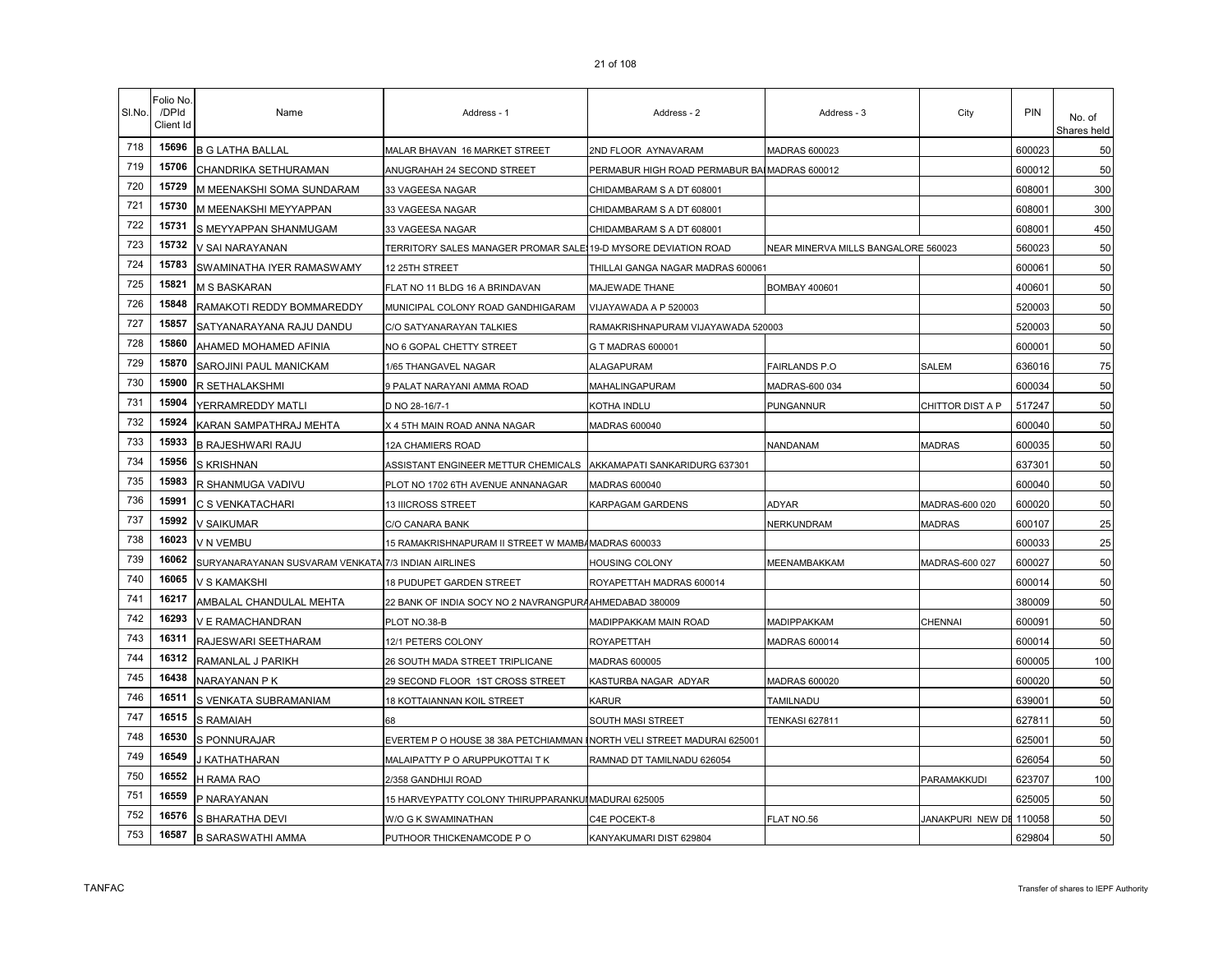| SI.No. | Folio No.<br>/DPId<br>Client Id | Name                                                | Address - 1                                                    | Address - 2                                  | Address - 3                         | City             | <b>PIN</b> | No. of<br>Shares held |
|--------|---------------------------------|-----------------------------------------------------|----------------------------------------------------------------|----------------------------------------------|-------------------------------------|------------------|------------|-----------------------|
| 718    | 15696                           | <b>B G LATHA BALLAL</b>                             | MALAR BHAVAN 16 MARKET STREET                                  | 2ND FLOOR AYNAVARAM                          | MADRAS 600023                       |                  | 600023     | 50                    |
| 719    | 15706                           | CHANDRIKA SETHURAMAN                                | ANUGRAHAH 24 SECOND STREET                                     | PERMABUR HIGH ROAD PERMABUR BAIMADRAS 600012 |                                     |                  | 600012     | 50                    |
| 720    | 15729                           | M MEENAKSHI SOMA SUNDARAM                           | 33 VAGEESA NAGAR                                               | CHIDAMBARAM S A DT 608001                    |                                     |                  | 608001     | 300                   |
| 721    | 15730                           | M MEENAKSHI MEYYAPPAN                               | 33 VAGEESA NAGAR                                               | CHIDAMBARAM S A DT 608001                    |                                     |                  | 608001     | 300                   |
| 722    | 15731                           | S MEYYAPPAN SHANMUGAM                               | 33 VAGEESA NAGAR                                               | CHIDAMBARAM S A DT 608001                    |                                     |                  | 608001     | 450                   |
| 723    | 15732                           | V SAI NARAYANAN                                     | TERRITORY SALES MANAGER PROMAR SALE 19-D MYSORE DEVIATION ROAD |                                              | NEAR MINERVA MILLS BANGALORE 560023 |                  | 560023     | 50                    |
| 724    | 15783                           | SWAMINATHA IYER RAMASWAMY                           | 12 25TH STREET                                                 | THILLAI GANGA NAGAR MADRAS 600061            |                                     |                  | 600061     | 50                    |
| 725    | 15821                           | <b>M S BASKARAN</b>                                 | FLAT NO 11 BLDG 16 A BRINDAVAN                                 | MAJEWADE THANE                               | <b>BOMBAY 400601</b>                |                  | 400601     | 50                    |
| 726    | 15848                           | RAMAKOTI REDDY BOMMAREDDY                           | MUNICIPAL COLONY ROAD GANDHIGARAM                              | VIJAYAWADA A P 520003                        |                                     |                  | 520003     | 50                    |
| 727    | 15857                           | SATYANARAYANA RAJU DANDU                            | C/O SATYANARAYAN TALKIES                                       | RAMAKRISHNAPURAM VIJAYAWADA 520003           |                                     |                  | 520003     | 50                    |
| 728    | 15860                           | AHAMED MOHAMED AFINIA                               | NO 6 GOPAL CHETTY STREET                                       | G T MADRAS 600001                            |                                     |                  | 600001     | 50                    |
| 729    | 15870                           | SAROJINI PAUL MANICKAM                              | 1/65 THANGAVEL NAGAR                                           | <b>ALAGAPURAM</b>                            | FAIRLANDS P.O                       | SALEM            | 636016     | 75                    |
| 730    | 15900                           | R SETHALAKSHMI                                      | 9 PALAT NARAYANI AMMA ROAD                                     | MAHALINGAPURAM                               | MADRAS-600 034                      |                  | 600034     | 50                    |
| 731    | 15904                           | YERRAMREDDY MATLI                                   | D NO 28-16/7-1                                                 | KOTHA INDLU                                  | PUNGANNUR                           | CHITTOR DIST A P | 517247     | 50                    |
| 732    | 15924                           | KARAN SAMPATHRAJ MEHTA                              | X 4 5TH MAIN ROAD ANNA NAGAR                                   | <b>MADRAS 600040</b>                         |                                     |                  | 600040     | 50                    |
| 733    | 15933                           | <b>B RAJESHWARI RAJU</b>                            | 12A CHAMIERS ROAD                                              |                                              | NANDANAM                            | <b>MADRAS</b>    | 600035     | 50                    |
| 734    | 15956                           | S KRISHNAN                                          | ASSISTANT ENGINEER METTUR CHEMICALS                            | AKKAMAPATI SANKARIDURG 637301                |                                     |                  | 637301     | 50                    |
| 735    | 15983                           | R SHANMUGA VADIVU                                   | PLOT NO 1702 6TH AVENUE ANNANAGAR                              | <b>MADRAS 600040</b>                         |                                     |                  | 600040     | 50                    |
| 736    | 15991                           | <b>C S VENKATACHARI</b>                             | <b>13 IIICROSS STREET</b>                                      | KARPAGAM GARDENS                             | ADYAR                               | MADRAS-600 020   | 600020     | 50                    |
| 737    | 15992                           | <b>V SAIKUMAR</b>                                   | C/O CANARA BANK                                                |                                              | <b>NERKUNDRAM</b>                   | <b>MADRAS</b>    | 600107     | 25                    |
| 738    | 16023                           | V N VEMBU                                           | 15 RAMAKRISHNAPURAM II STREET W MAMBAMADRAS 600033             |                                              |                                     |                  | 600033     | 25                    |
| 739    | 16062                           | SURYANARAYANAN SUSVARAM VENKATA 7/3 INDIAN AIRLINES |                                                                | <b>HOUSING COLONY</b>                        | <b>MEENAMBAKKAM</b>                 | MADRAS-600 027   | 600027     | 50                    |
| 740    | 16065                           | V S KAMAKSHI                                        | <b>18 PUDUPET GARDEN STREET</b>                                | ROYAPETTAH MADRAS 600014                     |                                     |                  | 600014     | 50                    |
| 741    | 16217                           | AMBALAL CHANDULAL MEHTA                             | 22 BANK OF INDIA SOCY NO 2 NAVRANGPURA AHMEDABAD 380009        |                                              |                                     |                  | 380009     | 50                    |
| 742    | 16293                           | V E RAMACHANDRAN                                    | PLOT NO.38-B                                                   | MADIPPAKKAM MAIN ROAD                        | MADIPPAKKAM                         | <b>CHENNAI</b>   | 600091     | 50                    |
| 743    | 16311                           | <b>RAJESWARI SEETHARAM</b>                          | 12/1 PETERS COLONY                                             | <b>ROYAPETTAH</b>                            | <b>MADRAS 600014</b>                |                  | 600014     | 50                    |
| 744    | 16312                           | RAMANLAL J PARIKH                                   | 26 SOUTH MADA STREET TRIPLICANE                                | <b>MADRAS 600005</b>                         |                                     |                  | 600005     | 100                   |
| 745    | 16438                           | NARAYANAN P K                                       | 29 SECOND FLOOR 1ST CROSS STREET                               | KASTURBA NAGAR ADYAR                         | MADRAS 600020                       |                  | 600020     | 50                    |
| 746    | 16511                           | S VENKATA SUBRAMANIAM                               | 18 KOTTAIANNAN KOIL STREET                                     | <b>KARUR</b>                                 | TAMILNADU                           |                  | 639001     | 50                    |
| 747    | 16515                           | <b>S RAMAIAH</b>                                    | 68                                                             | SOUTH MASI STREET                            | <b>TENKASI 627811</b>               |                  | 627811     | 50                    |
| 748    | 16530                           | S PONNURAJAR                                        | EVERTEM P O HOUSE 38 38A PETCHIAMMAN                           | NORTH VELI STREET MADURAI 625001             |                                     |                  | 625001     | 50                    |
| 749    | 16549                           | KATHATHARAN                                         | MALAIPATTY P O ARUPPUKOTTAI T K                                | RAMNAD DT TAMILNADU 626054                   |                                     |                  | 626054     | 50                    |
| 750    | 16552                           | H RAMA RAO                                          | 2/358 GANDHIJI ROAD                                            |                                              |                                     | PARAMAKKUDI      | 623707     | 100                   |
| 751    | 16559                           | P NARAYANAN                                         | 15 HARVEYPATTY COLONY THIRUPPARANKUI MADURAI 625005            |                                              |                                     |                  | 625005     | 50                    |
| 752    | 16576                           | S BHARATHA DEVI                                     | W/O G K SWAMINATHAN                                            | C4E POCEKT-8                                 | <b>ELAT NO.56</b>                   | JANAKPURI NEW DE | 110058     | 50                    |
| 753    | 16587                           | <b>B SARASWATHI AMMA</b>                            | PUTHOOR THICKENAMCODE P O                                      | KANYAKUMARI DIST 629804                      |                                     |                  | 629804     | 50                    |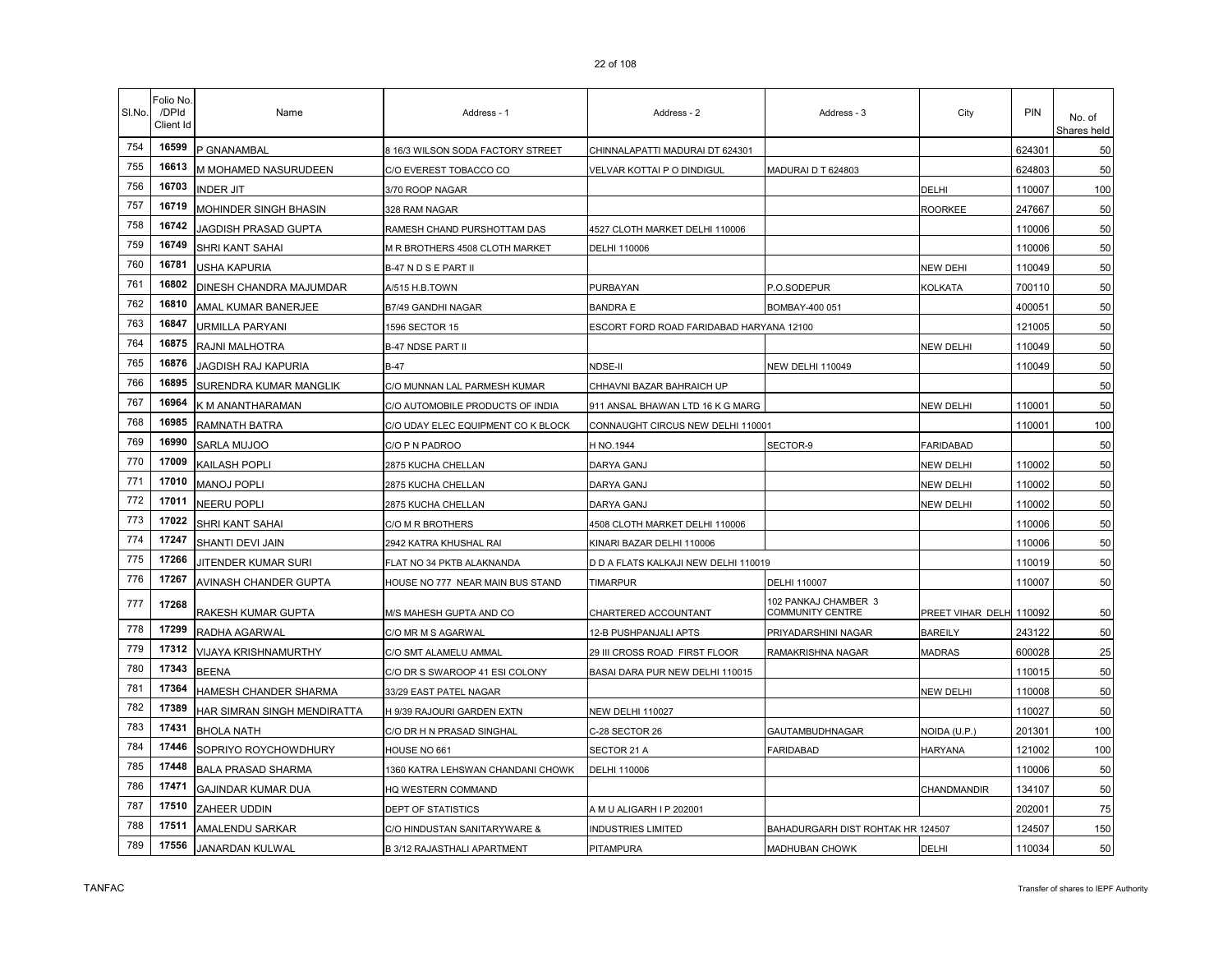| SI.No. | Folio No<br>/DPId<br>Client Id | Name                        | Address - 1                        | Address - 2                              | Address - 3                              | City                    | PIN    | No. of<br>Shares held |
|--------|--------------------------------|-----------------------------|------------------------------------|------------------------------------------|------------------------------------------|-------------------------|--------|-----------------------|
| 754    | 16599                          | P GNANAMBAL                 | 8 16/3 WILSON SODA FACTORY STREET  | CHINNALAPATTI MADURAI DT 624301          |                                          |                         | 624301 | 50                    |
| 755    | 16613                          | M MOHAMED NASURUDEEN        | C/O EVEREST TOBACCO CO             | VELVAR KOTTAI P O DINDIGUL               | MADURAI D T 624803                       |                         | 624803 | 50                    |
| 756    | 16703                          | <b>INDER JIT</b>            | 3/70 ROOP NAGAR                    |                                          |                                          | DELHI                   | 110007 | 100                   |
| 757    | 16719                          | MOHINDER SINGH BHASIN       | 328 RAM NAGAR                      |                                          |                                          | <b>ROORKEE</b>          | 247667 | 50                    |
| 758    | 16742                          | IAGDISH PRASAD GUPTA        | RAMESH CHAND PURSHOTTAM DAS        | 4527 CLOTH MARKET DELHI 110006           |                                          |                         | 110006 | 50                    |
| 759    | 16749                          | SHRI KANT SAHAI             | M R BROTHERS 4508 CLOTH MARKET     | DELHI 110006                             |                                          |                         | 110006 | 50                    |
| 760    | 16781                          | USHA KAPURIA                | B-47 N D S E PART II               |                                          |                                          | <b>NEW DEHI</b>         | 110049 | 50                    |
| 761    | 16802                          | DINESH CHANDRA MAJUMDAR     | A/515 H.B.TOWN                     | PURBAYAN                                 | P.O.SODEPUR                              | <b>KOLKATA</b>          | 700110 | 50                    |
| 762    | 16810                          | AMAL KUMAR BANERJEE         | <b>B7/49 GANDHI NAGAR</b>          | <b>BANDRA E</b>                          | BOMBAY-400 051                           |                         | 400051 | 50                    |
| 763    | 16847                          | URMILLA PARYANI             | 1596 SECTOR 15                     | ESCORT FORD ROAD FARIDABAD HARYANA 12100 |                                          |                         | 121005 | 50                    |
| 764    | 16875                          | RAJNI MALHOTRA              | <b>B-47 NDSE PART II</b>           |                                          |                                          | <b>NEW DELHI</b>        | 110049 | 50                    |
| 765    | 16876                          | JAGDISH RAJ KAPURIA         | B-47                               | NDSE-II                                  | <b>NEW DELHI 110049</b>                  |                         | 110049 | 50                    |
| 766    | 16895                          | SURENDRA KUMAR MANGLIK      | C/O MUNNAN LAL PARMESH KUMAR       | CHHAVNI BAZAR BAHRAICH UP                |                                          |                         |        | 50                    |
| 767    | 16964                          | K M ANANTHARAMAN            | C/O AUTOMOBILE PRODUCTS OF INDIA   | 911 ANSAL BHAWAN LTD 16 K G MARG         |                                          | <b>NEW DELHI</b>        | 110001 | 50                    |
| 768    | 16985                          | <b>RAMNATH BATRA</b>        | C/O UDAY ELEC EQUIPMENT CO K BLOCK | CONNAUGHT CIRCUS NEW DELHI 110001        |                                          |                         | 110001 | 100                   |
| 769    | 16990                          | SARLA MUJOO                 | C/O P N PADROO                     | H NO.1944                                | SECTOR-9                                 | <b>FARIDABAD</b>        |        | 50                    |
| 770    | 17009                          | KAILASH POPLI               | 2875 KUCHA CHELLAN                 | DARYA GANJ                               |                                          | <b>NEW DELHI</b>        | 110002 | 50                    |
| 771    | 17010                          | <b>MANOJ POPLI</b>          | 2875 KUCHA CHELLAN                 | DARYA GANJ                               |                                          | <b>NEW DELHI</b>        | 110002 | 50                    |
| 772    | 17011                          | <b>NEERU POPLI</b>          | 2875 KUCHA CHELLAN                 | DARYA GANJ                               |                                          | <b>NEW DELHI</b>        | 110002 | 50                    |
| 773    | 17022                          | SHRI KANT SAHAI             | C/O M R BROTHERS                   | 4508 CLOTH MARKET DELHI 110006           |                                          |                         | 110006 | 50                    |
| 774    | 17247                          | <b>SHANTI DEVI JAIN</b>     | 2942 KATRA KHUSHAL RAI             | KINARI BAZAR DELHI 110006                |                                          |                         | 110006 | 50                    |
| 775    | 17266                          | JITENDER KUMAR SURI         | FLAT NO 34 PKTB ALAKNANDA          | D D A FLATS KALKAJI NEW DELHI 110019     |                                          |                         | 110019 | 50                    |
| 776    | 17267                          | AVINASH CHANDER GUPTA       | HOUSE NO 777 NEAR MAIN BUS STAND   | <b>TIMARPUR</b>                          | DELHI 110007                             |                         | 110007 | 50                    |
| 777    | 17268                          | RAKESH KUMAR GUPTA          | M/S MAHESH GUPTA AND CO            | CHARTERED ACCOUNTANT                     | 102 PANKAJ CHAMBER 3<br>COMMUNITY CENTRE | PREET VIHAR DELH 110092 |        | 50                    |
| 778    | 17299                          | RADHA AGARWAL               | C/O MR M S AGARWAL                 | 12-B PUSHPANJALI APTS                    | PRIYADARSHINI NAGAR                      | <b>BAREILY</b>          | 243122 | 50                    |
| 779    | 17312                          | VIJAYA KRISHNAMURTHY        | C/O SMT ALAMELU AMMAL              | 29 III CROSS ROAD FIRST FLOOR            | RAMAKRISHNA NAGAR                        | <b>MADRAS</b>           | 600028 | 25                    |
| 780    | 17343                          | <b>BEENA</b>                | C/O DR S SWAROOP 41 ESI COLONY     | BASAI DARA PUR NEW DELHI 110015          |                                          |                         | 110015 | 50                    |
| 781    | 17364                          | HAMESH CHANDER SHARMA       | 33/29 EAST PATEL NAGAR             |                                          |                                          | <b>NEW DELHI</b>        | 110008 | 50                    |
| 782    | 17389                          | HAR SIMRAN SINGH MENDIRATTA | H 9/39 RAJOURI GARDEN EXTN         | NEW DELHI 110027                         |                                          |                         | 110027 | 50                    |
| 783    | 17431                          | <b>BHOLA NATH</b>           | C/O DR H N PRASAD SINGHAL          | C-28 SECTOR 26                           | <b>GAUTAMBUDHNAGAR</b>                   | NOIDA (U.P.)            | 201301 | 100                   |
| 784    | 17446                          | SOPRIYO ROYCHOWDHURY        | HOUSE NO 661                       | SECTOR 21 A                              | FARIDABAD                                | <b>HARYANA</b>          | 121002 | 100                   |
| 785    | 17448                          | <b>BALA PRASAD SHARMA</b>   | 1360 KATRA LEHSWAN CHANDANI CHOWK  | DELHI 110006                             |                                          |                         | 110006 | 50                    |
| 786    | 17471                          | <b>GAJINDAR KUMAR DUA</b>   | HQ WESTERN COMMAND                 |                                          |                                          | CHANDMANDIR             | 134107 | 50                    |
| 787    | 17510                          | ZAHEER UDDIN                | DEPT OF STATISTICS                 | A M U ALIGARH I P 202001                 |                                          |                         | 202001 | 75                    |
| 788    | 17511                          | AMALENDU SARKAR             | C/O HINDUSTAN SANITARYWARE &       | <b>INDUSTRIES LIMITED</b>                | BAHADURGARH DIST ROHTAK HR 124507        |                         | 124507 | 150                   |
| 789    | 17556                          | <b>JANARDAN KULWAL</b>      | B 3/12 RAJASTHALI APARTMENT        | PITAMPURA                                | MADHUBAN CHOWK                           | DELHI                   | 110034 | 50                    |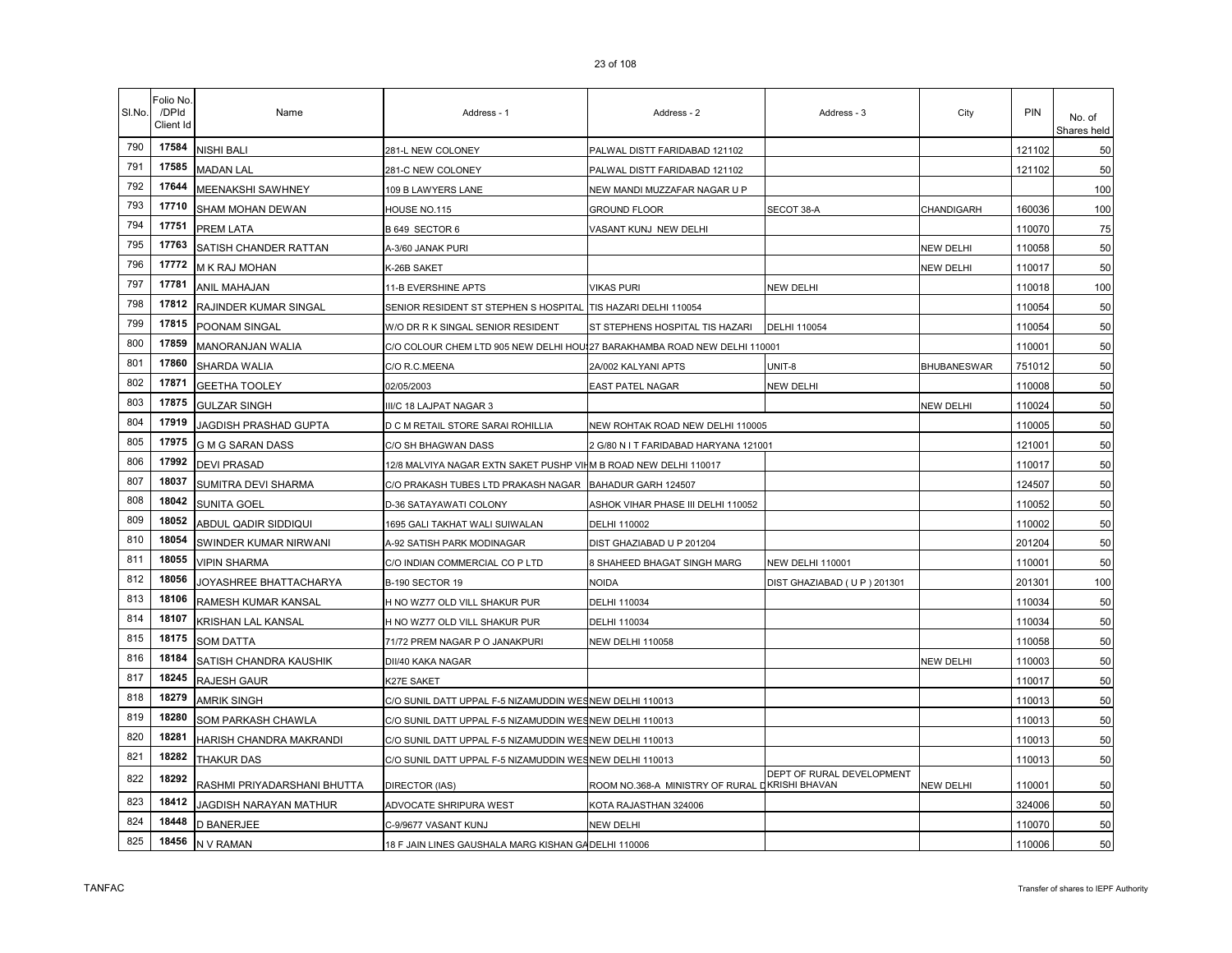|  | <b>ZJUITUO</b> |  |
|--|----------------|--|
|  |                |  |
|  |                |  |

| SI.No. | Folio No.<br>/DPId<br>Client Id | Name                        | Address - 1                                                       | Address - 2                                    | Address - 3                | City        | <b>PIN</b> | No. of<br>Shares held |
|--------|---------------------------------|-----------------------------|-------------------------------------------------------------------|------------------------------------------------|----------------------------|-------------|------------|-----------------------|
| 790    | 17584                           | NISHI BALI                  | 281-L NEW COLONEY                                                 | PALWAL DISTT FARIDABAD 121102                  |                            |             | 121102     | 50                    |
| 791    | 17585                           | <b>MADAN LAL</b>            | 281-C NEW COLONEY                                                 | PALWAL DISTT FARIDABAD 121102                  |                            |             | 121102     | 50                    |
| 792    | 17644                           | MEENAKSHI SAWHNEY           | 109 B LAWYERS LANE                                                | NEW MANDI MUZZAFAR NAGAR U P                   |                            |             |            | 100                   |
| 793    | 17710                           | SHAM MOHAN DEWAN            | HOUSE NO.115                                                      | <b>GROUND FLOOR</b>                            | SECOT 38-A                 | CHANDIGARH  | 160036     | 100                   |
| 794    | 17751                           | PREM LATA                   | B 649 SECTOR 6                                                    | VASANT KUNJ NEW DELHI                          |                            |             | 110070     | 75                    |
| 795    | 17763                           | SATISH CHANDER RATTAN       | A-3/60 JANAK PURI                                                 |                                                |                            | NEW DELHI   | 110058     | 50                    |
| 796    | 17772                           | M K RAJ MOHAN               | K-26B SAKET                                                       |                                                |                            | NEW DELHI   | 110017     | 50                    |
| 797    | 17781                           | <b>ANIL MAHAJAN</b>         | 11-B EVERSHINE APTS                                               | <b>VIKAS PURI</b>                              | NEW DELHI                  |             | 110018     | 100                   |
| 798    | 17812                           | RAJINDER KUMAR SINGAL       | SENIOR RESIDENT ST STEPHEN S HOSPITAL                             | TIS HAZARI DELHI 110054                        |                            |             | 110054     | 50                    |
| 799    | 17815                           | POONAM SINGAL               | W/O DR R K SINGAL SENIOR RESIDENT                                 | ST STEPHENS HOSPITAL TIS HAZARI                | <b>DELHI 110054</b>        |             | 110054     | 50                    |
| 800    | 17859                           | MANORANJAN WALIA            | C/O COLOUR CHEM LTD 905 NEW DELHI HOU!                            | 27 BARAKHAMBA ROAD NEW DELHI 110001            |                            |             | 110001     | 50                    |
| 801    | 17860                           | SHARDA WALIA                | C/O R.C.MEENA                                                     | 2A/002 KALYANI APTS                            | UNIT-8                     | BHUBANESWAR | 751012     | 50                    |
| 802    | 17871                           | <b>GEETHA TOOLEY</b>        | 02/05/2003                                                        | <b>EAST PATEL NAGAR</b>                        | <b>NEW DELHI</b>           |             | 110008     | 50                    |
| 803    | 17875                           | <b>GULZAR SINGH</b>         | III/C 18 LAJPAT NAGAR 3                                           |                                                |                            | NEW DELHI   | 110024     | 50                    |
| 804    | 17919                           | JAGDISH PRASHAD GUPTA       | D C M RETAIL STORE SARAI ROHILLIA                                 | NEW ROHTAK ROAD NEW DELHI 110005               |                            |             | 110005     | 50                    |
| 805    | 17975                           | <b>G M G SARAN DASS</b>     | C/O SH BHAGWAN DASS                                               | 2 G/80 N I T FARIDABAD HARYANA 121001          |                            |             | 121001     | 50                    |
| 806    | 17992                           | <b>DEVI PRASAD</b>          | 12/8 MALVIYA NAGAR EXTN SAKET PUSHP VII M B ROAD NEW DELHI 110017 |                                                |                            |             | 110017     | 50                    |
| 807    | 18037                           | SUMITRA DEVI SHARMA         | C/O PRAKASH TUBES LTD PRAKASH NAGAR                               | BAHADUR GARH 124507                            |                            |             | 124507     | 50                    |
| 808    | 18042                           | <b>SUNITA GOEL</b>          | D-36 SATAYAWATI COLONY                                            | ASHOK VIHAR PHASE III DELHI 110052             |                            |             | 110052     | 50                    |
| 809    | 18052                           | ABDUL QADIR SIDDIQUI        | 1695 GALI TAKHAT WALI SUIWALAN                                    | DELHI 110002                                   |                            |             | 110002     | 50                    |
| 810    | 18054                           | SWINDER KUMAR NIRWANI       | A-92 SATISH PARK MODINAGAR                                        | DIST GHAZIABAD U P 201204                      |                            |             | 201204     | 50                    |
| 811    | 18055                           | <b>VIPIN SHARMA</b>         | C/O INDIAN COMMERCIAL CO P LTD                                    | 8 SHAHEED BHAGAT SINGH MARG                    | NEW DELHI 110001           |             | 110001     | 50                    |
| 812    | 18056                           | JOYASHREE BHATTACHARYA      | <b>B-190 SECTOR 19</b>                                            | NOIDA                                          | DIST GHAZIABAD (UP) 201301 |             | 201301     | 100                   |
| 813    | 18106                           | RAMESH KUMAR KANSAL         | H NO WZ77 OLD VILL SHAKUR PUR                                     | DELHI 110034                                   |                            |             | 110034     | 50                    |
| 814    | 18107                           | <b>KRISHAN LAL KANSAL</b>   | H NO WZ77 OLD VILL SHAKUR PUR                                     | DELHI 110034                                   |                            |             | 110034     | 50                    |
| 815    | 18175                           | <b>SOM DATTA</b>            | 71/72 PREM NAGAR P O JANAKPURI                                    | <b>NEW DELHI 110058</b>                        |                            |             | 110058     | 50                    |
| 816    | 18184                           | SATISH CHANDRA KAUSHIK      | DII/40 KAKA NAGAR                                                 |                                                |                            | NEW DELHI   | 110003     | 50                    |
| 817    | 18245                           | RAJESH GAUR                 | K27E SAKET                                                        |                                                |                            |             | 110017     | 50                    |
| 818    | 18279                           | <b>AMRIK SINGH</b>          | C/O SUNIL DATT UPPAL F-5 NIZAMUDDIN WESNEW DELHI 110013           |                                                |                            |             | 110013     | 50                    |
| 819    | 18280                           | SOM PARKASH CHAWLA          | C/O SUNIL DATT UPPAL F-5 NIZAMUDDIN WESNEW DELHI 110013           |                                                |                            |             | 110013     | 50                    |
| 820    | 18281                           | HARISH CHANDRA MAKRANDI     | C/O SUNIL DATT UPPAL F-5 NIZAMUDDIN WESNEW DELHI 110013           |                                                |                            |             | 110013     | 50                    |
| 821    | 18282                           | THAKUR DAS                  | C/O SUNIL DATT UPPAL F-5 NIZAMUDDIN WESNEW DELHI 110013           |                                                |                            |             | 110013     | 50                    |
| 822    | 18292                           | RASHMI PRIYADARSHANI BHUTTA | <b>DIRECTOR (IAS)</b>                                             | ROOM NO.368-A MINISTRY OF RURAL DKRISHI BHAVAN | DEPT OF RURAL DEVELOPMENT  | NEW DELHI   | 110001     | 50                    |
| 823    | 18412                           | JAGDISH NARAYAN MATHUR      | ADVOCATE SHRIPURA WEST                                            | KOTA RAJASTHAN 324006                          |                            |             | 324006     | 50                    |
| 824    | 18448                           | <b>D BANERJEE</b>           | C-9/9677 VASANT KUNJ                                              | NEW DELHI                                      |                            |             | 110070     | 50                    |
| 825    | 18456                           | N V RAMAN                   | 18 F JAIN LINES GAUSHALA MARG KISHAN GA DELHI 110006              |                                                |                            |             | 110006     | 50                    |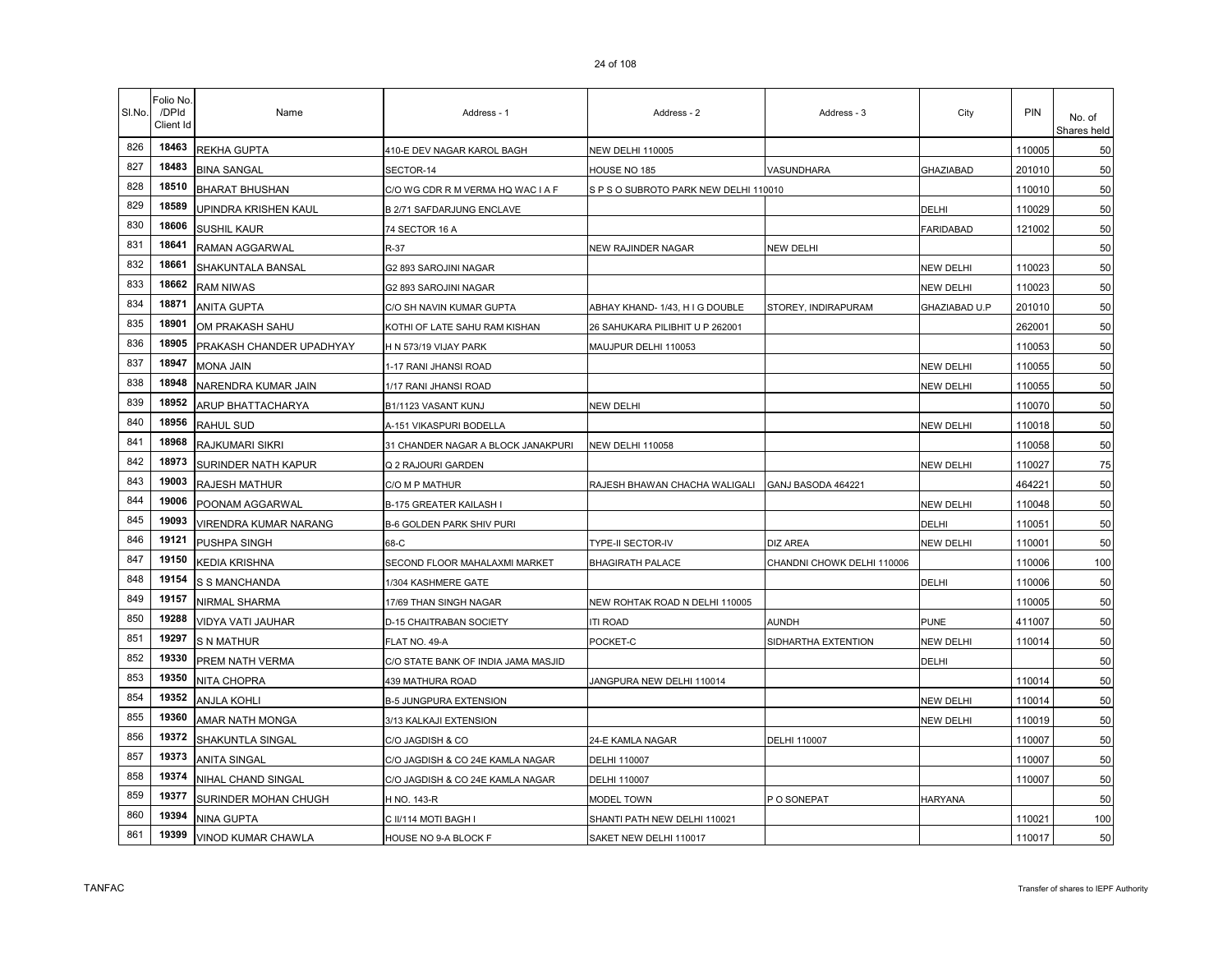| SI.No. | Folio No<br>/DPId<br>Client Id | Name                     | Address - 1                         | Address - 2                        | Address - 3                | City             | PIN    | No. of<br>Shares held |
|--------|--------------------------------|--------------------------|-------------------------------------|------------------------------------|----------------------------|------------------|--------|-----------------------|
| 826    | 18463                          | <b>REKHA GUPTA</b>       | 410-E DEV NAGAR KAROL BAGH          | <b>NEW DELHI 110005</b>            |                            |                  | 110005 | 50                    |
| 827    | 18483                          | <b>BINA SANGAL</b>       | SECTOR-14                           | HOUSE NO 185                       | VASUNDHARA                 | GHAZIABAD        | 201010 | 50                    |
| 828    | 18510                          | <b>BHARAT BHUSHAN</b>    | C/O WG CDR R M VERMA HQ WAC I A F   | SPSO SUBROTO PARK NEW DELHI 110010 |                            |                  | 110010 | 50                    |
| 829    | 18589                          | UPINDRA KRISHEN KAUL     | <b>B 2/71 SAFDARJUNG ENCLAVE</b>    |                                    |                            | DELHI            | 110029 | 50                    |
| 830    | 18606                          | SUSHIL KAUR              | 74 SECTOR 16 A                      |                                    |                            | <b>FARIDABAD</b> | 121002 | 50                    |
| 831    | 18641                          | RAMAN AGGARWAL           | R-37                                | NEW RAJINDER NAGAR                 | <b>NEW DELHI</b>           |                  |        | 50                    |
| 832    | 18661                          | SHAKUNTALA BANSAL        | G2 893 SAROJINI NAGAR               |                                    |                            | <b>NEW DELHI</b> | 110023 | 50                    |
| 833    | 18662                          | <b>RAM NIWAS</b>         | G2 893 SAROJINI NAGAR               |                                    |                            | <b>NEW DELHI</b> | 110023 | 50                    |
| 834    | 18871                          | ANITA GUPTA              | C/O SH NAVIN KUMAR GUPTA            | ABHAY KHAND-1/43, HIG DOUBLE       | STOREY, INDIRAPURAM        | GHAZIABAD U.P    | 201010 | 50                    |
| 835    | 18901                          | OM PRAKASH SAHU          | KOTHI OF LATE SAHU RAM KISHAN       | 26 SAHUKARA PILIBHIT U P 262001    |                            |                  | 262001 | 50                    |
| 836    | 18905                          | PRAKASH CHANDER UPADHYAY | H N 573/19 VIJAY PARK               | MAUJPUR DELHI 110053               |                            |                  | 110053 | 50                    |
| 837    | 18947                          | MONA JAIN                | 1-17 RANI JHANSI ROAD               |                                    |                            | <b>NEW DELHI</b> | 110055 | 50                    |
| 838    | 18948                          | NARENDRA KUMAR JAIN      | 1/17 RANI JHANSI ROAD               |                                    |                            | <b>NEW DELHI</b> | 110055 | 50                    |
| 839    | 18952                          | ARUP BHATTACHARYA        | B1/1123 VASANT KUNJ                 | NEW DELHI                          |                            |                  | 110070 | 50                    |
| 840    | 18956                          | <b>RAHUL SUD</b>         | A-151 VIKASPURI BODELLA             |                                    |                            | NEW DELHI        | 110018 | 50                    |
| 841    | 18968                          | <b>RAJKUMARI SIKRI</b>   | 31 CHANDER NAGAR A BLOCK JANAKPURI  | <b>NEW DELHI 110058</b>            |                            |                  | 110058 | 50                    |
| 842    | 18973                          | SURINDER NATH KAPUR      | Q 2 RAJOURI GARDEN                  |                                    |                            | NEW DELHI        | 110027 | 75                    |
| 843    | 19003                          | RAJESH MATHUR            | C/O M P MATHUR                      | RAJESH BHAWAN CHACHA WALIGALI      | GANJ BASODA 464221         |                  | 46422  | 50                    |
| 844    | 19006                          | POONAM AGGARWAL          | B-175 GREATER KAILASH I             |                                    |                            | <b>NEW DELHI</b> | 110048 | 50                    |
| 845    | 19093                          | VIRENDRA KUMAR NARANG    | <b>B-6 GOLDEN PARK SHIV PURI</b>    |                                    |                            | DELHI            | 110051 | 50                    |
| 846    | 19121                          | PUSHPA SINGH             | 68-C                                | TYPE-II SECTOR-IV                  | <b>DIZ AREA</b>            | <b>NEW DELHI</b> | 110001 | 50                    |
| 847    | 19150                          | KEDIA KRISHNA            | SECOND FLOOR MAHALAXMI MARKET       | <b>BHAGIRATH PALACE</b>            | CHANDNI CHOWK DELHI 110006 |                  | 110006 | 100                   |
| 848    | 19154                          | S S MANCHANDA            | 1/304 KASHMERE GATE                 |                                    |                            | DELHI            | 110006 | 50                    |
| 849    | 19157                          | NIRMAL SHARMA            | 17/69 THAN SINGH NAGAR              | NEW ROHTAK ROAD N DELHI 110005     |                            |                  | 110005 | 50                    |
| 850    | 19288                          | VIDYA VATI JAUHAR        | D-15 CHAITRABAN SOCIETY             | <b>ITI ROAD</b>                    | AUNDH                      | <b>PUNE</b>      | 411007 | 50                    |
| 851    | 19297                          | S N MATHUR               | FLAT NO. 49-A                       | POCKET-C                           | SIDHARTHA EXTENTION        | <b>NEW DELHI</b> | 110014 | 50                    |
| 852    | 19330                          | PREM NATH VERMA          | C/O STATE BANK OF INDIA JAMA MASJID |                                    |                            | DELHI            |        | 50                    |
| 853    | 19350                          | NITA CHOPRA              | <b>439 MATHURA ROAD</b>             | JANGPURA NEW DELHI 110014          |                            |                  | 110014 | 50                    |
| 854    | 19352                          | <b>ANJLA KOHLI</b>       | <b>B-5 JUNGPURA EXTENSION</b>       |                                    |                            | <b>NEW DELHI</b> | 110014 | 50                    |
| 855    | 19360                          | AMAR NATH MONGA          | 3/13 KALKAJI EXTENSION              |                                    |                            | <b>NEW DELHI</b> | 110019 | 50                    |
| 856    | 19372                          | <b>SHAKUNTLA SINGAL</b>  | C/O JAGDISH & CO                    | 24-E KAMLA NAGAR                   | <b>DELHI 110007</b>        |                  | 110007 | 50                    |
| 857    | 19373                          | <b>ANITA SINGAL</b>      | C/O JAGDISH & CO 24E KAMLA NAGAR    | DELHI 110007                       |                            |                  | 110007 | 50                    |
| 858    | 19374                          | NIHAL CHAND SINGAL       | C/O JAGDISH & CO 24E KAMLA NAGAR    | DELHI 110007                       |                            |                  | 110007 | 50                    |
| 859    | 19377                          | SURINDER MOHAN CHUGH     | H NO. 143-R                         | MODEL TOWN                         | P O SONEPAT                | <b>HARYANA</b>   |        | 50                    |
| 860    | 19394                          | NINA GUPTA               | C II/114 MOTI BAGH I                | SHANTI PATH NEW DELHI 110021       |                            |                  | 110021 | 100                   |
| 861    | 19399                          | VINOD KUMAR CHAWLA       | HOUSE NO 9-A BLOCK F                | SAKET NEW DELHI 110017             |                            |                  | 110017 | 50                    |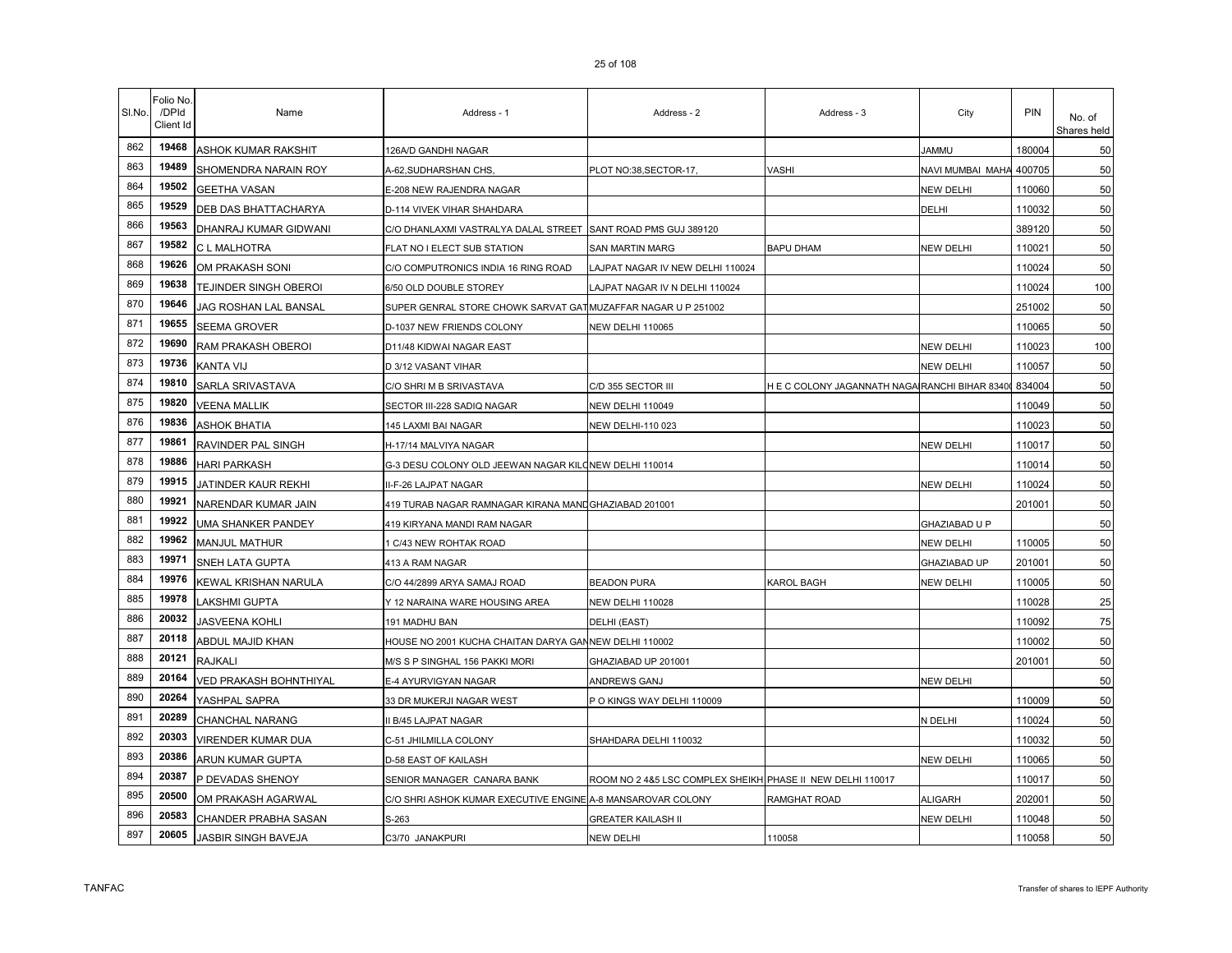| SI.No. | Folio No.<br>/DPId<br>Client Id | Name                   | Address - 1                                                   | Address - 2                                                | Address - 3                                    | City                    | <b>PIN</b> | No. of<br>Shares held |
|--------|---------------------------------|------------------------|---------------------------------------------------------------|------------------------------------------------------------|------------------------------------------------|-------------------------|------------|-----------------------|
| 862    | 19468                           | ASHOK KUMAR RAKSHIT    | 126A/D GANDHI NAGAR                                           |                                                            |                                                | <b>UMMAL</b>            | 180004     | 50                    |
| 863    | 19489                           | SHOMENDRA NARAIN ROY   | A-62, SUDHARSHAN CHS,                                         | PLOT NO:38,SECTOR-17,                                      | VASHI                                          | NAVI MUMBAI MAHA 400705 |            | 50                    |
| 864    | 19502                           | <b>GEETHA VASAN</b>    | E-208 NEW RAJENDRA NAGAR                                      |                                                            |                                                | NEW DELHI               | 110060     | 50                    |
| 865    | 19529                           | DEB DAS BHATTACHARYA   | D-114 VIVEK VIHAR SHAHDARA                                    |                                                            |                                                | DELHI                   | 110032     | 50                    |
| 866    | 19563                           | DHANRAJ KUMAR GIDWANI  | C/O DHANLAXMI VASTRALYA DALAL STREET                          | SANT ROAD PMS GUJ 389120                                   |                                                |                         | 389120     | 50                    |
| 867    | 19582                           | C L MALHOTRA           | FLAT NO I ELECT SUB STATION                                   | SAN MARTIN MARG                                            | <b>BAPU DHAM</b>                               | NEW DELHI               | 110021     | 50                    |
| 868    | 19626                           | OM PRAKASH SONI        | C/O COMPUTRONICS INDIA 16 RING ROAD                           | LAJPAT NAGAR IV NEW DELHI 110024                           |                                                |                         | 110024     | 50                    |
| 869    | 19638                           | TEJINDER SINGH OBEROI  | 6/50 OLD DOUBLE STOREY                                        | LAJPAT NAGAR IV N DELHI 110024                             |                                                |                         | 110024     | 100                   |
| 870    | 19646                           | JAG ROSHAN LAL BANSAL  | SUPER GENRAL STORE CHOWK SARVAT GAT MUZAFFAR NAGAR U P 251002 |                                                            |                                                |                         | 251002     | 50                    |
| 871    | 19655                           | SEEMA GROVER           | D-1037 NEW FRIENDS COLONY                                     | <b>NEW DELHI 110065</b>                                    |                                                |                         | 110065     | 50                    |
| 872    | 19690                           | RAM PRAKASH OBEROI     | D11/48 KIDWAI NAGAR EAST                                      |                                                            |                                                | NEW DELHI               | 110023     | 100                   |
| 873    | 19736                           | KANTA VIJ              | D 3/12 VASANT VIHAR                                           |                                                            |                                                | NEW DELHI               | 110057     | 50                    |
| 874    | 19810                           | SARLA SRIVASTAVA       | C/O SHRI M B SRIVASTAVA                                       | C/D 355 SECTOR III                                         | H E C COLONY JAGANNATH NAGAIRANCHI BIHAR 83400 |                         | 834004     | 50                    |
| 875    | 19820                           | <b>VEENA MALLIK</b>    | SECTOR III-228 SADIQ NAGAR                                    | NEW DELHI 110049                                           |                                                |                         | 110049     | 50                    |
| 876    | 19836                           | <b>ASHOK BHATIA</b>    | 145 LAXMI BAI NAGAR                                           | NEW DELHI-110 023                                          |                                                |                         | 110023     | 50                    |
| 877    | 19861                           | RAVINDER PAL SINGH     | H-17/14 MALVIYA NAGAR                                         |                                                            |                                                | NEW DELHI               | 110017     | 50                    |
| 878    | 19886                           | <b>HARI PARKASH</b>    | G-3 DESU COLONY OLD JEEWAN NAGAR KILONEW DELHI 110014         |                                                            |                                                |                         | 110014     | 50                    |
| 879    | 19915                           | JATINDER KAUR REKHI    | II-F-26 LAJPAT NAGAR                                          |                                                            |                                                | NEW DELHI               | 110024     | 50                    |
| 880    | 19921                           | NARENDAR KUMAR JAIN    | 419 TURAB NAGAR RAMNAGAR KIRANA MAND GHAZIABAD 201001         |                                                            |                                                |                         | 201001     | 50                    |
| 881    | 19922                           | UMA SHANKER PANDEY     | 419 KIRYANA MANDI RAM NAGAR                                   |                                                            |                                                | GHAZIABAD U P           |            | 50                    |
| 882    | 19962                           | <b>MANJUL MATHUR</b>   | 1 C/43 NEW ROHTAK ROAD                                        |                                                            |                                                | NEW DELHI               | 110005     | 50                    |
| 883    | 19971                           | SNEH LATA GUPTA        | 413 A RAM NAGAR                                               |                                                            |                                                | GHAZIABAD UP            | 201001     | 50                    |
| 884    | 19976                           | KEWAL KRISHAN NARULA   | C/O 44/2899 ARYA SAMAJ ROAD                                   | <b>BEADON PURA</b>                                         | KAROL BAGH                                     | NEW DELHI               | 110005     | 50                    |
| 885    | 19978                           | LAKSHMI GUPTA          | Y 12 NARAINA WARE HOUSING AREA                                | <b>NEW DELHI 110028</b>                                    |                                                |                         | 110028     | 25                    |
| 886    | 20032                           | JASVEENA KOHLI         | 191 MADHU BAN                                                 | DELHI (EAST)                                               |                                                |                         | 110092     | 75                    |
| 887    | 20118                           | ABDUL MAJID KHAN       | HOUSE NO 2001 KUCHA CHAITAN DARYA GANNEW DELHI 110002         |                                                            |                                                |                         | 110002     | 50                    |
| 888    | 20121                           | <b>RAJKALI</b>         | M/S S P SINGHAL 156 PAKKI MORI                                | GHAZIABAD UP 201001                                        |                                                |                         | 201001     | 50                    |
| 889    | 20164                           | VED PRAKASH BOHNTHIYAL | E-4 AYURVIGYAN NAGAR                                          | ANDREWS GANJ                                               |                                                | NEW DELHI               |            | 50                    |
| 890    | 20264                           | YASHPAL SAPRA          | 33 DR MUKERJI NAGAR WEST                                      | P O KINGS WAY DELHI 110009                                 |                                                |                         | 110009     | 50                    |
| 891    | 20289                           | CHANCHAL NARANG        | II B/45 LAJPAT NAGAR                                          |                                                            |                                                | N DELHI                 | 110024     | 50                    |
| 892    | 20303                           | VIRENDER KUMAR DUA     | C-51 JHILMILLA COLONY                                         | SHAHDARA DELHI 110032                                      |                                                |                         | 110032     | 50                    |
| 893    | 20386                           | ARUN KUMAR GUPTA       | D-58 EAST OF KAILASH                                          |                                                            |                                                | <b>NEW DELHI</b>        | 110065     | 50                    |
| 894    | 20387                           | P DEVADAS SHENOY       | SENIOR MANAGER CANARA BANK                                    | ROOM NO 2 4&5 LSC COMPLEX SHEIKH PHASE II NEW DELHI 110017 |                                                |                         | 110017     | 50                    |
| 895    | 20500                           | OM PRAKASH AGARWAL     | C/O SHRI ASHOK KUMAR EXECUTIVE ENGINE A-8 MANSAROVAR COLONY   |                                                            | RAMGHAT ROAD                                   | ALIGARH                 | 202001     | 50                    |
| 896    | 20583                           | CHANDER PRABHA SASAN   | S-263                                                         | <b>GREATER KAILASH II</b>                                  |                                                | NEW DELHI               | 110048     | 50                    |
| 897    | 20605                           | JASBIR SINGH BAVEJA    | C3/70 JANAKPURI                                               | <b>NEW DELHI</b>                                           | 110058                                         |                         | 110058     | 50                    |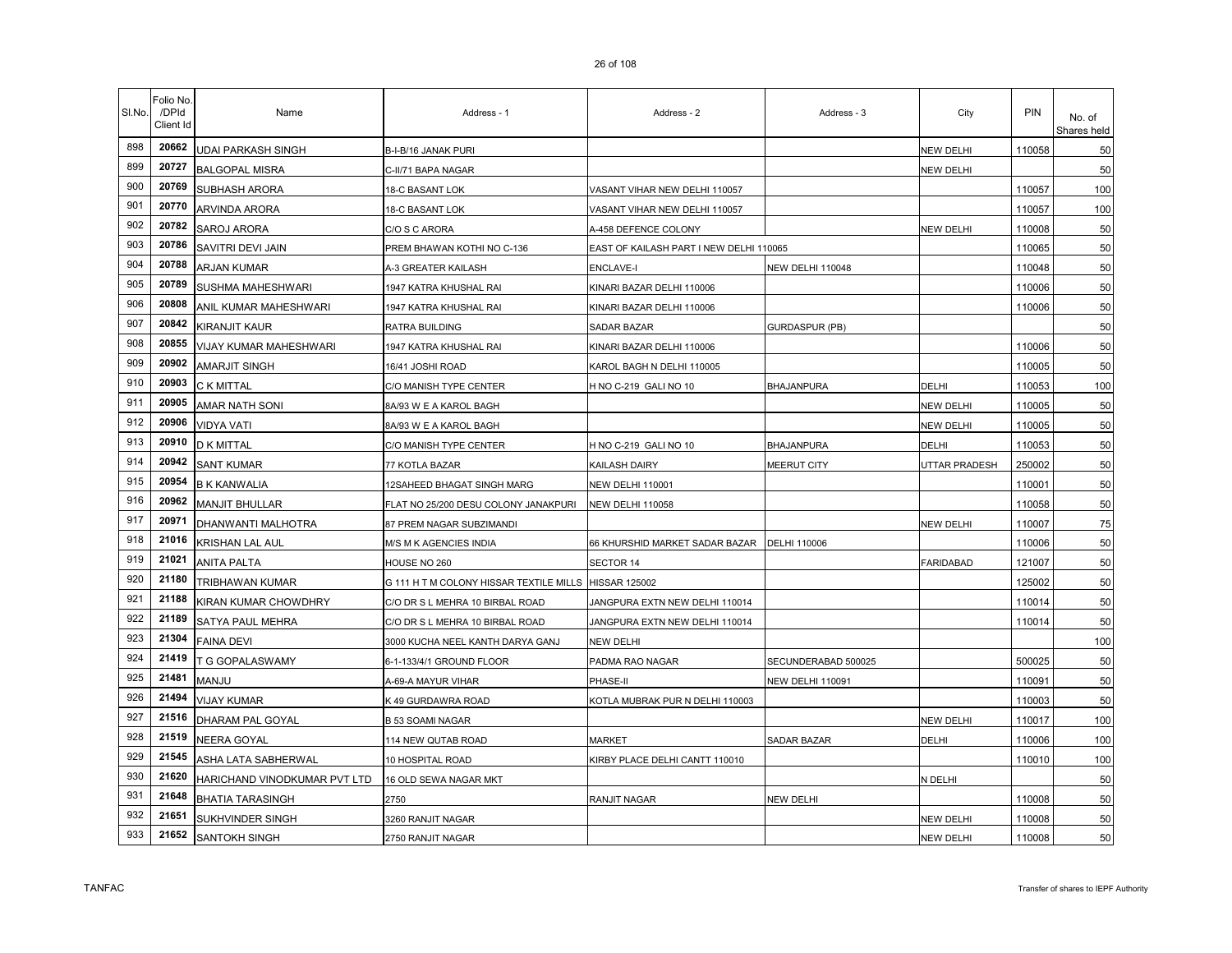| SI.No. | <sup>=</sup> olio No<br>/DPId<br>Client Id | Name                         | Address - 1                                           | Address - 2                             | Address - 3             | City                 | <b>PIN</b> | No. of<br>Shares held |
|--------|--------------------------------------------|------------------------------|-------------------------------------------------------|-----------------------------------------|-------------------------|----------------------|------------|-----------------------|
| 898    | 20662                                      | UDAI PARKASH SINGH           | B-I-B/16 JANAK PURI                                   |                                         |                         | NEW DELHI            | 110058     | 50                    |
| 899    | 20727                                      | <b>BALGOPAL MISRA</b>        | C-II/71 BAPA NAGAR                                    |                                         |                         | NEW DELHI            |            | 50                    |
| 900    | 20769                                      | <b>SUBHASH ARORA</b>         | 18-C BASANT LOK                                       | VASANT VIHAR NEW DELHI 110057           |                         |                      | 110057     | 100                   |
| 901    | 20770                                      | ARVINDA ARORA                | 18-C BASANT LOK                                       | VASANT VIHAR NEW DELHI 110057           |                         |                      | 110057     | 100                   |
| 902    | 20782                                      | SAROJ ARORA                  | C/O S C ARORA                                         | A-458 DEFENCE COLONY                    |                         | NEW DELHI            | 110008     | 50                    |
| 903    | 20786                                      | SAVITRI DEVI JAIN            | PREM BHAWAN KOTHI NO C-136                            | EAST OF KAILASH PART I NEW DELHI 110065 |                         |                      | 110065     | 50                    |
| 904    | 20788                                      | ARJAN KUMAR                  | A-3 GREATER KAILASH                                   | <b>ENCLAVE-I</b>                        | <b>NEW DELHI 110048</b> |                      | 110048     | 50                    |
| 905    | 20789                                      | SUSHMA MAHESHWARI            | 1947 KATRA KHUSHAL RAI                                | KINARI BAZAR DELHI 110006               |                         |                      | 110006     | 50                    |
| 906    | 20808                                      | ANIL KUMAR MAHESHWARI        | 1947 KATRA KHUSHAL RAI                                | KINARI BAZAR DELHI 110006               |                         |                      | 110006     | 50                    |
| 907    | 20842                                      | KIRANJIT KAUR                | RATRA BUILDING                                        | SADAR BAZAR                             | GURDASPUR (PB)          |                      |            | 50                    |
| 908    | 20855                                      | VIJAY KUMAR MAHESHWARI       | 1947 KATRA KHUSHAL RAI                                | KINARI BAZAR DELHI 110006               |                         |                      | 110006     | 50                    |
| 909    | 20902                                      | <b>AMARJIT SINGH</b>         | 16/41 JOSHI ROAD                                      | KAROL BAGH N DELHI 110005               |                         |                      | 110005     | 50                    |
| 910    | 20903                                      | <b>C K MITTAL</b>            | C/O MANISH TYPE CENTER                                | H NO C-219 GALI NO 10                   | <b>BHAJANPURA</b>       | DELHI                | 110053     | 100                   |
| 911    | 20905                                      | AMAR NATH SONI               | 8A/93 W E A KAROL BAGH                                |                                         |                         | NEW DELHI            | 110005     | 50                    |
| 912    | 20906                                      | <b>VIDYA VATI</b>            | 8A/93 W E A KAROL BAGH                                |                                         |                         | NEW DELHI            | 110005     | 50                    |
| 913    | 20910                                      | D K MITTAL                   | C/O MANISH TYPE CENTER                                | H NO C-219 GALI NO 10                   | BHAJANPURA              | DELHI                | 110053     | 50                    |
| 914    | 20942                                      | <b>SANT KUMAR</b>            | 77 KOTLA BAZAR                                        | KAILASH DAIRY                           | MEERUT CITY             | <b>JTTAR PRADESH</b> | 250002     | 50                    |
| 915    | 20954                                      | <b>B K KANWALIA</b>          | 12SAHEED BHAGAT SINGH MARG                            | <b>NEW DELHI 110001</b>                 |                         |                      | 110001     | 50                    |
| 916    | 20962                                      | <b>MANJIT BHULLAR</b>        | FLAT NO 25/200 DESU COLONY JANAKPURI                  | NEW DELHI 110058                        |                         |                      | 110058     | 50                    |
| 917    | 20971                                      | DHANWANTI MALHOTRA           | 87 PREM NAGAR SUBZIMANDI                              |                                         |                         | NEW DELHI            | 110007     | 75                    |
| 918    | 21016                                      | KRISHAN LAL AUL              | M/S M K AGENCIES INDIA                                | 66 KHURSHID MARKET SADAR BAZAR          | DELHI 110006            |                      | 110006     | 50                    |
| 919    | 21021                                      | <b>ANITA PALTA</b>           | HOUSE NO 260                                          | SECTOR 14                               |                         | <b>FARIDABAD</b>     | 121007     | 50                    |
| 920    | 21180                                      | TRIBHAWAN KUMAR              | G 111 H T M COLONY HISSAR TEXTILE MILLS HISSAR 125002 |                                         |                         |                      | 125002     | 50                    |
| 921    | 21188                                      | KIRAN KUMAR CHOWDHRY         | C/O DR S L MEHRA 10 BIRBAL ROAD                       | JANGPURA EXTN NEW DELHI 110014          |                         |                      | 110014     | 50                    |
| 922    | 21189                                      | SATYA PAUL MEHRA             | C/O DR S L MEHRA 10 BIRBAL ROAD                       | JANGPURA EXTN NEW DELHI 110014          |                         |                      | 110014     | 50                    |
| 923    | 21304                                      | <b>FAINA DEVI</b>            | 3000 KUCHA NEEL KANTH DARYA GANJ                      | <b>NEW DELHI</b>                        |                         |                      |            | 100                   |
| 924    | 21419                                      | T G GOPALASWAMY              | 6-1-133/4/1 GROUND FLOOR                              | PADMA RAO NAGAR                         | SECUNDERABAD 500025     |                      | 500025     | 50                    |
| 925    | 21481                                      | MANJU                        | A-69-A MAYUR VIHAR                                    | PHASE-II                                | <b>NEW DELHI 110091</b> |                      | 110091     | 50                    |
| 926    | 21494                                      | <b>VIJAY KUMAR</b>           | K 49 GURDAWRA ROAD                                    | KOTLA MUBRAK PUR N DELHI 110003         |                         |                      | 110003     | 50                    |
| 927    | 21516                                      | DHARAM PAL GOYAL             | <b>B 53 SOAMI NAGAR</b>                               |                                         |                         | <b>NEW DELHI</b>     | 110017     | 100                   |
| 928    | 21519                                      | NEERA GOYAL                  | 114 NEW QUTAB ROAD                                    | <b>MARKET</b>                           | SADAR BAZAR             | DELHI                | 110006     | 100                   |
| 929    | 21545                                      | ASHA LATA SABHERWAL          | 10 HOSPITAL ROAD                                      | KIRBY PLACE DELHI CANTT 110010          |                         |                      | 110010     | 100                   |
| 930    | 21620                                      | HARICHAND VINODKUMAR PVT LTD | 16 OLD SEWA NAGAR MKT                                 |                                         |                         | N DELHI              |            | 50                    |
| 931    | 21648                                      | <b>BHATIA TARASINGH</b>      | 2750                                                  | RANJIT NAGAR                            | NEW DELHI               |                      | 110008     | 50                    |
| 932    | 21651                                      | SUKHVINDER SINGH             | 3260 RANJIT NAGAR                                     |                                         |                         | <b>NEW DELHI</b>     | 110008     | 50                    |
| 933    | 21652                                      | SANTOKH SINGH                | 2750 RANJIT NAGAR                                     |                                         |                         | <b>NEW DELHI</b>     | 110008     | 50                    |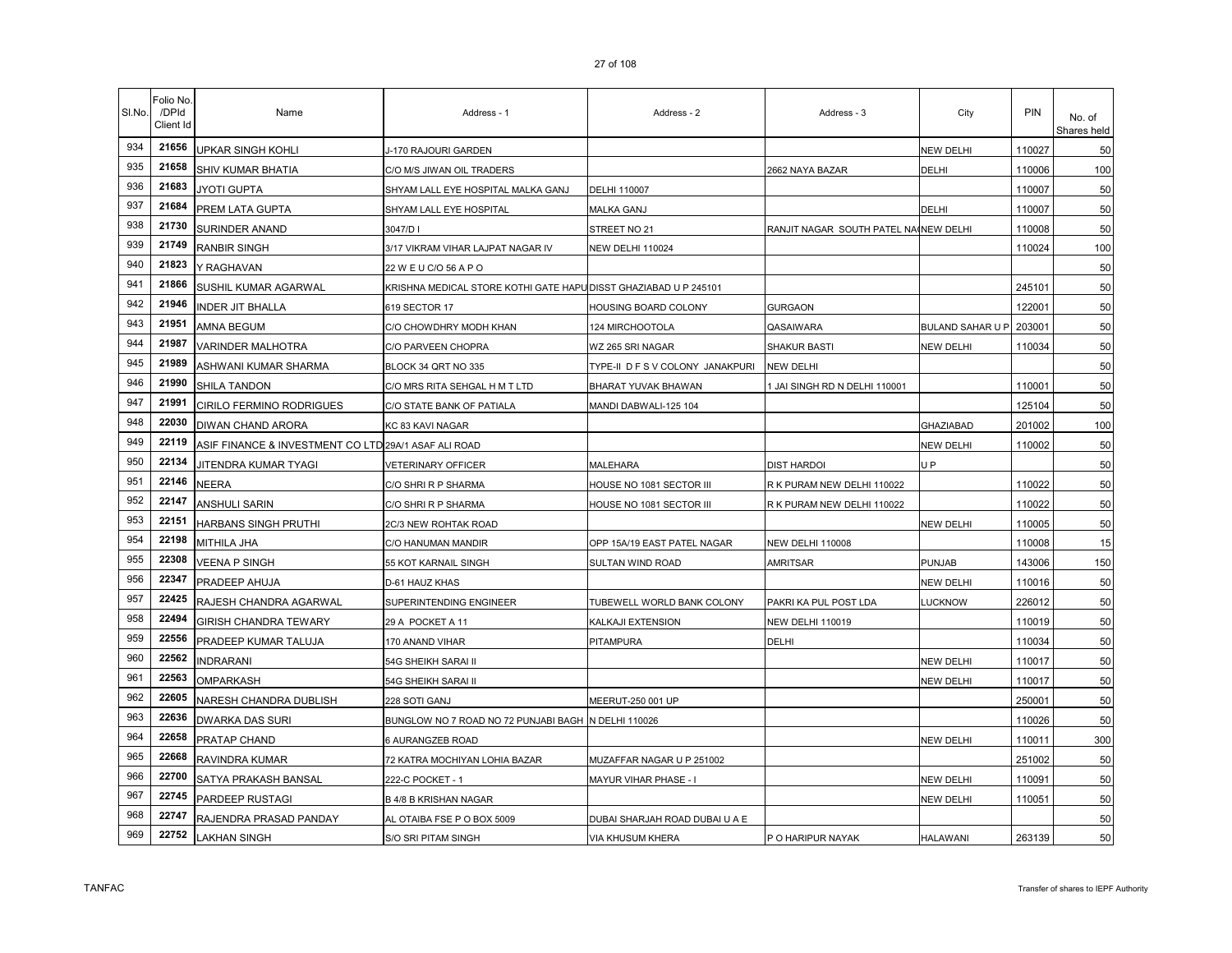| SI.No. | Folio No.<br>/DPId<br>Client Id | Name                                                 | Address - 1                                                      | Address - 2                      | Address - 3                           | City                    | <b>PIN</b> | No. of<br>Shares held |
|--------|---------------------------------|------------------------------------------------------|------------------------------------------------------------------|----------------------------------|---------------------------------------|-------------------------|------------|-----------------------|
| 934    | 21656                           | UPKAR SINGH KOHLI                                    | J-170 RAJOURI GARDEN                                             |                                  |                                       | NEW DELHI               | 110027     | 50                    |
| 935    | 21658                           | <b>SHIV KUMAR BHATIA</b>                             | C/O M/S JIWAN OIL TRADERS                                        |                                  | 2662 NAYA BAZAR                       | DELHI                   | 110006     | 100                   |
| 936    | 21683                           | JYOTI GUPTA                                          | SHYAM LALL EYE HOSPITAL MALKA GANJ                               | DELHI 110007                     |                                       |                         | 110007     | 50                    |
| 937    | 21684                           | PREM LATA GUPTA                                      | SHYAM LALL EYE HOSPITAL                                          | MALKA GANJ                       |                                       | DELHI                   | 110007     | 50                    |
| 938    | 21730                           | SURINDER ANAND                                       | 3047/DI                                                          | STREET NO 21                     | RANJIT NAGAR SOUTH PATEL NAINEW DELHI |                         | 110008     | 50                    |
| 939    | 21749                           | <b>RANBIR SINGH</b>                                  | 3/17 VIKRAM VIHAR LAJPAT NAGAR IV                                | NEW DELHI 110024                 |                                       |                         | 110024     | 100                   |
| 940    | 21823                           | Y RAGHAVAN                                           | 22 W E U C/O 56 A P O                                            |                                  |                                       |                         |            | 50                    |
| 941    | 21866                           | SUSHIL KUMAR AGARWAL                                 | KRISHNA MEDICAL STORE KOTHI GATE HAPU DISST GHAZIABAD U P 245101 |                                  |                                       |                         | 245101     | 50                    |
| 942    | 21946                           | <b>INDER JIT BHALLA</b>                              | 619 SECTOR 17                                                    | HOUSING BOARD COLONY             | <b>GURGAON</b>                        |                         | 122001     | 50                    |
| 943    | 21951                           | <b>AMNA BEGUM</b>                                    | C/O CHOWDHRY MODH KHAN                                           | 124 MIRCHOOTOLA                  | QASAIWARA                             | <b>BULAND SAHAR U P</b> | 203001     | 50                    |
| 944    | 21987                           | <b>VARINDER MALHOTRA</b>                             | C/O PARVEEN CHOPRA                                               | WZ 265 SRI NAGAR                 | SHAKUR BASTI                          | <b>NEW DELHI</b>        | 110034     | 50                    |
| 945    | 21989                           | ASHWANI KUMAR SHARMA                                 | BLOCK 34 QRT NO 335                                              | TYPE-II D F S V COLONY JANAKPURI | NEW DELHI                             |                         |            | 50                    |
| 946    | 21990                           | SHILA TANDON                                         | C/O MRS RITA SEHGAL H M T LTD                                    | BHARAT YUVAK BHAWAN              | 1 JAI SINGH RD N DELHI 110001         |                         | 110001     | 50                    |
| 947    | 21991                           | <b>CIRILO FERMINO RODRIGUES</b>                      | C/O STATE BANK OF PATIALA                                        | MANDI DABWALI-125 104            |                                       |                         | 125104     | 50                    |
| 948    | 22030                           | <b>DIWAN CHAND ARORA</b>                             | KC 83 KAVI NAGAR                                                 |                                  |                                       | GHAZIABAD               | 201002     | 100                   |
| 949    | 22119                           | ASIF FINANCE & INVESTMENT CO LTD 29A/1 ASAF ALI ROAD |                                                                  |                                  |                                       | NEW DELHI               | 110002     | 50                    |
| 950    | 22134                           | JITENDRA KUMAR TYAGI                                 | VETERINARY OFFICER                                               | MALEHARA                         | DIST HARDOI                           | U P                     |            | 50                    |
| 951    | 22146                           | <b>NEERA</b>                                         | C/O SHRI R P SHARMA                                              | HOUSE NO 1081 SECTOR III         | R K PURAM NEW DELHI 110022            |                         | 110022     | 50                    |
| 952    | 22147                           | <b>ANSHULI SARIN</b>                                 | C/O SHRI R P SHARMA                                              | HOUSE NO 1081 SECTOR III         | R K PURAM NEW DELHI 110022            |                         | 110022     | 50                    |
| 953    | 22151                           | HARBANS SINGH PRUTHI                                 | 2C/3 NEW ROHTAK ROAD                                             |                                  |                                       | <b>NEW DELHI</b>        | 110005     | 50                    |
| 954    | 22198                           | MITHILA JHA                                          | C/O HANUMAN MANDIR                                               | OPP 15A/19 EAST PATEL NAGAR      | <b>NEW DELHI 110008</b>               |                         | 110008     | 15                    |
| 955    | 22308                           | VEENA P SINGH                                        | 55 KOT KARNAIL SINGH                                             | SULTAN WIND ROAD                 | AMRITSAR                              | <b>PUNJAB</b>           | 143006     | 150                   |
| 956    | 22347                           | PRADEEP AHUJA                                        | D-61 HAUZ KHAS                                                   |                                  |                                       | <b>NEW DELHI</b>        | 110016     | 50                    |
| 957    | 22425                           | RAJESH CHANDRA AGARWAL                               | SUPERINTENDING ENGINEER                                          | TUBEWELL WORLD BANK COLONY       | PAKRI KA PUL POST LDA                 | <b>LUCKNOW</b>          | 226012     | 50                    |
| 958    | 22494                           | <b>GIRISH CHANDRA TEWARY</b>                         | 29 A POCKET A 11                                                 | KALKAJI EXTENSION                | <b>NEW DELHI 110019</b>               |                         | 110019     | 50                    |
| 959    | 22556                           | PRADEEP KUMAR TALUJA                                 | 170 ANAND VIHAR                                                  | PITAMPURA                        | DELHI                                 |                         | 110034     | 50                    |
| 960    | 22562                           | <b>INDRARANI</b>                                     | 54G SHEIKH SARAI II                                              |                                  |                                       | <b>NEW DELHI</b>        | 110017     | 50                    |
| 961    | 22563                           | <b>OMPARKASH</b>                                     | 54G SHEIKH SARAI II                                              |                                  |                                       | <b>NEW DELHI</b>        | 110017     | 50                    |
| 962    | 22605                           | NARESH CHANDRA DUBLISH                               | 228 SOTI GANJ                                                    | MEERUT-250 001 UP                |                                       |                         | 250001     | 50                    |
| 963    | 22636                           | <b>DWARKA DAS SURI</b>                               | BUNGLOW NO 7 ROAD NO 72 PUNJABI BAGH N DELHI 110026              |                                  |                                       |                         | 110026     | 50                    |
| 964    | 22658                           | PRATAP CHAND                                         | 6 AURANGZEB ROAD                                                 |                                  |                                       | <b>NEW DELHI</b>        | 110011     | 300                   |
| 965    | 22668                           | RAVINDRA KUMAR                                       | 72 KATRA MOCHIYAN LOHIA BAZAR                                    | MUZAFFAR NAGAR U P 251002        |                                       |                         | 251002     | 50                    |
| 966    | 22700                           | SATYA PRAKASH BANSAL                                 | 222-C POCKET - 1                                                 | MAYUR VIHAR PHASE - I            |                                       | <b>NEW DELHI</b>        | 110091     | 50                    |
| 967    | 22745                           | PARDEEP RUSTAGI                                      | <b>B 4/8 B KRISHAN NAGAR</b>                                     |                                  |                                       | <b>NEW DELHI</b>        | 110051     | 50                    |
| 968    | 22747                           | RAJENDRA PRASAD PANDAY                               | AL OTAIBA FSE P O BOX 5009                                       | DUBAI SHARJAH ROAD DUBAI U A E   |                                       |                         |            | 50                    |
| 969    | 22752                           | AKHAN SINGH                                          | S/O SRI PITAM SINGH                                              | VIA KHUSUM KHERA                 | P O HARIPUR NAYAK                     | <b>HALAWANI</b>         | 263139     | 50                    |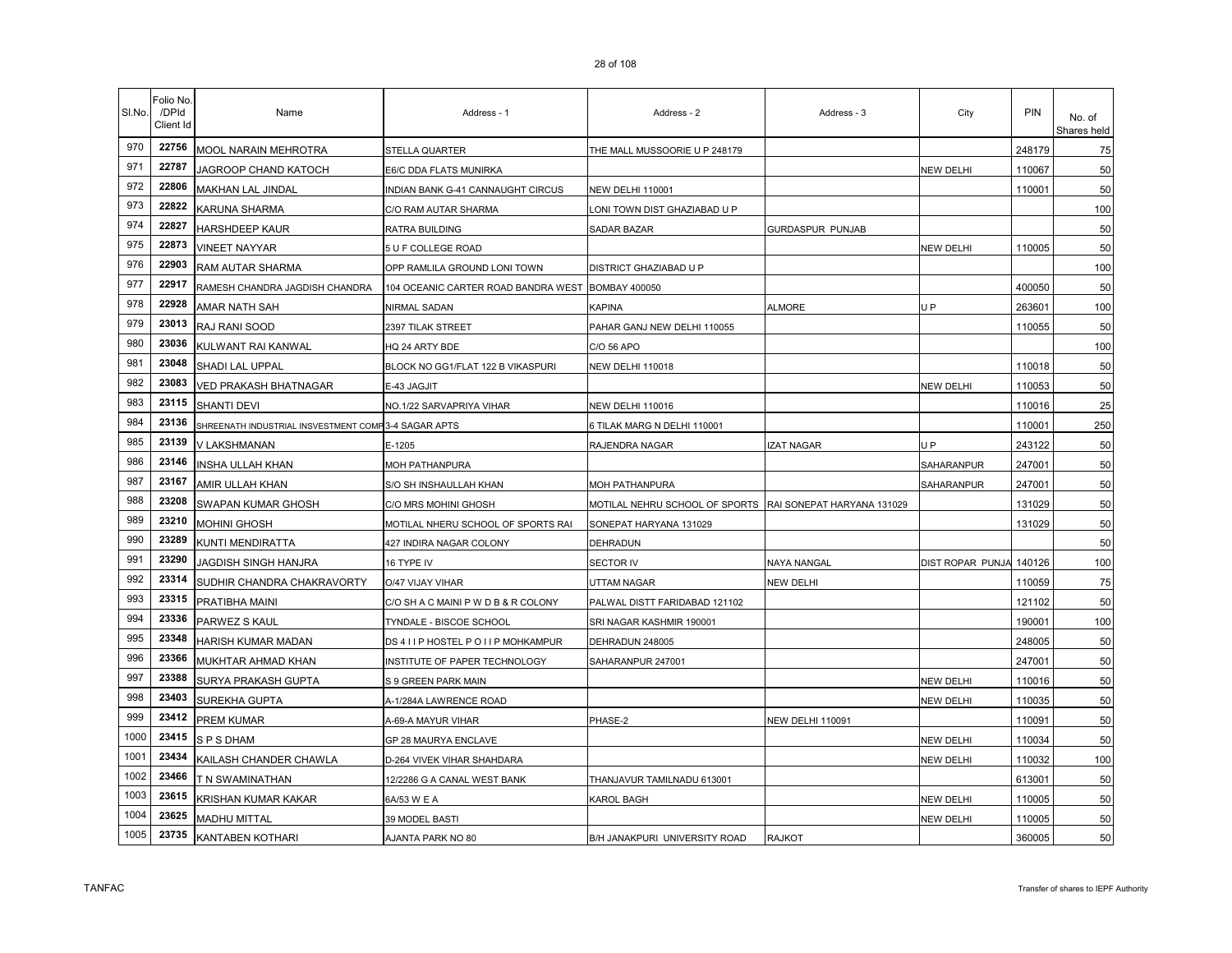| SI.No. | Folio No<br>/DPId<br>Client Id | Name                                                 | Address - 1                                       | Address - 2                    | Address - 3                | City             | <b>PIN</b> | No. of<br>Shares held |
|--------|--------------------------------|------------------------------------------------------|---------------------------------------------------|--------------------------------|----------------------------|------------------|------------|-----------------------|
| 970    | 22756                          | MOOL NARAIN MEHROTRA                                 | STELLA QUARTER                                    | THE MALL MUSSOORIE U P 248179  |                            |                  | 248179     | 75                    |
| 971    | 22787                          | JAGROOP CHAND KATOCH                                 | E6/C DDA FLATS MUNIRKA                            |                                |                            | NEW DELHI        | 110067     | 50                    |
| 972    | 22806                          | MAKHAN LAL JINDAL                                    | NDIAN BANK G-41 CANNAUGHT CIRCUS                  | <b>NEW DELHI 110001</b>        |                            |                  | 110001     | 50                    |
| 973    | 22822                          | KARUNA SHARMA                                        | C/O RAM AUTAR SHARMA                              | LONI TOWN DIST GHAZIABAD U P   |                            |                  |            | 100                   |
| 974    | 22827                          | HARSHDEEP KAUR                                       | RATRA BUILDING                                    | SADAR BAZAR                    | GURDASPUR PUNJAB           |                  |            | 50                    |
| 975    | 22873                          | <b>VINEET NAYYAR</b>                                 | 5 U F COLLEGE ROAD                                |                                |                            | <b>NEW DELHI</b> | 110005     | 50                    |
| 976    | 22903                          | RAM AUTAR SHARMA                                     | OPP RAMLILA GROUND LONI TOWN                      | DISTRICT GHAZIABAD U P         |                            |                  |            | 100                   |
| 977    | 22917                          | RAMESH CHANDRA JAGDISH CHANDRA                       | 104 OCEANIC CARTER ROAD BANDRA WEST BOMBAY 400050 |                                |                            |                  | 400050     | 50                    |
| 978    | 22928                          | AMAR NATH SAH                                        | NIRMAL SADAN                                      | <b>KAPINA</b>                  | ALMORE                     | U <sub>P</sub>   | 263601     | 100                   |
| 979    | 23013                          | RAJ RANI SOOD                                        | 2397 TILAK STREET                                 | PAHAR GANJ NEW DELHI 110055    |                            |                  | 110055     | 50                    |
| 980    | 23036                          | KULWANT RAI KANWAL                                   | HQ 24 ARTY BDE                                    | C/O 56 APO                     |                            |                  |            | 100                   |
| 981    | 23048                          | SHADI LAL UPPAL                                      | BLOCK NO GG1/FLAT 122 B VIKASPURI                 | NEW DELHI 110018               |                            |                  | 110018     | 50                    |
| 982    | 23083                          | <b>VED PRAKASH BHATNAGAR</b>                         | E-43 JAGJIT                                       |                                |                            | NEW DELHI        | 110053     | 50                    |
| 983    | 23115                          | <b>SHANTI DEVI</b>                                   | NO.1/22 SARVAPRIYA VIHAR                          | NEW DELHI 110016               |                            |                  | 110016     | 25                    |
| 984    | 23136                          | SHREENATH INDUSTRIAL INSVESTMENT COMP 3-4 SAGAR APTS |                                                   | 6 TILAK MARG N DELHI 110001    |                            |                  | 110001     | 250                   |
| 985    | 23139                          | V LAKSHMANAN                                         | E-1205                                            | RAJENDRA NAGAR                 | <b>ZAT NAGAR</b>           | U <sub>P</sub>   | 243122     | 50                    |
| 986    | 23146                          | INSHA ULLAH KHAN                                     | MOH PATHANPURA                                    |                                |                            | SAHARANPUR       | 247001     | 50                    |
| 987    | 23167                          | AMIR ULLAH KHAN                                      | S/O SH INSHAULLAH KHAN                            | MOH PATHANPURA                 |                            | SAHARANPUR       | 247001     | 50                    |
| 988    | 23208                          | SWAPAN KUMAR GHOSH                                   | C/O MRS MOHINI GHOSH                              | MOTILAL NEHRU SCHOOL OF SPORTS | RAI SONEPAT HARYANA 131029 |                  | 131029     | 50                    |
| 989    | 23210                          | MOHINI GHOSH                                         | MOTILAL NHERU SCHOOL OF SPORTS RAI                | SONEPAT HARYANA 131029         |                            |                  | 131029     | 50                    |
| 990    | 23289                          | KUNTI MENDIRATTA                                     | 427 INDIRA NAGAR COLONY                           | DEHRADUN                       |                            |                  |            | 50                    |
| 991    | 23290                          | JAGDISH SINGH HANJRA                                 | 16 TYPE IV                                        | SECTOR IV                      | NAYA NANGAL                | DIST ROPAR PUNJA | 140126     | 100                   |
| 992    | 23314                          | SUDHIR CHANDRA CHAKRAVORTY                           | O/47 VIJAY VIHAR                                  | UTTAM NAGAR                    | NEW DELHI                  |                  | 110059     | 75                    |
| 993    | 23315                          | PRATIBHA MAINI                                       | C/O SH A C MAINI P W D B & R COLONY               | PALWAL DISTT FARIDABAD 121102  |                            |                  | 121102     | 50                    |
| 994    | 23336                          | PARWEZ S KAUL                                        | TYNDALE - BISCOE SCHOOL                           | SRI NAGAR KASHMIR 190001       |                            |                  | 190001     | 100                   |
| 995    | 23348                          | HARISH KUMAR MADAN                                   | DS 4 I I P HOSTEL P O I I P MOHKAMPUR             | DEHRADUN 248005                |                            |                  | 248005     | 50                    |
| 996    | 23366                          | MUKHTAR AHMAD KHAN                                   | INSTITUTE OF PAPER TECHNOLOGY                     | SAHARANPUR 247001              |                            |                  | 247001     | 50                    |
| 997    | 23388                          | SURYA PRAKASH GUPTA                                  | S 9 GREEN PARK MAIN                               |                                |                            | <b>NEW DELHI</b> | 110016     | 50                    |
| 998    | 23403                          | <b>SUREKHA GUPTA</b>                                 | A-1/284A LAWRENCE ROAD                            |                                |                            | <b>NEW DELHI</b> | 110035     | 50                    |
| 999    | 23412                          | <b>PREM KUMAR</b>                                    | A-69-A MAYUR VIHAR                                | PHASE-2                        | <b>NEW DELHI 110091</b>    |                  | 110091     | 50                    |
| 1000   | 23415                          | SPSDHAM                                              | GP 28 MAURYA ENCLAVE                              |                                |                            | <b>NEW DELHI</b> | 110034     | 50                    |
| 1001   | 23434                          | KAILASH CHANDER CHAWLA                               | D-264 VIVEK VIHAR SHAHDARA                        |                                |                            | NEW DELHI        | 110032     | 100                   |
| 1002   | 23466                          | T N SWAMINATHAN                                      | 12/2286 G A CANAL WEST BANK                       | THANJAVUR TAMILNADU 613001     |                            |                  | 613001     | 50                    |
| 1003   | 23615                          | KRISHAN KUMAR KAKAR                                  | 6A/53 W E A                                       | KAROL BAGH                     |                            | NEW DELHI        | 110005     | 50                    |
| 1004   | 23625                          | <b>MADHU MITTAL</b>                                  | 39 MODEL BASTI                                    |                                |                            | NEW DELHI        | 110005     | 50                    |
| 1005   | 23735                          | KANTABEN KOTHARI                                     | AJANTA PARK NO 80                                 | B/H JANAKPURI UNIVERSITY ROAD  | <b>RAJKOT</b>              |                  | 360005     | 50                    |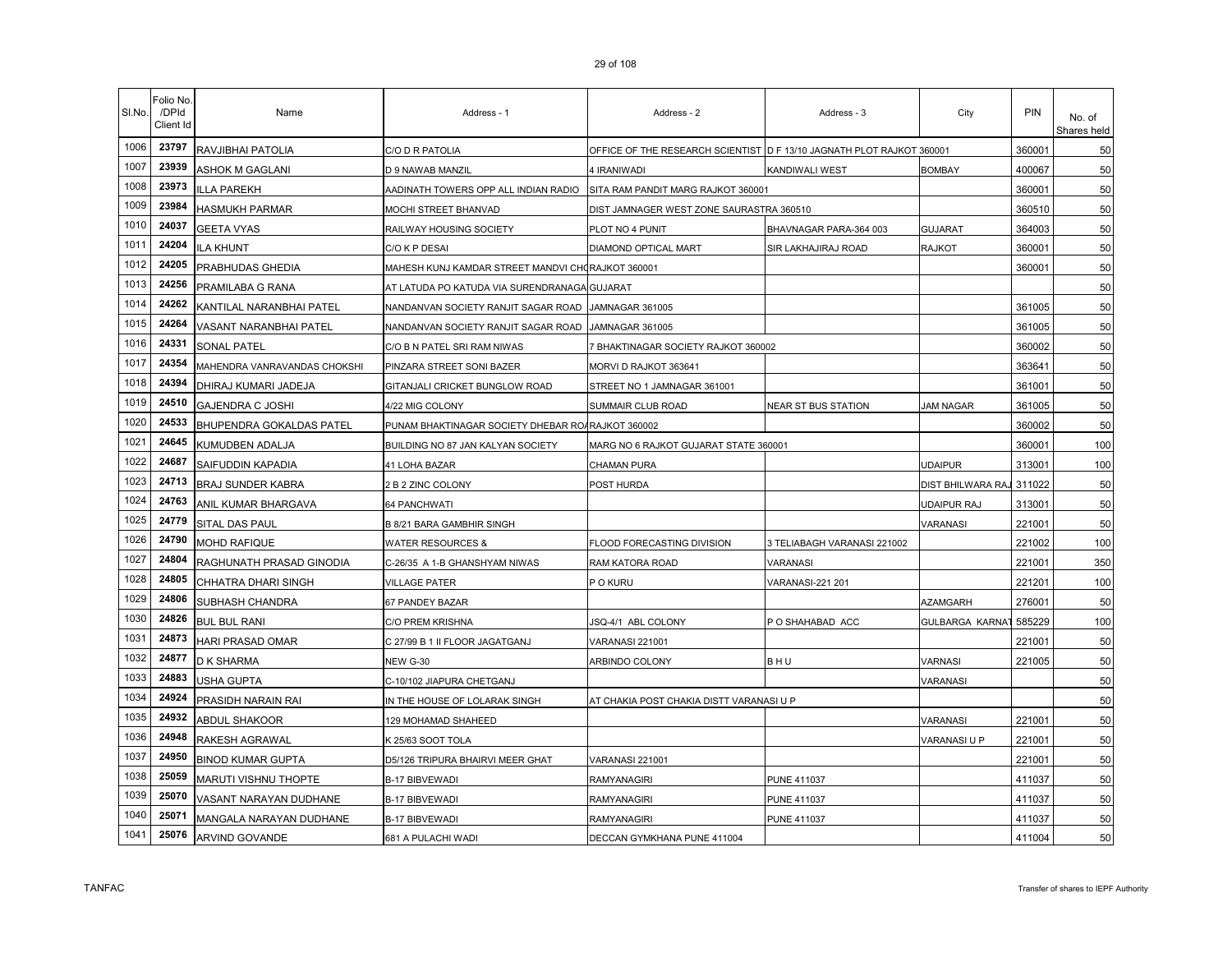| SI.No. | Folio No<br>/DPId<br>Client Id | Name                         | Address - 1                                       | Address - 2                                                           | Address - 3                 | City                   | PIN                | No. of<br>Shares held |
|--------|--------------------------------|------------------------------|---------------------------------------------------|-----------------------------------------------------------------------|-----------------------------|------------------------|--------------------|-----------------------|
| 1006   | 23797                          | RAVJIBHAI PATOLIA            | C/O D R PATOLIA                                   | OFFICE OF THE RESEARCH SCIENTIST O F 13/10 JAGNATH PLOT RAJKOT 360001 |                             |                        | 360001             | 50                    |
| 1007   | 23939                          | ASHOK M GAGLANI              | D 9 NAWAB MANZIL                                  | 4 IRANIWADI                                                           | KANDIWALI WEST              | <b>BOMBAY</b>          | 400067             | 50                    |
| 1008   | 23973                          | <b>ILLA PAREKH</b>           | AADINATH TOWERS OPP ALL INDIAN RADIO              | SITA RAM PANDIT MARG RAJKOT 360001                                    |                             |                        | 360001             | 50                    |
| 1009   | 23984                          | <b>HASMUKH PARMAR</b>        | MOCHI STREET BHANVAD                              | DIST JAMNAGER WEST ZONE SAURASTRA 360510                              |                             |                        | 360510             | 50                    |
| 1010   | 24037                          | <b>GEETA VYAS</b>            | RAILWAY HOUSING SOCIETY                           | PLOT NO 4 PUNIT                                                       | BHAVNAGAR PARA-364 003      | <b>GUJARAT</b>         | 364003             | 50                    |
| 1011   | 24204                          | <b>ILA KHUNT</b>             | C/O K P DESAI                                     | DIAMOND OPTICAL MART                                                  | SIR LAKHAJIRAJ ROAD         | <b>RAJKOT</b>          | 360001             | 50                    |
| 1012   | 24205                          | PRABHUDAS GHEDIA             | MAHESH KUNJ KAMDAR STREET MANDVI CHORAJKOT 360001 |                                                                       |                             |                        | 36000 <sup>-</sup> | 50                    |
| 1013   | 24256                          | PRAMILABA G RANA             | AT LATUDA PO KATUDA VIA SURENDRANAGA GUJARAT      |                                                                       |                             |                        |                    | 50                    |
| 1014   | 24262                          | KANTILAL NARANBHAI PATEL     | NANDANVAN SOCIETY RANJIT SAGAR ROAD               | JAMNAGAR 361005                                                       |                             |                        | 361005             | 50                    |
| 1015   | 24264                          | VASANT NARANBHAI PATEL       | NANDANVAN SOCIETY RANJIT SAGAR ROAD               | JAMNAGAR 361005                                                       |                             |                        | 361005             | 50                    |
| 1016   | 24331                          | <b>SONAL PATEL</b>           | C/O B N PATEL SRI RAM NIWAS                       | 7 BHAKTINAGAR SOCIETY RAJKOT 360002                                   |                             |                        | 360002             | 50                    |
| 1017   | 24354                          | MAHENDRA VANRAVANDAS CHOKSHI | PINZARA STREET SONI BAZER                         | MORVI D RAJKOT 363641                                                 |                             |                        | 363641             | 50                    |
| 1018   | 24394                          | DHIRAJ KUMARI JADEJA         | GITANJALI CRICKET BUNGLOW ROAD                    | STREET NO 1 JAMNAGAR 361001                                           |                             |                        | 361001             | 50                    |
| 1019   | 24510                          | <b>GAJENDRA C JOSHI</b>      | 4/22 MIG COLONY                                   | SUMMAIR CLUB ROAD                                                     | NEAR ST BUS STATION         | JAM NAGAR              | 361005             | 50                    |
| 1020   | 24533                          | BHUPENDRA GOKALDAS PATEL     | PUNAM BHAKTINAGAR SOCIETY DHEBAR ROA              | <b>RAJKOT 360002</b>                                                  |                             |                        | 360002             | 50                    |
| 1021   | 24645                          | KUMUDBEN ADALJA              | BUILDING NO 87 JAN KALYAN SOCIETY                 | MARG NO 6 RAJKOT GUJARAT STATE 360001                                 |                             |                        | 360001             | 100                   |
| 1022   | 24687                          | SAIFUDDIN KAPADIA            | 41 LOHA BAZAR                                     | CHAMAN PURA                                                           |                             | <b>UDAIPUR</b>         | 313001             | 100                   |
| 1023   | 24713                          | <b>BRAJ SUNDER KABRA</b>     | 2 B 2 ZINC COLONY                                 | POST HURDA                                                            |                             | DIST BHILWARA RAJ      | 311022             | 50                    |
| 1024   | 24763                          | ANIL KUMAR BHARGAVA          | 64 PANCHWATI                                      |                                                                       |                             | UDAIPUR RAJ            | 313001             | 50                    |
| 1025   | 24779                          | SITAL DAS PAUL               | B 8/21 BARA GAMBHIR SINGH                         |                                                                       |                             | <b>VARANASI</b>        | 221001             | 50                    |
| 1026   | 24790                          | <b>MOHD RAFIQUE</b>          | <b>WATER RESOURCES &amp;</b>                      | FLOOD FORECASTING DIVISION                                            | 3 TELIABAGH VARANASI 221002 |                        | 221002             | 100                   |
| 1027   | 24804                          | RAGHUNATH PRASAD GINODIA     | C-26/35 A 1-B GHANSHYAM NIWAS                     | RAM KATORA ROAD                                                       | VARANASI                    |                        | 221001             | 350                   |
| 1028   | 24805                          | CHHATRA DHARI SINGH          | <b>VILLAGE PATER</b>                              | P O KURU                                                              | VARANASI-221 201            |                        | 221201             | 100                   |
| 1029   | 24806                          | SUBHASH CHANDRA              | 67 PANDEY BAZAR                                   |                                                                       |                             | <b>AZAMGARH</b>        | 276001             | 50                    |
| 1030   | 24826                          | <b>BUL BUL RANI</b>          | C/O PREM KRISHNA                                  | JSQ-4/1 ABL COLONY                                                    | P O SHAHABAD ACC            | <b>GULBARGA KARNAT</b> | 585229             | 100                   |
| 1031   | 24873                          | HARI PRASAD OMAR             | C 27/99 B 1 II FLOOR JAGATGANJ                    | VARANASI 221001                                                       |                             |                        | 221001             | 50                    |
| 1032   | 24877                          | D K SHARMA                   | <b>NEW G-30</b>                                   | ARBINDO COLONY                                                        | BHU                         | <b>VARNASI</b>         | 221005             | 50                    |
| 1033   | 24883                          | USHA GUPTA                   | C-10/102 JIAPURA CHETGANJ                         |                                                                       |                             | VARANASI               |                    | 50                    |
| 1034   | 24924                          | PRASIDH NARAIN RAI           | IN THE HOUSE OF LOLARAK SINGH                     | AT CHAKIA POST CHAKIA DISTT VARANASI U P                              |                             |                        |                    | 50                    |
| 1035   | 24932                          | ABDUL SHAKOOR                | 129 MOHAMAD SHAHEED                               |                                                                       |                             | VARANASI               | 221001             | 50                    |
| 1036   | 24948                          | RAKESH AGRAWAL               | K 25/63 SOOT TOLA                                 |                                                                       |                             | VARANASI U P           | 221001             | 50                    |
| 1037   | 24950                          | <b>BINOD KUMAR GUPTA</b>     | D5/126 TRIPURA BHAIRVI MEER GHAT                  | VARANASI 221001                                                       |                             |                        | 221001             | 50                    |
| 1038   | 25059                          | MARUTI VISHNU THOPTE         | <b>B-17 BIBVEWADI</b>                             | RAMYANAGIRI                                                           | <b>PUNE 411037</b>          |                        | 411037             | 50                    |
| 1039   | 25070                          | VASANT NARAYAN DUDHANE       | <b>B-17 BIBVEWADI</b>                             | RAMYANAGIRI                                                           | <b>PUNE 411037</b>          |                        | 411037             | 50                    |
| 1040   | 25071                          | MANGALA NARAYAN DUDHANE      | <b>B-17 BIBVEWADI</b>                             | RAMYANAGIRI                                                           | <b>PUNE 411037</b>          |                        | 411037             | 50                    |
| 1041   | 25076                          | <b>ARVIND GOVANDE</b>        | 681 A PULACHI WADI                                | DECCAN GYMKHANA PUNE 411004                                           |                             |                        | 411004             | 50                    |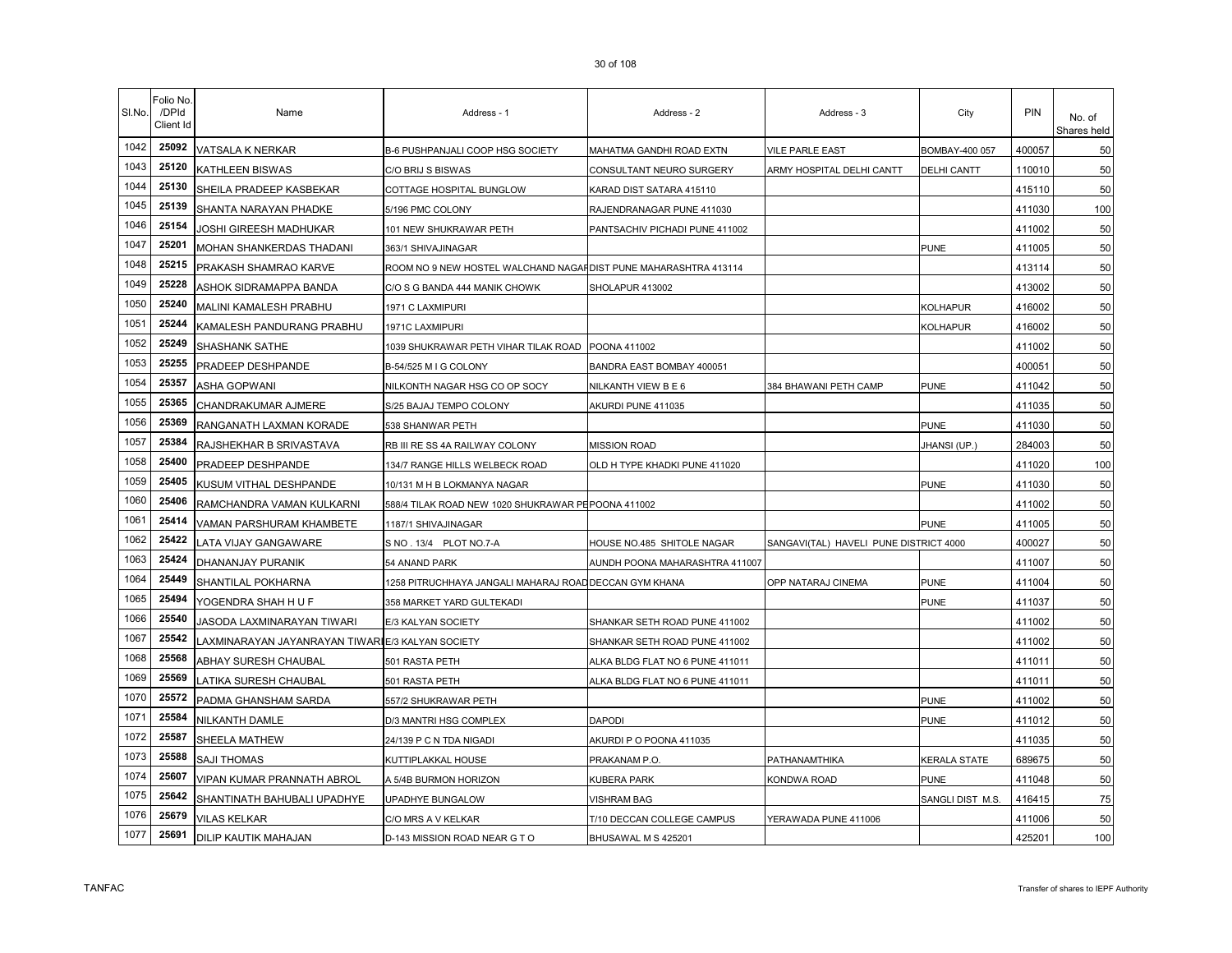| SI.No. | Folio No<br>/DPId<br>Client Id | Name                                             | Address - 1                                                     | Address - 2                     | Address - 3                            | City               | PIN    | No. of<br>Shares held |
|--------|--------------------------------|--------------------------------------------------|-----------------------------------------------------------------|---------------------------------|----------------------------------------|--------------------|--------|-----------------------|
| 1042   | 25092                          | VATSALA K NERKAR                                 | <b>B-6 PUSHPANJALI COOP HSG SOCIETY</b>                         | MAHATMA GANDHI ROAD EXTN        | <b>VILE PARLE EAST</b>                 | BOMBAY-400 057     | 400057 | 50                    |
| 1043   | 25120                          | KATHLEEN BISWAS                                  | C/O BRIJ S BISWAS                                               | CONSULTANT NEURO SURGERY        | ARMY HOSPITAL DELHI CANTT              | <b>DELHI CANTT</b> | 110010 | 50                    |
| 1044   | 25130                          | SHEILA PRADEEP KASBEKAR                          | COTTAGE HOSPITAL BUNGLOW                                        | KARAD DIST SATARA 415110        |                                        |                    | 415110 | 50                    |
| 1045   | 25139                          | SHANTA NARAYAN PHADKE                            | 5/196 PMC COLONY                                                | RAJENDRANAGAR PUNE 411030       |                                        |                    | 411030 | 100                   |
| 1046   | 25154                          | JOSHI GIREESH MADHUKAR                           | 101 NEW SHUKRAWAR PETH                                          | PANTSACHIV PICHADI PUNE 411002  |                                        |                    | 411002 | 50                    |
| 1047   | 25201                          | MOHAN SHANKERDAS THADANI                         | 363/1 SHIVAJINAGAR                                              |                                 |                                        | <b>PUNE</b>        | 411005 | 50                    |
| 1048   | 25215                          | PRAKASH SHAMRAO KARVE                            | ROOM NO 9 NEW HOSTEL WALCHAND NAGAHDIST PUNE MAHARASHTRA 413114 |                                 |                                        |                    | 413114 | 50                    |
| 1049   | 25228                          | ASHOK SIDRAMAPPA BANDA                           | C/O S G BANDA 444 MANIK CHOWK                                   | SHOLAPUR 413002                 |                                        |                    | 413002 | 50                    |
| 1050   | 25240                          | MALINI KAMALESH PRABHU                           | 1971 C LAXMIPURI                                                |                                 |                                        | <b>KOLHAPUR</b>    | 416002 | 50                    |
| 1051   | 25244                          | KAMALESH PANDURANG PRABHU                        | 1971C LAXMIPURI                                                 |                                 |                                        | KOLHAPUR           | 416002 | 50                    |
| 1052   | 25249                          | SHASHANK SATHE                                   | 1039 SHUKRAWAR PETH VIHAR TILAK ROAD                            | POONA 411002                    |                                        |                    | 411002 | 50                    |
| 1053   | 25255                          | PRADEEP DESHPANDE                                | B-54/525 M I G COLONY                                           | BANDRA EAST BOMBAY 400051       |                                        |                    | 400051 | 50                    |
| 1054   | 25357                          | ASHA GOPWANI                                     | NILKONTH NAGAR HSG CO OP SOCY                                   | NILKANTH VIEW B E 6             | 384 BHAWANI PETH CAMP                  | <b>PUNE</b>        | 411042 | 50                    |
| 1055   | 25365                          | CHANDRAKUMAR AJMERE                              | S/25 BAJAJ TEMPO COLONY                                         | AKURDI PUNE 411035              |                                        |                    | 411035 | 50                    |
| 1056   | 25369                          | RANGANATH LAXMAN KORADE                          | 538 SHANWAR PETH                                                |                                 |                                        | <b>PUNE</b>        | 411030 | 50                    |
| 1057   | 25384                          | RAJSHEKHAR B SRIVASTAVA                          | RB III RE SS 4A RAILWAY COLONY                                  | <b>MISSION ROAD</b>             |                                        | JHANSI (UP.)       | 284003 | 50                    |
| 1058   | 25400                          | PRADEEP DESHPANDE                                | 134/7 RANGE HILLS WELBECK ROAD                                  | OLD H TYPE KHADKI PUNE 411020   |                                        |                    | 411020 | 100                   |
| 1059   | 25405                          | KUSUM VITHAL DESHPANDE                           | 10/131 M H B LOKMANYA NAGAR                                     |                                 |                                        | <b>PUNE</b>        | 411030 | 50                    |
| 1060   | 25406                          | RAMCHANDRA VAMAN KULKARNI                        | 588/4 TILAK ROAD NEW 1020 SHUKRAWAR PEPOONA 411002              |                                 |                                        |                    | 411002 | 50                    |
| 1061   | 25414                          | VAMAN PARSHURAM KHAMBETE                         | 1187/1 SHIVAJINAGAR                                             |                                 |                                        | <b>PUNE</b>        | 411005 | 50                    |
| 1062   | 25422                          | LATA VIJAY GANGAWARE                             | S NO . 13/4 PLOT NO.7-A                                         | HOUSE NO.485 SHITOLE NAGAR      | SANGAVI(TAL) HAVELI PUNE DISTRICT 4000 |                    | 400027 | 50                    |
| 1063   | 25424                          | DHANANJAY PURANIK                                | 54 ANAND PARK                                                   | AUNDH POONA MAHARASHTRA 411007  |                                        |                    | 411007 | 50                    |
| 1064   | 25449                          | SHANTILAL POKHARNA                               | 1258 PITRUCHHAYA JANGALI MAHARAJ ROAD DECCAN GYM KHANA          |                                 | OPP NATARAJ CINEMA                     | <b>PUNE</b>        | 411004 | 50                    |
| 1065   | 25494                          | YOGENDRA SHAH H U F                              | 358 MARKET YARD GULTEKADI                                       |                                 |                                        | <b>PUNE</b>        | 411037 | 50                    |
| 1066   | 25540                          | JASODA LAXMINARAYAN TIWARI                       | E/3 KALYAN SOCIETY                                              | SHANKAR SETH ROAD PUNE 411002   |                                        |                    | 411002 | 50                    |
| 1067   | 25542                          | LAXMINARAYAN JAYANRAYAN TIWAR∥E/3 KALYAN SOCIETY |                                                                 | SHANKAR SETH ROAD PUNE 411002   |                                        |                    | 411002 | 50                    |
| 1068   | 25568                          | ABHAY SURESH CHAUBAL                             | 501 RASTA PETH                                                  | ALKA BLDG FLAT NO 6 PUNE 411011 |                                        |                    | 411011 | 50                    |
| 1069   | 25569                          | LATIKA SURESH CHAUBAL                            | 501 RASTA PETH                                                  | ALKA BLDG FLAT NO 6 PUNE 411011 |                                        |                    | 411011 | 50                    |
| 1070   | 25572                          | PADMA GHANSHAM SARDA                             | 557/2 SHUKRAWAR PETH                                            |                                 |                                        | <b>PUNE</b>        | 411002 | 50                    |
| 1071   | 25584                          | <b>NILKANTH DAMLE</b>                            | D/3 MANTRI HSG COMPLEX                                          | <b>DAPODI</b>                   |                                        | <b>PUNE</b>        | 411012 | 50                    |
| 1072   | 25587                          | SHEELA MATHEW                                    | 24/139 P C N TDA NIGADI                                         | AKURDI P O POONA 411035         |                                        |                    | 411035 | 50                    |
| 1073   | 25588                          | <b>SAJI THOMAS</b>                               | KUTTIPLAKKAL HOUSE                                              | PRAKANAM P.O                    | PATHANAMTHIKA                          | KERALA STATE       | 689675 | 50                    |
| 1074   | 25607                          | <b>VIPAN KUMAR PRANNATH ABROL</b>                | A 5/4B BURMON HORIZON                                           | KUBERA PARK                     | KONDWA ROAD                            | <b>PUNE</b>        | 411048 | 50                    |
| 1075   | 25642                          | SHANTINATH BAHUBALI UPADHYE                      | UPADHYE BUNGALOW                                                | VISHRAM BAG                     |                                        | SANGLI DIST M.S.   | 416415 | 75                    |
| 1076   | 25679                          | <b>VILAS KELKAR</b>                              | C/O MRS A V KELKAR                                              | T/10 DECCAN COLLEGE CAMPUS      | YERAWADA PUNE 411006                   |                    | 411006 | 50                    |
| 1077   | 25691                          | <b>DILIP KAUTIK MAHAJAN</b>                      | D-143 MISSION ROAD NEAR G TO                                    | BHUSAWAL M S 425201             |                                        |                    | 425201 | 100                   |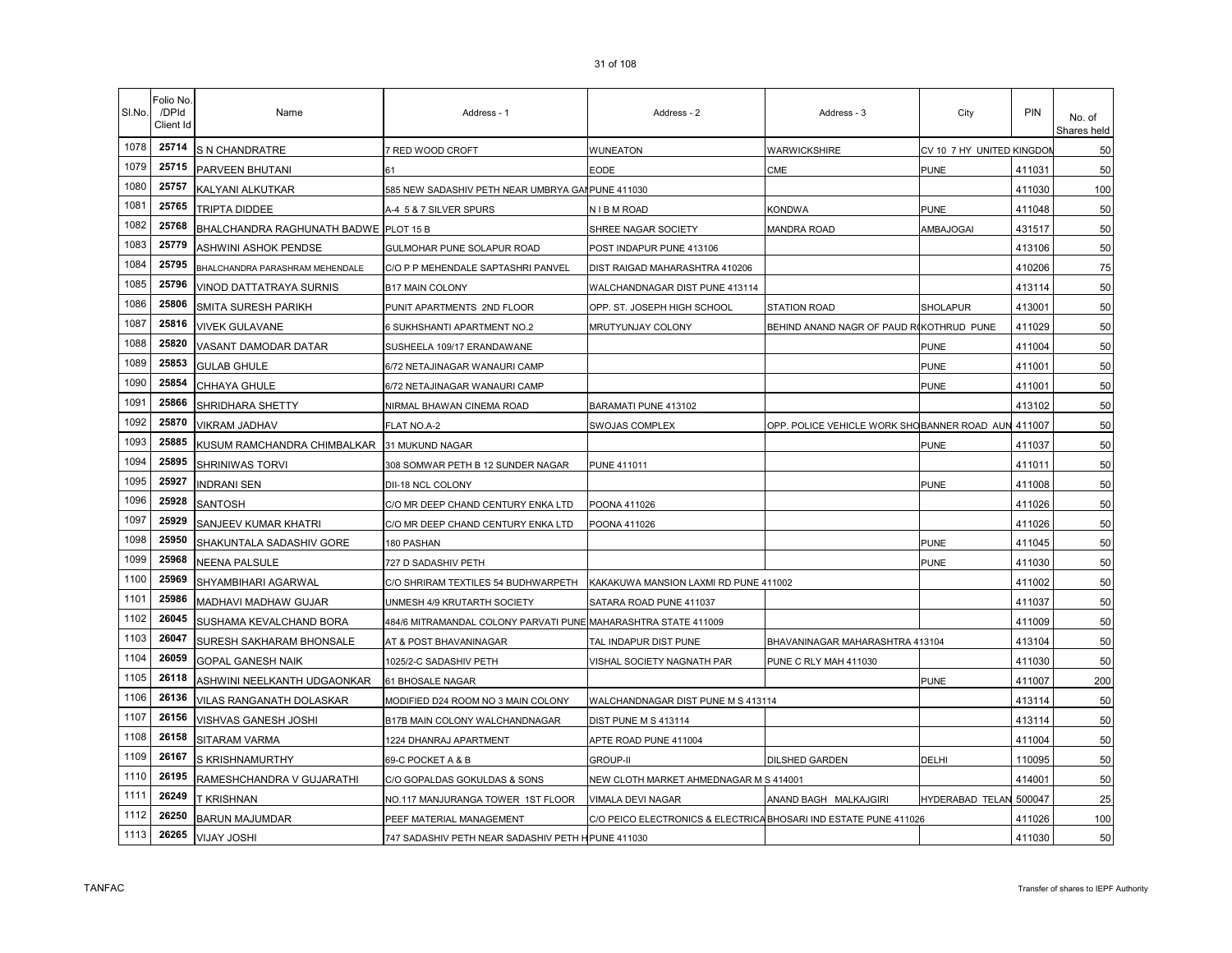| Name | Address - 1      | Address - 2     | Address - 3         | City                      | <b>PIN</b> | No. of<br>Shares he |
|------|------------------|-----------------|---------------------|---------------------------|------------|---------------------|
| RE   | 7 RED WOOD CROFT | <b>WUNEATON</b> | <b>WARWICKSHIRE</b> | CV 10 7 HY UNITED KINGDON |            |                     |
|      |                  |                 |                     |                           |            |                     |

|      | Client Id |                                             |                                                                |                                                                  |                                                    |                           |        | Shares held |
|------|-----------|---------------------------------------------|----------------------------------------------------------------|------------------------------------------------------------------|----------------------------------------------------|---------------------------|--------|-------------|
| 1078 | 25714     | S N CHANDRATRE                              | 7 RED WOOD CROFT                                               | WUNEATON                                                         | WARWICKSHIRE                                       | CV 10 7 HY UNITED KINGDOI |        | 50          |
| 1079 | 25715     | PARVEEN BHUTANI                             | 61                                                             | <b>EODE</b>                                                      | CME                                                | <b>PUNE</b>               | 411031 | 50          |
| 1080 | 25757     | KALYANI ALKUTKAR                            | 585 NEW SADASHIV PETH NEAR UMBRYA GAI PUNE 411030              |                                                                  |                                                    |                           | 411030 | 100         |
| 1081 | 25765     | <b>TRIPTA DIDDEE</b>                        | A-4 5 & 7 SILVER SPURS                                         | N I B M ROAD                                                     | <b>KONDWA</b>                                      | <b>PUNE</b>               | 411048 | 50          |
| 1082 | 25768     | BHALCHANDRA RAGHUNATH BADWE PLOT 15 B       |                                                                | SHREE NAGAR SOCIETY                                              | MANDRA ROAD                                        | AMBAJOGAI                 | 431517 | 50          |
| 1083 | 25779     | ASHWINI ASHOK PENDSE                        | GULMOHAR PUNE SOLAPUR ROAD                                     | POST INDAPUR PUNE 413106                                         |                                                    |                           | 413106 | 50          |
| 1084 | 25795     | BHALCHANDRA PARASHRAM MEHENDALE             | C/O P P MEHENDALE SAPTASHRI PANVEL                             | DIST RAIGAD MAHARASHTRA 410206                                   |                                                    |                           | 410206 | 75          |
| 1085 | 25796     | VINOD DATTATRAYA SURNIS                     | <b>B17 MAIN COLONY</b>                                         | WALCHANDNAGAR DIST PUNE 413114                                   |                                                    |                           | 413114 | 50          |
| 1086 | 25806     | <b>SMITA SURESH PARIKH</b>                  | PUNIT APARTMENTS 2ND FLOOR                                     | OPP. ST. JOSEPH HIGH SCHOOL                                      | STATION ROAD                                       | <b>SHOLAPUR</b>           | 413001 | 50          |
| 1087 | 25816     | <b>VIVEK GULAVANE</b>                       | 6 SUKHSHANTI APARTMENT NO.2                                    | MRUTYUNJAY COLONY                                                | BEHIND ANAND NAGR OF PAUD RIKOTHRUD PUNE           |                           | 411029 | 50          |
| 1088 | 25820     | VASANT DAMODAR DATAR                        | SUSHEELA 109/17 ERANDAWANE                                     |                                                                  |                                                    | <b>PUNE</b>               | 411004 | 50          |
| 1089 | 25853     | <b>GULAB GHULE</b>                          | 6/72 NETAJINAGAR WANAURI CAMP                                  |                                                                  |                                                    | <b>PUNE</b>               | 411001 | 50          |
| 1090 | 25854     | CHHAYA GHULE                                | 6/72 NETAJINAGAR WANAURI CAMP                                  |                                                                  |                                                    | <b>PUNE</b>               | 411001 | 50          |
| 1091 | 25866     | SHRIDHARA SHETTY                            | NIRMAL BHAWAN CINEMA ROAD                                      | BARAMATI PUNE 413102                                             |                                                    |                           | 413102 | 50          |
| 1092 | 25870     | <b>VIKRAM JADHAV</b>                        | FLAT NO.A-2                                                    | SWOJAS COMPLEX                                                   | OPP. POLICE VEHICLE WORK SHOBANNER ROAD AUN 411007 |                           |        | 50          |
| 1093 | 25885     | KUSUM RAMCHANDRA CHIMBALKAR 31 MUKUND NAGAR |                                                                |                                                                  |                                                    | <b>PUNE</b>               | 411037 | 50          |
| 1094 | 25895     | SHRINIWAS TORVI                             | 308 SOMWAR PETH B 12 SUNDER NAGAR                              | <b>PUNE 411011</b>                                               |                                                    |                           | 411011 | 50          |
| 1095 | 25927     | <b>NDRANI SEN</b>                           | DII-18 NCL COLONY                                              |                                                                  |                                                    | PUNE                      | 411008 | 50          |
| 1096 | 25928     | SANTOSH                                     | C/O MR DEEP CHAND CENTURY ENKA LTD                             | POONA 411026                                                     |                                                    |                           | 411026 | 50          |
| 1097 | 25929     | SANJEEV KUMAR KHATRI                        | C/O MR DEEP CHAND CENTURY ENKA LTD                             | POONA 411026                                                     |                                                    |                           | 411026 | 50          |
| 1098 | 25950     | SHAKUNTALA SADASHIV GORE                    | 180 PASHAN                                                     |                                                                  |                                                    | PUNE                      | 411045 | 50          |
| 1099 | 25968     | <b>NEENA PALSULE</b>                        | 727 D SADASHIV PETH                                            |                                                                  |                                                    | PUNE                      | 411030 | 50          |
| 1100 | 25969     | SHYAMBIHARI AGARWAL                         | C/O SHRIRAM TEXTILES 54 BUDHWARPETH                            | KAKAKUWA MANSION LAXMI RD PUNE 411002                            |                                                    |                           | 411002 | 50          |
| 1101 | 25986     | MADHAVI MADHAW GUJAR                        | UNMESH 4/9 KRUTARTH SOCIETY                                    | SATARA ROAD PUNE 411037                                          |                                                    |                           | 411037 | 50          |
| 1102 | 26045     | SUSHAMA KEVALCHAND BORA                     | 484/6 MITRAMANDAL COLONY PARVATI PUNE MAHARASHTRA STATE 411009 |                                                                  |                                                    |                           | 411009 | 50          |
| 1103 | 26047     | SURESH SAKHARAM BHONSALE                    | AT & POST BHAVANINAGAR                                         | TAL INDAPUR DIST PUNE                                            | BHAVANINAGAR MAHARASHTRA 413104                    |                           | 413104 | 50          |
| 1104 | 26059     | <b>GOPAL GANESH NAIK</b>                    | 1025/2-C SADASHIV PETH                                         | VISHAL SOCIETY NAGNATH PAR                                       | PUNE C RLY MAH 411030                              |                           | 411030 | 50          |
| 1105 | 26118     | ASHWINI NEELKANTH UDGAONKAR                 | 61 BHOSALE NAGAR                                               |                                                                  |                                                    | PUNE                      | 411007 | 200         |
| 1106 | 26136     | VILAS RANGANATH DOLASKAR                    | MODIFIED D24 ROOM NO 3 MAIN COLONY                             | WALCHANDNAGAR DIST PUNE M S 413114                               |                                                    |                           | 413114 | 50          |
| 1107 | 26156     | VISHVAS GANESH JOSHI                        | B17B MAIN COLONY WALCHANDNAGAR                                 | DIST PUNE M S 413114                                             |                                                    |                           | 413114 | 50          |
| 1108 | 26158     | SITARAM VARMA                               | 1224 DHANRAJ APARTMENT                                         | APTE ROAD PUNE 411004                                            |                                                    |                           | 411004 | 50          |
| 1109 | 26167     | <b>S KRISHNAMURTHY</b>                      | 69-C POCKET A & B                                              | <b>GROUP-II</b>                                                  | <b>DILSHED GARDEN</b>                              | DELHI                     | 110095 | 50          |
| 1110 | 26195     | RAMESHCHANDRA V GUJARATHI                   | C/O GOPALDAS GOKULDAS & SONS                                   | NEW CLOTH MARKET AHMEDNAGAR M S 414001                           |                                                    |                           | 414001 | 50          |
| 1111 | 26249     | T KRISHNAN                                  | NO.117 MANJURANGA TOWER 1ST FLOOR                              | VIMALA DEVI NAGAR                                                | ANAND BAGH MALKAJGIRI                              | <b>HYDERABAD TELAN</b>    | 500047 | 25          |
| 1112 | 26250     | <b>BARUN MAJUMDAR</b>                       | PEEF MATERIAL MANAGEMENT                                       | C/O PEICO ELECTRONICS & ELECTRICA BHOSARI IND ESTATE PUNE 411026 |                                                    |                           | 411026 | 100         |
| 1113 | 26265     | <b>VIJAY JOSHI</b>                          | 747 SADASHIV PETH NEAR SADASHIV PETH H PUNE 411030             |                                                                  |                                                    |                           | 411030 | 50          |

Sl.No.

Folio No. /DPId Client Id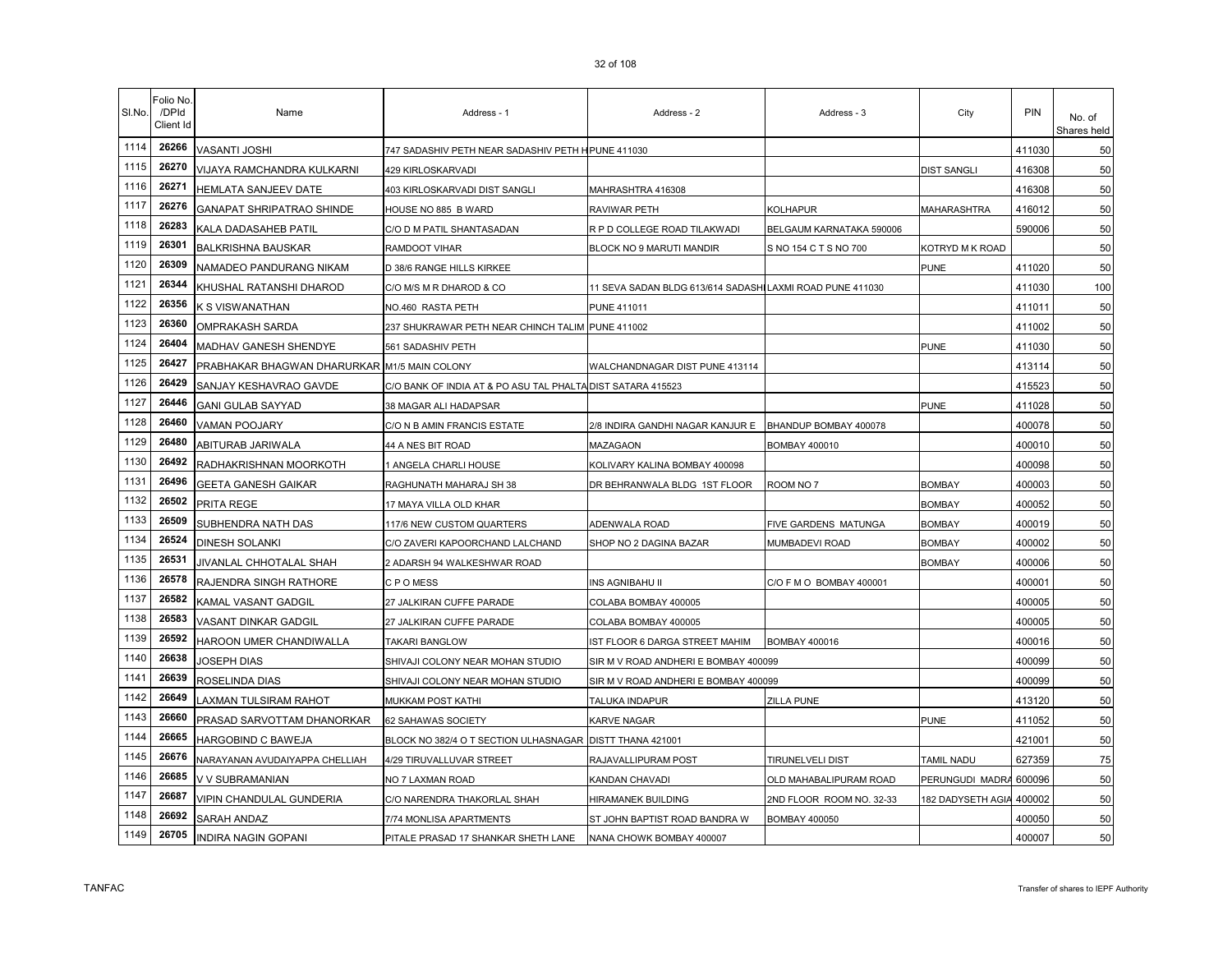| SI.No. | Folio No.<br>/DPId<br>Client Id | Name                                         | Address - 1                                                 | Address - 2                                              | Address - 3              | City                   | <b>PIN</b> | No. of<br>Shares held |
|--------|---------------------------------|----------------------------------------------|-------------------------------------------------------------|----------------------------------------------------------|--------------------------|------------------------|------------|-----------------------|
| 1114   | 26266                           | VASANTI JOSHI                                | 747 SADASHIV PETH NEAR SADASHIV PETH HPUNE 411030           |                                                          |                          |                        | 411030     | 50                    |
| 1115   | 26270                           | VIJAYA RAMCHANDRA KULKARNI                   | 429 KIRLOSKARVADI                                           |                                                          |                          | <b>DIST SANGLI</b>     | 416308     | 50                    |
| 1116   | 26271                           | HEMLATA SANJEEV DATE                         | 403 KIRLOSKARVADI DIST SANGLI                               | MAHRASHTRA 416308                                        |                          |                        | 416308     | 50                    |
| 1117   | 26276                           | <b>GANAPAT SHRIPATRAO SHINDE</b>             | HOUSE NO 885 B WARD                                         | RAVIWAR PETH                                             | <b>KOLHAPUR</b>          | MAHARASHTRA            | 416012     | 50                    |
| 1118   | 26283                           | KALA DADASAHEB PATIL                         | C/O D M PATIL SHANTASADAN                                   | R P D COLLEGE ROAD TILAKWADI                             | BELGAUM KARNATAKA 590006 |                        | 590006     | 50                    |
| 1119   | 26301                           | <b>BALKRISHNA BAUSKAR</b>                    | RAMDOOT VIHAR                                               | BLOCK NO 9 MARUTI MANDIR                                 | S NO 154 C T S NO 700    | KOTRYD M K ROAD        |            | 50                    |
| 1120   | 26309                           | NAMADEO PANDURANG NIKAM                      | D 38/6 RANGE HILLS KIRKEE                                   |                                                          |                          | PUNE                   | 411020     | 50                    |
| 1121   | 26344                           | KHUSHAL RATANSHI DHAROD                      | C/O M/S M R DHAROD & CO                                     | 11 SEVA SADAN BLDG 613/614 SADASHILAXMI ROAD PUNE 411030 |                          |                        | 411030     | 100                   |
| 1122   | 26356                           | K S VISWANATHAN                              | NO.460 RASTA PETH                                           | <b>PUNE 411011</b>                                       |                          |                        | 411011     | 50                    |
| 1123   | 26360                           | OMPRAKASH SARDA                              | 237 SHUKRAWAR PETH NEAR CHINCH TALIM                        | <b>PUNE 411002</b>                                       |                          |                        | 411002     | 50                    |
| 1124   | 26404                           | MADHAV GANESH SHENDYE                        | 561 SADASHIV PETH                                           |                                                          |                          | <b>PUNE</b>            | 411030     | 50                    |
| 1125   | 26427                           | PRABHAKAR BHAGWAN DHARURKAR M1/5 MAIN COLONY |                                                             | WALCHANDNAGAR DIST PUNE 413114                           |                          |                        | 413114     | 50                    |
| 1126   | 26429                           | SANJAY KESHAVRAO GAVDE                       | C/O BANK OF INDIA AT & PO ASU TAL PHALTA DIST SATARA 415523 |                                                          |                          |                        | 415523     | 50                    |
| 1127   | 26446                           | <b>GANI GULAB SAYYAD</b>                     | 38 MAGAR ALI HADAPSAR                                       |                                                          |                          | PUNE                   | 411028     | 50                    |
| 1128   | 26460                           | <b>VAMAN POOJARY</b>                         | C/O N B AMIN FRANCIS ESTATE                                 | 2/8 INDIRA GANDHI NAGAR KANJUR E BHANDUP BOMBAY 400078   |                          |                        | 400078     | 50                    |
| 1129   | 26480                           | ABITURAB JARIWALA                            | 44 A NES BIT ROAD                                           | MAZAGAON                                                 | <b>BOMBAY 400010</b>     |                        | 400010     | 50                    |
| 1130   | 26492                           | RADHAKRISHNAN MOORKOTH                       | 1 ANGELA CHARLI HOUSE                                       | KOLIVARY KALINA BOMBAY 400098                            |                          |                        | 400098     | 50                    |
| 1131   | 26496                           | GEETA GANESH GAIKAR                          | RAGHUNATH MAHARAJ SH 38                                     | DR BEHRANWALA BLDG 1ST FLOOR                             | ROOM NO 7                | <b>BOMBAY</b>          | 400003     | 50                    |
| 1132   | 26502                           | PRITA REGE                                   | 17 MAYA VILLA OLD KHAR                                      |                                                          |                          | <b>BOMBAY</b>          | 400052     | 50                    |
| 1133   | 26509                           | SUBHENDRA NATH DAS                           | 117/6 NEW CUSTOM QUARTERS                                   | ADENWALA ROAD                                            | FIVE GARDENS MATUNGA     | <b>BOMBAY</b>          | 400019     | 50                    |
| 1134   | 26524                           | <b>DINESH SOLANKI</b>                        | C/O ZAVERI KAPOORCHAND LALCHAND                             | SHOP NO 2 DAGINA BAZAR                                   | MUMBADEVI ROAD           | <b>BOMBAY</b>          | 400002     | 50                    |
| 1135   | 26531                           | JIVANLAL CHHOTALAL SHAH                      | 2 ADARSH 94 WALKESHWAR ROAD                                 |                                                          |                          | <b>BOMBAY</b>          | 400006     | 50                    |
| 1136   | 26578                           | RAJENDRA SINGH RATHORE                       | C P O MESS                                                  | INS AGNIBAHU II                                          | C/O F M O BOMBAY 400001  |                        | 400001     | 50                    |
| 1137   | 26582                           | KAMAL VASANT GADGIL                          | 27 JALKIRAN CUFFE PARADE                                    | COLABA BOMBAY 400005                                     |                          |                        | 400005     | 50                    |
| 1138   | 26583                           | VASANT DINKAR GADGIL                         | 27 JALKIRAN CUFFE PARADE                                    | COLABA BOMBAY 400005                                     |                          |                        | 400005     | 50                    |
| 1139   | 26592                           | HAROON UMER CHANDIWALLA                      | <b>TAKARI BANGLOW</b>                                       | IST FLOOR 6 DARGA STREET MAHIM                           | <b>BOMBAY 400016</b>     |                        | 400016     | 50                    |
| 1140   | 26638                           | JOSEPH DIAS                                  | SHIVAJI COLONY NEAR MOHAN STUDIO                            | SIR M V ROAD ANDHERI E BOMBAY 400099                     |                          |                        | 400099     | 50                    |
| 1141   | 26639                           | ROSELINDA DIAS                               | SHIVAJI COLONY NEAR MOHAN STUDIO                            | SIR M V ROAD ANDHERI E BOMBAY 400099                     |                          |                        | 400099     | 50                    |
| 1142   | 26649                           | LAXMAN TULSIRAM RAHOT                        | MUKKAM POST KATHI                                           | TALUKA INDAPUR                                           | ZILLA PUNE               |                        | 413120     | 50                    |
| 1143   | 26660                           | PRASAD SARVOTTAM DHANORKAR                   | 62 SAHAWAS SOCIETY                                          | KARVE NAGAR                                              |                          | PUNE                   | 411052     | 50                    |
| 1144   | 26665                           | HARGOBIND C BAWEJA                           | BLOCK NO 382/4 O T SECTION ULHASNAGAR                       | DISTT THANA 421001                                       |                          |                        | 421001     | 50                    |
| 1145   | 26676                           | NARAYANAN AVUDAIYAPPA CHELLIAH               | 4/29 TIRUVALLUVAR STREET                                    | RAJAVALLIPURAM POST                                      | TIRUNELVELI DIST         | TAMIL NADU             | 627359     | 75                    |
| 1146   | 26685                           | V V SUBRAMANIAN                              | NO 7 LAXMAN ROAD                                            | KANDAN CHAVADI                                           | OLD MAHABALIPURAM ROAD   | PERUNGUDI MADRA 600096 |            | 50                    |
| 1147   | 26687                           | VIPIN CHANDULAL GUNDERIA                     | C/O NARENDRA THAKORLAL SHAH                                 | HIRAMANEK BUILDING                                       | 2ND FLOOR ROOM NO. 32-33 | 182 DADYSETH AGIA      | 400002     | 50                    |
| 1148   | 26692                           | SARAH ANDAZ                                  | 7/74 MONLISA APARTMENTS                                     | ST JOHN BAPTIST ROAD BANDRA W                            | <b>BOMBAY 400050</b>     |                        | 400050     | 50                    |
| 1149   | 26705                           | INDIRA NAGIN GOPANI                          | PITALE PRASAD 17 SHANKAR SHETH LANE                         | NANA CHOWK BOMBAY 400007                                 |                          |                        | 400007     | 50                    |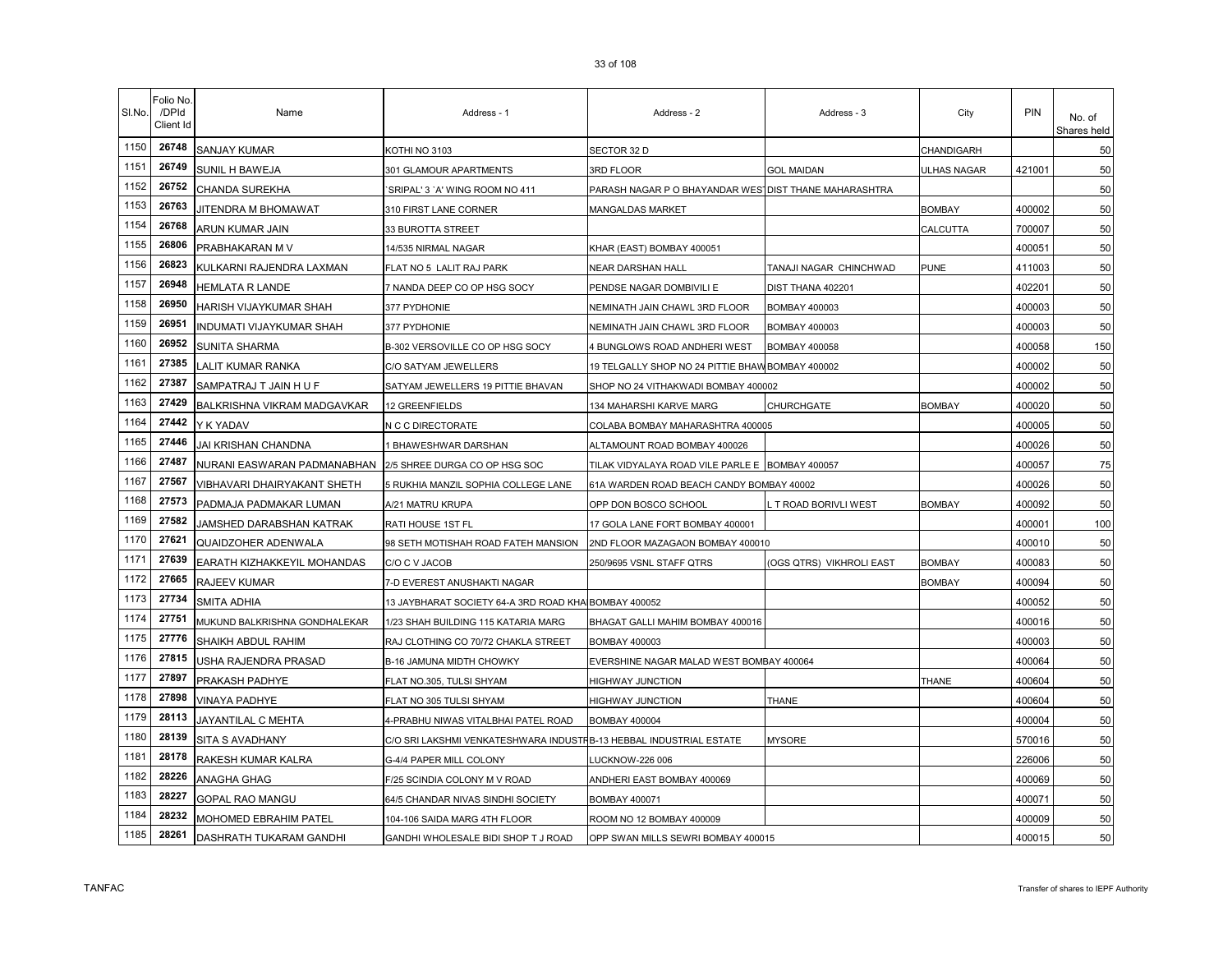| SI.No. | Folio No<br>/DPId<br>Client Id | Name                          | Address - 1                                                        | Address - 2                                           | Address - 3              | City          | <b>PIN</b> | No. of<br>Shares held |
|--------|--------------------------------|-------------------------------|--------------------------------------------------------------------|-------------------------------------------------------|--------------------------|---------------|------------|-----------------------|
| 1150   | 26748                          | SANJAY KUMAR                  | KOTHI NO 3103                                                      | SECTOR 32 D                                           |                          | CHANDIGARH    |            | 50                    |
| 1151   | 26749                          | SUNIL H BAWEJA                | 301 GLAMOUR APARTMENTS                                             | 3RD FLOOR                                             | GOL MAIDAN               | ULHAS NAGAR   | 421001     | 50                    |
| 1152   | 26752                          | CHANDA SUREKHA                | 'SRIPAL' 3 'A' WING ROOM NO 411                                    | PARASH NAGAR P O BHAYANDAR WES DIST THANE MAHARASHTRA |                          |               |            | 50                    |
| 1153   | 26763                          | JITENDRA M BHOMAWAT           | 310 FIRST LANE CORNER                                              | MANGALDAS MARKET                                      |                          | <b>BOMBAY</b> | 400002     | 50                    |
| 1154   | 26768                          | ARUN KUMAR JAIN               | 33 BUROTTA STREET                                                  |                                                       |                          | CALCUTTA      | 700007     | 50                    |
| 1155   | 26806                          | PRABHAKARAN M V               | 14/535 NIRMAL NAGAR                                                | KHAR (EAST) BOMBAY 400051                             |                          |               | 400051     | 50                    |
| 1156   | 26823                          | KULKARNI RAJENDRA LAXMAN      | FLAT NO 5 LALIT RAJ PARK                                           | NEAR DARSHAN HALL                                     | TANAJI NAGAR CHINCHWAD   | <b>PUNE</b>   | 411003     | 50                    |
| 1157   | 26948                          | <b>HEMLATA R LANDE</b>        | 7 NANDA DEEP CO OP HSG SOCY                                        | PENDSE NAGAR DOMBIVILI E                              | DIST THANA 402201        |               | 402201     | 50                    |
| 1158   | 26950                          | HARISH VIJAYKUMAR SHAH        | 377 PYDHONIE                                                       | NEMINATH JAIN CHAWL 3RD FLOOR                         | BOMBAY 400003            |               | 400003     | 50                    |
| 1159   | 26951                          | INDUMATI VIJAYKUMAR SHAH      | 377 PYDHONIE                                                       | NEMINATH JAIN CHAWL 3RD FLOOR                         | BOMBAY 400003            |               | 400003     | 50                    |
| 1160   | 26952                          | SUNITA SHARMA                 | B-302 VERSOVILLE CO OP HSG SOCY                                    | 4 BUNGLOWS ROAD ANDHERI WEST                          | <b>BOMBAY 400058</b>     |               | 400058     | 150                   |
| 1161   | 27385                          | LALIT KUMAR RANKA             | C/O SATYAM JEWELLERS                                               | 19 TELGALLY SHOP NO 24 PITTIE BHAW BOMBAY 400002      |                          |               | 400002     | 50                    |
| 1162   | 27387                          | SAMPATRAJ T JAIN H U F        | SATYAM JEWELLERS 19 PITTIE BHAVAN                                  | SHOP NO 24 VITHAKWADI BOMBAY 400002                   |                          |               | 400002     | 50                    |
| 1163   | 27429                          | BALKRISHNA VIKRAM MADGAVKAR   | 12 GREENFIELDS                                                     | 134 MAHARSHI KARVE MARG                               | CHURCHGATE               | <b>BOMBAY</b> | 400020     | 50                    |
| 1164   | 27442                          | Y K YADAV                     | N C C DIRECTORATE                                                  | COLABA BOMBAY MAHARASHTRA 400005                      |                          |               | 400005     | 50                    |
| 1165   | 27446                          | JAI KRISHAN CHANDNA           | 1 BHAWESHWAR DARSHAN                                               | ALTAMOUNT ROAD BOMBAY 400026                          |                          |               | 400026     | 50                    |
| 1166   | 27487                          | NURANI EASWARAN PADMANABHAN   | 2/5 SHREE DURGA CO OP HSG SOC                                      | TILAK VIDYALAYA ROAD VILE PARLE E BOMBAY 400057       |                          |               | 400057     | 75                    |
| 1167   | 27567                          | VIBHAVARI DHAIRYAKANT SHETH   | 5 RUKHIA MANZIL SOPHIA COLLEGE LANE                                | 61A WARDEN ROAD BEACH CANDY BOMBAY 40002              |                          |               | 400026     | 50                    |
| 1168   | 27573                          | PADMAJA PADMAKAR LUMAN        | A/21 MATRU KRUPA                                                   | OPP DON BOSCO SCHOOL                                  | . T ROAD BORIVLI WEST    | <b>BOMBAY</b> | 400092     | 50                    |
| 1169   | 27582                          | JAMSHED DARABSHAN KATRAK      | RATI HOUSE 1ST FL                                                  | 17 GOLA LANE FORT BOMBAY 400001                       |                          |               | 400001     | 100                   |
| 1170   | 27621                          | <b>QUAIDZOHER ADENWALA</b>    | 98 SETH MOTISHAH ROAD FATEH MANSION                                | 2ND FLOOR MAZAGAON BOMBAY 400010                      |                          |               | 400010     | 50                    |
| 1171   | 27639                          | EARATH KIZHAKKEYIL MOHANDAS   | C/O C V JACOB                                                      | 250/9695 VSNL STAFF QTRS                              | (OGS QTRS) VIKHROLI EAST | <b>BOMBAY</b> | 400083     | 50                    |
| 1172   | 27665                          | RAJEEV KUMAR                  | 7-D EVEREST ANUSHAKTI NAGAR                                        |                                                       |                          | <b>BOMBAY</b> | 400094     | 50                    |
| 1173   | 27734                          | SMITA ADHIA                   | 13 JAYBHARAT SOCIETY 64-A 3RD ROAD KHA BOMBAY 400052               |                                                       |                          |               | 400052     | 50                    |
| 1174   | 27751                          | MUKUND BALKRISHNA GONDHALEKAR | 1/23 SHAH BUILDING 115 KATARIA MARG                                | BHAGAT GALLI MAHIM BOMBAY 400016                      |                          |               | 400016     | 50                    |
| 1175   | 27776                          | SHAIKH ABDUL RAHIM            | RAJ CLOTHING CO 70/72 CHAKLA STREET                                | BOMBAY 400003                                         |                          |               | 400003     | 50                    |
| 1176   | 27815                          | USHA RAJENDRA PRASAD          | B-16 JAMUNA MIDTH CHOWKY                                           | EVERSHINE NAGAR MALAD WEST BOMBAY 400064              |                          |               | 400064     | 50                    |
| 1177   | 27897                          | PRAKASH PADHYE                | FLAT NO.305, TULSI SHYAM                                           | <b>HIGHWAY JUNCTION</b>                               |                          | THANE         | 400604     | 50                    |
| 1178   | 27898                          | <b>VINAYA PADHYE</b>          | FLAT NO 305 TULSI SHYAM                                            | HIGHWAY JUNCTION                                      | <b>THANE</b>             |               | 400604     | 50                    |
| 1179   | 28113                          | JAYANTILAL C MEHTA            | 4-PRABHU NIWAS VITALBHAI PATEL ROAD                                | <b>BOMBAY 400004</b>                                  |                          |               | 400004     | 50                    |
| 1180   | 28139                          | SITA S AVADHANY               | C/O SRI LAKSHMI VENKATESHWARA INDUSTFB-13 HEBBAL INDUSTRIAL ESTATE |                                                       | <b>MYSORE</b>            |               | 570016     | 50                    |
| 1181   | 28178                          | RAKESH KUMAR KALRA            | G-4/4 PAPER MILL COLONY                                            | LUCKNOW-226 006                                       |                          |               | 226006     | 50                    |
| 1182   | 28226                          | ANAGHA GHAG                   | F/25 SCINDIA COLONY M V ROAD                                       | ANDHERI EAST BOMBAY 400069                            |                          |               | 400069     | 50                    |
| 1183   | 28227                          | GOPAL RAO MANGU               | 64/5 CHANDAR NIVAS SINDHI SOCIETY                                  | <b>BOMBAY 400071</b>                                  |                          |               | 400071     | 50                    |
| 1184   | 28232                          | MOHOMED EBRAHIM PATEL         | 104-106 SAIDA MARG 4TH FLOOR                                       | ROOM NO 12 BOMBAY 400009                              |                          |               | 400009     | 50                    |
| 1185   | 28261                          | DASHRATH TUKARAM GANDHI       | GANDHI WHOLESALE BIDI SHOP T J ROAD                                | OPP SWAN MILLS SEWRI BOMBAY 400015                    |                          |               | 400015     | 50                    |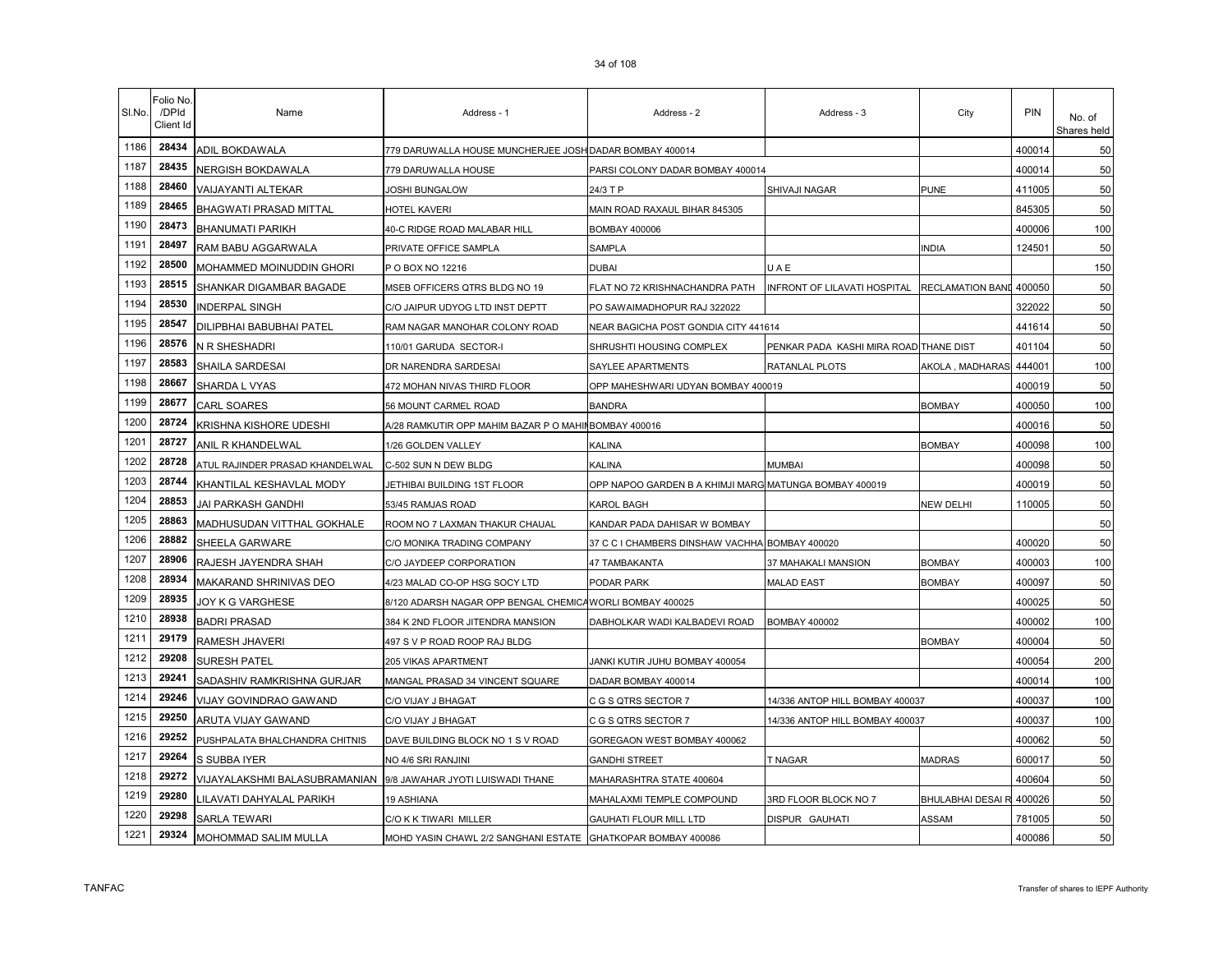| SI.No. | Folio No.<br>/DPId<br>Client Id | Name                                                             | Address - 1                                                  | Address - 2                                            | Address - 3                            | City              | PIN    | No. of<br>Shares held |
|--------|---------------------------------|------------------------------------------------------------------|--------------------------------------------------------------|--------------------------------------------------------|----------------------------------------|-------------------|--------|-----------------------|
| 1186   | 28434                           | ADIL BOKDAWALA                                                   | 779 DARUWALLA HOUSE MUNCHERJEE JOSH DADAR BOMBAY 400014      |                                                        |                                        |                   | 400014 | 50                    |
| 1187   | 28435                           | NERGISH BOKDAWALA                                                | 779 DARUWALLA HOUSE                                          | PARSI COLONY DADAR BOMBAY 400014                       |                                        |                   | 400014 | 50                    |
| 1188   | 28460                           | VAIJAYANTI ALTEKAR                                               | JOSHI BUNGALOW                                               | 24/3 T P                                               | SHIVAJI NAGAR                          | PUNE              | 411005 | 50                    |
| 1189   | 28465                           | <b>BHAGWATI PRASAD MITTAL</b>                                    | HOTEL KAVERI                                                 | MAIN ROAD RAXAUL BIHAR 845305                          |                                        |                   | 845305 | 50                    |
| 1190   | 28473                           | <b>BHANUMATI PARIKH</b>                                          | 40-C RIDGE ROAD MALABAR HILL                                 | <b>BOMBAY 400006</b>                                   |                                        |                   | 400006 | 100                   |
| 1191   | 28497                           | RAM BABU AGGARWALA                                               | PRIVATE OFFICE SAMPLA                                        | <b>SAMPLA</b>                                          |                                        | <b>NDIA</b>       | 124501 | 50                    |
| 1192   | 28500                           | MOHAMMED MOINUDDIN GHORI                                         | P O BOX NO 12216                                             | <b>DUBAI</b>                                           | UAE                                    |                   |        | 150                   |
| 1193   | 28515                           | SHANKAR DIGAMBAR BAGADE                                          | MSEB OFFICERS QTRS BLDG NO 19                                | FLAT NO 72 KRISHNACHANDRA PATH                         | INFRONT OF LILAVATI HOSPITAL           | RECLAMATION BAND  | 400050 | 50                    |
| 1194   | 28530                           | <b>INDERPAL SINGH</b>                                            | C/O JAIPUR UDYOG LTD INST DEPTT                              | PO SAWAIMADHOPUR RAJ 322022                            |                                        |                   | 322022 | 50                    |
| 1195   | 28547                           | DILIPBHAI BABUBHAI PATEL                                         | RAM NAGAR MANOHAR COLONY ROAD                                | NEAR BAGICHA POST GONDIA CITY 441614                   |                                        |                   | 441614 | 50                    |
| 1196   | 28576                           | N R SHESHADRI                                                    | 110/01 GARUDA SECTOR-I                                       | SHRUSHTI HOUSING COMPLEX                               | PENKAR PADA KASHI MIRA ROAD THANE DIST |                   | 401104 | 50                    |
| 1197   | 28583                           | SHAILA SARDESAI                                                  | DR NARENDRA SARDESAI                                         | SAYLEE APARTMENTS                                      | RATANLAL PLOTS                         | AKOLA , MADHARAS  | 444001 | 100                   |
| 1198   | 28667                           | SHARDA L VYAS                                                    | 472 MOHAN NIVAS THIRD FLOOR                                  | OPP MAHESHWARI UDYAN BOMBAY 400019                     |                                        |                   | 400019 | 50                    |
| 1199   | 28677                           | CARL SOARES                                                      | 56 MOUNT CARMEL ROAD                                         | <b>BANDRA</b>                                          |                                        | <b>BOMBAY</b>     | 400050 | 100                   |
| 1200   | 28724                           | KRISHNA KISHORE UDESHI                                           | A/28 RAMKUTIR OPP MAHIM BAZAR P O MAHII BOMBAY 400016        |                                                        |                                        |                   | 400016 | 50                    |
| 1201   | 28727                           | ANIL R KHANDELWAL                                                | 1/26 GOLDEN VALLEY                                           | KALINA                                                 |                                        | <b>BOMBAY</b>     | 400098 | 100                   |
| 1202   | 28728                           | ATUL RAJINDER PRASAD KHANDELWAL                                  | C-502 SUN N DEW BLDG                                         | KALINA                                                 | MUMBAI                                 |                   | 400098 | 50                    |
| 1203   | 28744                           | KHANTILAL KESHAVLAL MODY                                         | JETHIBAI BUILDING 1ST FLOOR                                  | OPP NAPOO GARDEN B A KHIMJI MARG MATUNGA BOMBAY 400019 |                                        |                   | 400019 | 50                    |
| 1204   | 28853                           | JAI PARKASH GANDHI                                               | 53/45 RAMJAS ROAD                                            | KAROL BAGH                                             |                                        | NEW DELHI         | 110005 | 50                    |
| 1205   | 28863                           | MADHUSUDAN VITTHAL GOKHALE                                       | ROOM NO 7 LAXMAN THAKUR CHAUAL                               | KANDAR PADA DAHISAR W BOMBAY                           |                                        |                   |        | 50                    |
| 1206   | 28882                           | SHEELA GARWARE                                                   | C/O MONIKA TRADING COMPANY                                   | 37 C C I CHAMBERS DINSHAW VACHHA BOMBAY 400020         |                                        |                   | 400020 | 50                    |
| 1207   | 28906                           | RAJESH JAYENDRA SHAH                                             | C/O JAYDEEP CORPORATION                                      | 47 TAMBAKANTA                                          | 37 MAHAKALI MANSION                    | <b>BOMBAY</b>     | 400003 | 100                   |
| 1208   | 28934                           | MAKARAND SHRINIVAS DEO                                           | 4/23 MALAD CO-OP HSG SOCY LTD                                | PODAR PARK                                             | <b>MALAD EAST</b>                      | <b>BOMBAY</b>     | 400097 | 50                    |
| 1209   | 28935                           | JOY K G VARGHESE                                                 | 8/120 ADARSH NAGAR OPP BENGAL CHEMICA WORLI BOMBAY 400025    |                                                        |                                        |                   | 400025 | 50                    |
| 1210   | 28938                           | <b>BADRI PRASAD</b>                                              | 384 K 2ND FLOOR JITENDRA MANSION                             | DABHOLKAR WADI KALBADEVI ROAD                          | <b>BOMBAY 400002</b>                   |                   | 400002 | 100                   |
| 1211   | 29179                           | RAMESH JHAVERI                                                   | 497 S V P ROAD ROOP RAJ BLDG                                 |                                                        |                                        | <b>BOMBAY</b>     | 400004 | 50                    |
| 1212   | 29208                           | SURESH PATEL                                                     | 205 VIKAS APARTMENT                                          | JANKI KUTIR JUHU BOMBAY 400054                         |                                        |                   | 400054 | 200                   |
| 1213   | 29241                           | SADASHIV RAMKRISHNA GURJAR                                       | MANGAL PRASAD 34 VINCENT SQUARE                              | DADAR BOMBAY 400014                                    |                                        |                   | 400014 | 100                   |
| 1214   | 29246                           | VIJAY GOVINDRAO GAWAND                                           | C/O VIJAY J BHAGAT                                           | C G S QTRS SECTOR 7                                    | 14/336 ANTOP HILL BOMBAY 400037        |                   | 400037 | 100                   |
| 1215   | 29250                           | ARUTA VIJAY GAWAND                                               | C/O VIJAY J BHAGAT                                           | C G S QTRS SECTOR 7                                    | 14/336 ANTOP HILL BOMBAY 400037        |                   | 400037 | 100                   |
| 1216   | 29252                           | PUSHPALATA BHALCHANDRA CHITNIS                                   | DAVE BUILDING BLOCK NO 1 S V ROAD                            | GOREGAON WEST BOMBAY 400062                            |                                        |                   | 400062 | 50                    |
| 1217   | 29264                           | S SUBBA IYER                                                     | NO 4/6 SRI RANJINI                                           | <b>GANDHI STREET</b>                                   | T NAGAR                                | <b>MADRAS</b>     | 600017 | 50                    |
| 1218   | 29272                           | VIJAYALAKSHMI BALASUBRAMANIAN   9/8 JAWAHAR JYOTI LUISWADI THANE |                                                              | MAHARASHTRA STATE 400604                               |                                        |                   | 400604 | 50                    |
| 1219   | 29280                           | ILAVATI DAHYALAL PARIKH                                          | 19 ASHIANA                                                   | MAHALAXMI TEMPLE COMPOUND                              | 3RD FLOOR BLOCK NO 7                   | BHULABHAI DESAI R | 400026 | 50                    |
| 1220   | 29298                           | <b>SARLA TEWARI</b>                                              | C/O K K TIWARI MILLER                                        | <b>GAUHATI FLOUR MILL LTD</b>                          | DISPUR GAUHATI                         | ASSAM             | 781005 | 50                    |
| 1221   | 29324                           | MOHOMMAD SALIM MULLA                                             | MOHD YASIN CHAWL 2/2 SANGHANI ESTATE GHATKOPAR BOMBAY 400086 |                                                        |                                        |                   | 400086 | 50                    |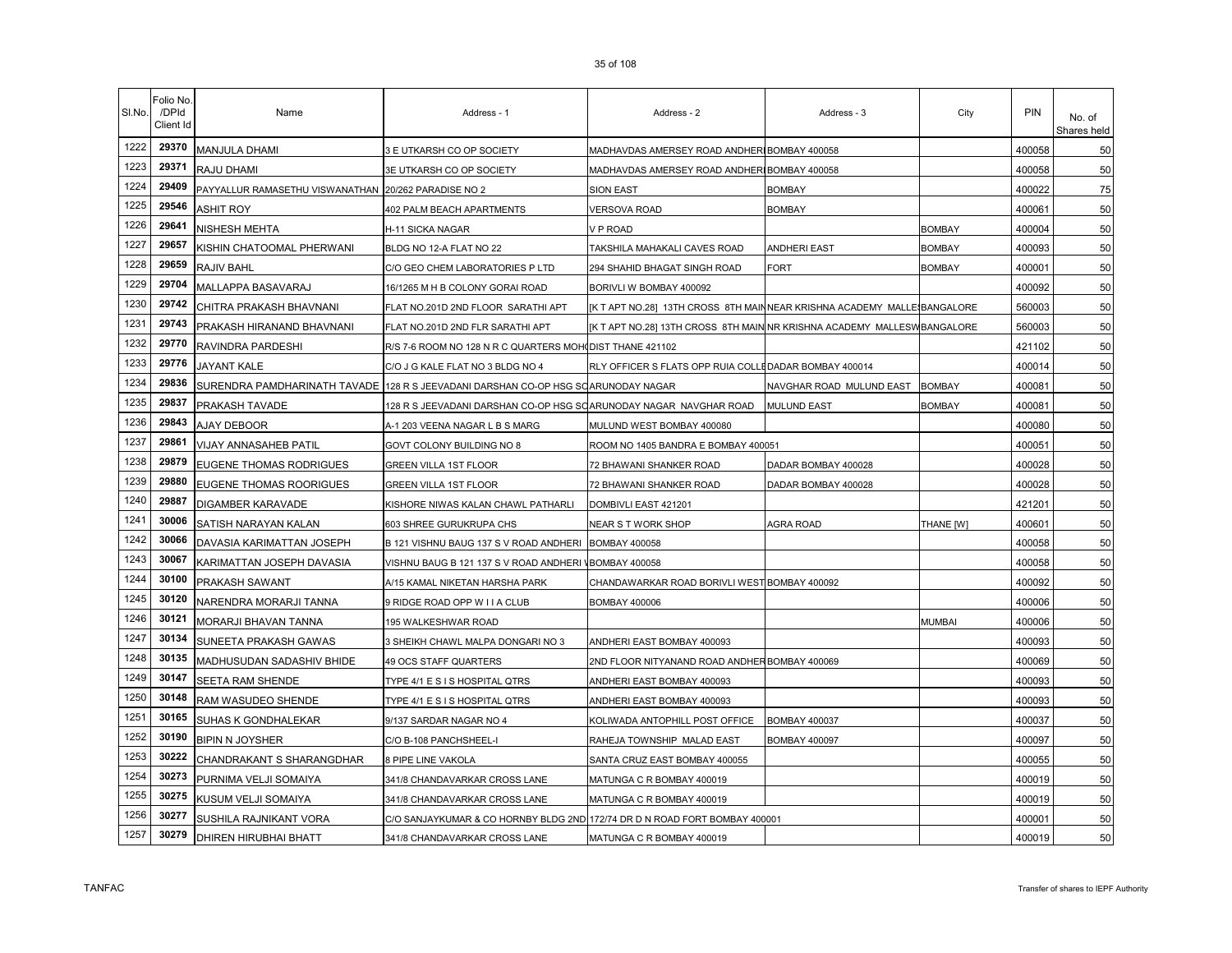| SI.No. | Folio No.<br>/DPId<br>Client Id | Name                                                 | Address - 1                                                                       | Address - 2                                                              | Address - 3              | City          | <b>PIN</b> | No. of<br>Shares held |
|--------|---------------------------------|------------------------------------------------------|-----------------------------------------------------------------------------------|--------------------------------------------------------------------------|--------------------------|---------------|------------|-----------------------|
| 1222   | 29370                           | <b>MANJULA DHAMI</b>                                 | 3 E UTKARSH CO OP SOCIETY                                                         | MADHAVDAS AMERSEY ROAD ANDHERIBOMBAY 400058                              |                          |               | 400058     | 50                    |
| 1223   | 29371                           | RAJU DHAMI                                           | 3E UTKARSH CO OP SOCIETY                                                          | MADHAVDAS AMERSEY ROAD ANDHERIBOMBAY 400058                              |                          |               | 400058     | 50                    |
| 1224   | 29409                           | PAYYALLUR RAMASETHU VISWANATHAN 20/262 PARADISE NO 2 |                                                                                   | <b>SION EAST</b>                                                         | BOMBAY                   |               | 400022     | 75                    |
| 1225   | 29546                           | <b>ASHIT ROY</b>                                     | <b>402 PALM BEACH APARTMENTS</b>                                                  | <b>VERSOVA ROAD</b>                                                      | 30MBAY                   |               | 400061     | 50                    |
| 1226   | 29641                           | <b>NISHESH MEHTA</b>                                 | H-11 SICKA NAGAR                                                                  | V P ROAD                                                                 |                          | <b>BOMBAY</b> | 400004     | 50                    |
| 1227   | 29657                           | KISHIN CHATOOMAL PHERWANI                            | BLDG NO 12-A FLAT NO 22                                                           | TAKSHILA MAHAKALI CAVES ROAD                                             | ANDHERI EAST             | <b>BOMBAY</b> | 400093     | 50                    |
| 1228   | 29659                           | <b>RAJIV BAHL</b>                                    | C/O GEO CHEM LABORATORIES P LTD                                                   | 294 SHAHID BHAGAT SINGH ROAD                                             | FORT                     | <b>BOMBAY</b> | 400001     | 50                    |
| 1229   | 29704                           | MALLAPPA BASAVARAJ                                   | 16/1265 M H B COLONY GORAI ROAD                                                   | BORIVLI W BOMBAY 400092                                                  |                          |               | 400092     | 50                    |
| 1230   | 29742                           | CHITRA PRAKASH BHAVNANI                              | FLAT NO.201D 2ND FLOOR SARATHI APT                                                | [K T APT NO.28] 13TH CROSS 8TH MAINNEAR KRISHNA ACADEMY MALLE BANGALORE  |                          |               | 560003     | 50                    |
| 1231   | 29743                           | PRAKASH HIRANAND BHAVNANI                            | FLAT NO.201D 2ND FLR SARATHI APT                                                  | [K T APT NO.28] 13TH CROSS 8TH MAIN NR KRISHNA ACADEMY MALLESW BANGALORE |                          |               | 560003     | 50                    |
| 1232   | 29770                           | RAVINDRA PARDESHI                                    | R/S 7-6 ROOM NO 128 N R C QUARTERS MOHIDIST THANE 421102                          |                                                                          |                          |               | 421102     | 50                    |
| 1233   | 29776                           | JAYANT KALE                                          | C/O J G KALE FLAT NO 3 BLDG NO 4                                                  | RLY OFFICER S FLATS OPP RUIA COLLEDADAR BOMBAY 400014                    |                          |               | 400014     | 50                    |
| 1234   | 29836                           |                                                      | SURENDRA PAMDHARINATH TAVADE 128 R S JEEVADANI DARSHAN CO-OP HSG SOARUNODAY NAGAR |                                                                          | NAVGHAR ROAD MULUND EAST | <b>BOMBAY</b> | 400081     | 50                    |
| 1235   | 29837                           | <b>PRAKASH TAVADE</b>                                | 128 R S JEEVADANI DARSHAN CO-OP HSG SOARUNODAY NAGAR NAVGHAR ROAD                 |                                                                          | <b>MULUND EAST</b>       | <b>BOMBAY</b> | 400081     | 50                    |
| 1236   | 29843                           | AJAY DEBOOR                                          | A-1 203 VEENA NAGAR L B S MARG                                                    | MULUND WEST BOMBAY 400080                                                |                          |               | 400080     | 50                    |
| 1237   | 29861                           | <b>VIJAY ANNASAHEB PATIL</b>                         | GOVT COLONY BUILDING NO 8                                                         | ROOM NO 1405 BANDRA E BOMBAY 400051                                      |                          |               | 400051     | 50                    |
| 1238   | 29879                           | <b>EUGENE THOMAS RODRIGUES</b>                       | GREEN VILLA 1ST FLOOR                                                             | 72 BHAWANI SHANKER ROAD                                                  | DADAR BOMBAY 400028      |               | 400028     | 50                    |
| 1239   | 29880                           | <b>EUGENE THOMAS ROORIGUES</b>                       | GREEN VILLA 1ST FLOOR                                                             | 72 BHAWANI SHANKER ROAD                                                  | DADAR BOMBAY 400028      |               | 400028     | 50                    |
| 1240   | 29887                           | <b>DIGAMBER KARAVADE</b>                             | KISHORE NIWAS KALAN CHAWL PATHARLI                                                | DOMBIVLI EAST 421201                                                     |                          |               | 421201     | 50                    |
| 1241   | 30006                           | SATISH NARAYAN KALAN                                 | 603 SHREE GURUKRUPA CHS                                                           | NEAR S T WORK SHOP                                                       | AGRA ROAD                | THANE [W]     | 400601     | 50                    |
| 1242   | 30066                           | DAVASIA KARIMATTAN JOSEPH                            | B 121 VISHNU BAUG 137 S V ROAD ANDHERI BOMBAY 400058                              |                                                                          |                          |               | 400058     | 50                    |
| 1243   | 30067                           | KARIMATTAN JOSEPH DAVASIA                            | VISHNU BAUG B 121 137 S V ROAD ANDHERI VBOMBAY 400058                             |                                                                          |                          |               | 400058     | 50                    |
| 1244   | 30100                           | PRAKASH SAWANT                                       | A/15 KAMAL NIKETAN HARSHA PARK                                                    | CHANDAWARKAR ROAD BORIVLI WEST BOMBAY 400092                             |                          |               | 400092     | 50                    |
| 1245   | 30120                           | NARENDRA MORARJI TANNA                               | 9 RIDGE ROAD OPP W I I A CLUB                                                     | BOMBAY 400006                                                            |                          |               | 400006     | 50                    |
| 1246   | 30121                           | MORARJI BHAVAN TANNA                                 | 195 WALKESHWAR ROAD                                                               |                                                                          |                          | <b>MUMBAI</b> | 400006     | 50                    |
| 1247   | 30134                           | <b>SUNEETA PRAKASH GAWAS</b>                         | 3 SHEIKH CHAWL MALPA DONGARI NO 3                                                 | ANDHERI EAST BOMBAY 400093                                               |                          |               | 400093     | 50                    |
| 1248   | 30135                           | MADHUSUDAN SADASHIV BHIDE                            | <b>49 OCS STAFF QUARTERS</b>                                                      | 2ND FLOOR NITYANAND ROAD ANDHER BOMBAY 400069                            |                          |               | 400069     | 50                    |
| 1249   | 30147                           | SEETA RAM SHENDE                                     | TYPE 4/1 E S I S HOSPITAL QTRS                                                    | ANDHERI EAST BOMBAY 400093                                               |                          |               | 400093     | 50                    |
| 1250   | 30148                           | <b>RAM WASUDEO SHENDE</b>                            | TYPE 4/1 E S I S HOSPITAL QTRS                                                    | ANDHERI EAST BOMBAY 400093                                               |                          |               | 400093     | 50                    |
| 1251   | 30165                           | <b>SUHAS K GONDHALEKAR</b>                           | 9/137 SARDAR NAGAR NO 4                                                           | KOLIWADA ANTOPHILL POST OFFICE                                           | <b>BOMBAY 400037</b>     |               | 400037     | 50                    |
| 1252   | 30190                           | <b>BIPIN N JOYSHER</b>                               | C/O B-108 PANCHSHEEL-I                                                            | RAHEJA TOWNSHIP MALAD EAST                                               | BOMBAY 400097            |               | 400097     | 50                    |
| 1253   | 30222                           | CHANDRAKANT S SHARANGDHAR                            | 8 PIPE LINE VAKOLA                                                                | SANTA CRUZ EAST BOMBAY 400055                                            |                          |               | 400055     | 50                    |
| 1254   | 30273                           | PURNIMA VELJI SOMAIYA                                | 341/8 CHANDAVARKAR CROSS LANE                                                     | MATUNGA C R BOMBAY 400019                                                |                          |               | 400019     | 50                    |
| 1255   | 30275                           | KUSUM VELJI SOMAIYA                                  | 341/8 CHANDAVARKAR CROSS LANE                                                     | MATUNGA C R BOMBAY 400019                                                |                          |               | 400019     | 50                    |
| 1256   | 30277                           | SUSHILA RAJNIKANT VORA                               | C/O SANJAYKUMAR & CO HORNBY BLDG 2ND 172/74 DR D N ROAD FORT BOMBAY 400001        |                                                                          |                          |               | 400001     | 50                    |
| 1257   | 30279                           | <b>DHIREN HIRUBHAI BHATT</b>                         | 341/8 CHANDAVARKAR CROSS LANE                                                     | MATUNGA C R BOMBAY 400019                                                |                          |               | 400019     | 50                    |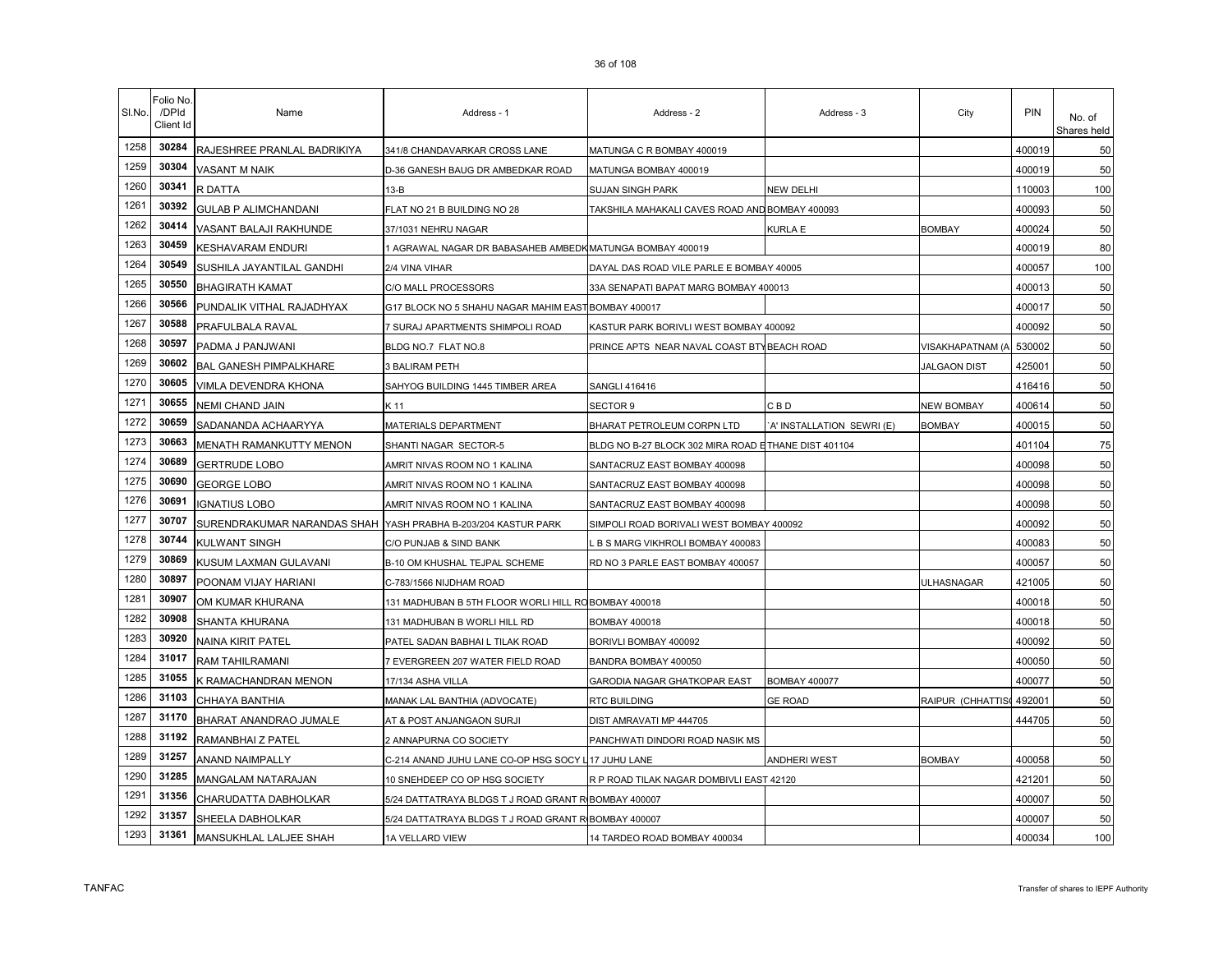| SI.No. | Folio No<br>/DPId<br>Client Id | Name                                                          | Address - 1                                               | Address - 2                                         | Address - 3                | City                | PIN    | No. of<br>Shares held |
|--------|--------------------------------|---------------------------------------------------------------|-----------------------------------------------------------|-----------------------------------------------------|----------------------------|---------------------|--------|-----------------------|
| 1258   | 30284                          | RAJESHREE PRANLAL BADRIKIYA                                   | 341/8 CHANDAVARKAR CROSS LANE                             | MATUNGA C R BOMBAY 400019                           |                            |                     | 400019 | 50                    |
| 1259   | 30304                          | <b>VASANT M NAIK</b>                                          | D-36 GANESH BAUG DR AMBEDKAR ROAD                         | MATUNGA BOMBAY 400019                               |                            |                     | 400019 | 50                    |
| 1260   | 30341                          | R DATTA                                                       | $13-B$                                                    | <b>SUJAN SINGH PARK</b>                             | NEW DELHI                  |                     | 110003 | 100                   |
| 1261   | 30392                          | <b>GULAB P ALIMCHANDANI</b>                                   | FLAT NO 21 B BUILDING NO 28                               | TAKSHILA MAHAKALI CAVES ROAD AND BOMBAY 400093      |                            |                     | 400093 | 50                    |
| 1262   | 30414                          | VASANT BALAJI RAKHUNDE                                        | 37/1031 NEHRU NAGAR                                       |                                                     | KURLA E                    | <b>BOMBAY</b>       | 400024 | 50                    |
| 1263   | 30459                          | <b>KESHAVARAM ENDURI</b>                                      | 1 AGRAWAL NAGAR DR BABASAHEB AMBEDK MATUNGA BOMBAY 400019 |                                                     |                            |                     | 400019 | 80                    |
| 1264   | 30549                          | SUSHILA JAYANTILAL GANDHI                                     | 2/4 VINA VIHAR                                            | DAYAL DAS ROAD VILE PARLE E BOMBAY 40005            |                            |                     | 400057 | 100                   |
| 1265   | 30550                          | <b>BHAGIRATH KAMAT</b>                                        | C/O MALL PROCESSORS                                       | 33A SENAPATI BAPAT MARG BOMBAY 400013               |                            |                     | 400013 | 50                    |
| 1266   | 30566                          | PUNDALIK VITHAL RAJADHYAX                                     | G17 BLOCK NO 5 SHAHU NAGAR MAHIM EAST BOMBAY 400017       |                                                     |                            |                     | 400017 | 50                    |
| 1267   | 30588                          | PRAFULBALA RAVAL                                              | 7 SURAJ APARTMENTS SHIMPOLI ROAD                          | KASTUR PARK BORIVLI WEST BOMBAY 400092              |                            |                     | 400092 | 50                    |
| 1268   | 30597                          | PADMA J PANJWANI                                              | BLDG NO.7 FLAT NO.8                                       | PRINCE APTS NEAR NAVAL COAST BTY BEACH ROAD         |                            | VISAKHAPATNAM (A    | 530002 | 50                    |
| 1269   | 30602                          | <b>BAL GANESH PIMPALKHARE</b>                                 | 3 BALIRAM PETH                                            |                                                     |                            | <b>JALGAON DIST</b> | 425001 | 50                    |
| 1270   | 30605                          | VIMLA DEVENDRA KHONA                                          | SAHYOG BUILDING 1445 TIMBER AREA                          | <b>SANGLI 416416</b>                                |                            |                     | 416416 | 50                    |
| 1271   | 30655                          | NEMI CHAND JAIN                                               | K 11                                                      | SECTOR 9                                            | CBD                        | <b>NEW BOMBAY</b>   | 400614 | 50                    |
| 1272   | 30659                          | SADANANDA ACHAARYYA                                           | MATERIALS DEPARTMENT                                      | BHARAT PETROLEUM CORPN LTD                          | 'A' INSTALLATION SEWRI (E) | <b>BOMBAY</b>       | 400015 | 50                    |
| 1273   | 30663                          | MENATH RAMANKUTTY MENON                                       | SHANTI NAGAR SECTOR-5                                     | BLDG NO B-27 BLOCK 302 MIRA ROAD ETHANE DIST 401104 |                            |                     | 401104 | 75                    |
| 1274   | 30689                          | <b>GERTRUDE LOBO</b>                                          | AMRIT NIVAS ROOM NO 1 KALINA                              | SANTACRUZ EAST BOMBAY 400098                        |                            |                     | 400098 | 50                    |
| 1275   | 30690                          | <b>GEORGE LOBO</b>                                            | AMRIT NIVAS ROOM NO 1 KALINA                              | SANTACRUZ EAST BOMBAY 400098                        |                            |                     | 400098 | 50                    |
| 1276   | 30691                          | <b>IGNATIUS LOBO</b>                                          | AMRIT NIVAS ROOM NO 1 KALINA                              | SANTACRUZ EAST BOMBAY 400098                        |                            |                     | 400098 | 50                    |
| 1277   | 30707                          | SURENDRAKUMAR NARANDAS SHAH YASH PRABHA B-203/204 KASTUR PARK |                                                           | SIMPOLI ROAD BORIVALI WEST BOMBAY 400092            |                            |                     | 400092 | 50                    |
| 1278   | 30744                          | <b>KULWANT SINGH</b>                                          | C/O PUNJAB & SIND BANK                                    | B S MARG VIKHROLI BOMBAY 400083                     |                            |                     | 400083 | 50                    |
| 1279   | 30869                          | KUSUM LAXMAN GULAVANI                                         | B-10 OM KHUSHAL TEJPAL SCHEME                             | RD NO 3 PARLE EAST BOMBAY 400057                    |                            |                     | 400057 | 50                    |
| 1280   | 30897                          | POONAM VIJAY HARIANI                                          | C-783/1566 NIJDHAM ROAD                                   |                                                     |                            | ULHASNAGAR          | 421005 | 50                    |
| 1281   | 30907                          | OM KUMAR KHURANA                                              | 131 MADHUBAN B 5TH FLOOR WORLI HILL ROBOMBAY 400018       |                                                     |                            |                     | 400018 | 50                    |
| 1282   | 30908                          | SHANTA KHURANA                                                | 131 MADHUBAN B WORLI HILL RD                              | BOMBAY 400018                                       |                            |                     | 400018 | 50                    |
| 1283   | 30920                          | NAINA KIRIT PATEL                                             | PATEL SADAN BABHAI L TILAK ROAD                           | BORIVLI BOMBAY 400092                               |                            |                     | 400092 | 50                    |
| 1284   | 31017                          | RAM TAHILRAMANI                                               | 7 EVERGREEN 207 WATER FIELD ROAD                          | BANDRA BOMBAY 400050                                |                            |                     | 400050 | 50                    |
| 1285   | 31055                          | K RAMACHANDRAN MENON                                          | 17/134 ASHA VILLA                                         | GARODIA NAGAR GHATKOPAR EAST                        | <b>BOMBAY 400077</b>       |                     | 400077 | 50                    |
| 1286   | 31103                          | CHHAYA BANTHIA                                                | MANAK LAL BANTHIA (ADVOCATE)                              | RTC BUILDING                                        | <b>GE ROAD</b>             | RAIPUR (CHHATTIS    | 492001 | 50                    |
| 1287   | 31170                          | BHARAT ANANDRAO JUMALE                                        | AT & POST ANJANGAON SURJI                                 | DIST AMRAVATI MP 444705                             |                            |                     | 444705 | 50                    |
| 1288   | 31192                          | RAMANBHAI Z PATEL                                             | 2 ANNAPURNA CO SOCIETY                                    | PANCHWATI DINDORI ROAD NASIK MS                     |                            |                     |        | 50                    |
| 1289   | 31257                          | ANAND NAIMPALLY                                               | C-214 ANAND JUHU LANE CO-OP HSG SOCY L                    | 17 JUHU LANE                                        | ANDHERI WEST               | <b>BOMBAY</b>       | 400058 | 50                    |
| 1290   | 31285                          | MANGALAM NATARAJAN                                            | 10 SNEHDEEP CO OP HSG SOCIETY                             | R P ROAD TILAK NAGAR DOMBIVLI EAST 42120            |                            |                     | 421201 | 50                    |
| 1291   | 31356                          | CHARUDATTA DABHOLKAR                                          | 5/24 DATTATRAYA BLDGS T J ROAD GRANT RIBOMBAY 400007      |                                                     |                            |                     | 400007 | 50                    |
| 1292   | 31357                          | SHEELA DABHOLKAR                                              | 5/24 DATTATRAYA BLDGS T J ROAD GRANT R BOMBAY 400007      |                                                     |                            |                     | 400007 | 50                    |
| 1293   | 31361                          | MANSUKHLAL LALJEE SHAH                                        | 1A VELLARD VIEW                                           | 14 TARDEO ROAD BOMBAY 400034                        |                            |                     | 400034 | 100                   |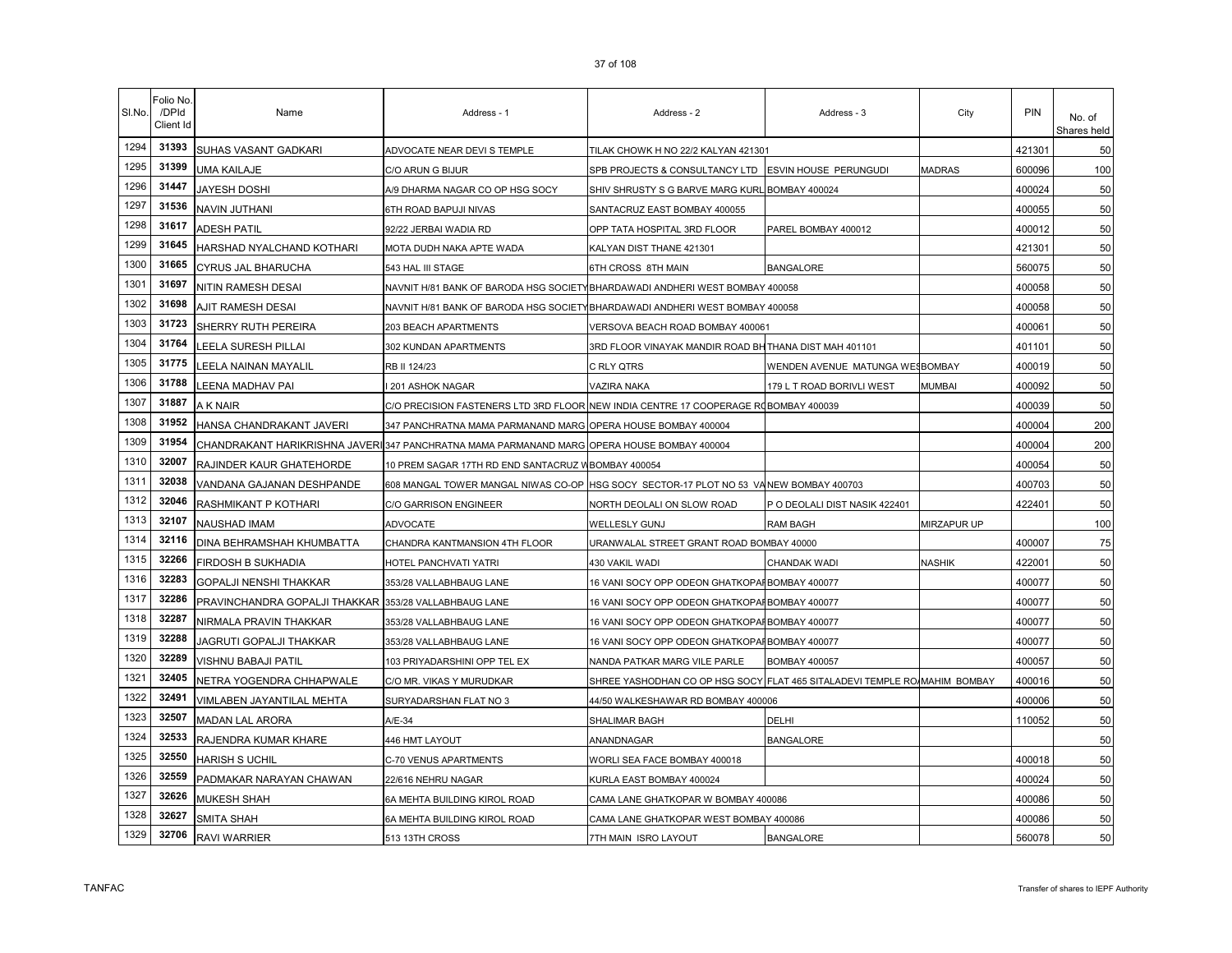| SI.No. | Folio No<br>/DPId<br>Client Id | Name                                                  | Address - 1                                                                                 | Address - 2                                                               | Address - 3                     | City          | PIN    | No. of<br>Shares held |
|--------|--------------------------------|-------------------------------------------------------|---------------------------------------------------------------------------------------------|---------------------------------------------------------------------------|---------------------------------|---------------|--------|-----------------------|
| 1294   | 31393                          | SUHAS VASANT GADKARI                                  | ADVOCATE NEAR DEVI S TEMPLE                                                                 | TILAK CHOWK H NO 22/2 KALYAN 421301                                       |                                 |               | 421301 | 50                    |
| 1295   | 31399                          | <b>UMA KAILAJE</b>                                    | C/O ARUN G BIJUR                                                                            | SPB PROJECTS & CONSULTANCY LTD ESVIN HOUSE PERUNGUDI                      |                                 | <b>MADRAS</b> | 600096 | 100                   |
| 1296   | 31447                          | <b>JAYESH DOSHI</b>                                   | A/9 DHARMA NAGAR CO OP HSG SOCY                                                             | SHIV SHRUSTY S G BARVE MARG KURL BOMBAY 400024                            |                                 |               | 400024 | 50                    |
| 1297   | 31536                          | <b>NAVIN JUTHANI</b>                                  | 6TH ROAD BAPUJI NIVAS                                                                       | SANTACRUZ EAST BOMBAY 400055                                              |                                 |               | 400055 | 50                    |
| 1298   | 31617                          | <b>ADESH PATIL</b>                                    | 92/22 JERBAI WADIA RD                                                                       | OPP TATA HOSPITAL 3RD FLOOR                                               | PAREL BOMBAY 400012             |               | 400012 | 50                    |
| 1299   | 31645                          | HARSHAD NYALCHAND KOTHARI                             | MOTA DUDH NAKA APTE WADA                                                                    | KALYAN DIST THANE 421301                                                  |                                 |               | 421301 | 50                    |
| 1300   | 31665                          | CYRUS JAL BHARUCHA                                    | 543 HAL III STAGE                                                                           | 6TH CROSS 8TH MAIN                                                        | <b>BANGALORE</b>                |               | 560075 | 50                    |
| 1301   | 31697                          | NITIN RAMESH DESAI                                    | NAVNIT H/81 BANK OF BARODA HSG SOCIETYBHARDAWADI ANDHERI WEST BOMBAY 400058                 |                                                                           |                                 |               | 400058 | 50                    |
| 1302   | 31698                          | AJIT RAMESH DESAI                                     | NAVNIT H/81 BANK OF BARODA HSG SOCIETY                                                      | BHARDAWADI ANDHERI WEST BOMBAY 400058                                     |                                 |               | 400058 | 50                    |
| 1303   | 31723                          | SHERRY RUTH PEREIRA                                   | 203 BEACH APARTMENTS                                                                        | VERSOVA BEACH ROAD BOMBAY 400061                                          |                                 |               | 400061 | 50                    |
| 1304   | 31764                          | LEELA SURESH PILLAI                                   | 302 KUNDAN APARTMENTS                                                                       | 3RD FLOOR VINAYAK MANDIR ROAD BHITHANA DIST MAH 401101                    |                                 |               | 401101 | 50                    |
| 1305   | 31775                          | LEELA NAINAN MAYALIL                                  | RB II 124/23                                                                                | C RLY QTRS                                                                | WENDEN AVENUE MATUNGA WESBOMBAY |               | 400019 | 50                    |
| 1306   | 31788                          | LEENA MADHAV PAI                                      | 201 ASHOK NAGAR                                                                             | VAZIRA NAKA                                                               | 179 L T ROAD BORIVLI WEST       | <b>MUMBAI</b> | 400092 | 50                    |
| 1307   | 31887                          | A K NAIR                                              | C/O PRECISION FASTENERS LTD 3RD FLOOR NEW INDIA CENTRE 17 COOPERAGE ROBOMBAY 400039         |                                                                           |                                 |               | 400039 | 50                    |
| 1308   | 31952                          | HANSA CHANDRAKANT JAVERI                              | 347 PANCHRATNA MAMA PARMANAND MARG OPERA HOUSE BOMBAY 400004                                |                                                                           |                                 |               | 400004 | 200                   |
| 1309   | 31954                          |                                                       | CHANDRAKANT HARIKRISHNA JAVERI 347 PANCHRATNA MAMA PARMANAND MARG OPERA HOUSE BOMBAY 400004 |                                                                           |                                 |               | 400004 | 200                   |
| 1310   | 32007                          | RAJINDER KAUR GHATEHORDE                              | 10 PREM SAGAR 17TH RD END SANTACRUZ W                                                       | <b>BOMBAY 400054</b>                                                      |                                 |               | 400054 | 50                    |
| 1311   | 32038                          | VANDANA GAJANAN DESHPANDE                             | 608 MANGAL TOWER MANGAL NIWAS CO-OP                                                         | HSG SOCY SECTOR-17 PLOT NO 53 VANEW BOMBAY 400703                         |                                 |               | 400703 | 50                    |
| 1312   | 32046                          | RASHMIKANT P KOTHARI                                  | C/O GARRISON ENGINEER                                                                       | NORTH DEOLALI ON SLOW ROAD                                                | P O DEOLALI DIST NASIK 422401   |               | 422401 | 50                    |
| 1313   | 32107                          | NAUSHAD IMAM                                          | ADVOCATE                                                                                    | WELLESLY GUNJ                                                             | RAM BAGH                        | MIRZAPUR UP   |        | 100                   |
| 1314   | 32116                          | DINA BEHRAMSHAH KHUMBATTA                             | CHANDRA KANTMANSION 4TH FLOOR                                                               | URANWALAL STREET GRANT ROAD BOMBAY 40000                                  |                                 |               | 400007 | 75                    |
| 1315   | 32266                          | FIRDOSH B SUKHADIA                                    | HOTEL PANCHVATI YATRI                                                                       | 430 VAKIL WADI                                                            | CHANDAK WADI                    | <b>NASHIK</b> | 422001 | 50                    |
| 1316   | 32283                          | GOPALJI NENSHI THAKKAR                                | 353/28 VALLABHBAUG LANE                                                                     | 16 VANI SOCY OPP ODEON GHATKOPAFBOMBAY 400077                             |                                 |               | 400077 | 50                    |
| 1317   | 32286                          | PRAVINCHANDRA GOPALJI THAKKAR 353/28 VALLABHBAUG LANE |                                                                                             | 16 VANI SOCY OPP ODEON GHATKOPAFBOMBAY 400077                             |                                 |               | 400077 | 50                    |
| 1318   | 32287                          | NIRMALA PRAVIN THAKKAR                                | 353/28 VALLABHBAUG LANE                                                                     | 16 VANI SOCY OPP ODEON GHATKOPAI BOMBAY 400077                            |                                 |               | 400077 | 50                    |
| 1319   | 32288                          | JAGRUTI GOPALJI THAKKAR                               | 353/28 VALLABHBAUG LANE                                                                     | 16 VANI SOCY OPP ODEON GHATKOPAFBOMBAY 400077                             |                                 |               | 400077 | 50                    |
| 1320   | 32289                          | VISHNU BABAJI PATIL                                   | 103 PRIYADARSHINI OPP TEL EX                                                                | NANDA PATKAR MARG VILE PARLE                                              | <b>BOMBAY 400057</b>            |               | 400057 | 50                    |
| 1321   | 32405                          | NETRA YOGENDRA CHHAPWALE                              | C/O MR. VIKAS Y MURUDKAR                                                                    | SHREE YASHODHAN CO OP HSG SOCY FLAT 465 SITALADEVI TEMPLE RO/MAHIM BOMBAY |                                 |               | 400016 | 50                    |
| 1322   | 32491                          | VIMLABEN JAYANTILAL MEHTA                             | SURYADARSHAN FLAT NO 3                                                                      | 44/50 WALKESHAWAR RD BOMBAY 400006                                        |                                 |               | 400006 | 50                    |
| 1323   | 32507                          | <b>MADAN LAL ARORA</b>                                | A/E-34                                                                                      | SHALIMAR BAGH                                                             | DELHI                           |               | 110052 | 50                    |
| 1324   | 32533                          | RAJENDRA KUMAR KHARE                                  | 446 HMT LAYOUT                                                                              | ANANDNAGAR                                                                | <b>BANGALORE</b>                |               |        | 50                    |
| 1325   | 32550                          | <b>HARISH S UCHIL</b>                                 | C-70 VENUS APARTMENTS                                                                       | WORLI SEA FACE BOMBAY 400018                                              |                                 |               | 400018 | 50                    |
| 1326   | 32559                          | PADMAKAR NARAYAN CHAWAN                               | 22/616 NEHRU NAGAR                                                                          | KURLA EAST BOMBAY 400024                                                  |                                 |               | 400024 | 50                    |
| 1327   | 32626                          | MUKESH SHAH                                           | 6A MEHTA BUILDING KIROL ROAD                                                                | CAMA LANE GHATKOPAR W BOMBAY 400086                                       |                                 |               | 400086 | 50                    |
| 1328   | 32627                          | SMITA SHAH                                            | 6A MEHTA BUILDING KIROL ROAD                                                                | CAMA LANE GHATKOPAR WEST BOMBAY 400086                                    |                                 |               | 400086 | 50                    |
| 1329   | 32706                          | <b>RAVI WARRIER</b>                                   | 513 13TH CROSS                                                                              | 7TH MAIN ISRO LAYOUT                                                      | <b>BANGALORE</b>                |               | 560078 | 50                    |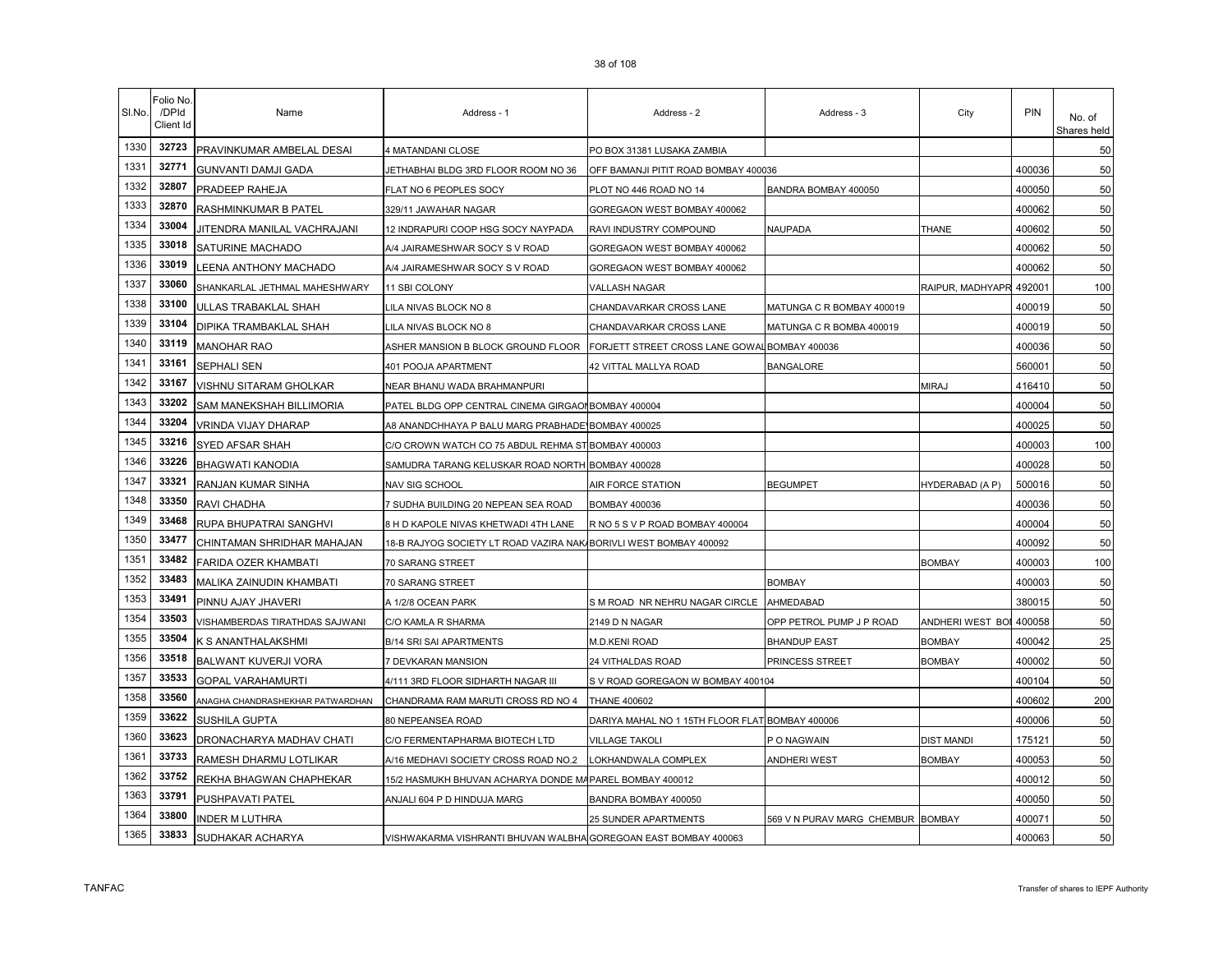| SI.No. | Folio No<br>/DPId<br>Client Id | Name                             | Address - 1                                                     | Address - 2                                     | Address - 3                       | City                    | PIN    | No. of<br>Shares held |
|--------|--------------------------------|----------------------------------|-----------------------------------------------------------------|-------------------------------------------------|-----------------------------------|-------------------------|--------|-----------------------|
| 1330   | 32723                          | PRAVINKUMAR AMBELAL DESAI        | 4 MATANDANI CLOSE                                               | PO BOX 31381 LUSAKA ZAMBIA                      |                                   |                         |        | 50                    |
| 1331   | 32771                          | <b>GUNVANTI DAMJI GADA</b>       | ETHABHAI BLDG 3RD FLOOR ROOM NO 36                              | OFF BAMANJI PITIT ROAD BOMBAY 400036            |                                   |                         | 400036 | 50                    |
| 1332   | 32807                          | PRADEEP RAHEJA                   | FLAT NO 6 PEOPLES SOCY                                          | PLOT NO 446 ROAD NO 14                          | BANDRA BOMBAY 400050              |                         | 400050 | 50                    |
| 1333   | 32870                          | RASHMINKUMAR B PATEL             | 329/11 JAWAHAR NAGAR                                            | GOREGAON WEST BOMBAY 400062                     |                                   |                         | 400062 | 50                    |
| 1334   | 33004                          | JITENDRA MANILAL VACHRAJANI      | 12 INDRAPURI COOP HSG SOCY NAYPADA                              | RAVI INDUSTRY COMPOUND                          | <b>NAUPADA</b>                    | <b>THANE</b>            | 400602 | 50                    |
| 1335   | 33018                          | SATURINE MACHADO                 | A/4 JAIRAMESHWAR SOCY S V ROAD                                  | GOREGAON WEST BOMBAY 400062                     |                                   |                         | 400062 | 50                    |
| 1336   | 33019                          | <b>EENA ANTHONY MACHADO</b>      | A/4 JAIRAMESHWAR SOCY S V ROAD                                  | GOREGAON WEST BOMBAY 400062                     |                                   |                         | 400062 | 50                    |
| 1337   | 33060                          | SHANKARLAL JETHMAL MAHESHWARY    | 11 SBI COLONY                                                   | VALLASH NAGAR                                   |                                   | RAIPUR, MADHYAPR 492001 |        | 100                   |
| 1338   | 33100                          | ULLAS TRABAKLAL SHAH             | ILA NIVAS BLOCK NO 8                                            | CHANDAVARKAR CROSS LANE                         | MATUNGA C R BOMBAY 400019         |                         | 400019 | 50                    |
| 1339   | 33104                          | DIPIKA TRAMBAKLAL SHAH           | LILA NIVAS BLOCK NO 8                                           | CHANDAVARKAR CROSS LANE                         | MATUNGA C R BOMBA 400019          |                         | 400019 | 50                    |
| 1340   | 33119                          | <b>MANOHAR RAO</b>               | ASHER MANSION B BLOCK GROUND FLOOR                              | FORJETT STREET CROSS LANE GOWAL BOMBAY 400036   |                                   |                         | 400036 | 50                    |
| 1341   | 33161                          | SEPHALI SEN                      | 401 POOJA APARTMENT                                             | 42 VITTAL MALLYA ROAD                           | <b>BANGALORE</b>                  |                         | 560001 | 50                    |
| 1342   | 33167                          | VISHNU SITARAM GHOLKAR           | NEAR BHANU WADA BRAHMANPURI                                     |                                                 |                                   | <b>MIRAJ</b>            | 416410 | 50                    |
| 1343   | 33202                          | <b>SAM MANEKSHAH BILLIMORIA</b>  | PATEL BLDG OPP CENTRAL CINEMA GIRGAOI BOMBAY 400004             |                                                 |                                   |                         | 400004 | 50                    |
| 1344   | 33204                          | VRINDA VIJAY DHARAP              | A8 ANANDCHHAYA P BALU MARG PRABHADE'                            | <b>BOMBAY 400025</b>                            |                                   |                         | 400025 | 50                    |
| 1345   | 33216                          | SYED AFSAR SHAH                  | C/O CROWN WATCH CO 75 ABDUL REHMA ST BOMBAY 400003              |                                                 |                                   |                         | 400003 | 100                   |
| 1346   | 33226                          | <b>BHAGWATI KANODIA</b>          | SAMUDRA TARANG KELUSKAR ROAD NORTH BOMBAY 400028                |                                                 |                                   |                         | 400028 | 50                    |
| 1347   | 33321                          | RANJAN KUMAR SINHA               | NAV SIG SCHOOL                                                  | AIR FORCE STATION                               | <b>BEGUMPET</b>                   | HYDERABAD (A P)         | 500016 | 50                    |
| 1348   | 33350                          | RAVI CHADHA                      | 7 SUDHA BUILDING 20 NEPEAN SEA ROAD                             | <b>BOMBAY 400036</b>                            |                                   |                         | 400036 | 50                    |
| 1349   | 33468                          | RUPA BHUPATRAI SANGHVI           | 8 H D KAPOLE NIVAS KHETWADI 4TH LANE                            | R NO 5 S V P ROAD BOMBAY 400004                 |                                   |                         | 400004 | 50                    |
| 1350   | 33477                          | CHINTAMAN SHRIDHAR MAHAJAN       | 18-B RAJYOG SOCIETY LT ROAD VAZIRA NAK                          | BORIVLI WEST BOMBAY 400092                      |                                   |                         | 400092 | 50                    |
| 1351   | 33482                          | FARIDA OZER KHAMBATI             | 70 SARANG STREET                                                |                                                 |                                   | <b>BOMBAY</b>           | 400003 | 100                   |
| 1352   | 33483                          | MALIKA ZAINUDIN KHAMBATI         | 70 SARANG STREET                                                |                                                 | <b>BOMBAY</b>                     |                         | 400003 | 50                    |
| 1353   | 33491                          | PINNU AJAY JHAVERI               | A 1/2/8 OCEAN PARK                                              | S M ROAD NR NEHRU NAGAR CIRCLE                  | AHMEDABAD                         |                         | 380015 | 50                    |
| 1354   | 33503                          | VISHAMBERDAS TIRATHDAS SAJWANI   | C/O KAMLA R SHARMA                                              | 2149 D N NAGAR                                  | OPP PETROL PUMP J P ROAD          | ANDHERI WEST BOI        | 400058 | 50                    |
| 1355   | 33504                          | K S ANANTHALAKSHMI               | B/14 SRI SAI APARTMENTS                                         | <b>M.D.KENI ROAD</b>                            | <b>BHANDUP EAST</b>               | <b>BOMBAY</b>           | 400042 | 25                    |
| 1356   | 33518                          | BALWANT KUVERJI VORA             | 7 DEVKARAN MANSION                                              | 24 VITHALDAS ROAD                               | PRINCESS STREET                   | <b>BOMBAY</b>           | 400002 | 50                    |
| 1357   | 33533                          | <b>GOPAL VARAHAMURTI</b>         | 4/111 3RD FLOOR SIDHARTH NAGAR III                              | S V ROAD GOREGAON W BOMBAY 400104               |                                   |                         | 400104 | 50                    |
| 1358   | 33560                          | ANAGHA CHANDRASHEKHAR PATWARDHAN | CHANDRAMA RAM MARUTI CROSS RD NO 4                              | <b>THANE 400602</b>                             |                                   |                         | 400602 | 200                   |
| 1359   | 33622                          | SUSHILA GUPTA                    | 80 NEPEANSEA ROAD                                               | DARIYA MAHAL NO 1 15TH FLOOR FLAT BOMBAY 400006 |                                   |                         | 400006 | 50                    |
| 1360   | 33623                          | DRONACHARYA MADHAV CHATI         | C/O FERMENTAPHARMA BIOTECH LTD                                  | <b>VILLAGE TAKOLI</b>                           | P O NAGWAIN                       | <b>DIST MANDI</b>       | 175121 | 50                    |
| 1361   | 33733                          | RAMESH DHARMU LOTLIKAR           | A/16 MEDHAVI SOCIETY CROSS ROAD NO.2                            | OKHANDWALA COMPLEX                              | ANDHERI WEST                      | <b>BOMBAY</b>           | 400053 | 50                    |
| 1362   | 33752                          | REKHA BHAGWAN CHAPHEKAR          | 15/2 HASMUKH BHUVAN ACHARYA DONDE MAPAREL BOMBAY 400012         |                                                 |                                   |                         | 400012 | 50                    |
| 1363   | 33791                          | PUSHPAVATI PATEL                 | ANJALI 604 P D HINDUJA MARG                                     | BANDRA BOMBAY 400050                            |                                   |                         | 400050 | 50                    |
| 1364   | 33800                          | <b>INDER M LUTHRA</b>            |                                                                 | 25 SUNDER APARTMENTS                            | 569 V N PURAV MARG CHEMBUR BOMBAY |                         | 400071 | 50                    |
| 1365   | 33833                          | SUDHAKAR ACHARYA                 | VISHWAKARMA VISHRANTI BHUVAN WALBHA GOREGOAN EAST BOMBAY 400063 |                                                 |                                   |                         | 400063 | 50                    |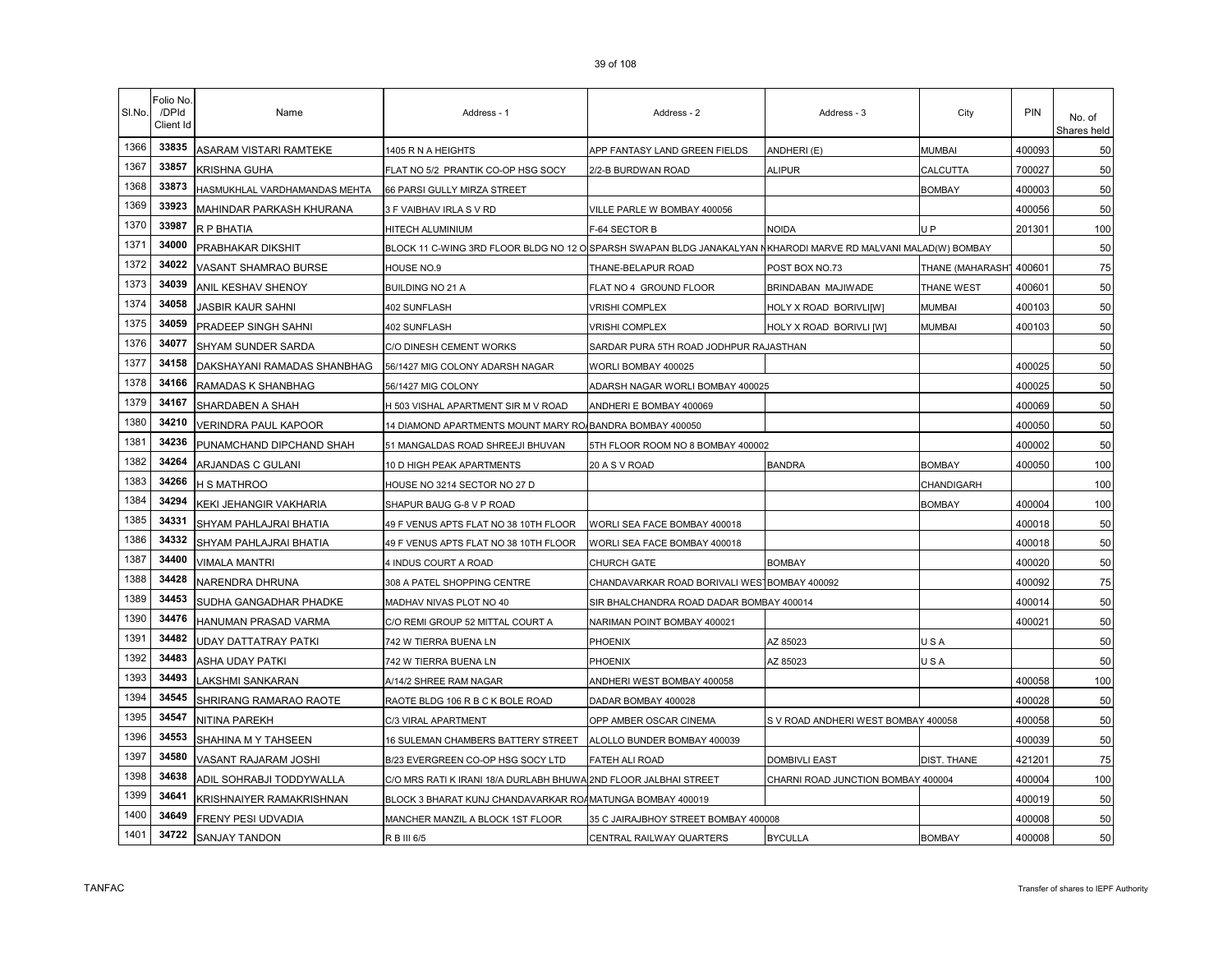| SI.No. | Folio No<br>/DPId<br>Client Id | Name                          | Address - 1                                                                                                    | Address - 2                                  | Address - 3                         | City               | <b>PIN</b> | No. of<br>Shares held |
|--------|--------------------------------|-------------------------------|----------------------------------------------------------------------------------------------------------------|----------------------------------------------|-------------------------------------|--------------------|------------|-----------------------|
| 1366   | 33835                          | ASARAM VISTARI RAMTEKE        | 1405 R N A HEIGHTS                                                                                             | APP FANTASY LAND GREEN FIELDS                | ANDHERI (E)                         | MUMBAI             | 400093     | 50                    |
| 1367   | 33857                          | <b>KRISHNA GUHA</b>           | FLAT NO 5/2 PRANTIK CO-OP HSG SOCY                                                                             | 2/2-B BURDWAN ROAD                           | ALIPUR                              | CALCUTTA           | 700027     | 50                    |
| 1368   | 33873                          | HASMUKHLAL VARDHAMANDAS MEHTA | 66 PARSI GULLY MIRZA STREET                                                                                    |                                              |                                     | <b>BOMBAY</b>      | 400003     | 50                    |
| 1369   | 33923                          | MAHINDAR PARKASH KHURANA      | 3 F VAIBHAV IRLA S V RD                                                                                        | VILLE PARLE W BOMBAY 400056                  |                                     |                    | 400056     | 50                    |
| 1370   | 33987                          | R P BHATIA                    | HITECH ALUMINIUM                                                                                               | F-64 SECTOR B                                | NOIDA                               | U <sub>P</sub>     | 201301     | 100                   |
| 1371   | 34000                          | PRABHAKAR DIKSHIT             | BLOCK 11 C-WING 3RD FLOOR BLDG NO 12 O SPARSH SWAPAN BLDG JANAKALYAN NKHARODI MARVE RD MALVANI MALAD(W) BOMBAY |                                              |                                     |                    |            | 50                    |
| 1372   | 34022                          | VASANT SHAMRAO BURSE          | HOUSE NO.9                                                                                                     | THANE-BELAPUR ROAD                           | POST BOX NO.73                      | THANE (MAHARASH)   | 400601     | 75                    |
| 1373   | 34039                          | ANIL KESHAV SHENOY            | <b>BUILDING NO 21 A</b>                                                                                        | FLAT NO 4 GROUND FLOOR                       | BRINDABAN MAJIWADE                  | THANE WEST         | 400601     | 50                    |
| 1374   | 34058                          | JASBIR KAUR SAHNI             | 402 SUNFLASH                                                                                                   | <b>VRISHI COMPLEX</b>                        | HOLY X ROAD BORIVLI[W]              | MUMBAI             | 400103     | 50                    |
| 1375   | 34059                          | PRADEEP SINGH SAHNI           | 402 SUNFLASH                                                                                                   | VRISHI COMPLEX                               | HOLY X ROAD BORIVLI [W]             | <b>MUMBAI</b>      | 400103     | 50                    |
| 1376   | 34077                          | SHYAM SUNDER SARDA            | C/O DINESH CEMENT WORKS                                                                                        | SARDAR PURA 5TH ROAD JODHPUR RAJASTHAN       |                                     |                    |            | 50                    |
| 1377   | 34158                          | DAKSHAYANI RAMADAS SHANBHAG   | 56/1427 MIG COLONY ADARSH NAGAR                                                                                | WORLI BOMBAY 400025                          |                                     |                    | 400025     | 50                    |
| 1378   | 34166                          | RAMADAS K SHANBHAG            | 56/1427 MIG COLONY                                                                                             | ADARSH NAGAR WORLI BOMBAY 400025             |                                     |                    | 400025     | 50                    |
| 1379   | 34167                          | SHARDABEN A SHAH              | H 503 VISHAL APARTMENT SIR M V ROAD                                                                            | ANDHERI E BOMBAY 400069                      |                                     |                    | 400069     | 50                    |
| 1380   | 34210                          | <b>VERINDRA PAUL KAPOOR</b>   | 14 DIAMOND APARTMENTS MOUNT MARY RO BANDRA BOMBAY 400050                                                       |                                              |                                     |                    | 400050     | 50                    |
| 1381   | 34236                          | PUNAMCHAND DIPCHAND SHAH      | 51 MANGALDAS ROAD SHREEJI BHUVAN                                                                               | 5TH FLOOR ROOM NO 8 BOMBAY 400002            |                                     |                    | 400002     | 50                    |
| 1382   | 34264                          | ARJANDAS C GULANI             | 10 D HIGH PEAK APARTMENTS                                                                                      | 20 A S V ROAD                                | <b>BANDRA</b>                       | <b>BOMBAY</b>      | 400050     | 100                   |
| 1383   | 34266                          | H S MATHROO                   | HOUSE NO 3214 SECTOR NO 27 D                                                                                   |                                              |                                     | CHANDIGARH         |            | 100                   |
| 1384   | 34294                          | KEKI JEHANGIR VAKHARIA        | SHAPUR BAUG G-8 V P ROAD                                                                                       |                                              |                                     | <b>BOMBAY</b>      | 400004     | 100                   |
| 1385   | 34331                          | SHYAM PAHLAJRAI BHATIA        | 49 F VENUS APTS FLAT NO 38 10TH FLOOR                                                                          | WORLI SEA FACE BOMBAY 400018                 |                                     |                    | 400018     | 50                    |
| 1386   | 34332                          | SHYAM PAHLAJRAI BHATIA        | 49 F VENUS APTS FLAT NO 38 10TH FLOOR                                                                          | WORLI SEA FACE BOMBAY 400018                 |                                     |                    | 400018     | 50                    |
| 1387   | 34400                          | <b>VIMALA MANTRI</b>          | 4 INDUS COURT A ROAD                                                                                           | CHURCH GATE                                  | <b>BOMBAY</b>                       |                    | 400020     | 50                    |
| 1388   | 34428                          | NARENDRA DHRUNA               | 308 A PATEL SHOPPING CENTRE                                                                                    | CHANDAVARKAR ROAD BORIVALI WESTBOMBAY 400092 |                                     |                    | 400092     | 75                    |
| 1389   | 34453                          | SUDHA GANGADHAR PHADKE        | MADHAV NIVAS PLOT NO 40                                                                                        | SIR BHALCHANDRA ROAD DADAR BOMBAY 400014     |                                     |                    | 400014     | 50                    |
| 1390   | 34476                          | HANUMAN PRASAD VARMA          | C/O REMI GROUP 52 MITTAL COURT A                                                                               | NARIMAN POINT BOMBAY 400021                  |                                     |                    | 400021     | 50                    |
| 1391   | 34482                          | UDAY DATTATRAY PATKI          | 742 W TIERRA BUENA LN                                                                                          | PHOENIX                                      | AZ 85023                            | USA                |            | 50                    |
| 1392   | 34483                          | ASHA UDAY PATKI               | 742 W TIERRA BUENA LN                                                                                          | PHOENIX                                      | AZ 85023                            | USA                |            | 50                    |
| 1393   | 34493                          | LAKSHMI SANKARAN              | A/14/2 SHREE RAM NAGAR                                                                                         | ANDHERI WEST BOMBAY 400058                   |                                     |                    | 400058     | 100                   |
| 1394   | 34545                          | SHRIRANG RAMARAO RAOTE        | RAOTE BLDG 106 R B C K BOLE ROAD                                                                               | DADAR BOMBAY 400028                          |                                     |                    | 400028     | 50                    |
| 1395   | 34547                          | NITINA PAREKH                 | C/3 VIRAL APARTMENT                                                                                            | OPP AMBER OSCAR CINEMA                       | S V ROAD ANDHERI WEST BOMBAY 400058 |                    | 400058     | 50                    |
| 1396   | 34553                          | SHAHINA M Y TAHSEEN           | 16 SULEMAN CHAMBERS BATTERY STREET                                                                             | ALOLLO BUNDER BOMBAY 400039                  |                                     |                    | 400039     | 50                    |
| 1397   | 34580                          | VASANT RAJARAM JOSHI          | B/23 EVERGREEN CO-OP HSG SOCY LTD                                                                              | <b>FATEH ALI ROAD</b>                        | DOMBIVLI EAST                       | <b>DIST. THANE</b> | 421201     | 75                    |
| 1398   | 34638                          | ADIL SOHRABJI TODDYWALLA      | C/O MRS RATI K IRANI 18/A DURLABH BHUWA 2ND FLOOR JALBHAI STREET                                               |                                              | CHARNI ROAD JUNCTION BOMBAY 400004  |                    | 400004     | 100                   |
| 1399   | 34641                          | KRISHNAIYER RAMAKRISHNAN      | BLOCK 3 BHARAT KUNJ CHANDAVARKAR ROAMATUNGA BOMBAY 400019                                                      |                                              |                                     |                    | 400019     | 50                    |
| 1400   | 34649                          | FRENY PESI UDVADIA            | MANCHER MANZIL A BLOCK 1ST FLOOR                                                                               | 35 C JAIRAJBHOY STREET BOMBAY 400008         |                                     |                    | 400008     | 50                    |
| 1401   | 34722                          | <b>SANJAY TANDON</b>          | R B III 6/5                                                                                                    | CENTRAL RAILWAY QUARTERS                     | <b>BYCULLA</b>                      | <b>BOMBAY</b>      | 400008     | 50                    |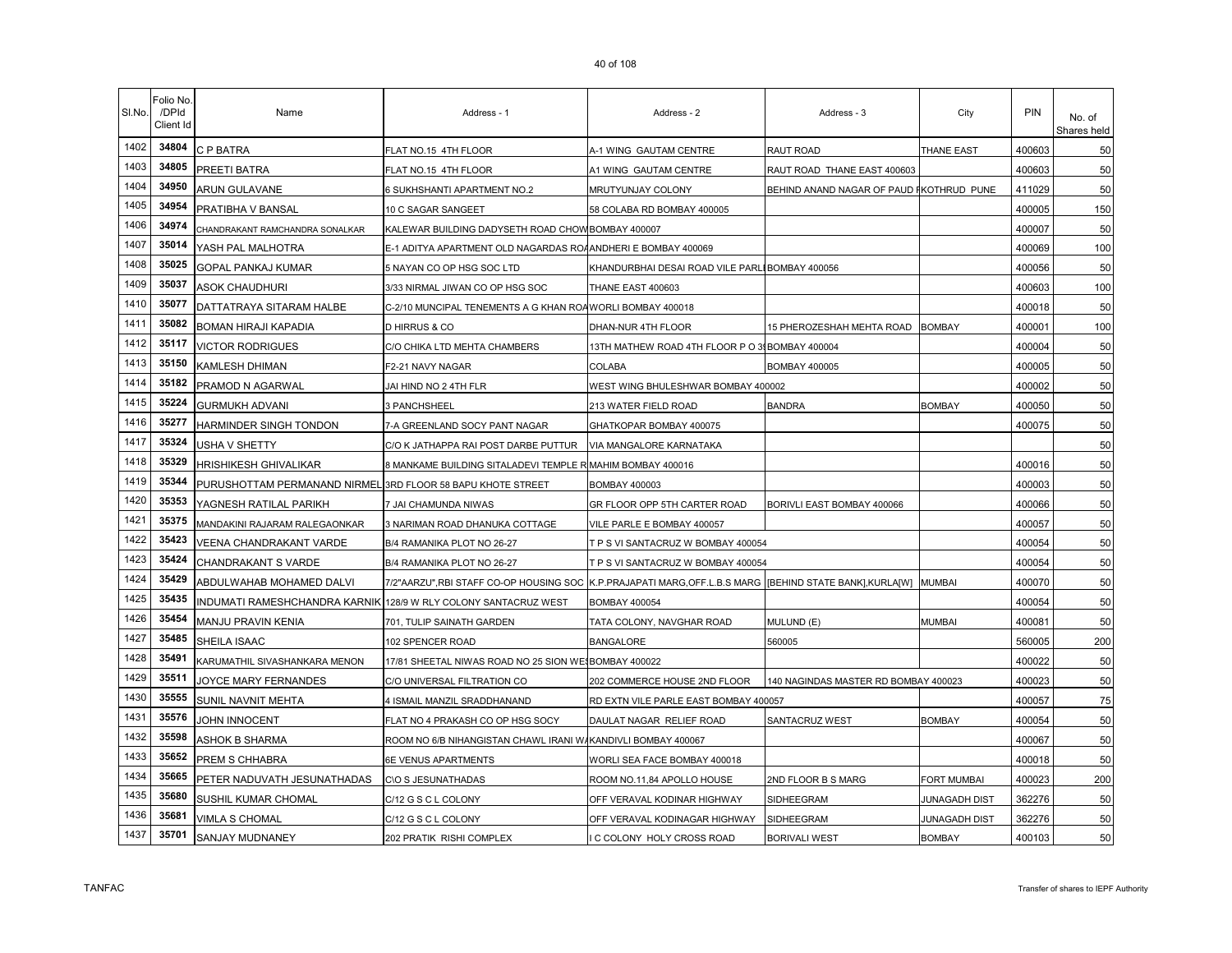| SI.No. | Folio No.<br>/DPId<br>Client Id | Name                                                        | Address - 1                                                     | Address - 2                                                        | Address - 3                              | City                 | PIN    | No. of<br>Shares held |
|--------|---------------------------------|-------------------------------------------------------------|-----------------------------------------------------------------|--------------------------------------------------------------------|------------------------------------------|----------------------|--------|-----------------------|
| 1402   | 34804                           | C P BATRA                                                   | FLAT NO.15 4TH FLOOR                                            | A-1 WING GAUTAM CENTRE                                             | RAUT ROAD                                | THANE EAST           | 400603 | 50                    |
| 1403   | 34805                           | PREETI BATRA                                                | FLAT NO.15 4TH FLOOR                                            | A1 WING GAUTAM CENTRE                                              | RAUT ROAD THANE EAST 400603              |                      | 400603 | 50                    |
| 1404   | 34950                           | ARUN GULAVANE                                               | 6 SUKHSHANTI APARTMENT NO.2                                     | MRUTYUNJAY COLONY                                                  | BEHIND ANAND NAGAR OF PAUD FKOTHRUD PUNE |                      | 411029 | 50                    |
| 1405   | 34954                           | PRATIBHA V BANSAL                                           | 10 C SAGAR SANGEET                                              | 58 COLABA RD BOMBAY 400005                                         |                                          |                      | 400005 | 150                   |
| 1406   | 34974                           | CHANDRAKANT RAMCHANDRA SONALKAR                             | KALEWAR BUILDING DADYSETH ROAD CHOW BOMBAY 400007               |                                                                    |                                          |                      | 400007 | 50                    |
| 1407   | 35014                           | YASH PAL MALHOTRA                                           | E-1 ADITYA APARTMENT OLD NAGARDAS ROAANDHERI E BOMBAY 400069    |                                                                    |                                          |                      | 400069 | 100                   |
| 1408   | 35025                           | GOPAL PANKAJ KUMAR                                          | 5 NAYAN CO OP HSG SOC LTD                                       | KHANDURBHAI DESAI ROAD VILE PARLI BOMBAY 400056                    |                                          |                      | 400056 | 50                    |
| 1409   | 35037                           | ASOK CHAUDHURI                                              | 3/33 NIRMAL JIWAN CO OP HSG SOC                                 | THANE EAST 400603                                                  |                                          |                      | 400603 | 100                   |
| 1410   | 35077                           | DATTATRAYA SITARAM HALBE                                    | C-2/10 MUNCIPAL TENEMENTS A G KHAN ROAWORLI BOMBAY 400018       |                                                                    |                                          |                      | 400018 | 50                    |
| 1411   | 35082                           | <b>BOMAN HIRAJI KAPADIA</b>                                 | <b>D HIRRUS &amp; CO</b>                                        | DHAN-NUR 4TH FLOOR                                                 | 15 PHEROZESHAH MEHTA ROAD                | <b>BOMBAY</b>        | 400001 | 100                   |
| 1412   | 35117                           | <b>VICTOR RODRIGUES</b>                                     | C/O CHIKA LTD MEHTA CHAMBERS                                    | 13TH MATHEW ROAD 4TH FLOOR P O 31 BOMBAY 400004                    |                                          |                      | 400004 | 50                    |
| 1413   | 35150                           | KAMLESH DHIMAN                                              | F2-21 NAVY NAGAR                                                | COLABA                                                             | <b>BOMBAY 400005</b>                     |                      | 400005 | 50                    |
| 1414   | 35182                           | PRAMOD N AGARWAL                                            | JAI HIND NO 2 4TH FLR                                           | WEST WING BHULESHWAR BOMBAY 400002                                 |                                          |                      | 400002 | 50                    |
| 1415   | 35224                           | <b>GURMUKH ADVANI</b>                                       | 3 PANCHSHEEL                                                    | 213 WATER FIELD ROAD                                               | <b>BANDRA</b>                            | <b>BOMBAY</b>        | 400050 | 50                    |
| 1416   | 35277                           | HARMINDER SINGH TONDON                                      | 7-A GREENLAND SOCY PANT NAGAR                                   | GHATKOPAR BOMBAY 400075                                            |                                          |                      | 400075 | 50                    |
| 1417   | 35324                           | USHA V SHETTY                                               | C/O K JATHAPPA RAI POST DARBE PUTTUR                            | VIA MANGALORE KARNATAKA                                            |                                          |                      |        | 50                    |
| 1418   | 35329                           | <b>HRISHIKESH GHIVALIKAR</b>                                | 8 MANKAME BUILDING SITALADEVI TEMPLE R MAHIM BOMBAY 400016      |                                                                    |                                          |                      | 400016 | 50                    |
| 1419   | 35344                           | PURUSHOTTAM PERMANAND NIRMEL 3RD FLOOR 58 BAPU KHOTE STREET |                                                                 | BOMBAY 400003                                                      |                                          |                      | 400003 | 50                    |
| 1420   | 35353                           | YAGNESH RATILAL PARIKH                                      | 7 JAI CHAMUNDA NIWAS                                            | GR FLOOR OPP 5TH CARTER ROAD                                       | BORIVLI EAST BOMBAY 400066               |                      | 400066 | 50                    |
| 1421   | 35375                           | MANDAKINI RAJARAM RALEGAONKAR                               | 3 NARIMAN ROAD DHANUKA COTTAGE                                  | VILE PARLE E BOMBAY 400057                                         |                                          |                      | 400057 | 50                    |
| 1422   | 35423                           | VEENA CHANDRAKANT VARDE                                     | B/4 RAMANIKA PLOT NO 26-27                                      | T P S VI SANTACRUZ W BOMBAY 400054                                 |                                          |                      | 400054 | 50                    |
| 1423   | 35424                           | <b>CHANDRAKANT S VARDE</b>                                  | B/4 RAMANIKA PLOT NO 26-27                                      | T P S VI SANTACRUZ W BOMBAY 400054                                 |                                          |                      | 400054 | 50                    |
| 1424   | 35429                           | ABDULWAHAB MOHAMED DALVI                                    | 7/2"AARZU", RBI STAFF CO-OP HOUSING SOC                         | K.P. PRAJAPATI MARG, OFF.L.B.S MARG   BEHIND STATE BANK], KURLA[W] |                                          | <b>MUMBAI</b>        | 400070 | 50                    |
| 1425   | 35435                           |                                                             | INDUMATI RAMESHCHANDRA KARNIK 128/9 W RLY COLONY SANTACRUZ WEST | <b>BOMBAY 400054</b>                                               |                                          |                      | 400054 | 50                    |
| 1426   | 35454                           | MANJU PRAVIN KENIA                                          | 701, TULIP SAINATH GARDEN                                       | TATA COLONY, NAVGHAR ROAD                                          | MULUND (E)                               | MUMBAI               | 400081 | 50                    |
| 1427   | 35485                           | SHEILA ISAAC                                                | 102 SPENCER ROAD                                                | <b>BANGALORE</b>                                                   | 560005                                   |                      | 560005 | 200                   |
| 1428   | 35491                           | KARUMATHIL SIVASHANKARA MENON                               | 17/81 SHEETAL NIWAS ROAD NO 25 SION WE BOMBAY 400022            |                                                                    |                                          |                      | 400022 | 50                    |
| 1429   | 35511                           | JOYCE MARY FERNANDES                                        | C/O UNIVERSAL FILTRATION CO                                     | 202 COMMERCE HOUSE 2ND FLOOR                                       | 140 NAGINDAS MASTER RD BOMBAY 400023     |                      | 400023 | 50                    |
| 1430   | 35555                           | SUNIL NAVNIT MEHTA                                          | 4 ISMAIL MANZIL SRADDHANAND                                     | RD EXTN VILE PARLE EAST BOMBAY 400057                              |                                          |                      | 400057 | 75                    |
| 1431   | 35576                           | <b>JOHN INNOCENT</b>                                        | FLAT NO 4 PRAKASH CO OP HSG SOCY                                | DAULAT NAGAR RELIEF ROAD                                           | SANTACRUZ WEST                           | <b>BOMBAY</b>        | 400054 | 50                    |
| 1432   | 35598                           | ASHOK B SHARMA                                              | ROOM NO 6/B NIHANGISTAN CHAWL IRANI W                           | KANDIVLI BOMBAY 400067                                             |                                          |                      | 400067 | 50                    |
| 1433   | 35652                           | PREM S CHHABRA                                              | 6E VENUS APARTMENTS                                             | WORLI SEA FACE BOMBAY 400018                                       |                                          |                      | 400018 | 50                    |
| 1434   | 35665                           | PETER NADUVATH JESUNATHADAS                                 | C\O S JESUNATHADAS                                              | ROOM NO.11,84 APOLLO HOUSE                                         | 2ND FLOOR B S MARG                       | FORT MUMBAI          | 400023 | 200                   |
| 1435   | 35680                           | SUSHIL KUMAR CHOMAL                                         | C/12 G S C L COLONY                                             | OFF VERAVAL KODINAR HIGHWAY                                        | SIDHEEGRAM                               | JUNAGADH DIST        | 362276 | 50                    |
| 1436   | 35681                           | VIMLA S CHOMAL                                              | C/12 G S C L COLONY                                             | OFF VERAVAL KODINAGAR HIGHWAY                                      | SIDHEEGRAM                               | <b>JUNAGADH DIST</b> | 362276 | 50                    |
| 1437   | 35701                           | SANJAY MUDNANEY                                             | 202 PRATIK RISHI COMPLEX                                        | C COLONY HOLY CROSS ROAD                                           | <b>BORIVALI WEST</b>                     | <b>BOMBAY</b>        | 400103 | 50                    |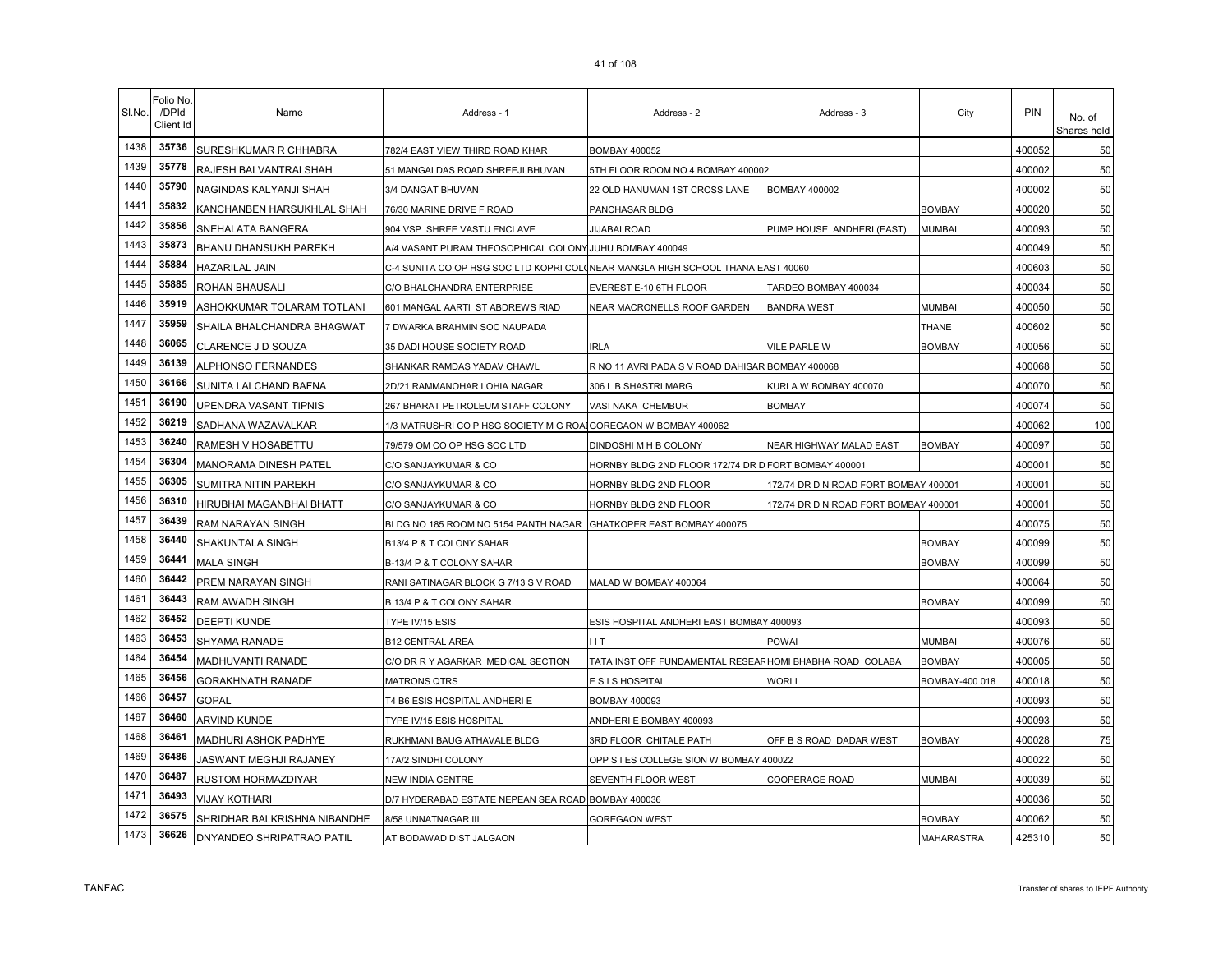| SI.No. | Folio No<br>/DPId<br>Client Id | Name                         | Address - 1                                                                     | Address - 2                                              | Address - 3                           | City           | PIN    | No. of<br>Shares held |
|--------|--------------------------------|------------------------------|---------------------------------------------------------------------------------|----------------------------------------------------------|---------------------------------------|----------------|--------|-----------------------|
| 1438   | 35736                          | SURESHKUMAR R CHHABRA        | 782/4 EAST VIEW THIRD ROAD KHAR                                                 | <b>BOMBAY 400052</b>                                     |                                       |                | 400052 | 50                    |
| 1439   | 35778                          | RAJESH BALVANTRAI SHAH       | 51 MANGALDAS ROAD SHREEJI BHUVAN                                                | 5TH FLOOR ROOM NO 4 BOMBAY 400002                        |                                       |                | 400002 | 50                    |
| 1440   | 35790                          | NAGINDAS KALYANJI SHAH       | 3/4 DANGAT BHUVAN                                                               | 22 OLD HANUMAN 1ST CROSS LANE                            | <b>BOMBAY 400002</b>                  |                | 400002 | 50                    |
| 1441   | 35832                          | KANCHANBEN HARSUKHLAL SHAH   | 76/30 MARINE DRIVE F ROAD                                                       | PANCHASAR BLDG                                           |                                       | <b>BOMBAY</b>  | 400020 | 50                    |
| 1442   | 35856                          | SNEHALATA BANGERA            | 904 VSP SHREE VASTU ENCLAVE                                                     | <b>JIJABAI ROAD</b>                                      | PUMP HOUSE ANDHERI (EAST)             | <b>MUMBAI</b>  | 400093 | 50                    |
| 1443   | 35873                          | <b>BHANU DHANSUKH PAREKH</b> | A/4 VASANT PURAM THEOSOPHICAL COLONY JUHU BOMBAY 400049                         |                                                          |                                       |                | 400049 | 50                    |
| 1444   | 35884                          | HAZARILAL JAIN               | C-4 SUNITA CO OP HSG SOC LTD KOPRI COL(NEAR MANGLA HIGH SCHOOL THANA EAST 40060 |                                                          |                                       |                | 400603 | 50                    |
| 1445   | 35885                          | ROHAN BHAUSALI               | C/O BHALCHANDRA ENTERPRISE                                                      | EVEREST E-10 6TH FLOOR                                   | TARDEO BOMBAY 400034                  |                | 400034 | 50                    |
| 1446   | 35919                          | ASHOKKUMAR TOLARAM TOTLANI   | 601 MANGAL AARTI ST ABDREWS RIAD                                                | NEAR MACRONELLS ROOF GARDEN                              | <b>BANDRA WEST</b>                    | <b>MUMBAI</b>  | 400050 | 50                    |
| 1447   | 35959                          | SHAILA BHALCHANDRA BHAGWAT   | 7 DWARKA BRAHMIN SOC NAUPADA                                                    |                                                          |                                       | <b>THANE</b>   | 400602 | 50                    |
| 1448   | 36065                          | CLARENCE J D SOUZA           | 35 DADI HOUSE SOCIETY ROAD                                                      | <b>IRLA</b>                                              | VILE PARLE W                          | <b>BOMBAY</b>  | 400056 | 50                    |
| 1449   | 36139                          | <b>ALPHONSO FERNANDES</b>    | SHANKAR RAMDAS YADAV CHAWL                                                      | R NO 11 AVRI PADA S V ROAD DAHISAR BOMBAY 400068         |                                       |                | 400068 | 50                    |
| 1450   | 36166                          | SUNITA LALCHAND BAFNA        | 2D/21 RAMMANOHAR LOHIA NAGAR                                                    | 306 L B SHASTRI MARG                                     | KURLA W BOMBAY 400070                 |                | 400070 | 50                    |
| 1451   | 36190                          | UPENDRA VASANT TIPNIS        | 267 BHARAT PETROLEUM STAFF COLONY                                               | VASI NAKA CHEMBUR                                        | <b>BOMBAY</b>                         |                | 400074 | 50                    |
| 1452   | 36219                          | SADHANA WAZAVALKAR           | 1/3 MATRUSHRI CO P HSG SOCIETY M G ROA                                          | GOREGAON W BOMBAY 400062                                 |                                       |                | 400062 | 100                   |
| 1453   | 36240                          | RAMESH V HOSABETTU           | 79/579 OM CO OP HSG SOC LTD                                                     | DINDOSHI M H B COLONY                                    | NEAR HIGHWAY MALAD EAST               | <b>BOMBAY</b>  | 400097 | 50                    |
| 1454   | 36304                          | MANORAMA DINESH PATEL        | C/O SANJAYKUMAR & CO                                                            | HORNBY BLDG 2ND FLOOR 172/74 DR D FORT BOMBAY 400001     |                                       |                | 400001 | 50                    |
| 1455   | 36305                          | <b>SUMITRA NITIN PAREKH</b>  | C/O SANJAYKUMAR & CO                                                            | HORNBY BLDG 2ND FLOOR                                    | 172/74 DR D N ROAD FORT BOMBAY 400001 |                | 400001 | 50                    |
| 1456   | 36310                          | HIRUBHAI MAGANBHAI BHATT     | C/O SANJAYKUMAR & CO                                                            | HORNBY BLDG 2ND FLOOR                                    | 172/74 DR D N ROAD FORT BOMBAY 400001 |                | 400001 | 50                    |
| 1457   | 36439                          | RAM NARAYAN SINGH            | BLDG NO 185 ROOM NO 5154 PANTH NAGAR                                            | GHATKOPER EAST BOMBAY 400075                             |                                       |                | 400075 | 50                    |
| 1458   | 36440                          | SHAKUNTALA SINGH             | B13/4 P & T COLONY SAHAR                                                        |                                                          |                                       | <b>BOMBAY</b>  | 400099 | 50                    |
| 1459   | 36441                          | <b>MALA SINGH</b>            | B-13/4 P & T COLONY SAHAR                                                       |                                                          |                                       | <b>BOMBAY</b>  | 400099 | 50                    |
| 1460   | 36442                          | PREM NARAYAN SINGH           | RANI SATINAGAR BLOCK G 7/13 S V ROAD                                            | MALAD W BOMBAY 400064                                    |                                       |                | 400064 | 50                    |
| 1461   | 36443                          | RAM AWADH SINGH              | B 13/4 P & T COLONY SAHAR                                                       |                                                          |                                       | <b>BOMBAY</b>  | 400099 | 50                    |
| 1462   | 36452                          | <b>DEEPTI KUNDE</b>          | TYPE IV/15 ESIS                                                                 | ESIS HOSPITAL ANDHERI EAST BOMBAY 400093                 |                                       |                | 400093 | 50                    |
| 1463   | 36453                          | SHYAMA RANADE                | <b>B12 CENTRAL AREA</b>                                                         | IIT.                                                     | POWAI                                 | <b>MUMBAI</b>  | 400076 | 50                    |
| 1464   | 36454                          | MADHUVANTI RANADE            | C/O DR R Y AGARKAR MEDICAL SECTION                                              | TATA INST OFF FUNDAMENTAL RESEAR HOMI BHABHA ROAD COLABA |                                       | <b>BOMBAY</b>  | 400005 | 50                    |
| 1465   | 36456                          | <b>GORAKHNATH RANADE</b>     | <b>MATRONS QTRS</b>                                                             | E S I S HOSPITAL                                         | Worli                                 | BOMBAY-400 018 | 400018 | 50                    |
| 1466   | 36457                          | <b>GOPAL</b>                 | T4 B6 ESIS HOSPITAL ANDHERI E                                                   | <b>BOMBAY 400093</b>                                     |                                       |                | 400093 | 50                    |
| 1467   | 36460                          | <b>ARVIND KUNDE</b>          | TYPE IV/15 ESIS HOSPITAL                                                        | ANDHERI E BOMBAY 400093                                  |                                       |                | 400093 | 50                    |
| 1468   | 36461                          | MADHURI ASHOK PADHYE         | RUKHMANI BAUG ATHAVALE BLDG                                                     | 3RD FLOOR CHITALE PATH                                   | OFF B S ROAD DADAR WEST               | <b>BOMBAY</b>  | 400028 | 75                    |
| 1469   | 36486                          | JASWANT MEGHJI RAJANEY       | 17A/2 SINDHI COLONY                                                             | OPP S I ES COLLEGE SION W BOMBAY 400022                  |                                       |                | 400022 | 50                    |
| 1470   | 36487                          | RUSTOM HORMAZDIYAR           | NEW INDIA CENTRE                                                                | SEVENTH FLOOR WEST                                       | COOPERAGE ROAD                        | <b>MUMBAI</b>  | 400039 | 50                    |
| 1471   | 36493                          | <b>VIJAY KOTHARI</b>         | D/7 HYDERABAD ESTATE NEPEAN SEA ROAD BOMBAY 400036                              |                                                          |                                       |                | 400036 | 50                    |
| 1472   | 36575                          | SHRIDHAR BALKRISHNA NIBANDHE | 8/58 UNNATNAGAR III                                                             | GOREGAON WEST                                            |                                       | <b>BOMBAY</b>  | 400062 | 50                    |
| 1473   | 36626                          | DNYANDEO SHRIPATRAO PATIL    | AT BODAWAD DIST JALGAON                                                         |                                                          |                                       | MAHARASTRA     | 425310 | 50                    |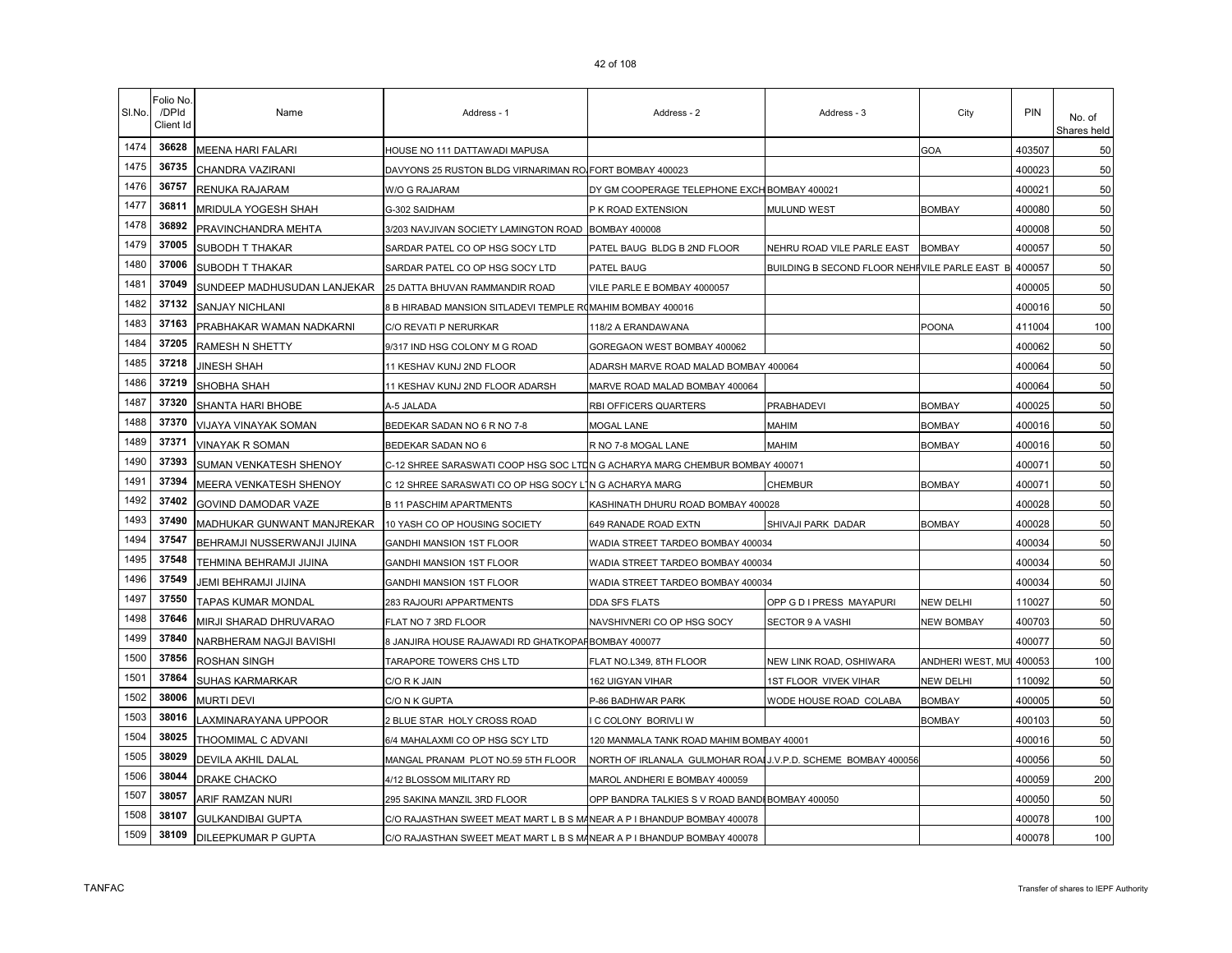| SI.No. | Folio No.<br>/DPId<br>Client Id | Name                        | Address - 1                                                                 | Address - 2                                                   | Address - 3                                          | City                    | PIN    | No. of<br>Shares held |
|--------|---------------------------------|-----------------------------|-----------------------------------------------------------------------------|---------------------------------------------------------------|------------------------------------------------------|-------------------------|--------|-----------------------|
| 1474   | 36628                           | MEENA HARI FALARI           | HOUSE NO 111 DATTAWADI MAPUSA                                               |                                                               |                                                      | GOA                     | 403507 | 50                    |
| 1475   | 36735                           | CHANDRA VAZIRANI            | DAVYONS 25 RUSTON BLDG VIRNARIMAN RO FORT BOMBAY 400023                     |                                                               |                                                      |                         | 400023 | 50                    |
| 1476   | 36757                           | RENUKA RAJARAM              | W/O G RAJARAM                                                               | DY GM COOPERAGE TELEPHONE EXCH BOMBAY 400021                  |                                                      |                         | 400021 | 50                    |
| 1477   | 36811                           | MRIDULA YOGESH SHAH         | G-302 SAIDHAM                                                               | P K ROAD EXTENSION                                            | <b>MULUND WEST</b>                                   | <b>BOMBAY</b>           | 400080 | 50                    |
| 1478   | 36892                           | PRAVINCHANDRA MEHTA         | 3/203 NAVJIVAN SOCIETY LAMINGTON ROAD BOMBAY 400008                         |                                                               |                                                      |                         | 400008 | 50                    |
| 1479   | 37005                           | SUBODH T THAKAR             | SARDAR PATEL CO OP HSG SOCY LTD                                             | PATEL BAUG BLDG B 2ND FLOOR                                   | NEHRU ROAD VILE PARLE EAST                           | <b>BOMBAY</b>           | 400057 | 50                    |
| 1480   | 37006                           | SUBODH T THAKAR             | SARDAR PATEL CO OP HSG SOCY LTD                                             | PATEL BAUG                                                    | BUILDING B SECOND FLOOR NEHIVILE PARLE EAST B 400057 |                         |        | 50                    |
| 1481   | 37049                           | SUNDEEP MADHUSUDAN LANJEKAR | 25 DATTA BHUVAN RAMMANDIR ROAD                                              | VILE PARLE E BOMBAY 4000057                                   |                                                      |                         | 400005 | 50                    |
| 1482   | 37132                           | SANJAY NICHLANI             | 8 B HIRABAD MANSION SITLADEVI TEMPLE ROMAHIM BOMBAY 400016                  |                                                               |                                                      |                         | 400016 | 50                    |
| 1483   | 37163                           | PRABHAKAR WAMAN NADKARNI    | C/O REVATI P NERURKAR                                                       | 118/2 A ERANDAWANA                                            |                                                      | POONA                   | 411004 | 100                   |
| 1484   | 37205                           | RAMESH N SHETTY             | 9/317 IND HSG COLONY M G ROAD                                               | GOREGAON WEST BOMBAY 400062                                   |                                                      |                         | 400062 | 50                    |
| 1485   | 37218                           | JINESH SHAH                 | 11 KESHAV KUNJ 2ND FLOOR                                                    | ADARSH MARVE ROAD MALAD BOMBAY 400064                         |                                                      |                         | 400064 | 50                    |
| 1486   | 37219                           | SHOBHA SHAH                 | 11 KESHAV KUNJ 2ND FLOOR ADARSH                                             | MARVE ROAD MALAD BOMBAY 400064                                |                                                      |                         | 400064 | 50                    |
| 1487   | 37320                           | SHANTA HARI BHOBE           | A-5 JALADA                                                                  | RBI OFFICERS QUARTERS                                         | PRABHADEVI                                           | <b>BOMBAY</b>           | 400025 | 50                    |
| 1488   | 37370                           | VIJAYA VINAYAK SOMAN        | BEDEKAR SADAN NO 6 R NO 7-8                                                 | MOGAL LANE                                                    | MAHIM                                                | <b>BOMBAY</b>           | 400016 | 50                    |
| 1489   | 37371                           | VINAYAK R SOMAN             | BEDEKAR SADAN NO 6                                                          | R NO 7-8 MOGAL LANE                                           | MAHIM                                                | BOMBAY                  | 400016 | 50                    |
| 1490   | 37393                           | SUMAN VENKATESH SHENOY      | C-12 SHREE SARASWATI COOP HSG SOC LTDN G ACHARYA MARG CHEMBUR BOMBAY 400071 |                                                               |                                                      |                         | 400071 | 50                    |
| 1491   | 37394                           | MEERA VENKATESH SHENOY      | C 12 SHREE SARASWATI CO OP HSG SOCY LING ACHARYA MARG                       |                                                               | <b>CHEMBUR</b>                                       | <b>BOMBAY</b>           | 400071 | 50                    |
| 1492   | 37402                           | GOVIND DAMODAR VAZE         | <b>B 11 PASCHIM APARTMENTS</b>                                              | KASHINATH DHURU ROAD BOMBAY 400028                            |                                                      |                         | 400028 | 50                    |
| 1493   | 37490                           | MADHUKAR GUNWANT MANJREKAR  | 10 YASH CO OP HOUSING SOCIETY                                               | 649 RANADE ROAD EXTN                                          | SHIVAJI PARK DADAR                                   | <b>BOMBAY</b>           | 400028 | 50                    |
| 1494   | 37547                           | BEHRAMJI NUSSERWANJI JIJINA | GANDHI MANSION 1ST FLOOR                                                    | WADIA STREET TARDEO BOMBAY 400034                             |                                                      |                         | 400034 | 50                    |
| 1495   | 37548                           | TEHMINA BEHRAMJI JIJINA     | <b>GANDHI MANSION 1ST FLOOR</b>                                             | WADIA STREET TARDEO BOMBAY 400034                             |                                                      |                         | 400034 | 50                    |
| 1496   | 37549                           | JEMI BEHRAMJI JIJINA        | GANDHI MANSION 1ST FLOOR                                                    | WADIA STREET TARDEO BOMBAY 400034                             |                                                      |                         | 400034 | 50                    |
| 1497   | 37550                           | TAPAS KUMAR MONDAL          | 283 RAJOURI APPARTMENTS                                                     | DDA SFS FLATS                                                 | OPP G D I PRESS MAYAPURI                             | NEW DELHI               | 110027 | 50                    |
| 1498   | 37646                           | MIRJI SHARAD DHRUVARAO      | FLAT NO 7 3RD FLOOR                                                         | NAVSHIVNERI CO OP HSG SOCY                                    | SECTOR 9 A VASHI                                     | NEW BOMBAY              | 400703 | 50                    |
| 1499   | 37840                           | NARBHERAM NAGJI BAVISHI     | 8 JANJIRA HOUSE RAJAWADI RD GHATKOPAF BOMBAY 400077                         |                                                               |                                                      |                         | 400077 | 50                    |
| 1500   | 37856                           | ROSHAN SINGH                | TARAPORE TOWERS CHS LTD                                                     | FLAT NO.L349, 8TH FLOOR                                       | NEW LINK ROAD, OSHIWARA                              | ANDHERI WEST, MU 400053 |        | 100                   |
| 1501   | 37864                           | SUHAS KARMARKAR             | C/O R K JAIN                                                                | 162 UIGYAN VIHAR                                              | 1ST FLOOR VIVEK VIHAR                                | NEW DELHI               | 110092 | 50                    |
| 1502   | 38006                           | <b>MURTI DEVI</b>           | C/O N K GUPTA                                                               | P-86 BADHWAR PARK                                             | WODE HOUSE ROAD COLABA                               | <b>BOMBAY</b>           | 400005 | 50                    |
| 1503   | 38016                           | LAXMINARAYANA UPPOOR        | 2 BLUE STAR HOLY CROSS ROAD                                                 | C COLONY BORIVLI W                                            |                                                      | <b>BOMBAY</b>           | 400103 | 50                    |
| 1504   | 38025                           | THOOMIMAL C ADVANI          | 6/4 MAHALAXMI CO OP HSG SCY LTD                                             | 120 MANMALA TANK ROAD MAHIM BOMBAY 40001                      |                                                      |                         | 400016 | 50                    |
| 1505   | 38029                           | DEVILA AKHIL DALAL          | MANGAL PRANAM PLOT NO.59 5TH FLOOR                                          | NORTH OF IRLANALA GULMOHAR ROAI J.V.P.D. SCHEME BOMBAY 400056 |                                                      |                         | 400056 | 50                    |
| 1506   | 38044                           | DRAKE CHACKO                | 4/12 BLOSSOM MILITARY RD                                                    | MAROL ANDHERI E BOMBAY 400059                                 |                                                      |                         | 400059 | 200                   |
| 1507   | 38057                           | ARIF RAMZAN NURI            | 295 SAKINA MANZIL 3RD FLOOR                                                 | OPP BANDRA TALKIES S V ROAD BANDI BOMBAY 400050               |                                                      |                         | 400050 | 50                    |
| 1508   | 38107                           | <b>GULKANDIBAI GUPTA</b>    | C/O RAJASTHAN SWEET MEAT MART L B S MANEAR A P I BHANDUP BOMBAY 400078      |                                                               |                                                      |                         | 400078 | 100                   |
| 1509   | 38109                           | DILEEPKUMAR P GUPTA         | C/O RAJASTHAN SWEET MEAT MART L B S MANEAR A P I BHANDUP BOMBAY 400078      |                                                               |                                                      |                         | 400078 | 100                   |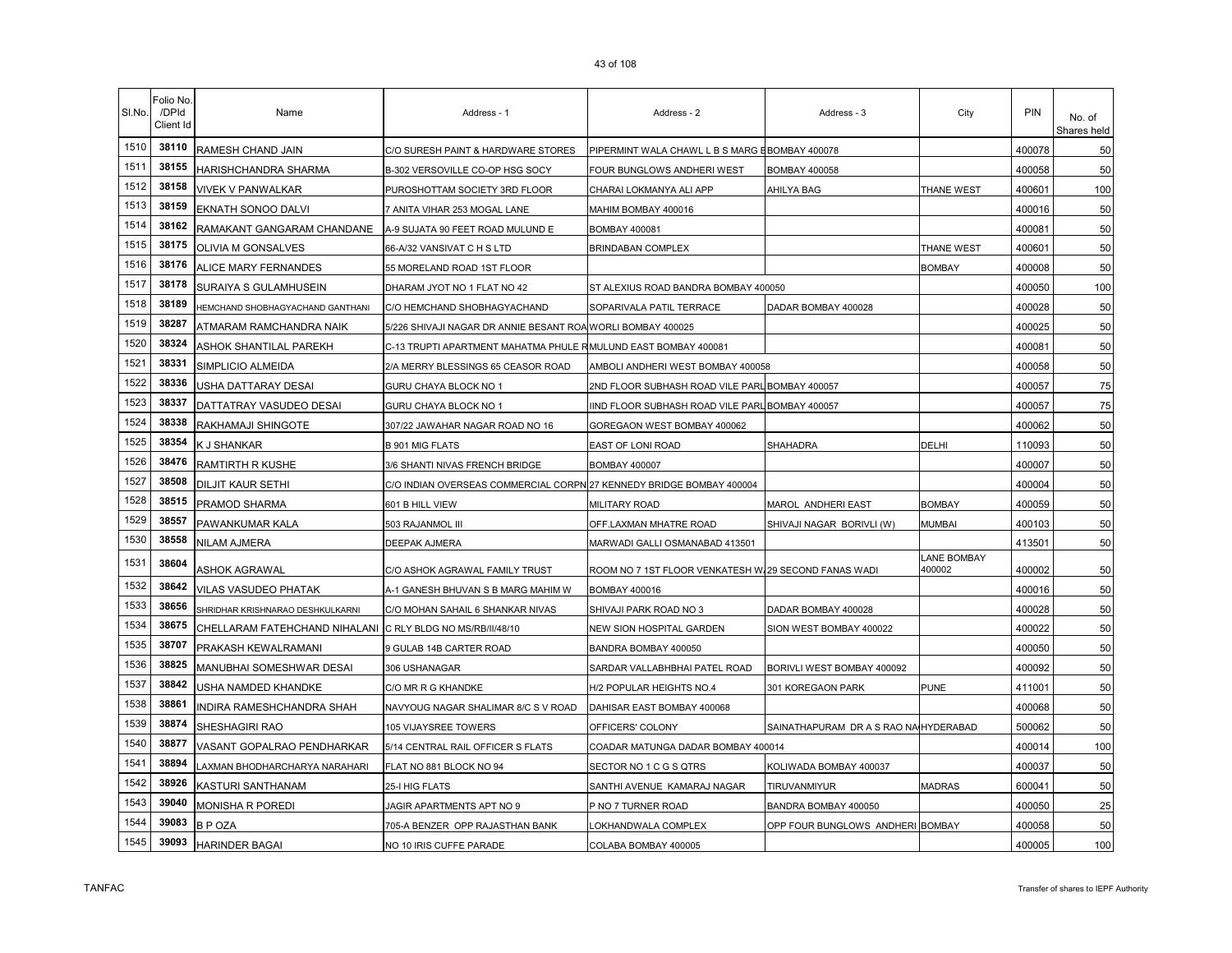| SI.No. | Folio No<br>/DPId<br>Client Id | Name                                                       | Address - 1                                                          | Address - 2                                          | Address - 3                           | City                  | PIN    | No. of<br>Shares held |
|--------|--------------------------------|------------------------------------------------------------|----------------------------------------------------------------------|------------------------------------------------------|---------------------------------------|-----------------------|--------|-----------------------|
| 1510   | 38110                          | RAMESH CHAND JAIN                                          | C/O SURESH PAINT & HARDWARE STORES                                   | PIPERMINT WALA CHAWL L B S MARG EBOMBAY 400078       |                                       |                       | 400078 | 50                    |
| 1511   | 38155                          | HARISHCHANDRA SHARMA                                       | B-302 VERSOVILLE CO-OP HSG SOCY                                      | FOUR BUNGLOWS ANDHERI WEST                           | <b>BOMBAY 400058</b>                  |                       | 400058 | 50                    |
| 1512   | 38158                          | <b>VIVEK V PANWALKAR</b>                                   | PUROSHOTTAM SOCIETY 3RD FLOOR                                        | CHARAI LOKMANYA ALI APP                              | AHILYA BAG                            | THANE WEST            | 400601 | 100                   |
| 1513   | 38159                          | EKNATH SONOO DALVI                                         | 7 ANITA VIHAR 253 MOGAL LANE                                         | MAHIM BOMBAY 400016                                  |                                       |                       | 400016 | 50                    |
| 1514   | 38162                          | RAMAKANT GANGARAM CHANDANE                                 | A-9 SUJATA 90 FEET ROAD MULUND E                                     | BOMBAY 400081                                        |                                       |                       | 400081 | 50                    |
| 1515   | 38175                          | <b>OLIVIA M GONSALVES</b>                                  | 66-A/32 VANSIVAT C H S LTD                                           | <b>BRINDABAN COMPLEX</b>                             |                                       | <b>THANE WEST</b>     | 400601 | 50                    |
| 1516   | 38176                          | ALICE MARY FERNANDES                                       | 55 MORELAND ROAD 1ST FLOOR                                           |                                                      |                                       | <b>BOMBAY</b>         | 400008 | 50                    |
| 1517   | 38178                          | SURAIYA S GULAMHUSEIN                                      | DHARAM JYOT NO 1 FLAT NO 42                                          | ST ALEXIUS ROAD BANDRA BOMBAY 400050                 |                                       |                       | 400050 | 100                   |
| 1518   | 38189                          | HEMCHAND SHOBHAGYACHAND GANTHANI                           | C/O HEMCHAND SHOBHAGYACHAND                                          | SOPARIVALA PATIL TERRACE                             | DADAR BOMBAY 400028                   |                       | 400028 | 50                    |
| 1519   | 38287                          | ATMARAM RAMCHANDRA NAIK                                    | 5/226 SHIVAJI NAGAR DR ANNIE BESANT ROA WORLI BOMBAY 400025          |                                                      |                                       |                       | 400025 | 50                    |
| 1520   | 38324                          | ASHOK SHANTILAL PAREKH                                     | C-13 TRUPTI APARTMENT MAHATMA PHULE RMULUND EAST BOMBAY 400081       |                                                      |                                       |                       | 400081 | 50                    |
| 1521   | 38331                          | SIMPLICIO ALMEIDA                                          | 2/A MERRY BLESSINGS 65 CEASOR ROAD                                   | AMBOLI ANDHERI WEST BOMBAY 400058                    |                                       |                       | 400058 | 50                    |
| 1522   | 38336                          | USHA DATTARAY DESAI                                        | GURU CHAYA BLOCK NO 1                                                | 2ND FLOOR SUBHASH ROAD VILE PARL BOMBAY 400057       |                                       |                       | 400057 | 75                    |
| 1523   | 38337                          | DATTATRAY VASUDEO DESAI                                    | GURU CHAYA BLOCK NO 1                                                | IND FLOOR SUBHASH ROAD VILE PARL BOMBAY 400057       |                                       |                       | 400057 | 75                    |
| 1524   | 38338                          | RAKHAMAJI SHINGOTE                                         | 307/22 JAWAHAR NAGAR ROAD NO 16                                      | GOREGAON WEST BOMBAY 400062                          |                                       |                       | 400062 | 50                    |
| 1525   | 38354                          | K J SHANKAR                                                | <b>B 901 MIG FLATS</b>                                               | EAST OF LONI ROAD                                    | SHAHADRA                              | DELHI                 | 110093 | 50                    |
| 1526   | 38476                          | RAMTIRTH R KUSHE                                           | 3/6 SHANTI NIVAS FRENCH BRIDGE                                       | <b>BOMBAY 400007</b>                                 |                                       |                       | 400007 | 50                    |
| 1527   | 38508                          | DILJIT KAUR SETHI                                          | C/O INDIAN OVERSEAS COMMERCIAL CORPN 27 KENNEDY BRIDGE BOMBAY 400004 |                                                      |                                       |                       | 400004 | 50                    |
| 1528   | 38515                          | PRAMOD SHARMA                                              | 601 B HILL VIEW                                                      | MILITARY ROAD                                        | MAROL ANDHERI EAST                    | <b>BOMBAY</b>         | 400059 | 50                    |
| 1529   | 38557                          | PAWANKUMAR KALA                                            | 503 RAJANMOL III                                                     | OFF.LAXMAN MHATRE ROAD                               | SHIVAJI NAGAR BORIVLI (W)             | <b>MUMBAI</b>         | 400103 | 50                    |
| 1530   | 38558                          | NILAM AJMERA                                               | DEEPAK AJMERA                                                        | MARWADI GALLI OSMANABAD 413501                       |                                       |                       | 413501 | 50                    |
| 1531   | 38604                          | ASHOK AGRAWAL                                              | C/O ASHOK AGRAWAL FAMILY TRUST                                       | ROOM NO 7 1ST FLOOR VENKATESH W.29 SECOND FANAS WADI |                                       | LANE BOMBAY<br>400002 | 400002 | 50                    |
| 1532   | 38642                          | <b>VILAS VASUDEO PHATAK</b>                                | A-1 GANESH BHUVAN S B MARG MAHIM W                                   | BOMBAY 400016                                        |                                       |                       | 400016 | 50                    |
| 1533   | 38656                          | SHRIDHAR KRISHNARAO DESHKULKARNI                           | C/O MOHAN SAHAIL 6 SHANKAR NIVAS                                     | SHIVAJI PARK ROAD NO 3                               | DADAR BOMBAY 400028                   |                       | 400028 | 50                    |
| 1534   | 38675                          | CHELLARAM FATEHCHAND NIHALANI C RLY BLDG NO MS/RB/II/48/10 |                                                                      | NEW SION HOSPITAL GARDEN                             | SION WEST BOMBAY 400022               |                       | 400022 | 50                    |
| 1535   | 38707                          | PRAKASH KEWALRAMANI                                        | 9 GULAB 14B CARTER ROAD                                              | BANDRA BOMBAY 400050                                 |                                       |                       | 400050 | 50                    |
| 1536   | 38825                          | MANUBHAI SOMESHWAR DESAI                                   | 306 USHANAGAR                                                        | SARDAR VALLABHBHAI PATEL ROAD                        | BORIVLI WEST BOMBAY 400092            |                       | 400092 | 50                    |
| 1537   | 38842                          | USHA NAMDED KHANDKE                                        | C/O MR R G KHANDKE                                                   | H/2 POPULAR HEIGHTS NO.4                             | 301 KOREGAON PARK                     | <b>PUNE</b>           | 411001 | 50                    |
| 1538   | 38861                          | INDIRA RAMESHCHANDRA SHAH                                  | NAVYOUG NAGAR SHALIMAR 8/C S V ROAD                                  | DAHISAR EAST BOMBAY 400068                           |                                       |                       | 400068 | 50                    |
| 1539   | 38874                          | SHESHAGIRI RAO                                             | 105 VIJAYSREE TOWERS                                                 | OFFICERS' COLONY                                     | SAINATHAPURAM DR A S RAO NA HYDERABAD |                       | 500062 | 50                    |
| 1540   | 38877                          | VASANT GOPALRAO PENDHARKAR                                 | 5/14 CENTRAL RAIL OFFICER S FLATS                                    | COADAR MATUNGA DADAR BOMBAY 400014                   |                                       |                       | 400014 | 100                   |
| 1541   | 38894                          | LAXMAN BHODHARCHARYA NARAHARI                              | FLAT NO 881 BLOCK NO 94                                              | SECTOR NO 1 C G S QTRS                               | KOLIWADA BOMBAY 400037                |                       | 400037 | 50                    |
| 1542   | 38926                          | KASTURI SANTHANAM                                          | 25-I HIG FLATS                                                       | SANTHI AVENUE KAMARAJ NAGAR                          | TIRUVANMIYUR                          | <b>MADRAS</b>         | 600041 | 50                    |
| 1543   | 39040                          | <b>MONISHA R POREDI</b>                                    | JAGIR APARTMENTS APT NO 9                                            | P NO 7 TURNER ROAD                                   | BANDRA BOMBAY 400050                  |                       | 400050 | 25                    |
| 1544   | 39083                          | <b>BPOZA</b>                                               | 705-A BENZER OPP RAJASTHAN BANK                                      | OKHANDWALA COMPLEX                                   | OPP FOUR BUNGLOWS ANDHERI BOMBAY      |                       | 400058 | 50                    |
| 1545   | 39093                          | <b>HARINDER BAGAI</b>                                      | NO 10 IRIS CUFFE PARADE                                              | COLABA BOMBAY 400005                                 |                                       |                       | 400005 | 100                   |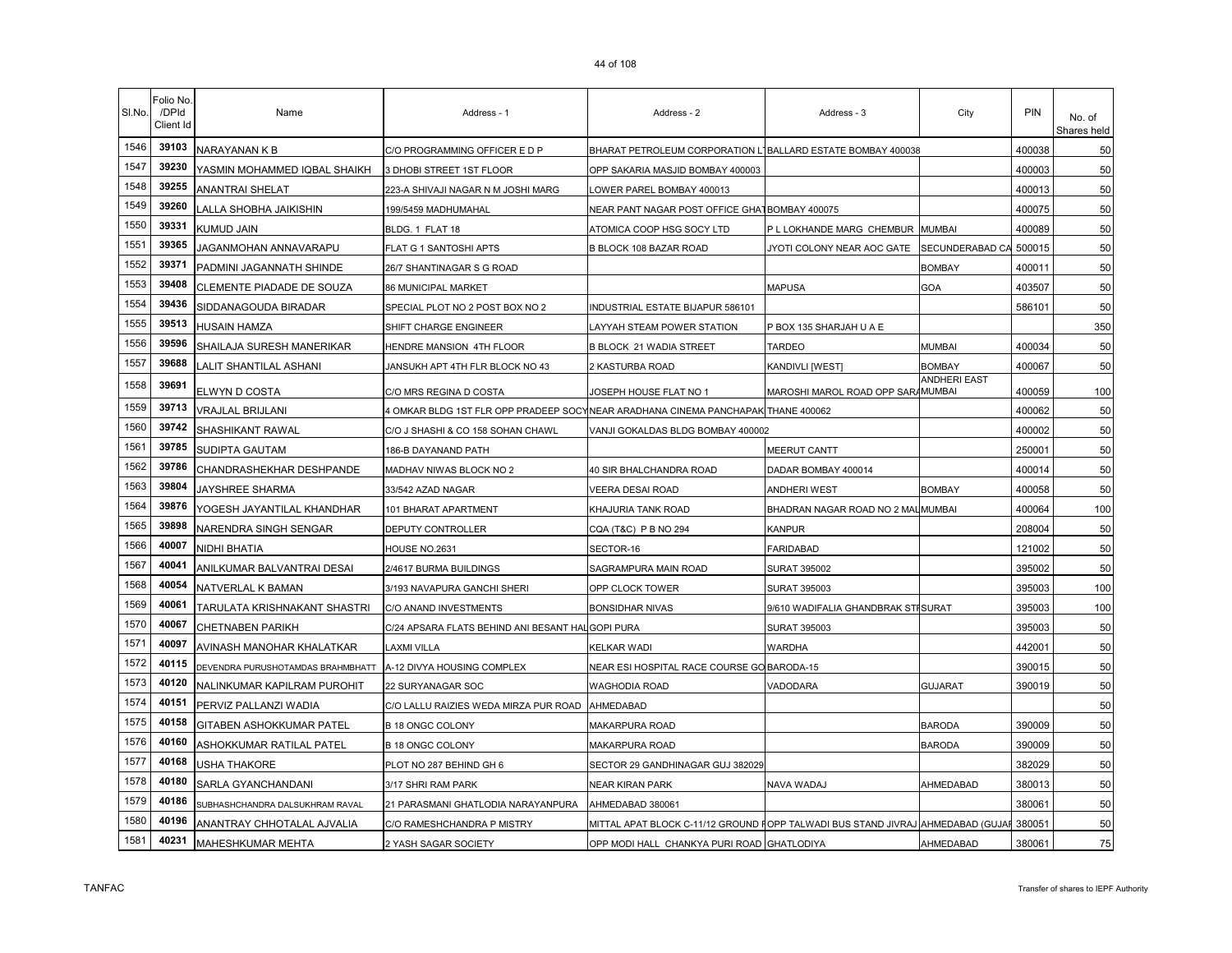| SI.No. | Folio No<br>/DPId<br>Client Id | Name                              | Address - 1                                      | Address - 2                                                                     | Address - 3                        | City                | PIN    | No. of<br>Shares held |
|--------|--------------------------------|-----------------------------------|--------------------------------------------------|---------------------------------------------------------------------------------|------------------------------------|---------------------|--------|-----------------------|
| 1546   | 39103                          | NARAYANAN K B                     | C/O PROGRAMMING OFFICER E D P                    | BHARAT PETROLEUM CORPORATION L'IBALLARD ESTATE BOMBAY 400038                    |                                    |                     | 400038 | 50                    |
| 1547   | 39230                          | YASMIN MOHAMMED IQBAL SHAIKH      | 3 DHOBI STREET 1ST FLOOR                         | OPP SAKARIA MASJID BOMBAY 400003                                                |                                    |                     | 400003 | 50                    |
| 1548   | 39255                          | ANANTRAI SHELAT                   | 223-A SHIVAJI NAGAR N M JOSHI MARG               | OWER PAREL BOMBAY 400013                                                        |                                    |                     | 400013 | 50                    |
| 1549   | 39260                          | LALLA SHOBHA JAIKISHIN            | 199/5459 MADHUMAHAL                              | NEAR PANT NAGAR POST OFFICE GHATBOMBAY 400075                                   |                                    |                     | 400075 | 50                    |
| 1550   | 39331                          | KUMUD JAIN                        | BLDG. 1 FLAT 18                                  | ATOMICA COOP HSG SOCY LTD                                                       | P L LOKHANDE MARG CHEMBUR MUMBAI   |                     | 400089 | 50                    |
| 1551   | 39365                          | JAGANMOHAN ANNAVARAPU             | FLAT G 1 SANTOSHI APTS                           | B BLOCK 108 BAZAR ROAD                                                          | JYOTI COLONY NEAR AOC GATE         | SECUNDERABAD CA     | 500015 | 50                    |
| 1552   | 39371                          | PADMINI JAGANNATH SHINDE          | 26/7 SHANTINAGAR S G ROAD                        |                                                                                 |                                    | <b>BOMBAY</b>       | 400011 | 50                    |
| 1553   | 39408                          | <b>CLEMENTE PIADADE DE SOUZA</b>  | 86 MUNICIPAL MARKET                              |                                                                                 | <b>MAPUSA</b>                      | GOA                 | 403507 | 50                    |
| 1554   | 39436                          | SIDDANAGOUDA BIRADAR              | SPECIAL PLOT NO 2 POST BOX NO 2                  | INDUSTRIAL ESTATE BIJAPUR 586101                                                |                                    |                     | 586101 | 50                    |
| 1555   | 39513                          | HUSAIN HAMZA                      | SHIFT CHARGE ENGINEER                            | LAYYAH STEAM POWER STATION                                                      | P BOX 135 SHARJAH U A E            |                     |        | 350                   |
| 1556   | 39596                          | SHAILAJA SURESH MANERIKAR         | HENDRE MANSION 4TH FLOOR                         | <b>B BLOCK 21 WADIA STREET</b>                                                  | <b>TARDEO</b>                      | <b>MUMBAI</b>       | 400034 | 50                    |
| 1557   | 39688                          | ALIT SHANTILAL ASHANI             | JANSUKH APT 4TH FLR BLOCK NO 43                  | 2 KASTURBA ROAD                                                                 | KANDIVLI [WEST]                    | <b>BOMBAY</b>       | 400067 | 50                    |
| 1558   | 39691                          | ELWYN D COSTA                     | C/O MRS REGINA D COSTA                           | JOSEPH HOUSE FLAT NO 1                                                          | MAROSHI MAROL ROAD OPP SARAMUMBAI  | <b>ANDHERI EAST</b> | 400059 | 100                   |
| 1559   | 39713                          | <b>VRAJLAL BRIJLANI</b>           | 4 OMKAR BLDG 1ST FLR OPP PRADEEP SOCY            | NEAR ARADHANA CINEMA PANCHAPAK THANE 400062                                     |                                    |                     | 400062 | 50                    |
| 1560   | 39742                          | SHASHIKANT RAWAL                  | C/O J SHASHI & CO 158 SOHAN CHAWL                | VANJI GOKALDAS BLDG BOMBAY 400002                                               |                                    |                     | 400002 | 50                    |
| 1561   | 39785                          | SUDIPTA GAUTAM                    | 186-B DAYANAND PATH                              |                                                                                 | MEERUT CANTT                       |                     | 250001 | 50                    |
| 1562   | 39786                          | CHANDRASHEKHAR DESHPANDE          | MADHAV NIWAS BLOCK NO 2                          | 40 SIR BHALCHANDRA ROAD                                                         | DADAR BOMBAY 400014                |                     | 400014 | 50                    |
| 1563   | 39804                          | <b>JAYSHREE SHARMA</b>            | 33/542 AZAD NAGAR                                | VEERA DESAI ROAD                                                                | <b>ANDHERI WEST</b>                | <b>BOMBAY</b>       | 400058 | 50                    |
| 1564   | 39876                          | YOGESH JAYANTILAL KHANDHAR        | 101 BHARAT APARTMENT                             | KHAJURIA TANK ROAD                                                              | BHADRAN NAGAR ROAD NO 2 MALMUMBAI  |                     | 400064 | 100                   |
| 1565   | 39898                          | NARENDRA SINGH SENGAR             | DEPUTY CONTROLLER                                | CQA (T&C) P B NO 294                                                            | KANPUR                             |                     | 208004 | 50                    |
| 1566   | 40007                          | NIDHI BHATIA                      | HOUSE NO.2631                                    | SECTOR-16                                                                       | <b>FARIDABAD</b>                   |                     | 121002 | 50                    |
| 1567   | 40041                          | ANILKUMAR BALVANTRAI DESAI        | 2/4617 BURMA BUILDINGS                           | SAGRAMPURA MAIN ROAD                                                            | SURAT 395002                       |                     | 395002 | 50                    |
| 1568   | 40054                          | NATVERLAL K BAMAN                 | 3/193 NAVAPURA GANCHI SHERI                      | OPP CLOCK TOWER                                                                 | <b>SURAT 395003</b>                |                     | 395003 | 100                   |
| 1569   | 40061                          | TARULATA KRISHNAKANT SHASTRI      | C/O ANAND INVESTMENTS                            | <b>BONSIDHAR NIVAS</b>                                                          | 9/610 WADIFALIA GHANDBRAK STISURAT |                     | 395003 | 100                   |
| 1570   | 40067                          | <b>CHETNABEN PARIKH</b>           | C/24 APSARA FLATS BEHIND ANI BESANT HALGOPI PURA |                                                                                 | SURAT 395003                       |                     | 395003 | 50                    |
| 1571   | 40097                          | AVINASH MANOHAR KHALATKAR         | LAXMI VILLA                                      | <b>KELKAR WADI</b>                                                              | WARDHA                             |                     | 442001 | 50                    |
| 1572   | 40115                          | DEVENDRA PURUSHOTAMDAS BRAHMBHATT | A-12 DIVYA HOUSING COMPLEX                       | NEAR ESI HOSPITAL RACE COURSE GO BARODA-15                                      |                                    |                     | 390015 | 50                    |
| 1573   | 40120                          | NALINKUMAR KAPILRAM PUROHIT       | 22 SURYANAGAR SOC                                | WAGHODIA ROAD                                                                   | VADODARA                           | <b>GUJARAT</b>      | 390019 | 50                    |
| 1574   | 40151                          | PERVIZ PALLANZI WADIA             | C/O LALLU RAIZIES WEDA MIRZA PUR ROAD            | AHMEDABAD                                                                       |                                    |                     |        | 50                    |
| 1575   | 40158                          | GITABEN ASHOKKUMAR PATEL          | <b>B 18 ONGC COLONY</b>                          | MAKARPURA ROAD                                                                  |                                    | <b>BARODA</b>       | 390009 | 50                    |
| 1576   | 40160                          | ASHOKKUMAR RATILAL PATEL          | <b>B 18 ONGC COLONY</b>                          | MAKARPURA ROAD                                                                  |                                    | <b>BARODA</b>       | 390009 | 50                    |
| 1577   | 40168                          | <b>USHA THAKORE</b>               | PLOT NO 287 BEHIND GH 6                          | SECTOR 29 GANDHINAGAR GUJ 382029                                                |                                    |                     | 382029 | 50                    |
| 1578   | 40180                          | SARLA GYANCHANDANI                | 3/17 SHRI RAM PARK                               | NEAR KIRAN PARK                                                                 | NAVA WADAJ                         | AHMEDABAD           | 380013 | 50                    |
| 1579   | 40186                          | SUBHASHCHANDRA DALSUKHRAM RAVAL   | 21 PARASMANI GHATLODIA NARAYANPURA               | AHMEDABAD 380061                                                                |                                    |                     | 380061 | 50                    |
| 1580   | 40196                          | ANANTRAY CHHOTALAL AJVALIA        | C/O RAMESHCHANDRA P MISTRY                       | MITTAL APAT BLOCK C-11/12 GROUND FOPP TALWADI BUS STAND JIVRAJ AHMEDABAD (GUJAF |                                    |                     | 380051 | 50                    |
| 1581   | 40231                          | <b>MAHESHKUMAR MEHTA</b>          | 2 YASH SAGAR SOCIETY                             | OPP MODI HALL CHANKYA PURI ROAD GHATLODIYA                                      |                                    | AHMEDABAD           | 380061 | 75                    |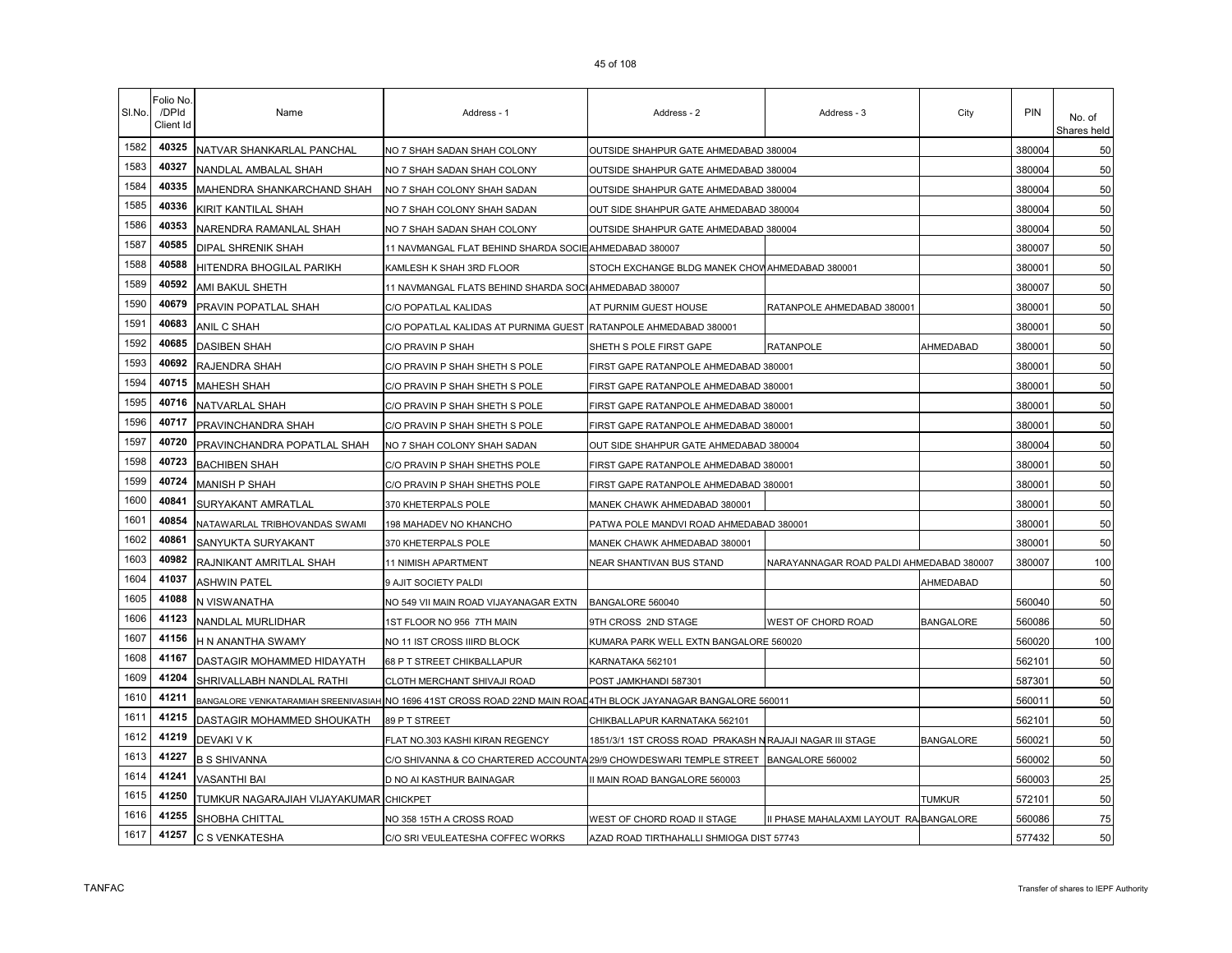| SI.No. | Folio No.<br>/DPId<br>Client Id | Name                                   | Address - 1                                                                                                      | Address - 2                                             | Address - 3                              | City             | PIN    | No. of<br>Shares held |
|--------|---------------------------------|----------------------------------------|------------------------------------------------------------------------------------------------------------------|---------------------------------------------------------|------------------------------------------|------------------|--------|-----------------------|
| 1582   | 40325                           | NATVAR SHANKARLAL PANCHAL              | NO 7 SHAH SADAN SHAH COLONY                                                                                      | OUTSIDE SHAHPUR GATE AHMEDABAD 380004                   |                                          |                  | 380004 | 50                    |
| 1583   | 40327                           | NANDLAL AMBALAL SHAH                   | NO 7 SHAH SADAN SHAH COLONY                                                                                      | OUTSIDE SHAHPUR GATE AHMEDABAD 380004                   |                                          |                  | 380004 | 50                    |
| 1584   | 40335                           | MAHENDRA SHANKARCHAND SHAH             | NO 7 SHAH COLONY SHAH SADAN                                                                                      | OUTSIDE SHAHPUR GATE AHMEDABAD 380004                   |                                          |                  | 380004 | 50                    |
| 1585   | 40336                           | KIRIT KANTILAL SHAH                    | NO 7 SHAH COLONY SHAH SADAN                                                                                      | OUT SIDE SHAHPUR GATE AHMEDABAD 380004                  |                                          |                  | 380004 | 50                    |
| 1586   | 40353                           | NARENDRA RAMANLAL SHAH                 | NO 7 SHAH SADAN SHAH COLONY                                                                                      | OUTSIDE SHAHPUR GATE AHMEDABAD 380004                   |                                          |                  | 380004 | 50                    |
| 1587   | 40585                           | DIPAL SHRENIK SHAH                     | 11 NAVMANGAL FLAT BEHIND SHARDA SOCIE AHMEDABAD 380007                                                           |                                                         |                                          |                  | 380007 | 50                    |
| 1588   | 40588                           | HITENDRA BHOGILAL PARIKH               | KAMLESH K SHAH 3RD FLOOR                                                                                         | STOCH EXCHANGE BLDG MANEK CHOW AHMEDABAD 380001         |                                          |                  | 380001 | 50                    |
| 1589   | 40592                           | AMI BAKUL SHETH                        | 11 NAVMANGAL FLATS BEHIND SHARDA SOCIAHMEDABAD 380007                                                            |                                                         |                                          |                  | 380007 | 50                    |
| 1590   | 40679                           | PRAVIN POPATLAL SHAH                   | C/O POPATLAL KALIDAS                                                                                             | AT PURNIM GUEST HOUSE                                   | RATANPOLE AHMEDABAD 380001               |                  | 380001 | 50                    |
| 1591   | 40683                           | ANIL C SHAH                            | C/O POPATLAL KALIDAS AT PURNIMA GUEST                                                                            | RATANPOLE AHMEDABAD 380001                              |                                          |                  | 380001 | 50                    |
| 1592   | 40685                           | <b>DASIBEN SHAH</b>                    | C/O PRAVIN P SHAH                                                                                                | SHETH S POLE FIRST GAPE                                 | <b>RATANPOLE</b>                         | AHMEDABAD        | 380001 | 50                    |
| 1593   | 40692                           | RAJENDRA SHAH                          | C/O PRAVIN P SHAH SHETH S POLE                                                                                   | FIRST GAPE RATANPOLE AHMEDABAD 380001                   |                                          |                  | 380001 | 50                    |
| 1594   | 40715                           | <b>MAHESH SHAH</b>                     | C/O PRAVIN P SHAH SHETH S POLE                                                                                   | FIRST GAPE RATANPOLE AHMEDABAD 380001                   |                                          |                  | 380001 | 50                    |
| 1595   | 40716                           | NATVARLAL SHAH                         | C/O PRAVIN P SHAH SHETH S POLE                                                                                   | FIRST GAPE RATANPOLE AHMEDABAD 380001                   |                                          |                  | 380001 | 50                    |
| 1596   | 40717                           | PRAVINCHANDRA SHAH                     | C/O PRAVIN P SHAH SHETH S POLE                                                                                   | FIRST GAPE RATANPOLE AHMEDABAD 380001                   |                                          |                  | 380001 | 50                    |
| 1597   | 40720                           | PRAVINCHANDRA POPATLAL SHAH            | NO 7 SHAH COLONY SHAH SADAN                                                                                      | OUT SIDE SHAHPUR GATE AHMEDABAD 380004                  |                                          |                  | 380004 | 50                    |
| 1598   | 40723                           | <b>BACHIBEN SHAH</b>                   | C/O PRAVIN P SHAH SHETHS POLE                                                                                    | FIRST GAPE RATANPOLE AHMEDABAD 380001                   |                                          |                  | 380001 | 50                    |
| 1599   | 40724                           | <b>MANISH P SHAH</b>                   | C/O PRAVIN P SHAH SHETHS POLE                                                                                    | FIRST GAPE RATANPOLE AHMEDABAD 380001                   |                                          |                  | 380001 | 50                    |
| 1600   | 40841                           | SURYAKANT AMRATLAL                     | 370 KHETERPALS POLE                                                                                              | MANEK CHAWK AHMEDABAD 380001                            |                                          |                  | 380001 | 50                    |
| 1601   | 40854                           | NATAWARLAL TRIBHOVANDAS SWAMI          | 198 MAHADEV NO KHANCHO                                                                                           | PATWA POLE MANDVI ROAD AHMEDABAD 380001                 |                                          |                  | 380001 | 50                    |
| 1602   | 40861                           | SANYUKTA SURYAKANT                     | 370 KHETERPALS POLE                                                                                              | MANEK CHAWK AHMEDABAD 380001                            |                                          |                  | 380001 | 50                    |
| 1603   | 40982                           | RAJNIKANT AMRITLAL SHAH                | 11 NIMISH APARTMENT                                                                                              | NEAR SHANTIVAN BUS STAND                                | NARAYANNAGAR ROAD PALDI AHMEDABAD 380007 |                  | 380007 | 100                   |
| 1604   | 41037                           | ASHWIN PATEL                           | 9 AJIT SOCIETY PALDI                                                                                             |                                                         |                                          | AHMEDABAD        |        | 50                    |
| 1605   | 41088                           | N VISWANATHA                           | NO 549 VII MAIN ROAD VIJAYANAGAR EXTN                                                                            | BANGALORE 560040                                        |                                          |                  | 560040 | 50                    |
| 1606   | 41123                           | NANDLAL MURLIDHAR                      | 1ST FLOOR NO 956 7TH MAIN                                                                                        | 9TH CROSS 2ND STAGE                                     | WEST OF CHORD ROAD                       | BANGALORE        | 560086 | 50                    |
| 1607   | 41156                           | H N ANANTHA SWAMY                      | NO 11 IST CROSS IIIRD BLOCK                                                                                      | KUMARA PARK WELL EXTN BANGALORE 560020                  |                                          |                  | 560020 | 100                   |
| 1608   | 41167                           | DASTAGIR MOHAMMED HIDAYATH             | 68 P T STREET CHIKBALLAPUR                                                                                       | KARNATAKA 562101                                        |                                          |                  | 562101 | 50                    |
| 1609   | 41204                           | SHRIVALLABH NANDLAL RATHI              | CLOTH MERCHANT SHIVAJI ROAD                                                                                      | POST JAMKHANDI 587301                                   |                                          |                  | 587301 | 50                    |
| 1610   | 41211                           |                                        | BANGALORE VENKATARAMIAH SREENIVASIAH NO 1696 41ST CROSS ROAD 22ND MAIN ROAL 4TH BLOCK JAYANAGAR BANGALORE 560011 |                                                         |                                          |                  | 560011 | 50                    |
| 1611   | 41215                           | DASTAGIR MOHAMMED SHOUKATH             | 89 P T STREET                                                                                                    | CHIKBALLAPUR KARNATAKA 562101                           |                                          |                  | 562101 | 50                    |
| 1612   | 41219                           | <b>DEVAKI V K</b>                      | FLAT NO.303 KASHI KIRAN REGENCY                                                                                  | 1851/3/1 1ST CROSS ROAD PRAKASH NRAJAJI NAGAR III STAGE |                                          | <b>BANGALORE</b> | 560021 | 50                    |
| 1613   | 41227                           | <b>B S SHIVANNA</b>                    | C/O SHIVANNA & CO CHARTERED ACCOUNTA                                                                             | 29/9 CHOWDESWARI TEMPLE STREET   BANGALORE 560002       |                                          |                  | 560002 | 50                    |
| 1614   | 41241                           | VASANTHI BAI                           | D NO AI KASTHUR BAINAGAR                                                                                         | I MAIN ROAD BANGALORE 560003                            |                                          |                  | 560003 | 25                    |
| 1615   | 41250                           | TUMKUR NAGARAJIAH VIJAYAKUMAR CHICKPET |                                                                                                                  |                                                         |                                          | tumkur           | 572101 | 50                    |
| 1616   | 41255                           | SHOBHA CHITTAL                         | NO 358 15TH A CROSS ROAD                                                                                         | WEST OF CHORD ROAD II STAGE                             | II PHASE MAHALAXMI LAYOUT RA BANGALORE   |                  | 560086 | 75                    |
| 1617   | 41257                           | C S VENKATESHA                         | C/O SRI VEULEATESHA COFFEC WORKS                                                                                 | AZAD ROAD TIRTHAHALLI SHMIOGA DIST 57743                |                                          |                  | 577432 | 50                    |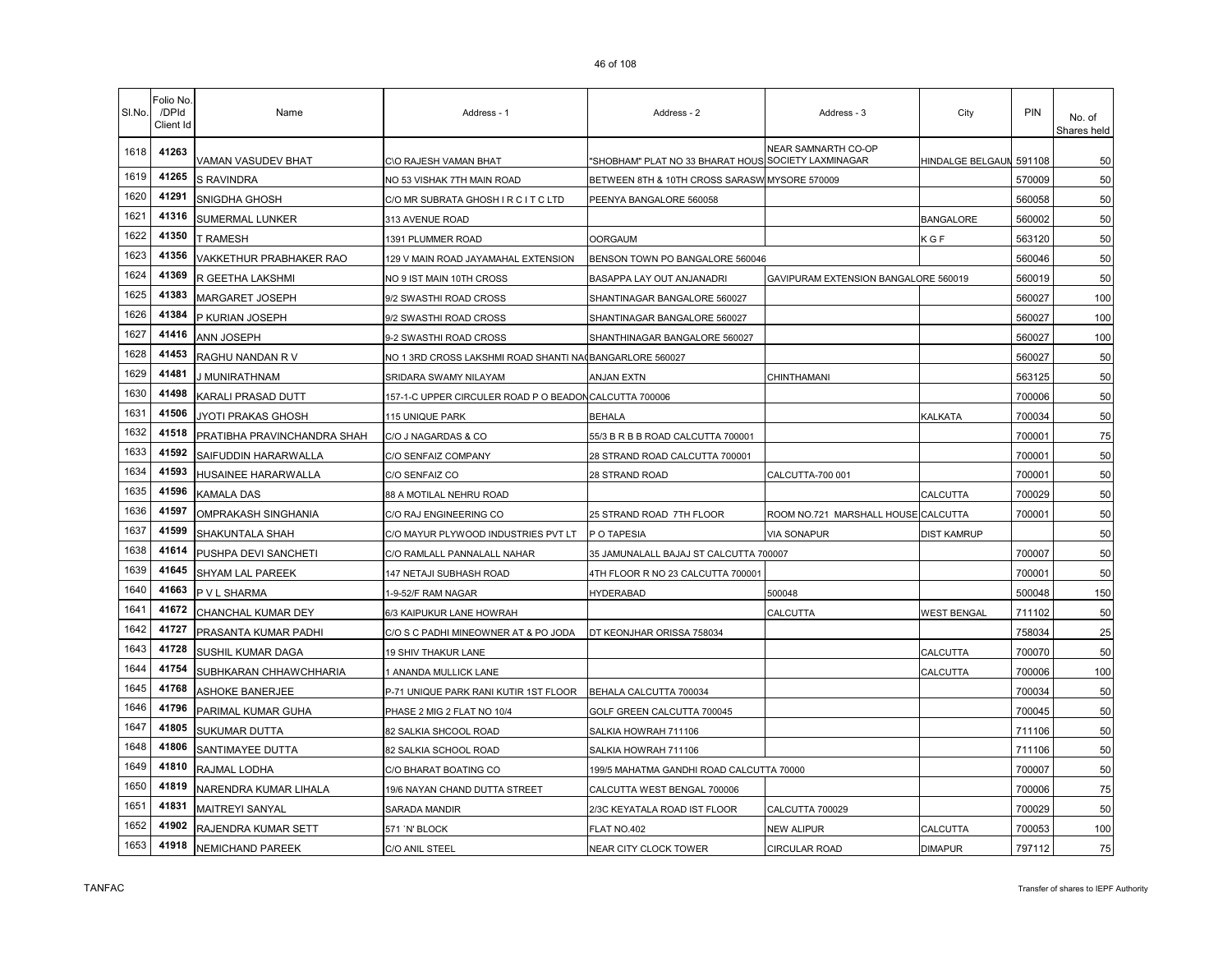| SI.No. | <sup>=</sup> olio No<br>/DPId<br>Client Id | Name                        | Address - 1                                             | Address - 2                                         | Address - 3                          | City                    | PIN    | No. of<br>Shares held |
|--------|--------------------------------------------|-----------------------------|---------------------------------------------------------|-----------------------------------------------------|--------------------------------------|-------------------------|--------|-----------------------|
| 1618   | 41263                                      | VAMAN VASUDEV BHAT          | C\O RAJESH VAMAN BHAT                                   | "SHOBHAM" PLAT NO 33 BHARAT HOUS SOCIETY LAXMINAGAR | NEAR SAMNARTH CO-OP                  | HINDALGE BELGAUN 591108 |        | 50                    |
| 1619   | 41265                                      | S RAVINDRA                  | NO 53 VISHAK 7TH MAIN ROAD                              | BETWEEN 8TH & 10TH CROSS SARASW MYSORE 570009       |                                      |                         | 570009 | 50                    |
| 1620   | 41291                                      | SNIGDHA GHOSH               | C/O MR SUBRATA GHOSH I R C I T C LTD                    | PEENYA BANGALORE 560058                             |                                      |                         | 560058 | 50                    |
| 1621   | 41316                                      | SUMERMAL LUNKER             | 313 AVENUE ROAD                                         |                                                     |                                      | <b>BANGALORE</b>        | 560002 | 50                    |
| 1622   | 41350                                      | T RAMESH                    | 1391 PLUMMER ROAD                                       | <b>OORGAUM</b>                                      |                                      | K G F                   | 563120 | 50                    |
| 1623   | 41356                                      | VAKKETHUR PRABHAKER RAO     | 129 V MAIN ROAD JAYAMAHAL EXTENSION                     | BENSON TOWN PO BANGALORE 560046                     |                                      |                         | 560046 | 50                    |
| 1624   | 41369                                      | R GEETHA LAKSHMI            | NO 9 IST MAIN 10TH CROSS                                | BASAPPA LAY OUT ANJANADRI                           | GAVIPURAM EXTENSION BANGALORE 560019 |                         | 560019 | 50                    |
| 1625   | 41383                                      | MARGARET JOSEPH             | 9/2 SWASTHI ROAD CROSS                                  | SHANTINAGAR BANGALORE 560027                        |                                      |                         | 560027 | 100                   |
| 1626   | 41384                                      | P KURIAN JOSEPH             | 9/2 SWASTHI ROAD CROSS                                  | SHANTINAGAR BANGALORE 560027                        |                                      |                         | 560027 | 100                   |
| 1627   | 41416                                      | ANN JOSEPH                  | 9-2 SWASTHI ROAD CROSS                                  | SHANTHINAGAR BANGALORE 560027                       |                                      |                         | 560027 | 100                   |
| 1628   | 41453                                      | RAGHU NANDAN R V            | NO 1 3RD CROSS LAKSHMI ROAD SHANTI NA(BANGARLORE 560027 |                                                     |                                      |                         | 560027 | 50                    |
| 1629   | 41481                                      | J MUNIRATHNAM               | SRIDARA SWAMY NILAYAM                                   | <b>ANJAN EXTN</b>                                   | CHINTHAMANI                          |                         | 563125 | 50                    |
| 1630   | 41498                                      | KARALI PRASAD DUTT          | 157-1-C UPPER CIRCULER ROAD P O BEADON CALCUTTA 700006  |                                                     |                                      |                         | 700006 | 50                    |
| 1631   | 41506                                      | JYOTI PRAKAS GHOSH          | 115 UNIQUE PARK                                         | BEHALA                                              |                                      | KALKATA                 | 700034 | 50                    |
| 1632   | 41518                                      | PRATIBHA PRAVINCHANDRA SHAH | C/O J NAGARDAS & CO                                     | 55/3 B R B B ROAD CALCUTTA 700001                   |                                      |                         | 700001 | 75                    |
| 1633   | 41592                                      | SAIFUDDIN HARARWALLA        | C/O SENFAIZ COMPANY                                     | 28 STRAND ROAD CALCUTTA 700001                      |                                      |                         | 700001 | 50                    |
| 1634   | 41593                                      | HUSAINEE HARARWALLA         | C/O SENFAIZ CO                                          | 28 STRAND ROAD                                      | CALCUTTA-700 001                     |                         | 700001 | 50                    |
| 1635   | 41596                                      | KAMALA DAS                  | 88 A MOTILAL NEHRU ROAD                                 |                                                     |                                      | CALCUTTA                | 700029 | 50                    |
| 1636   | 41597                                      | OMPRAKASH SINGHANIA         | C/O RAJ ENGINEERING CO                                  | 25 STRAND ROAD 7TH FLOOR                            | ROOM NO.721 MARSHALL HOUSE CALCUTTA  |                         | 700001 | 50                    |
| 1637   | 41599                                      | SHAKUNTALA SHAH             | C/O MAYUR PLYWOOD INDUSTRIES PVT LT                     | P O TAPESIA                                         | <b>VIA SONAPUR</b>                   | <b>DIST KAMRUP</b>      |        | 50                    |
| 1638   | 41614                                      | PUSHPA DEVI SANCHETI        | C/O RAMLALL PANNALALL NAHAR                             | 35 JAMUNALALL BAJAJ ST CALCUTTA 700007              |                                      |                         | 700007 | 50                    |
| 1639   | 41645                                      | SHYAM LAL PAREEK            | 147 NETAJI SUBHASH ROAD                                 | 4TH FLOOR R NO 23 CALCUTTA 700001                   |                                      |                         | 700001 | 50                    |
| 1640   | 41663                                      | P V L SHARMA                | 1-9-52/F RAM NAGAR                                      | HYDERABAD                                           | 500048                               |                         | 500048 | 150                   |
| 1641   | 41672                                      | CHANCHAL KUMAR DEY          | 6/3 KAIPUKUR LANE HOWRAH                                |                                                     | CALCUTTA                             | WEST BENGAL             | 711102 | 50                    |
| 1642   | 41727                                      | PRASANTA KUMAR PADHI        | C/O S C PADHI MINEOWNER AT & PO JODA                    | DT KEONJHAR ORISSA 758034                           |                                      |                         | 758034 | 25                    |
| 1643   | 41728                                      | SUSHIL KUMAR DAGA           | 19 SHIV THAKUR LANE                                     |                                                     |                                      | CALCUTTA                | 700070 | 50                    |
| 1644   | 41754                                      | SUBHKARAN CHHAWCHHARIA      | 1 ANANDA MULLICK LANE                                   |                                                     |                                      | CALCUTTA                | 700006 | 100                   |
| 1645   | 41768                                      | <b>ASHOKE BANERJEE</b>      | P-71 UNIQUE PARK RANI KUTIR 1ST FLOOR                   | BEHALA CALCUTTA 700034                              |                                      |                         | 700034 | 50                    |
| 1646   | 41796                                      | PARIMAL KUMAR GUHA          | PHASE 2 MIG 2 FLAT NO 10/4                              | GOLF GREEN CALCUTTA 700045                          |                                      |                         | 700045 | 50                    |
| 1647   | 41805                                      | <b>SUKUMAR DUTTA</b>        | 82 SALKIA SHCOOL ROAD                                   | SALKIA HOWRAH 711106                                |                                      |                         | 711106 | 50                    |
| 1648   | 41806                                      | SANTIMAYEE DUTTA            | 82 SALKIA SCHOOL ROAD                                   | SALKIA HOWRAH 711106                                |                                      |                         | 711106 | 50                    |
| 1649   | 41810                                      | RAJMAL LODHA                | C/O BHARAT BOATING CO                                   | 199/5 MAHATMA GANDHI ROAD CALCUTTA 70000            |                                      |                         | 700007 | 50                    |
| 1650   | 41819                                      | NARENDRA KUMAR LIHALA       | 19/6 NAYAN CHAND DUTTA STREET                           | CALCUTTA WEST BENGAL 700006                         |                                      |                         | 700006 | 75                    |
| 1651   | 41831                                      | <b>MAITREYI SANYAL</b>      | SARADA MANDIR                                           | 2/3C KEYATALA ROAD IST FLOOR                        | CALCUTTA 700029                      |                         | 700029 | 50                    |
| 1652   | 41902                                      | RAJENDRA KUMAR SETT         | 571 `N' BLOCK                                           | FLAT NO.402                                         | NEW ALIPUR                           | CALCUTTA                | 700053 | 100                   |
| 1653   | 41918                                      | NEMICHAND PAREEK            | C/O ANIL STEEL                                          | NEAR CITY CLOCK TOWER                               | CIRCULAR ROAD                        | <b>DIMAPUR</b>          | 797112 | 75                    |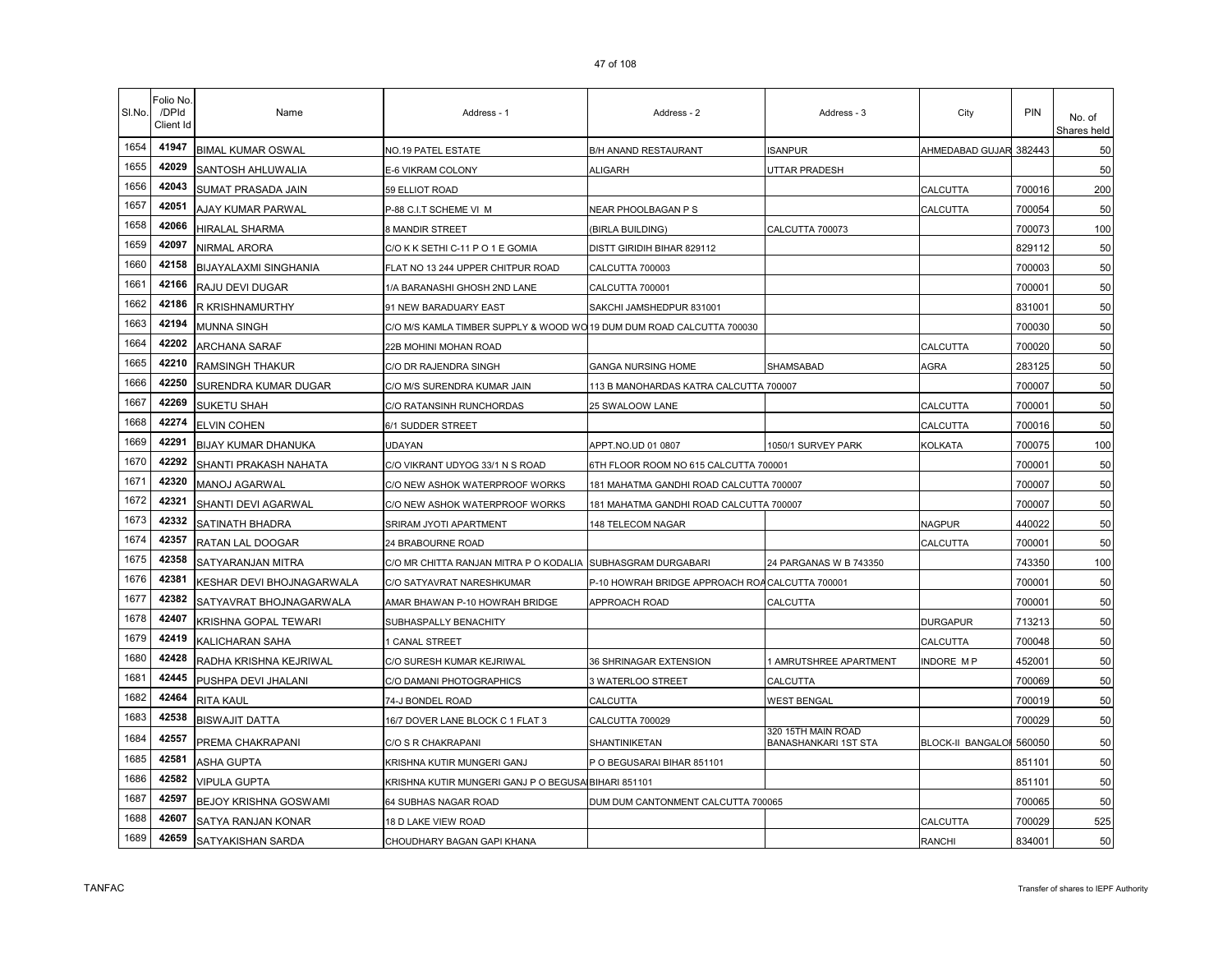| SI.No. | 0.110110<br>/DPId<br>Client Id | Name                         | Address - 1                       | Address - 2                       | Address - 3          | City                   | PIN    | No. of<br>Shares held |
|--------|--------------------------------|------------------------------|-----------------------------------|-----------------------------------|----------------------|------------------------|--------|-----------------------|
| 1654   | 41947                          | <b>BIMAL KUMAR OSWAL</b>     | NO.19 PATEL ESTATE                | <b>B/H ANAND RESTAURANT</b>       | <b>ISANPUR</b>       | AHMEDABAD GUJAR 382443 |        | 50                    |
| 1655   | 42029                          | SANTOSH AHLUWALIA            | E-6 VIKRAM COLONY                 | <b>ALIGARH</b>                    | <b>UTTAR PRADESH</b> |                        |        | 50                    |
| 1656   | 42043                          | SUMAT PRASADA JAIN           | 59 ELLIOT ROAD                    |                                   |                      | <b>CALCUTTA</b>        | 700016 | 200                   |
| 1657   |                                | 42051 AJAY KUMAR PARWAL      | P-88 C.I.T SCHEME VI M            | NEAR PHOOLBAGAN P S               |                      | <b>CALCUTTA</b>        | 700054 | 50                    |
| 1658   | 42066                          | <b>HIRALAL SHARMA</b>        | <b>8 MANDIR STREET</b>            | (BIRLA BUILDING)                  | CALCUTTA 700073      |                        | 700073 | 100                   |
| 1659   | 42097                          | NIRMAL ARORA                 | C/O K K SETHI C-11 P O 1 E GOMIA  | <b>DISTT GIRIDIH BIHAR 829112</b> |                      |                        | 829112 | 50                    |
| 1660   | 42158                          | <b>BIJAYALAXMI SINGHANIA</b> | FLAT NO 13 244 UPPER CHITPUR ROAD | CALCUTTA 700003                   |                      |                        | 700003 | 50                    |

| 1656 | 42043 | SUMAT PRASADA JAIN        | 59 ELLIOT ROAD                                                        |                                                |                                                   | CALCUTTA                 | 700016 | 200 |
|------|-------|---------------------------|-----------------------------------------------------------------------|------------------------------------------------|---------------------------------------------------|--------------------------|--------|-----|
| 1657 | 42051 | AJAY KUMAR PARWAL         | P-88 C.I.T SCHEME VI M                                                | NEAR PHOOLBAGAN P S                            |                                                   | CALCUTTA                 | 700054 | 50  |
| 1658 | 42066 | HIRALAL SHARMA            | 8 MANDIR STREET                                                       | (BIRLA BUILDING)                               | CALCUTTA 700073                                   |                          | 700073 | 100 |
| 1659 | 42097 | NIRMAL ARORA              | C/O K K SETHI C-11 P O 1 E GOMIA                                      | DISTT GIRIDIH BIHAR 829112                     |                                                   |                          | 829112 | 50  |
| 1660 | 42158 | BIJAYALAXMI SINGHANIA     | FLAT NO 13 244 UPPER CHITPUR ROAD                                     | CALCUTTA 700003                                |                                                   |                          | 700003 | 50  |
| 1661 | 42166 | RAJU DEVI DUGAR           | 1/A BARANASHI GHOSH 2ND LANE                                          | CALCUTTA 700001                                |                                                   |                          | 700001 | 50  |
| 1662 | 42186 | R KRISHNAMURTHY           | 91 NEW BARADUARY EAST                                                 | SAKCHI JAMSHEDPUR 831001                       |                                                   |                          | 831001 | 50  |
| 1663 | 42194 | MUNNA SINGH               | C/O M/S KAMLA TIMBER SUPPLY & WOOD WO 19 DUM DUM ROAD CALCUTTA 700030 |                                                |                                                   |                          | 700030 | 50  |
| 1664 | 42202 | ARCHANA SARAF             | 22B MOHINI MOHAN ROAD                                                 |                                                |                                                   | CALCUTTA                 | 700020 | 50  |
| 1665 | 42210 | <b>RAMSINGH THAKUR</b>    | C/O DR RAJENDRA SINGH                                                 | <b>GANGA NURSING HOME</b>                      | SHAMSABAD                                         | AGRA                     | 283125 | 50  |
| 1666 | 42250 | SURENDRA KUMAR DUGAR      | C/O M/S SURENDRA KUMAR JAIN                                           | 113 B MANOHARDAS KATRA CALCUTTA 700007         |                                                   |                          | 700007 | 50  |
| 1667 | 42269 | <b>SUKETU SHAH</b>        | C/O RATANSINH RUNCHORDAS                                              | 25 SWALOOW LANE                                |                                                   | CALCUTTA                 | 700001 | 50  |
| 1668 | 42274 | ELVIN COHEN               | 6/1 SUDDER STREET                                                     |                                                |                                                   | CALCUTTA                 | 700016 | 50  |
| 1669 | 42291 | BIJAY KUMAR DHANUKA       | UDAYAN                                                                | APPT.NO.UD 01 0807                             | 1050/1 SURVEY PARK                                | KOLKATA                  | 700075 | 100 |
| 1670 | 42292 | SHANTI PRAKASH NAHATA     | C/O VIKRANT UDYOG 33/1 N S ROAD                                       | 6TH FLOOR ROOM NO 615 CALCUTTA 700001          |                                                   |                          | 700001 | 50  |
| 1671 | 42320 | MANOJ AGARWAL             | C/O NEW ASHOK WATERPROOF WORKS                                        | 181 MAHATMA GANDHI ROAD CALCUTTA 700007        |                                                   |                          | 700007 | 50  |
| 1672 | 42321 | SHANTI DEVI AGARWAL       | C/O NEW ASHOK WATERPROOF WORKS                                        | 181 MAHATMA GANDHI ROAD CALCUTTA 700007        |                                                   |                          | 700007 | 50  |
| 1673 | 42332 | SATINATH BHADRA           | SRIRAM JYOTI APARTMENT                                                | 148 TELECOM NAGAR                              |                                                   | <b>NAGPUR</b>            | 440022 | 50  |
| 1674 | 42357 | RATAN LAL DOOGAR          | 24 BRABOURNE ROAD                                                     |                                                |                                                   | CALCUTTA                 | 700001 | 50  |
| 1675 | 42358 | SATYARANJAN MITRA         | C/O MR CHITTA RANJAN MITRA P O KODALIA SUBHASGRAM DURGABARI           |                                                | 24 PARGANAS W B 743350                            |                          | 743350 | 100 |
| 1676 | 42381 | KESHAR DEVI BHOJNAGARWALA | C/O SATYAVRAT NARESHKUMAR                                             | P-10 HOWRAH BRIDGE APPROACH ROACALCUTTA 700001 |                                                   |                          | 700001 | 50  |
| 1677 | 42382 | SATYAVRAT BHOJNAGARWALA   | AMAR BHAWAN P-10 HOWRAH BRIDGE                                        | APPROACH ROAD                                  | CALCUTTA                                          |                          | 700001 | 50  |
| 1678 | 42407 | KRISHNA GOPAL TEWARI      | SUBHASPALLY BENACHITY                                                 |                                                |                                                   | <b>DURGAPUR</b>          | 713213 | 50  |
| 1679 | 42419 | KALICHARAN SAHA           | I CANAL STREET                                                        |                                                |                                                   | CALCUTTA                 | 700048 | 50  |
| 1680 | 42428 | RADHA KRISHNA KEJRIWAL    | C/O SURESH KUMAR KEJRIWAL                                             | 36 SHRINAGAR EXTENSION                         | 1 AMRUTSHREE APARTMENT                            | <b>INDORE MP</b>         | 452001 | 50  |
| 1681 | 42445 | PUSHPA DEVI JHALANI       | C/O DAMANI PHOTOGRAPHICS                                              | 3 WATERLOO STREET                              | CALCUTTA                                          |                          | 700069 | 50  |
| 1682 | 42464 | RITA KAUL                 | 74-J BONDEL ROAD                                                      | CALCUTTA                                       | <b>WEST BENGAL</b>                                |                          | 700019 | 50  |
| 1683 | 42538 | <b>BISWAJIT DATTA</b>     | 16/7 DOVER LANE BLOCK C 1 FLAT 3                                      | CALCUTTA 700029                                |                                                   |                          | 700029 | 50  |
| 1684 | 42557 | PREMA CHAKRAPANI          | C/O S R CHAKRAPANI                                                    | SHANTINIKETAN                                  | 320 15TH MAIN ROAD<br><b>BANASHANKARI 1ST STA</b> | <b>BLOCK-II BANGALOI</b> | 560050 | 50  |
| 1685 | 42581 | ASHA GUPTA                | KRISHNA KUTIR MUNGERI GANJ                                            | P O BEGUSARAI BIHAR 851101                     |                                                   |                          | 851101 | 50  |
| 1686 | 42582 | <b>VIPULA GUPTA</b>       | KRISHNA KUTIR MUNGERI GANJ P O BEGUSA BIHARI 851101                   |                                                |                                                   |                          | 851101 | 50  |
| 1687 | 42597 | BEJOY KRISHNA GOSWAMI     | 64 SUBHAS NAGAR ROAD                                                  | DUM DUM CANTONMENT CALCUTTA 700065             |                                                   |                          | 700065 | 50  |
| 1688 | 42607 | SATYA RANJAN KONAR        | 18 D LAKE VIEW ROAD                                                   |                                                |                                                   | CALCUTTA                 | 700029 | 525 |
| 1689 | 42659 | SATYAKISHAN SARDA         | CHOUDHARY BAGAN GAPI KHANA                                            |                                                |                                                   | <b>RANCHI</b>            | 834001 | 50  |

Folio No. /DPId Client Id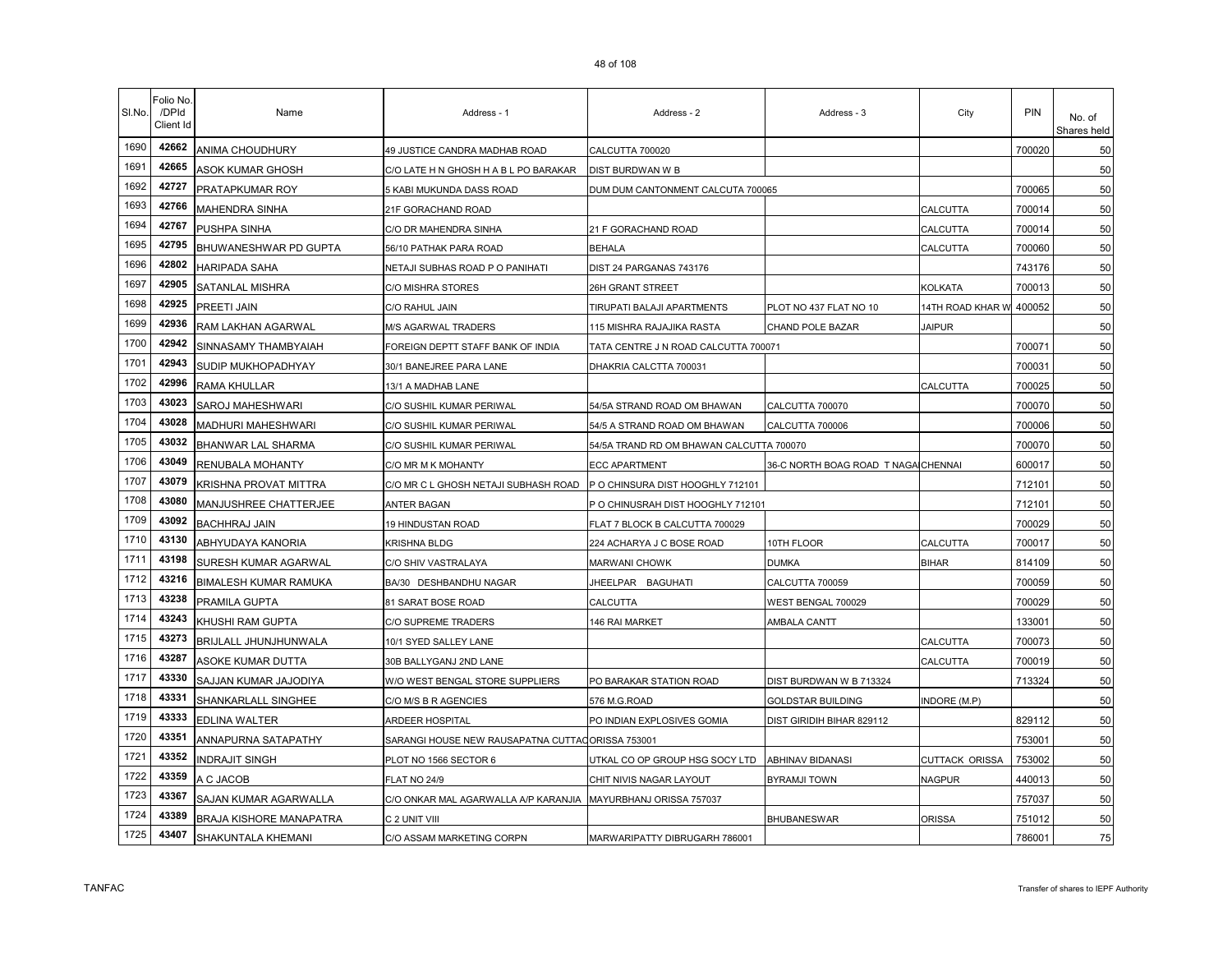| SI.No. | Folio No.<br>/DPId<br>Client Id | Name                           | Address - 1                           | Address - 2                              | Address - 3                         | City               | <b>PIN</b> | No. of<br>Shares held |
|--------|---------------------------------|--------------------------------|---------------------------------------|------------------------------------------|-------------------------------------|--------------------|------------|-----------------------|
| 1690   | 42662                           | ANIMA CHOUDHURY                | 49 JUSTICE CANDRA MADHAB ROAD         | CALCUTTA 700020                          |                                     |                    | 700020     | 50                    |
| 1691   | 42665                           | ASOK KUMAR GHOSH               | C/O LATE H N GHOSH H A B L PO BARAKAR | DIST BURDWAN W B                         |                                     |                    |            | 50                    |
| 1692   | 42727                           | PRATAPKUMAR ROY                | 5 KABI MUKUNDA DASS ROAD              | DUM DUM CANTONMENT CALCUTA 700065        |                                     |                    | 700065     | 50                    |
| 1693   | 42766                           | MAHENDRA SINHA                 | 21F GORACHAND ROAD                    |                                          |                                     | CALCUTTA           | 700014     | 50                    |
| 1694   | 42767                           | PUSHPA SINHA                   | C/O DR MAHENDRA SINHA                 | 21 F GORACHAND ROAD                      |                                     | CALCUTTA           | 700014     | 50                    |
| 1695   | 42795                           | BHUWANESHWAR PD GUPTA          | 56/10 PATHAK PARA ROAD                | <b>BEHALA</b>                            |                                     | CALCUTTA           | 700060     | 50                    |
| 1696   | 42802                           | <b>HARIPADA SAHA</b>           | NETAJI SUBHAS ROAD P O PANIHATI       | DIST 24 PARGANAS 743176                  |                                     |                    | 743176     | 50                    |
| 1697   | 42905                           | SATANLAL MISHRA                | C/O MISHRA STORES                     | 26H GRANT STREET                         |                                     | KOLKATA            | 700013     | 50                    |
| 1698   | 42925                           | PREETI JAIN                    | C/O RAHUL JAIN                        | TIRUPATI BALAJI APARTMENTS               | PLOT NO 437 FLAT NO 10              | 14TH ROAD KHAR W   | 400052     | 50                    |
| 1699   | 42936                           | RAM LAKHAN AGARWAL             | <b>M/S AGARWAL TRADERS</b>            | 115 MISHRA RAJAJIKA RASTA                | CHAND POLE BAZAR                    | <b>JAIPUR</b>      |            | 50                    |
| 1700   | 42942                           | SINNASAMY THAMBYAIAH           | FOREIGN DEPTT STAFF BANK OF INDIA     | TATA CENTRE J N ROAD CALCUTTA 700071     |                                     |                    | 700071     | 50                    |
| 1701   | 42943                           | SUDIP MUKHOPADHYAY             | 30/1 BANEJREE PARA LANE               | DHAKRIA CALCTTA 700031                   |                                     |                    | 700031     | 50                    |
| 1702   | 42996                           | <b>RAMA KHULLAR</b>            | 13/1 A MADHAB LANE                    |                                          |                                     | CALCUTTA           | 700025     | 50                    |
| 1703   | 43023                           | SAROJ MAHESHWARI               | C/O SUSHIL KUMAR PERIWAL              | 54/5A STRAND ROAD OM BHAWAN              | CALCUTTA 700070                     |                    | 700070     | 50                    |
| 1704   | 43028                           | MADHURI MAHESHWARI             | C/O SUSHIL KUMAR PERIWAL              | 54/5 A STRAND ROAD OM BHAWAN             | CALCUTTA 700006                     |                    | 700006     | 50                    |
| 1705   | 43032                           | BHANWAR LAL SHARMA             | C/O SUSHIL KUMAR PERIWAL              | 54/5A TRAND RD OM BHAWAN CALCUTTA 700070 |                                     |                    | 700070     | 50                    |
| 1706   | 43049                           | RENUBALA MOHANTY               | C/O MR M K MOHANTY                    | <b>ECC APARTMENT</b>                     | 36-C NORTH BOAG ROAD T NAGA CHENNAI |                    | 600017     | 50                    |
| 1707   | 43079                           | KRISHNA PROVAT MITTRA          | C/O MR C L GHOSH NETAJI SUBHASH ROAD  | P O CHINSURA DIST HOOGHLY 712101         |                                     |                    | 712101     | 50                    |
| 1708   | 43080                           | MANJUSHREE CHATTERJEE          | ANTER BAGAN                           | P O CHINUSRAH DIST HOOGHLY 712101        |                                     |                    | 712101     | 50                    |
| 1709   | 43092                           | <b>BACHHRAJ JAIN</b>           | 19 HINDUSTAN ROAD                     | FLAT 7 BLOCK B CALCUTTA 700029           |                                     |                    | 700029     | 50                    |
| 1710   | 43130                           | ABHYUDAYA KANORIA              | <b>KRISHNA BLDG</b>                   | 224 ACHARYA J C BOSE ROAD                | 10TH FLOOR                          | CALCUTTA           | 700017     | 50                    |
| 1711   | 43198                           | SURESH KUMAR AGARWAL           | C/O SHIV VASTRALAYA                   | MARWANI CHOWK                            | <b>DUMKA</b>                        | <b>BIHAR</b>       | 814109     | 50                    |
| 1712   | 43216                           | BIMALESH KUMAR RAMUKA          | BA/30 DESHBANDHU NAGAR                | JHEELPAR BAGUHATI                        | CALCUTTA 700059                     |                    | 700059     | 50                    |
| 1713   | 43238                           | PRAMILA GUPTA                  | 81 SARAT BOSE ROAD                    | CALCUTTA                                 | WEST BENGAL 700029                  |                    | 700029     | 50                    |
| 1714   | 43243                           | KHUSHI RAM GUPTA               | C/O SUPREME TRADERS                   | 146 RAI MARKET                           | AMBALA CANTT                        |                    | 133001     | 50                    |
| 1715   | 43273                           | BRIJLALL JHUNJHUNWALA          | 10/1 SYED SALLEY LANE                 |                                          |                                     | CALCUTTA           | 700073     | 50                    |
| 1716   | 43287                           | ASOKE KUMAR DUTTA              | 30B BALLYGANJ 2ND LANE                |                                          |                                     | CALCUTTA           | 700019     | 50                    |
| 1717   | 43330                           | SAJJAN KUMAR JAJODIYA          | W/O WEST BENGAL STORE SUPPLIERS       | PO BARAKAR STATION ROAD                  | DIST BURDWAN W B 713324             |                    | 713324     | 50                    |
| 1718   | 43331                           | SHANKARLALL SINGHEE            | C/O M/S B R AGENCIES                  | 576 M.G.ROAD                             | GOLDSTAR BUILDING                   | <b>NDORE (M.P)</b> |            | 50                    |
| 1719   | 43333                           | EDLINA WALTER                  | ARDEER HOSPITAL                       | PO INDIAN EXPLOSIVES GOMIA               | DIST GIRIDIH BIHAR 829112           |                    | 829112     | 50                    |
| 1720   | 43351                           | ANNAPURNA SATAPATHY            | SARANGI HOUSE NEW RAUSAPATNA CUTTAO   | ORISSA 753001                            |                                     |                    | 753001     | 50                    |
| 1721   | 43352                           | INDRAJIT SINGH                 | PLOT NO 1566 SECTOR 6                 | UTKAL CO OP GROUP HSG SOCY LTD           | <b>ABHINAV BIDANASI</b>             | CUTTACK ORISSA     | 753002     | 50                    |
| 1722   | 43359                           | A C JACOB                      | FLAT NO 24/9                          | CHIT NIVIS NAGAR LAYOUT                  | <b>BYRAMJI TOWN</b>                 | NAGPUR             | 440013     | 50                    |
| 1723   | 43367                           | SAJAN KUMAR AGARWALLA          | C/O ONKAR MAL AGARWALLA A/P KARANJIA  | MAYURBHANJ ORISSA 757037                 |                                     |                    | 757037     | 50                    |
| 1724   | 43389                           | <b>BRAJA KISHORE MANAPATRA</b> | C 2 UNIT VIII                         |                                          | BHUBANESWAR                         | ORISSA             | 751012     | 50                    |
| 1725   | 43407                           | SHAKUNTALA KHEMANI             | C/O ASSAM MARKETING CORPN             | MARWARIPATTY DIBRUGARH 786001            |                                     |                    | 786001     | 75                    |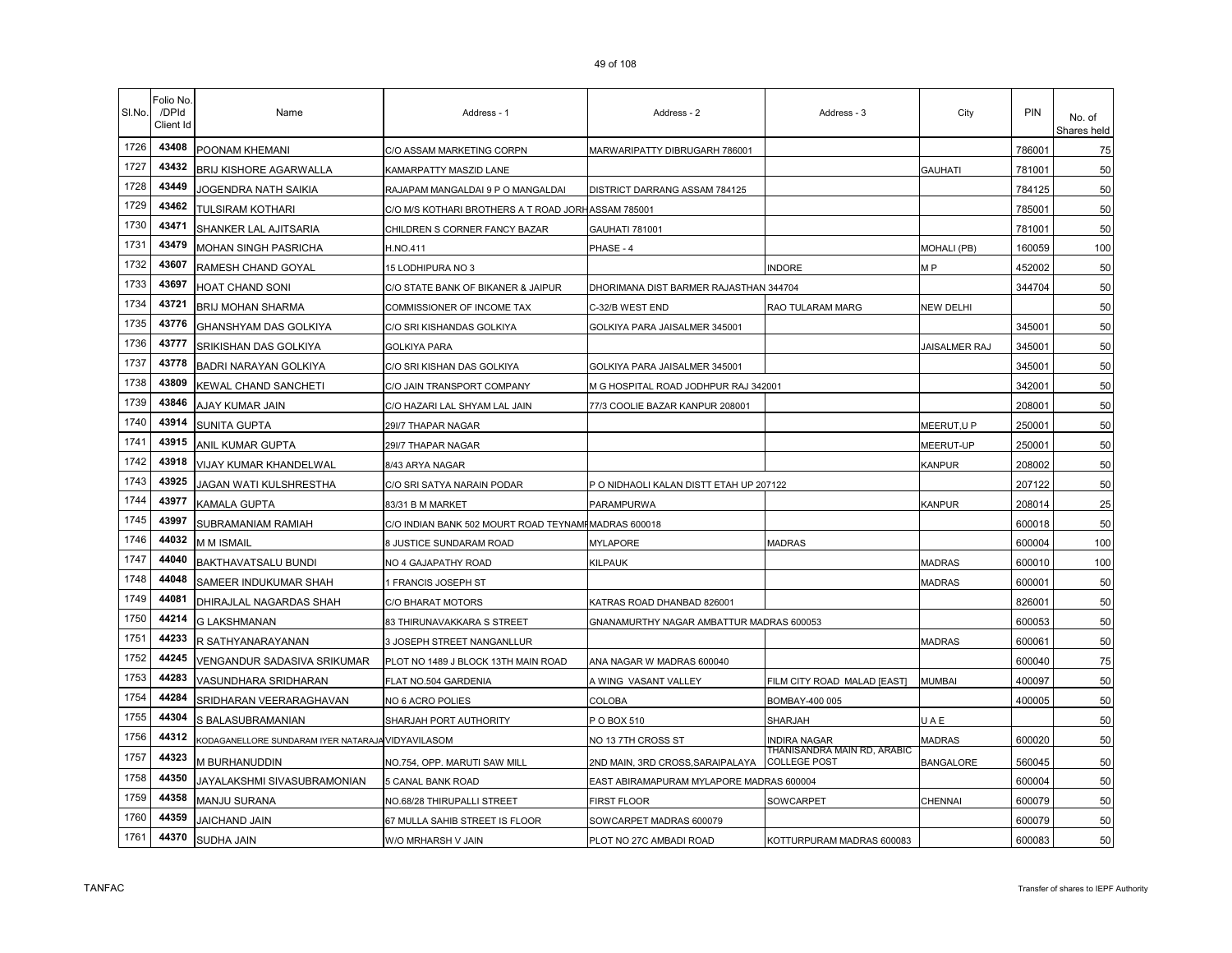| SI.No. | Folio No<br>/DPId<br>Client Id | Name                                              | Address - 1                                          | Address - 2                              | Address - 3                                        | City                 | <b>PIN</b> | No. of<br>Shares held |
|--------|--------------------------------|---------------------------------------------------|------------------------------------------------------|------------------------------------------|----------------------------------------------------|----------------------|------------|-----------------------|
| 1726   | 43408                          | POONAM KHEMANI                                    | C/O ASSAM MARKETING CORPN                            | MARWARIPATTY DIBRUGARH 786001            |                                                    |                      | 786001     | 75                    |
| 1727   | 43432                          | <b>BRIJ KISHORE AGARWALLA</b>                     | KAMARPATTY MASZID LANE                               |                                          |                                                    | GAUHATI              | 781001     | 50                    |
| 1728   | 43449                          | JOGENDRA NATH SAIKIA                              | RAJAPAM MANGALDAI 9 P O MANGALDAI                    | DISTRICT DARRANG ASSAM 784125            |                                                    |                      | 784125     | 50                    |
| 1729   | 43462                          | TULSIRAM KOTHARI                                  | C/O M/S KOTHARI BROTHERS A T ROAD JORHASSAM 785001   |                                          |                                                    |                      | 785001     | 50                    |
| 1730   | 43471                          | SHANKER LAL AJITSARIA                             | CHILDREN S CORNER FANCY BAZAR                        | GAUHATI 781001                           |                                                    |                      | 781001     | 50                    |
| 1731   | 43479                          | MOHAN SINGH PASRICHA                              | H.NO.411                                             | PHASE - 4                                |                                                    | <b>MOHALI (PB)</b>   | 160059     | 100                   |
| 1732   | 43607                          | RAMESH CHAND GOYAL                                | 15 LODHIPURA NO 3                                    |                                          | <b>INDORE</b>                                      | M <sub>P</sub>       | 452002     | 50                    |
| 1733   | 43697                          | HOAT CHAND SONI                                   | C/O STATE BANK OF BIKANER & JAIPUR                   | DHORIMANA DIST BARMER RAJASTHAN 344704   |                                                    |                      | 344704     | 50                    |
| 1734   | 43721                          | BRIJ MOHAN SHARMA                                 | COMMISSIONER OF INCOME TAX                           | C-32/B WEST END                          | RAO TULARAM MARG                                   | NEW DELHI            |            | 50                    |
| 1735   | 43776                          | GHANSHYAM DAS GOLKIYA                             | C/O SRI KISHANDAS GOLKIYA                            | GOLKIYA PARA JAISALMER 345001            |                                                    |                      | 345001     | 50                    |
| 1736   | 43777                          | SRIKISHAN DAS GOLKIYA                             | <b>GOLKIYA PARA</b>                                  |                                          |                                                    | <b>JAISALMER RAJ</b> | 345001     | 50                    |
| 1737   | 43778                          | <b>BADRI NARAYAN GOLKIYA</b>                      | C/O SRI KISHAN DAS GOLKIYA                           | GOLKIYA PARA JAISALMER 345001            |                                                    |                      | 345001     | 50                    |
| 1738   | 43809                          | KEWAL CHAND SANCHETI                              | C/O JAIN TRANSPORT COMPANY                           | M G HOSPITAL ROAD JODHPUR RAJ 342001     |                                                    |                      | 342001     | 50                    |
| 1739   | 43846                          | AJAY KUMAR JAIN                                   | C/O HAZARI LAL SHYAM LAL JAIN                        | 77/3 COOLIE BAZAR KANPUR 208001          |                                                    |                      | 208001     | 50                    |
| 1740   | 43914                          | <b>SUNITA GUPTA</b>                               | 29I/7 THAPAR NAGAR                                   |                                          |                                                    | MEERUT,U P           | 250001     | 50                    |
| 1741   | 43915                          | ANIL KUMAR GUPTA                                  | 29I/7 THAPAR NAGAR                                   |                                          |                                                    | <b>MEERUT-UP</b>     | 250001     | 50                    |
| 1742   | 43918                          | VIJAY KUMAR KHANDELWAL                            | 8/43 ARYA NAGAR                                      |                                          |                                                    | KANPUR               | 208002     | 50                    |
| 1743   | 43925                          | JAGAN WATI KULSHRESTHA                            | C/O SRI SATYA NARAIN PODAR                           | P O NIDHAOLI KALAN DISTT ETAH UP 207122  |                                                    |                      | 207122     | 50                    |
| 1744   | 43977                          | KAMALA GUPTA                                      | 83/31 B M MARKET                                     | PARAMPURWA                               |                                                    | KANPUR               | 208014     | 25                    |
| 1745   | 43997                          | SUBRAMANIAM RAMIAH                                | C/O INDIAN BANK 502 MOURT ROAD TEYNAMI MADRAS 600018 |                                          |                                                    |                      | 600018     | 50                    |
| 1746   | 44032                          | m m Ismail                                        | 8 JUSTICE SUNDARAM ROAD                              | <b>MYLAPORE</b>                          | <b>MADRAS</b>                                      |                      | 600004     | 100                   |
| 1747   | 44040                          | BAKTHAVATSALU BUNDI                               | NO 4 GAJAPATHY ROAD                                  | KILPAUK                                  |                                                    | <b>MADRAS</b>        | 600010     | 100                   |
| 1748   | 44048                          | SAMEER INDUKUMAR SHAH                             | 1 FRANCIS JOSEPH ST                                  |                                          |                                                    | <b>MADRAS</b>        | 600001     | 50                    |
| 1749   | 44081                          | DHIRAJLAL NAGARDAS SHAH                           | C/O BHARAT MOTORS                                    | KATRAS ROAD DHANBAD 826001               |                                                    |                      | 826001     | 50                    |
| 1750   | 44214                          | <b>G LAKSHMANAN</b>                               | 83 THIRUNAVAKKARA S STREET                           | GNANAMURTHY NAGAR AMBATTUR MADRAS 600053 |                                                    |                      | 600053     | 50                    |
| 1751   | 44233                          | R SATHYANARAYANAN                                 | 3 JOSEPH STREET NANGANLLUR                           |                                          |                                                    | <b>MADRAS</b>        | 600061     | 50                    |
| 1752   | 44245                          | VENGANDUR SADASIVA SRIKUMAR                       | PLOT NO 1489 J BLOCK 13TH MAIN ROAD                  | ANA NAGAR W MADRAS 600040                |                                                    |                      | 600040     | 75                    |
| 1753   | 44283                          | VASUNDHARA SRIDHARAN                              | FLAT NO.504 GARDENIA                                 | A WING VASANT VALLEY                     | FILM CITY ROAD MALAD [EAST]                        | MUMBAI               | 400097     | 50                    |
| 1754   | 44284                          | SRIDHARAN VEERARAGHAVAN                           | NO 6 ACRO POLIES                                     | COLOBA                                   | BOMBAY-400 005                                     |                      | 400005     | 50                    |
| 1755   | 44304                          | S BALASUBRAMANIAN                                 | SHARJAH PORT AUTHORITY                               | POBOX 510                                | <b>SHARJAH</b>                                     | JAE                  |            | 50                    |
| 1756   | 44312                          | KODAGANELLORE SUNDARAM IYER NATARAJA VIDYAVILASOM |                                                      | NO 13 7TH CROSS ST                       | INDIRA NAGAR                                       | <b>MADRAS</b>        | 600020     | 50                    |
| 1757   | 44323                          | M BURHANUDDIN                                     | NO.754, OPP. MARUTI SAW MILL                         | 2ND MAIN, 3RD CROSS, SARAIPALAYA         | THANISANDRA MAIN RD, ARABIC<br><b>COLLEGE POST</b> | <b>BANGALORE</b>     | 560045     | 50                    |
| 1758   | 44350                          | JAYALAKSHMI SIVASUBRAMONIAN                       | <b>5 CANAL BANK ROAD</b>                             | EAST ABIRAMAPURAM MYLAPORE MADRAS 600004 |                                                    |                      | 600004     | 50                    |
| 1759   | 44358                          | MANJU SURANA                                      | NO.68/28 THIRUPALLI STREET                           | FIRST FLOOR                              | SOWCARPET                                          | CHENNAI              | 600079     | 50                    |
| 1760   | 44359                          | <b>JAICHAND JAIN</b>                              | 67 MULLA SAHIB STREET IS FLOOR                       | SOWCARPET MADRAS 600079                  |                                                    |                      | 600079     | 50                    |
| 1761   | 44370                          | SUDHA JAIN                                        | W/O MRHARSH V JAIN                                   | PLOT NO 27C AMBADI ROAD                  | KOTTURPURAM MADRAS 600083                          |                      | 600083     | 50                    |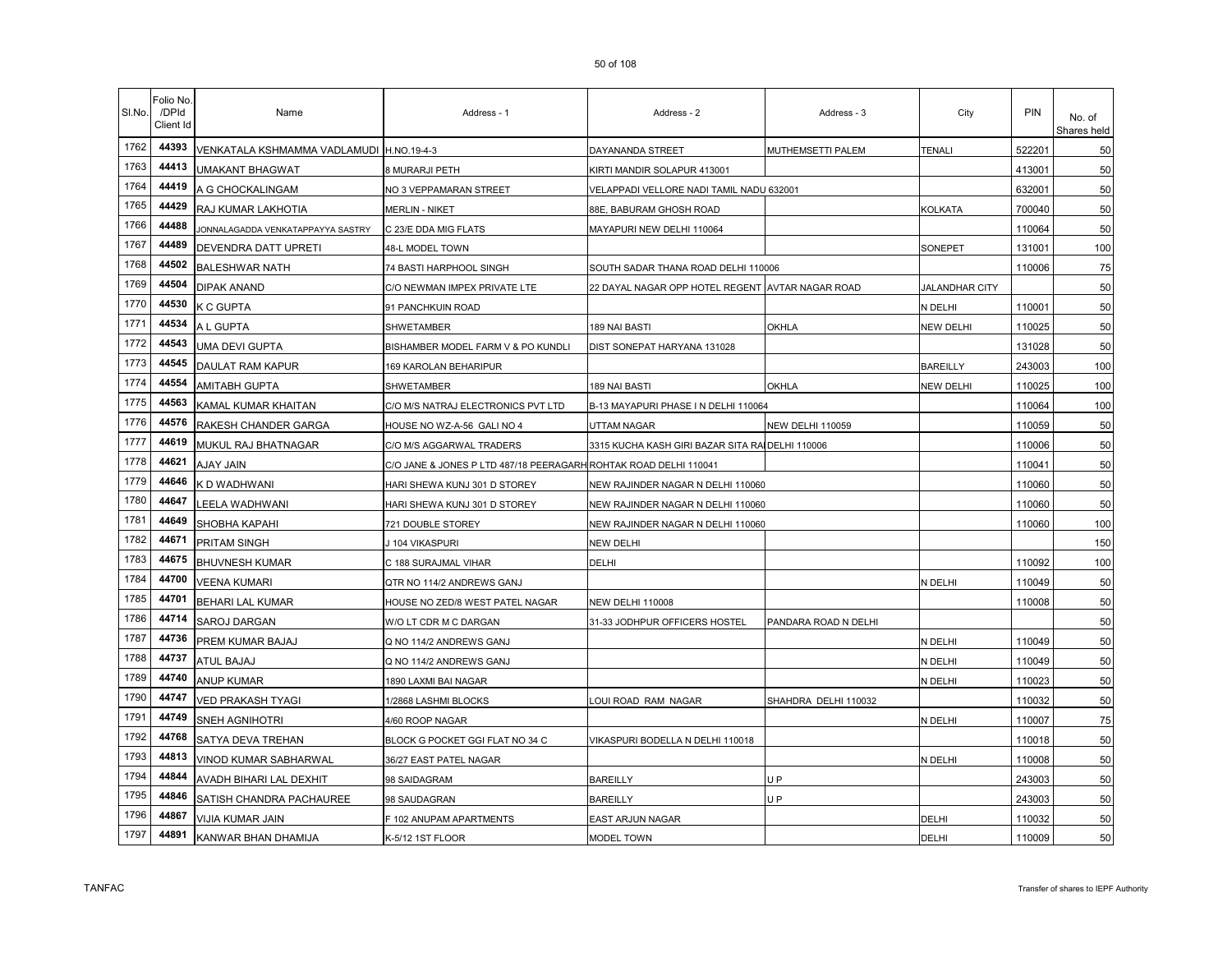| SI.No. | Folio No<br>/DPId<br>Client Id | Name                                     | Address - 1                                                      | Address - 2                                      | Address - 3             | City                  | PIN    | No. of<br>Shares held |
|--------|--------------------------------|------------------------------------------|------------------------------------------------------------------|--------------------------------------------------|-------------------------|-----------------------|--------|-----------------------|
| 1762   | 44393                          | VENKATALA KSHMAMMA VADLAMUDI H.NO.19-4-3 |                                                                  | DAYANANDA STREET                                 | MUTHEMSETTI PALEM       | <b>TENALI</b>         | 522201 | 50                    |
| 1763   | 44413                          | <b>UMAKANT BHAGWAT</b>                   | 8 MURARJI PETH                                                   | KIRTI MANDIR SOLAPUR 413001                      |                         |                       | 413001 | 50                    |
| 1764   | 44419                          | A G CHOCKALINGAM                         | NO 3 VEPPAMARAN STREET                                           | VELAPPADI VELLORE NADI TAMIL NADU 632001         |                         |                       | 632001 | 50                    |
| 1765   | 44429                          | RAJ KUMAR LAKHOTIA                       | <b>MERLIN - NIKET</b>                                            | 88E, BABURAM GHOSH ROAD                          |                         | <b>KOLKATA</b>        | 700040 | 50                    |
| 1766   | 44488                          | JONNALAGADDA VENKATAPPAYYA SASTRY        | C 23/E DDA MIG FLATS                                             | MAYAPURI NEW DELHI 110064                        |                         |                       | 110064 | 50                    |
| 1767   | 44489                          | DEVENDRA DATT UPRETI                     | 48-L MODEL TOWN                                                  |                                                  |                         | SONEPET               | 131001 | 100                   |
| 1768   | 44502                          | <b>BALESHWAR NATH</b>                    | 74 BASTI HARPHOOL SINGH                                          | SOUTH SADAR THANA ROAD DELHI 110006              |                         |                       | 110006 | 75                    |
| 1769   | 44504                          | DIPAK ANAND                              | C/O NEWMAN IMPEX PRIVATE LTE                                     | 22 DAYAL NAGAR OPP HOTEL REGENT AVTAR NAGAR ROAD |                         | <b>JALANDHAR CITY</b> |        | 50                    |
| 1770   | 44530                          | K C GUPTA                                | 91 PANCHKUIN ROAD                                                |                                                  |                         | N DELHI               | 110001 | 50                    |
| 1771   | 44534                          | A L GUPTA                                | SHWETAMBER                                                       | 189 NAI BASTI                                    | <b>OKHLA</b>            | <b>NEW DELHI</b>      | 110025 | 50                    |
| 1772   | 44543                          | UMA DEVI GUPTA                           | BISHAMBER MODEL FARM V & PO KUNDLI                               | DIST SONEPAT HARYANA 131028                      |                         |                       | 131028 | 50                    |
| 1773   | 44545                          | DAULAT RAM KAPUR                         | 169 KAROLAN BEHARIPUR                                            |                                                  |                         | <b>BAREILLY</b>       | 243003 | 100                   |
| 1774   | 44554                          | <b>AMITABH GUPTA</b>                     | SHWETAMBER                                                       | 189 NAI BASTI                                    | <b>OKHLA</b>            | <b>NEW DELHI</b>      | 110025 | 100                   |
| 1775   | 44563                          | KAMAL KUMAR KHAITAN                      | C/O M/S NATRAJ ELECTRONICS PVT LTD                               | B-13 MAYAPURI PHASE IN DELHI 110064              |                         |                       | 110064 | 100                   |
| 1776   | 44576                          | RAKESH CHANDER GARGA                     | HOUSE NO WZ-A-56 GALI NO 4                                       | UTTAM NAGAR                                      | <b>NEW DELHI 110059</b> |                       | 110059 | 50                    |
| 1777   | 44619                          | MUKUL RAJ BHATNAGAR                      | C/O M/S AGGARWAL TRADERS                                         | 3315 KUCHA KASH GIRI BAZAR SITA RAI DELHI 110006 |                         |                       | 110006 | 50                    |
| 1778   | 44621                          | <b>AJAY JAIN</b>                         | C/O JANE & JONES P LTD 487/18 PEERAGARH ROHTAK ROAD DELHI 110041 |                                                  |                         |                       | 110041 | 50                    |
| 1779   | 44646                          | K D WADHWANI                             | HARI SHEWA KUNJ 301 D STOREY                                     | NEW RAJINDER NAGAR N DELHI 110060                |                         |                       | 110060 | 50                    |
| 1780   | 44647                          | LEELA WADHWANI                           | HARI SHEWA KUNJ 301 D STOREY                                     | NEW RAJINDER NAGAR N DELHI 110060                |                         |                       | 110060 | 50                    |
| 1781   | 44649                          | SHOBHA KAPAHI                            | 721 DOUBLE STOREY                                                | NEW RAJINDER NAGAR N DELHI 110060                |                         |                       | 110060 | 100                   |
| 1782   | 44671                          | PRITAM SINGH                             | J 104 VIKASPURI                                                  | NEW DELHI                                        |                         |                       |        | 150                   |
| 1783   | 44675                          | <b>BHUVNESH KUMAR</b>                    | C 188 SURAJMAL VIHAR                                             | DELHI                                            |                         |                       | 110092 | 100                   |
| 1784   | 44700                          | <b>VEENA KUMARI</b>                      | QTR NO 114/2 ANDREWS GANJ                                        |                                                  |                         | N DELHI               | 110049 | 50                    |
| 1785   | 44701                          | <b>BEHARI LAL KUMAR</b>                  | HOUSE NO ZED/8 WEST PATEL NAGAR                                  | <b>NEW DELHI 110008</b>                          |                         |                       | 110008 | 50                    |
| 1786   | 44714                          | <b>SAROJ DARGAN</b>                      | W/O LT CDR M C DARGAN                                            | 31-33 JODHPUR OFFICERS HOSTEL                    | PANDARA ROAD N DELHI    |                       |        | 50                    |
| 1787   | 44736                          | PREM KUMAR BAJAJ                         | Q NO 114/2 ANDREWS GANJ                                          |                                                  |                         | N DELHI               | 110049 | 50                    |
| 1788   | 44737                          | ATUL BAJAJ                               | Q NO 114/2 ANDREWS GANJ                                          |                                                  |                         | N DELHI               | 110049 | 50                    |
| 1789   | 44740                          | <b>ANUP KUMAR</b>                        | 1890 LAXMI BAI NAGAR                                             |                                                  |                         | N DELHI               | 110023 | 50                    |
| 1790   | 44747                          | <b>VED PRAKASH TYAGI</b>                 | 1/2868 LASHMI BLOCKS                                             | OUI ROAD RAM NAGAR                               | SHAHDRA DELHI 110032    |                       | 110032 | 50                    |
| 1791   | 44749                          | <b>SNEH AGNIHOTRI</b>                    | 4/60 ROOP NAGAR                                                  |                                                  |                         | N DELHI               | 110007 | 75                    |
| 1792   | 44768                          | SATYA DEVA TREHAN                        | BLOCK G POCKET GGI FLAT NO 34 C                                  | VIKASPURI BODELLA N DELHI 110018                 |                         |                       | 110018 | 50                    |
| 1793   | 44813                          | VINOD KUMAR SABHARWAL                    | 36/27 EAST PATEL NAGAR                                           |                                                  |                         | N DELHI               | 110008 | 50                    |
| 1794   | 44844                          | AVADH BIHARI LAL DEXHIT                  | 98 SAIDAGRAM                                                     | <b>BAREILLY</b>                                  | U P                     |                       | 243003 | 50                    |
| 1795   | 44846                          | SATISH CHANDRA PACHAUREE                 | 98 SAUDAGRAN                                                     | <b>BAREILLY</b>                                  | U P                     |                       | 243003 | 50                    |
| 1796   | 44867                          | VIJIA KUMAR JAIN                         | F 102 ANUPAM APARTMENTS                                          | EAST ARJUN NAGAR                                 |                         | DELHI                 | 110032 | 50                    |
| 1797   | 44891                          | KANWAR BHAN DHAMIJA                      | K-5/12 1ST FLOOR                                                 | MODEL TOWN                                       |                         | DELHI                 | 110009 | 50                    |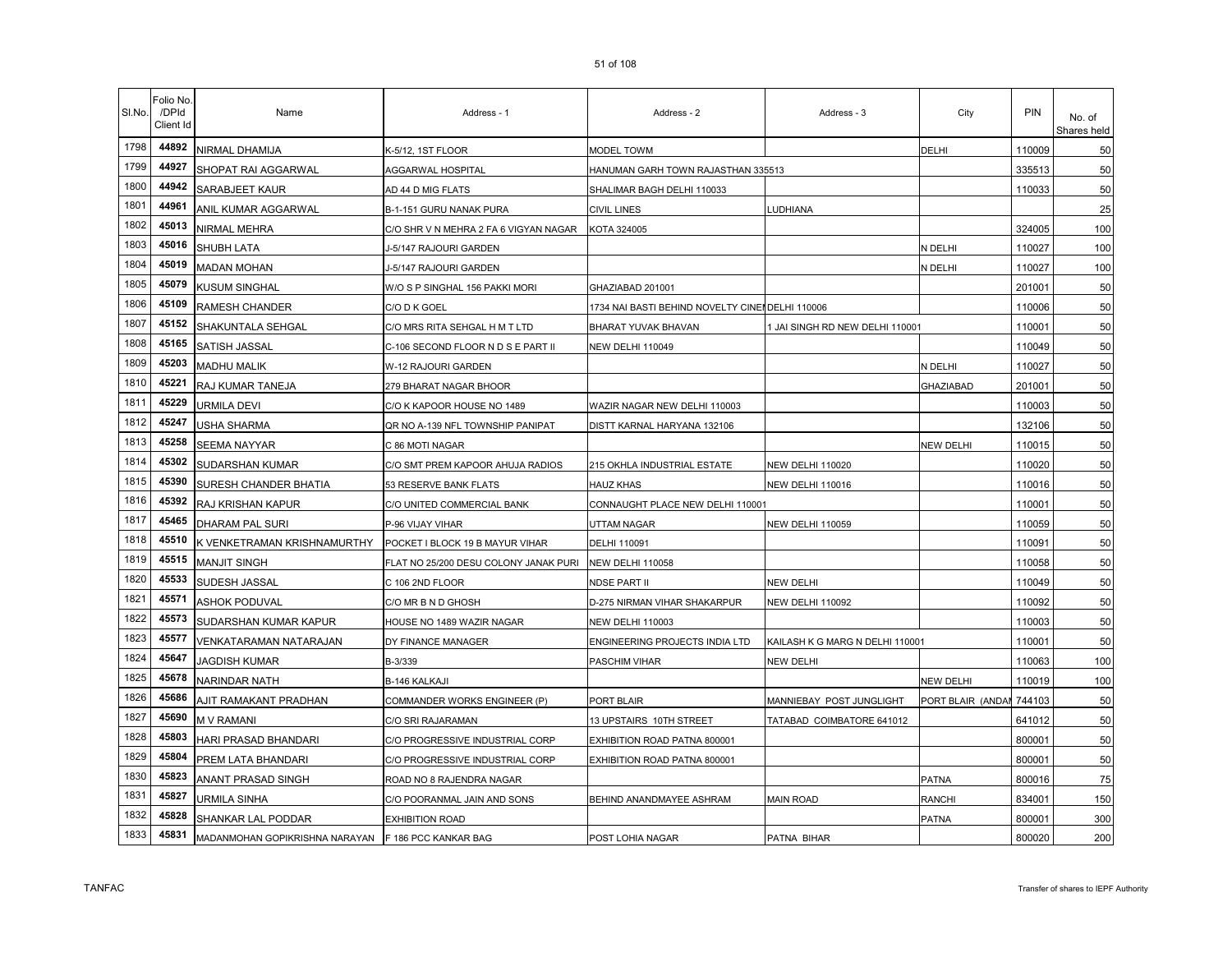|  | 51 of 108 |  |
|--|-----------|--|
|  |           |  |

| SI.No. | Folio No.<br>/DPId<br>Client Id | Name                                                | Address - 1                           | Address - 2                                     | Address - 3                     | City              | <b>PIN</b> | No. of<br>Shares held |
|--------|---------------------------------|-----------------------------------------------------|---------------------------------------|-------------------------------------------------|---------------------------------|-------------------|------------|-----------------------|
| 1798   | 44892                           | NIRMAL DHAMIJA                                      | K-5/12, 1ST FLOOR                     | MODEL TOWM                                      |                                 | DELHI             | 110009     | 50                    |
| 1799   | 44927                           | SHOPAT RAI AGGARWAL                                 | AGGARWAL HOSPITAL                     | HANUMAN GARH TOWN RAJASTHAN 335513              |                                 |                   | 335513     | 50                    |
| 1800   | 44942                           | SARABJEET KAUR                                      | AD 44 D MIG FLATS                     | SHALIMAR BAGH DELHI 110033                      |                                 |                   | 110033     | 50                    |
| 1801   | 44961                           | ANIL KUMAR AGGARWAL                                 | B-1-151 GURU NANAK PURA               | CIVIL LINES                                     | <b>LUDHIANA</b>                 |                   |            | 25                    |
| 1802   | 45013                           | NIRMAL MEHRA                                        | C/O SHR V N MEHRA 2 FA 6 VIGYAN NAGAR | KOTA 324005                                     |                                 |                   | 324005     | 100                   |
| 1803   | 45016                           | SHUBH LATA                                          | J-5/147 RAJOURI GARDEN                |                                                 |                                 | N DELHI           | 110027     | 100                   |
| 1804   | 45019                           | <b>MADAN MOHAN</b>                                  | J-5/147 RAJOURI GARDEN                |                                                 |                                 | N DELHI           | 110027     | 100                   |
| 1805   | 45079                           | <b>KUSUM SINGHAL</b>                                | W/O S P SINGHAL 156 PAKKI MORI        | GHAZIABAD 201001                                |                                 |                   | 201001     | 50                    |
| 1806   | 45109                           | RAMESH CHANDER                                      | C/O D K GOEL                          | 1734 NAI BASTI BEHIND NOVELTY CINENDELHI 110006 |                                 |                   | 110006     | 50                    |
| 1807   | 45152                           | SHAKUNTALA SEHGAL                                   | C/O MRS RITA SEHGAL H M T LTD         | BHARAT YUVAK BHAVAN                             | 1 JAI SINGH RD NEW DELHI 110001 |                   | 110001     | 50                    |
| 1808   | 45165                           | SATISH JASSAL                                       | C-106 SECOND FLOOR N D S E PART II    | NEW DELHI 110049                                |                                 |                   | 110049     | 50                    |
| 1809   | 45203                           | <b>MADHU MALIK</b>                                  | W-12 RAJOURI GARDEN                   |                                                 |                                 | N DELHI           | 110027     | 50                    |
| 1810   | 45221                           | RAJ KUMAR TANEJA                                    | 279 BHARAT NAGAR BHOOR                |                                                 |                                 | <b>GHAZIABAD</b>  | 201001     | 50                    |
| 1811   | 45229                           | URMILA DEVI                                         | C/O K KAPOOR HOUSE NO 1489            | WAZIR NAGAR NEW DELHI 110003                    |                                 |                   | 110003     | 50                    |
| 1812   | 45247                           | <b>USHA SHARMA</b>                                  | QR NO A-139 NFL TOWNSHIP PANIPAT      | DISTT KARNAL HARYANA 132106                     |                                 |                   | 132106     | 50                    |
| 1813   | 45258                           | SEEMA NAYYAR                                        | C 86 MOTI NAGAR                       |                                                 |                                 | NEW DELHI         | 110015     | 50                    |
| 1814   | 45302                           | SUDARSHAN KUMAR                                     | C/O SMT PREM KAPOOR AHUJA RADIOS      | 215 OKHLA INDUSTRIAL ESTATE                     | NEW DELHI 110020                |                   | 110020     | 50                    |
| 1815   | 45390                           | SURESH CHANDER BHATIA                               | 53 RESERVE BANK FLATS                 | HAUZ KHAS                                       | NEW DELHI 110016                |                   | 110016     | 50                    |
| 1816   | 45392                           | RAJ KRISHAN KAPUR                                   | C/O UNITED COMMERCIAL BANK            | CONNAUGHT PLACE NEW DELHI 110001                |                                 |                   | 110001     | 50                    |
| 1817   | 45465                           | <b>DHARAM PAL SURI</b>                              | P-96 VIJAY VIHAR                      | UTTAM NAGAR                                     | <b>NEW DELHI 110059</b>         |                   | 110059     | 50                    |
| 1818   | 45510                           | K VENKETRAMAN KRISHNAMURTHY                         | POCKET I BLOCK 19 B MAYUR VIHAR       | DELHI 110091                                    |                                 |                   | 110091     | 50                    |
| 1819   | 45515                           | <b>MANJIT SINGH</b>                                 | FLAT NO 25/200 DESU COLONY JANAK PURI | NEW DELHI 110058                                |                                 |                   | 110058     | 50                    |
| 1820   | 45533                           | SUDESH JASSAL                                       | C 106 2ND FLOOR                       | <b>NDSE PART II</b>                             | NEW DELHI                       |                   | 110049     | 50                    |
| 1821   | 45571                           | ASHOK PODUVAL                                       | C/O MR B N D GHOSH                    | D-275 NIRMAN VIHAR SHAKARPUR                    | <b>NEW DELHI 110092</b>         |                   | 110092     | 50                    |
| 1822   | 45573                           | SUDARSHAN KUMAR KAPUR                               | HOUSE NO 1489 WAZIR NAGAR             | NEW DELHI 110003                                |                                 |                   | 110003     | 50                    |
| 1823   | 45577                           | VENKATARAMAN NATARAJAN                              | DY FINANCE MANAGER                    | ENGINEERING PROJECTS INDIA LTD                  | KAILASH K G MARG N DELHI 110001 |                   | 110001     | 50                    |
| 1824   | 45647                           | JAGDISH KUMAR                                       | B-3/339                               | PASCHIM VIHAR                                   | NEW DELHI                       |                   | 110063     | 100                   |
| 1825   | 45678                           | <b>NARINDAR NATH</b>                                | B-146 KALKAJI                         |                                                 |                                 | NEW DELHI         | 110019     | 100                   |
| 1826   | 45686                           | AJIT RAMAKANT PRADHAN                               | COMMANDER WORKS ENGINEER (P)          | PORT BLAIR                                      | MANNIEBAY POST JUNGLIGHT        | PORT BLAIR (ANDAI | 744103     | 50                    |
| 1827   | 45690                           | <b>M V RAMANI</b>                                   | C/O SRI RAJARAMAN                     | 13 UPSTAIRS 10TH STREET                         | TATABAD COIMBATORE 641012       |                   | 641012     | 50                    |
| 1828   | 45803                           | HARI PRASAD BHANDARI                                | C/O PROGRESSIVE INDUSTRIAL CORP       | EXHIBITION ROAD PATNA 800001                    |                                 |                   | 800001     | 50                    |
| 1829   | 45804                           | PREM LATA BHANDARI                                  | C/O PROGRESSIVE INDUSTRIAL CORP       | EXHIBITION ROAD PATNA 800001                    |                                 |                   | 800001     | 50                    |
| 1830   | 45823                           | ANANT PRASAD SINGH                                  | ROAD NO 8 RAJENDRA NAGAR              |                                                 |                                 | PATNA             | 800016     | 75                    |
| 1831   | 45827                           | URMILA SINHA                                        | C/O POORANMAL JAIN AND SONS           | BEHIND ANANDMAYEE ASHRAM                        | Main Road                       | RANCHI            | 834001     | 150                   |
| 1832   | 45828                           | SHANKAR LAL PODDAR                                  | <b>EXHIBITION ROAD</b>                |                                                 |                                 | PATNA             | 800001     | 300                   |
| 1833   | 45831                           | MADANMOHAN GOPIKRISHNA NARAYAN F 186 PCC KANKAR BAG |                                       | POST LOHIA NAGAR                                | PATNA BIHAR                     |                   | 800020     | 200                   |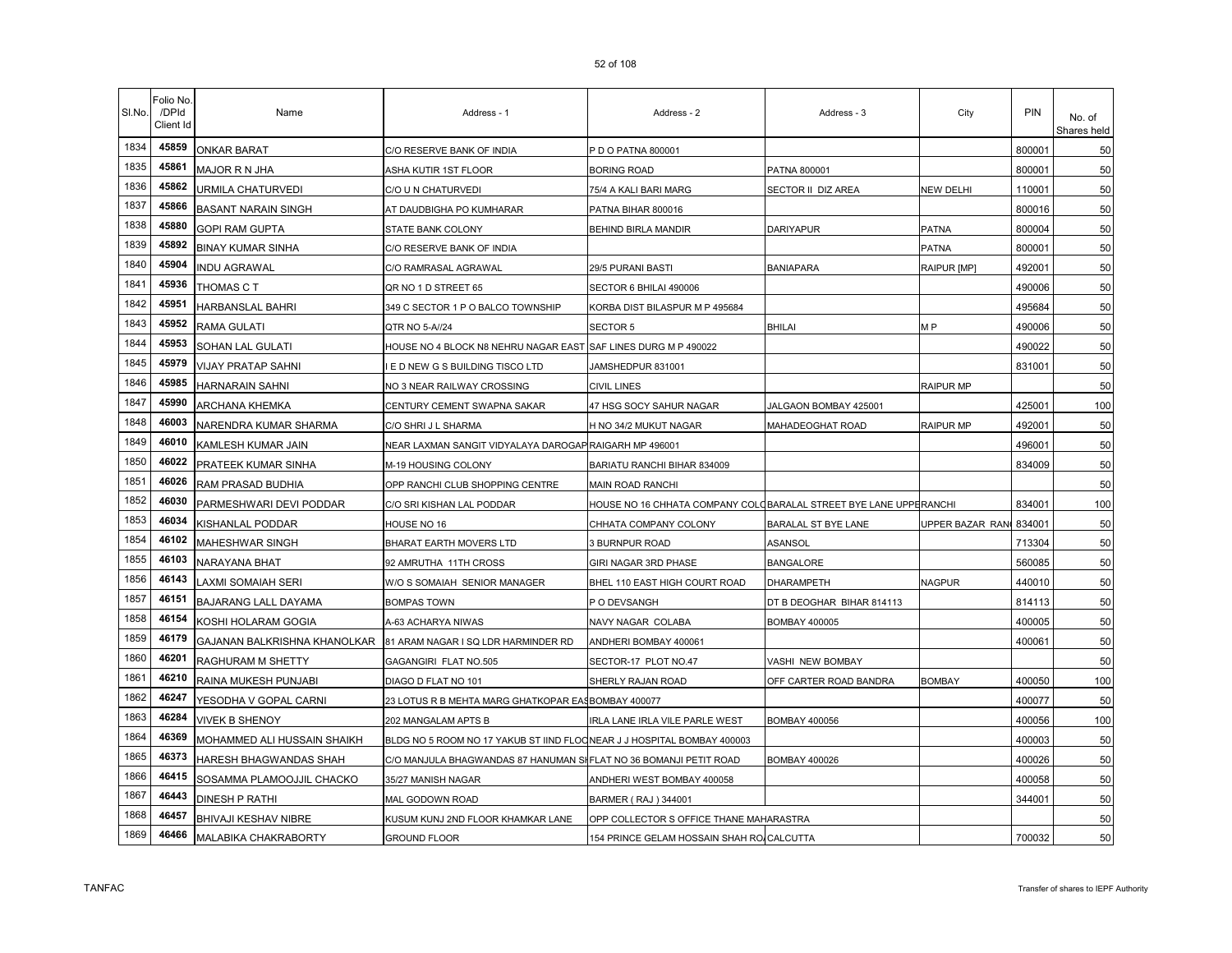| SI.No. | Folio No<br>/DPId<br>Client Id | Name                         | Address - 1                                                            | Address - 2                                                       | Address - 3               | City                    | <b>PIN</b> | No. of<br>Shares held |
|--------|--------------------------------|------------------------------|------------------------------------------------------------------------|-------------------------------------------------------------------|---------------------------|-------------------------|------------|-----------------------|
| 1834   | 45859                          | <b>ONKAR BARAT</b>           | C/O RESERVE BANK OF INDIA                                              | P D O PATNA 800001                                                |                           |                         | 800001     | 50                    |
| 1835   | 45861                          | MAJOR R N JHA                | ASHA KUTIR 1ST FLOOR                                                   | BORING ROAD                                                       | PATNA 800001              |                         | 800001     | 50                    |
| 1836   | 45862                          | URMILA CHATURVEDI            | C/O U N CHATURVEDI                                                     | 75/4 A KALI BARI MARG                                             | SECTOR II DIZ AREA        | NEW DELHI               | 110001     | 50                    |
| 1837   | 45866                          | <b>BASANT NARAIN SINGH</b>   | AT DAUDBIGHA PO KUMHARAR                                               | PATNA BIHAR 800016                                                |                           |                         | 800016     | 50                    |
| 1838   | 45880                          | <b>GOPI RAM GUPTA</b>        | STATE BANK COLONY                                                      | BEHIND BIRLA MANDIR                                               | <b>DARIYAPUR</b>          | PATNA                   | 800004     | 50                    |
| 1839   | 45892                          | <b>BINAY KUMAR SINHA</b>     | C/O RESERVE BANK OF INDIA                                              |                                                                   |                           | <b>PATNA</b>            | 800001     | 50                    |
| 1840   | 45904                          | <b>NDU AGRAWAL</b>           | C/O RAMRASAL AGRAWAL                                                   | 29/5 PURANI BASTI                                                 | <b>BANIAPARA</b>          | RAIPUR [MP]             | 492001     | 50                    |
| 1841   | 45936                          | THOMAS C T                   | QR NO 1 D STREET 65                                                    | SECTOR 6 BHILAI 490006                                            |                           |                         | 490006     | 50                    |
| 1842   | 45951                          | HARBANSLAL BAHRI             | 349 C SECTOR 1 P O BALCO TOWNSHIP                                      | KORBA DIST BILASPUR M P 495684                                    |                           |                         | 495684     | 50                    |
| 1843   | 45952                          | RAMA GULATI                  | QTR NO 5-A//24                                                         | SECTOR 5                                                          | BHILAI                    | M <sub>P</sub>          | 490006     | 50                    |
| 1844   | 45953                          | SOHAN LAL GULATI             | HOUSE NO 4 BLOCK N8 NEHRU NAGAR EAST SAF LINES DURG M P 490022         |                                                                   |                           |                         | 490022     | 50                    |
| 1845   | 45979                          | <b>VIJAY PRATAP SAHNI</b>    | I E D NEW G S BUILDING TISCO LTD                                       | JAMSHEDPUR 831001                                                 |                           |                         | 831001     | 50                    |
| 1846   | 45985                          | <b>HARNARAIN SAHNI</b>       | NO 3 NEAR RAILWAY CROSSING                                             | CIVIL LINES                                                       |                           | RAIPUR MP               |            | 50                    |
| 1847   | 45990                          | <b>ARCHANA KHEMKA</b>        | CENTURY CEMENT SWAPNA SAKAR                                            | 47 HSG SOCY SAHUR NAGAR                                           | JALGAON BOMBAY 425001     |                         | 425001     | 100                   |
| 1848   | 46003                          | NARENDRA KUMAR SHARMA        | C/O SHRI J L SHARMA                                                    | H NO 34/2 MUKUT NAGAR                                             | MAHADEOGHAT ROAD          | <b>RAIPUR MP</b>        | 492001     | 50                    |
| 1849   | 46010                          | KAMLESH KUMAR JAIN           | NEAR LAXMAN SANGIT VIDYALAYA DAROGAP RAIGARH MP 496001                 |                                                                   |                           |                         | 496001     | 50                    |
| 1850   | 46022                          | PRATEEK KUMAR SINHA          | M-19 HOUSING COLONY                                                    | BARIATU RANCHI BIHAR 834009                                       |                           |                         | 834009     | 50                    |
| 1851   | 46026                          | RAM PRASAD BUDHIA            | OPP RANCHI CLUB SHOPPING CENTRE                                        | MAIN ROAD RANCHI                                                  |                           |                         |            | 50                    |
| 1852   | 46030                          | PARMESHWARI DEVI PODDAR      | C/O SRI KISHAN LAL PODDAR                                              | HOUSE NO 16 CHHATA COMPANY COLOBARALAL STREET BYE LANE UPPERANCHI |                           |                         | 834001     | 100                   |
| 1853   | 46034                          | KISHANLAL PODDAR             | HOUSE NO 16                                                            | CHHATA COMPANY COLONY                                             | BARALAL ST BYE LANE       | UPPER BAZAR RANI 834001 |            | 50                    |
| 1854   | 46102                          | MAHESHWAR SINGH              | BHARAT EARTH MOVERS LTD                                                | 3 BURNPUR ROAD                                                    | ASANSOL                   |                         | 713304     | 50                    |
| 1855   | 46103                          | NARAYANA BHAT                | 92 AMRUTHA 11TH CROSS                                                  | GIRI NAGAR 3RD PHASE                                              | <b>BANGALORE</b>          |                         | 560085     | 50                    |
| 1856   | 46143                          | AXMI SOMAIAH SERI            | W/O S SOMAIAH SENIOR MANAGER                                           | BHEL 110 EAST HIGH COURT ROAD                                     | DHARAMPETH                | <b>NAGPUR</b>           | 440010     | 50                    |
| 1857   | 46151                          | BAJARANG LALL DAYAMA         | <b>BOMPAS TOWN</b>                                                     | P O DEVSANGH                                                      | DT B DEOGHAR BIHAR 814113 |                         | 814113     | 50                    |
| 1858   | 46154                          | KOSHI HOLARAM GOGIA          | A-63 ACHARYA NIWAS                                                     | NAVY NAGAR COLABA                                                 | BOMBAY 400005             |                         | 400005     | 50                    |
| 1859   | 46179                          | GAJANAN BALKRISHNA KHANOLKAR | 81 ARAM NAGAR I SQ LDR HARMINDER RD                                    | ANDHERI BOMBAY 400061                                             |                           |                         | 400061     | 50                    |
| 1860   | 46201                          | RAGHURAM M SHETTY            | GAGANGIRI FLAT NO.505                                                  | SECTOR-17 PLOT NO.47                                              | VASHI NEW BOMBAY          |                         |            | 50                    |
| 1861   | 46210                          | RAINA MUKESH PUNJABI         | DIAGO D FLAT NO 101                                                    | SHERLY RAJAN ROAD                                                 | OFF CARTER ROAD BANDRA    | <b>BOMBAY</b>           | 400050     | 100                   |
| 1862   | 46247                          | YESODHA V GOPAL CARNI        | 23 LOTUS R B MEHTA MARG GHATKOPAR EASBOMBAY 400077                     |                                                                   |                           |                         | 400077     | 50                    |
| 1863   | 46284                          | <b>VIVEK B SHENOY</b>        | 202 MANGALAM APTS B                                                    | IRLA LANE IRLA VILE PARLE WEST                                    | BOMBAY 400056             |                         | 400056     | 100                   |
| 1864   | 46369                          | MOHAMMED ALI HUSSAIN SHAIKH  | BLDG NO 5 ROOM NO 17 YAKUB ST IIND FLOONEAR J J HOSPITAL BOMBAY 400003 |                                                                   |                           |                         | 400003     | 50                    |
| 1865   | 46373                          | HARESH BHAGWANDAS SHAH       | C/O MANJULA BHAGWANDAS 87 HANUMAN SHFLAT NO 36 BOMANJI PETIT ROAD      |                                                                   | BOMBAY 400026             |                         | 400026     | 50                    |
| 1866   | 46415                          | SOSAMMA PLAMOOJJIL CHACKO    | 35/27 MANISH NAGAR                                                     | ANDHERI WEST BOMBAY 400058                                        |                           |                         | 400058     | 50                    |
| 1867   | 46443                          | DINESH P RATHI               | MAL GODOWN ROAD                                                        | BARMER (RAJ) 344001                                               |                           |                         | 344001     | 50                    |
| 1868   | 46457                          | BHIVAJI KESHAV NIBRE         | KUSUM KUNJ 2ND FLOOR KHAMKAR LANE                                      | OPP COLLECTOR S OFFICE THANE MAHARASTRA                           |                           |                         |            | 50                    |
| 1869   | 46466                          | MALABIKA CHAKRABORTY         | <b>GROUND FLOOR</b>                                                    | 154 PRINCE GELAM HOSSAIN SHAH RO/CALCUTTA                         |                           |                         | 700032     | 50                    |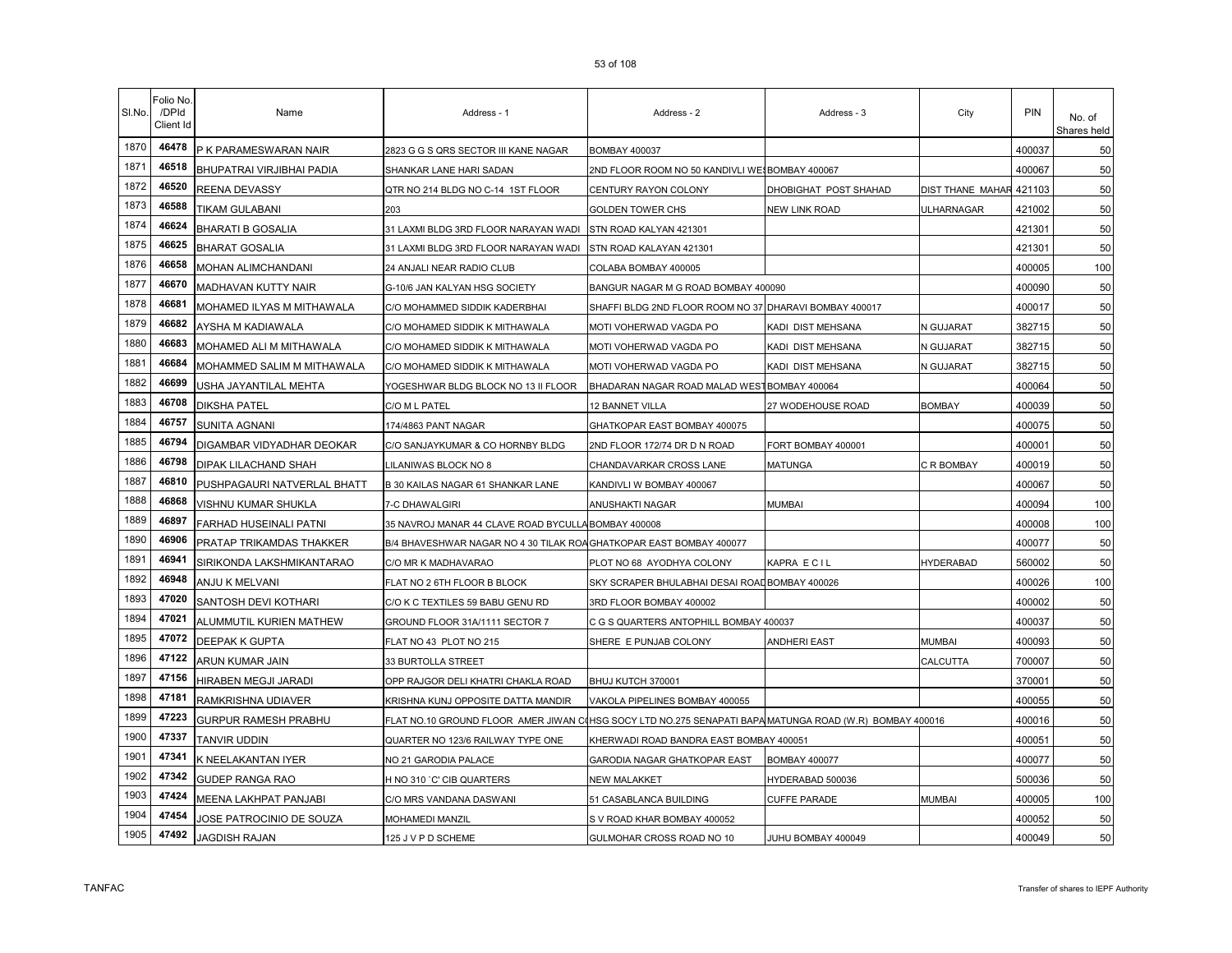| SI.No. | Folio No<br>/DPId<br>Client Id | Name                        | Address - 1                                                         | Address - 2                                                        | Address - 3           | City                    | PIN    | No. of<br>Shares held |
|--------|--------------------------------|-----------------------------|---------------------------------------------------------------------|--------------------------------------------------------------------|-----------------------|-------------------------|--------|-----------------------|
| 1870   | 46478                          | P K PARAMESWARAN NAIR       | 2823 G G S QRS SECTOR III KANE NAGAR                                | <b>BOMBAY 400037</b>                                               |                       |                         | 400037 | 50                    |
| 1871   | 46518                          | BHUPATRAI VIRJIBHAI PADIA   | SHANKAR LANE HARI SADAN                                             | 2ND FLOOR ROOM NO 50 KANDIVLI WESBOMBAY 400067                     |                       |                         | 400067 | 50                    |
| 1872   | 46520                          | REENA DEVASSY               | QTR NO 214 BLDG NO C-14 1ST FLOOR                                   | CENTURY RAYON COLONY                                               | DHOBIGHAT POST SHAHAD | DIST THANE MAHAR 421103 |        | 50                    |
| 1873   | 46588                          | TIKAM GULABANI              | 203                                                                 | <b>GOLDEN TOWER CHS</b>                                            | <b>NEW LINK ROAD</b>  | ULHARNAGAR              | 421002 | 50                    |
| 1874   | 46624                          | <b>BHARATI B GOSALIA</b>    | 31 LAXMI BLDG 3RD FLOOR NARAYAN WADI                                | STN ROAD KALYAN 421301                                             |                       |                         | 421301 | 50                    |
| 1875   | 46625                          | <b>BHARAT GOSALIA</b>       | 31 LAXMI BLDG 3RD FLOOR NARAYAN WADI                                | STN ROAD KALAYAN 421301                                            |                       |                         | 421301 | 50                    |
| 1876   | 46658                          | MOHAN ALIMCHANDANI          | 24 ANJALI NEAR RADIO CLUB                                           | COLABA BOMBAY 400005                                               |                       |                         | 400005 | 100                   |
| 1877   | 46670                          | MADHAVAN KUTTY NAIR         | G-10/6 JAN KALYAN HSG SOCIETY                                       | BANGUR NAGAR M G ROAD BOMBAY 400090                                |                       |                         | 400090 | 50                    |
| 1878   | 46681                          | MOHAMED ILYAS M MITHAWALA   | C/O MOHAMMED SIDDIK KADERBHAI                                       | SHAFFI BLDG 2ND FLOOR ROOM NO 37 DHARAVI BOMBAY 400017             |                       |                         | 400017 | 50                    |
| 1879   | 46682                          | AYSHA M KADIAWALA           | C/O MOHAMED SIDDIK K MITHAWALA                                      | MOTI VOHERWAD VAGDA PO                                             | KADI DIST MEHSANA     | N GUJARAT               | 382715 | 50                    |
| 1880   | 46683                          | MOHAMED ALI M MITHAWALA     | C/O MOHAMED SIDDIK K MITHAWALA                                      | MOTI VOHERWAD VAGDA PO                                             | KADI DIST MEHSANA     | N GUJARAT               | 382715 | 50                    |
| 1881   | 46684                          | MOHAMMED SALIM M MITHAWALA  | C/O MOHAMED SIDDIK K MITHAWALA                                      | MOTI VOHERWAD VAGDA PO                                             | KADI DIST MEHSANA     | N GUJARAT               | 382715 | 50                    |
| 1882   | 46699                          | USHA JAYANTILAL MEHTA       | YOGESHWAR BLDG BLOCK NO 13 II FLOOR                                 | BHADARAN NAGAR ROAD MALAD WESTBOMBAY 400064                        |                       |                         | 400064 | 50                    |
| 1883   | 46708                          | <b>DIKSHA PATEL</b>         | C/O M L PATEL                                                       | 12 BANNET VILLA                                                    | 27 WODEHOUSE ROAD     | <b>BOMBAY</b>           | 400039 | 50                    |
| 1884   | 46757                          | SUNITA AGNANI               | 174/4863 PANT NAGAR                                                 | GHATKOPAR EAST BOMBAY 400075                                       |                       |                         | 400075 | 50                    |
| 1885   | 46794                          | DIGAMBAR VIDYADHAR DEOKAR   | C/O SANJAYKUMAR & CO HORNBY BLDG                                    | 2ND FLOOR 172/74 DR D N ROAD                                       | FORT BOMBAY 400001    |                         | 400001 | 50                    |
| 1886   | 46798                          | DIPAK LILACHAND SHAH        | ILANIWAS BLOCK NO 8.                                                | CHANDAVARKAR CROSS LANE                                            | MATUNGA               | C R BOMBAY              | 400019 | 50                    |
| 1887   | 46810                          | PUSHPAGAURI NATVERLAL BHATT | B 30 KAILAS NAGAR 61 SHANKAR LANE                                   | KANDIVLI W BOMBAY 400067                                           |                       |                         | 400067 | 50                    |
| 1888   | 46868                          | VISHNU KUMAR SHUKLA         | 7-C DHAWALGIRI                                                      | ANUSHAKTI NAGAR                                                    | MUMBAI                |                         | 400094 | 100                   |
| 1889   | 46897                          | FARHAD HUSEINALI PATNI      | 35 NAVROJ MANAR 44 CLAVE ROAD BYCULLA BOMBAY 400008                 |                                                                    |                       |                         | 400008 | 100                   |
| 1890   | 46906                          | PRATAP TRIKAMDAS THAKKER    | B/4 BHAVESHWAR NAGAR NO 4 30 TILAK ROA GHATKOPAR EAST BOMBAY 400077 |                                                                    |                       |                         | 400077 | 50                    |
| 1891   | 46941                          | SIRIKONDA LAKSHMIKANTARAO   | C/O MR K MADHAVARAO                                                 | PLOT NO 68 AYODHYA COLONY                                          | KAPRA ECIL            | <b>HYDERABAD</b>        | 560002 | 50                    |
| 1892   | 46948                          | ANJU K MELVANI              | FLAT NO 2 6TH FLOOR B BLOCK                                         | SKY SCRAPER BHULABHAI DESAI ROAD BOMBAY 400026                     |                       |                         | 400026 | 100                   |
| 1893   | 47020                          | SANTOSH DEVI KOTHARI        | C/O K C TEXTILES 59 BABU GENU RD                                    | 3RD FLOOR BOMBAY 400002                                            |                       |                         | 400002 | 50                    |
| 1894   | 47021                          | ALUMMUTIL KURIEN MATHEW     | GROUND FLOOR 31A/1111 SECTOR 7                                      | C G S QUARTERS ANTOPHILL BOMBAY 400037                             |                       |                         | 400037 | 50                    |
| 1895   | 47072                          | DEEPAK K GUPTA              | FLAT NO 43 PLOT NO 215                                              | SHERE E PUNJAB COLONY                                              | ANDHERI EAST          | <b>MUMBAI</b>           | 400093 | 50                    |
| 1896   | 47122                          | ARUN KUMAR JAIN             | 33 BURTOLLA STREET                                                  |                                                                    |                       | CALCUTTA                | 700007 | 50                    |
| 1897   | 47156                          | HIRABEN MEGJI JARADI        | OPP RAJGOR DELI KHATRI CHAKLA ROAD                                  | BHUJ KUTCH 370001                                                  |                       |                         | 370001 | 50                    |
| 1898   | 47181                          | RAMKRISHNA UDIAVER          | KRISHNA KUNJ OPPOSITE DATTA MANDIR                                  | VAKOLA PIPELINES BOMBAY 400055                                     |                       |                         | 400055 | 50                    |
| 1899   | 47223                          | <b>GURPUR RAMESH PRABHU</b> | FLAT NO.10 GROUND FLOOR AMER JIWAN CO                               | HSG SOCY LTD NO.275 SENAPATI BAPA MATUNGA ROAD (W.R) BOMBAY 400016 |                       |                         | 400016 | 50                    |
| 1900   | 47337                          | TANVIR UDDIN                | QUARTER NO 123/6 RAILWAY TYPE ONE                                   | KHERWADI ROAD BANDRA EAST BOMBAY 400051                            |                       |                         | 400051 | 50                    |
| 1901   | 47341                          | K NEELAKANTAN IYER          | NO 21 GARODIA PALACE                                                | GARODIA NAGAR GHATKOPAR EAST                                       | BOMBAY 400077         |                         | 400077 | 50                    |
| 1902   | 47342                          | <b>GUDEP RANGA RAO</b>      | H NO 310 `C' CIB QUARTERS                                           | NEW MALAKKET                                                       | HYDERABAD 500036      |                         | 500036 | 50                    |
| 1903   | 47424                          | MEENA LAKHPAT PANJABI       | C/O MRS VANDANA DASWANI                                             | 51 CASABLANCA BUILDING                                             | <b>CUFFE PARADE</b>   | MUMBAI                  | 400005 | 100                   |
| 1904   | 47454                          | JOSE PATROCINIO DE SOUZA    | MOHAMEDI MANZIL                                                     | S V ROAD KHAR BOMBAY 400052                                        |                       |                         | 400052 | 50                    |
| 1905   | 47492                          | <b>JAGDISH RAJAN</b>        | 125 J V P D SCHEME                                                  | GULMOHAR CROSS ROAD NO 10                                          | JUHU BOMBAY 400049    |                         | 400049 | 50                    |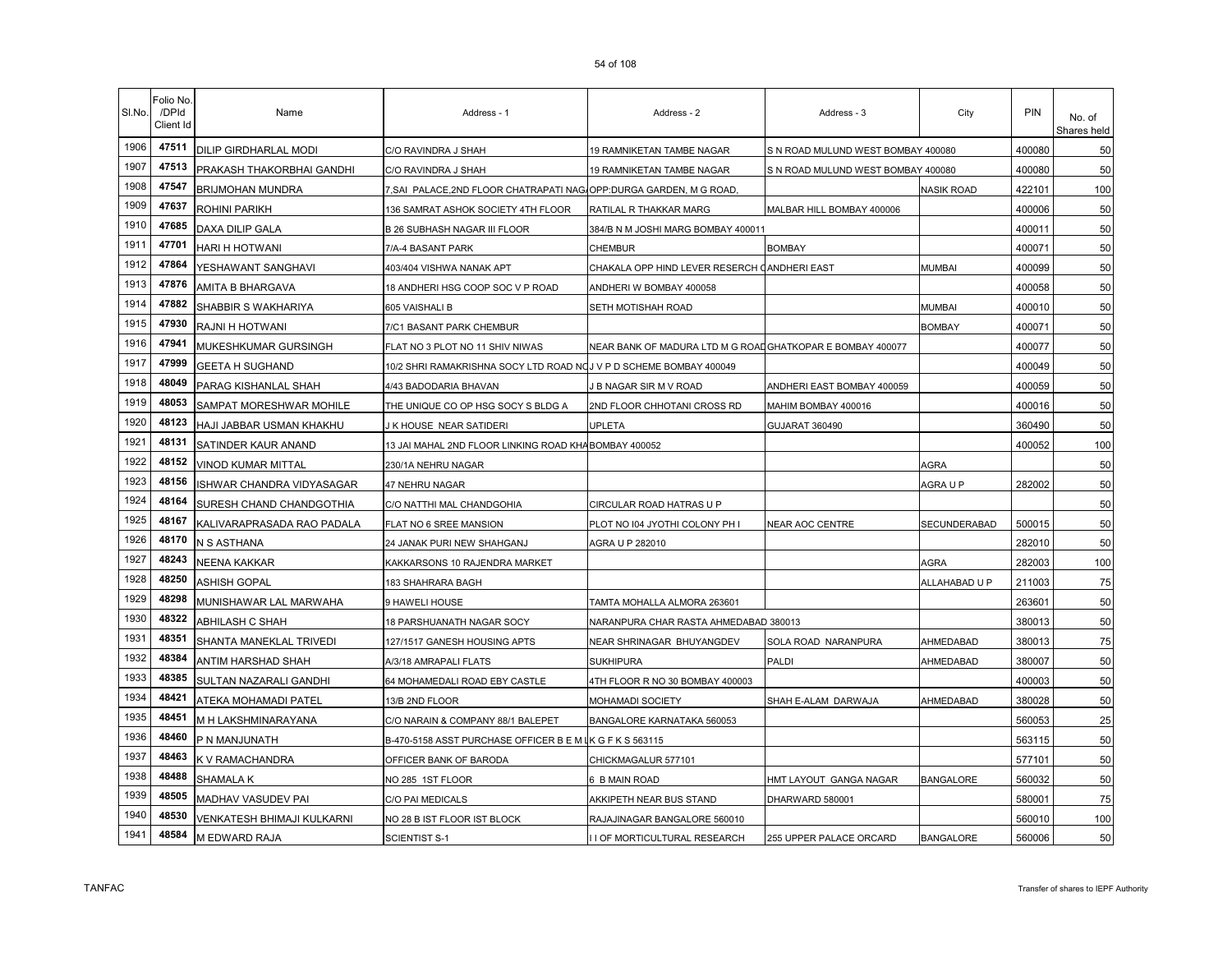| SI.No. | Folio No<br>/DPId<br>Client Id | Name                         | Address - 1                                                        | Address - 2                                               | Address - 3                        | City              | PIN    | No. of<br>Shares held |
|--------|--------------------------------|------------------------------|--------------------------------------------------------------------|-----------------------------------------------------------|------------------------------------|-------------------|--------|-----------------------|
| 1906   | 47511                          | <b>DILIP GIRDHARLAL MODI</b> | C/O RAVINDRA J SHAH                                                | 19 RAMNIKETAN TAMBE NAGAR                                 | S N ROAD MULUND WEST BOMBAY 400080 |                   | 400080 | 50                    |
| 1907   | 47513                          | PRAKASH THAKORBHAI GANDHI    | C/O RAVINDRA J SHAH                                                | 19 RAMNIKETAN TAMBE NAGAR                                 | S N ROAD MULUND WEST BOMBAY 400080 |                   | 400080 | 50                    |
| 1908   | 47547                          | <b>BRIJMOHAN MUNDRA</b>      | 7,SAI PALACE,2ND FLOOR CHATRAPATI NAG OPP:DURGA GARDEN, M G ROAD,  |                                                           |                                    | <b>NASIK ROAD</b> | 422101 | 100                   |
| 1909   | 47637                          | <b>ROHINI PARIKH</b>         | 136 SAMRAT ASHOK SOCIETY 4TH FLOOR                                 | RATILAL R THAKKAR MARG                                    | MALBAR HILL BOMBAY 400006          |                   | 400006 | 50                    |
| 1910   | 47685                          | DAXA DILIP GALA              | B 26 SUBHASH NAGAR III FLOOR                                       | 384/B N M JOSHI MARG BOMBAY 400011                        |                                    |                   | 400011 | 50                    |
| 1911   | 47701                          | HARI H HOTWANI               | 7/A-4 BASANT PARK                                                  | CHEMBUR                                                   | <b>BOMBAY</b>                      |                   | 400071 | 50                    |
| 1912   | 47864                          | YESHAWANT SANGHAVI           | 403/404 VISHWA NANAK APT                                           | CHAKALA OPP HIND LEVER RESERCH CANDHERI EAST              |                                    | <b>MUMBAI</b>     | 400099 | 50                    |
| 1913   | 47876                          | AMITA B BHARGAVA             | 18 ANDHERI HSG COOP SOC V P ROAD                                   | ANDHERI W BOMBAY 400058                                   |                                    |                   | 400058 | 50                    |
| 1914   | 47882                          | SHABBIR S WAKHARIYA          | 605 VAISHALI B                                                     | SETH MOTISHAH ROAD                                        |                                    | <b>MUMBAI</b>     | 400010 | 50                    |
| 1915   | 47930                          | RAJNI H HOTWANI              | 7/C1 BASANT PARK CHEMBUR                                           |                                                           |                                    | <b>BOMBAY</b>     | 400071 | 50                    |
| 1916   | 47941                          | MUKESHKUMAR GURSINGH         | FLAT NO 3 PLOT NO 11 SHIV NIWAS                                    | NEAR BANK OF MADURA LTD M G ROADGHATKOPAR E BOMBAY 400077 |                                    |                   | 400077 | 50                    |
| 1917   | 47999                          | <b>GEETA H SUGHAND</b>       | 10/2 SHRI RAMAKRISHNA SOCY LTD ROAD NOJ V P D SCHEME BOMBAY 400049 |                                                           |                                    |                   | 400049 | 50                    |
| 1918   | 48049                          | PARAG KISHANLAL SHAH         | 4/43 BADODARIA BHAVAN                                              | I B NAGAR SIR M V ROAD                                    | ANDHERI EAST BOMBAY 400059         |                   | 400059 | 50                    |
| 1919   | 48053                          | SAMPAT MORESHWAR MOHILE      | THE UNIQUE CO OP HSG SOCY S BLDG A                                 | 2ND FLOOR CHHOTANI CROSS RD                               | MAHIM BOMBAY 400016                |                   | 400016 | 50                    |
| 1920   | 48123                          | HAJI JABBAR USMAN KHAKHU     | J K HOUSE NEAR SATIDERI                                            | <b>UPLETA</b>                                             | GUJARAT 360490                     |                   | 360490 | 50                    |
| 1921   | 48131                          | SATINDER KAUR ANAND          | 13 JAI MAHAL 2ND FLOOR LINKING ROAD KHA                            | <b>BOMBAY 400052</b>                                      |                                    |                   | 400052 | 100                   |
| 1922   | 48152                          | VINOD KUMAR MITTAL           | 230/1A NEHRU NAGAR                                                 |                                                           |                                    | AGRA              |        | 50                    |
| 1923   | 48156                          | ISHWAR CHANDRA VIDYASAGAR    | 47 NEHRU NAGAR                                                     |                                                           |                                    | AGRA U P          | 282002 | 50                    |
| 1924   | 48164                          | SURESH CHAND CHANDGOTHIA     | C/O NATTHI MAL CHANDGOHIA                                          | CIRCULAR ROAD HATRAS U P                                  |                                    |                   |        | 50                    |
| 1925   | 48167                          | KALIVARAPRASADA RAO PADALA   | FLAT NO 6 SREE MANSION                                             | PLOT NO 104 JYOTHI COLONY PH I                            | <b>NEAR AOC CENTRE</b>             | SECUNDERABAD      | 500015 | 50                    |
| 1926   | 48170                          | N S ASTHANA                  | 24 JANAK PURI NEW SHAHGANJ                                         | AGRA U P 282010                                           |                                    |                   | 282010 | 50                    |
| 1927   | 48243                          | <b>NEENA KAKKAR</b>          | KAKKARSONS 10 RAJENDRA MARKET                                      |                                                           |                                    | <b>AGRA</b>       | 282003 | 100                   |
| 1928   | 48250                          | ASHISH GOPAL                 | 183 SHAHRARA BAGH                                                  |                                                           |                                    | ALLAHABAD U P     | 211003 | 75                    |
| 1929   | 48298                          | MUNISHAWAR LAL MARWAHA       | 9 HAWELI HOUSE                                                     | TAMTA MOHALLA ALMORA 263601                               |                                    |                   | 263601 | 50                    |
| 1930   | 48322                          | ABHILASH C SHAH              | 18 PARSHUANATH NAGAR SOCY                                          | NARANPURA CHAR RASTA AHMEDABAD 380013                     |                                    |                   | 380013 | 50                    |
| 1931   | 48351                          | SHANTA MANEKLAL TRIVEDI      | 127/1517 GANESH HOUSING APTS                                       | NEAR SHRINAGAR BHUYANGDEV                                 | SOLA ROAD NARANPURA                | AHMEDABAD         | 380013 | 75                    |
| 1932   | 48384                          | ANTIM HARSHAD SHAH           | A/3/18 AMRAPALI FLATS                                              | <b>SUKHIPURA</b>                                          | PALDI                              | AHMEDABAD         | 380007 | 50                    |
| 1933   | 48385                          | SULTAN NAZARALI GANDHI       | 64 MOHAMEDALI ROAD EBY CASTLE                                      | 4TH FLOOR R NO 30 BOMBAY 400003                           |                                    |                   | 400003 | 50                    |
| 1934   | 48421                          | ATEKA MOHAMADI PATEL         | 13/B 2ND FLOOR                                                     | MOHAMADI SOCIETY                                          | SHAH E-ALAM DARWAJA                | AHMEDABAD         | 380028 | 50                    |
| 1935   | 48451                          | M H LAKSHMINARAYANA          | C/O NARAIN & COMPANY 88/1 BALEPET                                  | BANGALORE KARNATAKA 560053                                |                                    |                   | 560053 | 25                    |
| 1936   | 48460                          | P N MANJUNATH                | B-470-5158 ASST PURCHASE OFFICER B E M I                           | K G F K S 563115                                          |                                    |                   | 563115 | 50                    |
| 1937   | 48463                          | K V RAMACHANDRA              | OFFICER BANK OF BARODA                                             | CHICKMAGALUR 577101                                       |                                    |                   | 577101 | 50                    |
| 1938   | 48488                          | SHAMALA K                    | NO 285 1ST FLOOR                                                   | 6 B MAIN ROAD                                             | HMT LAYOUT GANGA NAGAR             | <b>BANGALORE</b>  | 560032 | 50                    |
| 1939   | 48505                          | MADHAV VASUDEV PAI           | C/O PAI MEDICALS                                                   | AKKIPETH NEAR BUS STAND                                   | DHARWARD 580001                    |                   | 580001 | 75                    |
| 1940   | 48530                          | VENKATESH BHIMAJI KULKARNI   | NO 28 B IST FLOOR IST BLOCK                                        | RAJAJINAGAR BANGALORE 560010                              |                                    |                   | 560010 | 100                   |
| 1941   | 48584                          | M EDWARD RAJA                | SCIENTIST S-1                                                      | I I OF MORTICULTURAL RESEARCH                             | 255 UPPER PALACE ORCARD            | <b>BANGALORE</b>  | 560006 | 50                    |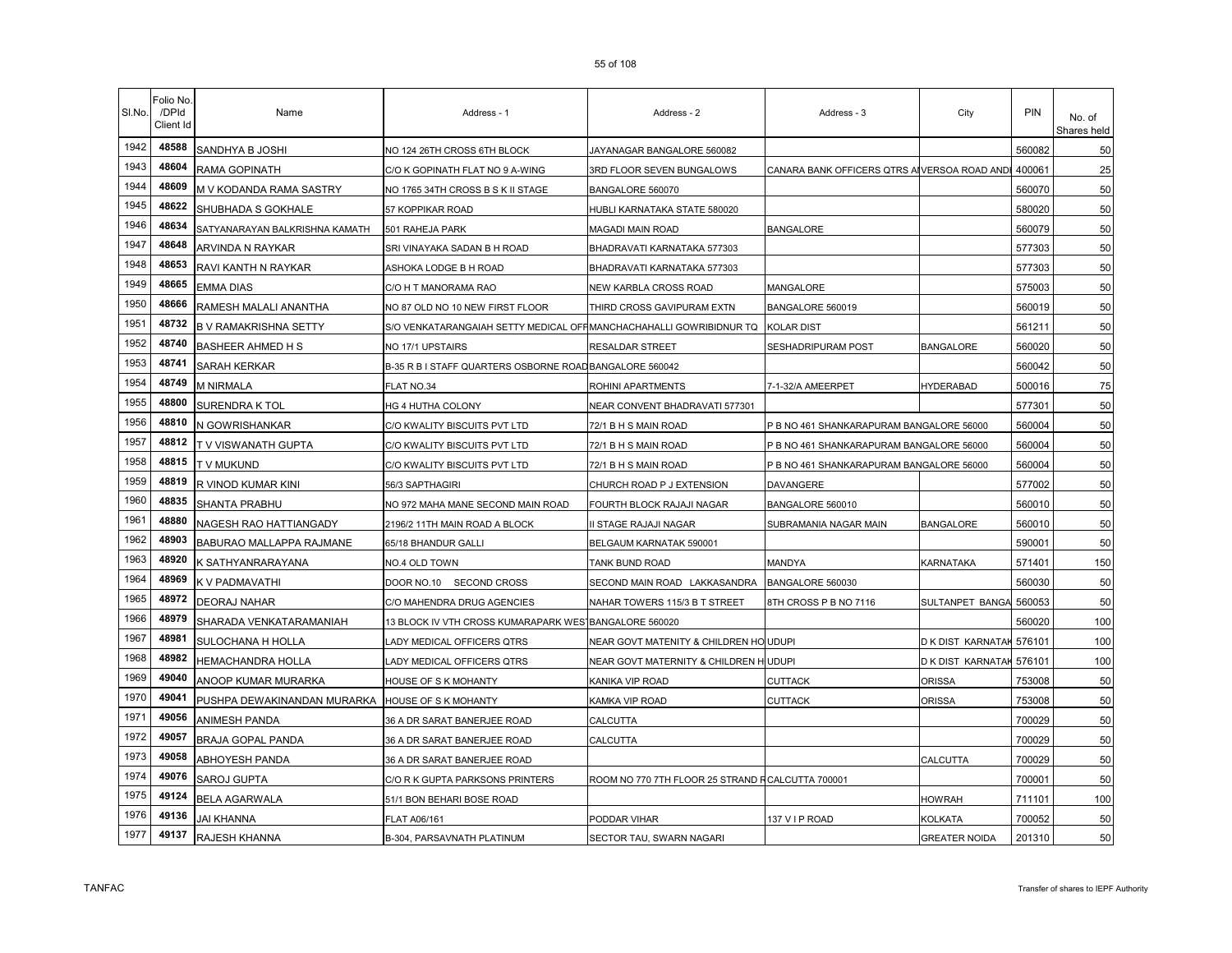| SI.No. | Folio No<br>/DPId<br>Client Id | Name                           | Address - 1                                                         | Address - 2                                      | Address - 3                                  | City                     | <b>PIN</b> | No. of<br>Shares held |
|--------|--------------------------------|--------------------------------|---------------------------------------------------------------------|--------------------------------------------------|----------------------------------------------|--------------------------|------------|-----------------------|
| 1942   | 48588                          | SANDHYA B JOSHI                | NO 124 26TH CROSS 6TH BLOCK                                         | JAYANAGAR BANGALORE 560082                       |                                              |                          | 560082     | 50                    |
| 1943   | 48604                          | RAMA GOPINATH                  | C/O K GOPINATH FLAT NO 9 A-WING                                     | 3RD FLOOR SEVEN BUNGALOWS                        | CANARA BANK OFFICERS QTRS AIVERSOA ROAD ANDI |                          | 400061     | 25                    |
| 1944   | 48609                          | M V KODANDA RAMA SASTRY        | NO 1765 34TH CROSS B S K II STAGE                                   | BANGALORE 560070                                 |                                              |                          | 560070     | 50                    |
| 1945   | 48622                          | SHUBHADA S GOKHALE             | 57 KOPPIKAR ROAD                                                    | HUBLI KARNATAKA STATE 580020                     |                                              |                          | 580020     | 50                    |
| 1946   | 48634                          | SATYANARAYAN BALKRISHNA KAMATH | 501 RAHEJA PARK                                                     | MAGADI MAIN ROAD                                 | BANGALORE                                    |                          | 560079     | 50                    |
| 1947   | 48648                          | ARVINDA N RAYKAR               | SRI VINAYAKA SADAN B H ROAD                                         | BHADRAVATI KARNATAKA 577303                      |                                              |                          | 577303     | 50                    |
| 1948   | 48653                          | RAVI KANTH N RAYKAR            | ASHOKA LODGE B H ROAD                                               | BHADRAVATI KARNATAKA 577303                      |                                              |                          | 577303     | 50                    |
| 1949   | 48665                          | EMMA DIAS                      | C/O H T MANORAMA RAO                                                | NEW KARBLA CROSS ROAD                            | MANGALORE                                    |                          | 575003     | 50                    |
| 1950   | 48666                          | RAMESH MALALI ANANTHA          | NO 87 OLD NO 10 NEW FIRST FLOOR                                     | THIRD CROSS GAVIPURAM EXTN                       | BANGALORE 560019                             |                          | 560019     | 50                    |
| 1951   | 48732                          | <b>B V RAMAKRISHNA SETTY</b>   | S/O VENKATARANGAIAH SETTY MEDICAL OFFIMANCHACHAHALLI GOWRIBIDNUR TQ |                                                  | KOLAR DIST                                   |                          | 561211     | 50                    |
| 1952   | 48740                          | BASHEER AHMED H S              | NO 17/1 UPSTAIRS                                                    | RESALDAR STREET                                  | SESHADRIPURAM POST                           | <b>BANGALORE</b>         | 560020     | 50                    |
| 1953   | 48741                          | <b>SARAH KERKAR</b>            | B-35 R B I STAFF QUARTERS OSBORNE ROAD BANGALORE 560042             |                                                  |                                              |                          | 560042     | 50                    |
| 1954   | 48749                          | <b>M NIRMALA</b>               | FLAT NO.34                                                          | ROHINI APARTMENTS                                | 7-1-32/A AMEERPET                            | <b>HYDERABAD</b>         | 500016     | 75                    |
| 1955   | 48800                          | <b>SURENDRA K TOL</b>          | HG 4 HUTHA COLONY                                                   | NEAR CONVENT BHADRAVATI 577301                   |                                              |                          | 577301     | 50                    |
| 1956   | 48810                          | N GOWRISHANKAR                 | C/O KWALITY BISCUITS PVT LTD                                        | 72/1 B H S MAIN ROAD                             | P B NO 461 SHANKARAPURAM BANGALORE 56000     |                          | 560004     | 50                    |
| 1957   | 48812                          | T V VISWANATH GUPTA            | C/O KWALITY BISCUITS PVT LTD                                        | 72/1 B H S MAIN ROAD                             | B NO 461 SHANKARAPURAM BANGALORE 56000       |                          | 560004     | 50                    |
| 1958   | 48815                          | T V MUKUND                     | C/O KWALITY BISCUITS PVT LTD                                        | 72/1 B H S MAIN ROAD                             | B NO 461 SHANKARAPURAM BANGALORE 56000       |                          | 560004     | 50                    |
| 1959   | 48819                          | R VINOD KUMAR KINI             | 56/3 SAPTHAGIRI                                                     | CHURCH ROAD P J EXTENSION                        | DAVANGERE                                    |                          | 577002     | 50                    |
| 1960   | 48835                          | SHANTA PRABHU                  | NO 972 MAHA MANE SECOND MAIN ROAD                                   | FOURTH BLOCK RAJAJI NAGAR                        | BANGALORE 560010                             |                          | 560010     | 50                    |
| 1961   | 48880                          | NAGESH RAO HATTIANGADY         | 2196/2 11TH MAIN ROAD A BLOCK                                       | II STAGE RAJAJI NAGAR                            | SUBRAMANIA NAGAR MAIN                        | <b>BANGALORE</b>         | 560010     | 50                    |
| 1962   | 48903                          | BABURAO MALLAPPA RAJMANE       | 65/18 BHANDUR GALLI                                                 | BELGAUM KARNATAK 590001                          |                                              |                          | 590001     | 50                    |
| 1963   | 48920                          | K SATHYANRARAYANA              | NO.4 OLD TOWN                                                       | TANK BUND ROAD                                   | MANDYA                                       | KARNATAKA                | 571401     | 150                   |
| 1964   | 48969                          | K V PADMAVATHI                 | DOOR NO.10 SECOND CROSS                                             | SECOND MAIN ROAD LAKKASANDRA                     | BANGALORE 560030                             |                          | 560030     | 50                    |
| 1965   | 48972                          | <b>DEORAJ NAHAR</b>            | C/O MAHENDRA DRUG AGENCIES                                          | NAHAR TOWERS 115/3 B T STREET                    | 8TH CROSS P B NO 7116                        | SULTANPET BANGA          | 560053     | 50                    |
| 1966   | 48979                          | SHARADA VENKATARAMANIAH        | 13 BLOCK IV VTH CROSS KUMARAPARK WES BANGALORE 560020               |                                                  |                                              |                          | 560020     | 100                   |
| 1967   | 48981                          | SULOCHANA H HOLLA              | LADY MEDICAL OFFICERS QTRS                                          | NEAR GOVT MATENITY & CHILDREN HO UDUPI           |                                              | D K DIST KARNATAH 576101 |            | 100                   |
| 1968   | 48982                          | HEMACHANDRA HOLLA              | LADY MEDICAL OFFICERS QTRS                                          | NEAR GOVT MATERNITY & CHILDREN H UDUPI           |                                              | D K DIST KARNATAK        | 576101     | 100                   |
| 1969   | 49040                          | ANOOP KUMAR MURARKA            | HOUSE OF S K MOHANTY                                                | KANIKA VIP ROAD                                  | CUTTACK                                      | <b>ORISSA</b>            | 753008     | 50                    |
| 1970   | 49041                          | PUSHPA DEWAKINANDAN MURARKA    | HOUSE OF S K MOHANTY                                                | KAMKA VIP ROAD                                   | CUTTACK                                      | <b>ORISSA</b>            | 753008     | 50                    |
| 1971   | 49056                          | <b>ANIMESH PANDA</b>           | 36 A DR SARAT BANERJEE ROAD                                         | CALCUTTA                                         |                                              |                          | 700029     | 50                    |
| 1972   | 49057                          | BRAJA GOPAL PANDA              | 36 A DR SARAT BANERJEE ROAD                                         | CALCUTTA                                         |                                              |                          | 700029     | 50                    |
| 1973   | 49058                          | ABHOYESH PANDA                 | 36 A DR SARAT BANERJEE ROAD                                         |                                                  |                                              | CALCUTTA                 | 700029     | 50                    |
| 1974   | 49076                          | SAROJ GUPTA                    | C/O R K GUPTA PARKSONS PRINTERS                                     | ROOM NO 770 7TH FLOOR 25 STRAND RCALCUTTA 700001 |                                              |                          | 700001     | 50                    |
| 1975   | 49124                          | <b>BELA AGARWALA</b>           | 51/1 BON BEHARI BOSE ROAD                                           |                                                  |                                              | <b>HOWRAH</b>            | 711101     | 100                   |
| 1976   | 49136                          | JAI KHANNA                     | FLAT A06/161                                                        | PODDAR VIHAR                                     | 137 V I P ROAD                               | KOLKATA                  | 700052     | 50                    |
| 1977   | 49137                          | RAJESH KHANNA                  | B-304, PARSAVNATH PLATINUM                                          | SECTOR TAU, SWARN NAGARI                         |                                              | <b>GREATER NOIDA</b>     | 201310     | 50                    |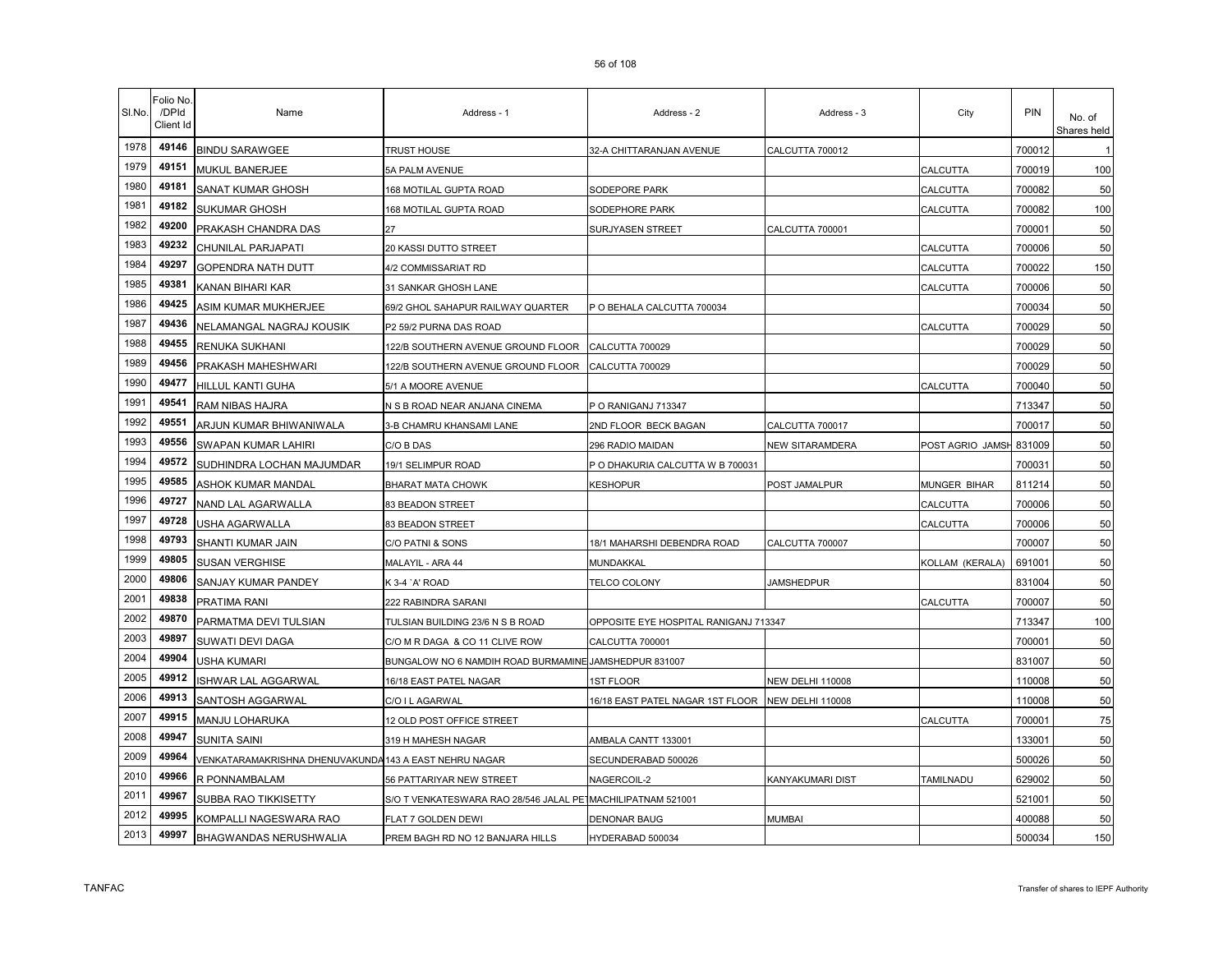| SI.No. | Folio No<br>/DPId<br>Client Id | Name                                                   | Address - 1                                           | Address - 2                           | Address - 3             | City             | PIN    | No. of<br>Shares held |
|--------|--------------------------------|--------------------------------------------------------|-------------------------------------------------------|---------------------------------------|-------------------------|------------------|--------|-----------------------|
| 1978   | 49146                          | <b>BINDU SARAWGEE</b>                                  | TRUST HOUSE                                           | 32-A CHITTARANJAN AVENUE              | CALCUTTA 700012         |                  | 700012 |                       |
| 1979   | 49151                          | MUKUL BANERJEE                                         | 5A PALM AVENUE                                        |                                       |                         | CALCUTTA         | 700019 | 100                   |
| 1980   | 49181                          | SANAT KUMAR GHOSH                                      | 168 MOTILAL GUPTA ROAD                                | SODEPORE PARK                         |                         | CALCUTTA         | 700082 | 50                    |
| 1981   | 49182                          | <b>SUKUMAR GHOSH</b>                                   | 168 MOTILAL GUPTA ROAD                                | SODEPHORE PARK                        |                         | CALCUTTA         | 700082 | 100                   |
| 1982   | 49200                          | PRAKASH CHANDRA DAS                                    | 27                                                    | SURJYASEN STREET                      | CALCUTTA 700001         |                  | 700001 | 50                    |
| 1983   | 49232                          | CHUNILAL PARJAPATI                                     | 20 KASSI DUTTO STREET                                 |                                       |                         | CALCUTTA         | 700006 | 50                    |
| 1984   | 49297                          | GOPENDRA NATH DUTT                                     | 4/2 COMMISSARIAT RD                                   |                                       |                         | CALCUTTA         | 700022 | 150                   |
| 1985   | 49381                          | KANAN BIHARI KAR                                       | 31 SANKAR GHOSH LANE                                  |                                       |                         | CALCUTTA         | 700006 | 50                    |
| 1986   | 49425                          | ASIM KUMAR MUKHERJEE                                   | 69/2 GHOL SAHAPUR RAILWAY QUARTER                     | P O BEHALA CALCUTTA 700034            |                         |                  | 700034 | 50                    |
| 1987   | 49436                          | NELAMANGAL NAGRAJ KOUSIK                               | P2 59/2 PURNA DAS ROAD                                |                                       |                         | CALCUTTA         | 700029 | 50                    |
| 1988   | 49455                          | RENUKA SUKHANI                                         | 122/B SOUTHERN AVENUE GROUND FLOOR                    | CALCUTTA 700029                       |                         |                  | 700029 | 50                    |
| 1989   | 49456                          | PRAKASH MAHESHWARI                                     | 122/B SOUTHERN AVENUE GROUND FLOOR                    | CALCUTTA 700029                       |                         |                  | 700029 | 50                    |
| 1990   | 49477                          | HILLUL KANTI GUHA                                      | 5/1 A MOORE AVENUE                                    |                                       |                         | CALCUTTA         | 700040 | 50                    |
| 1991   | 49541                          | <b>RAM NIBAS HAJRA</b>                                 | N S B ROAD NEAR ANJANA CINEMA                         | PO RANIGANJ 713347                    |                         |                  | 713347 | 50                    |
| 1992   | 49551                          | ARJUN KUMAR BHIWANIWALA                                | 3-B CHAMRU KHANSAMI LANE                              | 2ND FLOOR BECK BAGAN                  | CALCUTTA 700017         |                  | 700017 | 50                    |
| 1993   | 49556                          | SWAPAN KUMAR LAHIRI                                    | C/O B DAS                                             | 296 RADIO MAIDAN                      | NEW SITARAMDERA         | POST AGRIO JAMSH | 831009 | 50                    |
| 1994   | 49572                          | SUDHINDRA LOCHAN MAJUMDAR                              | 19/1 SELIMPUR ROAD                                    | P O DHAKURIA CALCUTTA W B 700031      |                         |                  | 700031 | 50                    |
| 1995   | 49585                          | ASHOK KUMAR MANDAL                                     | BHARAT MATA CHOWK                                     | <b><eshopur< b=""></eshopur<></b>     | POST JAMALPUR           | MUNGER BIHAR     | 811214 | 50                    |
| 1996   | 49727                          | NAND LAL AGARWALLA                                     | 83 BEADON STREET                                      |                                       |                         | CALCUTTA         | 700006 | 50                    |
| 1997   | 49728                          | USHA AGARWALLA                                         | 83 BEADON STREET                                      |                                       |                         | CALCUTTA         | 700006 | 50                    |
| 1998   | 49793                          | SHANTI KUMAR JAIN                                      | C/O PATNI & SONS                                      | 18/1 MAHARSHI DEBENDRA ROAD           | CALCUTTA 700007         |                  | 700007 | 50                    |
| 1999   | 49805                          | <b>SUSAN VERGHISE</b>                                  | MALAYIL - ARA 44                                      | MUNDAKKAL                             |                         | KOLLAM (KERALA)  | 691001 | 50                    |
| 2000   | 49806                          | SANJAY KUMAR PANDEY                                    | K 3-4 `A' ROAD                                        | <b>TELCO COLONY</b>                   | JAMSHEDPUR              |                  | 831004 | 50                    |
| 2001   | 49838                          | PRATIMA RANI                                           | 222 RABINDRA SARANI                                   |                                       |                         | CALCUTTA         | 700007 | 50                    |
| 2002   | 49870                          | PARMATMA DEVI TULSIAN                                  | TULSIAN BUILDING 23/6 N S B ROAD                      | OPPOSITE EYE HOSPITAL RANIGANJ 713347 |                         |                  | 713347 | 100                   |
| 2003   | 49897                          | SUWATI DEVI DAGA                                       | C/O M R DAGA & CO 11 CLIVE ROW                        | CALCUTTA 700001                       |                         |                  | 700001 | 50                    |
| 2004   | 49904                          | USHA KUMARI                                            | BUNGALOW NO 6 NAMDIH ROAD BURMAMINE JAMSHEDPUR 831007 |                                       |                         |                  | 831007 | 50                    |
| 2005   | 49912                          | SHWAR LAL AGGARWAL                                     | 16/18 EAST PATEL NAGAR                                | <b>1ST FLOOR</b>                      | <b>NEW DELHI 110008</b> |                  | 110008 | 50                    |
| 2006   | 49913                          | SANTOSH AGGARWAL                                       | C/O I L AGARWAL                                       | 16/18 EAST PATEL NAGAR 1ST FLOOR      | <b>NEW DELHI 110008</b> |                  | 110008 | 50                    |
| 2007   | 49915                          | MANJU LOHARUKA                                         | 12 OLD POST OFFICE STREET                             |                                       |                         | CALCUTTA         | 700001 | 75                    |
| 2008   | 49947                          | <b>SUNITA SAINI</b>                                    | 319 H MAHESH NAGAR                                    | AMBALA CANTT 133001                   |                         |                  | 133001 | 50                    |
| 2009   | 49964                          | VENKATARAMAKRISHNA DHENUVAKUNDA 143 A EAST NEHRU NAGAR |                                                       | SECUNDERABAD 500026                   |                         |                  | 500026 | 50                    |
| 2010   | 49966                          | R PONNAMBALAM                                          | 56 PATTARIYAR NEW STREET                              | NAGERCOIL-2                           | KANYAKUMARI DIST        | TAMILNADU        | 629002 | 50                    |
| 2011   | 49967                          | SUBBA RAO TIKKISETTY                                   | S/O T VENKATESWARA RAO 28/546 JALAL PET               | MACHILIPATNAM 521001                  |                         |                  | 521001 | 50                    |
| 2012   | 49995                          | KOMPALLI NAGESWARA RAO                                 | FLAT 7 GOLDEN DEWI                                    | <b>DENONAR BAUG</b>                   | <b>MUMBAI</b>           |                  | 400088 | 50                    |
| 2013   | 49997                          | BHAGWANDAS NERUSHWALIA                                 | PREM BAGH RD NO 12 BANJARA HILLS                      | HYDERABAD 500034                      |                         |                  | 500034 | 150                   |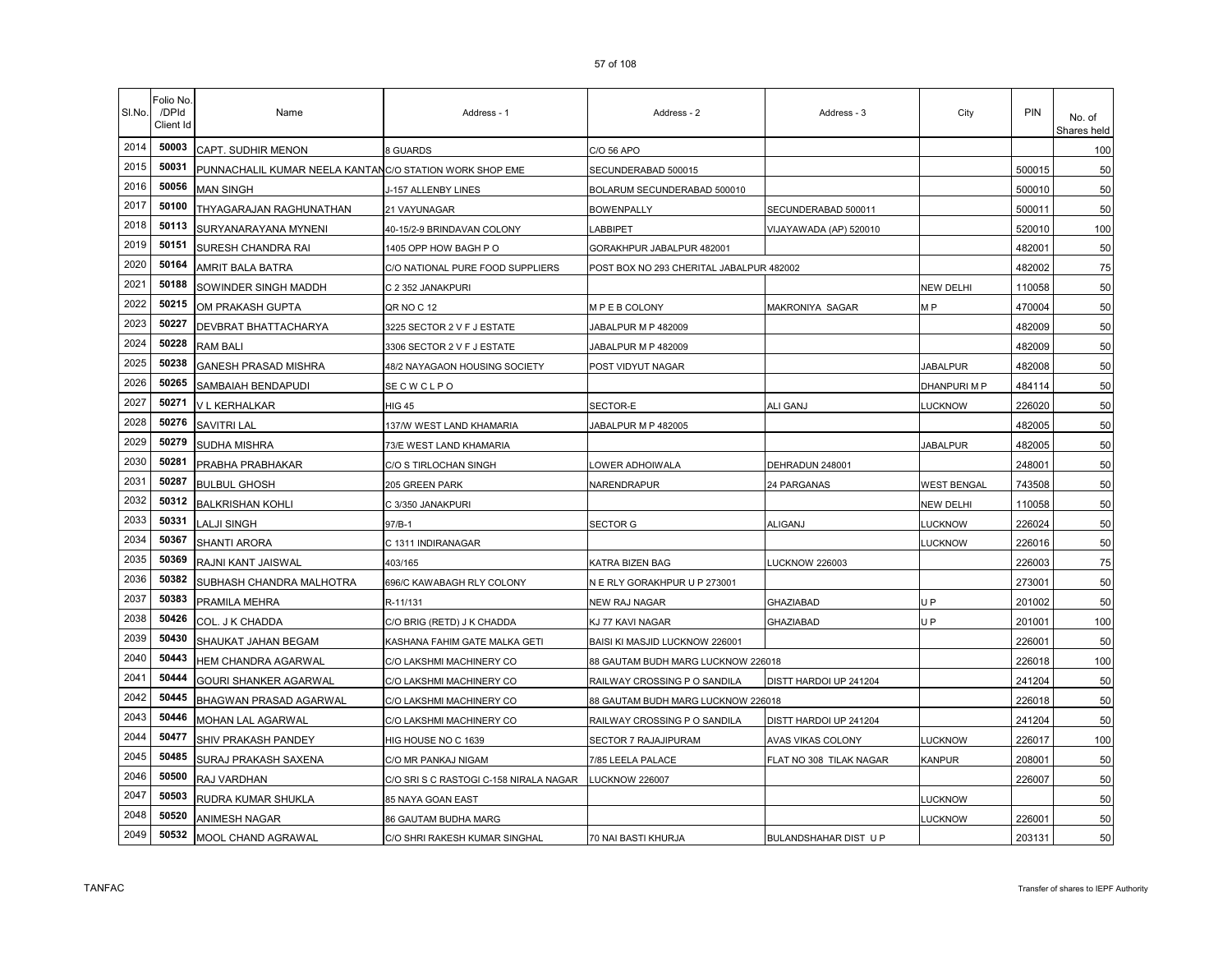| SI.No. | Folio No.<br>/DPId<br>Client Id | Name                                                    | Address - 1                            | Address - 2                              | Address - 3             | City            | PIN    | No. of<br>Shares held |
|--------|---------------------------------|---------------------------------------------------------|----------------------------------------|------------------------------------------|-------------------------|-----------------|--------|-----------------------|
| 2014   | 50003                           | CAPT. SUDHIR MENON                                      | 8 GUARDS                               | C/O 56 APO                               |                         |                 |        | 100                   |
| 2015   | 50031                           | PUNNACHALIL KUMAR NEELA KANTANC/O STATION WORK SHOP EME |                                        | SECUNDERABAD 500015                      |                         |                 | 500015 | 50                    |
| 2016   | 50056                           | <b>MAN SINGH</b>                                        | J-157 ALLENBY LINES                    | BOLARUM SECUNDERABAD 500010              |                         |                 | 500010 | 50                    |
| 2017   | 50100                           | THYAGARAJAN RAGHUNATHAN                                 | 21 VAYUNAGAR                           | <b>BOWENPALLY</b>                        | SECUNDERABAD 500011     |                 | 500011 | 50                    |
| 2018   | 50113                           | SURYANARAYANA MYNENI                                    | 40-15/2-9 BRINDAVAN COLONY             | LABBIPET                                 | VIJAYAWADA (AP) 520010  |                 | 520010 | 100                   |
| 2019   | 50151                           | SURESH CHANDRA RAI                                      | 1405 OPP HOW BAGH PO                   | GORAKHPUR JABALPUR 482001                |                         |                 | 482001 | 50                    |
| 2020   | 50164                           | AMRIT BALA BATRA                                        | C/O NATIONAL PURE FOOD SUPPLIERS       | POST BOX NO 293 CHERITAL JABALPUR 482002 |                         |                 | 482002 | 75                    |
| 2021   | 50188                           | SOWINDER SINGH MADDH                                    | C 2 352 JANAKPURI                      |                                          |                         | NEW DELHI       | 110058 | 50                    |
| 2022   | 50215                           | OM PRAKASH GUPTA                                        | QR NO C 12                             | MPEB COLONY                              | MAKRONIYA SAGAR         | M <sub>P</sub>  | 470004 | 50                    |
| 2023   | 50227                           | DEVBRAT BHATTACHARYA                                    | 3225 SECTOR 2 V F J ESTATE             | JABALPUR M P 482009                      |                         |                 | 482009 | 50                    |
| 2024   | 50228                           | <b>RAM BALI</b>                                         | 3306 SECTOR 2 V F J ESTATE             | JABALPUR M P 482009                      |                         |                 | 482009 | 50                    |
| 2025   | 50238                           | <b>GANESH PRASAD MISHRA</b>                             | 48/2 NAYAGAON HOUSING SOCIETY          | POST VIDYUT NAGAR                        |                         | <b>JABALPUR</b> | 482008 | 50                    |
| 2026   | 50265                           | SAMBAIAH BENDAPUDI                                      | SECWCLPO                               |                                          |                         | DHANPURI M P    | 484114 | 50                    |
| 2027   | 50271                           | V L KERHALKAR                                           | <b>HIG 45</b>                          | SECTOR-E                                 | ALI GANJ                | <b>LUCKNOW</b>  | 226020 | 50                    |
| 2028   | 50276                           | <b>SAVITRI LAL</b>                                      | 137/W WEST LAND KHAMARIA               | JABALPUR M P 482005                      |                         |                 | 482005 | 50                    |
| 2029   | 50279                           | <b>SUDHA MISHRA</b>                                     | 73/E WEST LAND KHAMARIA                |                                          |                         | <b>JABALPUR</b> | 482005 | 50                    |
| 2030   | 50281                           | PRABHA PRABHAKAR                                        | C/O S TIRLOCHAN SINGH                  | OWER ADHOIWALA                           | DEHRADUN 248001         |                 | 248001 | 50                    |
| 2031   | 50287                           | <b>BULBUL GHOSH</b>                                     | 205 GREEN PARK                         | NARENDRAPUR                              | 24 PARGANAS             | WEST BENGAL     | 743508 | 50                    |
| 2032   | 50312                           | <b>BALKRISHAN KOHLI</b>                                 | C 3/350 JANAKPURI                      |                                          |                         | NEW DELHI       | 110058 | 50                    |
| 2033   | 50331                           | LALJI SINGH                                             | 97/B-1                                 | SECTOR G                                 | ALIGANJ                 | <b>UCKNOW</b>   | 226024 | 50                    |
| 2034   | 50367                           | SHANTI ARORA                                            | C 1311 INDIRANAGAR                     |                                          |                         | <b>UCKNOW</b>   | 226016 | 50                    |
| 2035   | 50369                           | RAJNI KANT JAISWAL                                      | 403/165                                | KATRA BIZEN BAG                          | <b>LUCKNOW 226003</b>   |                 | 226003 | 75                    |
| 2036   | 50382                           | SUBHASH CHANDRA MALHOTRA                                | 696/C KAWABAGH RLY COLONY              | N E RLY GORAKHPUR U P 273001             |                         |                 | 273001 | 50                    |
| 2037   | 50383                           | PRAMILA MEHRA                                           | R-11/131                               | NEW RAJ NAGAR                            | GHAZIABAD               | U P             | 201002 | 50                    |
| 2038   | 50426                           | COL. J K CHADDA                                         | C/O BRIG (RETD) J K CHADDA             | KJ 77 KAVI NAGAR                         | <b>GHAZIABAD</b>        | U P             | 201001 | 100                   |
| 2039   | 50430                           | SHAUKAT JAHAN BEGAM                                     | KASHANA FAHIM GATE MALKA GETI          | BAISI KI MASJID LUCKNOW 226001           |                         |                 | 226001 | 50                    |
| 2040   | 50443                           | HEM CHANDRA AGARWAL                                     | C/O LAKSHMI MACHINERY CO               | 88 GAUTAM BUDH MARG LUCKNOW 226018       |                         |                 | 226018 | 100                   |
| 2041   | 50444                           | GOURI SHANKER AGARWAL                                   | C/O LAKSHMI MACHINERY CO               | RAILWAY CROSSING P O SANDILA             | DISTT HARDOI UP 241204  |                 | 241204 | 50                    |
| 2042   | 50445                           | BHAGWAN PRASAD AGARWAL                                  | C/O LAKSHMI MACHINERY CO               | 88 GAUTAM BUDH MARG LUCKNOW 226018       |                         |                 | 226018 | 50                    |
| 2043   | 50446                           | MOHAN LAL AGARWAL                                       | C/O LAKSHMI MACHINERY CO               | RAILWAY CROSSING P O SANDILA             | DISTT HARDOI UP 241204  |                 | 241204 | 50                    |
| 2044   | 50477                           | SHIV PRAKASH PANDEY                                     | HIG HOUSE NO C 1639                    | SECTOR 7 RAJAJIPURAM                     | AVAS VIKAS COLONY       | <b>UCKNOW</b>   | 226017 | 100                   |
| 2045   | 50485                           | SURAJ PRAKASH SAXENA                                    | C/O MR PANKAJ NIGAM                    | 7/85 LEELA PALACE                        | FLAT NO 308 TILAK NAGAR | <b>KANPUR</b>   | 208001 | 50                    |
| 2046   | 50500                           | RAJ VARDHAN                                             | C/O SRI S C RASTOGI C-158 NIRALA NAGAR | <b>LUCKNOW 226007</b>                    |                         |                 | 226007 | 50                    |
| 2047   | 50503                           | RUDRA KUMAR SHUKLA                                      | 85 NAYA GOAN EAST                      |                                          |                         | <b>UCKNOW</b>   |        | 50                    |
| 2048   | 50520                           | <b>ANIMESH NAGAR</b>                                    | 86 GAUTAM BUDHA MARG                   |                                          |                         | <b>UCKNOW</b>   | 226001 | 50                    |
| 2049   | 50532                           | MOOL CHAND AGRAWAL                                      | C/O SHRI RAKESH KUMAR SINGHAL          | 70 NAI BASTI KHURJA                      | BULANDSHAHAR DIST U P   |                 | 203131 | 50                    |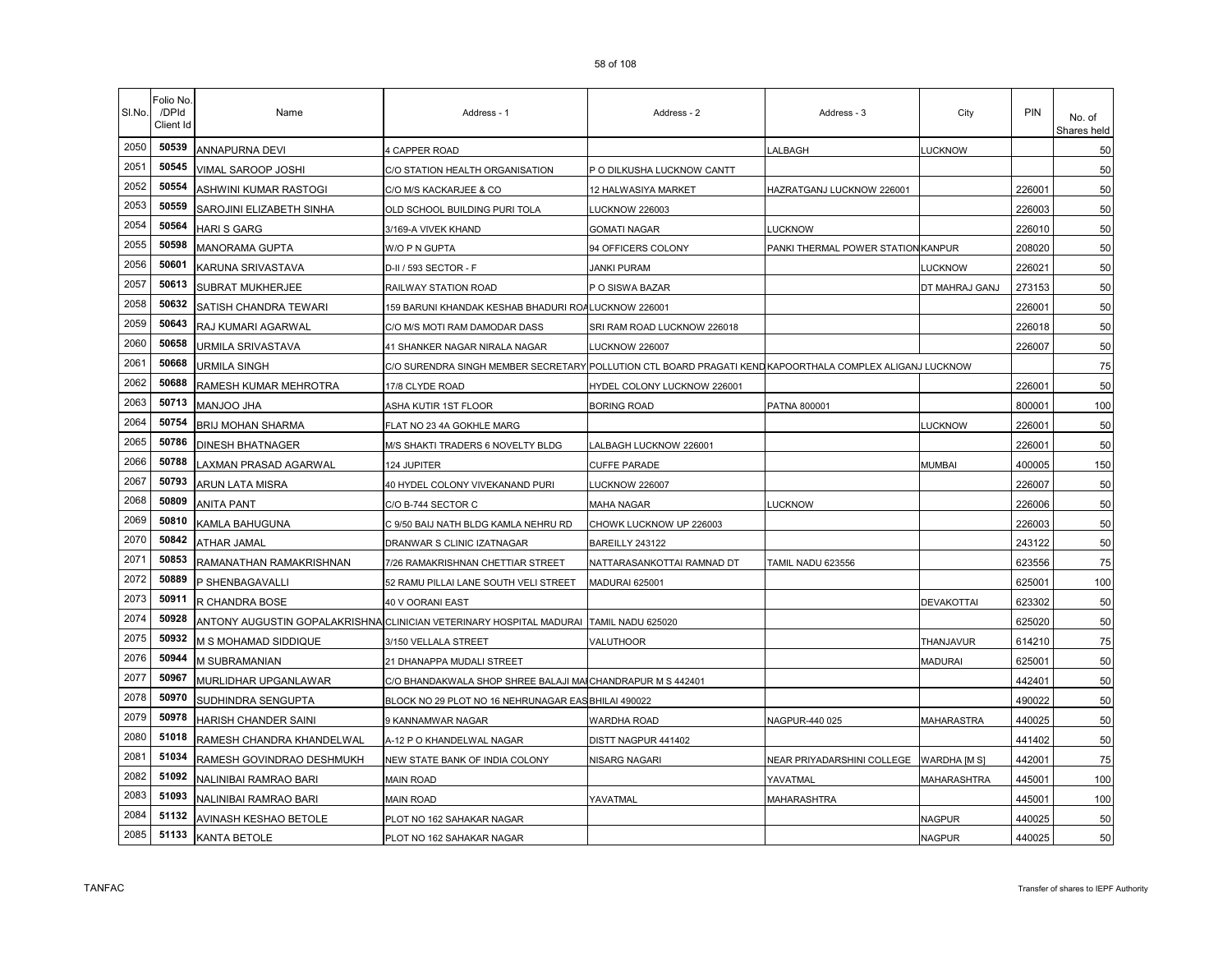| SI.No. | Folio No<br>/DPId<br>Client Id | Name                        | Address - 1                                                         | Address - 2                                                          | Address - 3                        | City              | PIN    | No. of<br>Shares held |
|--------|--------------------------------|-----------------------------|---------------------------------------------------------------------|----------------------------------------------------------------------|------------------------------------|-------------------|--------|-----------------------|
| 2050   | 50539                          | ANNAPURNA DEVI              | 4 CAPPER ROAD                                                       |                                                                      | LALBAGH                            | <b>LUCKNOW</b>    |        | 50                    |
| 2051   | 50545                          | VIMAL SAROOP JOSHI          | C/O STATION HEALTH ORGANISATION                                     | P O DILKUSHA LUCKNOW CANTT                                           |                                    |                   |        | 50                    |
| 2052   | 50554                          | ASHWINI KUMAR RASTOGI       | C/O M/S KACKARJEE & CO                                              | 12 HALWASIYA MARKET                                                  | HAZRATGANJ LUCKNOW 226001          |                   | 226001 | 50                    |
| 2053   | 50559                          | SAROJINI ELIZABETH SINHA    | OLD SCHOOL BUILDING PURI TOLA                                       | LUCKNOW 226003                                                       |                                    |                   | 226003 | 50                    |
| 2054   | 50564                          | <b>HARI S GARG</b>          | 3/169-A VIVEK KHAND                                                 | <b>GOMATI NAGAR</b>                                                  | LUCKNOW                            |                   | 226010 | 50                    |
| 2055   | 50598                          | <b>MANORAMA GUPTA</b>       | W/O P N GUPTA                                                       | 94 OFFICERS COLONY                                                   | PANKI THERMAL POWER STATION KANPUR |                   | 208020 | 50                    |
| 2056   | 50601                          | KARUNA SRIVASTAVA           | D-II / 593 SECTOR - F                                               | <b>JANKI PURAM</b>                                                   |                                    | LUCKNOW           | 226021 | 50                    |
| 2057   | 50613                          | SUBRAT MUKHERJEE            | RAILWAY STATION ROAD                                                | P O SISWA BAZAR                                                      |                                    | DT MAHRAJ GANJ    | 273153 | 50                    |
| 2058   | 50632                          | SATISH CHANDRA TEWARI       | 159 BARUNI KHANDAK KESHAB BHADURI ROALUCKNOW 226001                 |                                                                      |                                    |                   | 226001 | 50                    |
| 2059   | 50643                          | RAJ KUMARI AGARWAL          | C/O M/S MOTI RAM DAMODAR DASS                                       | SRI RAM ROAD LUCKNOW 226018                                          |                                    |                   | 226018 | 50                    |
| 2060   | 50658                          | URMILA SRIVASTAVA           | 41 SHANKER NAGAR NIRALA NAGAR                                       | LUCKNOW 226007                                                       |                                    |                   | 226007 | 50                    |
| 2061   | 50668                          | URMILA SINGH                | C/O SURENDRA SINGH MEMBER SECRETARY                                 | POLLUTION CTL BOARD PRAGATI KEND KAPOORTHALA COMPLEX ALIGANJ LUCKNOW |                                    |                   |        | 75                    |
| 2062   | 50688                          | RAMESH KUMAR MEHROTRA       | 17/8 CLYDE ROAD                                                     | HYDEL COLONY LUCKNOW 226001                                          |                                    |                   | 226001 | 50                    |
| 2063   | 50713                          | <b>MANJOO JHA</b>           | ASHA KUTIR 1ST FLOOR                                                | <b>BORING ROAD</b>                                                   | PATNA 800001                       |                   | 800001 | 100                   |
| 2064   | 50754                          | BRIJ MOHAN SHARMA           | FLAT NO 23 4A GOKHLE MARG                                           |                                                                      |                                    | <b>LUCKNOW</b>    | 226001 | 50                    |
| 2065   | 50786                          | <b>DINESH BHATNAGER</b>     | M/S SHAKTI TRADERS 6 NOVELTY BLDG                                   | LALBAGH LUCKNOW 226001                                               |                                    |                   | 226001 | 50                    |
| 2066   | 50788                          | LAXMAN PRASAD AGARWAL       | 124 JUPITER                                                         | <b>CUFFE PARADE</b>                                                  |                                    | MUMBAI            | 400005 | 150                   |
| 2067   | 50793                          | ARUN LATA MISRA             | 40 HYDEL COLONY VIVEKANAND PURI                                     | LUCKNOW 226007                                                       |                                    |                   | 226007 | 50                    |
| 2068   | 50809                          | <b>ANITA PANT</b>           | C/O B-744 SECTOR C                                                  | MAHA NAGAR                                                           | <b>LUCKNOW</b>                     |                   | 226006 | 50                    |
| 2069   | 50810                          | KAMLA BAHUGUNA              | C 9/50 BAIJ NATH BLDG KAMLA NEHRU RD                                | CHOWK LUCKNOW UP 226003                                              |                                    |                   | 226003 | 50                    |
| 2070   | 50842                          | ATHAR JAMAL                 | DRANWAR S CLINIC IZATNAGAR                                          | BAREILLY 243122                                                      |                                    |                   | 243122 | 50                    |
| 2071   | 50853                          | RAMANATHAN RAMAKRISHNAN     | 7/26 RAMAKRISHNAN CHETTIAR STREET                                   | NATTARASANKOTTAI RAMNAD DT                                           | TAMIL NADU 623556                  |                   | 623556 | 75                    |
| 2072   | 50889                          | P SHENBAGAVALLI             | 52 RAMU PILLAI LANE SOUTH VELI STREET                               | MADURAI 625001                                                       |                                    |                   | 625001 | 100                   |
| 2073   | 50911                          | R CHANDRA BOSE              | 40 V OORANI EAST                                                    |                                                                      |                                    | <b>DEVAKOTTAI</b> | 623302 | 50                    |
| 2074   | 50928                          |                             | ANTONY AUGUSTIN GOPALAKRISHNA CLINICIAN VETERINARY HOSPITAL MADURAI | TAMIL NADU 625020                                                    |                                    |                   | 625020 | 50                    |
| 2075   | 50932                          | M S MOHAMAD SIDDIQUE        | 3/150 VELLALA STREET                                                | VALUTHOOR                                                            |                                    | THANJAVUR         | 614210 | 75                    |
| 2076   | 50944                          | M SUBRAMANIAN               | 21 DHANAPPA MUDALI STREET                                           |                                                                      |                                    | <b>MADURAI</b>    | 625001 | 50                    |
| 2077   | 50967                          | <b>MURLIDHAR UPGANLAWAR</b> | C/O BHANDAKWALA SHOP SHREE BALAJI MAI CHANDRAPUR M S 442401         |                                                                      |                                    |                   | 442401 | 50                    |
| 2078   | 50970                          | SUDHINDRA SENGUPTA          | BLOCK NO 29 PLOT NO 16 NEHRUNAGAR EAS BHILAI 490022                 |                                                                      |                                    |                   | 490022 | 50                    |
| 2079   | 50978                          | HARISH CHANDER SAINI        | 9 KANNAMWAR NAGAR                                                   | WARDHA ROAD                                                          | NAGPUR-440 025                     | MAHARASTRA        | 440025 | 50                    |
| 2080   | 51018                          | RAMESH CHANDRA KHANDELWAL   | A-12 P O KHANDELWAL NAGAR                                           | DISTT NAGPUR 441402                                                  |                                    |                   | 441402 | 50                    |
| 2081   | 51034                          | RAMESH GOVINDRAO DESHMUKH   | NEW STATE BANK OF INDIA COLONY                                      | <b>\ISARG NAGARI</b>                                                 | NEAR PRIYADARSHINI COLLEGE         | WARDHA [M S]      | 442001 | 75                    |
| 2082   | 51092                          | NALINIBAI RAMRAO BARI       | <b>MAIN ROAD</b>                                                    |                                                                      | YAVATMAL                           | MAHARASHTRA       | 445001 | 100                   |
| 2083   | 51093                          | NALINIBAI RAMRAO BARI       | MAIN ROAD                                                           | YAVATMAL                                                             | MAHARASHTRA                        |                   | 445001 | 100                   |
| 2084   | 51132                          | AVINASH KESHAO BETOLE       | PLOT NO 162 SAHAKAR NAGAR                                           |                                                                      |                                    | <b>NAGPUR</b>     | 440025 | 50                    |
| 2085   | 51133                          | KANTA BETOLE                | PLOT NO 162 SAHAKAR NAGAR                                           |                                                                      |                                    | <b>NAGPUR</b>     | 440025 | 50                    |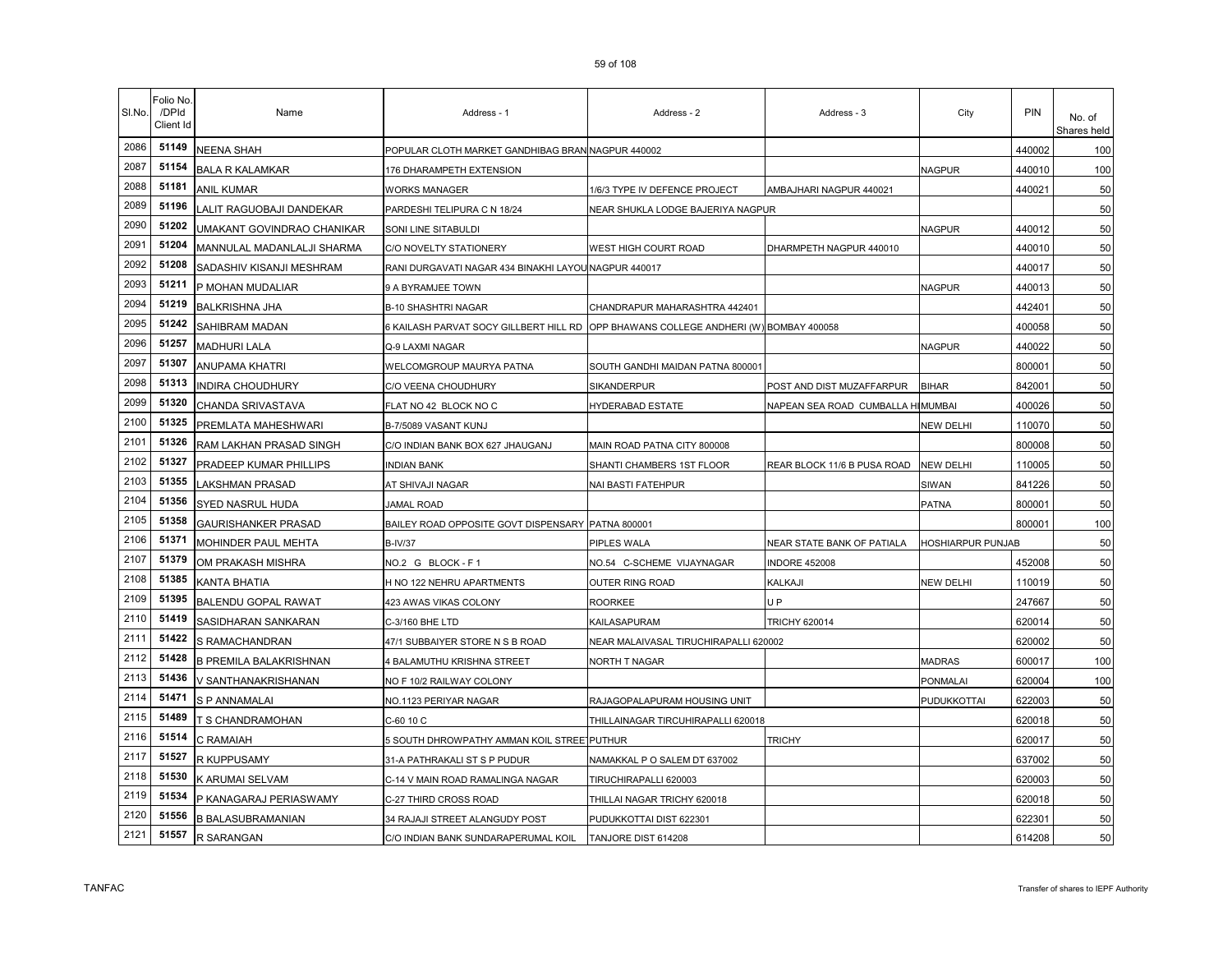| SI.No. | Folio No.<br>/DPId<br>Client Id | Name                          | Address - 1                                          | Address - 2                                   | Address - 3                 | City              | <b>PIN</b> | No. of<br>Shares held |
|--------|---------------------------------|-------------------------------|------------------------------------------------------|-----------------------------------------------|-----------------------------|-------------------|------------|-----------------------|
| 2086   | 51149                           | NEENA SHAH                    | POPULAR CLOTH MARKET GANDHIBAG BRAN NAGPUR 440002    |                                               |                             |                   | 440002     | 100                   |
| 2087   | 51154                           | <b>BALA R KALAMKAR</b>        | 176 DHARAMPETH EXTENSION                             |                                               |                             | NAGPUR            | 440010     | 100                   |
| 2088   | 51181                           | <b>ANIL KUMAR</b>             | <b>WORKS MANAGER</b>                                 | 1/6/3 TYPE IV DEFENCE PROJECT                 | AMBAJHARI NAGPUR 440021     |                   | 440021     | 50                    |
| 2089   | 51196                           | LALIT RAGUOBAJI DANDEKAR      | PARDESHI TELIPURA C N 18/24                          | NEAR SHUKLA LODGE BAJERIYA NAGPUR             |                             |                   |            | 50                    |
| 2090   | 51202                           | UMAKANT GOVINDRAO CHANIKAR    | SONI LINE SITABULDI                                  |                                               |                             | <b>NAGPUR</b>     | 440012     | 50                    |
| 2091   | 51204                           | MANNULAL MADANLALJI SHARMA    | C/O NOVELTY STATIONERY                               | WEST HIGH COURT ROAD                          | DHARMPETH NAGPUR 440010     |                   | 440010     | 50                    |
| 2092   | 51208                           | SADASHIV KISANJI MESHRAM      | RANI DURGAVATI NAGAR 434 BINAKHI LAYOU NAGPUR 440017 |                                               |                             |                   | 440017     | 50                    |
| 2093   | 51211                           | P MOHAN MUDALIAR              | 9 A BYRAMJEE TOWN                                    |                                               |                             | <b>NAGPUR</b>     | 440013     | 50                    |
| 2094   | 51219                           | <b>BALKRISHNA JHA</b>         | <b>B-10 SHASHTRI NAGAR</b>                           | CHANDRAPUR MAHARASHTRA 442401                 |                             |                   | 442401     | 50                    |
| 2095   | 51242                           | SAHIBRAM MADAN                | 6 KAILASH PARVAT SOCY GILLBERT HILL RD               | OPP BHAWANS COLLEGE ANDHERI (W) BOMBAY 400058 |                             |                   | 400058     | 50                    |
| 2096   | 51257                           | <b>MADHURI LALA</b>           | Q-9 LAXMI NAGAR                                      |                                               |                             | NAGPUR            | 440022     | 50                    |
| 2097   | 51307                           | ANUPAMA KHATRI                | WELCOMGROUP MAURYA PATNA                             | SOUTH GANDHI MAIDAN PATNA 800001              |                             |                   | 800001     | 50                    |
| 2098   | 51313                           | INDIRA CHOUDHURY              | C/O VEENA CHOUDHURY                                  | <b>SIKANDERPUR</b>                            | POST AND DIST MUZAFFARPUR   | <b>BIHAR</b>      | 842001     | 50                    |
| 2099   | 51320                           | CHANDA SRIVASTAVA             | FLAT NO 42 BLOCK NO C                                | HYDERABAD ESTATE                              | NAPEAN SEA ROAD CUMBALLA HI | MUMBAI            | 400026     | 50                    |
| 2100   | 51325                           | PREMLATA MAHESHWARI           | B-7/5089 VASANT KUNJ                                 |                                               |                             | NEW DELHI         | 110070     | 50                    |
| 2101   | 51326                           | RAM LAKHAN PRASAD SINGH       | C/O INDIAN BANK BOX 627 JHAUGANJ                     | MAIN ROAD PATNA CITY 800008                   |                             |                   | 800008     | 50                    |
| 2102   | 51327                           | PRADEEP KUMAR PHILLIPS        | <b>INDIAN BANK</b>                                   | SHANTI CHAMBERS 1ST FLOOR                     | REAR BLOCK 11/6 B PUSA ROAD | NEW DELHI         | 110005     | 50                    |
| 2103   | 51355                           | LAKSHMAN PRASAD               | AT SHIVAJI NAGAR                                     | NAI BASTI FATEHPUR                            |                             | SIWAN             | 841226     | 50                    |
| 2104   | 51356                           | SYED NASRUL HUDA              | <b>JAMAL ROAD</b>                                    |                                               |                             | PATNA             | 800001     | 50                    |
| 2105   | 51358                           | <b>GAURISHANKER PRASAD</b>    | BAILEY ROAD OPPOSITE GOVT DISPENSARY PATNA 800001    |                                               |                             |                   | 800001     | 100                   |
| 2106   | 51371                           | MOHINDER PAUL MEHTA           | <b>B-IV/37</b>                                       | PIPLES WALA                                   | NEAR STATE BANK OF PATIALA  | HOSHIARPUR PUNJAB |            | 50                    |
| 2107   | 51379                           | OM PRAKASH MISHRA             | NO.2 G BLOCK-F1                                      | NO.54 C-SCHEME VIJAYNAGAR                     | <b>INDORE 452008</b>        |                   | 452008     | 50                    |
| 2108   | 51385                           | KANTA BHATIA                  | H NO 122 NEHRU APARTMENTS                            | OUTER RING ROAD                               | KALKAJI                     | NEW DELHI         | 110019     | 50                    |
| 2109   | 51395                           | <b>BALENDU GOPAL RAWAT</b>    | 423 AWAS VIKAS COLONY                                | ROORKEE                                       | U P                         |                   | 247667     | 50                    |
| 2110   | 51419                           | SASIDHARAN SANKARAN           | C-3/160 BHE LTD                                      | KAILASAPURAM                                  | <b>TRICHY 620014</b>        |                   | 620014     | 50                    |
| 2111   | 51422                           | S RAMACHANDRAN                | 47/1 SUBBAIYER STORE N S B ROAD                      | NEAR MALAIVASAL TIRUCHIRAPALLI 620002         |                             |                   | 620002     | 50                    |
| 2112   | 51428                           | <b>B PREMILA BALAKRISHNAN</b> | 4 BALAMUTHU KRISHNA STREET                           | NORTH T NAGAR                                 |                             | <b>MADRAS</b>     | 600017     | 100                   |
| 2113   | 51436                           | V SANTHANAKRISHANAN           | NO F 10/2 RAILWAY COLONY                             |                                               |                             | PONMALAI          | 620004     | 100                   |
| 2114   | 51471                           | S P ANNAMALAI                 | NO.1123 PERIYAR NAGAR                                | RAJAGOPALAPURAM HOUSING UNIT                  |                             | PUDUKKOTTAI       | 622003     | 50                    |
| 2115   | 51489                           | T S CHANDRAMOHAN              | C-60 10 C                                            | THILLAINAGAR TIRCUHIRAPALLI 620018            |                             |                   | 620018     | 50                    |
| 2116   | 51514                           | C RAMAIAH                     | 5 SOUTH DHROWPATHY AMMAN KOIL STREE PUTHUR           |                                               | <b>TRICHY</b>               |                   | 620017     | 50                    |
| 2117   | 51527                           | R KUPPUSAMY                   | 31-A PATHRAKALI ST S P PUDUR                         | NAMAKKAL P O SALEM DT 637002                  |                             |                   | 637002     | 50                    |
| 2118   | 51530                           | K ARUMAI SELVAM               | C-14 V MAIN ROAD RAMALINGA NAGAR                     | TIRUCHIRAPALLI 620003                         |                             |                   | 620003     | 50                    |
| 2119   | 51534                           | P KANAGARAJ PERIASWAMY        | C-27 THIRD CROSS ROAD                                | THILLAI NAGAR TRICHY 620018                   |                             |                   | 620018     | 50                    |
| 2120   | 51556                           | <b>B BALASUBRAMANIAN</b>      | 34 RAJAJI STREET ALANGUDY POST                       | PUDUKKOTTAI DIST 622301                       |                             |                   | 622301     | 50                    |
| 2121   | 51557                           | R SARANGAN                    | C/O INDIAN BANK SUNDARAPERUMAL KOIL                  | TANJORE DIST 614208                           |                             |                   | 614208     | 50                    |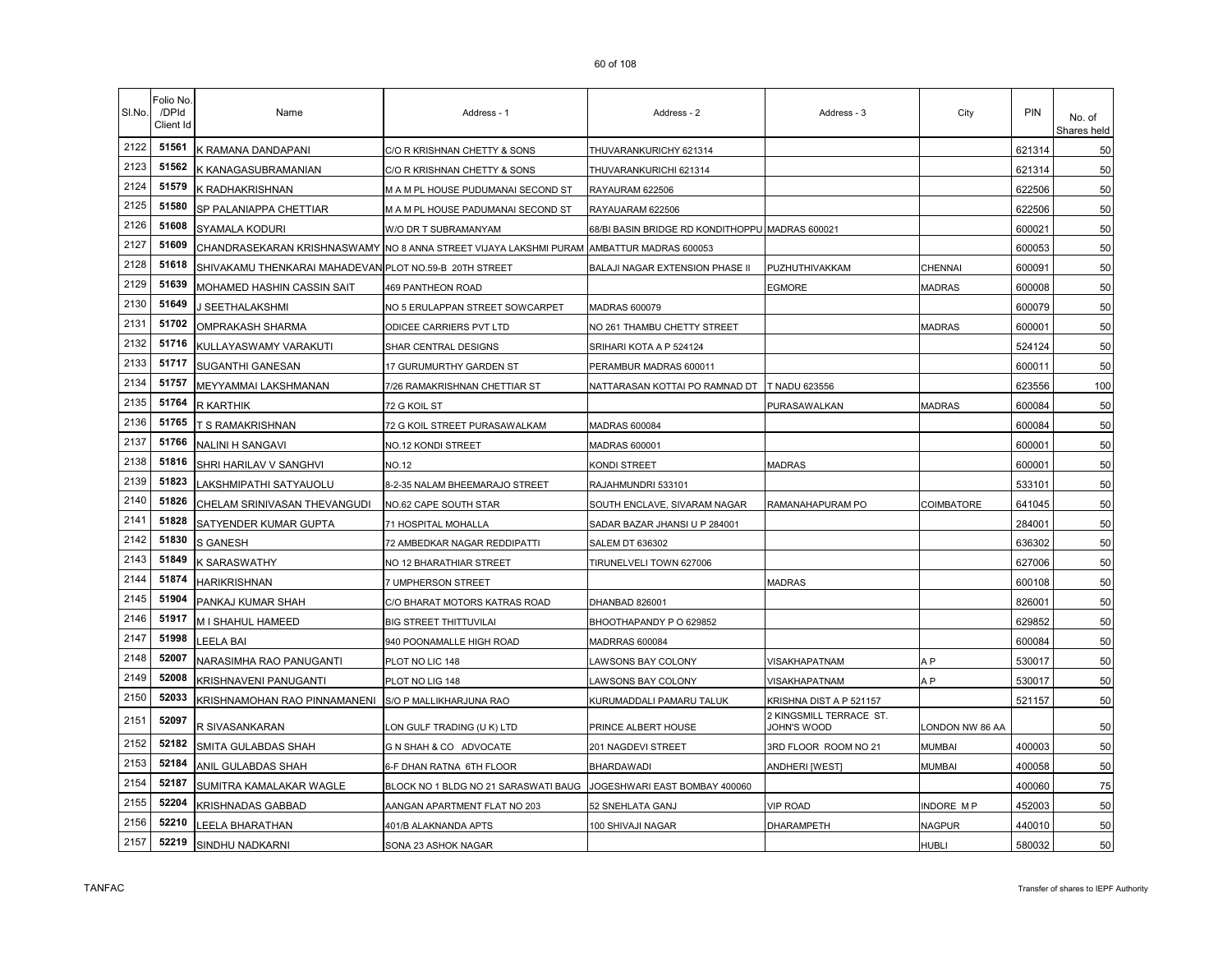| SI.No. | Folio No<br>/DPId<br>Client Id | Name                                                   | Address - 1                                                       | Address - 2                                     | Address - 3                            | City            | <b>PIN</b> | No. of<br>Shares held |
|--------|--------------------------------|--------------------------------------------------------|-------------------------------------------------------------------|-------------------------------------------------|----------------------------------------|-----------------|------------|-----------------------|
| 2122   | 51561                          | K RAMANA DANDAPANI                                     | C/O R KRISHNAN CHETTY & SONS                                      | THUVARANKURICHY 621314                          |                                        |                 | 621314     | 50                    |
| 2123   | 51562                          | K KANAGASUBRAMANIAN                                    | C/O R KRISHNAN CHETTY & SONS                                      | THUVARANKURICHI 621314                          |                                        |                 | 621314     | 50                    |
| 2124   | 51579                          | K RADHAKRISHNAN                                        | M A M PL HOUSE PUDUMANAI SECOND ST                                | RAYAURAM 622506                                 |                                        |                 | 622506     | 50                    |
| 2125   | 51580                          | SP PALANIAPPA CHETTIAR                                 | M A M PL HOUSE PADUMANAI SECOND ST                                | RAYAUARAM 622506                                |                                        |                 | 622506     | 50                    |
| 2126   | 51608                          | SYAMALA KODURI                                         | W/O DR T SUBRAMANYAM                                              | 68/BI BASIN BRIDGE RD KONDITHOPPU MADRAS 600021 |                                        |                 | 600021     | 50                    |
| 2127   | 51609                          |                                                        | CHANDRASEKARAN KRISHNASWAMY NO 8 ANNA STREET VIJAYA LAKSHMI PURAM | AMBATTUR MADRAS 600053                          |                                        |                 | 600053     | 50                    |
| 2128   | 51618                          | SHIVAKAMU THENKARAI MAHADEVAN PLOT NO.59-B 20TH STREET |                                                                   | BALAJI NAGAR EXTENSION PHASE II                 | PUZHUTHIVAKKAM                         | CHENNAI         | 600091     | 50                    |
| 2129   | 51639                          | MOHAMED HASHIN CASSIN SAIT                             | <b>469 PANTHEON ROAD</b>                                          |                                                 | EGMORE                                 | <b>MADRAS</b>   | 600008     | 50                    |
| 2130   | 51649                          | J SEETHALAKSHMI                                        | NO 5 ERULAPPAN STREET SOWCARPET                                   | MADRAS 600079                                   |                                        |                 | 600079     | 50                    |
| 2131   | 51702                          | OMPRAKASH SHARMA                                       | ODICEE CARRIERS PVT LTD                                           | NO 261 THAMBU CHETTY STREET                     |                                        | <b>MADRAS</b>   | 600001     | 50                    |
| 2132   | 51716                          | KULLAYASWAMY VARAKUTI                                  | SHAR CENTRAL DESIGNS                                              | SRIHARI KOTA A P 524124                         |                                        |                 | 524124     | 50                    |
| 2133   | 51717                          | SUGANTHI GANESAN                                       | 17 GURUMURTHY GARDEN ST                                           | PERAMBUR MADRAS 600011                          |                                        |                 | 600011     | 50                    |
| 2134   | 51757                          | MEYYAMMAI LAKSHMANAN                                   | 7/26 RAMAKRISHNAN CHETTIAR ST                                     | NATTARASAN KOTTAI PO RAMNAD DT                  | T NADU 623556                          |                 | 623556     | 100                   |
| 2135   | 51764                          | <b>R KARTHIK</b>                                       | 72 G KOIL ST                                                      |                                                 | <b>PURASAWALKAN</b>                    | <b>MADRAS</b>   | 600084     | 50                    |
| 2136   | 51765                          | T S RAMAKRISHNAN                                       | 72 G KOIL STREET PURASAWALKAM                                     | <b>MADRAS 600084</b>                            |                                        |                 | 600084     | 50                    |
| 2137   | 51766                          | <b>NALINI H SANGAVI</b>                                | NO.12 KONDI STREET                                                | MADRAS 600001                                   |                                        |                 | 600001     | 50                    |
| 2138   | 51816                          | SHRI HARILAV V SANGHVI                                 | NO.12                                                             | KONDI STREET                                    | <b>MADRAS</b>                          |                 | 600001     | 50                    |
| 2139   | 51823                          | AKSHMIPATHI SATYAUOLU                                  | 8-2-35 NALAM BHEEMARAJO STREET                                    | RAJAHMUNDRI 533101                              |                                        |                 | 533101     | 50                    |
| 2140   | 51826                          | CHELAM SRINIVASAN THEVANGUDI                           | NO.62 CAPE SOUTH STAR                                             | SOUTH ENCLAVE, SIVARAM NAGAR                    | RAMANAHAPURAM PO                       | COIMBATORE      | 641045     | 50                    |
| 2141   | 51828                          | SATYENDER KUMAR GUPTA                                  | 71 HOSPITAL MOHALLA                                               | SADAR BAZAR JHANSI U P 284001                   |                                        |                 | 284001     | 50                    |
| 2142   | 51830                          | <b>S GANESH</b>                                        | 72 AMBEDKAR NAGAR REDDIPATTI                                      | <b>SALEM DT 636302</b>                          |                                        |                 | 636302     | 50                    |
| 2143   | 51849                          | K SARASWATHY                                           | NO 12 BHARATHIAR STREET                                           | TIRUNELVELI TOWN 627006                         |                                        |                 | 627006     | 50                    |
| 2144   | 51874                          | <b>HARIKRISHNAN</b>                                    | 7 UMPHERSON STREET                                                |                                                 | <b>MADRAS</b>                          |                 | 600108     | 50                    |
| 2145   | 51904                          | PANKAJ KUMAR SHAH                                      | C/O BHARAT MOTORS KATRAS ROAD                                     | DHANBAD 826001                                  |                                        |                 | 826001     | 50                    |
| 2146   | 51917                          | M I SHAHUL HAMEED                                      | BIG STREET THITTUVILAI                                            | BHOOTHAPANDY P O 629852                         |                                        |                 | 629852     | 50                    |
| 2147   | 51998                          | LEELA BAI                                              | 940 POONAMALLE HIGH ROAD                                          | MADRRAS 600084                                  |                                        |                 | 600084     | 50                    |
| 2148   | 52007                          | NARASIMHA RAO PANUGANTI                                | PLOT NO LIC 148                                                   | LAWSONS BAY COLONY                              | VISAKHAPATNAM                          | A P             | 530017     | 50                    |
| 2149   | 52008                          | KRISHNAVENI PANUGANTI                                  | PLOT NO LIG 148                                                   | LAWSONS BAY COLONY                              | VISAKHAPATNAM                          | A P             | 530017     | 50                    |
| 2150   | 52033                          | KRISHNAMOHAN RAO PINNAMANENI                           | S/O P MALLIKHARJUNA RAO                                           | KURUMADDALI PAMARU TALUK                        | KRISHNA DIST A P 521157                |                 | 521157     | 50                    |
| 2151   | 52097                          | R SIVASANKARAN                                         | ON GULF TRADING (U K) LTD                                         | PRINCE ALBERT HOUSE                             | 2 KINGSMILL TERRACE ST.<br>JOHN'S WOOD | ONDON NW 86 AA  |            | 50                    |
| 2152   | 52182                          | SMITA GULABDAS SHAH                                    | G N SHAH & CO ADVOCATE                                            | 201 NAGDEVI STREET                              | 3RD FLOOR ROOM NO 21                   | MUMBAI          | 400003     | 50                    |
| 2153   | 52184                          | ANIL GULABDAS SHAH                                     | 6-F DHAN RATNA 6TH FLOOR                                          | <b>BHARDAWADI</b>                               | <b>ANDHERI [WEST]</b>                  | MUMBAI          | 400058     | 50                    |
| 2154   | 52187                          | SUMITRA KAMALAKAR WAGLE                                | BLOCK NO 1 BLDG NO 21 SARASWATI BAUG                              | JOGESHWARI EAST BOMBAY 400060                   |                                        |                 | 400060     | 75                    |
| 2155   | 52204                          | KRISHNADAS GABBAD                                      | AANGAN APARTMENT FLAT NO 203                                      | 52 SNEHLATA GANJ                                | VIP ROAD                               | <b>NDORE MP</b> | 452003     | 50                    |
| 2156   | 52210                          | LEELA BHARATHAN                                        | 401/B ALAKNANDA APTS                                              | 100 SHIVAJI NAGAR                               | DHARAMPETH                             | NAGPUR          | 440010     | 50                    |
| 2157   | 52219                          | SINDHU NADKARNI                                        | SONA 23 ASHOK NAGAR                                               |                                                 |                                        | HUBLI           | 580032     | 50                    |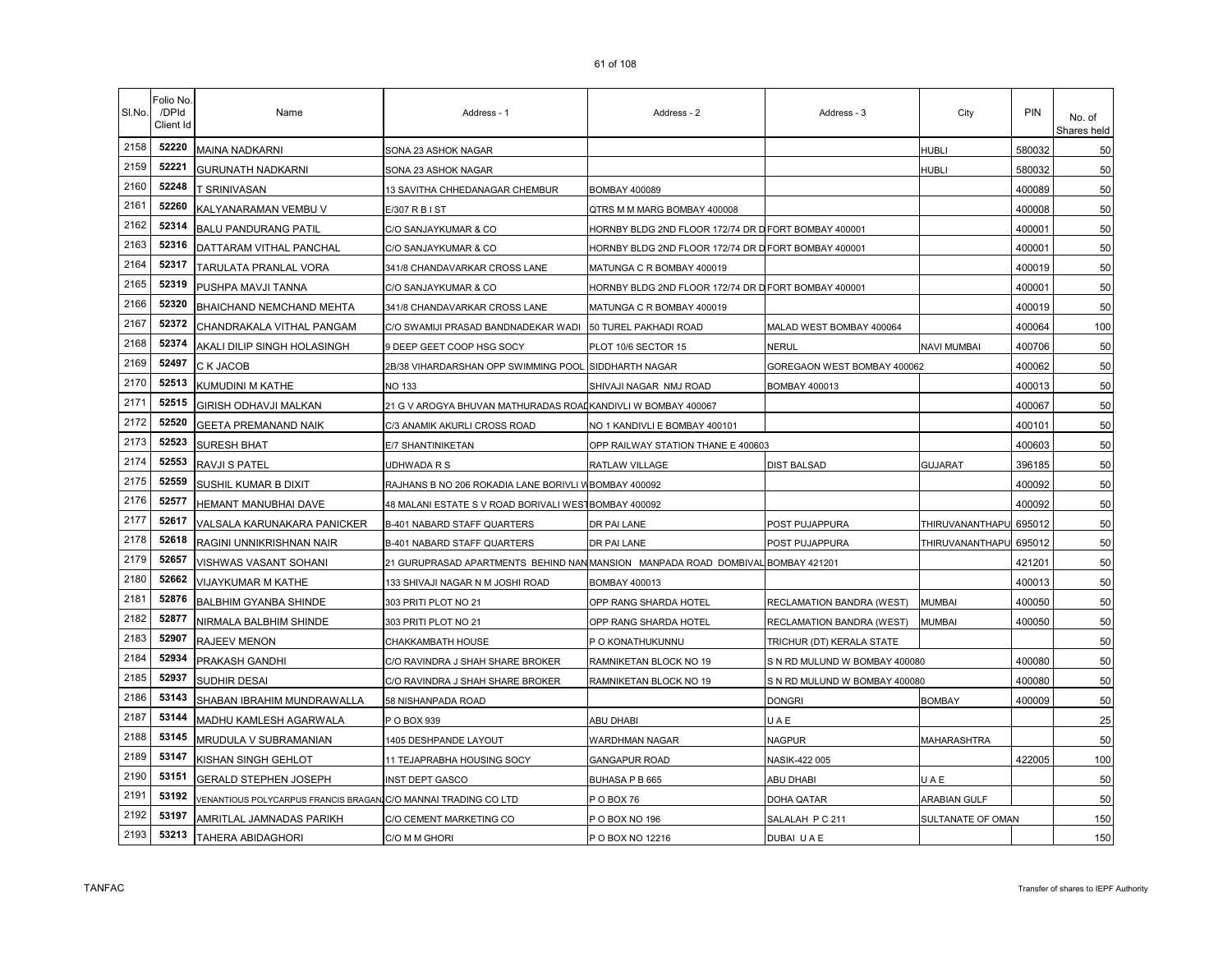| SI.No. | Folio No.<br>/DPId<br>Client Id | Name                                                           | Address - 1                                                                    | Address - 2                                          | Address - 3                   | City                   | PIN    | No. of<br>Shares held |
|--------|---------------------------------|----------------------------------------------------------------|--------------------------------------------------------------------------------|------------------------------------------------------|-------------------------------|------------------------|--------|-----------------------|
| 2158   | 52220                           | MAINA NADKARNI                                                 | SONA 23 ASHOK NAGAR                                                            |                                                      |                               | <b>HUBLI</b>           | 580032 | 50                    |
| 2159   | 52221                           | <b>GURUNATH NADKARNI</b>                                       | SONA 23 ASHOK NAGAR                                                            |                                                      |                               | HUBLI                  | 580032 | 50                    |
| 2160   | 52248                           | r Srinivasan                                                   | 13 SAVITHA CHHEDANAGAR CHEMBUR                                                 | BOMBAY 400089                                        |                               |                        | 400089 | 50                    |
| 2161   | 52260                           | KALYANARAMAN VEMBU V                                           | E/307 R B I ST                                                                 | QTRS M M MARG BOMBAY 400008                          |                               |                        | 400008 | 50                    |
| 2162   | 52314                           | <b>BALU PANDURANG PATIL</b>                                    | C/O SANJAYKUMAR & CO                                                           | HORNBY BLDG 2ND FLOOR 172/74 DR D FORT BOMBAY 400001 |                               |                        | 400001 | 50                    |
| 2163   | 52316                           | DATTARAM VITHAL PANCHAL                                        | C/O SANJAYKUMAR & CO                                                           | HORNBY BLDG 2ND FLOOR 172/74 DR D FORT BOMBAY 400001 |                               |                        | 400001 | 50                    |
| 2164   | 52317                           | TARULATA PRANLAL VORA                                          | 341/8 CHANDAVARKAR CROSS LANE                                                  | MATUNGA C R BOMBAY 400019                            |                               |                        | 400019 | 50                    |
| 2165   | 52319                           | PUSHPA MAVJI TANNA                                             | C/O SANJAYKUMAR & CO                                                           | HORNBY BLDG 2ND FLOOR 172/74 DR D FORT BOMBAY 400001 |                               |                        | 400001 | 50                    |
| 2166   | 52320                           | BHAICHAND NEMCHAND MEHTA                                       | 341/8 CHANDAVARKAR CROSS LANE                                                  | MATUNGA C R BOMBAY 400019                            |                               |                        | 400019 | 50                    |
| 2167   | 52372                           | CHANDRAKALA VITHAL PANGAM                                      | C/O SWAMIJI PRASAD BANDNADEKAR WADI                                            | 50 TUREL PAKHADI ROAD                                | MALAD WEST BOMBAY 400064      |                        | 400064 | 100                   |
| 2168   | 52374                           | AKALI DILIP SINGH HOLASINGH                                    | 9 DEEP GEET COOP HSG SOCY                                                      | PLOT 10/6 SECTOR 15                                  | NERUL                         | NAVI MUMBAI            | 400706 | 50                    |
| 2169   | 52497                           | C K JACOB                                                      | 2B/38 VIHARDARSHAN OPP SWIMMING POOL                                           | SIDDHARTH NAGAR                                      | GOREGAON WEST BOMBAY 400062   |                        | 400062 | 50                    |
| 2170   | 52513                           | KUMUDINI M KATHE                                               | <b>NO 133</b>                                                                  | SHIVAJI NAGAR NMJ ROAD                               | BOMBAY 400013                 |                        | 400013 | 50                    |
| 2171   | 52515                           | GIRISH ODHAVJI MALKAN                                          | 21 G V AROGYA BHUVAN MATHURADAS ROAI KANDIVLI W BOMBAY 400067                  |                                                      |                               |                        | 400067 | 50                    |
| 2172   | 52520                           | <b>GEETA PREMANAND NAIK</b>                                    | C/3 ANAMIK AKURLI CROSS ROAD                                                   | NO 1 KANDIVLI E BOMBAY 400101                        |                               |                        | 400101 | 50                    |
| 2173   | 52523                           | <b>SURESH BHAT</b>                                             | E/7 SHANTINIKETAN                                                              | OPP RAILWAY STATION THANE E 400603                   |                               |                        | 400603 | 50                    |
| 2174   | 52553                           | RAVJI S PATEL                                                  | UDHWADA R S                                                                    | RATLAW VILLAGE                                       | <b>DIST BALSAD</b>            | <b>GUJARAT</b>         | 396185 | 50                    |
| 2175   | 52559                           | SUSHIL KUMAR B DIXIT                                           | RAJHANS B NO 206 ROKADIA LANE BORIVLI W BOMBAY 400092                          |                                                      |                               |                        | 400092 | 50                    |
| 2176   | 52577                           | HEMANT MANUBHAI DAVE                                           | 48 MALANI ESTATE S V ROAD BORIVALI WEST                                        | <b>BOMBAY 400092</b>                                 |                               |                        | 400092 | 50                    |
| 2177   | 52617                           | VALSALA KARUNAKARA PANICKER                                    | <b>B-401 NABARD STAFF QUARTERS</b>                                             | DR PAI LANE                                          | POST PUJAPPURA                | THIRUVANANTHAPU 695012 |        | 50                    |
| 2178   | 52618                           | RAGINI UNNIKRISHNAN NAIR                                       | B-401 NABARD STAFF QUARTERS                                                    | DR PAI LANE                                          | POST PUJAPPURA                | THIRUVANANTHAPU        | 695012 | 50                    |
| 2179   | 52657                           | VISHWAS VASANT SOHANI                                          | 21 GURUPRASAD APARTMENTS BEHIND NANMANSION MANPADA ROAD DOMBIVAL BOMBAY 421201 |                                                      |                               |                        | 421201 | 50                    |
| 2180   | 52662                           | VIJAYKUMAR M KATHE                                             | 133 SHIVAJI NAGAR N M JOSHI ROAD                                               | BOMBAY 400013                                        |                               |                        | 400013 | 50                    |
| 2181   | 52876                           | <b>BALBHIM GYANBA SHINDE</b>                                   | 303 PRITI PLOT NO 21                                                           | OPP RANG SHARDA HOTEL                                | RECLAMATION BANDRA (WEST)     | <b>MUMBAI</b>          | 400050 | 50                    |
| 2182   | 52877                           | NIRMALA BALBHIM SHINDE                                         | 303 PRITI PLOT NO 21                                                           | OPP RANG SHARDA HOTEL                                | RECLAMATION BANDRA (WEST)     | MUMBAI                 | 400050 | 50                    |
| 2183   | 52907                           | RAJEEV MENON                                                   | CHAKKAMBATH HOUSE                                                              | P O KONATHUKUNNU                                     | TRICHUR (DT) KERALA STATE     |                        |        | 50                    |
| 2184   | 52934                           | PRAKASH GANDHI                                                 | C/O RAVINDRA J SHAH SHARE BROKER                                               | RAMNIKETAN BLOCK NO 19                               | S N RD MULUND W BOMBAY 400080 |                        | 400080 | 50                    |
| 2185   | 52937                           | SUDHIR DESAI                                                   | C/O RAVINDRA J SHAH SHARE BROKER                                               | RAMNIKETAN BLOCK NO 19                               | S N RD MULUND W BOMBAY 400080 |                        | 400080 | 50                    |
| 2186   | 53143                           | SHABAN IBRAHIM MUNDRAWALLA                                     | 58 NISHANPADA ROAD                                                             |                                                      | <b>DONGRI</b>                 | <b>BOMBAY</b>          | 400009 | 50                    |
| 2187   | 53144                           | MADHU KAMLESH AGARWALA                                         | P O BOX 939                                                                    | ABU DHABI                                            | UAE                           |                        |        | 25                    |
| 2188   | 53145                           | MRUDULA V SUBRAMANIAN                                          | 1405 DESHPANDE LAYOUT                                                          | WARDHMAN NAGAR                                       | <b>NAGPUR</b>                 | MAHARASHTRA            |        | 50                    |
| 2189   | 53147                           | KISHAN SINGH GEHLOT                                            | 11 TEJAPRABHA HOUSING SOCY                                                     | GANGAPUR ROAD                                        | NASIK-422 005                 |                        | 422005 | 100                   |
| 2190   | 53151                           | <b>GERALD STEPHEN JOSEPH</b>                                   | <b>INST DEPT GASCO</b>                                                         | BUHASA P B 665                                       | ABU DHABI                     | UAE                    |        | 50                    |
| 2191   | 53192                           | VENANTIOUS POLYCARPUS FRANCIS BRAGANIC/O MANNAI TRADING CO LTD |                                                                                | POBOX 76                                             | DOHA QATAR                    | ARABIAN GULF           |        | 50                    |
| 2192   | 53197                           | AMRITLAL JAMNADAS PARIKH                                       | C/O CEMENT MARKETING CO                                                        | P O BOX NO 196                                       | SALALAH P C 211               | SULTANATE OF OMAN      |        | 150                   |
| 2193   | 53213                           | TAHERA ABIDAGHORI                                              | C/O M M GHORI                                                                  | P O BOX NO 12216                                     | DUBAI U A E                   |                        |        | 150                   |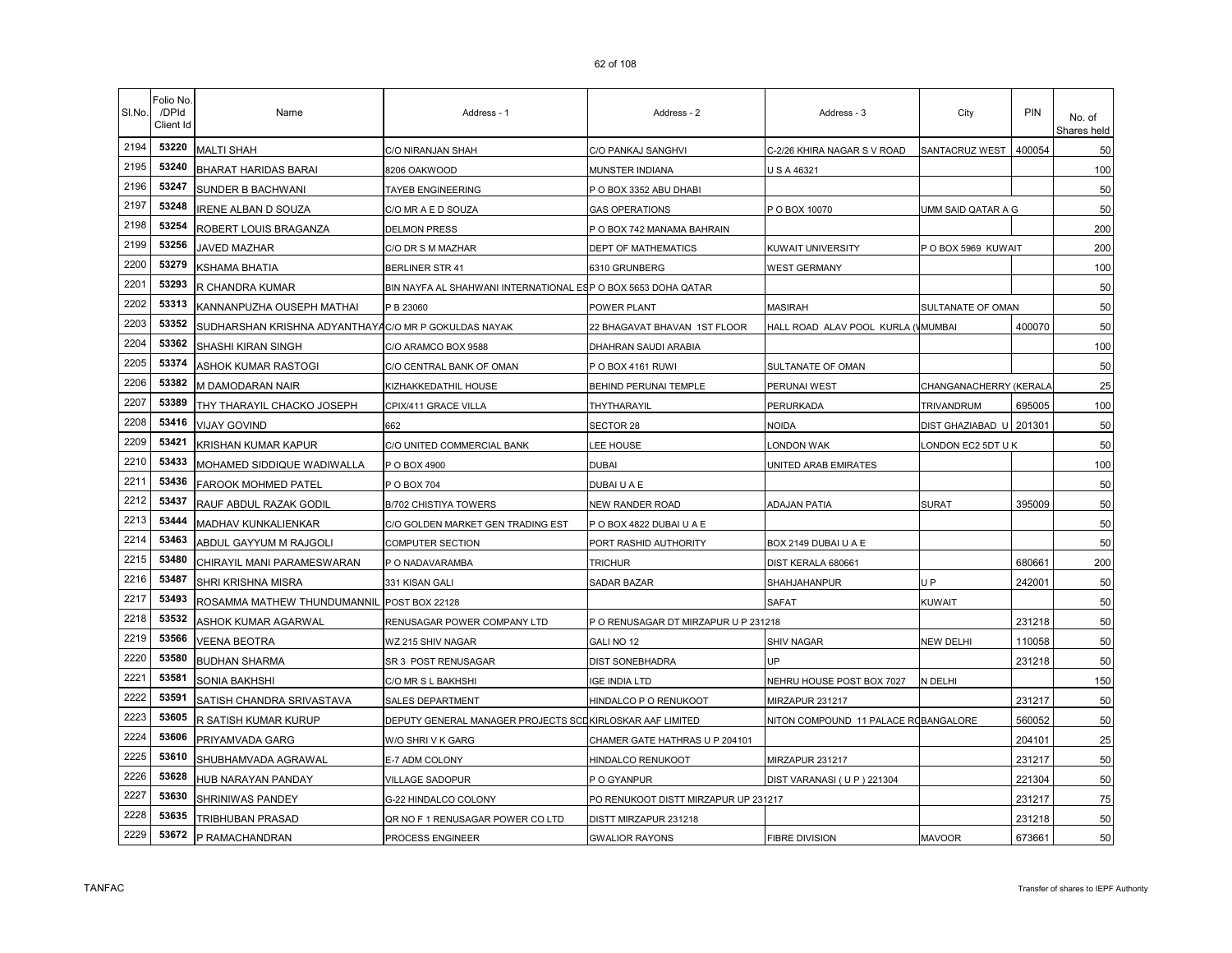|  | 62 of 108 |  |
|--|-----------|--|
|  |           |  |

| SI.No. | Folio No.<br>/DPId<br>Client Id | Name                                                 | Address - 1                                                   | Address - 2                          | Address - 3                          | City                    | <b>PIN</b> | No. of<br>Shares held |
|--------|---------------------------------|------------------------------------------------------|---------------------------------------------------------------|--------------------------------------|--------------------------------------|-------------------------|------------|-----------------------|
| 2194   | 53220                           | <b>MALTI SHAH</b>                                    | C/O NIRANJAN SHAH                                             | C/O PANKAJ SANGHVI                   | C-2/26 KHIRA NAGAR S V ROAD          | SANTACRUZ WEST          | 400054     | 50                    |
| 2195   | 53240                           | BHARAT HARIDAS BARAI                                 | 8206 OAKWOOD                                                  | MUNSTER INDIANA                      | U S A 46321                          |                         |            | 100                   |
| 2196   | 53247                           | SUNDER B BACHWANI                                    | TAYEB ENGINEERING                                             | P O BOX 3352 ABU DHABI               |                                      |                         |            | 50                    |
| 2197   | 53248                           | <b>RENE ALBAN D SOUZA</b>                            | C/O MR A E D SOUZA                                            | GAS OPERATIONS                       | P O BOX 10070                        | UMM SAID QATAR A G      |            | 50                    |
| 2198   | 53254                           | ROBERT LOUIS BRAGANZA                                | <b>DELMON PRESS</b>                                           | P O BOX 742 MANAMA BAHRAIN           |                                      |                         |            | 200                   |
| 2199   | 53256                           | JAVED MAZHAR                                         | C/O DR S M MAZHAR                                             | DEPT OF MATHEMATICS                  | KUWAIT UNIVERSITY                    | P O BOX 5969 KUWAIT     |            | 200                   |
| 2200   | 53279                           | <b>KSHAMA BHATIA</b>                                 | <b>BERLINER STR 41</b>                                        | 6310 GRUNBERG                        | <b>WEST GERMANY</b>                  |                         |            | 100                   |
| 2201   | 53293                           | R CHANDRA KUMAR                                      | BIN NAYFA AL SHAHWANI INTERNATIONAL ESP O BOX 5653 DOHA QATAR |                                      |                                      |                         |            | 50                    |
| 2202   | 53313                           | KANNANPUZHA OUSEPH MATHAI                            | P B 23060                                                     | POWER PLANT                          | <b>MASIRAH</b>                       | SULTANATE OF OMAN       |            | 50                    |
| 2203   | 53352                           | SUDHARSHAN KRISHNA ADYANTHAYAC/O MR P GOKULDAS NAYAK |                                                               | 22 BHAGAVAT BHAVAN 1ST FLOOR         | HALL ROAD ALAV POOL KURLA (VMUMBAI   |                         | 400070     | 50                    |
| 2204   | 53362                           | SHASHI KIRAN SINGH                                   | C/O ARAMCO BOX 9588                                           | DHAHRAN SAUDI ARABIA                 |                                      |                         |            | 100                   |
| 2205   | 53374                           | ASHOK KUMAR RASTOGI                                  | C/O CENTRAL BANK OF OMAN                                      | POBOX 4161 RUWI                      | SULTANATE OF OMAN                    |                         |            | 50                    |
| 2206   | 53382                           | M DAMODARAN NAIR                                     | KIZHAKKEDATHIL HOUSE                                          | BEHIND PERUNAI TEMPLE                | PERUNAI WEST                         | CHANGANACHERRY (KERALA  |            | 25                    |
| 2207   | 53389                           | THY THARAYIL CHACKO JOSEPH                           | CPIX/411 GRACE VILLA                                          | THYTHARAYIL                          | PERURKADA                            | TRIVANDRUM              | 695005     | 100                   |
| 2208   | 53416                           | <b>VIJAY GOVIND</b>                                  | 662                                                           | SECTOR 28                            | <b>NOIDA</b>                         | DIST GHAZIABAD U 201301 |            | 50                    |
| 2209   | 53421                           | KRISHAN KUMAR KAPUR                                  | C/O UNITED COMMERCIAL BANK                                    | <b>LEE HOUSE</b>                     | LONDON WAK                           | ONDON EC2 5DT U K       |            | 50                    |
| 2210   | 53433                           | MOHAMED SIDDIQUE WADIWALLA                           | P O BOX 4900                                                  | DUBAI                                | UNITED ARAB EMIRATES                 |                         |            | 100                   |
| 2211   | 53436                           | FAROOK MOHMED PATEL                                  | P O BOX 704                                                   | DUBAI U A E                          |                                      |                         |            | 50                    |
| 2212   | 53437                           | RAUF ABDUL RAZAK GODIL                               | B/702 CHISTIYA TOWERS                                         | NEW RANDER ROAD                      | ADAJAN PATIA                         | SURAT                   | 395009     | 50                    |
| 2213   | 53444                           | MADHAV KUNKALIENKAR                                  | C/O GOLDEN MARKET GEN TRADING EST                             | POBOX 4822 DUBAI U A E               |                                      |                         |            | 50                    |
| 2214   | 53463                           | ABDUL GAYYUM M RAJGOLI                               | COMPUTER SECTION                                              | PORT RASHID AUTHORITY                | BOX 2149 DUBAI U A E                 |                         |            | 50                    |
| 2215   | 53480                           | CHIRAYIL MANI PARAMESWARAN                           | P O NADAVARAMBA                                               | <b>TRICHUR</b>                       | DIST KERALA 680661                   |                         | 680661     | 200                   |
| 2216   | 53487                           | SHRI KRISHNA MISRA                                   | 331 KISAN GALI                                                | <b>SADAR BAZAR</b>                   | SHAHJAHANPUR                         | U P                     | 242001     | 50                    |
| 2217   | 53493                           | ROSAMMA MATHEW THUNDUMANNIL                          | <b>POST BOX 22128</b>                                         |                                      | <b>SAFAT</b>                         | KUWAIT                  |            | 50                    |
| 2218   | 53532                           | ASHOK KUMAR AGARWAL                                  | RENUSAGAR POWER COMPANY LTD                                   | P O RENUSAGAR DT MIRZAPUR U P 231218 |                                      |                         | 231218     | 50                    |
| 2219   | 53566                           | VEENA BEOTRA                                         | WZ 215 SHIV NAGAR                                             | GALI NO 12                           | <b>SHIV NAGAR</b>                    | NEW DELHI               | 110058     | 50                    |
| 2220   | 53580                           | <b>BUDHAN SHARMA</b>                                 | SR 3 POST RENUSAGAR                                           | DIST SONEBHADRA                      | UP                                   |                         | 231218     | 50                    |
| 2221   | 53581                           | SONIA BAKHSHI                                        | C/O MR S L BAKHSHI                                            | IGE INDIA LTD                        | NEHRU HOUSE POST BOX 7027            | N DELHI                 |            | 150                   |
| 2222   | 53591                           | SATISH CHANDRA SRIVASTAVA                            | <b>SALES DEPARTMENT</b>                                       | HINDALCO P O RENUKOOT                | MIRZAPUR 231217                      |                         | 231217     | 50                    |
| 2223   | 53605                           | R SATISH KUMAR KURUP                                 | DEPUTY GENERAL MANAGER PROJECTS SCOKIRLOSKAR AAF LIMITED      |                                      | NITON COMPOUND 11 PALACE ROBANGALORE |                         | 560052     | 50                    |
| 2224   | 53606                           | PRIYAMVADA GARG                                      | W/O SHRIVK GARG                                               | CHAMER GATE HATHRAS U P 204101       |                                      |                         | 204101     | 25                    |
| 2225   | 53610                           | SHUBHAMVADA AGRAWAL                                  | E-7 ADM COLONY                                                | HINDALCO RENUKOOT                    | MIRZAPUR 231217                      |                         | 231217     | 50                    |
| 2226   | 53628                           | HUB NARAYAN PANDAY                                   | VILLAGE SADOPUR                                               | P O GYANPUR                          | DIST VARANASI (U P) 221304           |                         | 221304     | 50                    |
| 2227   | 53630                           | SHRINIWAS PANDEY                                     | G-22 HINDALCO COLONY                                          | PO RENUKOOT DISTT MIRZAPUR UP 231217 |                                      |                         | 231217     | 75                    |
| 2228   | 53635                           | TRIBHUBAN PRASAD                                     | QR NO F 1 RENUSAGAR POWER CO LTD                              | DISTT MIRZAPUR 231218                |                                      |                         | 231218     | 50                    |
| 2229   | 53672                           | P RAMACHANDRAN                                       | <b>PROCESS ENGINEER</b>                                       | <b>GWALIOR RAYONS</b>                | <b>FIBRE DIVISION</b>                | <b>MAVOOR</b>           | 673661     | 50                    |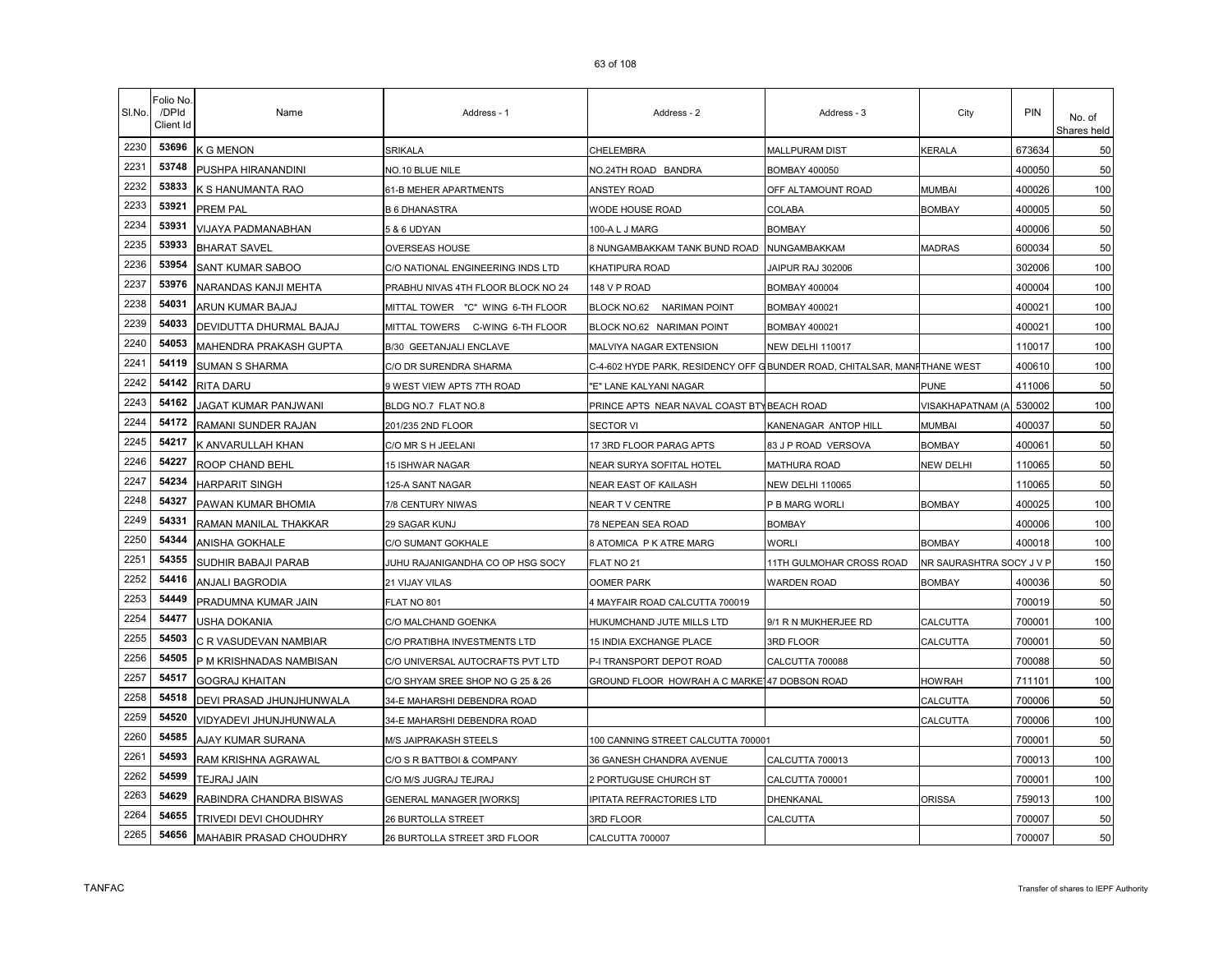| SI.No. | Folio No.<br>/DPId<br>Client Id | Name                     | Address - 1                        | Address - 2                                                               | Address - 3              | City                     | <b>PIN</b> | No. of<br>Shares held |
|--------|---------------------------------|--------------------------|------------------------------------|---------------------------------------------------------------------------|--------------------------|--------------------------|------------|-----------------------|
| 2230   | 53696                           | <b>K G MENON</b>         | SRIKALA                            | CHELEMBRA                                                                 | <b>MALLPURAM DIST</b>    | <b>KERALA</b>            | 673634     | 50                    |
| 2231   | 53748                           | PUSHPA HIRANANDINI       | NO.10 BLUE NILE                    | NO.24TH ROAD BANDRA                                                       | BOMBAY 400050            |                          | 400050     | 50                    |
| 2232   | 53833                           | K S HANUMANTA RAO        | 61-B MEHER APARTMENTS              | ANSTEY ROAD                                                               | OFF ALTAMOUNT ROAD       | Mumbai                   | 400026     | 100                   |
| 2233   | 53921                           | PREM PAL                 | <b>B 6 DHANASTRA</b>               | WODE HOUSE ROAD                                                           | COLABA                   | <b>BOMBAY</b>            | 400005     | 50                    |
| 2234   | 53931                           | VIJAYA PADMANABHAN       | 5 & 6 UDYAN                        | 100-A L J MARG                                                            | <b>BOMBAY</b>            |                          | 400006     | 50                    |
| 2235   | 53933                           | <b>BHARAT SAVEL</b>      | OVERSEAS HOUSE                     | 8 NUNGAMBAKKAM TANK BUND ROAD                                             | NUNGAMBAKKAM             | <b>MADRAS</b>            | 600034     | 50                    |
| 2236   | 53954                           | SANT KUMAR SABOO         | C/O NATIONAL ENGINEERING INDS LTD  | KHATIPURA ROAD                                                            | JAIPUR RAJ 302006        |                          | 302006     | 100                   |
| 2237   | 53976                           | NARANDAS KANJI MEHTA     | PRABHU NIVAS 4TH FLOOR BLOCK NO 24 | 148 V P ROAD                                                              | <b>BOMBAY 400004</b>     |                          | 400004     | 100                   |
| 2238   | 54031                           | ARUN KUMAR BAJAJ         | MITTAL TOWER "C" WING 6-TH FLOOR   | BLOCK NO.62 NARIMAN POINT                                                 | <b>BOMBAY 400021</b>     |                          | 400021     | 100                   |
| 2239   | 54033                           | DEVIDUTTA DHURMAL BAJAJ  | MITTAL TOWERS C-WING 6-TH FLOOR    | BLOCK NO.62 NARIMAN POINT                                                 | <b>BOMBAY 400021</b>     |                          | 400021     | 100                   |
| 2240   | 54053                           | MAHENDRA PRAKASH GUPTA   | <b>B/30 GEETANJALI ENCLAVE</b>     | MALVIYA NAGAR EXTENSION                                                   | <b>NEW DELHI 110017</b>  |                          | 110017     | 100                   |
| 2241   | 54119                           | SUMAN S SHARMA           | C/O DR SURENDRA SHARMA             | C-4-602 HYDE PARK, RESIDENCY OFF GBUNDER ROAD, CHITALSAR, MANFITHANE WEST |                          |                          | 400610     | 100                   |
| 2242   | 54142                           | <b>RITA DARU</b>         | 9 WEST VIEW APTS 7TH ROAD          | "E" LANE KALYANI NAGAR                                                    |                          | PUNE                     | 411006     | 50                    |
| 2243   | 54162                           | JAGAT KUMAR PANJWANI     | BLDG NO.7 FLAT NO.8                | PRINCE APTS NEAR NAVAL COAST BTY BEACH ROAD                               |                          | VISAKHAPATNAM (A         | 530002     | 100                   |
| 2244   | 54172                           | RAMANI SUNDER RAJAN      | 201/235 2ND FLOOR                  | SECTOR VI                                                                 | KANENAGAR ANTOP HILL     | MUMBAI                   | 400037     | 50                    |
| 2245   | 54217                           | K ANVARULLAH KHAN        | C/O MR S H JEELANI                 | 17 3RD FLOOR PARAG APTS                                                   | 83 J P ROAD VERSOVA      | <b>BOMBAY</b>            | 400061     | 50                    |
| 2246   | 54227                           | ROOP CHAND BEHL          | 15 ISHWAR NAGAR                    | NEAR SURYA SOFITAL HOTEL                                                  | <b>MATHURA ROAD</b>      | NEW DELHI                | 110065     | 50                    |
| 2247   | 54234                           | <b>HARPARIT SINGH</b>    | 125-A SANT NAGAR                   | NEAR EAST OF KAILASH                                                      | <b>NEW DELHI 110065</b>  |                          | 110065     | 50                    |
| 2248   | 54327                           | PAWAN KUMAR BHOMIA       | 7/8 CENTURY NIWAS                  | NEAR T V CENTRE                                                           | P B MARG WORLI           | BOMBAY                   | 400025     | 100                   |
| 2249   | 54331                           | RAMAN MANILAL THAKKAR    | 29 SAGAR KUNJ                      | 78 NEPEAN SEA ROAD                                                        | <b>BOMBAY</b>            |                          | 400006     | 100                   |
| 2250   | 54344                           | ANISHA GOKHALE           | C/O SUMANT GOKHALE                 | 8 ATOMICA P K ATRE MARG                                                   | <b>WORLI</b>             | <b>BOMBAY</b>            | 400018     | 100                   |
| 2251   | 54355                           | SUDHIR BABAJI PARAB      | JUHU RAJANIGANDHA CO OP HSG SOCY   | FLAT NO 21                                                                | 11TH GULMOHAR CROSS ROAD | NR SAURASHTRA SOCY J V F |            | 150                   |
| 2252   | 54416                           | ANJALI BAGRODIA          | 21 VIJAY VILAS                     | OOMER PARK                                                                | WARDEN ROAD              | <b>BOMBAY</b>            | 400036     | 50                    |
| 2253   | 54449                           | PRADUMNA KUMAR JAIN      | FLAT NO 801                        | 4 MAYFAIR ROAD CALCUTTA 700019                                            |                          |                          | 700019     | 50                    |
| 2254   | 54477                           | USHA DOKANIA             | C/O MALCHAND GOENKA                | HUKUMCHAND JUTE MILLS LTD                                                 | 9/1 R N MUKHERJEE RD     | CALCUTTA                 | 700001     | 100                   |
| 2255   | 54503                           | C R VASUDEVAN NAMBIAR    | C/O PRATIBHA INVESTMENTS LTD       | <b>15 INDIA EXCHANGE PLACE</b>                                            | 3RD FLOOR                | CALCUTTA                 | 700001     | 50                    |
| 2256   | 54505                           | P M KRISHNADAS NAMBISAN  | C/O UNIVERSAL AUTOCRAFTS PVT LTD   | P-I TRANSPORT DEPOT ROAD                                                  | CALCUTTA 700088          |                          | 700088     | 50                    |
| 2257   | 54517                           | <b>GOGRAJ KHAITAN</b>    | C/O SHYAM SREE SHOP NO G 25 & 26   | GROUND FLOOR HOWRAH A C MARKE 47 DOBSON ROAD                              |                          | <b>HOWRAH</b>            | 711101     | 100                   |
| 2258   | 54518                           | DEVI PRASAD JHUNJHUNWALA | 34-E MAHARSHI DEBENDRA ROAD        |                                                                           |                          | CALCUTTA                 | 700006     | 50                    |
| 2259   | 54520                           | VIDYADEVI JHUNJHUNWALA   | 34-E MAHARSHI DEBENDRA ROAD        |                                                                           |                          | CALCUTTA                 | 700006     | 100                   |
| 2260   | 54585                           | AJAY KUMAR SURANA        | M/S JAIPRAKASH STEELS              | 100 CANNING STREET CALCUTTA 700001                                        |                          |                          | 700001     | 50                    |
| 2261   | 54593                           | RAM KRISHNA AGRAWAL      | C/O S R BATTBOI & COMPANY          | 36 GANESH CHANDRA AVENUE                                                  | CALCUTTA 700013          |                          | 700013     | 100                   |
| 2262   | 54599                           | TEJRAJ JAIN              | C/O M/S JUGRAJ TEJRAJ              | 2 PORTUGUSE CHURCH ST                                                     | CALCUTTA 700001          |                          | 700001     | 100                   |
| 2263   | 54629                           | RABINDRA CHANDRA BISWAS  | <b>GENERAL MANAGER [WORKS]</b>     | IPITATA REFRACTORIES LTD                                                  | DHENKANAL                | ORISSA                   | 759013     | 100                   |
| 2264   | 54655                           | TRIVEDI DEVI CHOUDHRY    | 26 BURTOLLA STREET                 | 3RD FLOOR                                                                 | CALCUTTA                 |                          | 700007     | 50                    |
| 2265   | 54656                           | MAHABIR PRASAD CHOUDHRY  | 26 BURTOLLA STREET 3RD FLOOR       | CALCUTTA 700007                                                           |                          |                          | 700007     | 50                    |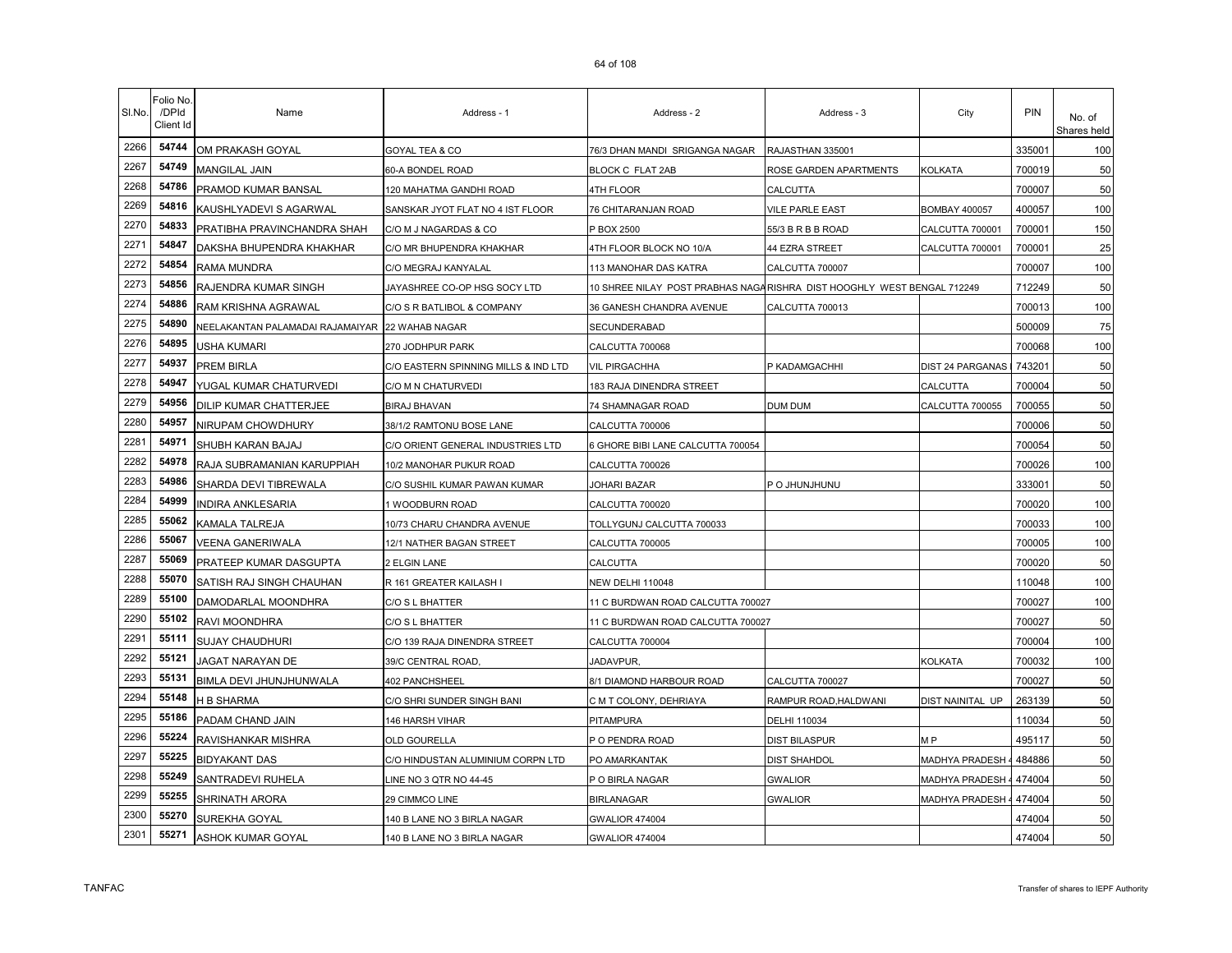| SI.No. | Folio No<br>/DPId<br>Client Id | Name                             | Address - 1                          | Address - 2                                                            | Address - 3            | City                    | <b>PIN</b> | No. of<br>Shares held |
|--------|--------------------------------|----------------------------------|--------------------------------------|------------------------------------------------------------------------|------------------------|-------------------------|------------|-----------------------|
| 2266   | 54744                          | OM PRAKASH GOYAL                 | GOYAL TEA & CO                       | 76/3 DHAN MANDI SRIGANGA NAGAR                                         | RAJASTHAN 335001       |                         | 335001     | 100                   |
| 2267   | 54749                          | MANGILAL JAIN                    | 60-A BONDEL ROAD                     | BLOCK C FLAT 2AB                                                       | ROSE GARDEN APARTMENTS | KOLKATA                 | 700019     | 50                    |
| 2268   | 54786                          | PRAMOD KUMAR BANSAL              | 120 MAHATMA GANDHI ROAD              | 4TH FLOOR                                                              | CALCUTTA               |                         | 700007     | 50                    |
| 2269   | 54816                          | KAUSHLYADEVI S AGARWAL           | SANSKAR JYOT FLAT NO 4 IST FLOOR     | 76 CHITARANJAN ROAD                                                    | <b>VILE PARLE EAST</b> | <b>BOMBAY 400057</b>    | 400057     | 100                   |
| 2270   | 54833                          | PRATIBHA PRAVINCHANDRA SHAH      | C/O M J NAGARDAS & CO                | P BOX 2500                                                             | 55/3 B R B B ROAD      | CALCUTTA 700001         | 700001     | 150                   |
| 2271   | 54847                          | DAKSHA BHUPENDRA KHAKHAR         | C/O MR BHUPENDRA KHAKHAR             | 4TH FLOOR BLOCK NO 10/A                                                | 44 EZRA STREET         | CALCUTTA 700001         | 700001     | 25                    |
| 2272   | 54854                          | RAMA MUNDRA                      | C/O MEGRAJ KANYALAL                  | 113 MANOHAR DAS KATRA                                                  | CALCUTTA 700007        |                         | 700007     | 100                   |
| 2273   | 54856                          | RAJENDRA KUMAR SINGH             | JAYASHREE CO-OP HSG SOCY LTD         | 10 SHREE NILAY POST PRABHAS NAGARISHRA DIST HOOGHLY WEST BENGAL 712249 |                        |                         | 712249     | 50                    |
| 2274   | 54886                          | RAM KRISHNA AGRAWAL              | C/O S R BATLIBOL & COMPANY           | 36 GANESH CHANDRA AVENUE                                               | CALCUTTA 700013        |                         | 700013     | 100                   |
| 2275   | 54890                          | NEELAKANTAN PALAMADAI RAJAMAIYAR | 22 WAHAB NAGAR                       | SECUNDERABAD                                                           |                        |                         | 500009     | 75                    |
| 2276   | 54895                          | USHA KUMARI                      | 270 JODHPUR PARK                     | CALCUTTA 700068                                                        |                        |                         | 700068     | 100                   |
| 2277   | 54937                          | PREM BIRLA                       | C/O EASTERN SPINNING MILLS & IND LTD | <b>VIL PIRGACHHA</b>                                                   | P KADAMGACHHI          | <b>DIST 24 PARGANAS</b> | 743201     | 50                    |
| 2278   | 54947                          | YUGAL KUMAR CHATURVEDI           | C/O M N CHATURVEDI                   | 183 RAJA DINENDRA STREET                                               |                        | CALCUTTA                | 700004     | 50                    |
| 2279   | 54956                          | DILIP KUMAR CHATTERJEE           | <b>BIRAJ BHAVAN</b>                  | 74 SHAMNAGAR ROAD                                                      | DUM DUM                | CALCUTTA 700055         | 700055     | 50                    |
| 2280   | 54957                          | NIRUPAM CHOWDHURY                | 38/1/2 RAMTONU BOSE LANE             | CALCUTTA 700006                                                        |                        |                         | 700006     | 50                    |
| 2281   | 54971                          | SHUBH KARAN BAJAJ                | C/O ORIENT GENERAL INDUSTRIES LTD    | 6 GHORE BIBI LANE CALCUTTA 700054                                      |                        |                         | 700054     | 50                    |
| 2282   | 54978                          | RAJA SUBRAMANIAN KARUPPIAH       | 10/2 MANOHAR PUKUR ROAD              | CALCUTTA 700026                                                        |                        |                         | 700026     | 100                   |
| 2283   | 54986                          | SHARDA DEVI TIBREWALA            | C/O SUSHIL KUMAR PAWAN KUMAR         | JOHARI BAZAR                                                           | P O JHUNJHUNU          |                         | 333001     | 50                    |
| 2284   | 54999                          | <b>INDIRA ANKLESARIA</b>         | 1 WOODBURN ROAD                      | CALCUTTA 700020                                                        |                        |                         | 700020     | 100                   |
| 2285   | 55062                          | KAMALA TALREJA                   | 10/73 CHARU CHANDRA AVENUE           | TOLLYGUNJ CALCUTTA 700033                                              |                        |                         | 700033     | 100                   |
| 2286   | 55067                          | VEENA GANERIWALA                 | 12/1 NATHER BAGAN STREET             | CALCUTTA 700005                                                        |                        |                         | 700005     | 100                   |
| 2287   | 55069                          | PRATEEP KUMAR DASGUPTA           | 2 ELGIN LANE                         | CALCUTTA                                                               |                        |                         | 700020     | 50                    |
| 2288   | 55070                          | SATISH RAJ SINGH CHAUHAN         | R 161 GREATER KAILASH I              | <b>NEW DELHI 110048</b>                                                |                        |                         | 110048     | 100                   |
| 2289   | 55100                          | DAMODARLAL MOONDHRA              | C/O S L BHATTER                      | 11 C BURDWAN ROAD CALCUTTA 700027                                      |                        |                         | 700027     | 100                   |
| 2290   | 55102                          | RAVI MOONDHRA                    | C/O S L BHATTER                      | 11 C BURDWAN ROAD CALCUTTA 700027                                      |                        |                         | 700027     | 50                    |
| 2291   | 55111                          | <b>SUJAY CHAUDHURI</b>           | C/O 139 RAJA DINENDRA STREET         | CALCUTTA 700004                                                        |                        |                         | 700004     | 100                   |
| 2292   | 55121                          | JAGAT NARAYAN DE                 | 39/C CENTRAL ROAD,                   | JADAVPUR,                                                              |                        | <b>KOLKATA</b>          | 700032     | 100                   |
| 2293   | 55131                          | BIMLA DEVI JHUNJHUNWALA          | 402 PANCHSHEEL                       | 8/1 DIAMOND HARBOUR ROAD                                               | CALCUTTA 700027        |                         | 700027     | 50                    |
| 2294   | 55148                          | H B SHARMA                       | C/O SHRI SUNDER SINGH BANI           | C M T COLONY, DEHRIAYA                                                 | RAMPUR ROAD, HALDWANI  | DIST NAINITAL UP        | 263139     | 50                    |
| 2295   | 55186                          | PADAM CHAND JAIN                 | 146 HARSH VIHAR                      | PITAMPURA                                                              | DELHI 110034           |                         | 110034     | 50                    |
| 2296   | 55224                          | RAVISHANKAR MISHRA               | OLD GOURELLA                         | P O PENDRA ROAD                                                        | <b>DIST BILASPUR</b>   | M <sub>P</sub>          | 495117     | 50                    |
| 2297   | 55225                          | <b>BIDYAKANT DAS</b>             | C/O HINDUSTAN ALUMINIUM CORPN LTD    | PO AMARKANTAK                                                          | <b>DIST SHAHDOL</b>    | MADHYA PRADESH          | 484886     | 50                    |
| 2298   | 55249                          | SANTRADEVI RUHELA                | INE NO 3 QTR NO 44-45                | P O BIRLA NAGAR                                                        | <b>GWALIOR</b>         | MADHYA PRADESH          | 474004     | 50                    |
| 2299   | 55255                          | SHRINATH ARORA                   | 29 CIMMCO LINE                       | BIRLANAGAR                                                             | <b>GWALIOR</b>         | MADHYA PRADESH          | 474004     | 50                    |
| 2300   | 55270                          | SUREKHA GOYAL                    | 140 B LANE NO 3 BIRLA NAGAR          | <b>GWALIOR 474004</b>                                                  |                        |                         | 474004     | 50                    |
| 2301   | 55271                          | ASHOK KUMAR GOYAL                | 140 B LANE NO 3 BIRLA NAGAR          | <b>GWALIOR 474004</b>                                                  |                        |                         | 474004     | 50                    |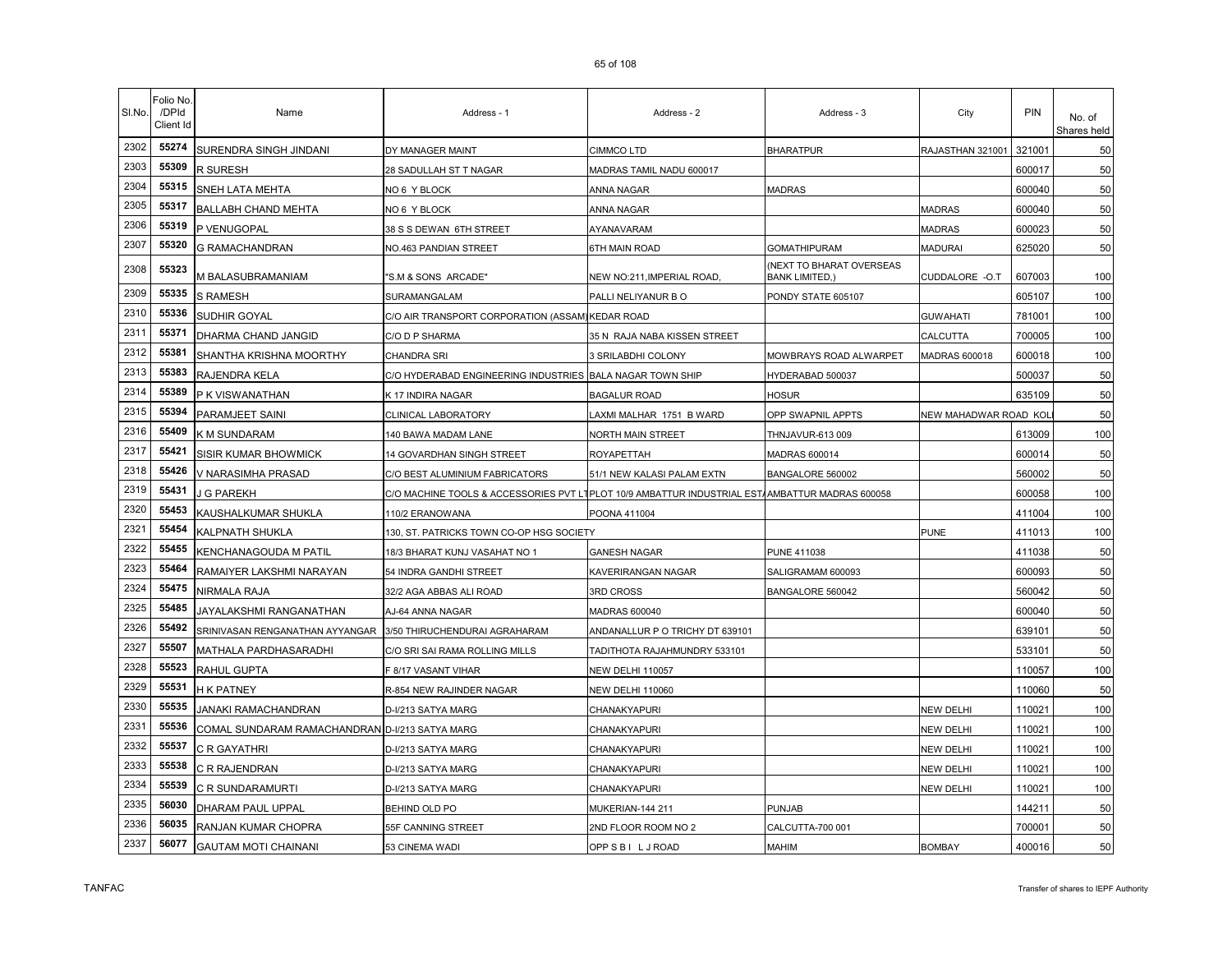| SI.No. | Folio No<br>/DPId<br>Client Id | Name                                           | Address - 1                              | Address - 2                                              | Address - 3                                             | City                  | PIN    | No. of<br>Shares held |
|--------|--------------------------------|------------------------------------------------|------------------------------------------|----------------------------------------------------------|---------------------------------------------------------|-----------------------|--------|-----------------------|
| 2302   | 55274                          | SURENDRA SINGH JINDANI                         | DY MANAGER MAINT                         | CIMMCO LTD                                               | <b>BHARATPUR</b>                                        | RAJASTHAN 321001      | 321001 | 50                    |
| 2303   | 55309                          | R SURESH                                       | 28 SADULLAH ST T NAGAR                   | MADRAS TAMIL NADU 600017                                 |                                                         |                       | 600017 | 50                    |
| 2304   | 55315                          | SNEH LATA MEHTA                                | NO 6 Y BLOCK                             | ANNA NAGAR                                               | <b>MADRAS</b>                                           |                       | 600040 | 50                    |
| 2305   | 55317                          | <b>BALLABH CHAND MEHTA</b>                     | NO 6 Y BLOCK                             | ANNA NAGAR                                               |                                                         | <b>MADRAS</b>         | 600040 | 50                    |
| 2306   | 55319                          | P VENUGOPAL                                    | 38 S S DEWAN 6TH STREET                  | AYANAVARAM                                               |                                                         | <b>MADRAS</b>         | 600023 | 50                    |
| 2307   | 55320                          | <b>G RAMACHANDRAN</b>                          | NO.463 PANDIAN STREET                    | 6TH MAIN ROAD                                            | <b>GOMATHIPURAM</b>                                     | <b>MADURAI</b>        | 625020 | 50                    |
| 2308   | 55323                          | M BALASUBRAMANIAM                              | "S.M & SONS ARCADE"                      | NEW NO:211,IMPERIAL ROAD.                                | <b>NEXT TO BHARAT OVERSEAS</b><br><b>BANK LIMITED,)</b> | CUDDALORE -O.T        | 607003 | 100                   |
| 2309   | 55335                          | <b>S RAMESH</b>                                | SURAMANGALAM                             | PALLI NELIYANUR BO                                       | PONDY STATE 605107                                      |                       | 605107 | 100                   |
| 2310   | 55336                          | SUDHIR GOYAL                                   | C/O AIR TRANSPORT CORPORATION (ASSAM)    | <b>KEDAR ROAD</b>                                        |                                                         | <b>GUWAHATI</b>       | 781001 | 100                   |
| 2311   | 55371                          | DHARMA CHAND JANGID                            | C/O D P SHARMA                           | 35 N RAJA NABA KISSEN STREET                             |                                                         | CALCUTTA              | 700005 | 100                   |
| 2312   | 55381                          | SHANTHA KRISHNA MOORTHY                        | CHANDRA SRI                              | 3 SRILABDHI COLONY                                       | MOWBRAYS ROAD ALWARPET                                  | MADRAS 600018         | 600018 | 100                   |
| 2313   | 55383                          | RAJENDRA KELA                                  | C/O HYDERABAD ENGINEERING INDUSTRIES     | <b>BALA NAGAR TOWN SHIP</b>                              | HYDERABAD 500037                                        |                       | 500037 | 50                    |
| 2314   | 55389                          | P K VISWANATHAN                                | K 17 INDIRA NAGAR                        | <b>BAGALUR ROAD</b>                                      | HOSUR                                                   |                       | 635109 | 50                    |
| 2315   | 55394                          | PARAMJEET SAINI                                | CLINICAL LABORATORY                      | LAXMI MALHAR 1751 B WARD                                 | OPP SWAPNIL APPTS                                       | NEW MAHADWAR ROAD KOI |        | 50                    |
| 2316   | 55409                          | K M SUNDARAM                                   | 140 BAWA MADAM LANE                      | NORTH MAIN STREET                                        | THNJAVUR-613 009                                        |                       | 613009 | 100                   |
| 2317   | 55421                          | SISIR KUMAR BHOWMICK                           | 14 GOVARDHAN SINGH STREET                | ROYAPETTAH                                               | MADRAS 600014                                           |                       | 600014 | 50                    |
| 2318   | 55426                          | V NARASIMHA PRASAD                             | C/O BEST ALUMINIUM FABRICATORS           | 51/1 NEW KALASI PALAM EXTN                               | BANGALORE 560002                                        |                       | 560002 | 50                    |
| 2319   | 55431                          | <b>G PAREKH</b>                                | C/O MACHINE TOOLS & ACCESSORIES PVT LT   | PLOT 10/9 AMBATTUR INDUSTRIAL EST/AMBATTUR MADRAS 600058 |                                                         |                       | 600058 | 100                   |
| 2320   | 55453                          | KAUSHALKUMAR SHUKLA                            | 110/2 ERANOWANA                          | POONA 411004                                             |                                                         |                       | 411004 | 100                   |
| 2321   | 55454                          | KALPNATH SHUKLA                                | 130, ST. PATRICKS TOWN CO-OP HSG SOCIETY |                                                          |                                                         | <b>PUNE</b>           | 411013 | 100                   |
| 2322   | 55455                          | KENCHANAGOUDA M PATIL                          | 18/3 BHARAT KUNJ VASAHAT NO 1            | GANESH NAGAR                                             | PUNE 411038                                             |                       | 411038 | 50                    |
| 2323   | 55464                          | RAMAIYER LAKSHMI NARAYAN                       | 54 INDRA GANDHI STREET                   | KAVERIRANGAN NAGAR                                       | SALIGRAMAM 600093                                       |                       | 600093 | 50                    |
| 2324   | 55475                          | NIRMALA RAJA                                   | 32/2 AGA ABBAS ALI ROAD                  | 3RD CROSS                                                | BANGALORE 560042                                        |                       | 560042 | 50                    |
| 2325   | 55485                          | JAYALAKSHMI RANGANATHAN                        | AJ-64 ANNA NAGAR                         | MADRAS 600040                                            |                                                         |                       | 600040 | 50                    |
| 2326   | 55492                          | SRINIVASAN RENGANATHAN AYYANGAR                | 3/50 THIRUCHENDURAI AGRAHARAM            | ANDANALLUR P O TRICHY DT 639101                          |                                                         |                       | 639101 | 50                    |
| 2327   | 55507                          | MATHALA PARDHASARADHI                          | C/O SRI SAI RAMA ROLLING MILLS           | TADITHOTA RAJAHMUNDRY 533101                             |                                                         |                       | 533101 | 50                    |
| 2328   | 55523                          | RAHUL GUPTA                                    | F 8/17 VASANT VIHAR                      | NEW DELHI 110057                                         |                                                         |                       | 110057 | 100                   |
| 2329   | 55531                          | H K PATNEY                                     | R-854 NEW RAJINDER NAGAR                 | <b>NEW DELHI 110060</b>                                  |                                                         |                       | 110060 | 50                    |
| 2330   | 55535                          | JANAKI RAMACHANDRAN                            | D-I/213 SATYA MARG                       | CHANAKYAPURI                                             |                                                         | <b>NEW DELHI</b>      | 110021 | 100                   |
| 2331   | 55536                          | COMAL SUNDARAM RAMACHANDRAN D-I/213 SATYA MARG |                                          | CHANAKYAPURI                                             |                                                         | <b>NEW DELHI</b>      | 110021 | 100                   |
| 2332   | 55537                          | C R GAYATHRI                                   | D-I/213 SATYA MARG                       | <b>CHANAKYAPURI</b>                                      |                                                         | <b>NEW DELHI</b>      | 110021 | 100                   |
| 2333   | 55538                          | C R RAJENDRAN                                  | D-I/213 SATYA MARG                       | CHANAKYAPURI                                             |                                                         | <b>NEW DELHI</b>      | 110021 | 100                   |
| 2334   | 55539                          | C R SUNDARAMURTI                               | D-I/213 SATYA MARG                       | CHANAKYAPURI                                             |                                                         | <b>NEW DELHI</b>      | 110021 | 100                   |
| 2335   | 56030                          | DHARAM PAUL UPPAL                              | BEHIND OLD PO                            | MUKERIAN-144 211                                         | PUNJAB                                                  |                       | 144211 | 50                    |
| 2336   | 56035                          | RANJAN KUMAR CHOPRA                            | 55F CANNING STREET                       | 2ND FLOOR ROOM NO 2                                      | CALCUTTA-700 001                                        |                       | 700001 | 50                    |
| 2337   | 56077                          | <b>GAUTAM MOTI CHAINANI</b>                    | 53 CINEMA WADI                           | OPP SBILJROAD                                            | MAHIM                                                   | <b>BOMBAY</b>         | 400016 | 50                    |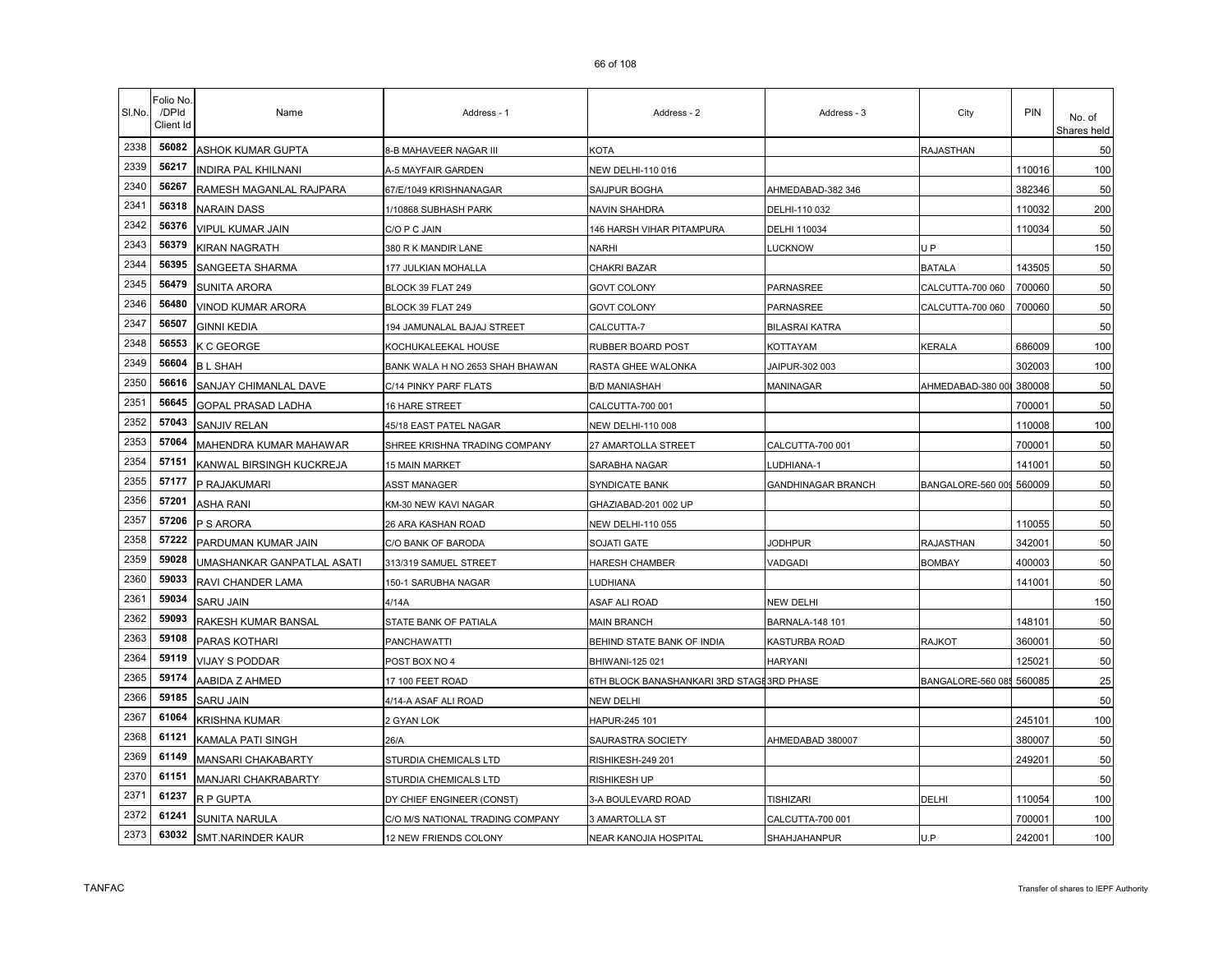| SI.No. | Folio No.<br>/DPId<br>Client Id | Name                       | Address - 1                      | Address - 2                               | Address - 3               | City              | <b>PIN</b> | No. of<br>Shares held |
|--------|---------------------------------|----------------------------|----------------------------------|-------------------------------------------|---------------------------|-------------------|------------|-----------------------|
| 2338   | 56082                           | ASHOK KUMAR GUPTA          | 8-B MAHAVEER NAGAR III           | KOTA                                      |                           | RAJASTHAN         |            | 50                    |
| 2339   | 56217                           | INDIRA PAL KHILNANI        | A-5 MAYFAIR GARDEN               | NEW DELHI-110 016                         |                           |                   | 110016     | 100                   |
| 2340   | 56267                           | RAMESH MAGANLAL RAJPARA    | 67/E/1049 KRISHNANAGAR           | SAIJPUR BOGHA                             | AHMEDABAD-382 346         |                   | 382346     | 50                    |
| 2341   | 56318                           | <b>NARAIN DASS</b>         | 1/10868 SUBHASH PARK             | NAVIN SHAHDRA                             | DELHI-110 032             |                   | 110032     | 200                   |
| 2342   | 56376                           | VIPUL KUMAR JAIN           | C/O P C JAIN                     | 146 HARSH VIHAR PITAMPURA                 | DELHI 110034              |                   | 110034     | 50                    |
| 2343   | 56379                           | KIRAN NAGRATH              | 380 R K MANDIR LANE              | NARHI                                     | <b>LUCKNOW</b>            | U P               |            | 150                   |
| 2344   | 56395                           | SANGEETA SHARMA            | 177 JULKIAN MOHALLA              | CHAKRI BAZAR                              |                           | <b>BATALA</b>     | 143505     | 50                    |
| 2345   | 56479                           | SUNITA ARORA               | BLOCK 39 FLAT 249                | GOVT COLONY                               | PARNASREE                 | CALCUTTA-700 060  | 700060     | 50                    |
| 2346   | 56480                           | VINOD KUMAR ARORA          | BLOCK 39 FLAT 249                | <b>GOVT COLONY</b>                        | PARNASREE                 | CALCUTTA-700 060  | 700060     | 50                    |
| 2347   | 56507                           | <b>GINNI KEDIA</b>         | 194 JAMUNALAL BAJAJ STREET       | CALCUTTA-7                                | <b>BILASRAI KATRA</b>     |                   |            | 50                    |
| 2348   | 56553                           | K C GEORGE                 | KOCHUKALEEKAL HOUSE              | RUBBER BOARD POST                         | KOTTAYAM                  | <b>KERALA</b>     | 686009     | 100                   |
| 2349   | 56604                           | <b>BL SHAH</b>             | BANK WALA H NO 2653 SHAH BHAWAN  | RASTA GHEE WALONKA                        | JAIPUR-302 003            |                   | 302003     | 100                   |
| 2350   | 56616                           | SANJAY CHIMANLAL DAVE      | C/14 PINKY PARF FLATS            | <b>B/D MANIASHAH</b>                      | MANINAGAR                 | AHMEDABAD-380 008 | 380008     | 50                    |
| 2351   | 56645                           | <b>GOPAL PRASAD LADHA</b>  | 16 HARE STREET                   | CALCUTTA-700 001                          |                           |                   | 700001     | 50                    |
| 2352   | 57043                           | SANJIV RELAN               | 45/18 EAST PATEL NAGAR           | NEW DELHI-110 008                         |                           |                   | 110008     | 100                   |
| 2353   | 57064                           | MAHENDRA KUMAR MAHAWAR     | SHREE KRISHNA TRADING COMPANY    | 27 AMARTOLLA STREET                       | CALCUTTA-700 001          |                   | 700001     | 50                    |
| 2354   | 57151                           | KANWAL BIRSINGH KUCKREJA   | <b>15 MAIN MARKET</b>            | SARABHA NAGAR                             | <b>LUDHIANA-1</b>         |                   | 141001     | 50                    |
| 2355   | 57177                           | P RAJAKUMARI               | <b>ASST MANAGER</b>              | <b>SYNDICATE BANK</b>                     | <b>GANDHINAGAR BRANCH</b> | BANGALORE-560 009 | 560009     | 50                    |
| 2356   | 57201                           | ASHA RANI                  | KM-30 NEW KAVI NAGAR             | GHAZIABAD-201 002 UP                      |                           |                   |            | 50                    |
| 2357   | 57206                           | P S ARORA                  | 26 ARA KASHAN ROAD               | <b>NEW DELHI-110 055</b>                  |                           |                   | 110055     | 50                    |
| 2358   | 57222                           | PARDUMAN KUMAR JAIN        | C/O BANK OF BARODA               | SOJATI GATE                               | <b>JODHPUR</b>            | RAJASTHAN         | 342001     | 50                    |
| 2359   | 59028                           | UMASHANKAR GANPATLAL ASATI | 313/319 SAMUEL STREET            | HARESH CHAMBER                            | VADGADI                   | <b>BOMBAY</b>     | 400003     | 50                    |
| 2360   | 59033                           | RAVI CHANDER LAMA          | 150-1 SARUBHA NAGAR              | LUDHIANA                                  |                           |                   | 141001     | 50                    |
| 2361   | 59034                           | SARU JAIN                  | 4/14A                            | ASAF ALI ROAD                             | NEW DELHI                 |                   |            | 150                   |
| 2362   | 59093                           | RAKESH KUMAR BANSAL        | STATE BANK OF PATIALA            | <b>MAIN BRANCH</b>                        | <b>BARNALA-148 101</b>    |                   | 148101     | 50                    |
| 2363   | 59108                           | PARAS KOTHARI              | PANCHAWATTI                      | BEHIND STATE BANK OF INDIA                | KASTURBA ROAD             | RAJKOT            | 360001     | 50                    |
| 2364   | 59119                           | VIJAY S PODDAR             | POST BOX NO 4                    | BHIWANI-125 021                           | <b>HARYANI</b>            |                   | 125021     | 50                    |
| 2365   | 59174                           | AABIDA Z AHMED             | 17 100 FEET ROAD                 | 6TH BLOCK BANASHANKARI 3RD STAGE3RD PHASE |                           | BANGALORE-560 08  | 560085     | 25                    |
| 2366   | 59185                           | <b>SARU JAIN</b>           | 4/14-A ASAF ALI ROAD             | NEW DELHI                                 |                           |                   |            | 50                    |
| 2367   | 61064                           | <b>KRISHNA KUMAR</b>       | 2 GYAN LOK                       | HAPUR-245 101                             |                           |                   | 245101     | 100                   |
| 2368   | 61121                           | KAMALA PATI SINGH          | 26/A                             | SAURASTRA SOCIETY                         | AHMEDABAD 380007          |                   | 380007     | 50                    |
| 2369   | 61149                           | MANSARI CHAKABARTY         | STURDIA CHEMICALS LTD            | RISHIKESH-249 201                         |                           |                   | 249201     | 50                    |
| 2370   | 61151                           | MANJARI CHAKRABARTY        | STURDIA CHEMICALS LTD            | RISHIKESH UP                              |                           |                   |            | 50                    |
| 2371   | 61237                           | R P GUPTA                  | DY CHIEF ENGINEER (CONST)        | 3-A BOULEVARD ROAD                        | <b>TISHIZARI</b>          | DELHI             | 110054     | 100                   |
| 2372   | 61241                           | SUNITA NARULA              | C/O M/S NATIONAL TRADING COMPANY | 3 AMARTOLLA ST                            | CALCUTTA-700 001          |                   | 700001     | 100                   |
| 2373   | 63032                           | SMT.NARINDER KAUR          | 12 NEW FRIENDS COLONY            | NEAR KANOJIA HOSPITAL                     | SHAHJAHANPUR              | U.P               | 242001     | 100                   |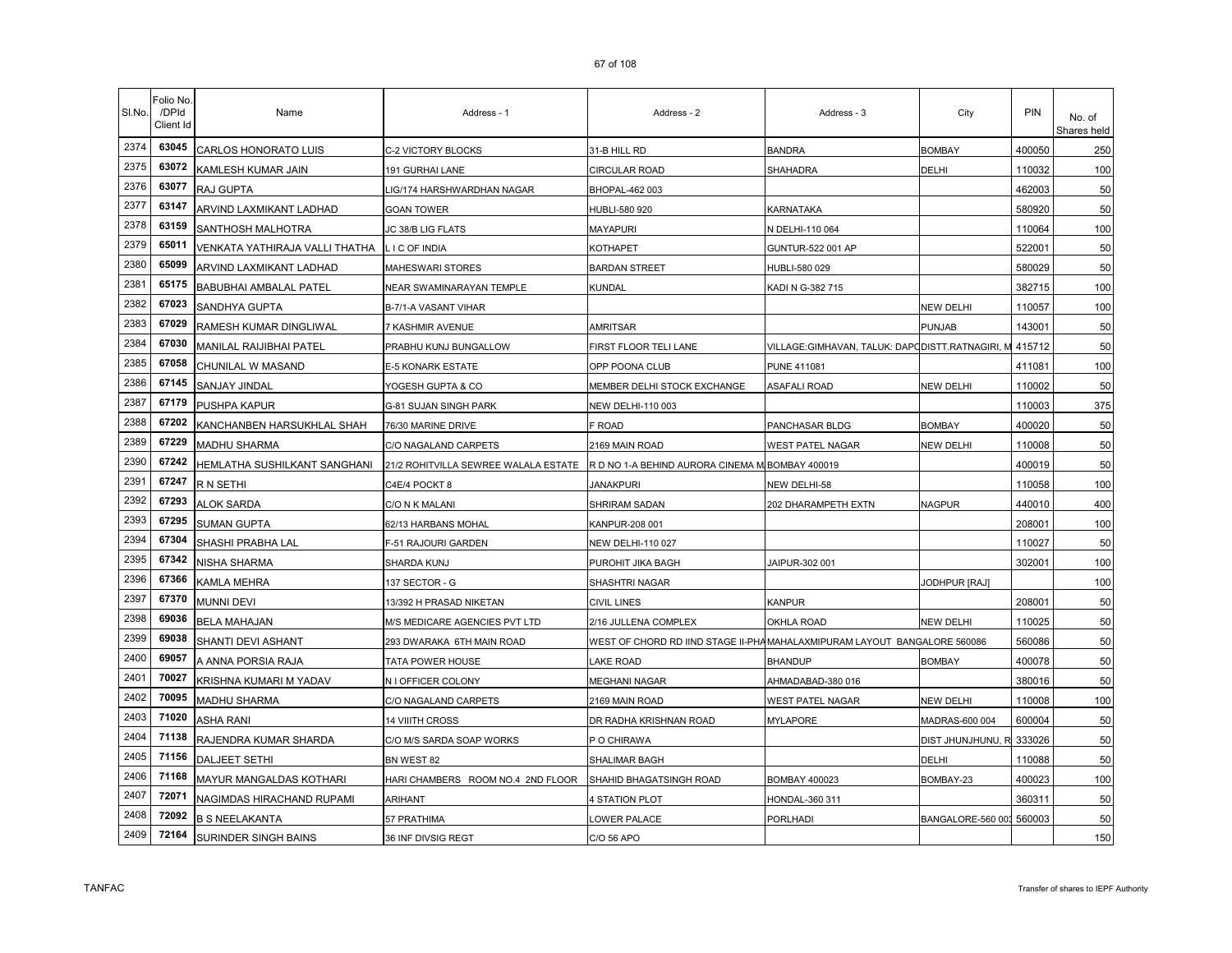| SI.No. | Folio No<br>/DPId<br>Client Id | Name                           | Address - 1                          | Address - 2                                                              | Address - 3                                     | City                     | PIN    | No. of<br>Shares held |
|--------|--------------------------------|--------------------------------|--------------------------------------|--------------------------------------------------------------------------|-------------------------------------------------|--------------------------|--------|-----------------------|
| 2374   | 63045                          | CARLOS HONORATO LUIS           | C-2 VICTORY BLOCKS                   | 31-B HILL RD                                                             | <b>BANDRA</b>                                   | <b>BOMBAY</b>            | 400050 | 250                   |
| 2375   | 63072                          | KAMLESH KUMAR JAIN             | 191 GURHAI LANE                      | CIRCULAR ROAD                                                            | SHAHADRA                                        | DELHI                    | 110032 | 100                   |
| 2376   | 63077                          | RAJ GUPTA                      | IG/174 HARSHWARDHAN NAGAR            | BHOPAL-462 003                                                           |                                                 |                          | 462003 | 50                    |
| 2377   | 63147                          | ARVIND LAXMIKANT LADHAD        | <b>GOAN TOWER</b>                    | HUBLI-580 920                                                            | KARNATAKA                                       |                          | 580920 | 50                    |
| 2378   | 63159                          | SANTHOSH MALHOTRA              | JC 38/B LIG FLATS                    | MAYAPURI                                                                 | N DELHI-110 064                                 |                          | 110064 | 100                   |
| 2379   | 65011                          | VENKATA YATHIRAJA VALLI THATHA | LIC OF INDIA                         | KOTHAPET                                                                 | GUNTUR-522 001 AP                               |                          | 522001 | 50                    |
| 2380   | 65099                          | ARVIND LAXMIKANT LADHAD        | MAHESWARI STORES                     | <b>BARDAN STREET</b>                                                     | HUBLI-580 029                                   |                          | 580029 | 50                    |
| 2381   | 65175                          | <b>BABUBHAI AMBALAL PATEL</b>  | NEAR SWAMINARAYAN TEMPLE             | KUNDAL                                                                   | KADI N G-382 715                                |                          | 382715 | 100                   |
| 2382   | 67023                          | SANDHYA GUPTA                  | B-7/1-A VASANT VIHAR                 |                                                                          |                                                 | <b>NEW DELHI</b>         | 110057 | 100                   |
| 2383   | 67029                          | RAMESH KUMAR DINGLIWAL         | 7 KASHMIR AVENUE                     | <b>AMRITSAR</b>                                                          |                                                 | PUNJAB                   | 143001 | 50                    |
| 2384   | 67030                          | <b>MANILAL RAIJIBHAI PATEL</b> | PRABHU KUNJ BUNGALLOW                | FIRST FLOOR TELI LANE                                                    | VILLAGE:GIMHAVAN, TALUK: DAPODISTT.RATNAGIRI, M |                          | 415712 | 50                    |
| 2385   | 67058                          | CHUNILAL W MASAND              | E-5 KONARK ESTATE                    | OPP POONA CLUB                                                           | PUNE 411081                                     |                          | 411081 | 100                   |
| 2386   | 67145                          | SANJAY JINDAL                  | YOGESH GUPTA & CO                    | MEMBER DELHI STOCK EXCHANGE                                              | <b>ASAFALI ROAD</b>                             | <b>NEW DELHI</b>         | 110002 | 50                    |
| 2387   | 67179                          | PUSHPA KAPUR                   | G-81 SUJAN SINGH PARK                | NEW DELHI-110 003                                                        |                                                 |                          | 110003 | 375                   |
| 2388   | 67202                          | KANCHANBEN HARSUKHLAL SHAH     | 76/30 MARINE DRIVE                   | F ROAD                                                                   | PANCHASAR BLDG                                  | <b>BOMBAY</b>            | 400020 | 50                    |
| 2389   | 67229                          | <b>MADHU SHARMA</b>            | C/O NAGALAND CARPETS                 | 2169 MAIN ROAD                                                           | <b>WEST PATEL NAGAR</b>                         | <b>NEW DELHI</b>         | 110008 | 50                    |
| 2390   | 67242                          | HEMLATHA SUSHILKANT SANGHANI   | 21/2 ROHITVILLA SEWREE WALALA ESTATE | R D NO 1-A BEHIND AURORA CINEMA M BOMBAY 400019                          |                                                 |                          | 400019 | 50                    |
| 2391   | 67247                          | R N SETHI                      | C4E/4 POCKT 8                        | <b>JANAKPURI</b>                                                         | NEW DELHI-58                                    |                          | 110058 | 100                   |
| 2392   | 67293                          | <b>ALOK SARDA</b>              | C/O N K MALANI                       | SHRIRAM SADAN                                                            | 202 DHARAMPETH EXTN                             | <b>NAGPUR</b>            | 440010 | 400                   |
| 2393   | 67295                          | <b>SUMAN GUPTA</b>             | 62/13 HARBANS MOHAL                  | KANPUR-208 001                                                           |                                                 |                          | 208001 | 100                   |
| 2394   | 67304                          | SHASHI PRABHA LAL              | F-51 RAJOURI GARDEN                  | <b>NEW DELHI-110 027</b>                                                 |                                                 |                          | 110027 | 50                    |
| 2395   | 67342                          | NISHA SHARMA                   | SHARDA KUNJ                          | PUROHIT JIKA BAGH                                                        | JAIPUR-302 001                                  |                          | 302001 | 100                   |
| 2396   | 67366                          | KAMLA MEHRA                    | 137 SECTOR - G                       | SHASHTRI NAGAR                                                           |                                                 | JODHPUR [RAJ]            |        | 100                   |
| 2397   | 67370                          | <b>MUNNI DEVI</b>              | 13/392 H PRASAD NIKETAN              | <b>CIVIL LINES</b>                                                       | KANPUR                                          |                          | 208001 | 50                    |
| 2398   | 69036                          | <b>BELA MAHAJAN</b>            | M/S MEDICARE AGENCIES PVT LTD        | 2/16 JULLENA COMPLEX                                                     | OKHLA ROAD                                      | NEW DELHI                | 110025 | 50                    |
| 2399   | 69038                          | SHANTI DEVI ASHANT             | 293 DWARAKA 6TH MAIN ROAD            | WEST OF CHORD RD IIND STAGE II-PHAMAHALAXMIPURAM LAYOUT BANGALORE 560086 |                                                 |                          | 560086 | 50                    |
| 2400   | 69057                          | A ANNA PORSIA RAJA             | TATA POWER HOUSE                     | LAKE ROAD                                                                | <b>BHANDUP</b>                                  | <b>BOMBAY</b>            | 400078 | 50                    |
| 2401   | 70027                          | KRISHNA KUMARI M YADAV         | N I OFFICER COLONY                   | <b>MEGHANI NAGAR</b>                                                     | AHMADABAD-380 016                               |                          | 380016 | 50                    |
| 2402   | 70095                          | <b>MADHU SHARMA</b>            | C/O NAGALAND CARPETS                 | 2169 MAIN ROAD                                                           | <b>WEST PATEL NAGAR</b>                         | <b>NEW DELHI</b>         | 110008 | 100                   |
| 2403   | 71020                          | <b>ASHA RANI</b>               | <b>14 VIIITH CROSS</b>               | DR RADHA KRISHNAN ROAD                                                   | <b>MYLAPORE</b>                                 | MADRAS-600 004           | 600004 | 50                    |
| 2404   | 71138                          | RAJENDRA KUMAR SHARDA          | C/O M/S SARDA SOAP WORKS             | P O CHIRAWA                                                              |                                                 | DIST JHUNJHUNU, R        | 333026 | 50                    |
| 2405   | 71156                          | <b>DALJEET SETHI</b>           | BN WEST 82                           | SHALIMAR BAGH                                                            |                                                 | DELHI                    | 110088 | 50                    |
| 2406   | 71168                          | MAYUR MANGALDAS KOTHARI        | HARI CHAMBERS ROOM NO.4 2ND FLOOR    | SHAHID BHAGATSINGH ROAD                                                  | <b>BOMBAY 400023</b>                            | BOMBAY-23                | 400023 | 100                   |
| 2407   | 72071                          | NAGIMDAS HIRACHAND RUPAMI      | <b>ARIHANT</b>                       | 4 STATION PLOT                                                           | HONDAL-360 311                                  |                          | 360311 | 50                    |
| 2408   | 72092                          | <b>B S NEELAKANTA</b>          | 57 PRATHIMA                          | OWER PALACE                                                              | PORLHADI                                        | BANGALORE-560 003 560003 |        | 50                    |
| 2409   | 72164                          | <b>SURINDER SINGH BAINS</b>    | 36 INF DIVSIG REGT                   | C/O 56 APO                                                               |                                                 |                          |        | 150                   |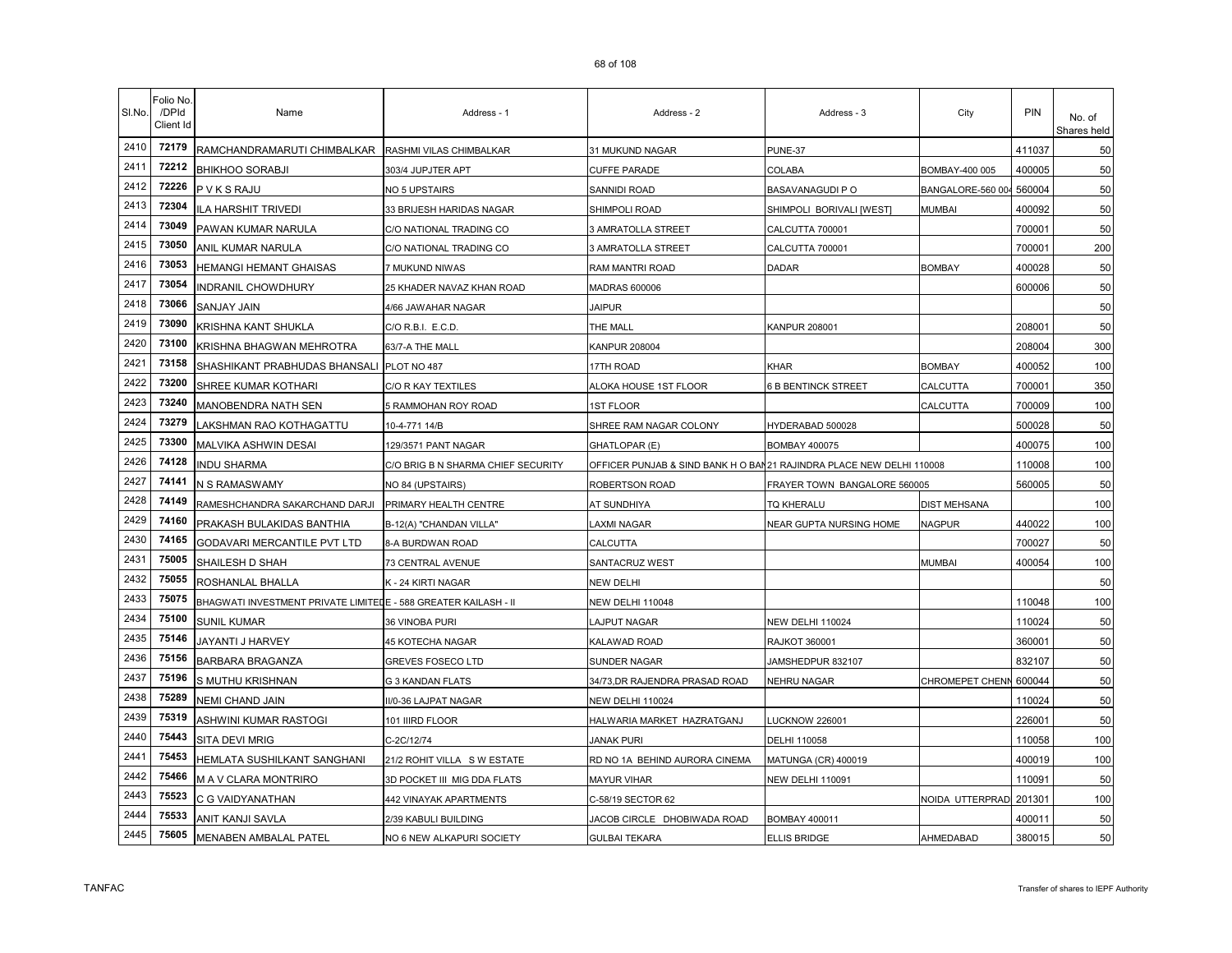| SI.No. | Folio No<br>/DPId<br>Client Id | Name                                                            | Address - 1                        | Address - 2                                                          | Address - 3                  | City                   | PIN    | No. of<br>Shares held |
|--------|--------------------------------|-----------------------------------------------------------------|------------------------------------|----------------------------------------------------------------------|------------------------------|------------------------|--------|-----------------------|
| 2410   | 72179                          | RAMCHANDRAMARUTI CHIMBALKAR                                     | RASHMI VILAS CHIMBALKAR            | 31 MUKUND NAGAR                                                      | PUNE-37                      |                        | 411037 | 50                    |
| 2411   | 72212                          | <b>BHIKHOO SORABJI</b>                                          | 303/4 JUPJTER APT                  | CUFFE PARADE                                                         | COLABA                       | BOMBAY-400 005         | 400005 | 50                    |
| 2412   | 72226                          | <b>PVKSRAJU</b>                                                 | NO 5 UPSTAIRS                      | SANNIDI ROAD                                                         | BASAVANAGUDI P O             | BANGALORE-560 004      | 560004 | 50                    |
| 2413   | 72304                          | <b>ILA HARSHIT TRIVEDI</b>                                      | 33 BRIJESH HARIDAS NAGAR           | SHIMPOLI ROAD                                                        | SHIMPOLI BORIVALI [WEST]     | MUMBAI                 | 400092 | 50                    |
| 2414   | 73049                          | PAWAN KUMAR NARULA                                              | C/O NATIONAL TRADING CO            | 3 AMRATOLLA STREET                                                   | CALCUTTA 700001              |                        | 700001 | 50                    |
| 2415   | 73050                          | ANIL KUMAR NARULA                                               | C/O NATIONAL TRADING CO            | 3 AMRATOLLA STREET                                                   | CALCUTTA 700001              |                        | 700001 | 200                   |
| 2416   | 73053                          | HEMANGI HEMANT GHAISAS                                          | 7 MUKUND NIWAS                     | RAM MANTRI ROAD                                                      | DADAR                        | <b>BOMBAY</b>          | 400028 | 50                    |
| 2417   | 73054                          | <b>INDRANIL CHOWDHURY</b>                                       | 25 KHADER NAVAZ KHAN ROAD          | MADRAS 600006                                                        |                              |                        | 600006 | 50                    |
| 2418   | 73066                          | SANJAY JAIN                                                     | 4/66 JAWAHAR NAGAR                 | <b>JAIPUR</b>                                                        |                              |                        |        | 50                    |
| 2419   | 73090                          | KRISHNA KANT SHUKLA                                             | C/O R.B.I. E.C.D.                  | THE MALL                                                             | <b>KANPUR 208001</b>         |                        | 208001 | 50                    |
| 2420   | 73100                          | KRISHNA BHAGWAN MEHROTRA                                        | 63/7-A THE MALL                    | KANPUR 208004                                                        |                              |                        | 208004 | 300                   |
| 2421   | 73158                          | SHASHIKANT PRABHUDAS BHANSALI PLOT NO 487                       |                                    | 17TH ROAD                                                            | KHAR                         | <b>BOMBAY</b>          | 400052 | 100                   |
| 2422   | 73200                          | SHREE KUMAR KOTHARI                                             | C/O R KAY TEXTILES                 | ALOKA HOUSE 1ST FLOOR                                                | <b>6 B BENTINCK STREET</b>   | CALCUTTA               | 700001 | 350                   |
| 2423   | 73240                          | MANOBENDRA NATH SEN                                             | 5 RAMMOHAN ROY ROAD                | <b>1ST FLOOR</b>                                                     |                              | CALCUTTA               | 700009 | 100                   |
| 2424   | 73279                          | LAKSHMAN RAO KOTHAGATTU                                         | 10-4-771 14/B                      | SHREE RAM NAGAR COLONY                                               | HYDERABAD 500028             |                        | 500028 | 50                    |
| 2425   | 73300                          | MALVIKA ASHWIN DESAI                                            | 129/3571 PANT NAGAR                | GHATLOPAR (E)                                                        | <b>BOMBAY 400075</b>         |                        | 400075 | 100                   |
| 2426   | 74128                          | <b>INDU SHARMA</b>                                              | C/O BRIG B N SHARMA CHIEF SECURITY | OFFICER PUNJAB & SIND BANK H O BAN21 RAJINDRA PLACE NEW DELHI 110008 |                              |                        | 110008 | 100                   |
| 2427   | 74141                          | N S RAMASWAMY                                                   | NO 84 (UPSTAIRS)                   | ROBERTSON ROAD                                                       | FRAYER TOWN BANGALORE 560005 |                        | 560005 | 50                    |
| 2428   | 74149                          | RAMESHCHANDRA SAKARCHAND DARJI                                  | PRIMARY HEALTH CENTRE              | AT SUNDHIYA                                                          | TQ KHERALU                   | DIST MEHSANA           |        | 100                   |
| 2429   | 74160                          | PRAKASH BULAKIDAS BANTHIA                                       | B-12(A) "CHANDAN VILLA"            | AXMI NAGAR                                                           | NEAR GUPTA NURSING HOME      | <b>NAGPUR</b>          | 440022 | 100                   |
| 2430   | 74165                          | GODAVARI MERCANTILE PVT LTD                                     | 8-A BURDWAN ROAD                   | CALCUTTA                                                             |                              |                        | 700027 | 50                    |
| 2431   | 75005                          | SHAILESH D SHAH                                                 | 73 CENTRAL AVENUE                  | SANTACRUZ WEST                                                       |                              | <b>MUMBAI</b>          | 400054 | 100                   |
| 2432   | 75055                          | ROSHANLAL BHALLA                                                | K - 24 KIRTI NAGAR                 | NEW DELHI                                                            |                              |                        |        | 50                    |
| 2433   | 75075                          | BHAGWATI INVESTMENT PRIVATE LIMITEDE - 588 GREATER KAILASH - II |                                    | NEW DELHI 110048                                                     |                              |                        | 110048 | 100                   |
| 2434   | 75100                          | <b>SUNIL KUMAR</b>                                              | 36 VINOBA PURI                     | LAJPUT NAGAR                                                         | NEW DELHI 110024             |                        | 110024 | 50                    |
| 2435   | 75146                          | JAYANTI J HARVEY                                                | 45 KOTECHA NAGAR                   | KALAWAD ROAD                                                         | RAJKOT 360001                |                        | 360001 | 50                    |
| 2436   | 75156                          | BARBARA BRAGANZA                                                | GREVES FOSECO LTD                  | <b>SUNDER NAGAR</b>                                                  | JAMSHEDPUR 832107            |                        | 832107 | 50                    |
| 2437   | 75196                          | S MUTHU KRISHNAN                                                | <b>G 3 KANDAN FLATS</b>            | 34/73, DR RAJENDRA PRASAD ROAD                                       | <b>NEHRU NAGAR</b>           | <b>CHROMEPET CHENN</b> | 600044 | 50                    |
| 2438   | 75289                          | NEMI CHAND JAIN                                                 | II/0-36 LAJPAT NAGAR               | NEW DELHI 110024                                                     |                              |                        | 110024 | 50                    |
| 2439   | 75319                          | ASHWINI KUMAR RASTOGI                                           | 101 IIIRD FLOOR                    | HALWARIA MARKET HAZRATGANJ                                           | <b>LUCKNOW 226001</b>        |                        | 226001 | 50                    |
| 2440   | 75443                          | <b>SITA DEVI MRIG</b>                                           | C-2C/12/74                         | <b>JANAK PURI</b>                                                    | DELHI 110058                 |                        | 110058 | 100                   |
| 2441   | 75453                          | HEMLATA SUSHILKANT SANGHANI                                     | 21/2 ROHIT VILLA SW ESTATE         | RD NO 1A BEHIND AURORA CINEMA                                        | <b>MATUNGA (CR) 400019</b>   |                        | 400019 | 100                   |
| 2442   | 75466                          | M A V CLARA MONTRIRO                                            | 3D POCKET III MIG DDA FLATS        | MAYUR VIHAR                                                          | <b>NEW DELHI 110091</b>      |                        | 110091 | 50                    |
| 2443   | 75523                          | C G VAIDYANATHAN                                                | 442 VINAYAK APARTMENTS             | C-58/19 SECTOR 62                                                    |                              | NOIDA UTTERPRADI       | 201301 | 100                   |
| 2444   | 75533                          | ANIT KANJI SAVLA                                                | 2/39 KABULI BUILDING               | JACOB CIRCLE DHOBIWADA ROAD                                          | <b>BOMBAY 400011</b>         |                        | 400011 | 50                    |
| 2445   | 75605                          | <b>MENABEN AMBALAL PATEL</b>                                    | NO 6 NEW ALKAPURI SOCIETY          | <b>GULBAI TEKARA</b>                                                 | ELLIS BRIDGE                 | AHMEDABAD              | 380015 | 50                    |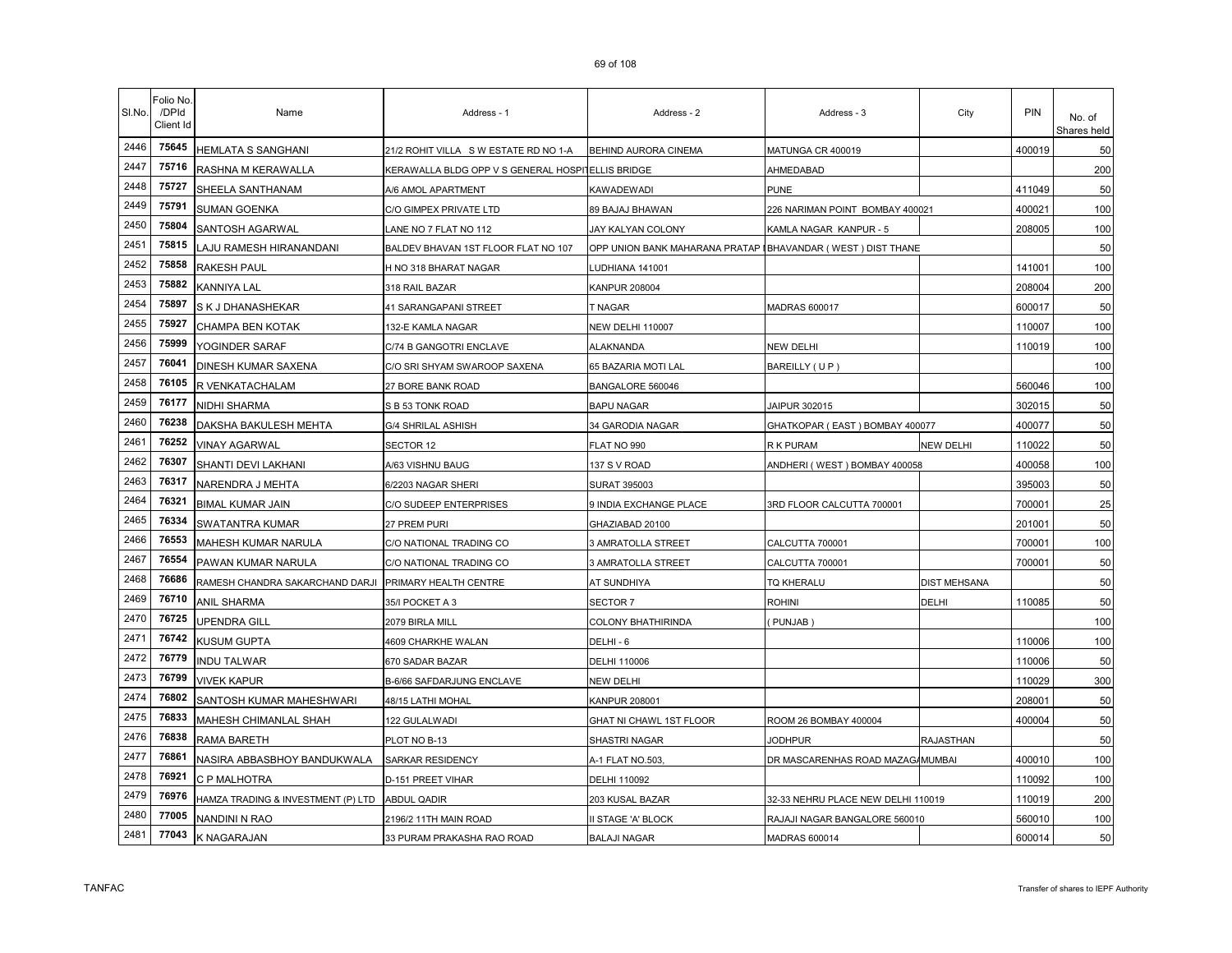| SI.No. | Folio No<br>/DPId<br>Client Id | Name                               | Address - 1                                       | Address - 2                                                 | Address - 3                        | City                | PIN                | No. of<br>Shares held |
|--------|--------------------------------|------------------------------------|---------------------------------------------------|-------------------------------------------------------------|------------------------------------|---------------------|--------------------|-----------------------|
| 2446   | 75645                          | <b>HEMLATA S SANGHANI</b>          | 21/2 ROHIT VILLA SWESTATE RD NO 1-A               | BEHIND AURORA CINEMA                                        | MATUNGA CR 400019                  |                     | 400019             | 50                    |
| 2447   | 75716                          | RASHNA M KERAWALLA                 | KERAWALLA BLDG OPP V S GENERAL HOSPITELLIS BRIDGE |                                                             | AHMEDABAD                          |                     |                    | 200                   |
| 2448   | 75727                          | SHEELA SANTHANAM                   | A/6 AMOL APARTMENT                                | KAWADEWADI                                                  | PUNE                               |                     | 411049             | 50                    |
| 2449   | 75791                          | <b>SUMAN GOENKA</b>                | C/O GIMPEX PRIVATE LTD                            | 89 BAJAJ BHAWAN                                             | 226 NARIMAN POINT BOMBAY 400021    |                     | 400021             | 100                   |
| 2450   | 75804                          | SANTOSH AGARWAL                    | LANE NO 7 FLAT NO 112                             | JAY KALYAN COLONY                                           | KAMLA NAGAR KANPUR - 5             |                     | 208005             | 100                   |
| 2451   | 75815                          | LAJU RAMESH HIRANANDANI            | BALDEV BHAVAN 1ST FLOOR FLAT NO 107               | OPP UNION BANK MAHARANA PRATAP IBHAVANDAR (WEST) DIST THANE |                                    |                     |                    | 50                    |
| 2452   | 75858                          | RAKESH PAUL                        | H NO 318 BHARAT NAGAR                             | UDHIANA 141001                                              |                                    |                     | 14100 <sup>-</sup> | 100                   |
| 2453   | 75882                          | KANNIYA LAL                        | 318 RAIL BAZAR                                    | KANPUR 208004                                               |                                    |                     | 208004             | 200                   |
| 2454   | 75897                          | S K J DHANASHEKAR                  | 41 SARANGAPANI STREET                             | <b>T NAGAR</b>                                              | <b>MADRAS 600017</b>               |                     | 600017             | 50                    |
| 2455   | 75927                          | CHAMPA BEN KOTAK                   | 132-E KAMLA NAGAR                                 | <b>NEW DELHI 110007</b>                                     |                                    |                     | 110007             | 100                   |
| 2456   | 75999                          | YOGINDER SARAF                     | C/74 B GANGOTRI ENCLAVE                           | ALAKNANDA                                                   | <b>NEW DELHI</b>                   |                     | 110019             | 100                   |
| 2457   | 76041                          | DINESH KUMAR SAXENA                | C/O SRI SHYAM SWAROOP SAXENA                      | 65 BAZARIA MOTI LAL                                         | BAREILLY (UP)                      |                     |                    | 100                   |
| 2458   | 76105                          | R VENKATACHALAM                    | 27 BORE BANK ROAD                                 | BANGALORE 560046                                            |                                    |                     | 560046             | 100                   |
| 2459   | 76177                          | <b>NIDHI SHARMA</b>                | S B 53 TONK ROAD                                  | <b>BAPU NAGAR</b>                                           | JAIPUR 302015                      |                     | 302015             | 50                    |
| 2460   | 76238                          | DAKSHA BAKULESH MEHTA              | G/4 SHRILAL ASHISH                                | 34 GARODIA NAGAR                                            | GHATKOPAR (EAST) BOMBAY 400077     |                     | 400077             | 50                    |
| 2461   | 76252                          | <b>VINAY AGARWAL</b>               | SECTOR 12                                         | FLAT NO 990                                                 | R K PURAM                          | <b>NEW DELHI</b>    | 110022             | 50                    |
| 2462   | 76307                          | SHANTI DEVI LAKHANI                | A/63 VISHNU BAUG                                  | 137 S V ROAD                                                | ANDHERI (WEST) BOMBAY 400058       |                     | 400058             | 100                   |
| 2463   | 76317                          | NARENDRA J MEHTA                   | 6/2203 NAGAR SHERI                                | SURAT 395003                                                |                                    |                     | 395003             | 50                    |
| 2464   | 76321                          | <b>BIMAL KUMAR JAIN</b>            | C/O SUDEEP ENTERPRISES                            | 9 INDIA EXCHANGE PLACE                                      | 3RD FLOOR CALCUTTA 700001          |                     | 70000 <sup>-</sup> | 25                    |
| 2465   | 76334                          | SWATANTRA KUMAR                    | 27 PREM PURI                                      | GHAZIABAD 20100                                             |                                    |                     | 201001             | 50                    |
| 2466   | 76553                          | MAHESH KUMAR NARULA                | C/O NATIONAL TRADING CO                           | 3 AMRATOLLA STREET                                          | CALCUTTA 700001                    |                     | 700001             | 100                   |
| 2467   | 76554                          | PAWAN KUMAR NARULA                 | C/O NATIONAL TRADING CO                           | 3 AMRATOLLA STREET                                          | CALCUTTA 700001                    |                     | 700001             | 50                    |
| 2468   | 76686                          | RAMESH CHANDRA SAKARCHAND DARJI    | PRIMARY HEALTH CENTRE                             | AT SUNDHIYA                                                 | TQ KHERALU                         | <b>DIST MEHSANA</b> |                    | 50                    |
| 2469   | 76710                          | ANIL SHARMA                        | 35/I POCKET A 3                                   | SECTOR 7                                                    | ROHINI                             | DELHI               | 110085             | 50                    |
| 2470   | 76725                          | UPENDRA GILL                       | 2079 BIRLA MILL                                   | COLONY BHATHIRINDA                                          | PUNJAB)                            |                     |                    | 100                   |
| 2471   | 76742                          | <b>KUSUM GUPTA</b>                 | 4609 CHARKHE WALAN                                | DELHI - 6                                                   |                                    |                     | 110006             | 100                   |
| 2472   | 76779                          | <b>INDU TALWAR</b>                 | 670 SADAR BAZAR                                   | DELHI 110006                                                |                                    |                     | 110006             | 50                    |
| 2473   | 76799                          | <b>VIVEK KAPUR</b>                 | B-6/66 SAFDARJUNG ENCLAVE                         | NEW DELHI                                                   |                                    |                     | 110029             | 300                   |
| 2474   | 76802                          | SANTOSH KUMAR MAHESHWARI           | <b>48/15 LATHI MOHAL</b>                          | KANPUR 208001                                               |                                    |                     | 208001             | 50                    |
| 2475   | 76833                          | MAHESH CHIMANLAL SHAH              | 122 GULALWADI                                     | GHAT NI CHAWL 1ST FLOOR                                     | ROOM 26 BOMBAY 400004              |                     | 400004             | 50                    |
| 2476   | 76838                          | RAMA BARETH                        | PLOT NO B-13                                      | SHASTRI NAGAR                                               | <b>JODHPUR</b>                     | <b>RAJASTHAN</b>    |                    | 50                    |
| 2477   | 76861                          | NASIRA ABBASBHOY BANDUKWALA        | SARKAR RESIDENCY                                  | A-1 FLAT NO.503,                                            | DR MASCARENHAS ROAD MAZAG/MUMBAI   |                     | 400010             | 100                   |
| 2478   | 76921                          | C P MALHOTRA                       | D-151 PREET VIHAR                                 | DELHI 110092                                                |                                    |                     | 110092             | 100                   |
| 2479   | 76976                          | HAMZA TRADING & INVESTMENT (P) LTD | <b>ABDUL QADIR</b>                                | 203 KUSAL BAZAR                                             | 32-33 NEHRU PLACE NEW DELHI 110019 |                     | 110019             | 200                   |
| 2480   | 77005                          | NANDINI N RAO                      | 2196/2 11TH MAIN ROAD                             | I STAGE 'A' BLOCK                                           | RAJAJI NAGAR BANGALORE 560010      |                     | 560010             | 100                   |
| 2481   | 77043                          | K NAGARAJAN                        | 33 PURAM PRAKASHA RAO ROAD                        | <b>BALAJI NAGAR</b>                                         | <b>MADRAS 600014</b>               |                     | 600014             | 50                    |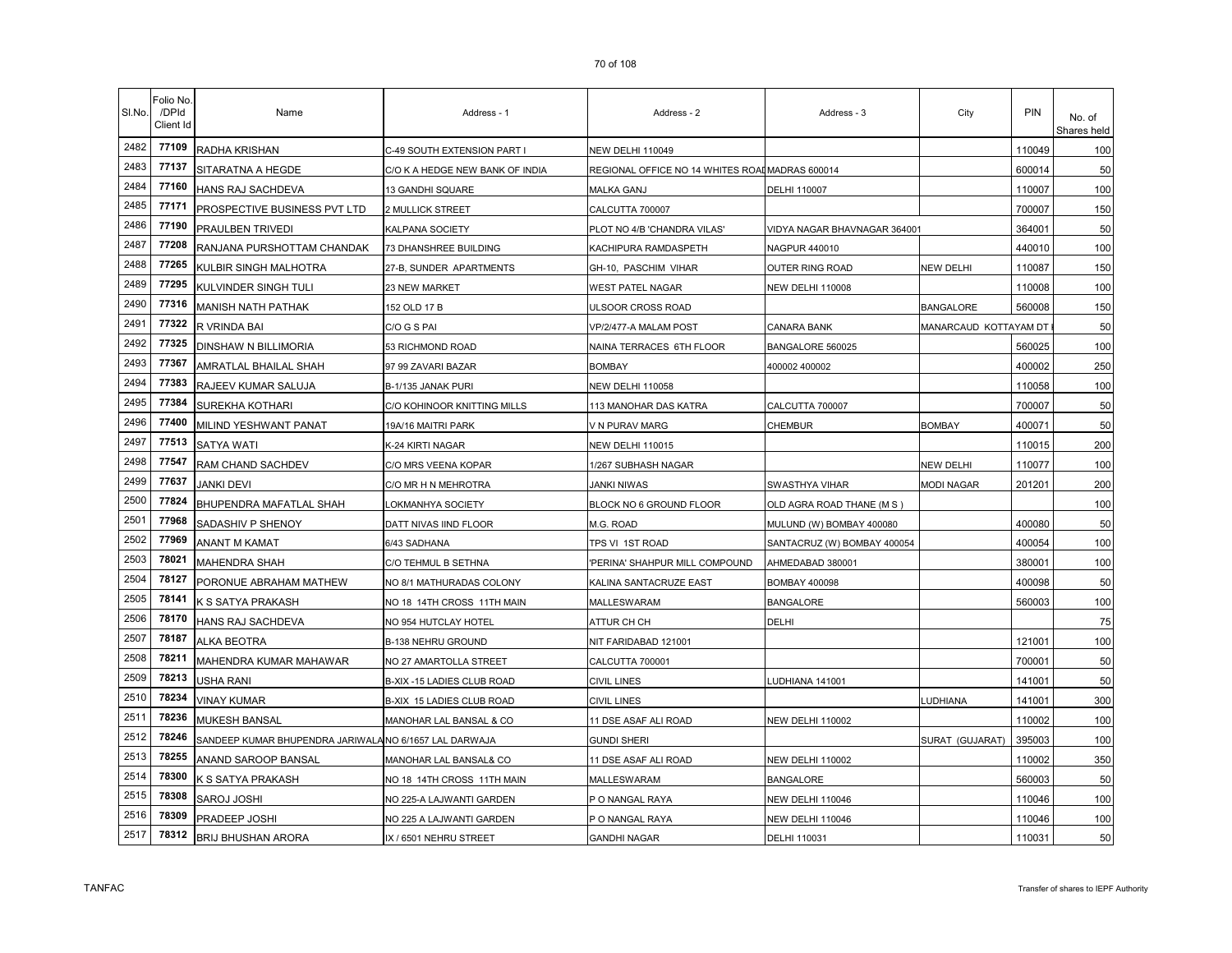| SI.No. | Folio No<br>/DPId<br>Client Id | Name                                                   | Address - 1                     | Address - 2                                     | Address - 3                  | City                  | PIN    | No. of<br>Shares held |
|--------|--------------------------------|--------------------------------------------------------|---------------------------------|-------------------------------------------------|------------------------------|-----------------------|--------|-----------------------|
| 2482   | 77109                          | RADHA KRISHAN                                          | C-49 SOUTH EXTENSION PART I     | <b>NEW DELHI 110049</b>                         |                              |                       | 110049 | 100                   |
| 2483   | 77137                          | SITARATNA A HEGDE                                      | C/O K A HEDGE NEW BANK OF INDIA | REGIONAL OFFICE NO 14 WHITES ROAI MADRAS 600014 |                              |                       | 600014 | 50                    |
| 2484   | 77160                          | HANS RAJ SACHDEVA                                      | 13 GANDHI SQUARE                | MALKA GANJ                                      | DELHI 110007                 |                       | 110007 | 100                   |
| 2485   | 77171                          | PROSPECTIVE BUSINESS PVT LTD                           | 2 MULLICK STREET                | CALCUTTA 700007                                 |                              |                       | 700007 | 150                   |
| 2486   | 77190                          | PRAULBEN TRIVEDI                                       | KALPANA SOCIETY                 | PLOT NO 4/B 'CHANDRA VILAS'                     | VIDYA NAGAR BHAVNAGAR 364001 |                       | 364001 | 50                    |
| 2487   | 77208                          | RANJANA PURSHOTTAM CHANDAK                             | 73 DHANSHREE BUILDING           | KACHIPURA RAMDASPETH                            | NAGPUR 440010                |                       | 440010 | 100                   |
| 2488   | 77265                          | KULBIR SINGH MALHOTRA                                  | 27-B, SUNDER APARTMENTS         | GH-10, PASCHIM VIHAR                            | <b>OUTER RING ROAD</b>       | <b>NEW DELHI</b>      | 110087 | 150                   |
| 2489   | 77295                          | KULVINDER SINGH TULI                                   | 23 NEW MARKET                   | WEST PATEL NAGAR                                | NEW DELHI 110008             |                       | 110008 | 100                   |
| 2490   | 77316                          | <b>MANISH NATH PATHAK</b>                              | 152 OLD 17 B                    | ULSOOR CROSS ROAD                               |                              | <b>BANGALORE</b>      | 560008 | 150                   |
| 2491   | 77322                          | R VRINDA BAI                                           | C/O G S PAI                     | VP/2/477-A MALAM POST                           | CANARA BANK                  | MANARCAUD KOTTAYAM DT |        | 50                    |
| 2492   | 77325                          | DINSHAW N BILLIMORIA                                   | 53 RICHMOND ROAD                | NAINA TERRACES 6TH FLOOR                        | BANGALORE 560025             |                       | 560025 | 100                   |
| 2493   | 77367                          | AMRATLAL BHAILAL SHAH                                  | 97 99 ZAVARI BAZAR              | <b>BOMBAY</b>                                   | 400002 400002                |                       | 400002 | 250                   |
| 2494   | 77383                          | RAJEEV KUMAR SALUJA                                    | B-1/135 JANAK PURI              | <b>NEW DELHI 110058</b>                         |                              |                       | 110058 | 100                   |
| 2495   | 77384                          | SUREKHA KOTHARI                                        | C/O KOHINOOR KNITTING MILLS     | 113 MANOHAR DAS KATRA                           | CALCUTTA 700007              |                       | 700007 | 50                    |
| 2496   | 77400                          | MILIND YESHWANT PANAT                                  | 19A/16 MAITRI PARK              | V N PURAV MARG                                  | CHEMBUR                      | <b>BOMBAY</b>         | 400071 | 50                    |
| 2497   | 77513                          | <b>SATYA WATI</b>                                      | K-24 KIRTI NAGAR                | <b>NEW DELHI 110015</b>                         |                              |                       | 110015 | 200                   |
| 2498   | 77547                          | RAM CHAND SACHDEV                                      | C/O MRS VEENA KOPAR             | 1/267 SUBHASH NAGAR                             |                              | NEW DELHI             | 110077 | 100                   |
| 2499   | 77637                          | JANKI DEVI                                             | C/O MR H N MEHROTRA             | <b>JANKI NIWAS</b>                              | SWASTHYA VIHAR               | <b>MODI NAGAR</b>     | 201201 | 200                   |
| 2500   | 77824                          | BHUPENDRA MAFATLAL SHAH                                | OKMANHYA SOCIETY                | BLOCK NO 6 GROUND FLOOR                         | OLD AGRA ROAD THANE (M S)    |                       |        | 100                   |
| 2501   | 77968                          | SADASHIV P SHENOY                                      | DATT NIVAS IIND FLOOR           | M.G. ROAD                                       | MULUND (W) BOMBAY 400080     |                       | 400080 | 50                    |
| 2502   | 77969                          | ANANT M KAMAT                                          | 6/43 SADHANA                    | TPS VI 1ST ROAD                                 | SANTACRUZ (W) BOMBAY 400054  |                       | 400054 | 100                   |
| 2503   | 78021                          | <b>MAHENDRA SHAH</b>                                   | C/O TEHMUL B SETHNA             | 'PERINA' SHAHPUR MILL COMPOUND                  | AHMEDABAD 380001             |                       | 380001 | 100                   |
| 2504   | 78127                          | PORONUE ABRAHAM MATHEW                                 | NO 8/1 MATHURADAS COLONY        | KALINA SANTACRUZE EAST                          | <b>BOMBAY 400098</b>         |                       | 400098 | 50                    |
| 2505   | 78141                          | K S SATYA PRAKASH                                      | NO 18 14TH CROSS 11TH MAIN      | MALLESWARAM                                     | <b>BANGALORE</b>             |                       | 560003 | 100                   |
| 2506   | 78170                          | HANS RAJ SACHDEVA                                      | NO 954 HUTCLAY HOTEL            | ATTUR CH CH                                     | DELHI                        |                       |        | 75                    |
| 2507   | 78187                          | <b>ALKA BEOTRA</b>                                     | B-138 NEHRU GROUND              | NIT FARIDABAD 121001                            |                              |                       | 121001 | 100                   |
| 2508   | 78211                          | MAHENDRA KUMAR MAHAWAR                                 | NO 27 AMARTOLLA STREET          | CALCUTTA 700001                                 |                              |                       | 700001 | 50                    |
| 2509   | 78213                          | USHA RANI                                              | B-XIX -15 LADIES CLUB ROAD      | <b>CIVIL LINES</b>                              | LUDHIANA 141001              |                       | 141001 | 50                    |
| 2510   | 78234                          | <b>VINAY KUMAR</b>                                     | B-XIX 15 LADIES CLUB ROAD       | <b>CIVIL LINES</b>                              |                              | LUDHIANA              | 141001 | 300                   |
| 2511   | 78236                          | <b>MUKESH BANSAL</b>                                   | MANOHAR LAL BANSAL & CO         | 11 DSE ASAF ALI ROAD                            | <b>NEW DELHI 110002</b>      |                       | 110002 | 100                   |
| 2512   | 78246                          | SANDEEP KUMAR BHUPENDRA JARIWALA NO 6/1657 LAL DARWAJA |                                 | <b>GUNDI SHERI</b>                              |                              | SURAT (GUJARAT)       | 395003 | 100                   |
| 2513   | 78255                          | ANAND SAROOP BANSAL                                    | MANOHAR LAL BANSAL& CO          | 11 DSE ASAF ALI ROAD                            | <b>NEW DELHI 110002</b>      |                       | 110002 | 350                   |
| 2514   | 78300                          | K S SATYA PRAKASH                                      | NO 18 14TH CROSS 11TH MAIN      | MALLESWARAM                                     | <b>BANGALORE</b>             |                       | 560003 | 50                    |
| 2515   | 78308                          | SAROJ JOSHI                                            | NO 225-A LAJWANTI GARDEN        | P O NANGAL RAYA                                 | <b>NEW DELHI 110046</b>      |                       | 110046 | 100                   |
| 2516   | 78309                          | PRADEEP JOSHI                                          | NO 225 A LAJWANTI GARDEN        | P O NANGAL RAYA                                 | NEW DELHI 110046             |                       | 110046 | 100                   |
| 2517   | 78312                          | <b>BRIJ BHUSHAN ARORA</b>                              | IX / 6501 NEHRU STREET          | <b>GANDHI NAGAR</b>                             | DELHI 110031                 |                       | 110031 | 50                    |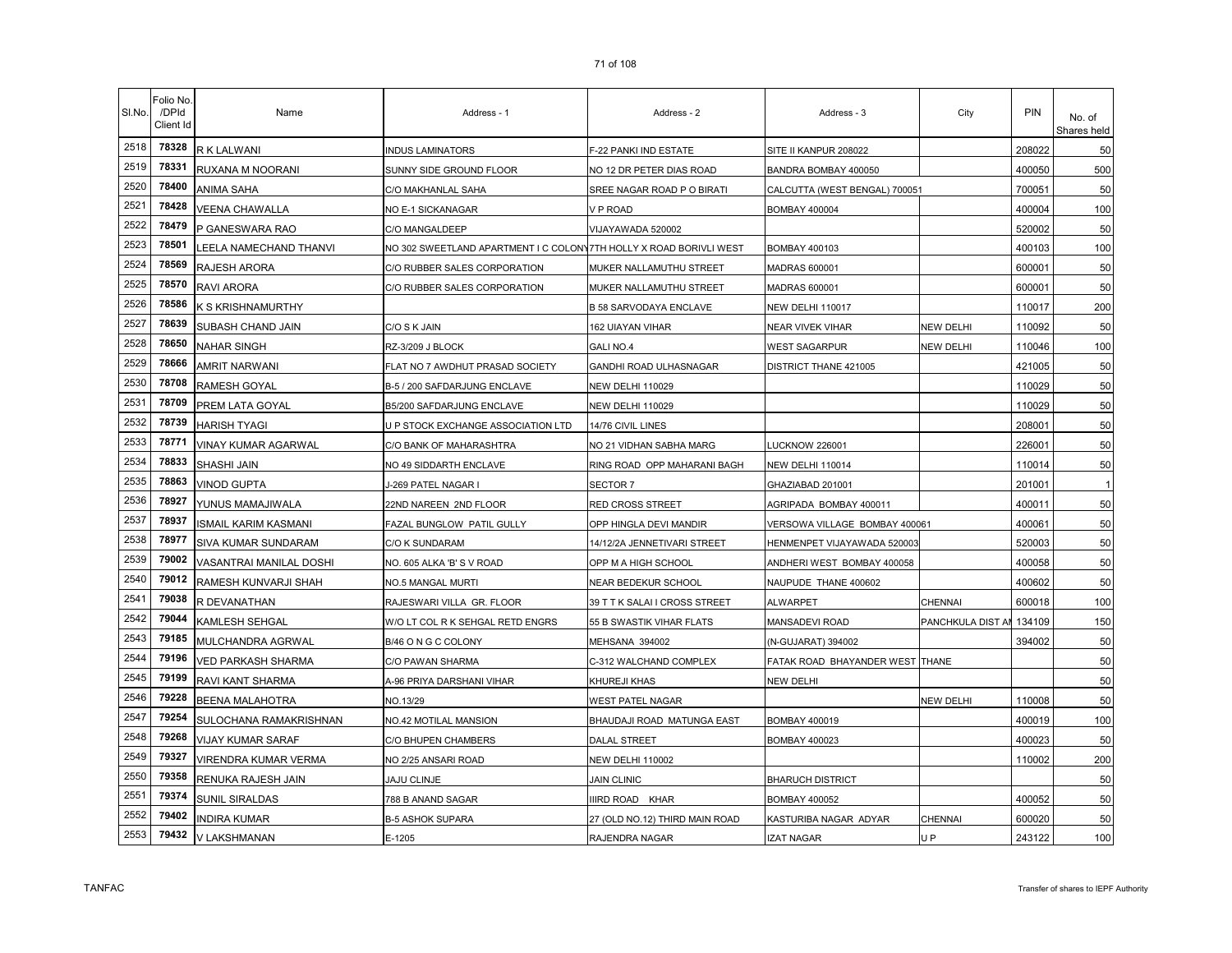| SI.No. | Folio No<br>/DPId<br>Client Id | Name                     | Address - 1                                                        | Address - 2                    | Address - 3                     | City              | <b>PIN</b> | No. of<br>Shares held |
|--------|--------------------------------|--------------------------|--------------------------------------------------------------------|--------------------------------|---------------------------------|-------------------|------------|-----------------------|
| 2518   | 78328                          | R K LALWANI              | <b>INDUS LAMINATORS</b>                                            | F-22 PANKI IND ESTATE          | SITE II KANPUR 208022           |                   | 208022     | 50                    |
| 2519   | 78331                          | RUXANA M NOORANI         | SUNNY SIDE GROUND FLOOR                                            | NO 12 DR PETER DIAS ROAD       | BANDRA BOMBAY 400050            |                   | 400050     | 500                   |
| 2520   | 78400                          | ANIMA SAHA               | C/O MAKHANLAL SAHA                                                 | SREE NAGAR ROAD P O BIRATI     | CALCUTTA (WEST BENGAL) 700051   |                   | 700051     | 50                    |
| 2521   | 78428                          | <b>VEENA CHAWALLA</b>    | NO E-1 SICKANAGAR                                                  | V P ROAD                       | BOMBAY 400004                   |                   | 400004     | 100                   |
| 2522   | 78479                          | P GANESWARA RAO          | C/O MANGALDEEP                                                     | VIJAYAWADA 520002              |                                 |                   | 520002     | 50                    |
| 2523   | 78501                          | LEELA NAMECHAND THANVI   | NO 302 SWEETLAND APARTMENT I C COLONY7TH HOLLY X ROAD BORIVLI WEST |                                | <b>BOMBAY 400103</b>            |                   | 400103     | 100                   |
| 2524   | 78569                          | RAJESH ARORA             | C/O RUBBER SALES CORPORATION                                       | MUKER NALLAMUTHU STREET        | <b>MADRAS 600001</b>            |                   | 600001     | 50                    |
| 2525   | 78570                          | RAVI ARORA               | C/O RUBBER SALES CORPORATION                                       | MUKER NALLAMUTHU STREET        | <b>MADRAS 600001</b>            |                   | 600001     | 50                    |
| 2526   | 78586                          | K S KRISHNAMURTHY        |                                                                    | <b>B 58 SARVODAYA ENCLAVE</b>  | NEW DELHI 110017                |                   | 110017     | 200                   |
| 2527   | 78639                          | SUBASH CHAND JAIN        | C/O S K JAIN                                                       | 162 UIAYAN VIHAR               | NEAR VIVEK VIHAR                | <b>NEW DELHI</b>  | 110092     | 50                    |
| 2528   | 78650                          | NAHAR SINGH              | RZ-3/209 J BLOCK                                                   | GALI NO.4                      | WEST SAGARPUR                   | <b>NEW DELHI</b>  | 110046     | 100                   |
| 2529   | 78666                          | <b>AMRIT NARWANI</b>     | FLAT NO 7 AWDHUT PRASAD SOCIETY                                    | GANDHI ROAD ULHASNAGAR         | DISTRICT THANE 421005           |                   | 421005     | 50                    |
| 2530   | 78708                          | RAMESH GOYAL             | B-5 / 200 SAFDARJUNG ENCLAVE                                       | <b>NEW DELHI 110029</b>        |                                 |                   | 110029     | 50                    |
| 2531   | 78709                          | PREM LATA GOYAL          | B5/200 SAFDARJUNG ENCLAVE                                          | <b>NEW DELHI 110029</b>        |                                 |                   | 110029     | 50                    |
| 2532   | 78739                          | <b>HARISH TYAGI</b>      | U P STOCK EXCHANGE ASSOCIATION LTD                                 | 14/76 CIVIL LINES              |                                 |                   | 208001     | 50                    |
| 2533   | 78771                          | VINAY KUMAR AGARWAL      | C/O BANK OF MAHARASHTRA                                            | NO 21 VIDHAN SABHA MARG        | <b>LUCKNOW 226001</b>           |                   | 226001     | 50                    |
| 2534   | 78833                          | SHASHI JAIN              | NO 49 SIDDARTH ENCLAVE                                             | RING ROAD OPP MAHARANI BAGH    | NEW DELHI 110014                |                   | 110014     | 50                    |
| 2535   | 78863                          | <b>VINOD GUPTA</b>       | I-269 PATEL NAGAR I                                                | SECTOR 7                       | GHAZIABAD 201001                |                   | 201001     |                       |
| 2536   | 78927                          | YUNUS MAMAJIWALA         | 22ND NAREEN 2ND FLOOR                                              | RED CROSS STREET               | AGRIPADA BOMBAY 400011          |                   | 400011     | 50                    |
| 2537   | 78937                          | ISMAIL KARIM KASMANI     | FAZAL BUNGLOW PATIL GULLY                                          | OPP HINGLA DEVI MANDIR         | VERSOWA VILLAGE BOMBAY 400061   |                   | 400061     | 50                    |
| 2538   | 78977                          | SIVA KUMAR SUNDARAM      | C/O K SUNDARAM                                                     | 14/12/2A JENNETIVARI STREET    | HENMENPET VIJAYAWADA 520003     |                   | 520003     | 50                    |
| 2539   | 79002                          | VASANTRAI MANILAL DOSHI  | NO. 605 ALKA 'B' S V ROAD                                          | OPP M A HIGH SCHOOL            | ANDHERI WEST BOMBAY 400058      |                   | 400058     | 50                    |
| 2540   | 79012                          | RAMESH KUNVARJI SHAH     | NO.5 MANGAL MURTI                                                  | NEAR BEDEKUR SCHOOL            | NAUPUDE THANE 400602            |                   | 400602     | 50                    |
| 2541   | 79038                          | R DEVANATHAN             | RAJESWARI VILLA GR. FLOOR                                          | 39 T T K SALAI I CROSS STREET  | ALWARPET                        | CHENNAI           | 600018     | 100                   |
| 2542   | 79044                          | KAMLESH SEHGAL           | W/O LT COL R K SEHGAL RETD ENGRS                                   | 55 B SWASTIK VIHAR FLATS       | MANSADEVI ROAD                  | PANCHKULA DIST AI | 134109     | 150                   |
| 2543   | 79185                          | MULCHANDRA AGRWAL        | B/46 O N G C COLONY                                                | MEHSANA 394002                 | (N-GUJARAT) 394002              |                   | 394002     | 50                    |
| 2544   | 79196                          | VED PARKASH SHARMA       | C/O PAWAN SHARMA                                                   | C-312 WALCHAND COMPLEX         | FATAK ROAD BHAYANDER WEST THANE |                   |            | 50                    |
| 2545   | 79199                          | RAVI KANT SHARMA         | A-96 PRIYA DARSHANI VIHAR                                          | KHUREJI KHAS                   | NEW DELHI                       |                   |            | 50                    |
| 2546   | 79228                          | <b>BEENA MALAHOTRA</b>   | NO.13/29                                                           | WEST PATEL NAGAR               |                                 | <b>NEW DELHI</b>  | 110008     | 50                    |
| 2547   | 79254                          | SULOCHANA RAMAKRISHNAN   | NO.42 MOTILAL MANSION                                              | BHAUDAJI ROAD MATUNGA EAST     | BOMBAY 400019                   |                   | 400019     | 100                   |
| 2548   | 79268                          | <b>VIJAY KUMAR SARAF</b> | C/O BHUPEN CHAMBERS                                                | DALAL STREET                   | <b>BOMBAY 400023</b>            |                   | 400023     | 50                    |
| 2549   | 79327                          | VIRENDRA KUMAR VERMA     | NO 2/25 ANSARI ROAD                                                | NEW DELHI 110002               |                                 |                   | 110002     | 200                   |
| 2550   | 79358                          | RENUKA RAJESH JAIN       | <b>JAJU CLINJE</b>                                                 | <b>JAIN CLINIC</b>             | <b>BHARUCH DISTRICT</b>         |                   |            | 50                    |
| 2551   | 79374                          | <b>SUNIL SIRALDAS</b>    | 788 B ANAND SAGAR                                                  | IIIRD ROAD KHAR                | <b>BOMBAY 400052</b>            |                   | 400052     | 50                    |
| 2552   | 79402                          | <b>INDIRA KUMAR</b>      | <b>B-5 ASHOK SUPARA</b>                                            | 27 (OLD NO.12) THIRD MAIN ROAD | KASTURIBA NAGAR ADYAR           | CHENNAI           | 600020     | 50                    |
| 2553   | 79432                          | V LAKSHMANAN             | E-1205                                                             | RAJENDRA NAGAR                 | <b>IZAT NAGAR</b>               | U <sub>P</sub>    | 243122     | 100                   |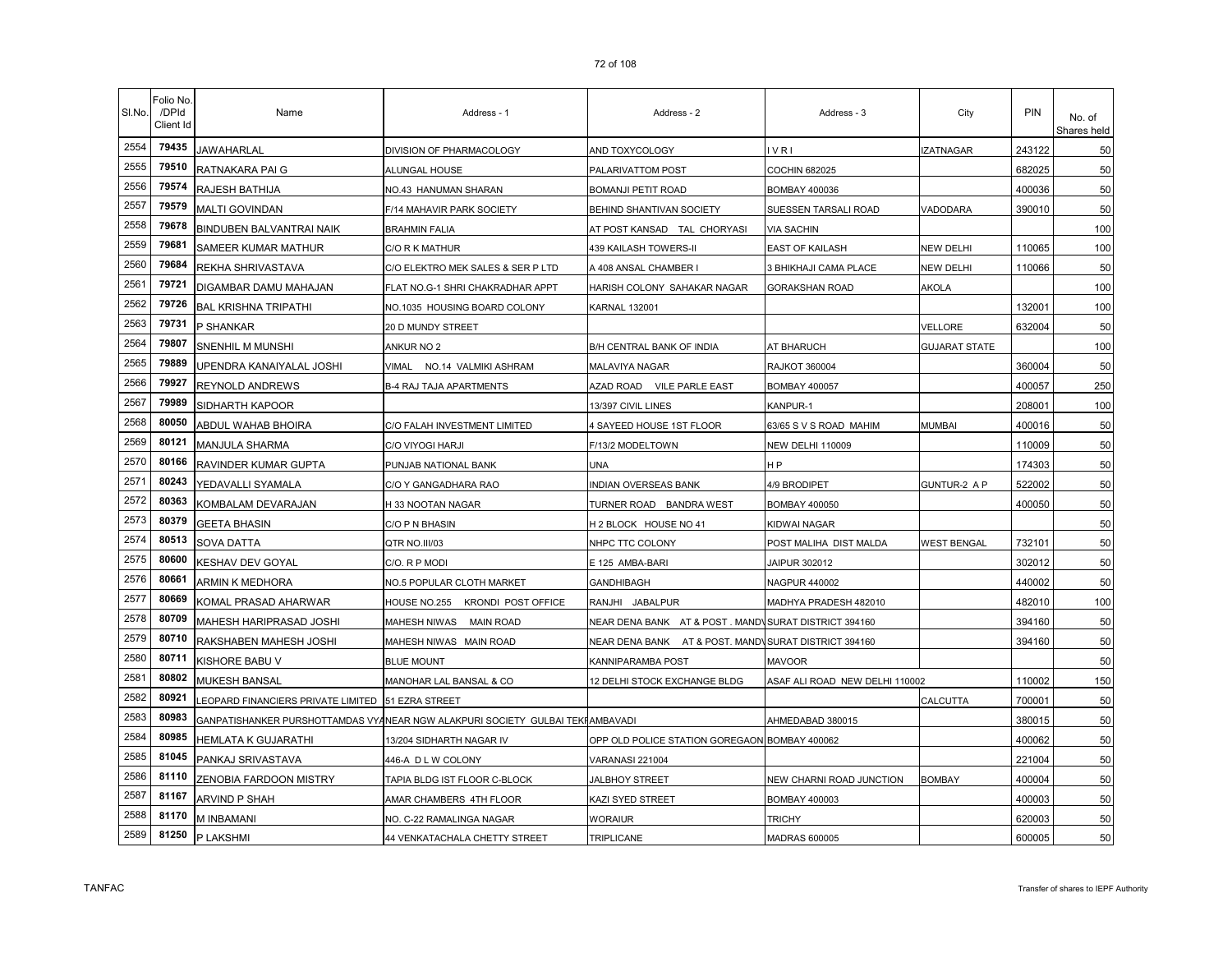| SI.No. | Folio No<br>/DPId<br>Client Id | Name                                                | Address - 1                                                                   | Address - 2                                          | Address - 3                    | City                 | PIN    | No. of<br>Shares held |
|--------|--------------------------------|-----------------------------------------------------|-------------------------------------------------------------------------------|------------------------------------------------------|--------------------------------|----------------------|--------|-----------------------|
| 2554   | 79435                          | JAWAHARLAL                                          | DIVISION OF PHARMACOLOGY                                                      | AND TOXYCOLOGY                                       | VRI                            | <b>ZATNAGAR</b>      | 243122 | 50                    |
| 2555   | 79510                          | RATNAKARA PAI G                                     | ALUNGAL HOUSE                                                                 | PALARIVATTOM POST                                    | COCHIN 682025                  |                      | 682025 | 50                    |
| 2556   | 79574                          | RAJESH BATHIJA                                      | NO.43 HANUMAN SHARAN                                                          | BOMANJI PETIT ROAD                                   | BOMBAY 400036                  |                      | 400036 | 50                    |
| 2557   | 79579                          | MALTI GOVINDAN                                      | F/14 MAHAVIR PARK SOCIETY                                                     | BEHIND SHANTIVAN SOCIETY                             | SUESSEN TARSALI ROAD           | VADODARA             | 390010 | 50                    |
| 2558   | 79678                          | BINDUBEN BALVANTRAI NAIK                            | <b>BRAHMIN FALIA</b>                                                          | AT POST KANSAD TAL CHORYASI                          | <b>VIA SACHIN</b>              |                      |        | 100                   |
| 2559   | 79681                          | SAMEER KUMAR MATHUR                                 | C/O R K MATHUR                                                                | 439 KAILASH TOWERS-II                                | EAST OF KAILASH                | <b>NEW DELHI</b>     | 110065 | 100                   |
| 2560   | 79684                          | REKHA SHRIVASTAVA                                   | C/O ELEKTRO MEK SALES & SER P LTD                                             | A 408 ANSAL CHAMBER I                                | 3 BHIKHAJI CAMA PLACE          | <b>NEW DELHI</b>     | 110066 | 50                    |
| 2561   | 79721                          | DIGAMBAR DAMU MAHAJAN                               | FLAT NO.G-1 SHRI CHAKRADHAR APPT                                              | HARISH COLONY SAHAKAR NAGAR                          | <b>GORAKSHAN ROAD</b>          | AKOLA                |        | 100                   |
| 2562   | 79726                          | <b>BAL KRISHNA TRIPATHI</b>                         | NO.1035 HOUSING BOARD COLONY                                                  | <b>KARNAL 132001</b>                                 |                                |                      | 132001 | 100                   |
| 2563   | 79731                          | P SHANKAR                                           | 20 D MUNDY STREET                                                             |                                                      |                                | VELLORE              | 632004 | 50                    |
| 2564   | 79807                          | SNENHIL M MUNSHI                                    | ANKUR NO 2                                                                    | B/H CENTRAL BANK OF INDIA                            | AT BHARUCH                     | <b>GUJARAT STATE</b> |        | 100                   |
| 2565   | 79889                          | UPENDRA KANAIYALAL JOSHI                            | <b>VIMAL</b><br>NO.14 VALMIKI ASHRAM                                          | MALAVIYA NAGAR                                       | <b>RAJKOT 360004</b>           |                      | 360004 | 50                    |
| 2566   | 79927                          | REYNOLD ANDREWS                                     | <b>B-4 RAJ TAJA APARTMENTS</b>                                                | AZAD ROAD VILE PARLE EAST                            | <b>BOMBAY 400057</b>           |                      | 400057 | 250                   |
| 2567   | 79989                          | SIDHARTH KAPOOR                                     |                                                                               | 13/397 CIVIL LINES                                   | KANPUR-1                       |                      | 208001 | 100                   |
| 2568   | 80050                          | ABDUL WAHAB BHOIRA                                  | C/O FALAH INVESTMENT LIMITED                                                  | 4 SAYEED HOUSE 1ST FLOOR                             | 63/65 S V S ROAD MAHIM         | <b>MUMBAI</b>        | 400016 | 50                    |
| 2569   | 80121                          | <b>MANJULA SHARMA</b>                               | C/O VIYOGI HARJI                                                              | F/13/2 MODELTOWN                                     | <b>NEW DELHI 110009</b>        |                      | 110009 | 50                    |
| 2570   | 80166                          | RAVINDER KUMAR GUPTA                                | PUNJAB NATIONAL BANK                                                          | UNA                                                  | H P                            |                      | 174303 | 50                    |
| 2571   | 80243                          | YEDAVALLI SYAMALA                                   | C/O Y GANGADHARA RAO                                                          | INDIAN OVERSEAS BANK                                 | 4/9 BRODIPET                   | GUNTUR-2 A P         | 522002 | 50                    |
| 2572   | 80363                          | KOMBALAM DEVARAJAN                                  | H 33 NOOTAN NAGAR                                                             | TURNER ROAD BANDRA WEST                              | <b>BOMBAY 400050</b>           |                      | 400050 | 50                    |
| 2573   | 80379                          | <b>GEETA BHASIN</b>                                 | C/O P N BHASIN                                                                | H 2 BLOCK HOUSE NO 41                                | KIDWAI NAGAR                   |                      |        | 50                    |
| 2574   | 80513                          | <b>SOVA DATTA</b>                                   | QTR NO.III/03                                                                 | NHPC TTC COLONY                                      | POST MALIHA DIST MALDA         | <b>WEST BENGAL</b>   | 732101 | 50                    |
| 2575   | 80600                          | KESHAV DEV GOYAL                                    | C/O. R P MODI                                                                 | E 125 AMBA-BARI                                      | JAIPUR 302012                  |                      | 302012 | 50                    |
| 2576   | 80661                          | ARMIN K MEDHORA                                     | NO.5 POPULAR CLOTH MARKET                                                     | GANDHIBAGH                                           | <b>NAGPUR 440002</b>           |                      | 440002 | 50                    |
| 2577   | 80669                          | KOMAL PRASAD AHARWAR                                | HOUSE NO.255 KRONDI POST OFFICE                                               | RANJHI JABALPUR                                      | MADHYA PRADESH 482010          |                      | 482010 | 100                   |
| 2578   | 80709                          | MAHESH HARIPRASAD JOSHI                             | MAHESH NIWAS MAIN ROAD                                                        | NEAR DENA BANK AT & POST. MANDNSURAT DISTRICT 394160 |                                |                      | 394160 | 50                    |
| 2579   | 80710                          | RAKSHABEN MAHESH JOSHI                              | MAHESH NIWAS MAIN ROAD                                                        | NEAR DENA BANK AT & POST. MAND\SURAT DISTRICT 394160 |                                |                      | 394160 | 50                    |
| 2580   | 80711                          | KISHORE BABU V                                      | <b>BLUE MOUNT</b>                                                             | KANNIPARAMBA POST                                    | <b>MAVOOR</b>                  |                      |        | 50                    |
| 2581   | 80802                          | MUKESH BANSAL                                       | MANOHAR LAL BANSAL & CO                                                       | 12 DELHI STOCK EXCHANGE BLDG                         | ASAF ALI ROAD NEW DELHI 110002 |                      | 110002 | 150                   |
| 2582   | 80921                          | LEOPARD FINANCIERS PRIVATE LIMITED   51 EZRA STREET |                                                                               |                                                      |                                | CALCUTTA             | 700001 | 50                    |
| 2583   | 80983                          |                                                     | GANPATISHANKER PURSHOTTAMDAS VYANEAR NGW ALAKPURI SOCIETY GULBAI TEKHAMBAVADI |                                                      | AHMEDABAD 380015               |                      | 380015 | 50                    |
| 2584   | 80985                          | HEMLATA K GUJARATHI                                 | 13/204 SIDHARTH NAGAR IV                                                      | OPP OLD POLICE STATION GOREGAON BOMBAY 400062        |                                |                      | 400062 | 50                    |
| 2585   | 81045                          | PANKAJ SRIVASTAVA                                   | 446-A D L W COLONY                                                            | VARANASI 221004                                      |                                |                      | 221004 | 50                    |
| 2586   | 81110                          | ZENOBIA FARDOON MISTRY                              | TAPIA BLDG IST FLOOR C-BLOCK                                                  | JALBHOY STREET                                       | NEW CHARNI ROAD JUNCTION       | <b>BOMBAY</b>        | 400004 | 50                    |
| 2587   | 81167                          | ARVIND P SHAH                                       | AMAR CHAMBERS 4TH FLOOR                                                       | KAZI SYED STREET                                     | BOMBAY 400003                  |                      | 400003 | 50                    |
| 2588   | 81170                          | M INBAMANI                                          | NO. C-22 RAMALINGA NAGAR                                                      | <b>WORAIUR</b>                                       | <b>TRICHY</b>                  |                      | 620003 | 50                    |
| 2589   | 81250                          | P LAKSHMI                                           | 44 VENKATACHALA CHETTY STREET                                                 | TRIPLICANE                                           | <b>MADRAS 600005</b>           |                      | 600005 | 50                    |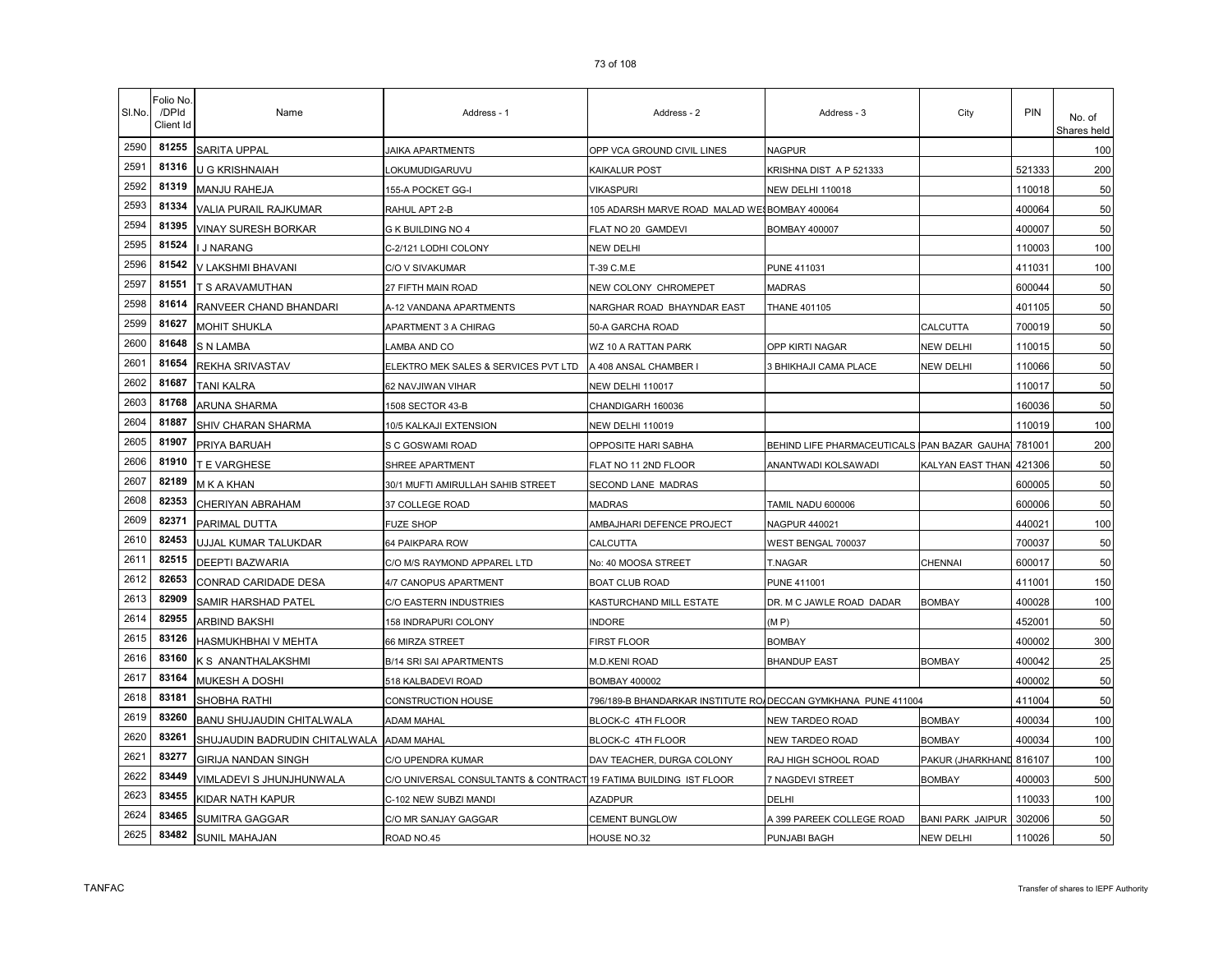|  | 7 J UI 1 UU |  |  |
|--|-------------|--|--|
|  |             |  |  |
|  |             |  |  |
|  |             |  |  |

| SI.No. | Folio No.<br>/DPId<br>Client Id | Name                          | Address - 1                                                       | Address - 2                                                   | Address - 3                                        | City                    | <b>PIN</b> | No. of<br>Shares held |
|--------|---------------------------------|-------------------------------|-------------------------------------------------------------------|---------------------------------------------------------------|----------------------------------------------------|-------------------------|------------|-----------------------|
| 2590   | 81255                           | SARITA UPPAL                  | <b>JAIKA APARTMENTS</b>                                           | OPP VCA GROUND CIVIL LINES                                    | <b>NAGPUR</b>                                      |                         |            | 100                   |
| 2591   | 81316                           | U G KRISHNAIAH                | _OKUMUDIGARUVU                                                    | KAIKALUR POST                                                 | KRISHNA DIST A P 521333                            |                         | 521333     | 200                   |
| 2592   | 81319                           | MANJU RAHEJA                  | 155-A POCKET GG-I                                                 | VIKASPURI                                                     | <b>NEW DELHI 110018</b>                            |                         | 110018     | 50                    |
| 2593   | 81334                           | VALIA PURAIL RAJKUMAR         | RAHUL APT 2-B                                                     | 105 ADARSH MARVE ROAD MALAD WESBOMBAY 400064                  |                                                    |                         | 400064     | 50                    |
| 2594   | 81395                           | VINAY SURESH BORKAR           | G K BUILDING NO 4                                                 | FLAT NO 20 GAMDEVI                                            | <b>BOMBAY 400007</b>                               |                         | 400007     | 50                    |
| 2595   | 81524                           | J NARANG                      | C-2/121 LODHI COLONY                                              | NEW DELHI                                                     |                                                    |                         | 110003     | 100                   |
| 2596   | 81542                           | V LAKSHMI BHAVANI             | C/O V SIVAKUMAR                                                   | T-39 C.M.E                                                    | <b>PUNE 411031</b>                                 |                         | 411031     | 100                   |
| 2597   | 81551                           | T S ARAVAMUTHAN               | 27 FIFTH MAIN ROAD                                                | NEW COLONY CHROMEPET                                          | <b>MADRAS</b>                                      |                         | 600044     | 50                    |
| 2598   | 81614                           | RANVEER CHAND BHANDARI        | A-12 VANDANA APARTMENTS                                           | NARGHAR ROAD BHAYNDAR EAST                                    | <b>THANE 401105</b>                                |                         | 401105     | 50                    |
| 2599   | 81627                           | MOHIT SHUKLA                  | APARTMENT 3 A CHIRAG                                              | 50-A GARCHA ROAD                                              |                                                    | CALCUTTA                | 700019     | 50                    |
| 2600   | 81648                           | S N LAMBA                     | LAMBA AND CO                                                      | WZ 10 A RATTAN PARK                                           | OPP KIRTI NAGAR                                    | NEW DELHI               | 110015     | 50                    |
| 2601   | 81654                           | REKHA SRIVASTAV               | ELEKTRO MEK SALES & SERVICES PVT LTD                              | A 408 ANSAL CHAMBER I                                         | 3 BHIKHAJI CAMA PLACE                              | NEW DELHI               | 110066     | 50                    |
| 2602   | 81687                           | <b>TANI KALRA</b>             | 62 NAVJIWAN VIHAR                                                 | <b>NEW DELHI 110017</b>                                       |                                                    |                         | 110017     | 50                    |
| 2603   | 81768                           | ARUNA SHARMA                  | 1508 SECTOR 43-B                                                  | CHANDIGARH 160036                                             |                                                    |                         | 160036     | 50                    |
| 2604   | 81887                           | SHIV CHARAN SHARMA            | 10/5 KALKAJI EXTENSION                                            | NEW DELHI 110019                                              |                                                    |                         | 110019     | 100                   |
| 2605   | 81907                           | PRIYA BARUAH                  | S C GOSWAMI ROAD                                                  | OPPOSITE HARI SABHA                                           | BEHIND LIFE PHARMACEUTICALS PAN BAZAR GAUHA 781001 |                         |            | 200                   |
| 2606   | 81910                           | T E VARGHESE                  | SHREE APARTMENT                                                   | FLAT NO 11 2ND FLOOR                                          | ANANTWADI KOLSAWADI                                | KALYAN EAST THAN 421306 |            | 50                    |
| 2607   | 82189                           | M K A KHAN                    | 30/1 MUFTI AMIRULLAH SAHIB STREET                                 | SECOND LANE MADRAS                                            |                                                    |                         | 600005     | 50                    |
| 2608   | 82353                           | CHERIYAN ABRAHAM              | 37 COLLEGE ROAD                                                   | MADRAS                                                        | TAMIL NADU 600006                                  |                         | 600006     | 50                    |
| 2609   | 82371                           | PARIMAL DUTTA                 | <b>FUZE SHOP</b>                                                  | AMBAJHARI DEFENCE PROJECT                                     | NAGPUR 440021                                      |                         | 440021     | 100                   |
| 2610   | 82453                           | JJJAL KUMAR TALUKDAR          | 64 PAIKPARA ROW                                                   | CALCUTTA                                                      | WEST BENGAL 700037                                 |                         | 700037     | 50                    |
| 2611   | 82515                           | DEEPTI BAZWARIA               | C/O M/S RAYMOND APPAREL LTD                                       | No: 40 MOOSA STREET                                           | T.NAGAR                                            | CHENNAI                 | 600017     | 50                    |
| 2612   | 82653                           | CONRAD CARIDADE DESA          | 4/7 CANOPUS APARTMENT                                             | BOAT CLUB ROAD                                                | <b>PUNE 411001</b>                                 |                         | 411001     | 150                   |
| 2613   | 82909                           | SAMIR HARSHAD PATEL           | C/O EASTERN INDUSTRIES                                            | KASTURCHAND MILL ESTATE                                       | DR. M C JAWLE ROAD DADAR                           | BOMBAY                  | 400028     | 100                   |
| 2614   | 82955                           | ARBIND BAKSHI                 | 158 INDRAPURI COLONY                                              | <b>INDORE</b>                                                 | (MP)                                               |                         | 452001     | 50                    |
| 2615   | 83126                           | HASMUKHBHAI V MEHTA           | 66 MIRZA STREET                                                   | <b>FIRST FLOOR</b>                                            | <b>BOMBAY</b>                                      |                         | 400002     | 300                   |
| 2616   | 83160                           | K S ANANTHALAKSHMI            | <b>B/14 SRI SAI APARTMENTS</b>                                    | <b>M.D.KENI ROAD</b>                                          | <b>BHANDUP EAST</b>                                | <b>BOMBAY</b>           | 400042     | 25                    |
| 2617   | 83164                           | MUKESH A DOSHI                | 518 KALBADEVI ROAD                                                | BOMBAY 400002                                                 |                                                    |                         | 400002     | 50                    |
| 2618   | 83181                           | SHOBHA RATHI                  | CONSTRUCTION HOUSE                                                | 796/189-B BHANDARKAR INSTITUTE RO/DECCAN GYMKHANA PUNE 411004 |                                                    |                         | 411004     | 50                    |
| 2619   | 83260                           | BANU SHUJAUDIN CHITALWALA     | <b>ADAM MAHAL</b>                                                 | BLOCK-C 4TH FLOOR                                             | NEW TARDEO ROAD                                    | <b>BOMBAY</b>           | 400034     | 100                   |
| 2620   | 83261                           | SHUJAUDIN BADRUDIN CHITALWALA | <b>ADAM MAHAL</b>                                                 | BLOCK-C 4TH FLOOR                                             | NEW TARDEO ROAD                                    | BOMBAY                  | 400034     | 100                   |
| 2621   | 83277                           | GIRIJA NANDAN SINGH           | C/O UPENDRA KUMAR                                                 | DAV TEACHER, DURGA COLONY                                     | RAJ HIGH SCHOOL ROAD                               | PAKUR (JHARKHAND        | 816107     | 100                   |
| 2622   | 83449                           | VIMLADEVI S JHUNJHUNWALA      | C/O UNIVERSAL CONSULTANTS & CONTRACT 19 FATIMA BUILDING IST FLOOR |                                                               | 7 NAGDEVI STREET                                   | BOMBAY                  | 400003     | 500                   |
| 2623   | 83455                           | KIDAR NATH KAPUR              | C-102 NEW SUBZI MANDI                                             | AZADPUR                                                       | DELHI                                              |                         | 110033     | 100                   |
| 2624   | 83465                           | SUMITRA GAGGAR                | C/O MR SANJAY GAGGAR                                              | <b>CEMENT BUNGLOW</b>                                         | A 399 PAREEK COLLEGE ROAD                          | <b>BANI PARK JAIPUR</b> | 302006     | 50                    |
| 2625   | 83482                           | <b>SUNIL MAHAJAN</b>          | ROAD NO.45                                                        | HOUSE NO.32                                                   | PUNJABI BAGH                                       | NEW DELHI               | 110026     | 50                    |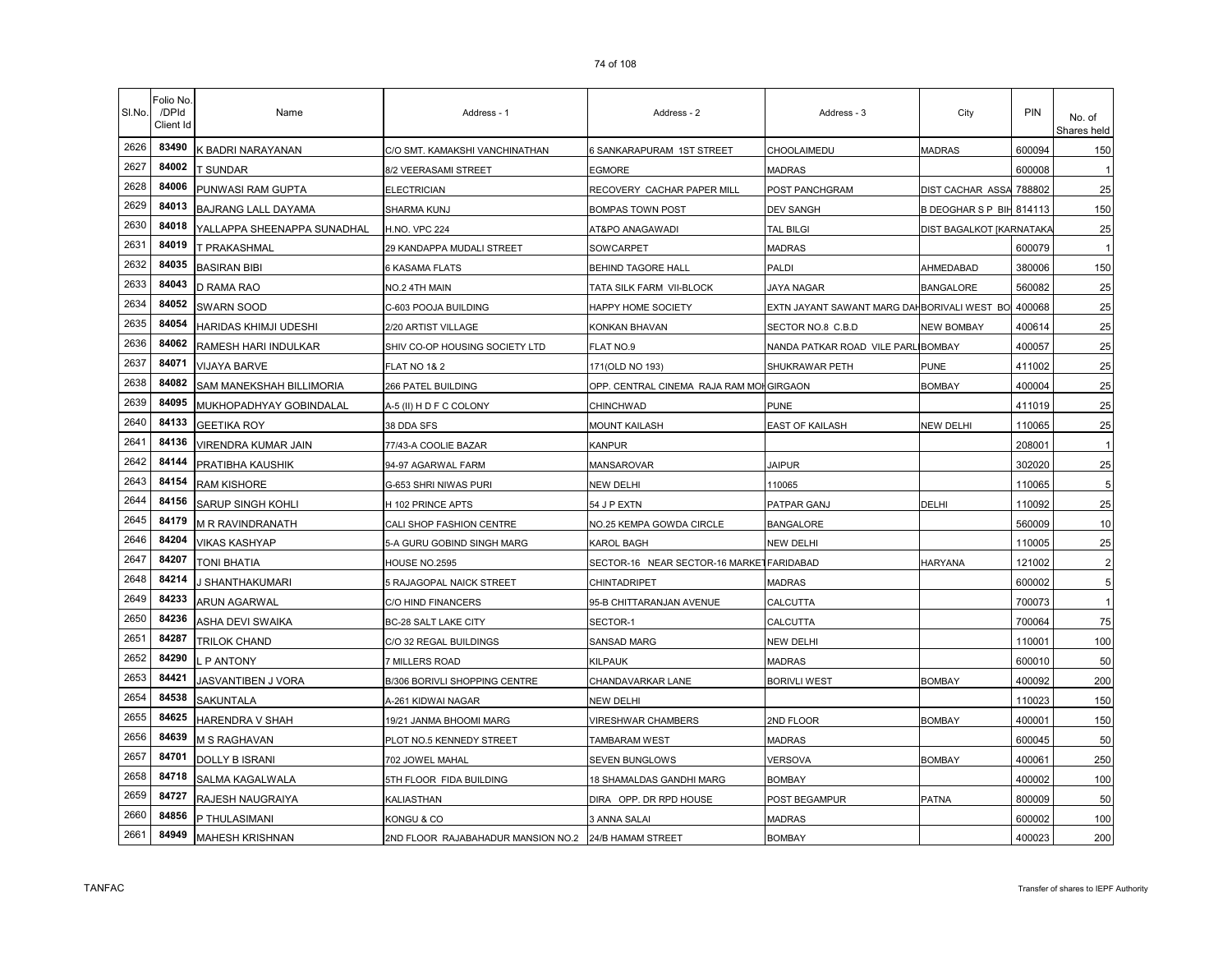| SI.No. | Folio No.<br>/DPId<br>Client Id | Name                        | Address - 1                        | Address - 2                              | Address - 3                                 | City                     | <b>PIN</b> | No. of<br>Shares held |
|--------|---------------------------------|-----------------------------|------------------------------------|------------------------------------------|---------------------------------------------|--------------------------|------------|-----------------------|
| 2626   | 83490                           | K BADRI NARAYANAN           | C/O SMT. KAMAKSHI VANCHINATHAN     | 6 SANKARAPURAM 1ST STREET                | CHOOLAIMEDU                                 | <b>MADRAS</b>            | 600094     | 150                   |
| 2627   | 84002                           | T SUNDAR                    | 8/2 VEERASAMI STREET               | EGMORE                                   | MADRAS                                      |                          | 600008     |                       |
| 2628   | 84006                           | PUNWASI RAM GUPTA           | <b>ELECTRICIAN</b>                 | RECOVERY CACHAR PAPER MILL               | POST PANCHGRAM                              | DIST CACHAR ASSA         | 788802     | 25                    |
| 2629   | 84013                           | BAJRANG LALL DAYAMA         | SHARMA KUNJ                        | BOMPAS TOWN POST                         | <b>DEV SANGH</b>                            | BDEOGHARSPBIH814113      |            | 150                   |
| 2630   | 84018                           | YALLAPPA SHEENAPPA SUNADHAL | <b>H.NO. VPC 224</b>               | AT&PO ANAGAWADI                          | TAL BILGI                                   | DIST BAGALKOT [KARNATAK/ |            | 25                    |
| 2631   | 84019                           | T PRAKASHMAL                | 29 KANDAPPA MUDALI STREET          | SOWCARPET                                | <b>MADRAS</b>                               |                          | 600079     |                       |
| 2632   | 84035                           | <b>BASIRAN BIBI</b>         | 6 KASAMA FLATS                     | <b>BEHIND TAGORE HALL</b>                | PALDI                                       | AHMEDABAD                | 380006     | 150                   |
| 2633   | 84043                           | D RAMA RAO                  | NO.2 4TH MAIN                      | TATA SILK FARM VII-BLOCK                 | <b>JAYA NAGAR</b>                           | <b>BANGALORE</b>         | 560082     | 25                    |
| 2634   | 84052                           | SWARN SOOD                  | C-603 POOJA BUILDING               | HAPPY HOME SOCIETY                       | EXTN JAYANT SAWANT MARG DAHBORIVALI WEST BO |                          | 400068     | 25                    |
| 2635   | 84054                           | HARIDAS KHIMJI UDESHI       | 2/20 ARTIST VILLAGE                | KONKAN BHAVAN                            | SECTOR NO.8 C.B.D                           | <b>NEW BOMBAY</b>        | 400614     | 25                    |
| 2636   | 84062                           | RAMESH HARI INDULKAR        | SHIV CO-OP HOUSING SOCIETY LTD     | FLAT NO.9                                | NANDA PATKAR ROAD VILE PARL                 | <b>BOMBAY</b>            | 400057     | 25                    |
| 2637   | 84071                           | <b>VIJAYA BARVE</b>         | <b>FLAT NO 1&amp; 2</b>            | 171(OLD NO 193)                          | SHUKRAWAR PETH                              | PUNE                     | 411002     | 25                    |
| 2638   | 84082                           | SAM MANEKSHAH BILLIMORIA    | 266 PATEL BUILDING                 | OPP. CENTRAL CINEMA RAJA RAM MOH         | <b>GIRGAON</b>                              | <b>BOMBAY</b>            | 400004     | 25                    |
| 2639   | 84095                           | MUKHOPADHYAY GOBINDALAL     | A-5 (II) H D F C COLONY            | CHINCHWAD                                | <b>PUNE</b>                                 |                          | 411019     | 25                    |
| 2640   | 84133                           | <b>GEETIKA ROY</b>          | 38 DDA SFS                         | MOUNT KAILASH                            | <b>EAST OF KAILASH</b>                      | NEW DELHI                | 110065     | 25                    |
| 2641   | 84136                           | VIRENDRA KUMAR JAIN         | 77/43-A COOLIE BAZAR               | KANPUR                                   |                                             |                          | 208001     |                       |
| 2642   | 84144                           | PRATIBHA KAUSHIK            | 94-97 AGARWAL FARM                 | MANSAROVAR                               | <b>JAIPUR</b>                               |                          | 302020     | 25                    |
| 2643   | 84154                           | <b>RAM KISHORE</b>          | G-653 SHRI NIWAS PURI              | NEW DELHI                                | 110065                                      |                          | 110065     | 5                     |
| 2644   | 84156                           | SARUP SINGH KOHLI           | H 102 PRINCE APTS                  | 54 J P EXTN                              | PATPAR GANJ                                 | DELHI                    | 110092     | 25                    |
| 2645   | 84179                           | M R RAVINDRANATH            | CALI SHOP FASHION CENTRE           | NO.25 KEMPA GOWDA CIRCLE                 | <b>BANGALORE</b>                            |                          | 560009     | 10                    |
| 2646   | 84204                           | VIKAS KASHYAP               | 5-A GURU GOBIND SINGH MARG         | KAROL BAGH                               | NEW DELHI                                   |                          | 110005     | 25                    |
| 2647   | 84207                           | TONI BHATIA                 | <b>HOUSE NO.2595</b>               | SECTOR-16 NEAR SECTOR-16 MARKETFARIDABAD |                                             | <b>HARYANA</b>           | 121002     | $\overline{2}$        |
| 2648   | 84214                           | I SHANTHAKUMARI             | 5 RAJAGOPAL NAICK STREET           | CHINTADRIPET                             | MADRAS                                      |                          | 600002     | 5                     |
| 2649   | 84233                           | <b>ARUN AGARWAL</b>         | C/O HIND FINANCERS                 | 95-B CHITTARANJAN AVENUE                 | CALCUTTA                                    |                          | 700073     | $\overline{1}$        |
| 2650   | 84236                           | ASHA DEVI SWAIKA            | <b>BC-28 SALT LAKE CITY</b>        | SECTOR-1                                 | CALCUTTA                                    |                          | 700064     | 75                    |
| 2651   | 84287                           | TRILOK CHAND                | C/O 32 REGAL BUILDINGS             | <b>SANSAD MARG</b>                       | NEW DELHI                                   |                          | 110001     | 100                   |
| 2652   | 84290                           | P ANTONY                    | 7 MILLERS ROAD                     | KILPAUK                                  | <b>MADRAS</b>                               |                          | 600010     | 50                    |
| 2653   | 84421                           | <b>JASVANTIBEN J VORA</b>   | B/306 BORIVLI SHOPPING CENTRE      | CHANDAVARKAR LANE                        | <b>BORIVLI WEST</b>                         | <b>BOMBAY</b>            | 400092     | 200                   |
| 2654   | 84538                           | <b>SAKUNTALA</b>            | A-261 KIDWAI NAGAR                 | NEW DELHI                                |                                             |                          | 110023     | 150                   |
| 2655   | 84625                           | <b>HARENDRA V SHAH</b>      | 19/21 JANMA BHOOMI MARG            | <b>VIRESHWAR CHAMBERS</b>                | 2ND FLOOR                                   | <b>BOMBAY</b>            | 400001     | 150                   |
| 2656   | 84639                           | M S RAGHAVAN                | PLOT NO.5 KENNEDY STREET           | <b>TAMBARAM WEST</b>                     | <b>MADRAS</b>                               |                          | 600045     | 50                    |
| 2657   | 84701                           | <b>DOLLY B ISRANI</b>       | 702 JOWEL MAHAL                    | SEVEN BUNGLOWS                           | VERSOVA                                     | BOMBAY                   | 400061     | 250                   |
| 2658   | 84718                           | SALMA KAGALWALA             | 5TH FLOOR FIDA BUILDING            | 18 SHAMALDAS GANDHI MARG                 | <b>BOMBAY</b>                               |                          | 400002     | 100                   |
| 2659   | 84727                           | RAJESH NAUGRAIYA            | KALIASTHAN                         | DIRA OPP. DR RPD HOUSE                   | POST BEGAMPUR                               | PATNA                    | 800009     | 50                    |
| 2660   | 84856                           | P THULASIMANI               | KONGU & CO                         | 3 ANNA SALAI                             | <b>MADRAS</b>                               |                          | 600002     | 100                   |
| 2661   | 84949                           | <b>MAHESH KRISHNAN</b>      | 2ND FLOOR RAJABAHADUR MANSION NO.2 | 24/B HAMAM STREET                        | <b>BOMBAY</b>                               |                          | 400023     | 200                   |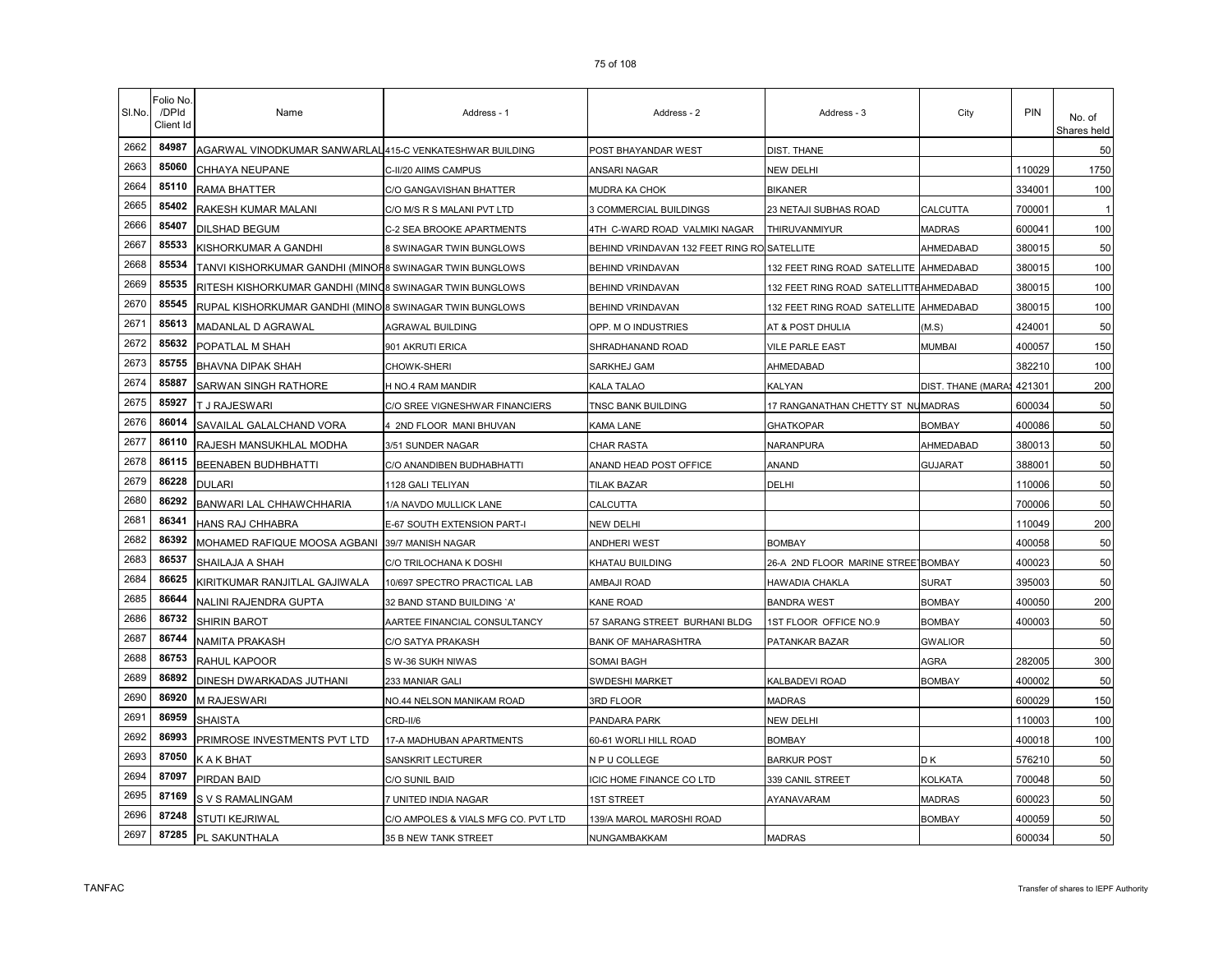| SI.No. | Folio No<br>/DPId<br>Client Id | Name                                                     | Address - 1                         | Address - 2                                 | Address - 3                            | City               | PIN    | No. of<br>Shares held |
|--------|--------------------------------|----------------------------------------------------------|-------------------------------------|---------------------------------------------|----------------------------------------|--------------------|--------|-----------------------|
| 2662   | 84987                          | AGARWAL VINODKUMAR SANWARLAL 415-C VENKATESHWAR BUILDING |                                     | POST BHAYANDAR WEST                         | DIST. THANE                            |                    |        | 50                    |
| 2663   | 85060                          | CHHAYA NEUPANE                                           | C-II/20 AIIMS CAMPUS                | ANSARI NAGAR                                | NEW DELHI                              |                    | 110029 | 1750                  |
| 2664   | 85110                          | RAMA BHATTER                                             | C/O GANGAVISHAN BHATTER             | MUDRA KA CHOK                               | BIKANER                                |                    | 334001 | 100                   |
| 2665   | 85402                          | RAKESH KUMAR MALANI                                      | C/O M/S R S MALANI PVT LTD          | <b>3 COMMERCIAL BUILDINGS</b>               | 23 NETAJI SUBHAS ROAD                  | CALCUTTA           | 700001 |                       |
| 2666   | 85407                          | DILSHAD BEGUM                                            | C-2 SEA BROOKE APARTMENTS           | 4TH C-WARD ROAD VALMIKI NAGAR               | THIRUVANMIYUR                          | <b>MADRAS</b>      | 600041 | 100                   |
| 2667   | 85533                          | KISHORKUMAR A GANDHI                                     | 8 SWINAGAR TWIN BUNGLOWS            | BEHIND VRINDAVAN 132 FEET RING RO SATELLITE |                                        | AHMEDABAD          | 380015 | 50                    |
| 2668   | 85534                          | TANVI KISHORKUMAR GANDHI (MINOF8 SWINAGAR TWIN BUNGLOWS  |                                     | BEHIND VRINDAVAN                            | 132 FEET RING ROAD SATELLITE           | AHMEDABAD          | 380015 | 100                   |
| 2669   | 85535                          | RITESH KISHORKUMAR GANDHI (MINQ8 SWINAGAR TWIN BUNGLOWS  |                                     | BEHIND VRINDAVAN                            | 132 FEET RING ROAD SATELLITTEAHMEDABAD |                    | 380015 | 100                   |
| 2670   | 85545                          | RUPAL KISHORKUMAR GANDHI (MINO 8 SWINAGAR TWIN BUNGLOWS  |                                     | BEHIND VRINDAVAN                            | 132 FEET RING ROAD SATELLITE AHMEDABAD |                    | 380015 | 100                   |
| 2671   | 85613                          | MADANLAL D AGRAWAL                                       | AGRAWAL BUILDING                    | OPP. M O INDUSTRIES                         | AT & POST DHULIA                       | (M.S)              | 424001 | 50                    |
| 2672   | 85632                          | POPATLAL M SHAH                                          | 901 AKRUTI ERICA                    | SHRADHANAND ROAD                            | <b>VILE PARLE EAST</b>                 | <b>MUMBAI</b>      | 400057 | 150                   |
| 2673   | 85755                          | <b>BHAVNA DIPAK SHAH</b>                                 | CHOWK-SHERI                         | SARKHEJ GAM                                 | AHMEDABAD                              |                    | 382210 | 100                   |
| 2674   | 85887                          | SARWAN SINGH RATHORE                                     | H NO.4 RAM MANDIR                   | KALA TALAO                                  | KALYAN                                 | DIST. THANE (MARA) | 421301 | 200                   |
| 2675   | 85927                          | T J RAJESWARI                                            | C/O SREE VIGNESHWAR FINANCIERS      | TNSC BANK BUILDING                          | 17 RANGANATHAN CHETTY ST NUMADRAS      |                    | 600034 | 50                    |
| 2676   | 86014                          | SAVAILAL GALALCHAND VORA                                 | 2ND FLOOR MANI BHUVAN               | KAMA LANE                                   | <b>GHATKOPAR</b>                       | <b>BOMBAY</b>      | 400086 | 50                    |
| 2677   | 86110                          | RAJESH MANSUKHLAL MODHA                                  | 3/51 SUNDER NAGAR                   | CHAR RASTA                                  | NARANPURA                              | AHMEDABAD          | 380013 | 50                    |
| 2678   | 86115                          | <b>BEENABEN BUDHBHATTI</b>                               | C/O ANANDIBEN BUDHABHATTI           | ANAND HEAD POST OFFICE                      | ANAND                                  | GUJARAT            | 388001 | 50                    |
| 2679   | 86228                          | <b>DULARI</b>                                            | 1128 GALI TELIYAN                   | TILAK BAZAR                                 | DELHI                                  |                    | 110006 | 50                    |
| 2680   | 86292                          | BANWARI LAL CHHAWCHHARIA                                 | 1/A NAVDO MULLICK LANE              | CALCUTTA                                    |                                        |                    | 700006 | 50                    |
| 2681   | 86341                          | HANS RAJ CHHABRA                                         | E-67 SOUTH EXTENSION PART-I         | NEW DELHI                                   |                                        |                    | 110049 | 200                   |
| 2682   | 86392                          | MOHAMED RAFIQUE MOOSA AGBANI                             | 39/7 MANISH NAGAR                   | ANDHERI WEST                                | <b>BOMBAY</b>                          |                    | 400058 | 50                    |
| 2683   | 86537                          | SHAILAJA A SHAH                                          | C/O TRILOCHANA K DOSHI              | KHATAU BUILDING                             | 26-A 2ND FLOOR MARINE STREE BOMBAY     |                    | 400023 | 50                    |
| 2684   | 86625                          | KIRITKUMAR RANJITLAL GAJIWALA                            | 10/697 SPECTRO PRACTICAL LAB        | AMBAJI ROAD                                 | HAWADIA CHAKLA                         | <b>SURAT</b>       | 395003 | 50                    |
| 2685   | 86644                          | NALINI RAJENDRA GUPTA                                    | 32 BAND STAND BUILDING 'A'          | KANE ROAD                                   | <b>BANDRA WEST</b>                     | <b>BOMBAY</b>      | 400050 | 200                   |
| 2686   | 86732                          | SHIRIN BAROT                                             | AARTEE FINANCIAL CONSULTANCY        | 57 SARANG STREET BURHANI BLDG               | 1ST FLOOR OFFICE NO.9                  | <b>BOMBAY</b>      | 400003 | 50                    |
| 2687   | 86744                          | NAMITA PRAKASH                                           | C/O SATYA PRAKASH                   | <b>BANK OF MAHARASHTRA</b>                  | PATANKAR BAZAR                         | <b>GWALIOR</b>     |        | 50                    |
| 2688   | 86753                          | RAHUL KAPOOR                                             | S W-36 SUKH NIWAS                   | SOMAI BAGH                                  |                                        | AGRA               | 282005 | 300                   |
| 2689   | 86892                          | DINESH DWARKADAS JUTHANI                                 | 233 MANIAR GALI                     | SWDESHI MARKET                              | KALBADEVI ROAD                         | <b>BOMBAY</b>      | 400002 | 50                    |
| 2690   | 86920                          | M RAJESWARI                                              | NO.44 NELSON MANIKAM ROAD           | 3RD FLOOR                                   | <b>MADRAS</b>                          |                    | 600029 | 150                   |
| 2691   | 86959                          | <b>SHAISTA</b>                                           | CRD-II/6                            | PANDARA PARK                                | NEW DELHI                              |                    | 110003 | 100                   |
| 2692   | 86993                          | PRIMROSE INVESTMENTS PVT LTD                             | 17-A MADHUBAN APARTMENTS            | 60-61 WORLI HILL ROAD                       | <b>BOMBAY</b>                          |                    | 400018 | 100                   |
| 2693   | 87050                          | K A K BHAT                                               | SANSKRIT LECTURER                   | N P U COLLEGE                               | <b>BARKUR POST</b>                     | D K                | 576210 | 50                    |
| 2694   | 87097                          | <b>PIRDAN BAID</b>                                       | C/O SUNIL BAID                      | CIC HOME FINANCE CO LTD                     | 339 CANIL STREET                       | KOLKATA            | 700048 | 50                    |
| 2695   | 87169                          | S V S RAMALINGAM                                         | 7 UNITED INDIA NAGAR                | 1ST STREET                                  | AYANAVARAM                             | <b>MADRAS</b>      | 600023 | 50                    |
| 2696   | 87248                          | STUTI KEJRIWAL                                           | C/O AMPOLES & VIALS MFG CO. PVT LTD | 139/A MAROL MAROSHI ROAD                    |                                        | <b>BOMBAY</b>      | 400059 | 50                    |
| 2697   | 87285                          | PL SAKUNTHALA                                            | 35 B NEW TANK STREET                | NUNGAMBAKKAM                                | <b>MADRAS</b>                          |                    | 600034 | 50                    |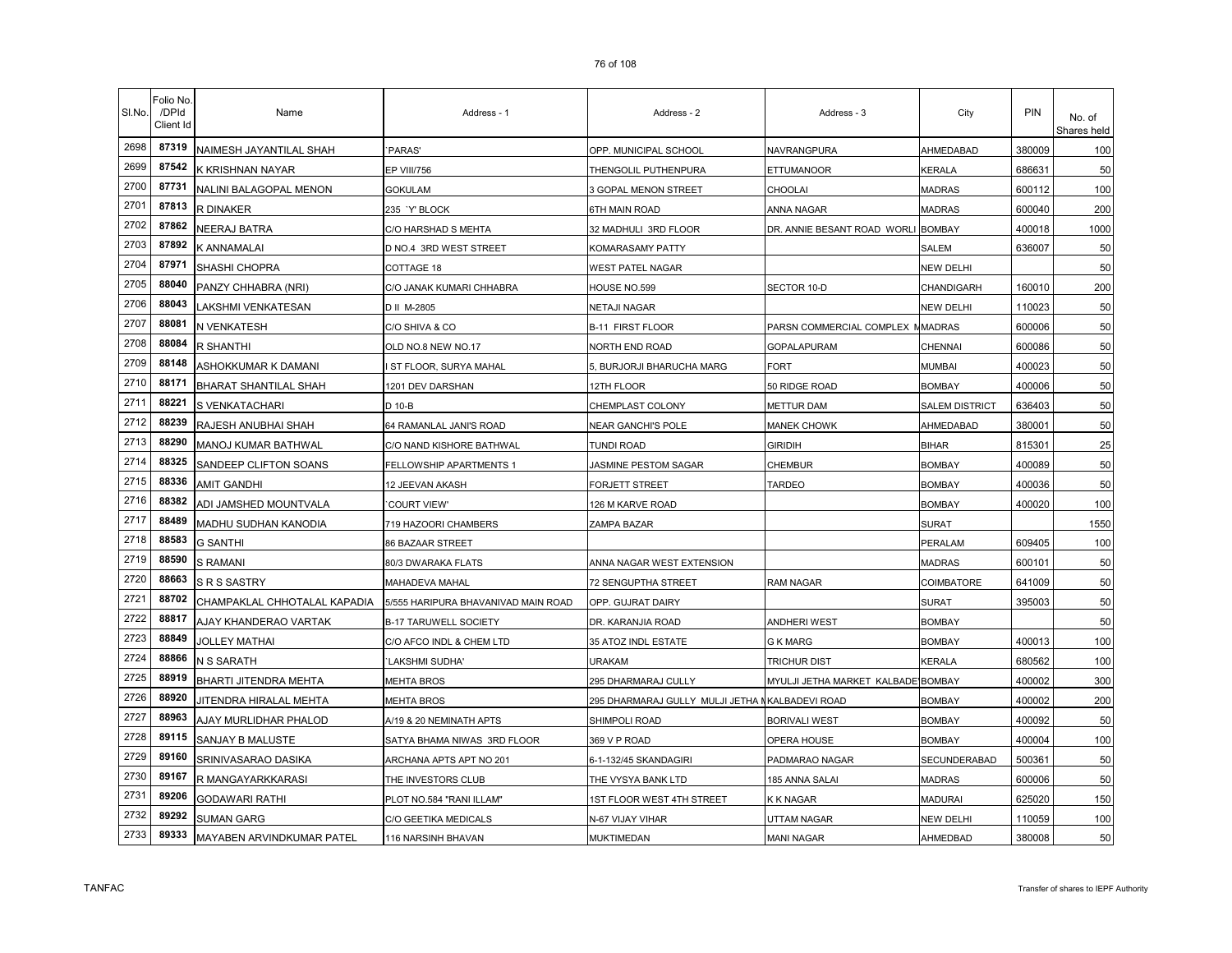| SI.No. | Folio No<br>/DPId<br>Client Id | Name                         | Address - 1                         | Address - 2                                     | Address - 3                        | City                  | PIN    | No. of<br>Shares held |
|--------|--------------------------------|------------------------------|-------------------------------------|-------------------------------------------------|------------------------------------|-----------------------|--------|-----------------------|
| 2698   | 87319                          | NAIMESH JAYANTILAL SHAH      | 'PARAS'                             | OPP. MUNICIPAL SCHOOL                           | NAVRANGPURA                        | AHMEDABAD             | 380009 | 100                   |
| 2699   | 87542                          | K KRISHNAN NAYAR             | EP VIII/756                         | THENGOLIL PUTHENPURA                            | ETTUMANOOR                         | KERALA                | 686631 | 50                    |
| 2700   | 87731                          | NALINI BALAGOPAL MENON       | GOKULAM                             | <b>3 GOPAL MENON STREET</b>                     | CHOOLAI                            | <b>MADRAS</b>         | 600112 | 100                   |
| 2701   | 87813                          | R DINAKER                    | 235 `Y' BLOCK                       | 6TH MAIN ROAD                                   | ANNA NAGAR                         | <b>MADRAS</b>         | 600040 | 200                   |
| 2702   | 87862                          | NEERAJ BATRA                 | C/O HARSHAD S MEHTA                 | 32 MADHULI 3RD FLOOR                            | DR. ANNIE BESANT ROAD WORLI BOMBAY |                       | 400018 | 1000                  |
| 2703   | 87892                          | K ANNAMALAI                  | D NO.4 3RD WEST STREET              | KOMARASAMY PATTY                                |                                    | SALEM                 | 636007 | 50                    |
| 2704   | 87971                          | SHASHI CHOPRA                | COTTAGE 18                          | WEST PATEL NAGAR                                |                                    | <b>NEW DELHI</b>      |        | 50                    |
| 2705   | 88040                          | PANZY CHHABRA (NRI)          | C/O JANAK KUMARI CHHABRA            | HOUSE NO.599                                    | SECTOR 10-D                        | CHANDIGARH            | 160010 | 200                   |
| 2706   | 88043                          | LAKSHMI VENKATESAN           | D II M-2805                         | NETAJI NAGAR                                    |                                    | <b>NEW DELHI</b>      | 110023 | 50                    |
| 2707   | 88081                          | N VENKATESH                  | C/O SHIVA & CO                      | <b>B-11 FIRST FLOOR</b>                         | PARSN COMMERCIAL COMPLEX NMADRAS   |                       | 600006 | 50                    |
| 2708   | 88084                          | R SHANTHI                    | OLD NO.8 NEW NO.17                  | NORTH END ROAD                                  | <b>GOPALAPURAM</b>                 | CHENNAI               | 600086 | 50                    |
| 2709   | 88148                          | ASHOKKUMAR K DAMANI          | <b>ST FLOOR, SURYA MAHAL</b>        | 5, BURJORJI BHARUCHA MARG                       | FORT                               | <b>MUMBAI</b>         | 400023 | 50                    |
| 2710   | 88171                          | BHARAT SHANTILAL SHAH        | 1201 DEV DARSHAN                    | 12TH FLOOR                                      | 50 RIDGE ROAD                      | <b>BOMBAY</b>         | 400006 | 50                    |
| 2711   | 88221                          | S VENKATACHARI               | D 10-B                              | CHEMPLAST COLONY                                | <b>METTUR DAM</b>                  | <b>SALEM DISTRICT</b> | 636403 | 50                    |
| 2712   | 88239                          | RAJESH ANUBHAI SHAH          | 64 RAMANLAL JANI'S ROAD             | NEAR GANCHI'S POLE                              | <b>MANEK CHOWK</b>                 | AHMEDABAD             | 380001 | 50                    |
| 2713   | 88290                          | MANOJ KUMAR BATHWAL          | C/O NAND KISHORE BATHWAL            | <b>TUNDI ROAD</b>                               | <b>GIRIDIH</b>                     | <b>BIHAR</b>          | 815301 | 25                    |
| 2714   | 88325                          | SANDEEP CLIFTON SOANS        | FELLOWSHIP APARTMENTS 1             | JASMINE PESTOM SAGAR                            | <b>CHEMBUR</b>                     | <b>BOMBAY</b>         | 400089 | 50                    |
| 2715   | 88336                          | AMIT GANDHI                  | 12 JEEVAN AKASH                     | FORJETT STREET                                  | TARDEO                             | <b>BOMBAY</b>         | 400036 | 50                    |
| 2716   | 88382                          | ADI JAMSHED MOUNTVALA        | <b>COURT VIEW'</b>                  | 126 M KARVE ROAD                                |                                    | <b>BOMBAY</b>         | 400020 | 100                   |
| 2717   | 88489                          | MADHU SUDHAN KANODIA         | 719 HAZOORI CHAMBERS                | ZAMPA BAZAR                                     |                                    | <b>SURAT</b>          |        | 1550                  |
| 2718   | 88583                          | <b>G SANTHI</b>              | 86 BAZAAR STREET                    |                                                 |                                    | PERALAM               | 609405 | 100                   |
| 2719   | 88590                          | <b>S RAMANI</b>              | 80/3 DWARAKA FLATS                  | ANNA NAGAR WEST EXTENSION                       |                                    | <b>MADRAS</b>         | 600101 | 50                    |
| 2720   | 88663                          | <b>S R S SASTRY</b>          | MAHADEVA MAHAL                      | 72 SENGUPTHA STREET                             | <b>RAM NAGAR</b>                   | COIMBATORE            | 641009 | 50                    |
| 2721   | 88702                          | CHAMPAKLAL CHHOTALAL KAPADIA | 5/555 HARIPURA BHAVANIVAD MAIN ROAD | OPP. GUJRAT DAIRY                               |                                    | <b>SURAT</b>          | 395003 | 50                    |
| 2722   | 88817                          | AJAY KHANDERAO VARTAK        | <b>B-17 TARUWELL SOCIETY</b>        | DR. KARANJIA ROAD                               | ANDHERI WEST                       | <b>BOMBAY</b>         |        | 50                    |
| 2723   | 88849                          | <b>JOLLEY MATHAI</b>         | C/O AFCO INDL & CHEM LTD            | 35 ATOZ INDL ESTATE                             | <b>G K MARG</b>                    | <b>BOMBAY</b>         | 400013 | 100                   |
| 2724   | 88866                          | N S SARATH                   | 'LAKSHMI SUDHA'                     | <b>URAKAM</b>                                   | <b>TRICHUR DIST</b>                | <b>KERALA</b>         | 680562 | 100                   |
| 2725   | 88919                          | BHARTI JITENDRA MEHTA        | <b>MEHTA BROS</b>                   | 295 DHARMARAJ CULLY                             | MYULJI JETHA MARKET KALBADE BOMBAY |                       | 400002 | 300                   |
| 2726   | 88920                          | JITENDRA HIRALAL MEHTA       | MEHTA BROS                          | 295 DHARMARAJ GULLY MULJI JETHA NKALBADEVI ROAD |                                    | <b>BOMBAY</b>         | 400002 | 200                   |
| 2727   | 88963                          | AJAY MURLIDHAR PHALOD        | A/19 & 20 NEMINATH APTS             | SHIMPOLI ROAD                                   | <b>BORIVALI WEST</b>               | <b>BOMBAY</b>         | 400092 | 50                    |
| 2728   | 89115                          | SANJAY B MALUSTE             | SATYA BHAMA NIWAS 3RD FLOOR         | 369 V P ROAD                                    | OPERA HOUSE                        | <b>BOMBAY</b>         | 400004 | 100                   |
| 2729   | 89160                          | SRINIVASARAO DASIKA          | ARCHANA APTS APT NO 201             | 6-1-132/45 SKANDAGIRI                           | PADMARAO NAGAR                     | SECUNDERABAD          | 500361 | 50                    |
| 2730   | 89167                          | R MANGAYARKKARASI            | THE INVESTORS CLUB                  | THE VYSYA BANK LTD                              | 185 ANNA SALAI                     | <b>MADRAS</b>         | 600006 | 50                    |
| 2731   | 89206                          | <b>GODAWARI RATHI</b>        | PLOT NO.584 "RANI ILLAM"            | IST FLOOR WEST 4TH STREET                       | K K NAGAR                          | MADURAI               | 625020 | 150                   |
| 2732   | 89292                          | <b>SUMAN GARG</b>            | C/O GEETIKA MEDICALS                | N-67 VIJAY VIHAR                                | UTTAM NAGAR                        | NEW DELHI             | 110059 | 100                   |
| 2733   | 89333                          | MAYABEN ARVINDKUMAR PATEL    | 116 NARSINH BHAVAN                  | <b>MUKTIMEDAN</b>                               | <b>MANI NAGAR</b>                  | AHMEDBAD              | 380008 | 50                    |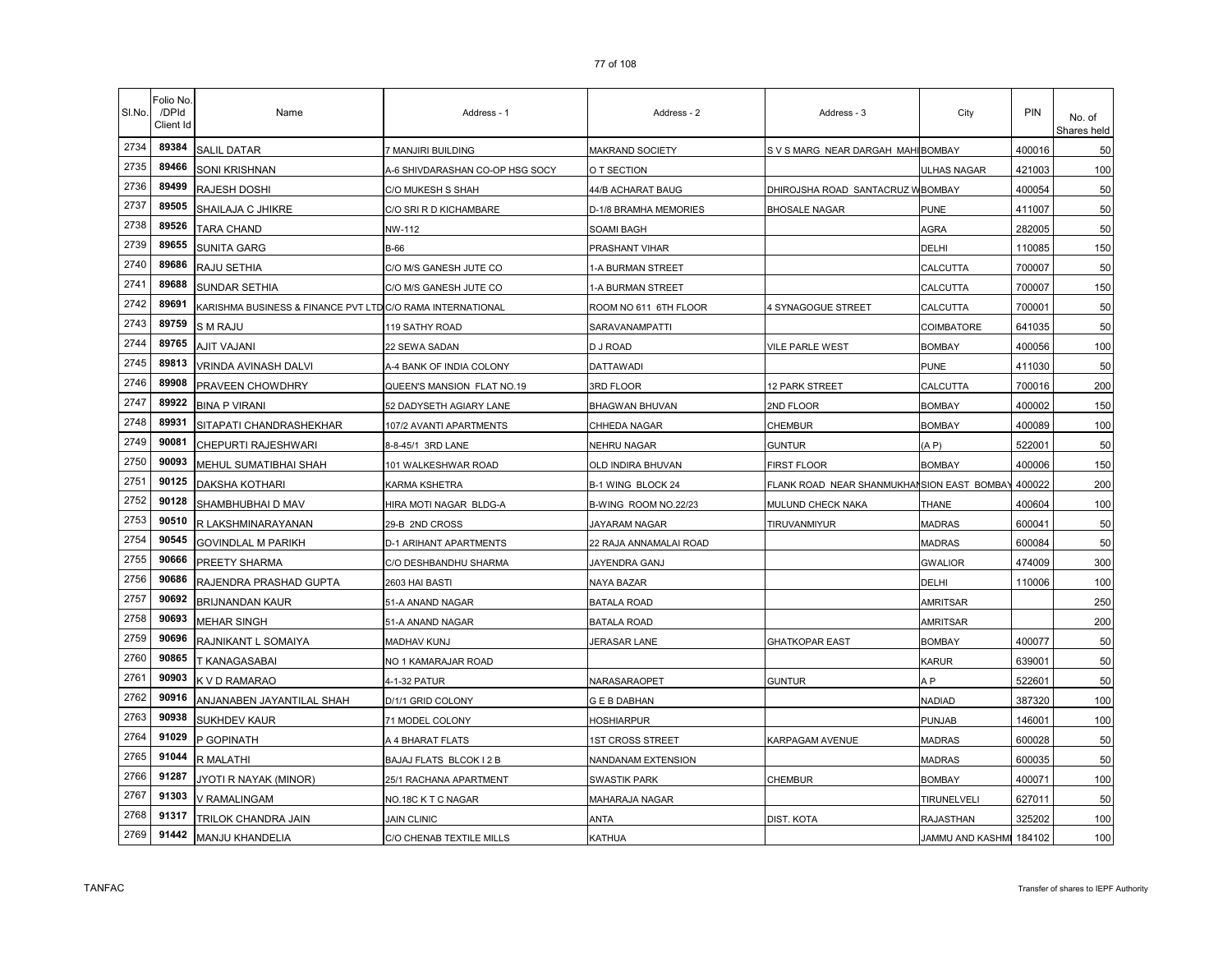| SI.No. | Folio No<br>/DPId<br>Client Id | Name                                                       | Address - 1                     | Address - 2            | Address - 3                                | City                    | PIN    | No. of<br>Shares held |
|--------|--------------------------------|------------------------------------------------------------|---------------------------------|------------------------|--------------------------------------------|-------------------------|--------|-----------------------|
| 2734   | 89384                          | <b>SALIL DATAR</b>                                         | 7 MANJIRI BUILDING              | MAKRAND SOCIETY        | S V S MARG NEAR DARGAH MAHIBOMBAY          |                         | 400016 | 50                    |
| 2735   | 89466                          | <b>SONI KRISHNAN</b>                                       | A-6 SHIVDARASHAN CO-OP HSG SOCY | O T SECTION            |                                            | <b>ULHAS NAGAR</b>      | 421003 | 100                   |
| 2736   | 89499                          | RAJESH DOSHI                                               | C/O MUKESH S SHAH               | 44/B ACHARAT BAUG      | DHIROJSHA ROAD SANTACRUZ WBOMBAY           |                         | 400054 | 50                    |
| 2737   | 89505                          | SHAILAJA C JHIKRE                                          | C/O SRI R D KICHAMBARE          | D-1/8 BRAMHA MEMORIES  | <b>BHOSALE NAGAR</b>                       | PUNE                    | 411007 | 50                    |
| 2738   | 89526                          | <b>TARA CHAND</b>                                          | NW-112                          | SOAMI BAGH             |                                            | AGRA                    | 282005 | 50                    |
| 2739   | 89655                          | <b>SUNITA GARG</b>                                         | B-66                            | PRASHANT VIHAR         |                                            | DELHI                   | 110085 | 150                   |
| 2740   | 89686                          | RAJU SETHIA                                                | C/O M/S GANESH JUTE CO          | 1-A BURMAN STREET      |                                            | CALCUTTA                | 700007 | 50                    |
| 2741   | 89688                          | SUNDAR SETHIA                                              | C/O M/S GANESH JUTE CO          | 1-A BURMAN STREET      |                                            | CALCUTTA                | 700007 | 150                   |
| 2742   | 89691                          | KARISHMA BUSINESS & FINANCE PVT LTD C/O RAMA INTERNATIONAL |                                 | ROOM NO 611 6TH FLOOR  | <b>4 SYNAGOGUE STREET</b>                  | CALCUTTA                | 700001 | 50                    |
| 2743   | 89759                          | S M RAJU                                                   | 119 SATHY ROAD                  | SARAVANAMPATTI         |                                            | COIMBATORE              | 641035 | 50                    |
| 2744   | 89765                          | <b>AJIT VAJANI</b>                                         | 22 SEWA SADAN                   | D J ROAD               | VILE PARLE WEST                            | <b>BOMBAY</b>           | 400056 | 100                   |
| 2745   | 89813                          | VRINDA AVINASH DALVI                                       | A-4 BANK OF INDIA COLONY        | <b>DATTAWADI</b>       |                                            | <b>PUNE</b>             | 411030 | 50                    |
| 2746   | 89908                          | PRAVEEN CHOWDHRY                                           | QUEEN'S MANSION FLAT NO.19      | 3RD FLOOR              | <b>12 PARK STREET</b>                      | CALCUTTA                | 700016 | 200                   |
| 2747   | 89922                          | <b>BINA P VIRANI</b>                                       | 52 DADYSETH AGIARY LANE         | <b>BHAGWAN BHUVAN</b>  | 2ND FLOOR                                  | <b>BOMBAY</b>           | 400002 | 150                   |
| 2748   | 89931                          | SITAPATI CHANDRASHEKHAR                                    | 107/2 AVANTI APARTMENTS         | CHHEDA NAGAR           | <b>CHEMBUR</b>                             | <b>BOMBAY</b>           | 400089 | 100                   |
| 2749   | 90081                          | CHEPURTI RAJESHWARI                                        | 8-8-45/1 3RD LANE               | NEHRU NAGAR            | <b>GUNTUR</b>                              | (A P)                   | 522001 | 50                    |
| 2750   | 90093                          | MEHUL SUMATIBHAI SHAH                                      | 101 WALKESHWAR ROAD             | OLD INDIRA BHUVAN      | FIRST FLOOR                                | <b>BOMBAY</b>           | 400006 | 150                   |
| 2751   | 90125                          | DAKSHA KOTHARI                                             | KARMA KSHETRA                   | B-1 WING BLOCK 24      | -LANK ROAD NEAR SHANMUKHANSION EAST BOMBAY |                         | 400022 | 200                   |
| 2752   | 90128                          | SHAMBHUBHAI D MAV                                          | HIRA MOTI NAGAR BLDG-A          | B-WING ROOM NO.22/23   | MULUND CHECK NAKA                          | <b>THANE</b>            | 400604 | 100                   |
| 2753   | 90510                          | R LAKSHMINARAYANAN                                         | 29-B 2ND CROSS                  | JAYARAM NAGAR          | TIRUVANMIYUR                               | <b>MADRAS</b>           | 600041 | 50                    |
| 2754   | 90545                          | <b>GOVINDLAL M PARIKH</b>                                  | D-1 ARIHANT APARTMENTS          | 22 RAJA ANNAMALAI ROAD |                                            | <b>MADRAS</b>           | 600084 | 50                    |
| 2755   | 90666                          | PREETY SHARMA                                              | C/O DESHBANDHU SHARMA           | JAYENDRA GANJ          |                                            | <b>GWALIOR</b>          | 474009 | 300                   |
| 2756   | 90686                          | RAJENDRA PRASHAD GUPTA                                     | 2603 HAI BASTI                  | NAYA BAZAR             |                                            | DELHI                   | 110006 | 100                   |
| 2757   | 90692                          | BRIJNANDAN KAUR                                            | 51-A ANAND NAGAR                | <b>BATALA ROAD</b>     |                                            | <b>AMRITSAR</b>         |        | 250                   |
| 2758   | 90693                          | <b>MEHAR SINGH</b>                                         | 51-A ANAND NAGAR                | <b>BATALA ROAD</b>     |                                            | <b>AMRITSAR</b>         |        | 200                   |
| 2759   | 90696                          | RAJNIKANT L SOMAIYA                                        | MADHAV KUNJ                     | JERASAR LANE           | <b>GHATKOPAR EAST</b>                      | <b>BOMBAY</b>           | 400077 | 50                    |
| 2760   | 90865                          | T KANAGASABAI                                              | NO 1 KAMARAJAR ROAD             |                        |                                            | KARUR                   | 639001 | 50                    |
| 2761   | 90903                          | K V D RAMARAO                                              | 4-1-32 PATUR                    | NARASARAOPET           | <b>GUNTUR</b>                              | A P                     | 522601 | 50                    |
| 2762   | 90916                          | ANJANABEN JAYANTILAL SHAH                                  | D/1/1 GRID COLONY               | G E B DABHAN           |                                            | <b>NADIAD</b>           | 387320 | 100                   |
| 2763   | 90938                          | <b>SUKHDEV KAUR</b>                                        | 71 MODEL COLONY                 | HOSHIARPUR             |                                            | PUNJAB                  | 146001 | 100                   |
| 2764   | 91029                          | P GOPINATH                                                 | A 4 BHARAT FLATS                | IST CROSS STREET       | KARPAGAM AVENUE                            | <b>MADRAS</b>           | 600028 | 50                    |
| 2765   | 91044                          | R MALATHI                                                  | BAJAJ FLATS BLCOK I 2 B         | NANDANAM EXTENSION     |                                            | <b>MADRAS</b>           | 600035 | 50                    |
| 2766   | 91287                          | JYOTI R NAYAK (MINOR)                                      | 25/1 RACHANA APARTMENT          | <b>SWASTIK PARK</b>    | CHEMBUR                                    | <b>BOMBAY</b>           | 400071 | 100                   |
| 2767   | 91303                          | V RAMALINGAM                                               | NO.18C K T C NAGAR              | MAHARAJA NAGAR         |                                            | TIRUNELVELI             | 627011 | 50                    |
| 2768   | 91317                          | TRILOK CHANDRA JAIN                                        | <b>JAIN CLINIC</b>              | <b>ANTA</b>            | DIST. KOTA                                 | RAJASTHAN               | 325202 | 100                   |
| 2769   | 91442                          | <b>MANJU KHANDELIA</b>                                     | C/O CHENAB TEXTILE MILLS        | KATHUA                 |                                            | JAMMU AND KASHMI 184102 |        | 100                   |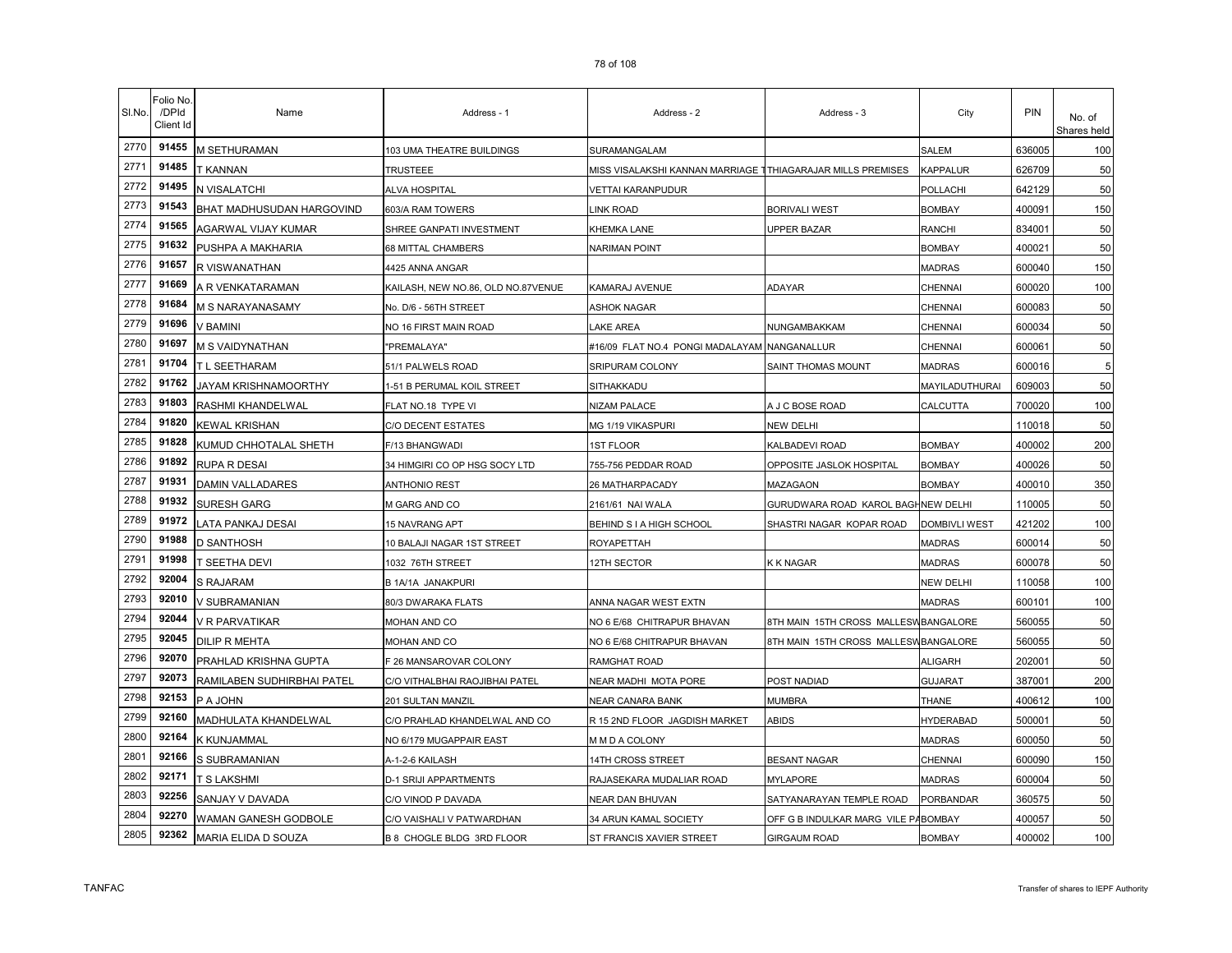| SI.No. | Folio No.<br>/DPId<br>Client Id | Name                       | Address - 1                        | Address - 2                                                 | Address - 3                          | City                 | PIN    | No. of<br>Shares held |
|--------|---------------------------------|----------------------------|------------------------------------|-------------------------------------------------------------|--------------------------------------|----------------------|--------|-----------------------|
| 2770   | 91455                           | M SETHURAMAN               | 103 UMA THEATRE BUILDINGS          | SURAMANGALAM                                                |                                      | SALEM                | 636005 | 100                   |
| 2771   | 91485                           | T KANNAN                   | TRUSTEEE                           | MISS VISALAKSHI KANNAN MARRIAGE TTHIAGARAJAR MILLS PREMISES |                                      | KAPPALUR             | 626709 | 50                    |
| 2772   | 91495                           | N VISALATCHI               | ALVA HOSPITAL                      | /ETTAI KARANPUDUR                                           |                                      | POLLACHI             | 642129 | 50                    |
| 2773   | 91543                           | BHAT MADHUSUDAN HARGOVIND  | 603/A RAM TOWERS                   | <b>INK ROAD</b>                                             | <b>BORIVALI WEST</b>                 | <b>BOMBAY</b>        | 400091 | 150                   |
| 2774   | 91565                           | AGARWAL VIJAY KUMAR        | SHREE GANPATI INVESTMENT           | KHEMKA LANE                                                 | <b>UPPER BAZAR</b>                   | RANCHI               | 834001 | 50                    |
| 2775   | 91632                           | PUSHPA A MAKHARIA          | 68 MITTAL CHAMBERS                 | NARIMAN POINT                                               |                                      | <b>BOMBAY</b>        | 400021 | 50                    |
| 2776   | 91657                           | R VISWANATHAN              | 4425 ANNA ANGAR                    |                                                             |                                      | <b>MADRAS</b>        | 600040 | 150                   |
| 2777   | 91669                           | A R VENKATARAMAN           | KAILASH, NEW NO.86, OLD NO.87VENUE | KAMARAJ AVENUE                                              | ADAYAR                               | CHENNAI              | 600020 | 100                   |
| 2778   | 91684                           | M S NARAYANASAMY           | No. D/6 - 56TH STREET              | ASHOK NAGAR                                                 |                                      | CHENNAI              | 600083 | 50                    |
| 2779   | 91696                           | V BAMINI                   | NO 16 FIRST MAIN ROAD              | AKE AREA                                                    | NUNGAMBAKKAM                         | CHENNAI              | 600034 | 50                    |
| 2780   | 91697                           | M S VAIDYNATHAN            | "PREMALAYA"                        | #16/09 FLAT NO.4 PONGI MADALAYAM                            | NANGANALLUR                          | CHENNAI              | 600061 | 50                    |
| 2781   | 91704                           | T L SEETHARAM              | 51/1 PALWELS ROAD                  | SRIPURAM COLONY                                             | SAINT THOMAS MOUNT                   | <b>MADRAS</b>        | 600016 | 5                     |
| 2782   | 91762                           | JAYAM KRISHNAMOORTHY       | 1-51 B PERUMAL KOIL STREET         | SITHAKKADU                                                  |                                      | MAYILADUTHURAI       | 609003 | 50                    |
| 2783   | 91803                           | RASHMI KHANDELWAL          | FLAT NO.18 TYPE VI                 | NIZAM PALACE                                                | A J C BOSE ROAD                      | CALCUTTA             | 700020 | 100                   |
| 2784   | 91820                           | <b>KEWAL KRISHAN</b>       | <b>C/O DECENT ESTATES</b>          | MG 1/19 VIKASPURI                                           | NEW DELHI                            |                      | 110018 | 50                    |
| 2785   | 91828                           | KUMUD CHHOTALAL SHETH      | F/13 BHANGWADI                     | <b>IST FLOOR</b>                                            | KALBADEVI ROAD                       | <b>BOMBAY</b>        | 400002 | 200                   |
| 2786   | 91892                           | RUPA R DESAI               | 34 HIMGIRI CO OP HSG SOCY LTD      | 755-756 PEDDAR ROAD                                         | OPPOSITE JASLOK HOSPITAL             | BOMBAY               | 400026 | 50                    |
| 2787   | 91931                           | DAMIN VALLADARES           | <b>ANTHONIO REST</b>               | 26 MATHARPACADY                                             | MAZAGAON                             | <b>BOMBAY</b>        | 400010 | 350                   |
| 2788   | 91932                           | SURESH GARG                | M GARG AND CO                      | 2161/61 NAI WALA                                            | GURUDWARA ROAD KAROL BAGHNEW DELHI   |                      | 110005 | 50                    |
| 2789   | 91972                           | LATA PANKAJ DESAI          | 15 NAVRANG APT                     | BEHIND S I A HIGH SCHOOL                                    | SHASTRI NAGAR KOPAR ROAD             | <b>DOMBIVLI WEST</b> | 421202 | 100                   |
| 2790   | 91988                           | D SANTHOSH                 | 10 BALAJI NAGAR 1ST STREET         | ROYAPETTAH                                                  |                                      | <b>MADRAS</b>        | 600014 | 50                    |
| 2791   | 91998                           | T SEETHA DEVI              | 1032 76TH STREET                   | <b>12TH SECTOR</b>                                          | <b>KK NAGAR</b>                      | <b>MADRAS</b>        | 600078 | 50                    |
| 2792   | 92004                           | S RAJARAM                  | B 1A/1A JANAKPURI                  |                                                             |                                      | <b>NEW DELHI</b>     | 110058 | 100                   |
| 2793   | 92010                           | V SUBRAMANIAN              | 80/3 DWARAKA FLATS                 | ANNA NAGAR WEST EXTN                                        |                                      | <b>MADRAS</b>        | 600101 | 100                   |
| 2794   | 92044                           | V R PARVATIKAR             | MOHAN AND CO                       | NO 6 E/68 CHITRAPUR BHAVAN                                  | 8TH MAIN 15TH CROSS MALLESWBANGALORE |                      | 560055 | 50                    |
| 2795   | 92045                           | <b>DILIP R MEHTA</b>       | MOHAN AND CO                       | NO 6 E/68 CHITRAPUR BHAVAN                                  | 8TH MAIN 15TH CROSS MALLESWBANGALORE |                      | 560055 | 50                    |
| 2796   | 92070                           | PRAHLAD KRISHNA GUPTA      | F 26 MANSAROVAR COLONY             | RAMGHAT ROAD                                                |                                      | <b>ALIGARH</b>       | 202001 | 50                    |
| 2797   | 92073                           | RAMILABEN SUDHIRBHAI PATEL | C/O VITHALBHAI RAOJIBHAI PATEL     | NEAR MADHI MOTA PORE                                        | POST NADIAD                          | <b>GUJARAT</b>       | 387001 | 200                   |
| 2798   | 92153                           | P A JOHN                   | 201 SULTAN MANZIL                  | <b>NEAR CANARA BANK</b>                                     | <b>MUMBRA</b>                        | <b>THANE</b>         | 400612 | 100                   |
| 2799   | 92160                           | MADHULATA KHANDELWAL       | C/O PRAHLAD KHANDELWAL AND CO      | R 15 2ND FLOOR JAGDISH MARKET                               | ABIDS                                | <b>HYDERABAD</b>     | 500001 | 50                    |
| 2800   | 92164                           | K KUNJAMMAL                | NO 6/179 MUGAPPAIR EAST            | M M D A COLONY                                              |                                      | <b>MADRAS</b>        | 600050 | 50                    |
| 2801   | 92166                           | S SUBRAMANIAN              | A-1-2-6 KAILASH                    | 14TH CROSS STREET                                           | <b>BESANT NAGAR</b>                  | CHENNAI              | 600090 | 150                   |
| 2802   | 92171                           | T S LAKSHMI                | D-1 SRIJI APPARTMENTS              | RAJASEKARA MUDALIAR ROAD                                    | <b>MYLAPORE</b>                      | <b>MADRAS</b>        | 600004 | 50                    |
| 2803   | 92256                           | SANJAY V DAVADA            | C/O VINOD P DAVADA                 | NEAR DAN BHUVAN                                             | SATYANARAYAN TEMPLE ROAD             | PORBANDAR            | 360575 | 50                    |
| 2804   | 92270                           | WAMAN GANESH GODBOLE       | C/O VAISHALI V PATWARDHAN          | 34 ARUN KAMAL SOCIETY                                       | OFF G B INDULKAR MARG VILE PABOMBAY  |                      | 400057 | 50                    |
| 2805   | 92362                           | MARIA ELIDA D SOUZA        | B 8 CHOGLE BLDG 3RD FLOOR          | ST FRANCIS XAVIER STREET                                    | <b>GIRGAUM ROAD</b>                  | <b>BOMBAY</b>        | 400002 | 100                   |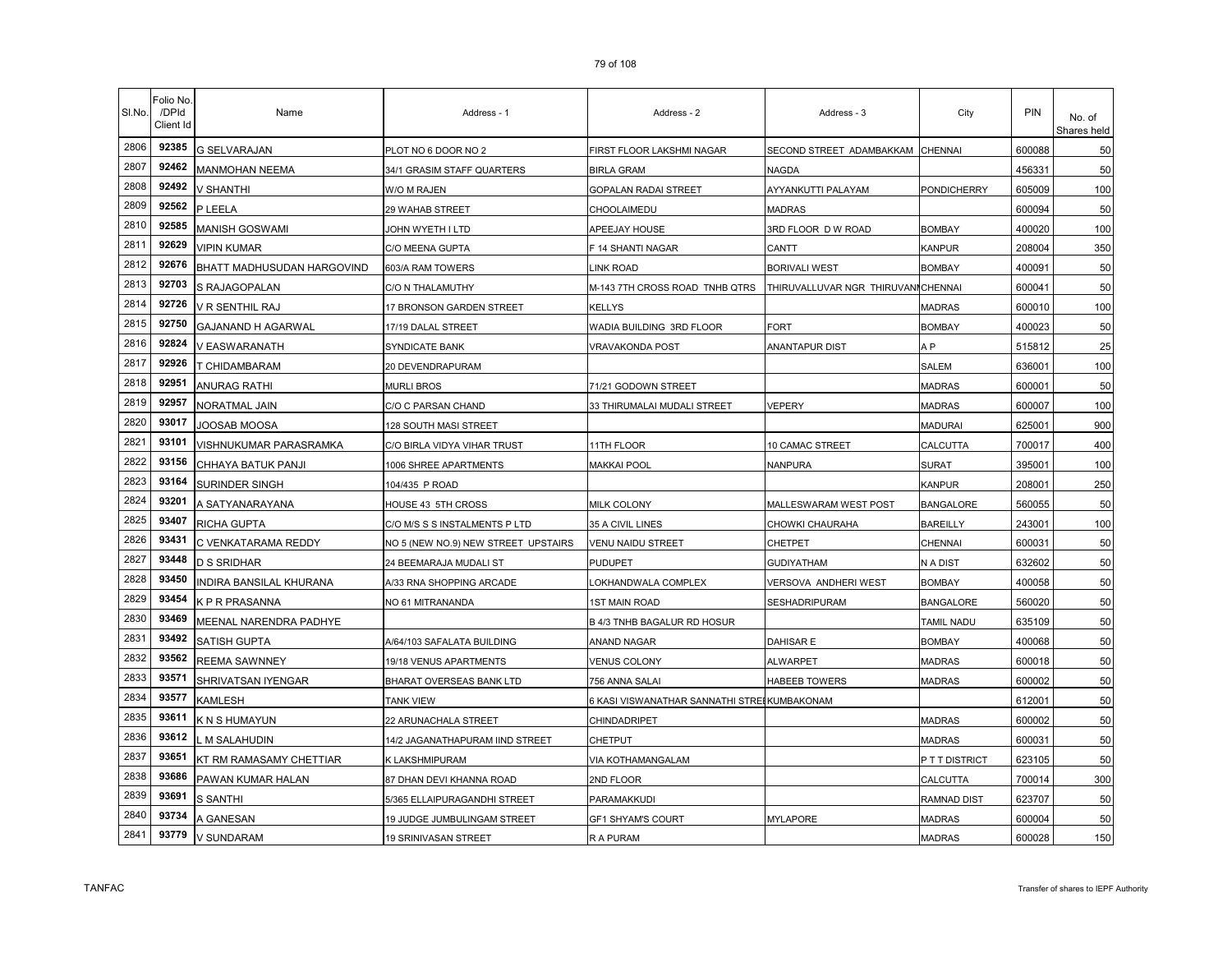| SI.No. | <sup>=</sup> olio No<br>/DPId<br>Client Id | Name                       | Address - 1                         | Address - 2                                 | Address - 3                         | City              | PIN    | No. of<br>Shares held |
|--------|--------------------------------------------|----------------------------|-------------------------------------|---------------------------------------------|-------------------------------------|-------------------|--------|-----------------------|
| 2806   | 92385                                      | <b>G SELVARAJAN</b>        | PLOT NO 6 DOOR NO 2                 | FIRST FLOOR LAKSHMI NAGAR                   | SECOND STREET ADAMBAKKAM            | <b>CHENNAI</b>    | 600088 | 50                    |
| 2807   | 92462                                      | <b>MANMOHAN NEEMA</b>      | 34/1 GRASIM STAFF QUARTERS          | BIRLA GRAM                                  | NAGDA                               |                   | 456331 | 50                    |
| 2808   | 92492                                      | V SHANTHI                  | W/O M RAJEN                         | GOPALAN RADAI STREET                        | AYYANKUTTI PALAYAM                  | PONDICHERRY       | 605009 | 100                   |
| 2809   | 92562                                      | P LEELA                    | 29 WAHAB STREET                     | CHOOLAIMEDU                                 | <b>MADRAS</b>                       |                   | 600094 | 50                    |
| 2810   | 92585                                      | MANISH GOSWAMI             | JOHN WYETH I LTD                    | APEEJAY HOUSE                               | 3RD FLOOR D W ROAD                  | <b>BOMBAY</b>     | 400020 | 100                   |
| 2811   | 92629                                      | <b>VIPIN KUMAR</b>         | C/O MEENA GUPTA                     | F 14 SHANTI NAGAR                           | CANTT                               | <b>KANPUR</b>     | 208004 | 350                   |
| 2812   | 92676                                      | BHATT MADHUSUDAN HARGOVIND | 603/A RAM TOWERS                    | LINK ROAD                                   | <b>BORIVALI WEST</b>                | <b>BOMBAY</b>     | 400091 | 50                    |
| 2813   | 92703                                      | S RAJAGOPALAN              | C/O N THALAMUTHY                    | M-143 7TH CROSS ROAD TNHB QTRS              | THIRUVALLUVAR NGR THIRUVANI CHENNAI |                   | 600041 | 50                    |
| 2814   | 92726                                      | V R SENTHIL RAJ            | 17 BRONSON GARDEN STREET            | <b>KELLYS</b>                               |                                     | <b>MADRAS</b>     | 600010 | 100                   |
| 2815   | 92750                                      | GAJANAND H AGARWAL         | 17/19 DALAL STREET                  | WADIA BUILDING 3RD FLOOR                    | FORT                                | <b>BOMBAY</b>     | 400023 | 50                    |
| 2816   | 92824                                      | V EASWARANATH              | SYNDICATE BANK                      | VRAVAKONDA POST                             | ANANTAPUR DIST                      | A <sub>P</sub>    | 515812 | 25                    |
| 2817   | 92926                                      | T CHIDAMBARAM              | 20 DEVENDRAPURAM                    |                                             |                                     | <b>SALEM</b>      | 636001 | 100                   |
| 2818   | 92951                                      | ANURAG RATHI               | <b>MURLI BROS</b>                   | 71/21 GODOWN STREET                         |                                     | <b>MADRAS</b>     | 600001 | 50                    |
| 2819   | 92957                                      | NORATMAL JAIN              | C/O C PARSAN CHAND                  | 33 THIRUMALAI MUDALI STREET                 | VEPERY                              | <b>MADRAS</b>     | 600007 | 100                   |
| 2820   | 93017                                      | JOOSAB MOOSA               | 128 SOUTH MASI STREET               |                                             |                                     | <b>MADURAI</b>    | 625001 | 900                   |
| 2821   | 93101                                      | VISHNUKUMAR PARASRAMKA     | C/O BIRLA VIDYA VIHAR TRUST         | <b>11TH FLOOR</b>                           | 10 CAMAC STREET                     | CALCUTTA          | 700017 | 400                   |
| 2822   | 93156                                      | CHHAYA BATUK PANJI         | 1006 SHREE APARTMENTS               | <b>MAKKAI POOL</b>                          | <b>VANPURA</b>                      | SURAT             | 395001 | 100                   |
| 2823   | 93164                                      | SURINDER SINGH             | 104/435 P ROAD                      |                                             |                                     | KANPUR            | 208001 | 250                   |
| 2824   | 93201                                      | A SATYANARAYANA            | HOUSE 43 5TH CROSS                  | MILK COLONY                                 | MALLESWARAM WEST POST               | <b>BANGALORE</b>  | 560055 | 50                    |
| 2825   | 93407                                      | RICHA GUPTA                | C/O M/S S S INSTALMENTS P LTD       | 35 A CIVIL LINES                            | CHOWKI CHAURAHA                     | <b>BAREILLY</b>   | 243001 | 100                   |
| 2826   | 93431                                      | C VENKATARAMA REDDY        | NO 5 (NEW NO.9) NEW STREET UPSTAIRS | <b>VENU NAIDU STREET</b>                    | CHETPET                             | CHENNAI           | 600031 | 50                    |
| 2827   | 93448                                      | D S SRIDHAR                | 24 BEEMARAJA MUDALI ST              | <b>PUDUPET</b>                              | <b>GUDIYATHAM</b>                   | N A DIST          | 632602 | 50                    |
| 2828   | 93450                                      | NDIRA BANSILAL KHURANA     | A/33 RNA SHOPPING ARCADE            | OKHANDWALA COMPLEX                          | VERSOVA ANDHERI WEST                | <b>BOMBAY</b>     | 400058 | 50                    |
| 2829   | 93454                                      | K P R PRASANNA             | NO 61 MITRANANDA                    | 1ST MAIN ROAD                               | SESHADRIPURAM                       | <b>BANGALORE</b>  | 560020 | 50                    |
| 2830   | 93469                                      | MEENAL NARENDRA PADHYE     |                                     | B 4/3 TNHB BAGALUR RD HOSUR                 |                                     | <b>TAMIL NADU</b> | 635109 | 50                    |
| 2831   | 93492                                      | <b>SATISH GUPTA</b>        | A/64/103 SAFALATA BUILDING          | ANAND NAGAR                                 | DAHISAR E                           | <b>BOMBAY</b>     | 400068 | 50                    |
| 2832   | 93562                                      | <b>REEMA SAWNNEY</b>       | 19/18 VENUS APARTMENTS              | <b>VENUS COLONY</b>                         | <b>ALWARPET</b>                     | <b>MADRAS</b>     | 600018 | 50                    |
| 2833   | 93571                                      | SHRIVATSAN IYENGAR         | BHARAT OVERSEAS BANK LTD            | 756 ANNA SALAI                              | HABEEB TOWERS                       | <b>MADRAS</b>     | 600002 | 50                    |
| 2834   | 93577                                      | KAMLESH                    | <b>TANK VIEW</b>                    | 6 KASI VISWANATHAR SANNATHI STREIKUMBAKONAM |                                     |                   | 612001 | 50                    |
| 2835   | 93611                                      | K N S HUMAYUN              | 22 ARUNACHALA STREET                | CHINDADRIPET                                |                                     | <b>MADRAS</b>     | 600002 | 50                    |
| 2836   | 93612                                      | M SALAHUDIN                | 14/2 JAGANATHAPURAM IIND STREET     | CHETPUT                                     |                                     | <b>MADRAS</b>     | 600031 | 50                    |
| 2837   | 93651                                      | KT RM RAMASAMY CHETTIAR    | K LAKSHMIPURAM                      | VIA KOTHAMANGALAM                           |                                     | P T T DISTRICT    | 623105 | 50                    |
| 2838   | 93686                                      | PAWAN KUMAR HALAN          | 87 DHAN DEVI KHANNA ROAD            | 2ND FLOOR                                   |                                     | CALCUTTA          | 700014 | 300                   |
| 2839   | 93691                                      | S SANTHI                   | 5/365 ELLAIPURAGANDHI STREET        | PARAMAKKUDI                                 |                                     | RAMNAD DIST       | 623707 | 50                    |
| 2840   | 93734                                      | A GANESAN                  | 19 JUDGE JUMBULINGAM STREET         | GF1 SHYAM'S COURT                           | <b>MYLAPORE</b>                     | MADRAS            | 600004 | 50                    |
| 2841   | 93779                                      | V SUNDARAM                 | 19 SRINIVASAN STREET                | R A PURAM                                   |                                     | <b>MADRAS</b>     | 600028 | 150                   |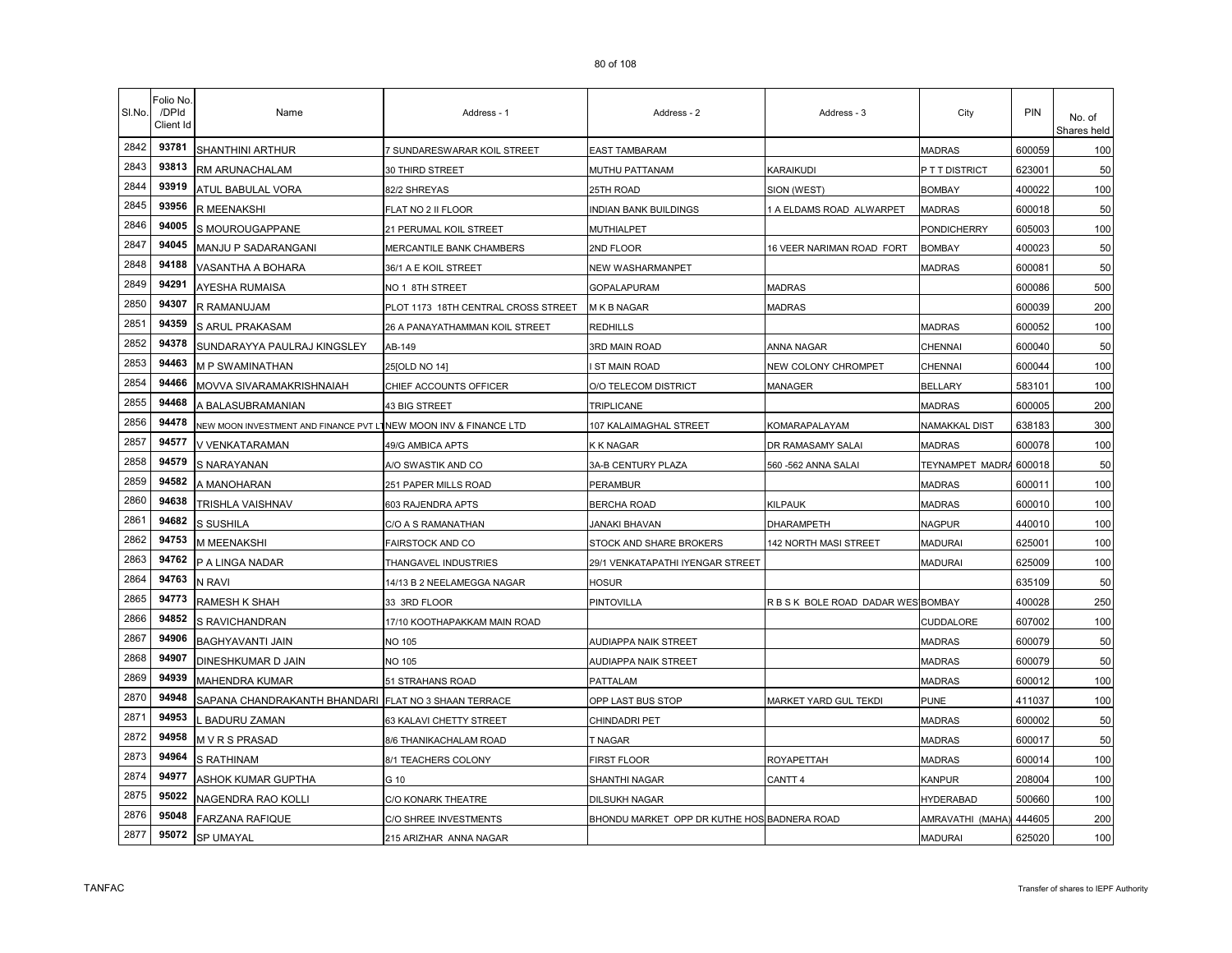| SI.No. | Folio No<br>/DPId<br>Client Id | Name                                                             | Address - 1                         | Address - 2                                 | Address - 3                        | City             | PIN    | No. of<br>Shares held |
|--------|--------------------------------|------------------------------------------------------------------|-------------------------------------|---------------------------------------------|------------------------------------|------------------|--------|-----------------------|
| 2842   | 93781                          | <b>SHANTHINI ARTHUR</b>                                          | 7 SUNDARESWARAR KOIL STREET         | EAST TAMBARAM                               |                                    | <b>MADRAS</b>    | 600059 | 100                   |
| 2843   | 93813                          | RM ARUNACHALAM                                                   | 30 THIRD STREET                     | MUTHU PATTANAM                              | KARAIKUDI                          | P T T DISTRICT   | 623001 | 50                    |
| 2844   | 93919                          | ATUL BABULAL VORA                                                | 82/2 SHREYAS                        | 25TH ROAD                                   | SION (WEST)                        | <b>BOMBAY</b>    | 400022 | 100                   |
| 2845   | 93956                          | R MEENAKSHI                                                      | FLAT NO 2 II FLOOR                  | INDIAN BANK BUILDINGS                       | A ELDAMS ROAD ALWARPET             | <b>MADRAS</b>    | 600018 | 50                    |
| 2846   | 94005                          | S MOUROUGAPPANE                                                  | 21 PERUMAL KOIL STREET              | MUTHIALPET                                  |                                    | PONDICHERRY      | 605003 | 100                   |
| 2847   | 94045                          | MANJU P SADARANGANI                                              | MERCANTILE BANK CHAMBERS            | 2ND FLOOR                                   | 16 VEER NARIMAN ROAD FORT          | <b>BOMBAY</b>    | 400023 | 50                    |
| 2848   | 94188                          | VASANTHA A BOHARA                                                | 36/1 A E KOIL STREET                | NEW WASHARMANPET                            |                                    | <b>MADRAS</b>    | 600081 | 50                    |
| 2849   | 94291                          | AYESHA RUMAISA                                                   | NO 1 8TH STREET                     | GOPALAPURAM                                 | <b>MADRAS</b>                      |                  | 600086 | 500                   |
| 2850   | 94307                          | R RAMANUJAM                                                      | PLOT 1173 18TH CENTRAL CROSS STREET | M K B NAGAR                                 | <b>MADRAS</b>                      |                  | 600039 | 200                   |
| 2851   | 94359                          | S ARUL PRAKASAM                                                  | 26 A PANAYATHAMMAN KOIL STREET      | REDHILLS                                    |                                    | <b>MADRAS</b>    | 600052 | 100                   |
| 2852   | 94378                          | SUNDARAYYA PAULRAJ KINGSLEY                                      | AB-149                              | 3RD MAIN ROAD                               | ANNA NAGAR                         | CHENNAI          | 600040 | 50                    |
| 2853   | 94463                          | M P SWAMINATHAN                                                  | 25 [OLD NO 14]                      | ST MAIN ROAD                                | NEW COLONY CHROMPET                | CHENNAI          | 600044 | 100                   |
| 2854   | 94466                          | MOVVA SIVARAMAKRISHNAIAH                                         | CHIEF ACCOUNTS OFFICER              | O/O TELECOM DISTRICT                        | MANAGER                            | <b>BELLARY</b>   | 583101 | 100                   |
| 2855   | 94468                          | A BALASUBRAMANIAN                                                | 43 BIG STREET                       | <b>TRIPLICANE</b>                           |                                    | <b>MADRAS</b>    | 600005 | 200                   |
| 2856   | 94478                          | NEW MOON INVESTMENT AND FINANCE PVT LTNEW MOON INV & FINANCE LTD |                                     | 107 KALAIMAGHAL STREET                      | KOMARAPALAYAM                      | NAMAKKAL DIST    | 638183 | 300                   |
| 2857   | 94577                          | V VENKATARAMAN                                                   | 49/G AMBICA APTS                    | K K NAGAR                                   | DR RAMASAMY SALAI                  | <b>MADRAS</b>    | 600078 | 100                   |
| 2858   | 94579                          | S NARAYANAN                                                      | A/O SWASTIK AND CO                  | 3A-B CENTURY PLAZA                          | 560 -562 ANNA SALAI                | TEYNAMPET MADRA  | 600018 | 50                    |
| 2859   | 94582                          | A MANOHARAN                                                      | 251 PAPER MILLS ROAD                | PERAMBUR                                    |                                    | <b>MADRAS</b>    | 600011 | 100                   |
| 2860   | 94638                          | TRISHLA VAISHNAV                                                 | 603 RAJENDRA APTS                   | BERCHA ROAD                                 | <b>KILPAUK</b>                     | <b>MADRAS</b>    | 600010 | 100                   |
| 2861   | 94682                          | S SUSHILA                                                        | C/O A S RAMANATHAN                  | <b>JANAKI BHAVAN</b>                        | <b>DHARAMPETH</b>                  | <b>NAGPUR</b>    | 440010 | 100                   |
| 2862   | 94753                          | M MEENAKSHI                                                      | FAIRSTOCK AND CO                    | STOCK AND SHARE BROKERS                     | 142 NORTH MASI STREET              | <b>MADURAI</b>   | 625001 | 100                   |
| 2863   | 94762                          | P A LINGA NADAR                                                  | THANGAVEL INDUSTRIES                | 29/1 VENKATAPATHI IYENGAR STREET            |                                    | MADURAI          | 625009 | 100                   |
| 2864   | 94763                          | N RAVI                                                           | 14/13 B 2 NEELAMEGGA NAGAR          | HOSUR                                       |                                    |                  | 635109 | 50                    |
| 2865   | 94773                          | RAMESH K SHAH                                                    | 33 3RD FLOOR                        | PINTOVILLA                                  | R B S K BOLE ROAD DADAR WES BOMBAY |                  | 400028 | 250                   |
| 2866   | 94852                          | S RAVICHANDRAN                                                   | 17/10 KOOTHAPAKKAM MAIN ROAD        |                                             |                                    | CUDDALORE        | 607002 | 100                   |
| 2867   | 94906                          | BAGHYAVANTI JAIN                                                 | <b>NO 105</b>                       | <b>AUDIAPPA NAIK STREET</b>                 |                                    | <b>MADRAS</b>    | 600079 | 50                    |
| 2868   | 94907                          | DINESHKUMAR D JAIN                                               | <b>NO 105</b>                       | AUDIAPPA NAIK STREET                        |                                    | <b>MADRAS</b>    | 600079 | 50                    |
| 2869   | 94939                          | <b>MAHENDRA KUMAR</b>                                            | 51 STRAHANS ROAD                    | <b>PATTALAM</b>                             |                                    | <b>MADRAS</b>    | 600012 | 100                   |
| 2870   | 94948                          | SAPANA CHANDRAKANTH BHANDARI                                     | FLAT NO 3 SHAAN TERRACE             | OPP LAST BUS STOP                           | MARKET YARD GUL TEKDI              | <b>PUNE</b>      | 411037 | 100                   |
| 2871   | 94953                          | <b>BADURU ZAMAN</b>                                              | 63 KALAVI CHETTY STREET             | CHINDADRI PET                               |                                    | <b>MADRAS</b>    | 600002 | 50                    |
| 2872   | 94958                          | M V R S PRASAD                                                   | 8/6 THANIKACHALAM ROAD              | T NAGAR                                     |                                    | <b>MADRAS</b>    | 600017 | 50                    |
| 2873   | 94964                          | <b>S RATHINAM</b>                                                | 8/1 TEACHERS COLONY                 | <b>FIRST FLOOR</b>                          | ROYAPETTAH                         | MADRAS           | 600014 | 100                   |
| 2874   | 94977                          | ASHOK KUMAR GUPTHA                                               | G 10                                | SHANTHI NAGAR                               | CANTT <sub>4</sub>                 | KANPUR           | 208004 | 100                   |
| 2875   | 95022                          | NAGENDRA RAO KOLLI                                               | C/O KONARK THEATRE                  | <b>DILSUKH NAGAR</b>                        |                                    | <b>HYDERABAD</b> | 500660 | 100                   |
| 2876   | 95048                          | FARZANA RAFIQUE                                                  | C/O SHREE INVESTMENTS               | BHONDU MARKET OPP DR KUTHE HOS BADNERA ROAD |                                    | AMRAVATHI (MAHA) | 444605 | 200                   |
| 2877   | 95072                          | SP UMAYAL                                                        | 215 ARIZHAR ANNA NAGAR              |                                             |                                    | <b>MADURAI</b>   | 625020 | 100                   |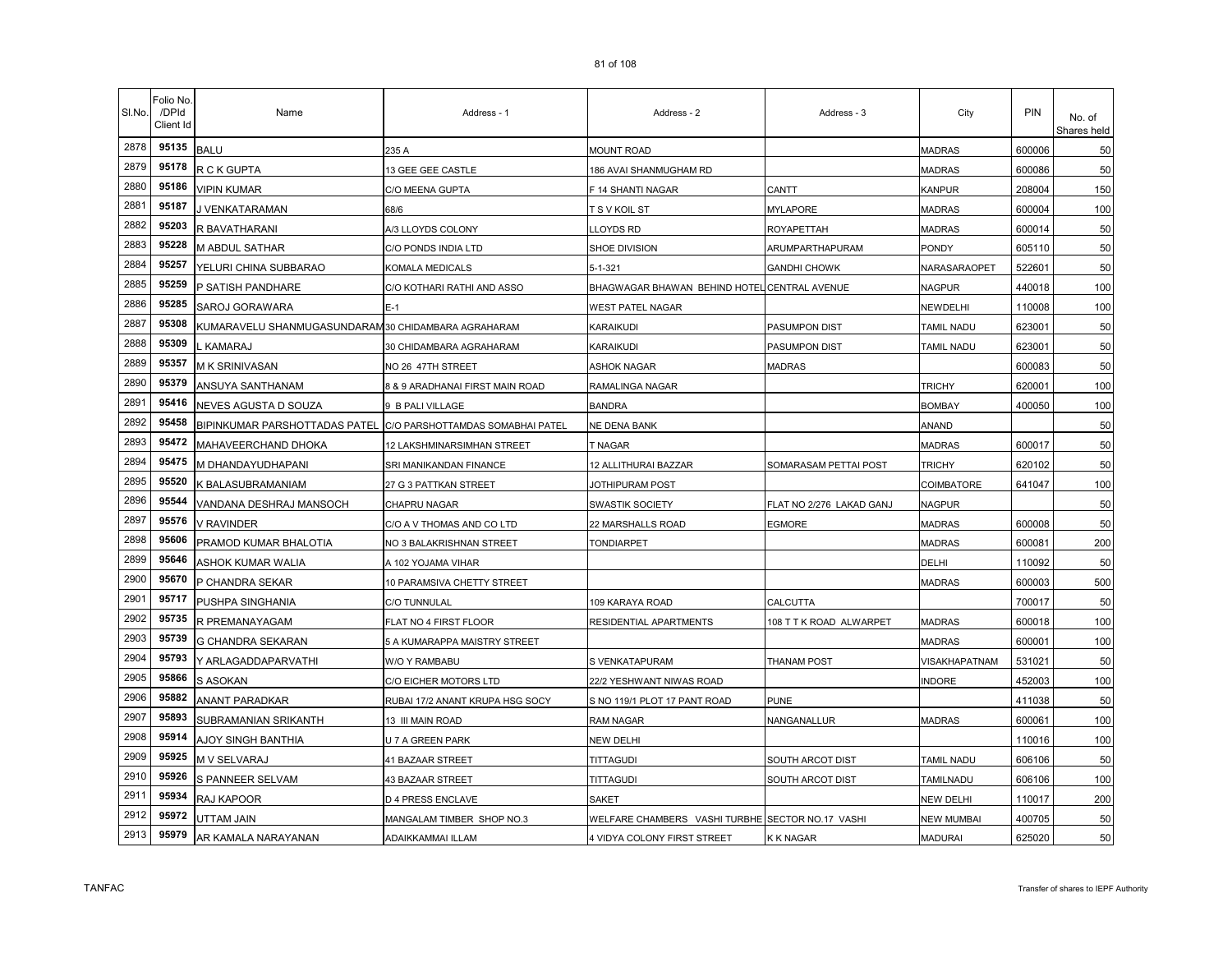| SI.No. | Folio No.<br>/DPId<br>Client Id | Name                                               | Address - 1                      | Address - 2                                      | Address - 3              | City           | <b>PIN</b> | No. of<br>Shares held |
|--------|---------------------------------|----------------------------------------------------|----------------------------------|--------------------------------------------------|--------------------------|----------------|------------|-----------------------|
| 2878   | 95135                           | <b>BALU</b>                                        | 235 A                            | <b>MOUNT ROAD</b>                                |                          | <b>MADRAS</b>  | 600006     | 50                    |
| 2879   | 95178                           | R C K GUPTA                                        | 13 GEE GEE CASTLE                | 186 AVAI SHANMUGHAM RD                           |                          | <b>MADRAS</b>  | 600086     | 50                    |
| 2880   | 95186                           | <b>VIPIN KUMAR</b>                                 | C/O MEENA GUPTA                  | F 14 SHANTI NAGAR                                | CANTT                    | <b>KANPUR</b>  | 208004     | 150                   |
| 2881   | 95187                           | J VENKATARAMAN                                     | 68/6                             | T S V KOIL ST                                    | <b>MYLAPORE</b>          | <b>MADRAS</b>  | 600004     | 100                   |
| 2882   | 95203                           | R BAVATHARANI                                      | A/3 LLOYDS COLONY                | LLOYDS RD                                        | ROYAPETTAH               | <b>MADRAS</b>  | 600014     | 50                    |
| 2883   | 95228                           | M ABDUL SATHAR                                     | C/O PONDS INDIA LTD              | SHOE DIVISION                                    | ARUMPARTHAPURAM          | PONDY          | 605110     | 50                    |
| 2884   | 95257                           | YELURI CHINA SUBBARAO                              | KOMALA MEDICALS                  | 5-1-321                                          | <b>GANDHI CHOWK</b>      | NARASARAOPET   | 522601     | 50                    |
| 2885   | 95259                           | P SATISH PANDHARE                                  | C/O KOTHARI RATHI AND ASSO       | BHAGWAGAR BHAWAN BEHIND HOTEL CENTRAL AVENUE     |                          | NAGPUR         | 440018     | 100                   |
| 2886   | 95285                           | SAROJ GORAWARA                                     | $E-1$                            | WEST PATEL NAGAR                                 |                          | NEWDELHI       | 110008     | 100                   |
| 2887   | 95308                           | KUMARAVELU SHANMUGASUNDARAM30 CHIDAMBARA AGRAHARAM |                                  | KARAIKUDI                                        | PASUMPON DIST            | TAMIL NADU     | 623001     | 50                    |
| 2888   | 95309                           | KAMARAJ                                            | 30 CHIDAMBARA AGRAHARAM          | KARAIKUDI                                        | PASUMPON DIST            | TAMIL NADU     | 623001     | 50                    |
| 2889   | 95357                           | M K SRINIVASAN                                     | NO 26 47TH STREET                | <b>ASHOK NAGAR</b>                               | <b>MADRAS</b>            |                | 600083     | 50                    |
| 2890   | 95379                           | ANSUYA SANTHANAM                                   | 8 & 9 ARADHANAI FIRST MAIN ROAD  | RAMALINGA NAGAR                                  |                          | <b>TRICHY</b>  | 620001     | 100                   |
| 2891   | 95416                           | NEVES AGUSTA D SOUZA                               | 9 B PALI VILLAGE                 | <b>BANDRA</b>                                    |                          | <b>BOMBAY</b>  | 400050     | 100                   |
| 2892   | 95458                           | BIPINKUMAR PARSHOTTADAS PATEL                      | C/O PARSHOTTAMDAS SOMABHAI PATEL | NE DENA BANK                                     |                          | ANAND          |            | 50                    |
| 2893   | 95472                           | MAHAVEERCHAND DHOKA                                | 12 LAKSHMINARSIMHAN STREET       | T NAGAR                                          |                          | <b>MADRAS</b>  | 600017     | 50                    |
| 2894   | 95475                           | M DHANDAYUDHAPANI                                  | SRI MANIKANDAN FINANCE           | 12 ALLITHURAI BAZZAR                             | SOMARASAM PETTAI POST    | <b>TRICHY</b>  | 620102     | 50                    |
| 2895   | 95520                           | K BALASUBRAMANIAM                                  | 27 G 3 PATTKAN STREET            | JOTHIPURAM POST                                  |                          | COIMBATORE     | 641047     | 100                   |
| 2896   | 95544                           | VANDANA DESHRAJ MANSOCH                            | CHAPRU NAGAR                     | <b>SWASTIK SOCIETY</b>                           | FLAT NO 2/276 LAKAD GANJ | NAGPUR         |            | 50                    |
| 2897   | 95576                           | V RAVINDER                                         | C/O A V THOMAS AND CO LTD        | 22 MARSHALLS ROAD                                | EGMORE                   | <b>MADRAS</b>  | 600008     | 50                    |
| 2898   | 95606                           | PRAMOD KUMAR BHALOTIA                              | NO 3 BALAKRISHNAN STREET         | <b>TONDIARPET</b>                                |                          | <b>MADRAS</b>  | 600081     | 200                   |
| 2899   | 95646                           | ASHOK KUMAR WALIA                                  | A 102 YOJAMA VIHAR               |                                                  |                          | DELHI          | 110092     | 50                    |
| 2900   | 95670                           | P CHANDRA SEKAR                                    | 10 PARAMSIVA CHETTY STREET       |                                                  |                          | <b>MADRAS</b>  | 600003     | 500                   |
| 2901   | 95717                           | PUSHPA SINGHANIA                                   | C/O TUNNULAL                     | 109 KARAYA ROAD                                  | CALCUTTA                 |                | 700017     | 50                    |
| 2902   | 95735                           | R PREMANAYAGAM                                     | FLAT NO 4 FIRST FLOOR            | RESIDENTIAL APARTMENTS                           | 108 T T K ROAD ALWARPET  | <b>MADRAS</b>  | 600018     | 100                   |
| 2903   | 95739                           | G CHANDRA SEKARAN                                  | 5 A KUMARAPPA MAISTRY STREET     |                                                  |                          | <b>MADRAS</b>  | 600001     | 100                   |
| 2904   | 95793                           | Y ARLAGADDAPARVATHI                                | W/O Y RAMBABU                    | S VENKATAPURAM                                   | <b>THANAM POST</b>       | VISAKHAPATNAM  | 531021     | 50                    |
| 2905   | 95866                           | S ASOKAN                                           | C/O EICHER MOTORS LTD            | 22/2 YESHWANT NIWAS ROAD                         |                          | <b>NDORE</b>   | 452003     | 100                   |
| 2906   | 95882                           | ANANT PARADKAR                                     | RUBAI 17/2 ANANT KRUPA HSG SOCY  | S NO 119/1 PLOT 17 PANT ROAD                     | <b>PUNE</b>              |                | 411038     | 50                    |
| 2907   | 95893                           | SUBRAMANIAN SRIKANTH                               | 13 III MAIN ROAD                 | <b>RAM NAGAR</b>                                 | NANGANALLUR              | <b>MADRAS</b>  | 600061     | 100                   |
| 2908   | 95914                           | AJOY SINGH BANTHIA                                 | U 7 A GREEN PARK                 | NEW DELHI                                        |                          |                | 110016     | 100                   |
| 2909   | 95925                           | M V SELVARAJ                                       | 41 BAZAAR STREET                 | <b>TITTAGUDI</b>                                 | SOUTH ARCOT DIST         | tamil nadu     | 606106     | 50                    |
| 2910   | 95926                           | S PANNEER SELVAM                                   | <b>43 BAZAAR STREET</b>          | <b>TITTAGUDI</b>                                 | SOUTH ARCOT DIST         | TAMILNADU      | 606106     | 100                   |
| 2911   | 95934                           | RAJ KAPOOR                                         | <b>D 4 PRESS ENCLAVE</b>         | <b>SAKET</b>                                     |                          | NEW DELHI      | 110017     | 200                   |
| 2912   | 95972                           | UTTAM JAIN                                         | MANGALAM TIMBER SHOP NO.3        | WELFARE CHAMBERS VASHI TURBHE SECTOR NO.17 VASHI |                          | NEW MUMBAI     | 400705     | 50                    |
| 2913   | 95979                           | AR KAMALA NARAYANAN                                | ADAIKKAMMAI ILLAM                | 4 VIDYA COLONY FIRST STREET                      | K K NAGAR                | <b>MADURAI</b> | 625020     | 50                    |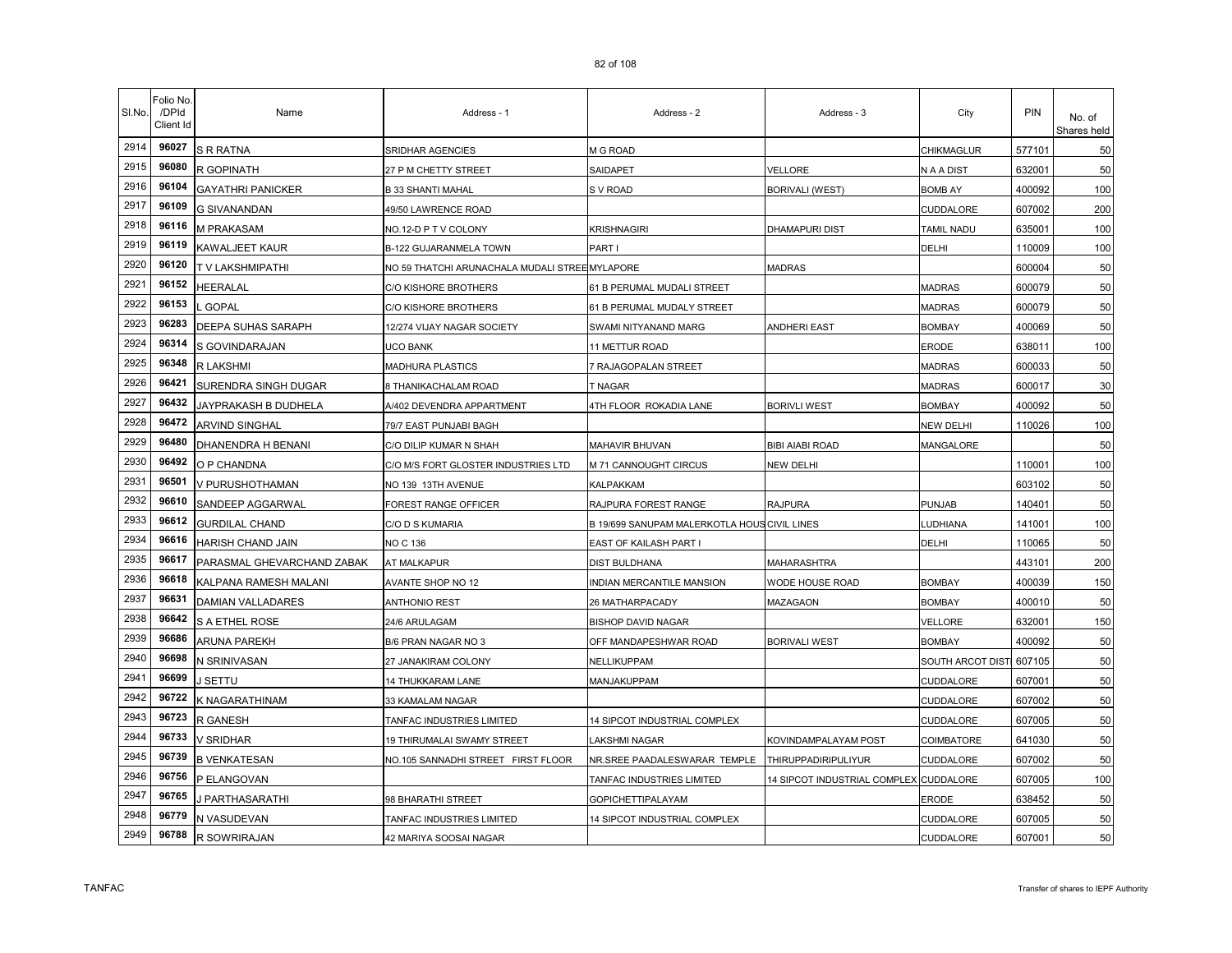| SI.No. | Folio No<br>/DPId<br>Client Id | Name                       | Address - 1                                    | Address - 2                                  | Address - 3                            | City             | PIN    | No. of<br>Shares held |
|--------|--------------------------------|----------------------------|------------------------------------------------|----------------------------------------------|----------------------------------------|------------------|--------|-----------------------|
| 2914   | 96027                          | <b>S R RATNA</b>           | SRIDHAR AGENCIES                               | M G ROAD                                     |                                        | CHIKMAGLUR       | 577101 | 50                    |
| 2915   | 96080                          | R GOPINATH                 | 27 P M CHETTY STREET                           | SAIDAPET                                     | VELLORE                                | N A A DIST       | 632001 | 50                    |
| 2916   | 96104                          | <b>GAYATHRI PANICKER</b>   | B 33 SHANTI MAHAL                              | S V ROAD                                     | <b>BORIVALI (WEST)</b>                 | BOMB AY          | 400092 | 100                   |
| 2917   | 96109                          | G SIVANANDAN               | 49/50 LAWRENCE ROAD                            |                                              |                                        | CUDDALORE        | 607002 | 200                   |
| 2918   | 96116                          | M PRAKASAM                 | NO.12-D P T V COLONY                           | KRISHNAGIRI                                  | <b>DHAMAPURI DIST</b>                  | TAMIL NADU       | 635001 | 100                   |
| 2919   | 96119                          | KAWALJEET KAUR             | B-122 GUJARANMELA TOWN                         | PART I                                       |                                        | DELHI            | 110009 | 100                   |
| 2920   | 96120                          | T V LAKSHMIPATHI           | NO 59 THATCHI ARUNACHALA MUDALI STREE MYLAPORE |                                              | <b>MADRAS</b>                          |                  | 600004 | 50                    |
| 2921   | 96152                          | HEERALAL                   | C/O KISHORE BROTHERS                           | 61 B PERUMAL MUDALI STREET                   |                                        | <b>MADRAS</b>    | 600079 | 50                    |
| 2922   | 96153                          | <b>GOPAL</b>               | C/O KISHORE BROTHERS                           | 61 B PERUMAL MUDALY STREET                   |                                        | <b>MADRAS</b>    | 600079 | 50                    |
| 2923   | 96283                          | DEEPA SUHAS SARAPH         | 12/274 VIJAY NAGAR SOCIETY                     | SWAMI NITYANAND MARG                         | <b>ANDHERI EAST</b>                    | <b>BOMBAY</b>    | 400069 | 50                    |
| 2924   | 96314                          | S GOVINDARAJAN             | UCO BANK                                       | 11 METTUR ROAD                               |                                        | <b>ERODE</b>     | 638011 | 100                   |
| 2925   | 96348                          | R LAKSHMI                  | MADHURA PLASTICS                               | 7 RAJAGOPALAN STREET                         |                                        | <b>MADRAS</b>    | 600033 | 50                    |
| 2926   | 96421                          | SURENDRA SINGH DUGAR       | 8 THANIKACHALAM ROAD                           | T NAGAR                                      |                                        | <b>MADRAS</b>    | 600017 | 30                    |
| 2927   | 96432                          | JAYPRAKASH B DUDHELA       | A/402 DEVENDRA APPARTMENT                      | 4TH FLOOR ROKADIA LANE                       | <b>BORIVLI WEST</b>                    | <b>BOMBAY</b>    | 400092 | 50                    |
| 2928   | 96472                          | ARVIND SINGHAL             | 79/7 EAST PUNJABI BAGH                         |                                              |                                        | NEW DELHI        | 110026 | 100                   |
| 2929   | 96480                          | DHANENDRA H BENANI         | C/O DILIP KUMAR N SHAH                         | MAHAVIR BHUVAN                               | <b>BIBI AIABI ROAD</b>                 | MANGALORE        |        | 50                    |
| 2930   | 96492                          | O P CHANDNA                | C/O M/S FORT GLOSTER INDUSTRIES LTD            | M 71 CANNOUGHT CIRCUS                        | NEW DELHI                              |                  | 110001 | 100                   |
| 2931   | 96501                          | V PURUSHOTHAMAN            | NO 139 13TH AVENUE                             | KALPAKKAM                                    |                                        |                  | 603102 | 50                    |
| 2932   | 96610                          | SANDEEP AGGARWAL           | FOREST RANGE OFFICER                           | RAJPURA FOREST RANGE                         | <b>RAJPURA</b>                         | <b>PUNJAB</b>    | 140401 | 50                    |
| 2933   | 96612                          | <b>GURDILAL CHAND</b>      | C/O D S KUMARIA                                | B 19/699 SANUPAM MALERKOTLA HOUS CIVIL LINES |                                        | LUDHIANA         | 141001 | 100                   |
| 2934   | 96616                          | HARISH CHAND JAIN          | NO C 136                                       | EAST OF KAILASH PART I                       |                                        | DELHI            | 110065 | 50                    |
| 2935   | 96617                          | PARASMAL GHEVARCHAND ZABAK | AT MALKAPUR                                    | <b>DIST BULDHANA</b>                         | MAHARASHTRA                            |                  | 443101 | 200                   |
| 2936   | 96618                          | KALPANA RAMESH MALANI      | AVANTE SHOP NO 12                              | INDIAN MERCANTILE MANSION                    | WODE HOUSE ROAD                        | <b>BOMBAY</b>    | 400039 | 150                   |
| 2937   | 96631                          | DAMIAN VALLADARES          | <b>ANTHONIO REST</b>                           | 26 MATHARPACADY                              | MAZAGAON                               | <b>BOMBAY</b>    | 400010 | 50                    |
| 2938   | 96642                          | S A ETHEL ROSE             | 24/6 ARULAGAM                                  | <b>BISHOP DAVID NAGAR</b>                    |                                        | VELLORE          | 632001 | 150                   |
| 2939   | 96686                          | ARUNA PAREKH               | B/6 PRAN NAGAR NO 3                            | OFF MANDAPESHWAR ROAD                        | <b>BORIVALI WEST</b>                   | <b>BOMBAY</b>    | 400092 | 50                    |
| 2940   | 96698                          | N SRINIVASAN               | 27 JANAKIRAM COLONY                            | NELLIKUPPAM                                  |                                        | SOUTH ARCOT DIST | 607105 | 50                    |
| 2941   | 96699                          | J SETTU                    | 14 THUKKARAM LANE                              | MANJAKUPPAM                                  |                                        | CUDDALORE        | 607001 | 50                    |
| 2942   | 96722                          | K NAGARATHINAM             | 33 KAMALAM NAGAR                               |                                              |                                        | CUDDALORE        | 607002 | 50                    |
| 2943   | 96723                          | R GANESH                   | TANFAC INDUSTRIES LIMITED                      | 14 SIPCOT INDUSTRIAL COMPLEX                 |                                        | CUDDALORE        | 607005 | 50                    |
| 2944   | 96733                          | V SRIDHAR                  | 19 THIRUMALAI SWAMY STREET                     | LAKSHMI NAGAR                                | KOVINDAMPALAYAM POST                   | COIMBATORE       | 641030 | 50                    |
| 2945   | 96739                          | <b>B VENKATESAN</b>        | NO.105 SANNADHI STREET FIRST FLOOR             | NR.SREE PAADALESWARAR TEMPLE                 | <b>THIRUPPADIRIPULIYUR</b>             | CUDDALORE        | 607002 | 50                    |
| 2946   | 96756                          | P ELANGOVAN                |                                                | TANFAC INDUSTRIES LIMITED                    | 14 SIPCOT INDUSTRIAL COMPLEX CUDDALORE |                  | 607005 | 100                   |
| 2947   | 96765                          | J PARTHASARATHI            | 98 BHARATHI STREET                             | <b>GOPICHETTIPALAYAM</b>                     |                                        | ERODE            | 638452 | 50                    |
| 2948   | 96779                          | N VASUDEVAN                | TANFAC INDUSTRIES LIMITED                      | 14 SIPCOT INDUSTRIAL COMPLEX                 |                                        | CUDDALORE        | 607005 | 50                    |
| 2949   | 96788                          | R SOWRIRAJAN               | 42 MARIYA SOOSAI NAGAR                         |                                              |                                        | CUDDALORE        | 607001 | 50                    |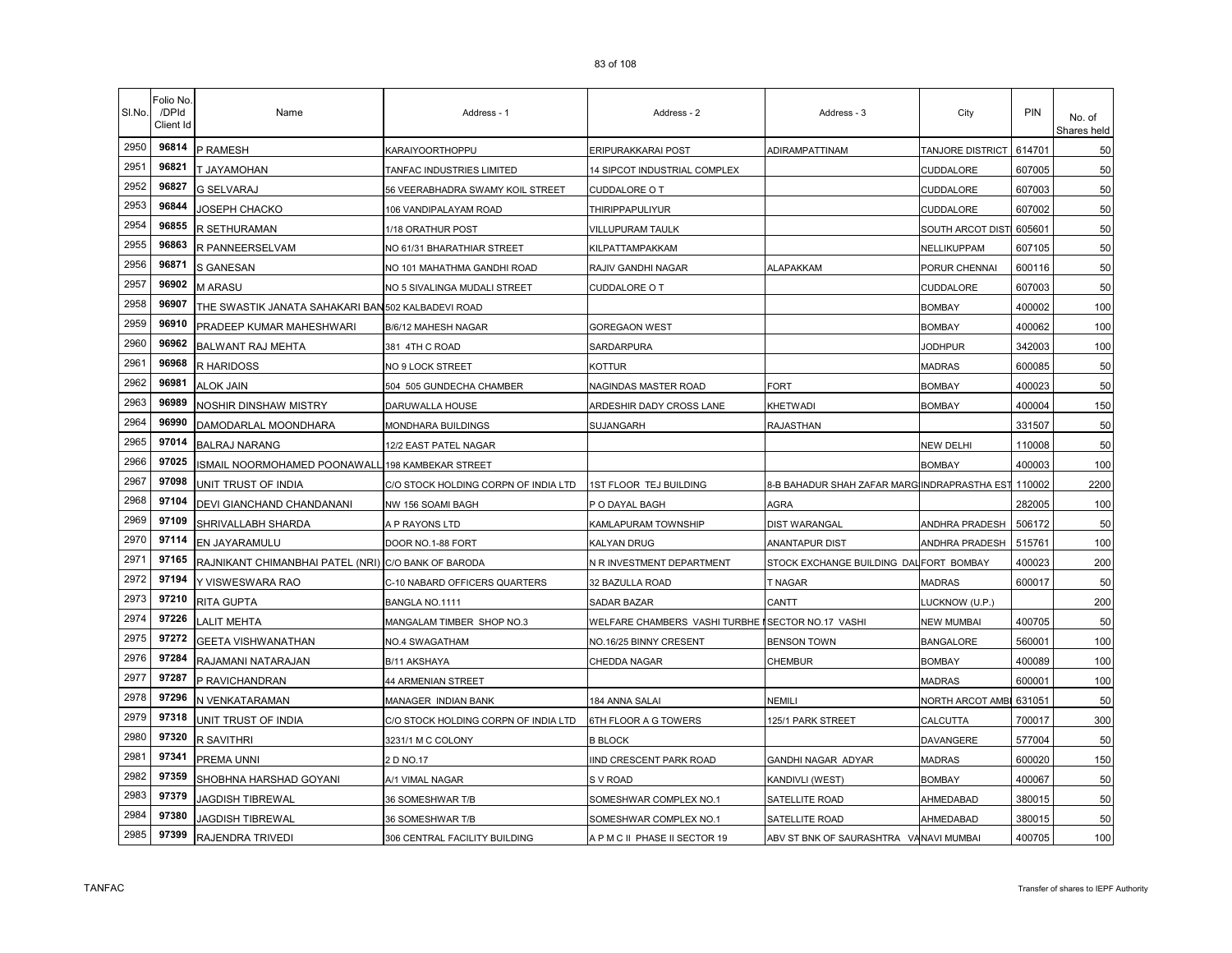| SI.No. | Folio No<br>/DPId<br>Client Id | Name                                                | Address - 1                          | Address - 2                                        | Address - 3                                  | City                    | <b>PIN</b> | No. of<br>Shares held |
|--------|--------------------------------|-----------------------------------------------------|--------------------------------------|----------------------------------------------------|----------------------------------------------|-------------------------|------------|-----------------------|
| 2950   | 96814                          | P RAMESH                                            | KARAIYOORTHOPPU                      | ERIPURAKKARAI POST                                 | ADIRAMPATTINAM                               | TANJORE DISTRICT        | 614701     | 50                    |
| 2951   | 96821                          | T JAYAMOHAN                                         | TANFAC INDUSTRIES LIMITED            | 14 SIPCOT INDUSTRIAL COMPLEX                       |                                              | CUDDALORE               | 607005     | 50                    |
| 2952   | 96827                          | <b>G SELVARAJ</b>                                   | 56 VEERABHADRA SWAMY KOIL STREET     | CUDDALORE O T                                      |                                              | CUDDALORE               | 607003     | 50                    |
| 2953   | 96844                          | JOSEPH CHACKO                                       | 106 VANDIPALAYAM ROAD                | <b>THIRIPPAPULIYUR</b>                             |                                              | CUDDALORE               | 607002     | 50                    |
| 2954   | 96855                          | R SETHURAMAN                                        | 1/18 ORATHUR POST                    | VILLUPURAM TAULK                                   |                                              | SOUTH ARCOT DIST 605601 |            | 50                    |
| 2955   | 96863                          | R PANNEERSELVAM                                     | NO 61/31 BHARATHIAR STREET           | KILPATTAMPAKKAM                                    |                                              | NELLIKUPPAM             | 607105     | 50                    |
| 2956   | 96871                          | S GANESAN                                           | NO 101 MAHATHMA GANDHI ROAD          | RAJIV GANDHI NAGAR                                 | ALAPAKKAM                                    | PORUR CHENNAI           | 600116     | 50                    |
| 2957   | 96902                          | <b>M ARASU</b>                                      | NO 5 SIVALINGA MUDALI STREET         | <b>CUDDALORE O T</b>                               |                                              | CUDDALORE               | 607003     | 50                    |
| 2958   | 96907                          | THE SWASTIK JANATA SAHAKARI BAN 502 KALBADEVI ROAD  |                                      |                                                    |                                              | <b>BOMBAY</b>           | 400002     | 100                   |
| 2959   | 96910                          | PRADEEP KUMAR MAHESHWARI                            | B/6/12 MAHESH NAGAR                  | GOREGAON WEST                                      |                                              | <b>BOMBAY</b>           | 400062     | 100                   |
| 2960   | 96962                          | BALWANT RAJ MEHTA                                   | 381 4TH C ROAD                       | SARDARPURA                                         |                                              | <b>JODHPUR</b>          | 342003     | 100                   |
| 2961   | 96968                          | R HARIDOSS                                          | NO 9 LOCK STREET                     | <b>KOTTUR</b>                                      |                                              | <b>MADRAS</b>           | 600085     | 50                    |
| 2962   | 96981                          | <b>ALOK JAIN</b>                                    | 504 505 GUNDECHA CHAMBER             | NAGINDAS MASTER ROAD                               | <b>FORT</b>                                  | <b>BOMBAY</b>           | 400023     | 50                    |
| 2963   | 96989                          | NOSHIR DINSHAW MISTRY                               | DARUWALLA HOUSE                      | ARDESHIR DADY CROSS LANE                           | KHETWADI                                     | <b>BOMBAY</b>           | 400004     | 150                   |
| 2964   | 96990                          | DAMODARLAL MOONDHARA                                | MONDHARA BUILDINGS                   | SUJANGARH                                          | RAJASTHAN                                    |                         | 331507     | 50                    |
| 2965   | 97014                          | <b>BALRAJ NARANG</b>                                | 12/2 EAST PATEL NAGAR                |                                                    |                                              | NEW DELHI               | 110008     | 50                    |
| 2966   | 97025                          | ISMAIL NOORMOHAMED POONAWALL                        | 198 KAMBEKAR STREET                  |                                                    |                                              | <b>BOMBAY</b>           | 400003     | 100                   |
| 2967   | 97098                          | UNIT TRUST OF INDIA                                 | C/O STOCK HOLDING CORPN OF INDIA LTD | <b>IST FLOOR TEJ BUILDING</b>                      | 8-B BAHADUR SHAH ZAFAR MARGIINDRAPRASTHA EST |                         | 110002     | 2200                  |
| 2968   | 97104                          | DEVI GIANCHAND CHANDANANI                           | NW 156 SOAMI BAGH                    | P O DAYAL BAGH                                     | AGRA                                         |                         | 282005     | 100                   |
| 2969   | 97109                          | SHRIVALLABH SHARDA                                  | A P RAYONS LTD                       | KAMLAPURAM TOWNSHIP                                | DIST WARANGAL                                | ANDHRA PRADESH          | 506172     | 50                    |
| 2970   | 97114                          | EN JAYARAMULU                                       | DOOR NO.1-88 FORT                    | KALYAN DRUG                                        | ANANTAPUR DIST                               | ANDHRA PRADESH          | 515761     | 100                   |
| 2971   | 97165                          | RAJNIKANT CHIMANBHAI PATEL (NRI) C/O BANK OF BARODA |                                      | N R INVESTMENT DEPARTMENT                          | STOCK EXCHANGE BUILDING DAL FORT BOMBAY      |                         | 400023     | 200                   |
| 2972   | 97194                          | Y VISWESWARA RAO                                    | C-10 NABARD OFFICERS QUARTERS        | 32 BAZULLA ROAD                                    | T NAGAR                                      | MADRAS                  | 600017     | 50                    |
| 2973   | 97210                          | RITA GUPTA                                          | BANGLA NO.1111                       | SADAR BAZAR                                        | CANTT                                        | LUCKNOW (U.P.)          |            | 200                   |
| 2974   | 97226                          | <b>ALIT MEHTA</b>                                   | MANGALAM TIMBER SHOP NO.3            | WELFARE CHAMBERS VASHI TURBHE I SECTOR NO.17 VASHI |                                              | NEW MUMBAI              | 400705     | 50                    |
| 2975   | 97272                          | GEETA VISHWANATHAN                                  | NO.4 SWAGATHAM                       | NO.16/25 BINNY CRESENT                             | BENSON TOWN                                  | <b>BANGALORE</b>        | 560001     | 100                   |
| 2976   | 97284                          | RAJAMANI NATARAJAN                                  | B/11 AKSHAYA                         | CHEDDA NAGAR                                       | CHEMBUR                                      | <b>BOMBAY</b>           | 400089     | 100                   |
| 2977   | 97287                          | P RAVICHANDRAN                                      | 44 ARMENIAN STREET                   |                                                    |                                              | <b>MADRAS</b>           | 600001     | 100                   |
| 2978   | 97296                          | N VENKATARAMAN                                      | MANAGER INDIAN BANK                  | 184 ANNA SALAI                                     | NEMILI                                       | <b>NORTH ARCOT AMBI</b> | 631051     | 50                    |
| 2979   | 97318                          | UNIT TRUST OF INDIA                                 | C/O STOCK HOLDING CORPN OF INDIA LTD | 6TH FLOOR A G TOWERS                               | 125/1 PARK STREET                            | CALCUTTA                | 700017     | 300                   |
| 2980   | 97320                          | R SAVITHRI                                          | 3231/1 M C COLONY                    | <b>B BLOCK</b>                                     |                                              | DAVANGERE               | 577004     | 50                    |
| 2981   | 97341                          | PREMA UNNI                                          | 2 D NO.17                            | IND CRESCENT PARK ROAD                             | GANDHI NAGAR ADYAR                           | MADRAS                  | 600020     | 150                   |
| 2982   | 97359                          | SHOBHNA HARSHAD GOYANI                              | A/1 VIMAL NAGAR                      | S V ROAD                                           | KANDIVLI (WEST)                              | <b>BOMBAY</b>           | 400067     | 50                    |
| 2983   | 97379                          | JAGDISH TIBREWAL                                    | 36 SOMESHWAR T/B                     | SOMESHWAR COMPLEX NO.1                             | SATELLITE ROAD                               | AHMEDABAD               | 380015     | 50                    |
| 2984   | 97380                          | JAGDISH TIBREWAL                                    | 36 SOMESHWAR T/B                     | SOMESHWAR COMPLEX NO.1                             | SATELLITE ROAD                               | AHMEDABAD               | 380015     | 50                    |
| 2985   | 97399                          | RAJENDRA TRIVEDI                                    | 306 CENTRAL FACILITY BUILDING        | A P M C II PHASE II SECTOR 19                      | ABV ST BNK OF SAURASHTRA VANAVI MUMBAI       |                         | 400705     | 100                   |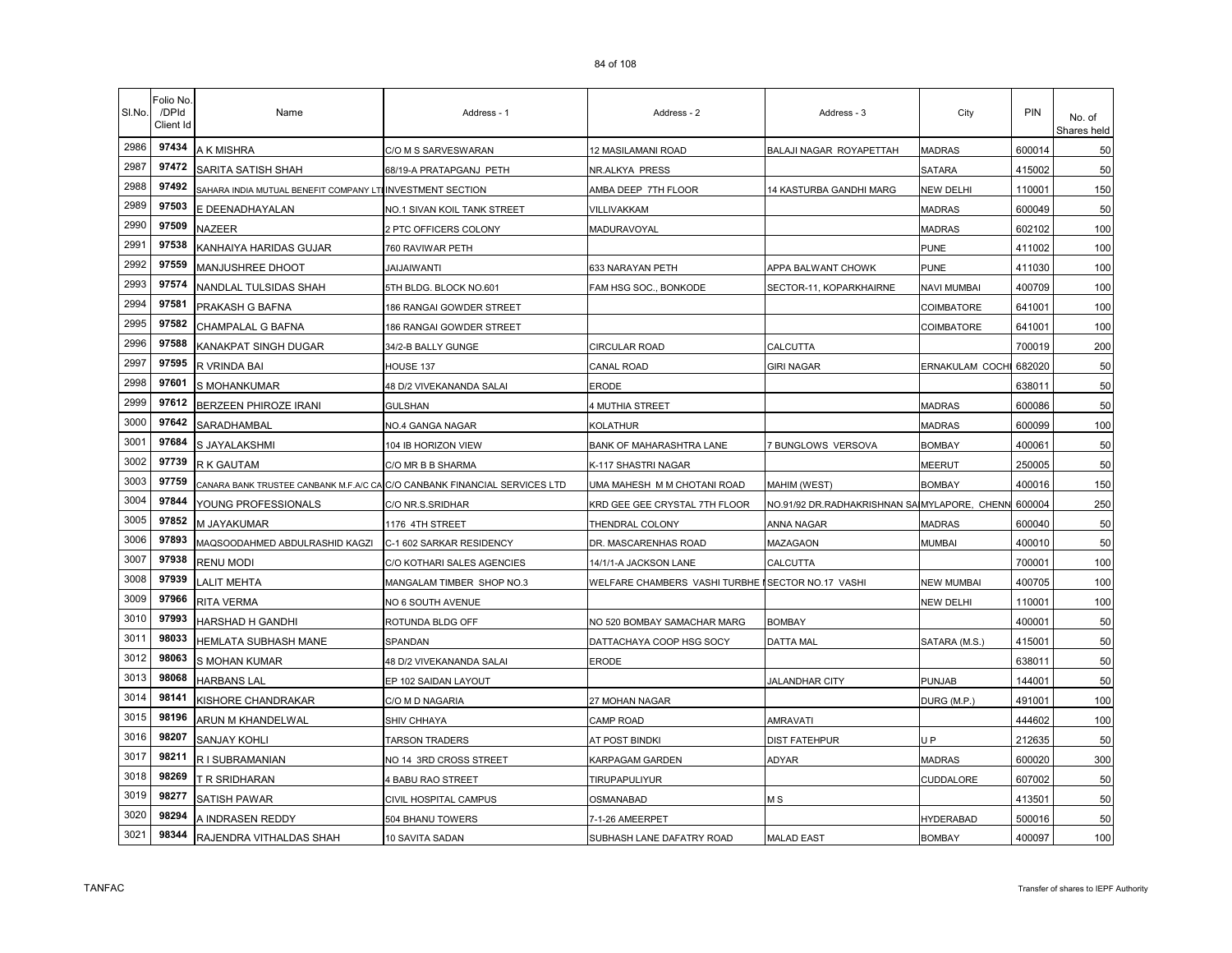| SI.No. | Folio No<br>/DPId<br>Client Id | Name                                                                      | Address - 1                 | Address - 2                                       | Address - 3                                  | City               | PIN    | No. of<br>Shares held |
|--------|--------------------------------|---------------------------------------------------------------------------|-----------------------------|---------------------------------------------------|----------------------------------------------|--------------------|--------|-----------------------|
| 2986   | 97434                          | A K MISHRA                                                                | C/O M S SARVESWARAN         | 12 MASILAMANI ROAD                                | BALAJI NAGAR ROYAPETTAH                      | <b>MADRAS</b>      | 600014 | 50                    |
| 2987   | 97472                          | SARITA SATISH SHAH                                                        | 68/19-A PRATAPGANJ PETH     | NR.ALKYA PRESS                                    |                                              | SATARA             | 415002 | 50                    |
| 2988   | 97492                          | SAHARA INDIA MUTUAL BENEFIT COMPANY LTI INVESTMENT SECTION                |                             | AMBA DEEP 7TH FLOOR                               | 14 KASTURBA GANDHI MARG                      | NEW DELHI          | 110001 | 150                   |
| 2989   | 97503                          | E DEENADHAYALAN                                                           | NO.1 SIVAN KOIL TANK STREET | VILLIVAKKAM                                       |                                              | <b>MADRAS</b>      | 600049 | 50                    |
| 2990   | 97509                          | NAZEER                                                                    | 2 PTC OFFICERS COLONY       | MADURAVOYAL                                       |                                              | <b>MADRAS</b>      | 602102 | 100                   |
| 2991   | 97538                          | KANHAIYA HARIDAS GUJAR                                                    | 760 RAVIWAR PETH            |                                                   |                                              | <b>PUNE</b>        | 411002 | 100                   |
| 2992   | 97559                          | MANJUSHREE DHOOT                                                          | <b>JAIJAIWANTI</b>          | 633 NARAYAN PETH                                  | APPA BALWANT CHOWK                           | <b>PUNE</b>        | 411030 | 100                   |
| 2993   | 97574                          | NANDLAL TULSIDAS SHAH                                                     | 5TH BLDG. BLOCK NO.601      | FAM HSG SOC., BONKODE                             | SECTOR-11, KOPARKHAIRNE                      | <b>NAVI MUMBAI</b> | 400709 | 100                   |
| 2994   | 97581                          | PRAKASH G BAFNA                                                           | 186 RANGAI GOWDER STREET    |                                                   |                                              | COIMBATORE         | 641001 | 100                   |
| 2995   | 97582                          | CHAMPALAL G BAFNA                                                         | 186 RANGAI GOWDER STREET    |                                                   |                                              | COIMBATORE         | 641001 | 100                   |
| 2996   | 97588                          | KANAKPAT SINGH DUGAR                                                      | 34/2-B BALLY GUNGE          | <b>CIRCULAR ROAD</b>                              | CALCUTTA                                     |                    | 700019 | 200                   |
| 2997   | 97595                          | R VRINDA BAI                                                              | HOUSE 137                   | CANAL ROAD                                        | <b>GIRI NAGAR</b>                            | ERNAKULAM COCHI    | 682020 | 50                    |
| 2998   | 97601                          | S MOHANKUMAR                                                              | 48 D/2 VIVEKANANDA SALAI    | ERODE                                             |                                              |                    | 638011 | 50                    |
| 2999   | 97612                          | <b>BERZEEN PHIROZE IRANI</b>                                              | <b>GULSHAN</b>              | 4 MUTHIA STREET                                   |                                              | <b>MADRAS</b>      | 600086 | 50                    |
| 3000   | 97642                          | SARADHAMBAL                                                               | NO.4 GANGA NAGAR            | KOLATHUR                                          |                                              | <b>MADRAS</b>      | 600099 | 100                   |
| 3001   | 97684                          | S JAYALAKSHMI                                                             | 104 IB HORIZON VIEW         | BANK OF MAHARASHTRA LANE                          | <b>BUNGLOWS VERSOVA</b>                      | <b>BOMBAY</b>      | 400061 | 50                    |
| 3002   | 97739                          | R K GAUTAM                                                                | C/O MR B B SHARMA           | K-117 SHASTRI NAGAR                               |                                              | MEERUT             | 250005 | 50                    |
| 3003   | 97759                          | CANARA BANK TRUSTEE CANBANK M.F.A/C CA C/O CANBANK FINANCIAL SERVICES LTD |                             | UMA MAHESH M M CHOTANI ROAD                       | MAHIM (WEST)                                 | <b>BOMBAY</b>      | 400016 | 150                   |
| 3004   | 97844                          | YOUNG PROFESSIONALS                                                       | C/O NR.S.SRIDHAR            | KRD GEE GEE CRYSTAL 7TH FLOOR                     | NO.91/92 DR.RADHAKRISHNAN SAIMYLAPORE, CHENN |                    | 600004 | 250                   |
| 3005   | 97852                          | M JAYAKUMAR                                                               | 1176 4TH STREET             | THENDRAL COLONY                                   | ANNA NAGAR                                   | <b>MADRAS</b>      | 600040 | 50                    |
| 3006   | 97893                          | MAQSOODAHMED ABDULRASHID KAGZI                                            | C-1 602 SARKAR RESIDENCY    | DR. MASCARENHAS ROAD                              | MAZAGAON                                     | <b>MUMBAI</b>      | 400010 | 50                    |
| 3007   | 97938                          | <b>RENU MODI</b>                                                          | C/O KOTHARI SALES AGENCIES  | 14/1/1-A JACKSON LANE                             | CALCUTTA                                     |                    | 700001 | 100                   |
| 3008   | 97939                          | <b>ALIT MEHTA</b>                                                         | MANGALAM TIMBER SHOP NO.3   | WELFARE CHAMBERS VASHI TURBHE ISECTOR NO.17 VASHI |                                              | <b>NEW MUMBAI</b>  | 400705 | 100                   |
| 3009   | 97966                          | RITA VERMA                                                                | NO 6 SOUTH AVENUE           |                                                   |                                              | <b>NEW DELHI</b>   | 110001 | 100                   |
| 3010   | 97993                          | HARSHAD H GANDHI                                                          | ROTUNDA BLDG OFF            | NO 520 BOMBAY SAMACHAR MARG                       | <b>BOMBAY</b>                                |                    | 400001 | 50                    |
| 3011   | 98033                          | HEMLATA SUBHASH MANE                                                      | SPANDAN                     | DATTACHAYA COOP HSG SOCY                          | DATTA MAL                                    | SATARA (M.S.)      | 415001 | 50                    |
| 3012   | 98063                          | S MOHAN KUMAR                                                             | 48 D/2 VIVEKANANDA SALAI    | <b>ERODE</b>                                      |                                              |                    | 638011 | 50                    |
| 3013   | 98068                          | <b>HARBANS LAL</b>                                                        | EP 102 SAIDAN LAYOUT        |                                                   | <b>JALANDHAR CITY</b>                        | PUNJAB             | 144001 | 50                    |
| 3014   | 98141                          | KISHORE CHANDRAKAR                                                        | C/O M D NAGARIA             | 27 MOHAN NAGAR                                    |                                              | DURG (M.P.)        | 491001 | 100                   |
| 3015   | 98196                          | ARUN M KHANDELWAL                                                         | <b>SHIV CHHAYA</b>          | <b>CAMP ROAD</b>                                  | <b>AMRAVATI</b>                              |                    | 444602 | 100                   |
| 3016   | 98207                          | SANJAY KOHLI                                                              | TARSON TRADERS              | AT POST BINDKI                                    | <b>DIST FATEHPUR</b>                         | U <sub>P</sub>     | 212635 | 50                    |
| 3017   | 98211                          | R I SUBRAMANIAN                                                           | NO 14 3RD CROSS STREET      | KARPAGAM GARDEN                                   | ADYAR                                        | <b>MADRAS</b>      | 600020 | 300                   |
| 3018   | 98269                          | T R SRIDHARAN                                                             | 4 BABU RAO STREET           | TIRUPAPULIYUR                                     |                                              | CUDDALORE          | 607002 | 50                    |
| 3019   | 98277                          | <b>SATISH PAWAR</b>                                                       | CIVIL HOSPITAL CAMPUS       | OSMANABAD                                         | M S                                          |                    | 413501 | 50                    |
| 3020   | 98294                          | A INDRASEN REDDY                                                          | 504 BHANU TOWERS            | 7-1-26 AMEERPET                                   |                                              | <b>HYDERABAD</b>   | 500016 | 50                    |
| 3021   | 98344                          | RAJENDRA VITHALDAS SHAH                                                   | 10 SAVITA SADAN             | SUBHASH LANE DAFATRY ROAD                         | <b>MALAD EAST</b>                            | <b>BOMBAY</b>      | 400097 | 100                   |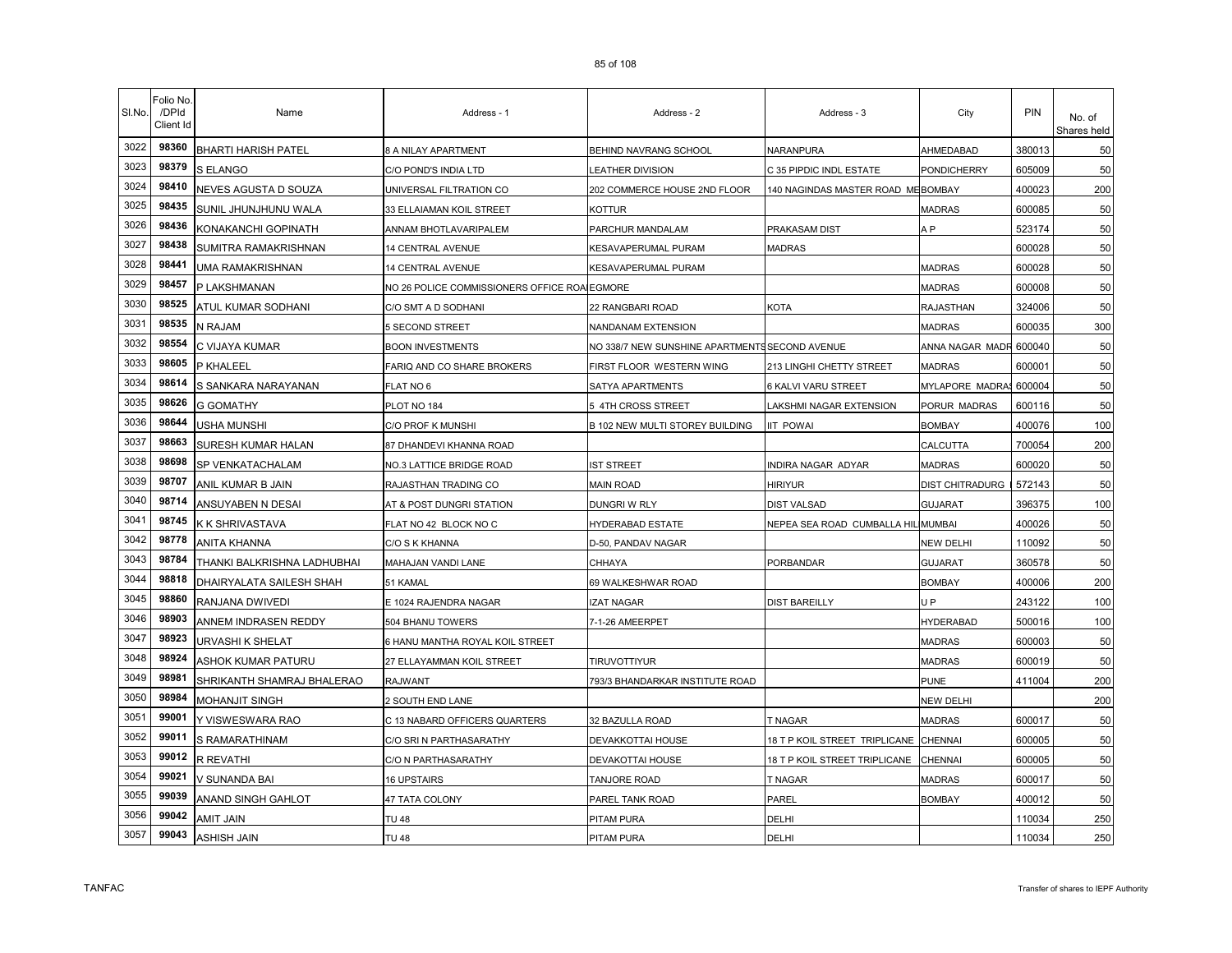| SI.No. | Folio No<br>/DPId<br>Client Id | Name                        | Address - 1                                  | Address - 2                                    | Address - 3                        | City                   | PIN    | No. of<br>Shares held |
|--------|--------------------------------|-----------------------------|----------------------------------------------|------------------------------------------------|------------------------------------|------------------------|--------|-----------------------|
| 3022   | 98360                          | <b>BHARTI HARISH PATEL</b>  | 8 A NILAY APARTMENT                          | BEHIND NAVRANG SCHOOL                          | NARANPURA                          | AHMEDABAD              | 380013 | 50                    |
| 3023   | 98379                          | S ELANGO                    | C/O POND'S INDIA LTD                         | <b>EATHER DIVISION</b>                         | C 35 PIPDIC INDL ESTATE            | PONDICHERRY            | 605009 | 50                    |
| 3024   | 98410                          | NEVES AGUSTA D SOUZA        | UNIVERSAL FILTRATION CO                      | 202 COMMERCE HOUSE 2ND FLOOR                   | 140 NAGINDAS MASTER ROAD MEBOMBAY  |                        | 400023 | 200                   |
| 3025   | 98435                          | SUNIL JHUNJHUNU WALA        | 33 ELLAIAMAN KOIL STREET                     | KOTTUR                                         |                                    | <b>MADRAS</b>          | 600085 | 50                    |
| 3026   | 98436                          | KONAKANCHI GOPINATH         | ANNAM BHOTLAVARIPALEM                        | PARCHUR MANDALAM                               | PRAKASAM DIST                      | A P                    | 523174 | 50                    |
| 3027   | 98438                          | SUMITRA RAMAKRISHNAN        | 14 CENTRAL AVENUE                            | KESAVAPERUMAL PURAM                            | <b>MADRAS</b>                      |                        | 600028 | 50                    |
| 3028   | 98441                          | UMA RAMAKRISHNAN            | <b>14 CENTRAL AVENUE</b>                     | KESAVAPERUMAL PURAM                            |                                    | <b>MADRAS</b>          | 600028 | 50                    |
| 3029   | 98457                          | P LAKSHMANAN                | NO 26 POLICE COMMISSIONERS OFFICE ROALEGMORE |                                                |                                    | <b>MADRAS</b>          | 600008 | 50                    |
| 3030   | 98525                          | ATUL KUMAR SODHANI          | C/O SMT A D SODHANI                          | 22 RANGBARI ROAD                               | KOTA                               | <b>RAJASTHAN</b>       | 324006 | 50                    |
| 3031   | 98535                          | N RAJAM                     | 5 SECOND STREET                              | NANDANAM EXTENSION                             |                                    | <b>MADRAS</b>          | 600035 | 300                   |
| 3032   | 98554                          | C VIJAYA KUMAR              | <b>BOON INVESTMENTS</b>                      | NO 338/7 NEW SUNSHINE APARTMENTS SECOND AVENUE |                                    | ANNA NAGAR MADR 600040 |        | 50                    |
| 3033   | 98605                          | P KHALEEL                   | FARIQ AND CO SHARE BROKERS                   | FIRST FLOOR WESTERN WING                       | 213 LINGHI CHETTY STREET           | <b>MADRAS</b>          | 600001 | 50                    |
| 3034   | 98614                          | S SANKARA NARAYANAN         | FLAT NO 6                                    | SATYA APARTMENTS                               | 6 KALVI VARU STREET                | MYLAPORE MADRA         | 600004 | 50                    |
| 3035   | 98626                          | <b>G GOMATHY</b>            | PLOT NO 184                                  | 5 4TH CROSS STREET                             | <b>AKSHMI NAGAR EXTENSION</b>      | PORUR MADRAS           | 600116 | 50                    |
| 3036   | 98644                          | USHA MUNSHI                 | C/O PROF K MUNSHI                            | B 102 NEW MULTI STOREY BUILDING                | <b>IIT POWAI</b>                   | <b>BOMBAY</b>          | 400076 | 100                   |
| 3037   | 98663                          | SURESH KUMAR HALAN          | 87 DHANDEVI KHANNA ROAD                      |                                                |                                    | CALCUTTA               | 700054 | 200                   |
| 3038   | 98698                          | SP VENKATACHALAM            | NO.3 LATTICE BRIDGE ROAD                     | IST STREET                                     | INDIRA NAGAR ADYAR                 | <b>MADRAS</b>          | 600020 | 50                    |
| 3039   | 98707                          | ANIL KUMAR B JAIN           | RAJASTHAN TRADING CO                         | <b>MAIN ROAD</b>                               | HIRIYUR                            | DIST CHITRADURG        | 572143 | 50                    |
| 3040   | 98714                          | ANSUYABEN N DESAI           | AT & POST DUNGRI STATION                     | DUNGRI W RLY                                   | <b>DIST VALSAD</b>                 | <b>GUJARAT</b>         | 396375 | 100                   |
| 3041   | 98745                          | K K SHRIVASTAVA             | FLAT NO 42 BLOCK NO C                        | HYDERABAD ESTATE                               | NEPEA SEA ROAD CUMBALLA HIL MUMBAI |                        | 400026 | 50                    |
| 3042   | 98778                          | <b>ANITA KHANNA</b>         | C/O S K KHANNA                               | D-50, PANDAV NAGAR                             |                                    | <b>NEW DELHI</b>       | 110092 | 50                    |
| 3043   | 98784                          | THANKI BALKRISHNA LADHUBHAI | MAHAJAN VANDI LANE                           | CHHAYA                                         | PORBANDAR                          | <b>GUJARAT</b>         | 360578 | 50                    |
| 3044   | 98818                          | DHAIRYALATA SAILESH SHAH    | 51 KAMAL                                     | 69 WALKESHWAR ROAD                             |                                    | <b>BOMBAY</b>          | 400006 | 200                   |
| 3045   | 98860                          | RANJANA DWIVEDI             | E 1024 RAJENDRA NAGAR                        | <b>IZAT NAGAR</b>                              | <b>DIST BAREILLY</b>               | U <sub>P</sub>         | 243122 | 100                   |
| 3046   | 98903                          | ANNEM INDRASEN REDDY        | 504 BHANU TOWERS                             | 7-1-26 AMEERPET                                |                                    | <b>HYDERABAD</b>       | 500016 | 100                   |
| 3047   | 98923                          | URVASHI K SHELAT            | 6 HANU MANTHA ROYAL KOIL STREET              |                                                |                                    | <b>MADRAS</b>          | 600003 | 50                    |
| 3048   | 98924                          | ASHOK KUMAR PATURU          | 27 ELLAYAMMAN KOIL STREET                    | <b>TIRUVOTTIYUR</b>                            |                                    | <b>MADRAS</b>          | 600019 | 50                    |
| 3049   | 98981                          | SHRIKANTH SHAMRAJ BHALERAO  | RAJWANT                                      | 793/3 BHANDARKAR INSTITUTE ROAD                |                                    | <b>PUNE</b>            | 411004 | 200                   |
| 3050   | 98984                          | MOHANJIT SINGH              | 2 SOUTH END LANE                             |                                                |                                    | <b>NEW DELHI</b>       |        | 200                   |
| 3051   | 99001                          | Y VISWESWARA RAO            | C 13 NABARD OFFICERS QUARTERS                | 32 BAZULLA ROAD                                | <b>T NAGAR</b>                     | <b>MADRAS</b>          | 600017 | 50                    |
| 3052   | 99011                          | S RAMARATHINAM              | C/O SRI N PARTHASARATHY                      | DEVAKKOTTAI HOUSE                              | 18 T P KOIL STREET TRIPLICANE      | <b>CHENNAI</b>         | 600005 | 50                    |
| 3053   | 99012                          | <b>R REVATHI</b>            | C/O N PARTHASARATHY                          | DEVAKOTTAI HOUSE                               | 18 T P KOIL STREET TRIPLICANE      | CHENNAI                | 600005 | 50                    |
| 3054   | 99021                          | V SUNANDA BAI               | <b>16 UPSTAIRS</b>                           | TANJORE ROAD                                   | <b>T NAGAR</b>                     | <b>MADRAS</b>          | 600017 | 50                    |
| 3055   | 99039                          | ANAND SINGH GAHLOT          | 47 TATA COLONY                               | PAREL TANK ROAD                                | PAREL                              | BOMBAY                 | 400012 | 50                    |
| 3056   | 99042                          | AMIT JAIN                   | <b>TU 48</b>                                 | PITAM PURA                                     | DELHI                              |                        | 110034 | 250                   |
| 3057   | 99043                          | ASHISH JAIN                 | <b>TU 48</b>                                 | PITAM PURA                                     | DELHI                              |                        | 110034 | 250                   |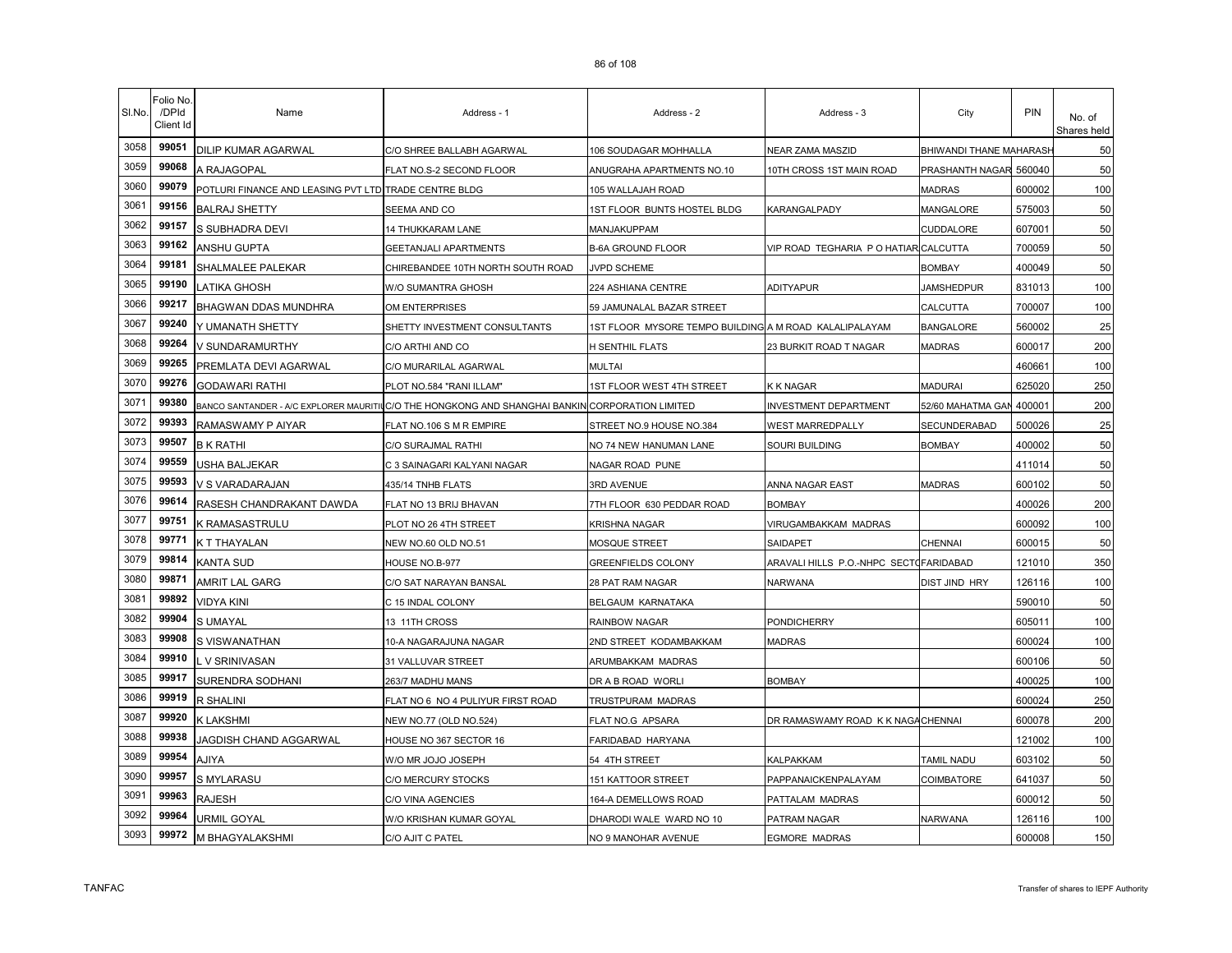| SI.No. | Folio No<br>/DPId<br>Client Id | Name                                                  | Address - 1                                                                 | Address - 2                                            | Address - 3                            | City                    | PIN    | No. of<br>Shares held |
|--------|--------------------------------|-------------------------------------------------------|-----------------------------------------------------------------------------|--------------------------------------------------------|----------------------------------------|-------------------------|--------|-----------------------|
| 3058   | 99051                          | DILIP KUMAR AGARWAL                                   | C/O SHREE BALLABH AGARWAL                                                   | 106 SOUDAGAR MOHHALLA                                  | NEAR ZAMA MASZID                       | BHIWANDI THANE MAHARASH |        | 50                    |
| 3059   | 99068                          | A RAJAGOPAL                                           | FLAT NO.S-2 SECOND FLOOR                                                    | ANUGRAHA APARTMENTS NO.10                              | 10TH CROSS 1ST MAIN ROAD               | PRASHANTH NAGAR         | 560040 | 50                    |
| 3060   | 99079                          | POTLURI FINANCE AND LEASING PVT LTD TRADE CENTRE BLDG |                                                                             | 105 WALLAJAH ROAD                                      |                                        | MADRAS                  | 600002 | 100                   |
| 3061   | 99156                          | <b>BALRAJ SHETTY</b>                                  | SEEMA AND CO                                                                | 1ST FLOOR BUNTS HOSTEL BLDG                            | KARANGALPADY                           | MANGALORE               | 575003 | 50                    |
| 3062   | 99157                          | S SUBHADRA DEVI                                       | <b>14 THUKKARAM LANE</b>                                                    | MANJAKUPPAM                                            |                                        | CUDDALORE               | 607001 | 50                    |
| 3063   | 99162                          | ANSHU GUPTA                                           | GEETANJALI APARTMENTS                                                       | <b>B-6A GROUND FLOOR</b>                               | VIP ROAD TEGHARIA P O HATIAR CALCUTTA  |                         | 700059 | 50                    |
| 3064   | 99181                          | SHALMALEE PALEKAR                                     | CHIREBANDEE 10TH NORTH SOUTH ROAD                                           | JVPD SCHEME                                            |                                        | <b>BOMBAY</b>           | 400049 | 50                    |
| 3065   | 99190                          | ATIKA GHOSH                                           | W/O SUMANTRA GHOSH                                                          | 224 ASHIANA CENTRE                                     | <b>ADITYAPUR</b>                       | <b>JAMSHEDPUR</b>       | 831013 | 100                   |
| 3066   | 99217                          | BHAGWAN DDAS MUNDHRA                                  | OM ENTERPRISES                                                              | 59 JAMUNALAL BAZAR STREET                              |                                        | CALCUTTA                | 700007 | 100                   |
| 3067   | 99240                          | Y UMANATH SHETTY                                      | SHETTY INVESTMENT CONSULTANTS                                               | 1ST FLOOR MYSORE TEMPO BUILDING A M ROAD KALALIPALAYAM |                                        | <b>BANGALORE</b>        | 560002 | 25                    |
| 3068   | 99264                          | V SUNDARAMURTHY                                       | C/O ARTHI AND CO                                                            | H SENTHIL FLATS                                        | 23 BURKIT ROAD T NAGAR                 | <b>MADRAS</b>           | 600017 | 200                   |
| 3069   | 99265                          | PREMLATA DEVI AGARWAL                                 | C/O MURARILAL AGARWAL                                                       | <b>MULTAI</b>                                          |                                        |                         | 460661 | 100                   |
| 3070   | 99276                          | <b>GODAWARI RATHI</b>                                 | PLOT NO.584 "RANI ILLAM"                                                    | <b>1ST FLOOR WEST 4TH STREET</b>                       | <b>K K NAGAR</b>                       | <b>MADURAI</b>          | 625020 | 250                   |
| 3071   | 99380                          |                                                       | BANCO SANTANDER - A/C EXPLORER MAURITIUC/O THE HONGKONG AND SHANGHAI BANKIN | <b>CORPORATION LIMITED</b>                             | <b>INVESTMENT DEPARTMENT</b>           | 52/60 MAHATMA GAN       | 400001 | 200                   |
| 3072   | 99393                          | RAMASWAMY P AIYAR                                     | FLAT NO.106 S M R EMPIRE                                                    | STREET NO.9 HOUSE NO.384                               | WEST MARREDPALLY                       | SECUNDERABAD            | 500026 | 25                    |
| 3073   | 99507                          | <b>B K RATHI</b>                                      | C/O SURAJMAL RATHI                                                          | NO 74 NEW HANUMAN LANE                                 | Souri Building                         | <b>BOMBAY</b>           | 400002 | 50                    |
| 3074   | 99559                          | USHA BALJEKAR                                         | C 3 SAINAGARI KALYANI NAGAR                                                 | NAGAR ROAD PUNE                                        |                                        |                         | 411014 | 50                    |
| 3075   | 99593                          | V S VARADARAJAN                                       | 435/14 TNHB FLATS                                                           | 3RD AVENUE                                             | ANNA NAGAR EAST                        | <b>MADRAS</b>           | 600102 | 50                    |
| 3076   | 99614                          | RASESH CHANDRAKANT DAWDA                              | FLAT NO 13 BRIJ BHAVAN                                                      | 7TH FLOOR 630 PEDDAR ROAD                              | <b>BOMBAY</b>                          |                         | 400026 | 200                   |
| 3077   | 99751                          | K RAMASASTRULU                                        | PLOT NO 26 4TH STREET                                                       | KRISHNA NAGAR                                          | VIRUGAMBAKKAM MADRAS                   |                         | 600092 | 100                   |
| 3078   | 99771                          | K T THAYALAN                                          | NEW NO.60 OLD NO.51                                                         | MOSQUE STREET                                          | SAIDAPET                               | <b>CHENNAI</b>          | 600015 | 50                    |
| 3079   | 99814                          | <b>KANTA SUD</b>                                      | HOUSE NO.B-977                                                              | GREENFIELDS COLONY                                     | ARAVALI HILLS P.O.-NHPC SECTOFARIDABAD |                         | 121010 | 350                   |
| 3080   | 99871                          | AMRIT LAL GARG                                        | C/O SAT NARAYAN BANSAL                                                      | 28 PAT RAM NAGAR                                       | NARWANA                                | <b>DIST JIND HRY</b>    | 126116 | 100                   |
| 3081   | 99892                          | <b>VIDYA KINI</b>                                     | C 15 INDAL COLONY                                                           | BELGAUM KARNATAKA                                      |                                        |                         | 590010 | 50                    |
| 3082   | 99904                          | <b>S UMAYAL</b>                                       | 13 11TH CROSS                                                               | RAINBOW NAGAR                                          | <b>PONDICHERRY</b>                     |                         | 605011 | 100                   |
| 3083   | 99908                          | S VISWANATHAN                                         | 10-A NAGARAJUNA NAGAR                                                       | 2ND STREET KODAMBAKKAM                                 | MADRAS                                 |                         | 600024 | 100                   |
| 3084   | 99910                          | V SRINIVASAN                                          | 31 VALLUVAR STREET                                                          | ARUMBAKKAM MADRAS                                      |                                        |                         | 600106 | 50                    |
| 3085   | 99917                          | SURENDRA SODHANI                                      | 263/7 MADHU MANS                                                            | DR A B ROAD WORLI                                      | <b>BOMBAY</b>                          |                         | 400025 | 100                   |
| 3086   | 99919                          | R SHALINI                                             | FLAT NO 6 NO 4 PULIYUR FIRST ROAD                                           | TRUSTPURAM MADRAS                                      |                                        |                         | 600024 | 250                   |
| 3087   | 99920                          | K LAKSHMI                                             | NEW NO.77 (OLD NO.524)                                                      | FLAT NO.G APSARA                                       | DR RAMASWAMY ROAD K K NAGA CHENNAI     |                         | 600078 | 200                   |
| 3088   | 99938                          | JAGDISH CHAND AGGARWAL                                | HOUSE NO 367 SECTOR 16                                                      | FARIDABAD HARYANA                                      |                                        |                         | 121002 | 100                   |
| 3089   | 99954                          | AJIYA                                                 | W/O MR JOJO JOSEPH                                                          | 54 4TH STREET                                          | KALPAKKAM                              | TAMIL NADU              | 603102 | 50                    |
| 3090   | 99957                          | <b>S MYLARASU</b>                                     | C/O MERCURY STOCKS                                                          | <b>151 KATTOOR STREET</b>                              | PAPPANAICKENPALAYAM                    | COIMBATORE              | 641037 | 50                    |
| 3091   | 99963                          | <b>RAJESH</b>                                         | C/O VINA AGENCIES                                                           | 164-A DEMELLOWS ROAD                                   | PATTALAM MADRAS                        |                         | 600012 | 50                    |
| 3092   | 99964                          | URMIL GOYAL                                           | W/O KRISHAN KUMAR GOYAL                                                     | DHARODI WALE WARD NO 10                                | PATRAM NAGAR                           | NARWANA                 | 126116 | 100                   |
| 3093   | 99972                          | M BHAGYALAKSHMI                                       | C/O AJIT C PATEL                                                            | NO 9 MANOHAR AVENUE                                    | <b>EGMORE MADRAS</b>                   |                         | 600008 | 150                   |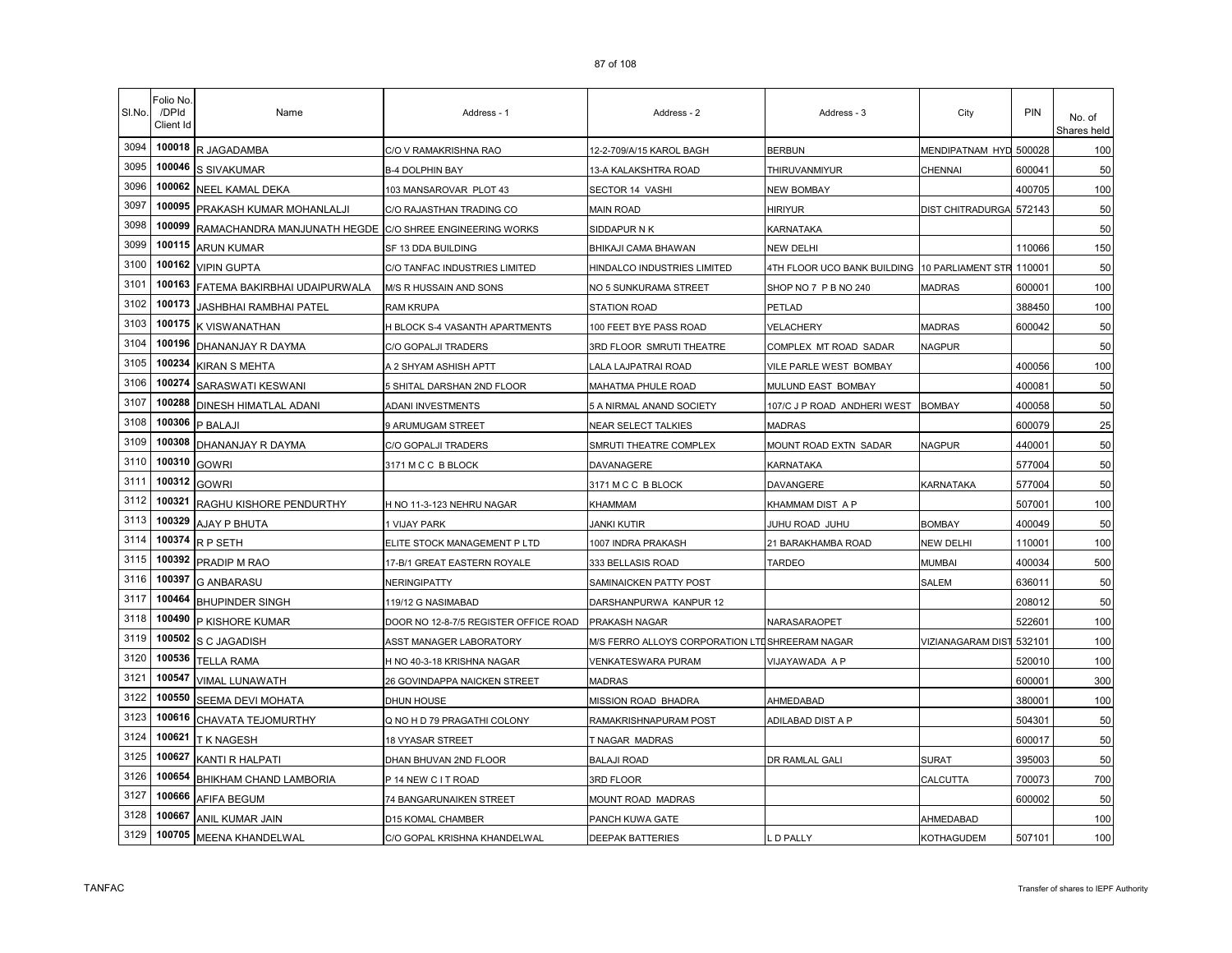| SI.No. | Folio No.<br>/DPId<br>Client Id | Name                         | Address - 1                           | Address - 2                                    | Address - 3                                          | City                     | PIN    | No. of<br>Shares held |
|--------|---------------------------------|------------------------------|---------------------------------------|------------------------------------------------|------------------------------------------------------|--------------------------|--------|-----------------------|
| 3094   | 100018                          | R JAGADAMBA                  | C/O V RAMAKRISHNA RAO                 | 12-2-709/A/15 KAROL BAGH                       | <b>BERBUN</b>                                        | MENDIPATNAM HYD          | 500028 | 100                   |
| 3095   | 100046                          | S SIVAKUMAR                  | <b>B-4 DOLPHIN BAY</b>                | 13-A KALAKSHTRA ROAD                           | THIRUVANMIYUR                                        | <b>CHENNAI</b>           | 600041 | 50                    |
| 3096   | 100062                          | NEEL KAMAL DEKA              | 103 MANSAROVAR PLOT 43                | SECTOR 14 VASHI                                | NEW BOMBAY                                           |                          | 400705 | 100                   |
| 3097   | 100095                          | PRAKASH KUMAR MOHANLALJI     | C/O RAJASTHAN TRADING CO              | <b>MAIN ROAD</b>                               | HIRIYUR                                              | DIST CHITRADURGA         | 572143 | 50                    |
| 3098   | 100099                          | RAMACHANDRA MANJUNATH HEGDE  | C/O SHREE ENGINEERING WORKS           | SIDDAPUR N K                                   | KARNATAKA                                            |                          |        | 50                    |
| 3099   | 100115                          | <b>ARUN KUMAR</b>            | SF 13 DDA BUILDING                    | BHIKAJI CAMA BHAWAN                            | NEW DELHI                                            |                          | 110066 | 150                   |
| 3100   | 100162                          | <b>VIPIN GUPTA</b>           | C/O TANFAC INDUSTRIES LIMITED         | HINDALCO INDUSTRIES LIMITED                    | 4TH FLOOR UCO BANK BUILDING 10 PARLIAMENT STR 110001 |                          |        | 50                    |
| 3101   | 100163                          | FATEMA BAKIRBHAI UDAIPURWALA | M/S R HUSSAIN AND SONS                | NO 5 SUNKURAMA STREET                          | SHOP NO 7 P B NO 240                                 | <b>MADRAS</b>            | 600001 | 100                   |
| 3102   | 100173                          | JASHBHAI RAMBHAI PATEL       | RAM KRUPA                             | <b>STATION ROAD</b>                            | PETLAD                                               |                          | 388450 | 100                   |
| 3103   | 100175                          | K VISWANATHAN                | H BLOCK S-4 VASANTH APARTMENTS        | 100 FEET BYE PASS ROAD                         | VELACHERY                                            | <b>MADRAS</b>            | 600042 | 50                    |
| 3104   | 100196                          | DHANANJAY R DAYMA            | C/O GOPALJI TRADERS                   | 3RD FLOOR SMRUTI THEATRE                       | COMPLEX MT ROAD SADAR                                | <b>NAGPUR</b>            |        | 50                    |
| 3105   | 100234                          | KIRAN S MEHTA                | A 2 SHYAM ASHISH APTT                 | LALA LAJPATRAI ROAD                            | VILE PARLE WEST BOMBAY                               |                          | 400056 | 100                   |
| 3106   | 100274                          | SARASWATI KESWANI            | 5 SHITAL DARSHAN 2ND FLOOR            | MAHATMA PHULE ROAD                             | MULUND EAST BOMBAY                                   |                          | 400081 | 50                    |
| 3107   | 100288                          | DINESH HIMATLAL ADANI        | ADANI INVESTMENTS                     | 5 A NIRMAL ANAND SOCIETY                       | 107/C J P ROAD ANDHERI WEST                          | <b>BOMBAY</b>            | 400058 | 50                    |
| 3108   | 100306                          | P BALAJI                     | 9 ARUMUGAM STREET                     | NEAR SELECT TALKIES                            | MADRAS                                               |                          | 600079 | 25                    |
| 3109   | 100308                          | DHANANJAY R DAYMA            | C/O GOPALJI TRADERS                   | SMRUTI THEATRE COMPLEX                         | MOUNT ROAD EXTN SADAR                                | NAGPUR                   | 440001 | 50                    |
| 3110   | 100310                          | <b>GOWRI</b>                 | 3171 M C C B BLOCK                    | DAVANAGERE                                     | KARNATAKA                                            |                          | 577004 | 50                    |
| 3111   | 100312                          | <b>GOWRI</b>                 |                                       | 3171 M C C B BLOCK                             | DAVANGERE                                            | KARNATAKA                | 577004 | 50                    |
| 3112   | 100321                          | RAGHU KISHORE PENDURTHY      | H NO 11-3-123 NEHRU NAGAR             | KHAMMAM                                        | KHAMMAM DIST A P                                     |                          | 507001 | 100                   |
| 3113   | 100329                          | AJAY P BHUTA                 | 1 VIJAY PARK                          | <b>JANKI KUTIR</b>                             | JUHU ROAD JUHU                                       | <b>BOMBAY</b>            | 400049 | 50                    |
| 3114   | 100374                          | R P SETH                     | ELITE STOCK MANAGEMENT P LTD          | 1007 INDRA PRAKASH                             | 21 BARAKHAMBA ROAD                                   | <b>NEW DELHI</b>         | 110001 | 100                   |
| 3115   | 100392                          | PRADIP M RAO                 | 17-B/1 GREAT EASTERN ROYALE           | 333 BELLASIS ROAD                              | <b>TARDEO</b>                                        | <b>MUMBAI</b>            | 400034 | 500                   |
| 3116   | 100397                          | <b>G ANBARASU</b>            | NERINGIPATTY                          | SAMINAICKEN PATTY POST                         |                                                      | SALEM                    | 636011 | 50                    |
| 3117   | 100464                          | <b>BHUPINDER SINGH</b>       | 119/12 G NASIMABAD                    | DARSHANPURWA KANPUR 12                         |                                                      |                          | 208012 | 50                    |
| 3118   | 100490                          | P KISHORE KUMAR              | DOOR NO 12-8-7/5 REGISTER OFFICE ROAD | PRAKASH NAGAR                                  | NARASARAOPET                                         |                          | 522601 | 100                   |
| 3119   | 100502                          | S C JAGADISH                 | <b>ASST MANAGER LABORATORY</b>        | M/S FERRO ALLOYS CORPORATION LTUSHREERAM NAGAR |                                                      | <b>VIZIANAGARAM DIST</b> | 532101 | 100                   |
| 3120   | 100536                          | <b>TELLA RAMA</b>            | H NO 40-3-18 KRISHNA NAGAR            | VENKATESWARA PURAM                             | VIJAYAWADA A P                                       |                          | 520010 | 100                   |
| 3121   | 100547                          | VIMAL LUNAWATH               | 26 GOVINDAPPA NAICKEN STREET          | <b>MADRAS</b>                                  |                                                      |                          | 600001 | 300                   |
| 3122   | 100550                          | <b>SEEMA DEVI MOHATA</b>     | <b>DHUN HOUSE</b>                     | MISSION ROAD BHADRA                            | AHMEDABAD                                            |                          | 380001 | 100                   |
| 3123   | 100616                          | CHAVATA TEJOMURTHY           | Q NO H D 79 PRAGATHI COLONY           | RAMAKRISHNAPURAM POST                          | ADILABAD DIST A P                                    |                          | 504301 | 50                    |
| 3124   | 100621                          | T K NAGESH                   | 18 VYASAR STREET                      | T NAGAR MADRAS                                 |                                                      |                          | 600017 | 50                    |
| 3125   | 100627                          | KANTI R HALPATI              | DHAN BHUVAN 2ND FLOOR                 | <b>BALAJI ROAD</b>                             | DR RAMLAL GALI                                       | <b>SURAT</b>             | 395003 | 50                    |
| 3126   | 100654                          | BHIKHAM CHAND LAMBORIA       | P 14 NEW C I T ROAD                   | 3RD FLOOR                                      |                                                      | CALCUTTA                 | 700073 | 700                   |
| 3127   | 100666                          | AFIFA BEGUM                  | 74 BANGARUNAIKEN STREET               | MOUNT ROAD MADRAS                              |                                                      |                          | 600002 | 50                    |
| 3128   | 100667                          | ANIL KUMAR JAIN              | D15 KOMAL CHAMBER                     | PANCH KUWA GATE                                |                                                      | AHMEDABAD                |        | 100                   |
| 3129   | 100705                          | MEENA KHANDELWAL             | C/O GOPAL KRISHNA KHANDELWAL          | DEEPAK BATTERIES                               | . D PALLY                                            | <b>KOTHAGUDEM</b>        | 507101 | 100                   |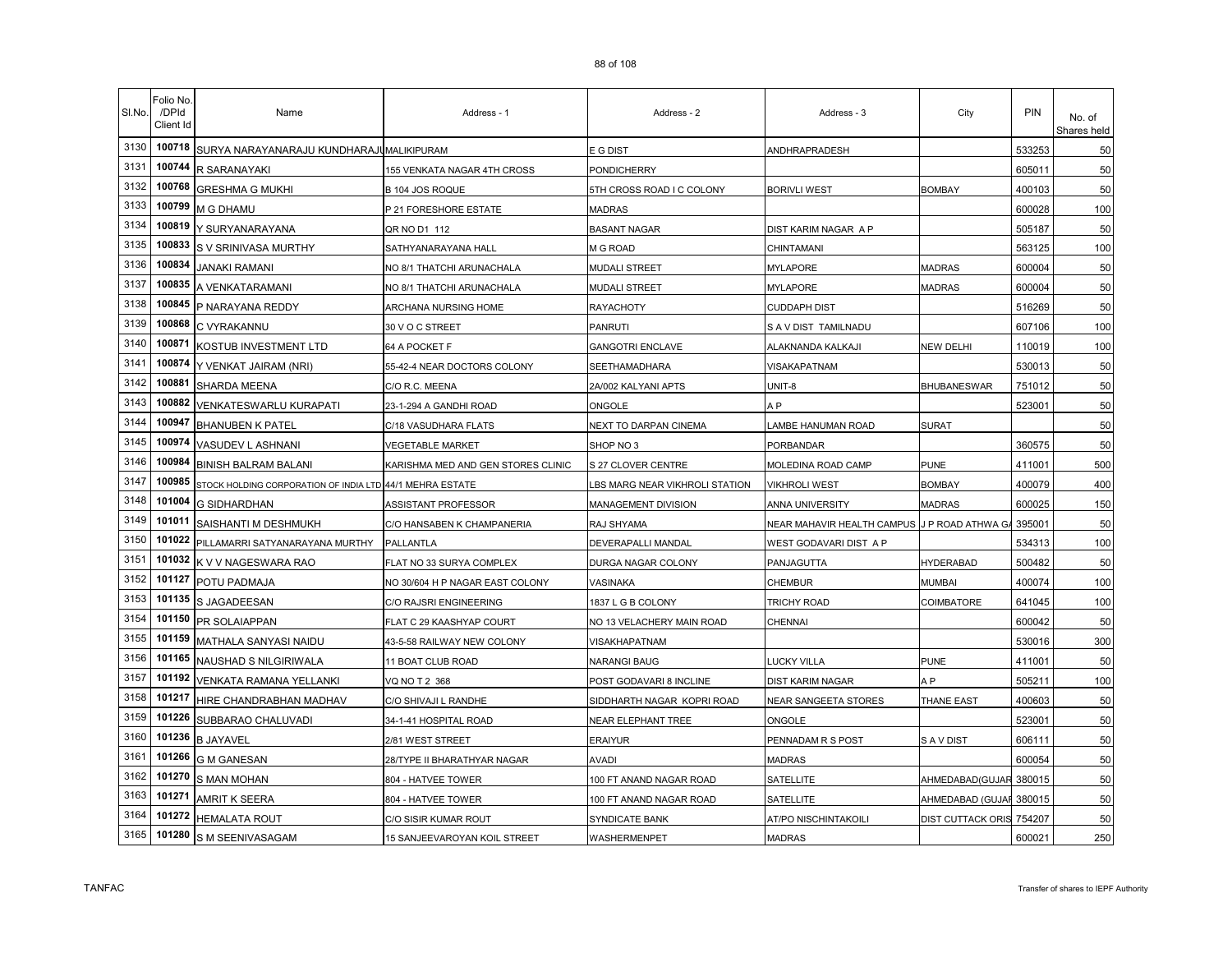| SI.No. | Folio No<br>/DPId<br>Client Id | Name                                                     | Address - 1                        | Address - 2                   | Address - 3                | City                     | PIN    | No. of<br>Shares held |
|--------|--------------------------------|----------------------------------------------------------|------------------------------------|-------------------------------|----------------------------|--------------------------|--------|-----------------------|
| 3130   | 100718                         | SURYA NARAYANARAJU KUNDHARAJI MALIKIPURAM                |                                    | E G DIST                      | ANDHRAPRADESH              |                          | 533253 | 50                    |
| 3131   | 100744                         | R SARANAYAKI                                             | 155 VENKATA NAGAR 4TH CROSS        | PONDICHERRY                   |                            |                          | 605011 | 50                    |
| 3132   | 100768                         | <b>GRESHMA G MUKHI</b>                                   | B 104 JOS ROQUE                    | 5TH CROSS ROAD I C COLONY     | <b>BORIVLI WEST</b>        | <b>BOMBAY</b>            | 400103 | 50                    |
| 3133   | 100799                         | M G DHAMU                                                | P 21 FORESHORE ESTATE              | MADRAS                        |                            |                          | 600028 | 100                   |
| 3134   | 100819                         | Y SURYANARAYANA                                          | QR NO D1 112                       | <b>BASANT NAGAR</b>           | DIST KARIM NAGAR A P       |                          | 505187 | 50                    |
| 3135   | 100833                         | S V SRINIVASA MURTHY                                     | SATHYANARAYANA HALL                | M G ROAD                      | CHINTAMANI                 |                          | 563125 | 100                   |
| 3136   | 100834                         | JANAKI RAMANI                                            | NO 8/1 THATCHI ARUNACHALA          | MUDALI STREET                 | <b>MYLAPORE</b>            | <b>MADRAS</b>            | 600004 | 50                    |
| 3137   | 100835                         | A VENKATARAMANI                                          | NO 8/1 THATCHI ARUNACHALA          | MUDALI STREET                 | <b>MYLAPORE</b>            | <b>MADRAS</b>            | 600004 | 50                    |
| 3138   | 100845                         | P NARAYANA REDDY                                         | ARCHANA NURSING HOME               | RAYACHOTY                     | <b>CUDDAPH DIST</b>        |                          | 516269 | 50                    |
| 3139   | 100868                         | C VYRAKANNU                                              | 30 V O C STREET                    | PANRUTI                       | S A V DIST TAMILNADU       |                          | 607106 | 100                   |
| 3140   | 100871                         | KOSTUB INVESTMENT LTD                                    | 64 A POCKET F                      | <b>GANGOTRI ENCLAVE</b>       | ALAKNANDA KALKAJI          | <b>NEW DELHI</b>         | 110019 | 100                   |
| 3141   | 100874                         | Y VENKAT JAIRAM (NRI)                                    | 55-42-4 NEAR DOCTORS COLONY        | SEETHAMADHARA                 | VISAKAPATNAM               |                          | 530013 | 50                    |
| 3142   | 100881                         | <b>SHARDA MEENA</b>                                      | C/O R.C. MEENA                     | 2A/002 KALYANI APTS           | UNIT-8                     | <b>BHUBANESWAR</b>       | 751012 | 50                    |
| 3143   | 100882                         | <b>VENKATESWARLU KURAPATI</b>                            | 23-1-294 A GANDHI ROAD             | ONGOLE                        | A P                        |                          | 523001 | 50                    |
| 3144   | 100947                         | <b>BHANUBEN K PATEL</b>                                  | C/18 VASUDHARA FLATS               | NEXT TO DARPAN CINEMA         | AMBE HANUMAN ROAD          | <b>SURAT</b>             |        | 50                    |
| 3145   | 100974                         | VASUDEV L ASHNANI                                        | <b>VEGETABLE MARKET</b>            | SHOP NO 3                     | PORBANDAR                  |                          | 360575 | 50                    |
| 3146   | 100984                         | <b>BINISH BALRAM BALANI</b>                              | KARISHMA MED AND GEN STORES CLINIC | S 27 CLOVER CENTRE            | MOLEDINA ROAD CAMP         | PUNE                     | 411001 | 500                   |
| 3147   | 100985                         | STOCK HOLDING CORPORATION OF INDIA LTD 44/1 MEHRA ESTATE |                                    | BS MARG NEAR VIKHROLI STATION | <b>VIKHROLI WEST</b>       | <b>BOMBAY</b>            | 400079 | 400                   |
| 3148   | 101004                         | <b>G SIDHARDHAN</b>                                      | ASSISTANT PROFESSOR                | MANAGEMENT DIVISION           | ANNA UNIVERSITY            | MADRAS                   | 600025 | 150                   |
| 3149   | 101011                         | SAISHANTI M DESHMUKH                                     | C/O HANSABEN K CHAMPANERIA         | RAJ SHYAMA                    | NEAR MAHAVIR HEALTH CAMPUS | J P ROAD ATHWA GA 395001 |        | 50                    |
| 3150   | 101022                         | PILLAMARRI SATYANARAYANA MURTHY                          | PALLANTLA                          | DEVERAPALLI MANDAL            | WEST GODAVARI DIST A P     |                          | 534313 | 100                   |
| 3151   | 101032                         | K V V NAGESWARA RAO                                      | FLAT NO 33 SURYA COMPLEX           | DURGA NAGAR COLONY            | PANJAGUTTA                 | <b>HYDERABAD</b>         | 500482 | 50                    |
| 3152   | 101127                         | POTU PADMAJA                                             | NO 30/604 H P NAGAR EAST COLONY    | VASINAKA                      | CHEMBUR                    | <b>MUMBAI</b>            | 400074 | 100                   |
| 3153   | 101135                         | S JAGADEESAN                                             | C/O RAJSRI ENGINEERING             | 1837 L G B COLONY             | TRICHY ROAD                | COIMBATORE               | 641045 | 100                   |
| 3154   | 101150                         | <b>PR SOLAIAPPAN</b>                                     | FLAT C 29 KAASHYAP COURT           | NO 13 VELACHERY MAIN ROAD     | CHENNAI                    |                          | 600042 | 50                    |
| 3155   | 101159                         | MATHALA SANYASI NAIDU                                    | 43-5-58 RAILWAY NEW COLONY         | VISAKHAPATNAM                 |                            |                          | 530016 | 300                   |
| 3156   | 101165                         | NAUSHAD S NILGIRIWALA                                    | 11 BOAT CLUB ROAD                  | NARANGI BAUG                  | <b>UCKY VILLA</b>          | <b>PUNE</b>              | 411001 | 50                    |
| 3157   | 101192                         | <b>VENKATA RAMANA YELLANKI</b>                           | VQ NO T 2 368                      | POST GODAVARI 8 INCLINE       | <b>DIST KARIM NAGAR</b>    | A <sub>P</sub>           | 505211 | 100                   |
| 3158   | 101217                         | HIRE CHANDRABHAN MADHAV                                  | C/O SHIVAJI L RANDHE               | SIDDHARTH NAGAR KOPRI ROAD    | NEAR SANGEETA STORES       | <b>THANE EAST</b>        | 400603 | 50                    |
| 3159   | 101226                         | SUBBARAO CHALUVADI                                       | 34-1-41 HOSPITAL ROAD              | NEAR ELEPHANT TREE            | ONGOLE                     |                          | 523001 | 50                    |
| 3160   | 101236                         | <b>B JAYAVEL</b>                                         | 2/81 WEST STREET                   | ERAIYUR                       | PENNADAM R S POST          | S A V DIST               | 606111 | 50                    |
| 3161   | 101266                         | <b>G M GANESAN</b>                                       | 28/TYPE II BHARATHYAR NAGAR        | AVADI                         | <b>MADRAS</b>              |                          | 600054 | 50                    |
| 3162   | 101270                         | <b>S MAN MOHAN</b>                                       | 804 - HATVEE TOWER                 | 100 FT ANAND NAGAR ROAD       | SATELLITE                  | AHMEDABAD(GUJAR 380015   |        | 50                    |
| 3163   | 101271                         | <b>AMRIT K SEERA</b>                                     | 804 - HATVEE TOWER                 | 100 FT ANAND NAGAR ROAD       | SATELLITE                  | AHMEDABAD (GUJAF 380015  |        | 50                    |
| 3164   | 101272                         | <b>HEMALATA ROUT</b>                                     | C/O SISIR KUMAR ROUT               | SYNDICATE BANK                | AT/PO NISCHINTAKOILI       | DIST CUTTACK ORIS 754207 |        | 50                    |
| 3165   | 101280                         | S M SEENIVASAGAM                                         | 15 SANJEEVAROYAN KOIL STREET       | WASHERMENPET                  | <b>MADRAS</b>              |                          | 600021 | 250                   |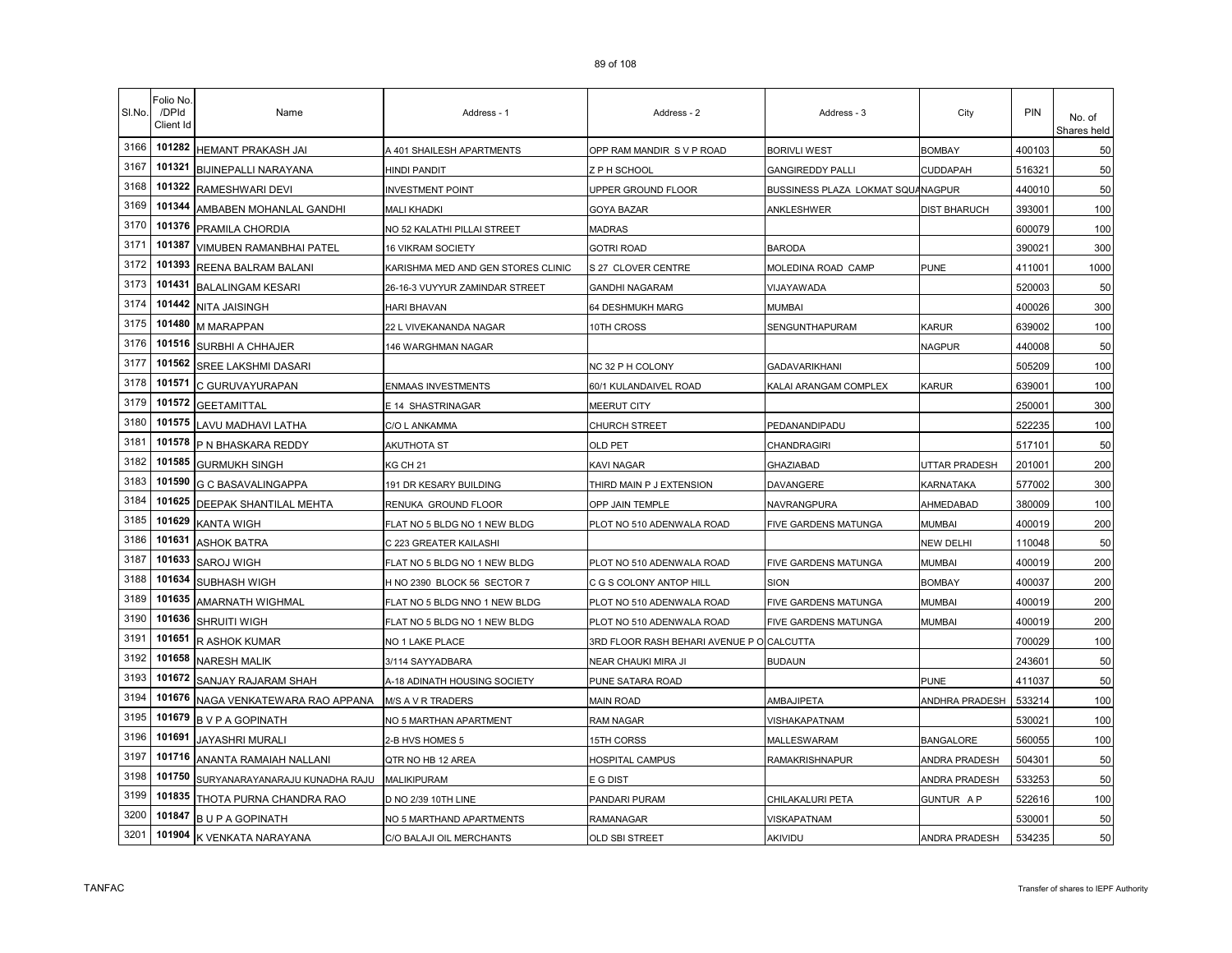| SI.No. | Folio No.<br>/DPId<br>Client Id | Name                           | Address - 1                        | Address - 2                               | Address - 3                       | City                | PIN    | No. of<br>Shares held |
|--------|---------------------------------|--------------------------------|------------------------------------|-------------------------------------------|-----------------------------------|---------------------|--------|-----------------------|
| 3166   | 101282                          | HEMANT PRAKASH JAI             | A 401 SHAILESH APARTMENTS          | OPP RAM MANDIR SVP ROAD                   | <b>BORIVLI WEST</b>               | <b>BOMBAY</b>       | 400103 | 50                    |
| 3167   | 101321                          | BIJINEPALLI NARAYANA           | HINDI PANDIT                       | Z P H SCHOOL                              | <b>GANGIREDDY PALLI</b>           | CUDDAPAH            | 516321 | 50                    |
| 3168   | 101322                          | RAMESHWARI DEVI                | <b>INVESTMENT POINT</b>            | JPPER GROUND FLOOR                        | BUSSINESS PLAZA LOKMAT SQUANAGPUR |                     | 440010 | 50                    |
| 3169   | 101344                          | AMBABEN MOHANLAL GANDHI        | MALI KHADKI                        | GOYA BAZAR                                | ANKLESHWER                        | <b>DIST BHARUCH</b> | 393001 | 100                   |
| 3170   | 101376                          | PRAMILA CHORDIA                | NO 52 KALATHI PILLAI STREET        | <b>MADRAS</b>                             |                                   |                     | 600079 | 100                   |
| 3171   | 101387                          | <b>VIMUBEN RAMANBHAI PATEL</b> | 16 VIKRAM SOCIETY                  | <b>GOTRI ROAD</b>                         | <b>BARODA</b>                     |                     | 390021 | 300                   |
| 3172   | 101393                          | REENA BALRAM BALANI            | KARISHMA MED AND GEN STORES CLINIC | S 27 CLOVER CENTRE                        | MOLEDINA ROAD CAMP                | <b>PUNE</b>         | 411001 | 1000                  |
| 3173   | 101431                          | <b>BALALINGAM KESARI</b>       | 26-16-3 VUYYUR ZAMINDAR STREET     | <b>GANDHI NAGARAM</b>                     | VIJAYAWADA                        |                     | 520003 | 50                    |
| 3174   | 101442                          | NITA JAISINGH                  | HARI BHAVAN                        | 64 DESHMUKH MARG                          | <b>MUMBAI</b>                     |                     | 400026 | 300                   |
| 3175   | 101480                          | M MARAPPAN                     | 22 L VIVEKANANDA NAGAR             | 10TH CROSS                                | SENGUNTHAPURAM                    | <b>KARUR</b>        | 639002 | 100                   |
| 3176   | 101516                          | SURBHI A CHHAJER               | <b>146 WARGHMAN NAGAR</b>          |                                           |                                   | <b>NAGPUR</b>       | 440008 | 50                    |
| 3177   | 101562                          | SREE LAKSHMI DASARI            |                                    | NC 32 P H COLONY                          | <b>GADAVARIKHANI</b>              |                     | 505209 | 100                   |
| 3178   | 101571                          | C GURUVAYURAPAN                | ENMAAS INVESTMENTS                 | 60/1 KULANDAIVEL ROAD                     | KALAI ARANGAM COMPLEX             | <b>KARUR</b>        | 639001 | 100                   |
| 3179   | 101572                          | <b>GEETAMITTAL</b>             | E 14 SHASTRINAGAR                  | MEERUT CITY                               |                                   |                     | 250001 | 300                   |
| 3180   | 101575                          | LAVU MADHAVI LATHA             | C/O L ANKAMMA                      | <b>CHURCH STREET</b>                      | PEDANANDIPADU                     |                     | 522235 | 100                   |
| 3181   | 101578                          | P N BHASKARA REDDY             | AKUTHOTA ST                        | OLD PET                                   | CHANDRAGIRI                       |                     | 517101 | 50                    |
| 3182   | 101585                          | <b>GURMUKH SINGH</b>           | KG CH 21                           | KAVI NAGAR                                | <b>GHAZIABAD</b>                  | UTTAR PRADESH       | 201001 | 200                   |
| 3183   | 101590                          | G C BASAVALINGAPPA             | 191 DR KESARY BUILDING             | THIRD MAIN P J EXTENSION                  | DAVANGERE                         | KARNATAKA           | 577002 | 300                   |
| 3184   | 101625                          | DEEPAK SHANTILAL MEHTA         | RENUKA GROUND FLOOR                | OPP JAIN TEMPLE                           | NAVRANGPURA                       | AHMEDABAD           | 380009 | 100                   |
| 3185   | 101629                          | <b>KANTA WIGH</b>              | FLAT NO 5 BLDG NO 1 NEW BLDG       | PLOT NO 510 ADENWALA ROAD                 | FIVE GARDENS MATUNGA              | <b>MUMBAI</b>       | 400019 | 200                   |
| 3186   | 101631                          | <b>ASHOK BATRA</b>             | C 223 GREATER KAILASHI             |                                           |                                   | <b>NEW DELHI</b>    | 110048 | 50                    |
| 3187   | 101633                          | SAROJ WIGH                     | FLAT NO 5 BLDG NO 1 NEW BLDG       | PLOT NO 510 ADENWALA ROAD                 | FIVE GARDENS MATUNGA              | <b>MUMBAI</b>       | 400019 | 200                   |
| 3188   | 101634                          | SUBHASH WIGH                   | H NO 2390 BLOCK 56 SECTOR 7        | C G S COLONY ANTOP HILL                   | SION                              | <b>BOMBAY</b>       | 400037 | 200                   |
| 3189   | 101635                          | AMARNATH WIGHMAL               | FLAT NO 5 BLDG NNO 1 NEW BLDG      | PLOT NO 510 ADENWALA ROAD                 | FIVE GARDENS MATUNGA              | <b>MUMBAI</b>       | 400019 | 200                   |
| 3190   | 101636                          | SHRUITI WIGH                   | FLAT NO 5 BLDG NO 1 NEW BLDG       | PLOT NO 510 ADENWALA ROAD                 | FIVE GARDENS MATUNGA              | <b>MUMBAI</b>       | 400019 | 200                   |
| 3191   | 101651                          | R ASHOK KUMAR                  | NO 1 LAKE PLACE                    | 3RD FLOOR RASH BEHARI AVENUE P O CALCUTTA |                                   |                     | 700029 | 100                   |
| 3192   | 101658                          | <b>NARESH MALIK</b>            | 3/114 SAYYADBARA                   | NEAR CHAUKI MIRA JI                       | <b>BUDAUN</b>                     |                     | 243601 | 50                    |
| 3193   | 101672                          | SANJAY RAJARAM SHAH            | A-18 ADINATH HOUSING SOCIETY       | PUNE SATARA ROAD                          |                                   | <b>PUNE</b>         | 411037 | 50                    |
| 3194   | 101676                          | NAGA VENKATEWARA RAO APPANA    | <b>M/S A V R TRADERS</b>           | <b>MAIN ROAD</b>                          | AMBAJIPETA                        | ANDHRA PRADESH      | 533214 | 100                   |
| 3195   | 101679                          | <b>BVPAGOPINATH</b>            | NO 5 MARTHAN APARTMENT             | <b>RAM NAGAR</b>                          | VISHAKAPATNAM                     |                     | 530021 | 100                   |
| 3196   | 101691                          | JAYASHRI MURALI                | 2-B HVS HOMES 5                    | 15TH CORSS                                | MALLESWARAM                       | <b>BANGALORE</b>    | 560055 | 100                   |
| 3197   | 101716                          | ANANTA RAMAIAH NALLANI         | QTR NO HB 12 AREA                  | HOSPITAL CAMPUS                           | RAMAKRISHNAPUR                    | ANDRA PRADESH       | 504301 | 50                    |
| 3198   | 101750                          | SURYANARAYANARAJU KUNADHA RAJU | MALIKIPURAM                        | E G DIST                                  |                                   | ANDRA PRADESH       | 533253 | 50                    |
| 3199   | 101835                          | THOTA PURNA CHANDRA RAO        | D NO 2/39 10TH LINE                | PANDARI PURAM                             | CHILAKALURI PETA                  | <b>GUNTUR AP</b>    | 522616 | 100                   |
| 3200   | 101847                          | <b>BUPA GOPINATH</b>           | NO 5 MARTHAND APARTMENTS           | <b>RAMANAGAR</b>                          | VISKAPATNAM                       |                     | 530001 | 50                    |
| 3201   | 101904                          | K VENKATA NARAYANA             | C/O BALAJI OIL MERCHANTS           | OLD SBI STREET                            | AKIVIDU                           | ANDRA PRADESH       | 534235 | 50                    |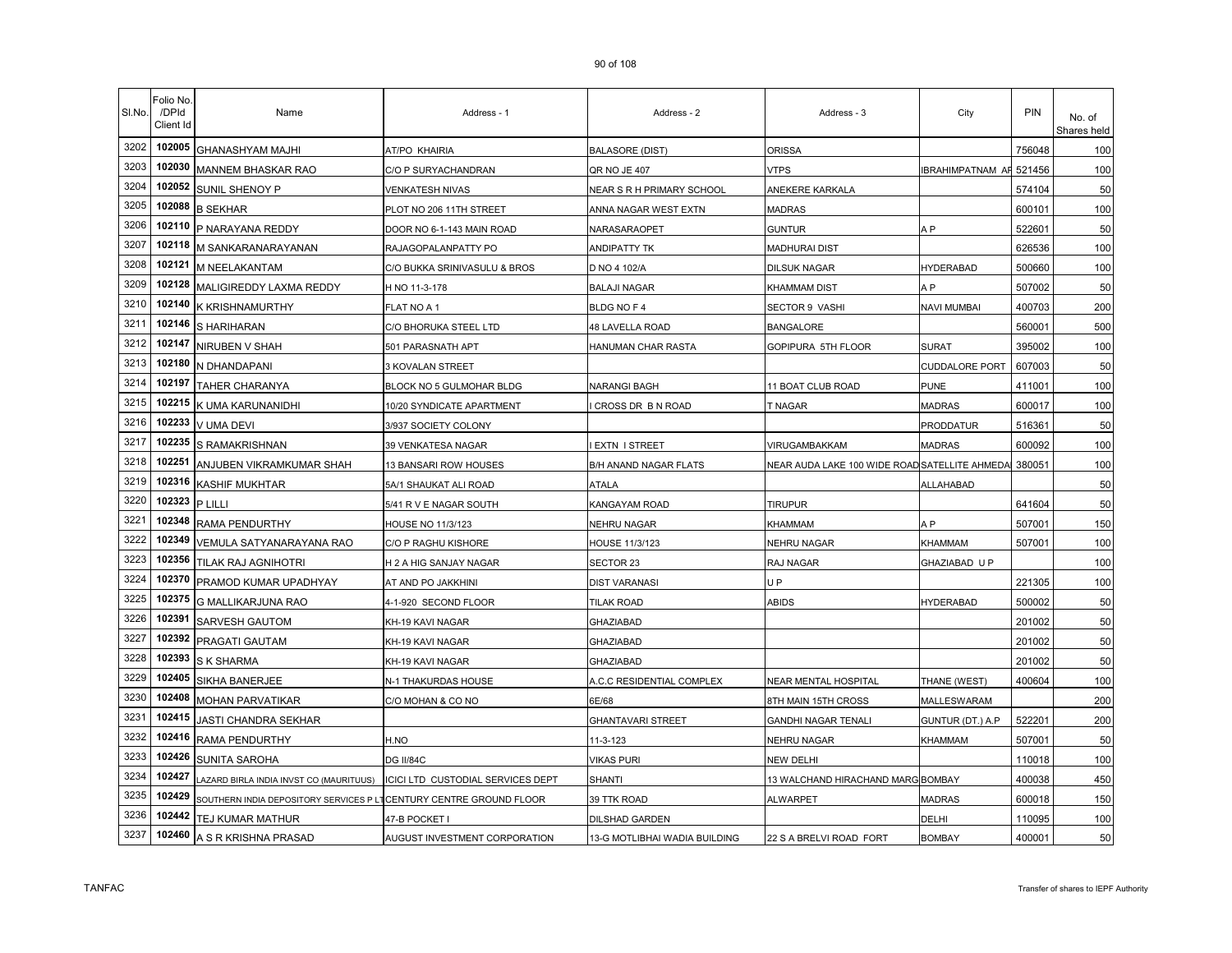| SI.No. | Folio No.<br>/DPId<br>Client Id | Name                                   | Address - 1                       | Address - 2                   | Address - 3                                   | City                  | PIN    | No. of<br>Shares held |
|--------|---------------------------------|----------------------------------------|-----------------------------------|-------------------------------|-----------------------------------------------|-----------------------|--------|-----------------------|
| 3202   | 102005                          | GHANASHYAM MAJHI                       | AT/PO KHAIRIA                     | <b>BALASORE (DIST)</b>        | ORISSA                                        |                       | 756048 | 100                   |
| 3203   | 102030                          | MANNEM BHASKAR RAO                     | C/O P SURYACHANDRAN               | QR NO JE 407                  | √TPS                                          | IBRAHIMPATNAM AF      | 521456 | 100                   |
| 3204   | 102052                          | SUNIL SHENOY P                         | VENKATESH NIVAS                   | NEAR S R H PRIMARY SCHOOL     | ANEKERE KARKALA                               |                       | 574104 | 50                    |
| 3205   | 102088                          | <b>B SEKHAR</b>                        | PLOT NO 206 11TH STREET           | ANNA NAGAR WEST EXTN          | MADRAS                                        |                       | 600101 | 100                   |
| 3206   | 102110                          | P NARAYANA REDDY                       | DOOR NO 6-1-143 MAIN ROAD         | NARASARAOPET                  | <b>GUNTUR</b>                                 | A <sub>P</sub>        | 522601 | 50                    |
| 3207   | 102118                          | M SANKARANARAYANAN                     | RAJAGOPALANPATTY PO               | ANDIPATTY TK                  | <b>MADHURAI DIST</b>                          |                       | 626536 | 100                   |
| 3208   | 102121                          | M NEELAKANTAM                          | C/O BUKKA SRINIVASULU & BROS      | D NO 4 102/A                  | <b>DILSUK NAGAR</b>                           | <b>HYDERABAD</b>      | 500660 | 100                   |
| 3209   | 102128                          | MALIGIREDDY LAXMA REDDY                | H NO 11-3-178                     | <b>BALAJI NAGAR</b>           | KHAMMAM DIST                                  | A <sub>P</sub>        | 507002 | 50                    |
| 3210   | 102140                          | K KRISHNAMURTHY                        | FLAT NO A 1                       | BLDG NO F 4                   | SECTOR 9 VASHI                                | NAVI MUMBAI           | 400703 | 200                   |
| 3211   | 102146                          | S HARIHARAN                            | C/O BHORUKA STEEL LTD             | 48 LAVELLA ROAD               | <b>BANGALORE</b>                              |                       | 560001 | 500                   |
| 3212   | 102147                          | NIRUBEN V SHAH                         | 501 PARASNATH APT                 | HANUMAN CHAR RASTA            | GOPIPURA 5TH FLOOR                            | <b>SURAT</b>          | 395002 | 100                   |
| 3213   | 102180                          | N DHANDAPANI                           | 3 KOVALAN STREET                  |                               |                                               | <b>CUDDALORE PORT</b> | 607003 | 50                    |
| 3214   | 102197                          | TAHER CHARANYA                         | BLOCK NO 5 GULMOHAR BLDG          | NARANGI BAGH                  | 1 BOAT CLUB ROAD                              | <b>PUNE</b>           | 411001 | 100                   |
| 3215   | 102215                          | K UMA KARUNANIDHI                      | 10/20 SYNDICATE APARTMENT         | CROSS DR B N ROAD             | <b>NAGAR</b>                                  | <b>MADRAS</b>         | 600017 | 100                   |
| 3216   | 102233                          | V UMA DEVI                             | 3/937 SOCIETY COLONY              |                               |                                               | PRODDATUR             | 516361 | 50                    |
| 3217   | 102235                          | S RAMAKRISHNAN                         | 39 VENKATESA NAGAR                | EXTN I STREET                 | VIRUGAMBAKKAM                                 | <b>MADRAS</b>         | 600092 | 100                   |
| 3218   | 102251                          | ANJUBEN VIKRAMKUMAR SHAH               | 13 BANSARI ROW HOUSES             | B/H ANAND NAGAR FLATS         | NEAR AUDA LAKE 100 WIDE ROAD SATELLITE AHMEDA |                       | 380051 | 100                   |
| 3219   | 102316                          | <b>KASHIF MUKHTAR</b>                  | 5A/1 SHAUKAT ALI ROAD             | <b>ATALA</b>                  |                                               | ALLAHABAD             |        | 50                    |
| 3220   | 102323                          | P LILLI                                | 5/41 R V E NAGAR SOUTH            | KANGAYAM ROAD                 | tirupur                                       |                       | 641604 | 50                    |
| 3221   | 102348                          | RAMA PENDURTHY                         | HOUSE NO 11/3/123                 | NEHRU NAGAR                   | KHAMMAM                                       | A P                   | 507001 | 150                   |
| 3222   | 102349                          | VEMULA SATYANARAYANA RAO               | C/O P RAGHU KISHORE               | HOUSE 11/3/123                | NEHRU NAGAR                                   | <b>KHAMMAM</b>        | 507001 | 100                   |
| 3223   | 102356                          | <b>TILAK RAJ AGNIHOTRI</b>             | H 2 A HIG SANJAY NAGAR            | SECTOR 23                     | RAJ NAGAR                                     | GHAZIABAD U P         |        | 100                   |
| 3224   | 102370                          | PRAMOD KUMAR UPADHYAY                  | AT AND PO JAKKHINI                | <b>DIST VARANASI</b>          | U P                                           |                       | 221305 | 100                   |
| 3225   | 102375                          | G MALLIKARJUNA RAO                     | 4-1-920 SECOND FLOOR              | TILAK ROAD                    | ABIDS                                         | <b>HYDERABAD</b>      | 500002 | 50                    |
| 3226   | 102391                          | SARVESH GAUTOM                         | KH-19 KAVI NAGAR                  | <b>GHAZIABAD</b>              |                                               |                       | 201002 | 50                    |
| 3227   | 102392                          | PRAGATI GAUTAM                         | KH-19 KAVI NAGAR                  | <b>GHAZIABAD</b>              |                                               |                       | 201002 | 50                    |
| 3228   | 102393                          | S K SHARMA                             | KH-19 KAVI NAGAR                  | <b>GHAZIABAD</b>              |                                               |                       | 201002 | 50                    |
| 3229   | 102405                          | SIKHA BANERJEE                         | N-1 THAKURDAS HOUSE               | A.C.C RESIDENTIAL COMPLEX     | NEAR MENTAL HOSPITAL                          | THANE (WEST)          | 400604 | 100                   |
| 3230   | 102408                          | <b>MOHAN PARVATIKAR</b>                | C/O MOHAN & CO NO                 | 6E/68                         | <b>BTH MAIN 15TH CROSS</b>                    | MALLESWARAM           |        | 200                   |
| 3231   | 102415                          | JASTI CHANDRA SEKHAR                   |                                   | <b>GHANTAVARI STREET</b>      | GANDHI NAGAR TENALI                           | GUNTUR (DT.) A.P      | 522201 | 200                   |
| 3232   | 102416                          | RAMA PENDURTHY                         | H.NO                              | 11-3-123                      | NEHRU NAGAR                                   | KHAMMAM               | 507001 | 50                    |
| 3233   | 102426                          | SUNITA SAROHA                          | DG II/84C                         | /IKAS PURI                    | NEW DELHI                                     |                       | 110018 | 100                   |
| 3234   | 102427                          | AZARD BIRLA INDIA INVST CO (MAURITUUS) | ICICI LTD CUSTODIAL SERVICES DEPT | SHANTI                        | 13 WALCHAND HIRACHAND MARG BOMBAY             |                       | 400038 | 450                   |
| 3235   | 102429                          | SOUTHERN INDIA DEPOSITORY SERVICES P I | CENTURY CENTRE GROUND FLOOR       | 39 TTK ROAD                   | ALWARPET                                      | <b>MADRAS</b>         | 600018 | 150                   |
| 3236   | 102442                          | TEJ KUMAR MATHUR                       | 47-B POCKET I                     | DILSHAD GARDEN                |                                               | DELHI                 | 110095 | 100                   |
| 3237   | 102460                          | A S R KRISHNA PRASAD                   | AUGUST INVESTMENT CORPORATION     | 13-G MOTLIBHAI WADIA BUILDING | 22 S A BRELVI ROAD FORT                       | <b>BOMBAY</b>         | 400001 | 50                    |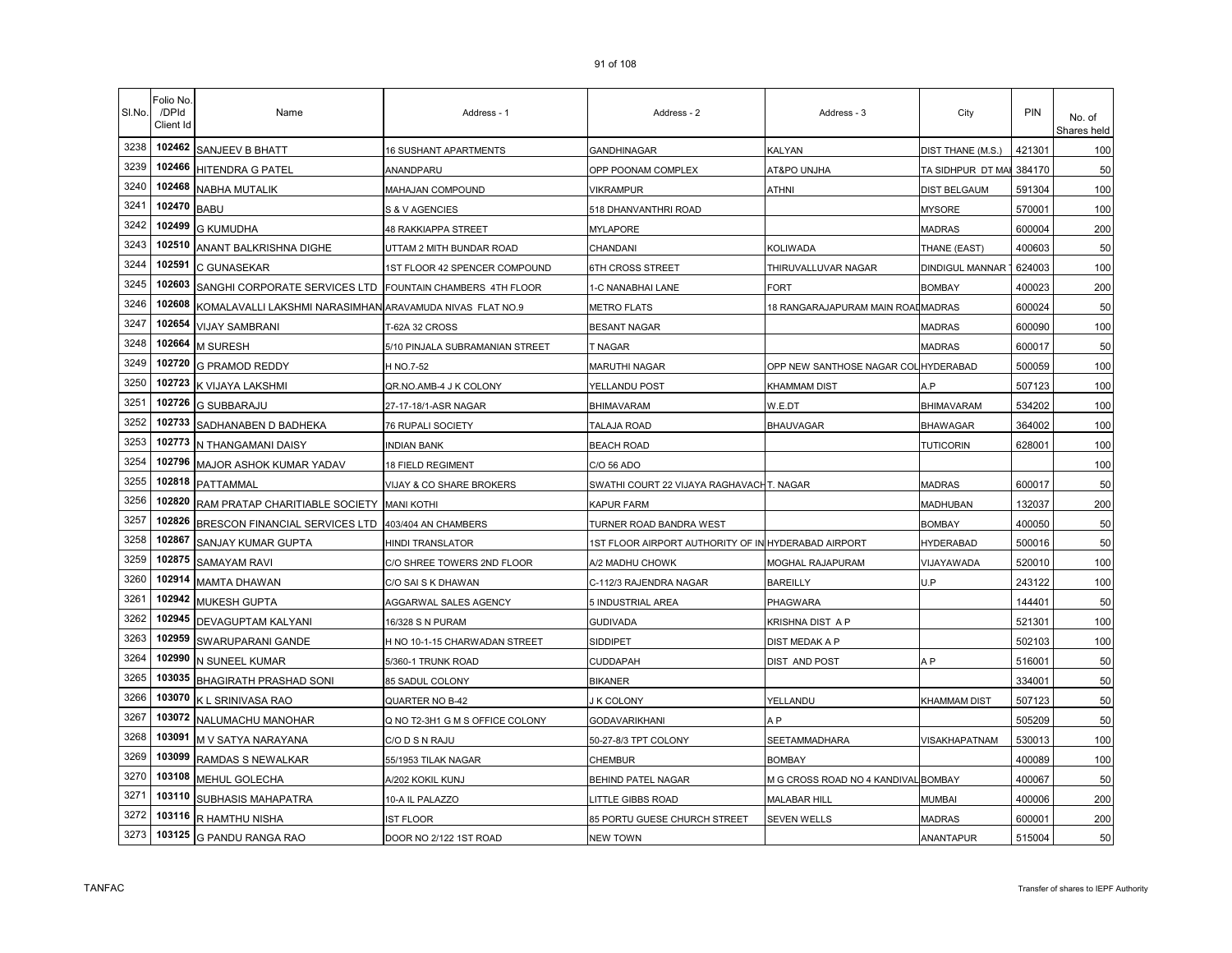| SI.No. | Folio No<br>/DPId<br>Client Id | Name                                                     | Address - 1                     | Address - 2                                         | Address - 3                          | City                | PIN                | No. of<br>Shares held |
|--------|--------------------------------|----------------------------------------------------------|---------------------------------|-----------------------------------------------------|--------------------------------------|---------------------|--------------------|-----------------------|
| 3238   | 102462                         | <b>SANJEEV B BHATT</b>                                   | <b>16 SUSHANT APARTMENTS</b>    | <b>GANDHINAGAR</b>                                  | <b>KALYAN</b>                        | DIST THANE (M.S.)   | 421301             | 100                   |
| 3239   | 102466                         | <b>HITENDRA G PATEL</b>                                  | ANANDPARU                       | OPP POONAM COMPLEX                                  | AT&PO UNJHA                          | TA SIDHPUR DT MAI   | 384170             | 50                    |
| 3240   | 102468                         | <b>NABHA MUTALIK</b>                                     | MAHAJAN COMPOUND                | VIKRAMPUR                                           | <b>ATHNI</b>                         | DIST BELGAUM        | 591304             | 100                   |
| 3241   | 102470                         | <b>BABU</b>                                              | S & V AGENCIES                  | 518 DHANVANTHRI ROAD                                |                                      | <b>MYSORE</b>       | 570001             | 100                   |
| 3242   | 102499                         | <b>G KUMUDHA</b>                                         | <b>48 RAKKIAPPA STREET</b>      | MYLAPORE                                            |                                      | MADRAS              | 600004             | 200                   |
| 3243   | 102510                         | ANANT BALKRISHNA DIGHE                                   | UTTAM 2 MITH BUNDAR ROAD        | CHANDANI                                            | KOLIWADA                             | THANE (EAST)        | 400603             | 50                    |
| 3244   | 102591                         | C GUNASEKAR                                              | 1ST FLOOR 42 SPENCER COMPOUND   | 6TH CROSS STREET                                    | THIRUVALLUVAR NAGAR                  | DINDIGUL MANNAR     | 624003             | 100                   |
| 3245   | 102603                         | SANGHI CORPORATE SERVICES LTD                            | FOUNTAIN CHAMBERS 4TH FLOOR     | 1-C NANABHAI LANE                                   | FORT                                 | <b>BOMBAY</b>       | 400023             | 200                   |
| 3246   | 102608                         | KOMALAVALLI LAKSHMI NARASIMHAN ARAVAMUDA NIVAS FLAT NO.9 |                                 | <b>METRO FLATS</b>                                  | 18 RANGARAJAPURAM MAIN ROAI MADRAS   |                     | 600024             | 50                    |
| 3247   | 102654                         | <b>VIJAY SAMBRANI</b>                                    | <b>T-62A 32 CROSS</b>           | <b>BESANT NAGAR</b>                                 |                                      | <b>MADRAS</b>       | 600090             | 100                   |
| 3248   | 102664                         | <b>M SURESH</b>                                          | 5/10 PINJALA SUBRAMANIAN STREET | T NAGAR                                             |                                      | <b>MADRAS</b>       | 600017             | 50                    |
| 3249   | 102720                         | <b>G PRAMOD REDDY</b>                                    | H NO.7-52                       | MARUTHI NAGAR                                       | OPP NEW SANTHOSE NAGAR COL HYDERABAD |                     | 500059             | 100                   |
| 3250   | 102723                         | K VIJAYA LAKSHMI                                         | QR.NO.AMB-4 J K COLONY          | YELLANDU POST                                       | <b>KHAMMAM DIST</b>                  | A.P                 | 507123             | 100                   |
| 3251   | 102726                         | <b>G SUBBARAJU</b>                                       | 27-17-18/1-ASR NAGAR            | <b>BHIMAVARAM</b>                                   | W.E.DT                               | <b>BHIMAVARAM</b>   | 534202             | 100                   |
| 3252   | 102733                         | SADHANABEN D BADHEKA                                     | 76 RUPALI SOCIETY               | TALAJA ROAD                                         | <b>BHAUVAGAR</b>                     | <b>BHAWAGAR</b>     | 364002             | 100                   |
| 3253   | 102773                         | N THANGAMANI DAISY                                       | <b>INDIAN BANK</b>              | <b>BEACH ROAD</b>                                   |                                      | <b>TUTICORIN</b>    | 628001             | 100                   |
| 3254   | 102796                         | MAJOR ASHOK KUMAR YADAV                                  | 18 FIELD REGIMENT               | C/O 56 ADO                                          |                                      |                     |                    | 100                   |
| 3255   | 102818                         | <b>PATTAMMAL</b>                                         | VIJAY & CO SHARE BROKERS        | SWATHI COURT 22 VIJAYA RAGHAVACHT. NAGAR            |                                      | <b>MADRAS</b>       | 600017             | 50                    |
| 3256   | 102820                         | RAM PRATAP CHARITIABLE SOCIETY MANI KOTHI                |                                 | KAPUR FARM                                          |                                      | MADHUBAN            | 132037             | 200                   |
| 3257   | 102826                         | BRESCON FINANCIAL SERVICES LTD 403/404 AN CHAMBERS       |                                 | TURNER ROAD BANDRA WEST                             |                                      | <b>BOMBAY</b>       | 400050             | 50                    |
| 3258   | 102867                         | <b>SANJAY KUMAR GUPTA</b>                                | HINDI TRANSLATOR                | 1ST FLOOR AIRPORT AUTHORITY OF IN HYDERABAD AIRPORT |                                      | <b>HYDERABAD</b>    | 500016             | 50                    |
| 3259   | 102875                         | <b>SAMAYAM RAVI</b>                                      | C/O SHREE TOWERS 2ND FLOOR      | A/2 MADHU CHOWK                                     | MOGHAL RAJAPURAM                     | VIJAYAWADA          | 520010             | 100                   |
| 3260   | 102914                         | MAMTA DHAWAN                                             | C/O SAI S K DHAWAN              | C-112/3 RAJENDRA NAGAR                              | <b>BAREILLY</b>                      | U.P                 | 243122             | 100                   |
| 3261   | 102942                         | <b>MUKESH GUPTA</b>                                      | AGGARWAL SALES AGENCY           | 5 INDUSTRIAL AREA                                   | PHAGWARA                             |                     | 14440 <sup>-</sup> | 50                    |
| 3262   | 102945                         | <b>DEVAGUPTAM KALYANI</b>                                | 16/328 S N PURAM                | <b>GUDIVADA</b>                                     | KRISHNA DIST A P                     |                     | 521301             | 100                   |
| 3263   | 102959                         | SWARUPARANI GANDE                                        | H NO 10-1-15 CHARWADAN STREET   | <b>SIDDIPET</b>                                     | DIST MEDAK A P                       |                     | 502103             | 100                   |
| 3264   | 102990                         | N SUNEEL KUMAR                                           | 5/360-1 TRUNK ROAD              | CUDDAPAH                                            | DIST AND POST                        | A <sub>P</sub>      | 516001             | 50                    |
| 3265   | 103035                         | BHAGIRATH PRASHAD SONI                                   | 85 SADUL COLONY                 | <b>BIKANER</b>                                      |                                      |                     | 334001             | 50                    |
| 3266   | 103070                         | K L SRINIVASA RAO                                        | QUARTER NO B-42                 | <b>K COLONY</b>                                     | YELLANDU                             | <b>KHAMMAM DIST</b> | 507123             | 50                    |
| 3267   | 103072                         | NALUMACHU MANOHAR                                        | Q NO T2-3H1 G M S OFFICE COLONY | GODAVARIKHANI                                       | A P                                  |                     | 505209             | 50                    |
| 3268   | 103091                         | M V SATYA NARAYANA                                       | C/O D S N RAJU                  | 50-27-8/3 TPT COLONY                                | SEETAMMADHARA                        | VISAKHAPATNAM       | 530013             | 100                   |
| 3269   | 103099                         | RAMDAS S NEWALKAR                                        | 55/1953 TILAK NAGAR             | CHEMBUR                                             | <b>BOMBAY</b>                        |                     | 400089             | 100                   |
| 3270   | 103108                         | MEHUL GOLECHA                                            | A/202 KOKIL KUNJ                | BEHIND PATEL NAGAR                                  | M G CROSS ROAD NO 4 KANDIVAL BOMBAY  |                     | 400067             | 50                    |
| 3271   | 103110                         | SUBHASIS MAHAPATRA                                       | 10-A IL PALAZZO                 | LITTLE GIBBS ROAD                                   | <b>MALABAR HILL</b>                  | MUMBAI              | 400006             | 200                   |
| 3272   | 103116                         | R HAMTHU NISHA                                           | <b>IST FLOOR</b>                | 85 PORTU GUESE CHURCH STREET                        | <b>SEVEN WELLS</b>                   | <b>MADRAS</b>       | 600001             | 200                   |
| 3273   | 103125                         | <b>G PANDU RANGA RAO</b>                                 | DOOR NO 2/122 1ST ROAD          | <b>NEW TOWN</b>                                     |                                      | <b>ANANTAPUR</b>    | 515004             | 50                    |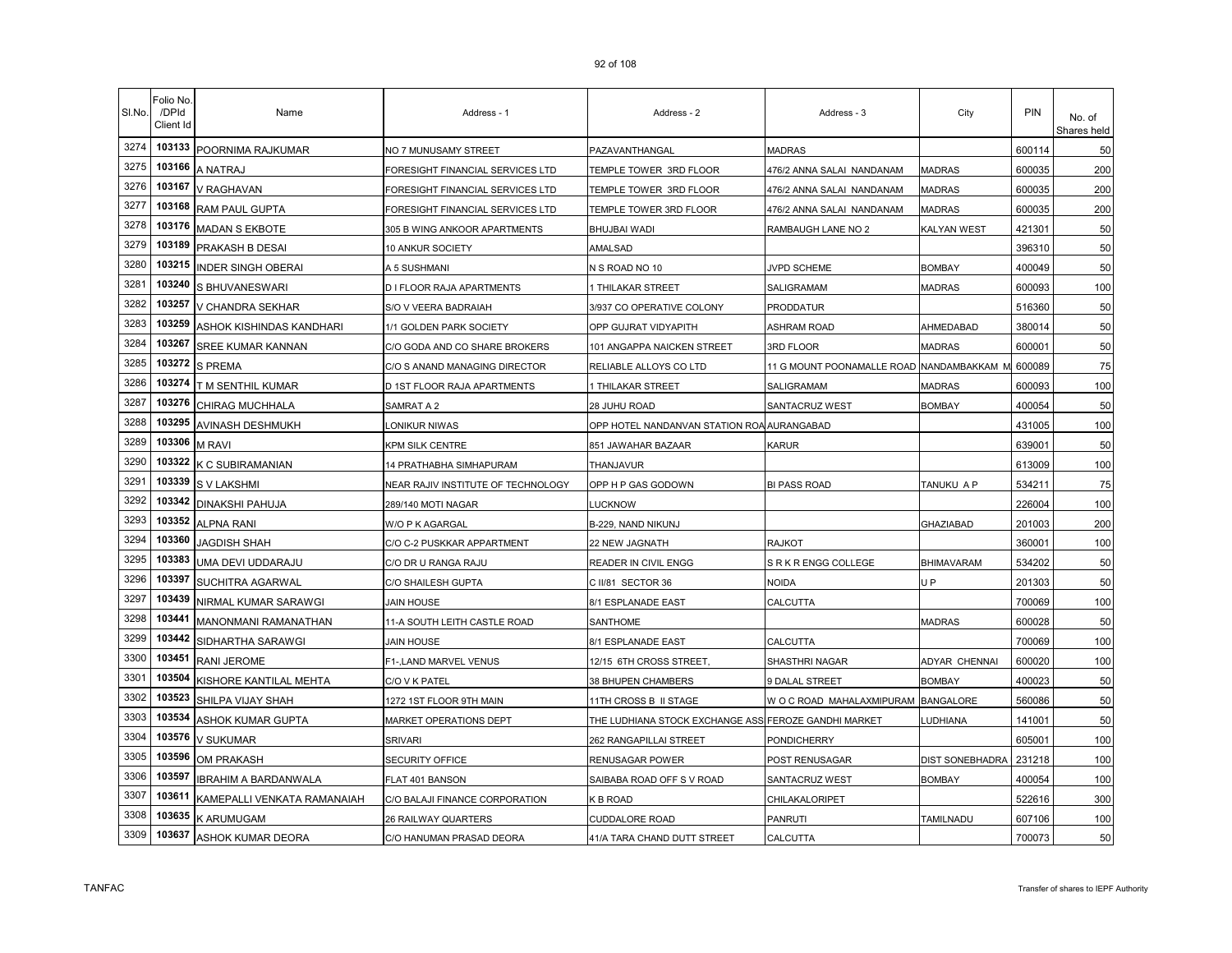| SI.No. | Folio No.<br>/DPId<br>Client Id | Name                        | Address - 1                        | Address - 2                                | Address - 3                               | City               | PIN    | No. of<br>Shares held |
|--------|---------------------------------|-----------------------------|------------------------------------|--------------------------------------------|-------------------------------------------|--------------------|--------|-----------------------|
| 3274   | 103133                          | POORNIMA RAJKUMAR           | NO 7 MUNUSAMY STREET               | PAZAVANTHANGAL                             | <b>MADRAS</b>                             |                    | 600114 | 50                    |
| 3275   | 103166                          | A NATRAJ                    | FORESIGHT FINANCIAL SERVICES LTD   | TEMPLE TOWER 3RD FLOOR                     | 476/2 ANNA SALAI NANDANAM                 | <b>MADRAS</b>      | 600035 | 200                   |
| 3276   | 103167                          | V RAGHAVAN                  | FORESIGHT FINANCIAL SERVICES LTD   | TEMPLE TOWER 3RD FLOOR                     | 476/2 ANNA SALAI NANDANAM                 | MADRAS             | 600035 | 200                   |
| 3277   | 103168                          | RAM PAUL GUPTA              | FORESIGHT FINANCIAL SERVICES LTD   | TEMPLE TOWER 3RD FLOOR                     | 476/2 ANNA SALAI NANDANAM                 | <b>MADRAS</b>      | 600035 | 200                   |
| 3278   | 103176                          | <b>MADAN S EKBOTE</b>       | 305 B WING ANKOOR APARTMENTS       | BHUJBAI WADI                               | RAMBAUGH LANE NO 2                        | <b>KALYAN WEST</b> | 421301 | 50                    |
| 3279   | 103189                          | PRAKASH B DESAI             | 10 ANKUR SOCIETY                   | <b>AMALSAD</b>                             |                                           |                    | 396310 | 50                    |
| 3280   | 103215                          | <b>INDER SINGH OBERAI</b>   | A 5 SUSHMANI                       | N S ROAD NO 10                             | JVPD SCHEME                               | <b>BOMBAY</b>      | 400049 | 50                    |
| 3281   | 103240                          | S BHUVANESWARI              | D I FLOOR RAJA APARTMENTS          | 1 THILAKAR STREET                          | SALIGRAMAM                                | <b>MADRAS</b>      | 600093 | 100                   |
| 3282   | 103257                          | V CHANDRA SEKHAR            | S/O V VEERA BADRAIAH               | 3/937 CO OPERATIVE COLONY                  | <b>PRODDATUR</b>                          |                    | 516360 | 50                    |
| 3283   | 103259                          | ASHOK KISHINDAS KANDHARI    | 1/1 GOLDEN PARK SOCIETY            | OPP GUJRAT VIDYAPITH                       | <b>ASHRAM ROAD</b>                        | AHMEDABAD          | 380014 | 50                    |
| 3284   | 103267                          | SREE KUMAR KANNAN           | C/O GODA AND CO SHARE BROKERS      | 101 ANGAPPA NAICKEN STREET                 | 3RD FLOOR                                 | <b>MADRAS</b>      | 600001 | 50                    |
| 3285   | 103272                          | <b>S PREMA</b>              | C/O S ANAND MANAGING DIRECTOR      | RELIABLE ALLOYS CO LTD                     | 11 G MOUNT POONAMALLE ROAD NANDAMBAKKAM M |                    | 600089 | 75                    |
| 3286   | 103274                          | T M SENTHIL KUMAR           | D 1ST FLOOR RAJA APARTMENTS        | 1 THILAKAR STREET                          | SALIGRAMAM                                | <b>MADRAS</b>      | 600093 | 100                   |
| 3287   | 103276                          | CHIRAG MUCHHALA             | SAMRAT A 2                         | 28 JUHU ROAD                               | SANTACRUZ WEST                            | <b>BOMBAY</b>      | 400054 | 50                    |
| 3288   | 103295                          | AVINASH DESHMUKH            | ONIKUR NIWAS                       | OPP HOTEL NANDANVAN STATION ROA AURANGABAD |                                           |                    | 431005 | 100                   |
| 3289   | 103306                          | <b>M RAVI</b>               | KPM SILK CENTRE                    | 851 JAWAHAR BAZAAR                         | KARUR                                     |                    | 639001 | 50                    |
| 3290   | 103322                          | K C SUBIRAMANIAN            | 14 PRATHABHA SIMHAPURAM            | THANJAVUR                                  |                                           |                    | 613009 | 100                   |
| 3291   | 103339                          | S V LAKSHMI                 | NEAR RAJIV INSTITUTE OF TECHNOLOGY | OPP H P GAS GODOWN                         | <b>BI PASS ROAD</b>                       | TANUKU A P         | 534211 | 75                    |
| 3292   | 103342                          | DINAKSHI PAHUJA             | 289/140 MOTI NAGAR                 | <b>LUCKNOW</b>                             |                                           |                    | 226004 | 100                   |
| 3293   | 103352                          | <b>ALPNA RANI</b>           | W/O P K AGARGAL                    | B-229, NAND NIKUNJ                         |                                           | GHAZIABAD          | 201003 | 200                   |
| 3294   | 103360                          | JAGDISH SHAH                | C/O C-2 PUSKKAR APPARTMENT         | 22 NEW JAGNATH                             | RAJKOT                                    |                    | 360001 | 100                   |
| 3295   | 103383                          | UMA DEVI UDDARAJU           | C/O DR U RANGA RAJU                | READER IN CIVIL ENGG                       | S R K R ENGG COLLEGE                      | <b>BHIMAVARAM</b>  | 534202 | 50                    |
| 3296   | 103397                          | SUCHITRA AGARWAL            | C/O SHAILESH GUPTA                 | C II/81 SECTOR 36                          | NOIDA                                     | U <sub>P</sub>     | 201303 | 50                    |
| 3297   | 103439                          | NIRMAL KUMAR SARAWGI        | <b>JAIN HOUSE</b>                  | 8/1 ESPLANADE EAST                         | CALCUTTA                                  |                    | 700069 | 100                   |
| 3298   | 103441                          | <b>MANONMANI RAMANATHAN</b> | 11-A SOUTH LEITH CASTLE ROAD       | <b>SANTHOME</b>                            |                                           | <b>MADRAS</b>      | 600028 | 50                    |
| 3299   | 103442                          | SIDHARTHA SARAWGI           | <b>JAIN HOUSE</b>                  | 8/1 ESPLANADE EAST                         | CALCUTTA                                  |                    | 700069 | 100                   |
| 3300   | 103451                          | RANI JEROME                 | F1-, LAND MARVEL VENUS             | 12/15 6TH CROSS STREET,                    | SHASTHRI NAGAR                            | ADYAR CHENNAI      | 600020 | 100                   |
| 3301   | 103504                          | KISHORE KANTILAL MEHTA      | C/O V K PATEL                      | 38 BHUPEN CHAMBERS                         | 9 DALAL STREET                            | <b>BOMBAY</b>      | 400023 | 50                    |
| 3302   | 103523                          | SHILPA VIJAY SHAH           | 1272 1ST FLOOR 9TH MAIN            | 11TH CROSS B II STAGE                      | WOCROAD MAHALAXMIPURAM BANGALORE          |                    | 560086 | 50                    |
| 3303   | 103534                          | ASHOK KUMAR GUPTA           | <b>MARKET OPERATIONS DEPT</b>      | THE LUDHIANA STOCK EXCHANGE ASSI           | <b>FEROZE GANDHI MARKET</b>               | LUDHIANA           | 141001 | 50                    |
| 3304   | 103576                          | V SUKUMAR                   | <b>SRIVARI</b>                     | 262 RANGAPILLAI STREET                     | PONDICHERRY                               |                    | 605001 | 100                   |
| 3305   | 103596                          | <b>OM PRAKASH</b>           | SECURITY OFFICE                    | RENUSAGAR POWER                            | POST RENUSAGAR                            | DIST SONEBHADRA    | 231218 | 100                   |
| 3306   | 103597                          | IBRAHIM A BARDANWALA        | FLAT 401 BANSON                    | SAIBABA ROAD OFF S V ROAD                  | SANTACRUZ WEST                            | <b>BOMBAY</b>      | 400054 | 100                   |
| 3307   | 103611                          | KAMEPALLI VENKATA RAMANAIAH | C/O BALAJI FINANCE CORPORATION     | K B ROAD                                   | CHILAKALORIPET                            |                    | 522616 | 300                   |
| 3308   | 103635                          | K ARUMUGAM                  | 26 RAILWAY QUARTERS                | <b>CUDDALORE ROAD</b>                      | PANRUTI                                   | TAMILNADU          | 607106 | 100                   |
| 3309   | 103637                          | ASHOK KUMAR DEORA           | C/O HANUMAN PRASAD DEORA           | 41/A TARA CHAND DUTT STREET                | CALCUTTA                                  |                    | 700073 | 50                    |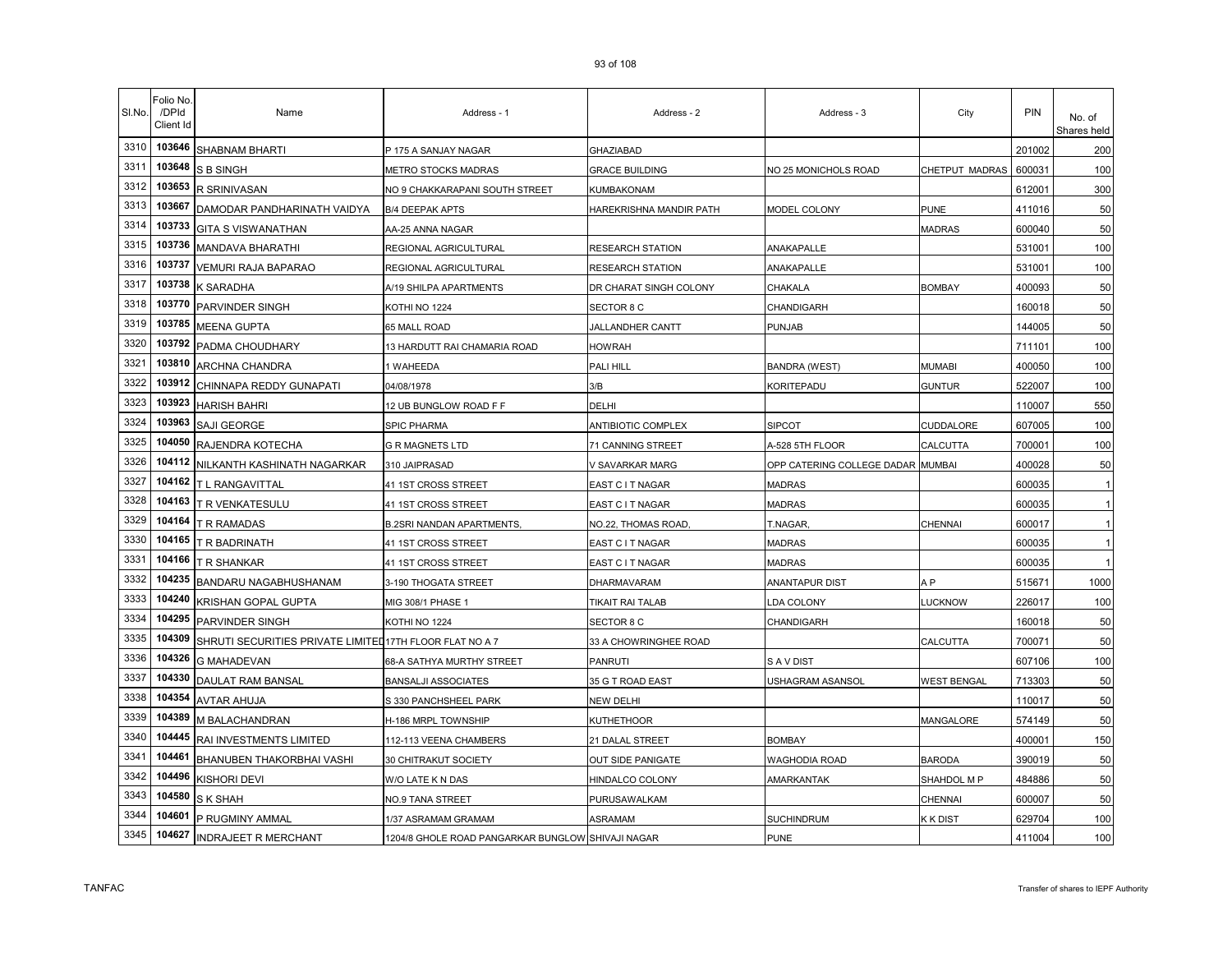| SI.No. | Folio No.<br>/DPId<br>Client Id | Name                                                     | Address - 1                                       | Address - 2               | Address - 3                       | City               | PIN    | No. of<br>Shares held |
|--------|---------------------------------|----------------------------------------------------------|---------------------------------------------------|---------------------------|-----------------------------------|--------------------|--------|-----------------------|
| 3310   | 103646                          | <b>SHABNAM BHARTI</b>                                    | P 175 A SANJAY NAGAR                              | <b>GHAZIABAD</b>          |                                   |                    | 201002 | 200                   |
| 3311   | 103648                          | <b>S B SINGH</b>                                         | METRO STOCKS MADRAS                               | GRACE BUILDING            | NO 25 MONICHOLS ROAD              | CHETPUT MADRAS     | 600031 | 100                   |
| 3312   | 103653                          | R SRINIVASAN                                             | NO 9 CHAKKARAPANI SOUTH STREET                    | KUMBAKONAM                |                                   |                    | 612001 | 300                   |
| 3313   | 103667                          | DAMODAR PANDHARINATH VAIDYA                              | <b>B/4 DEEPAK APTS</b>                            | HAREKRISHNA MANDIR PATH   | MODEL COLONY                      | PUNE               | 411016 | 50                    |
| 3314   | 103733                          | <b>GITA S VISWANATHAN</b>                                | AA-25 ANNA NAGAR                                  |                           |                                   | <b>MADRAS</b>      | 600040 | 50                    |
| 3315   | 103736                          | MANDAVA BHARATHI                                         | REGIONAL AGRICULTURAL                             | <b>RESEARCH STATION</b>   | ANAKAPALLE                        |                    | 531001 | 100                   |
| 3316   | 103737                          | VEMURI RAJA BAPARAO                                      | REGIONAL AGRICULTURAL                             | <b>RESEARCH STATION</b>   | ANAKAPALLE                        |                    | 531001 | 100                   |
| 3317   | 103738                          | K SARADHA                                                | A/19 SHILPA APARTMENTS                            | DR CHARAT SINGH COLONY    | CHAKALA                           | <b>BOMBAY</b>      | 400093 | 50                    |
| 3318   | 103770                          | PARVINDER SINGH                                          | KOTHI NO 1224                                     | <b>SECTOR 8 C</b>         | CHANDIGARH                        |                    | 160018 | 50                    |
| 3319   | 103785                          | <b>MEENA GUPTA</b>                                       | 65 MALL ROAD                                      | JALLANDHER CANTT          | PUNJAB                            |                    | 144005 | 50                    |
| 3320   | 103792                          | PADMA CHOUDHARY                                          | 13 HARDUTT RAI CHAMARIA ROAD                      | <b>HOWRAH</b>             |                                   |                    | 711101 | 100                   |
| 3321   | 103810                          | ARCHNA CHANDRA                                           | I WAHEEDA                                         | PALI HILL                 | <b>BANDRA (WEST)</b>              | <b>MUMABI</b>      | 400050 | 100                   |
| 3322   | 103912                          | CHINNAPA REDDY GUNAPATI                                  | 04/08/1978                                        | 3/B                       | <b>KORITEPADU</b>                 | <b>GUNTUR</b>      | 522007 | 100                   |
| 3323   | 103923                          | <b>HARISH BAHRI</b>                                      | 12 UB BUNGLOW ROAD F F                            | DELHI                     |                                   |                    | 110007 | 550                   |
| 3324   | 103963                          | SAJI GEORGE                                              | <b>SPIC PHARMA</b>                                | <b>ANTIBIOTIC COMPLEX</b> | <b>SIPCOT</b>                     | CUDDALORE          | 607005 | 100                   |
| 3325   | 104050                          | RAJENDRA KOTECHA                                         | <b>G R MAGNETS LTD</b>                            | 71 CANNING STREET         | A-528 5TH FLOOR                   | CALCUTTA           | 700001 | 100                   |
| 3326   | 104112                          | NILKANTH KASHINATH NAGARKAR                              | 310 JAIPRASAD                                     | V SAVARKAR MARG           | OPP CATERING COLLEGE DADAR MUMBAI |                    | 400028 | 50                    |
| 3327   | 104162                          | T L RANGAVITTAL                                          | 41 1ST CROSS STREET                               | EAST C I T NAGAR          | <b>MADRAS</b>                     |                    | 600035 |                       |
| 3328   | 104163                          | T R VENKATESULU                                          | 41 1ST CROSS STREET                               | EAST C I T NAGAR          | <b>MADRAS</b>                     |                    | 600035 |                       |
| 3329   | 104164                          | T R RAMADAS                                              | <b>B.2SRI NANDAN APARTMENTS,</b>                  | NO.22, THOMAS ROAD        | T.NAGAR,                          | CHENNAI            | 600017 |                       |
| 3330   | 104165                          | T R BADRINATH                                            | 41 1ST CROSS STREET                               | EAST C I T NAGAR          | MADRAS                            |                    | 600035 |                       |
| 3331   | 104166                          | T R SHANKAR                                              | 41 1ST CROSS STREET                               | EAST C I T NAGAR          | <b>MADRAS</b>                     |                    | 600035 |                       |
| 3332   | 104235                          | BANDARU NAGABHUSHANAM                                    | 3-190 THOGATA STREET                              | DHARMAVARAM               | ANANTAPUR DIST                    | A P                | 515671 | 1000                  |
| 3333   | 104240                          | KRISHAN GOPAL GUPTA                                      | MIG 308/1 PHASE 1                                 | TIKAIT RAI TALAB          | LDA COLONY                        | LUCKNOW            | 226017 | 100                   |
| 3334   | 104295                          | PARVINDER SINGH                                          | KOTHI NO 1224                                     | SECTOR 8 C                | CHANDIGARH                        |                    | 160018 | 50                    |
| 3335   | 104309                          | SHRUTI SECURITIES PRIVATE LIMITED 17TH FLOOR FLAT NO A 7 |                                                   | 33 A CHOWRINGHEE ROAD     |                                   | CALCUTTA           | 700071 | 50                    |
| 3336   | 104326                          | <b>G MAHADEVAN</b>                                       | 68-A SATHYA MURTHY STREET                         | <b>PANRUTI</b>            | S A V DIST                        |                    | 607106 | 100                   |
| 3337   | 104330                          | DAULAT RAM BANSAL                                        | <b>BANSALJI ASSOCIATES</b>                        | 35 G T ROAD EAST          | USHAGRAM ASANSOL                  | <b>WEST BENGAL</b> | 713303 | 50                    |
| 3338   | 104354                          | <b>AVTAR AHUJA</b>                                       | S 330 PANCHSHEEL PARK                             | <b>NEW DELHI</b>          |                                   |                    | 110017 | 50                    |
| 3339   | 104389                          | M BALACHANDRAN                                           | H-186 MRPL TOWNSHIP                               | <b>KUTHETHOOR</b>         |                                   | MANGALORE          | 574149 | 50                    |
| 3340   | 104445                          | RAI INVESTMENTS LIMITED                                  | 112-113 VEENA CHAMBERS                            | 21 DALAL STREET           | <b>BOMBAY</b>                     |                    | 400001 | 150                   |
| 3341   | 104461                          | BHANUBEN THAKORBHAI VASHI                                | 30 CHITRAKUT SOCIETY                              | OUT SIDE PANIGATE         | NAGHODIA ROAD                     | <b>BARODA</b>      | 390019 | 50                    |
| 3342   | 104496                          | <b>KISHORI DEVI</b>                                      | W/O LATE K N DAS                                  | HINDALCO COLONY           | AMARKANTAK                        | SHAHDOL M P        | 484886 | 50                    |
| 3343   | 104580                          | S K SHAH                                                 | NO.9 TANA STREET                                  | PURUSAWALKAM              |                                   | CHENNAI            | 600007 | 50                    |
| 3344   | 104601                          | P RUGMINY AMMAL                                          | 1/37 ASRAMAM GRAMAM                               | ASRAMAM                   | SUCHINDRUM                        | K K DIST           | 629704 | 100                   |
| 3345   | 104627                          | <b>INDRAJEET R MERCHANT</b>                              | 1204/8 GHOLE ROAD PANGARKAR BUNGLOW SHIVAJI NAGAR |                           | <b>PUNE</b>                       |                    | 411004 | 100                   |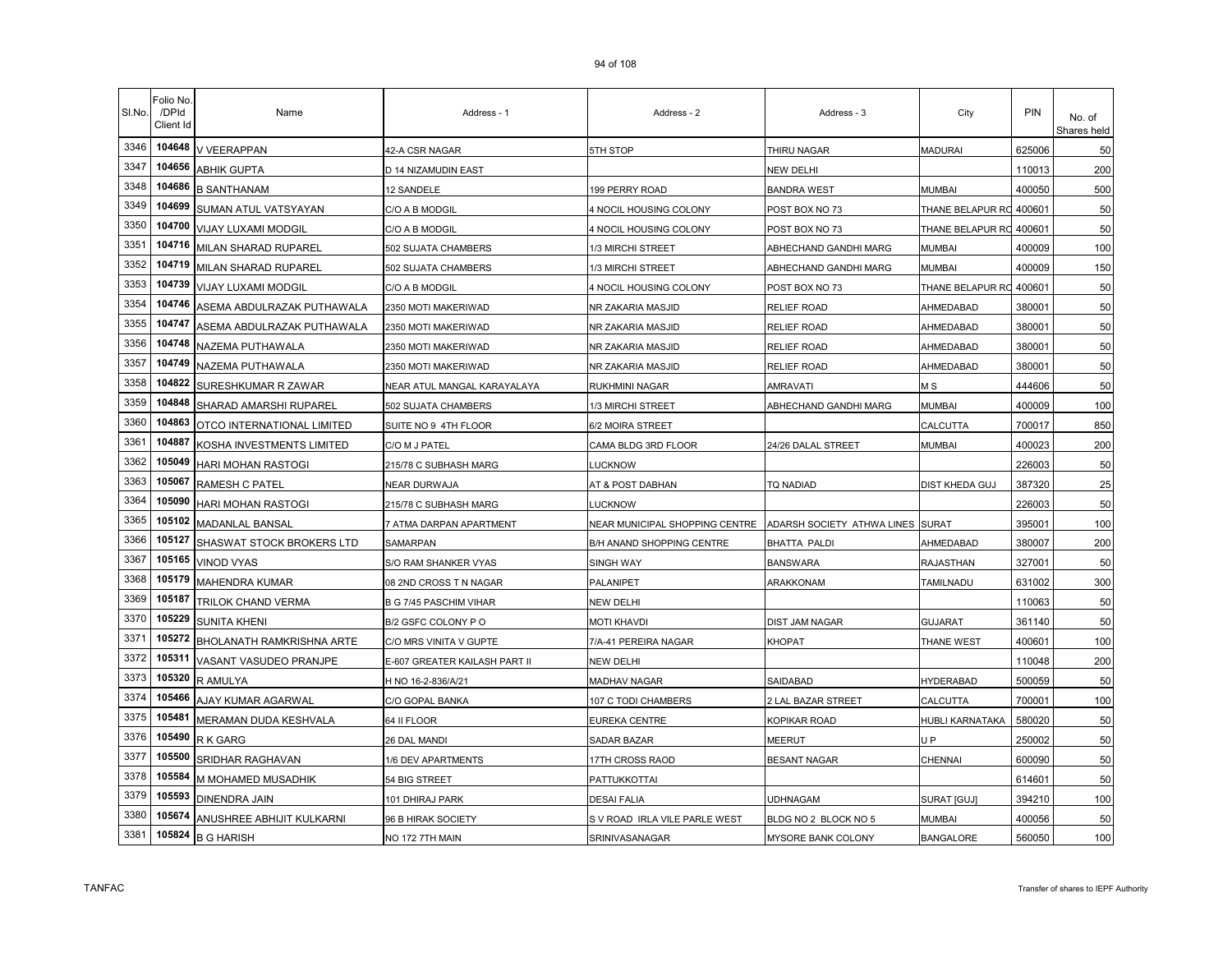| SI.No. | Folio No.<br>/DPId<br>Client Id | Name                       | Address - 1                   | Address - 2                                                     | Address - 3           | City             | PIN    | No. of<br>Shares held |
|--------|---------------------------------|----------------------------|-------------------------------|-----------------------------------------------------------------|-----------------------|------------------|--------|-----------------------|
| 3346   | 104648                          | V VEERAPPAN                | 42-A CSR NAGAR                | 5TH STOP                                                        | THIRU NAGAR           | <b>MADURAI</b>   | 625006 | 50                    |
| 3347   | 104656                          | ABHIK GUPTA                | D 14 NIZAMUDIN EAST           |                                                                 | NEW DELHI             |                  | 110013 | 200                   |
| 3348   | 104686                          | <b>B SANTHANAM</b>         | 12 SANDELE                    | 199 PERRY ROAD                                                  | BANDRA WEST           | MUMBAI           | 400050 | 500                   |
| 3349   | 104699                          | SUMAN ATUL VATSYAYAN       | C/O A B MODGIL                | 4 NOCIL HOUSING COLONY                                          | POST BOX NO 73        | THANE BELAPUR RC | 400601 | 50                    |
| 3350   | 104700                          | <b>VIJAY LUXAMI MODGIL</b> | C/O A B MODGIL                | 4 NOCIL HOUSING COLONY                                          | POST BOX NO 73        | THANE BELAPUR RO | 400601 | 50                    |
| 3351   | 104716                          | MILAN SHARAD RUPAREL       | 502 SUJATA CHAMBERS           | 1/3 MIRCHI STREET                                               | ABHECHAND GANDHI MARG | <b>MUMBAI</b>    | 400009 | 100                   |
| 3352   | 104719                          | MILAN SHARAD RUPAREL       | 502 SUJATA CHAMBERS           | 1/3 MIRCHI STREET                                               | ABHECHAND GANDHI MARG | <b>MUMBAI</b>    | 400009 | 150                   |
| 3353   | 104739                          | VIJAY LUXAMI MODGIL        | C/O A B MODGIL                | 4 NOCIL HOUSING COLONY                                          | POST BOX NO 73        | THANE BELAPUR RO | 400601 | 50                    |
| 3354   | 104746                          | ASEMA ABDULRAZAK PUTHAWALA | 2350 MOTI MAKERIWAD           | NR ZAKARIA MASJID                                               | RELIEF ROAD           | AHMEDABAD        | 380001 | 50                    |
| 3355   | 104747                          | ASEMA ABDULRAZAK PUTHAWALA | 2350 MOTI MAKERIWAD           | NR ZAKARIA MASJID                                               | RELIEF ROAD           | AHMEDABAD        | 380001 | 50                    |
| 3356   | 104748                          | NAZEMA PUTHAWALA           | 2350 MOTI MAKERIWAD           | NR ZAKARIA MASJID                                               | <b>RELIEF ROAD</b>    | AHMEDABAD        | 380001 | 50                    |
| 3357   | 104749                          | NAZEMA PUTHAWALA           | 2350 MOTI MAKERIWAD           | NR ZAKARIA MASJID                                               | RELIEF ROAD           | AHMEDABAD        | 380001 | 50                    |
| 3358   | 104822                          | SURESHKUMAR R ZAWAR        | NEAR ATUL MANGAL KARAYALAYA   | RUKHMINI NAGAR                                                  | <b>AMRAVATI</b>       | M S              | 444606 | 50                    |
| 3359   | 104848                          | SHARAD AMARSHI RUPAREL     | 502 SUJATA CHAMBERS           | 1/3 MIRCHI STREET                                               | ABHECHAND GANDHI MARG | <b>MUMBAI</b>    | 400009 | 100                   |
| 3360   | 104863                          | OTCO INTERNATIONAL LIMITED | SUITE NO 9 4TH FLOOR          | 6/2 MOIRA STREET                                                |                       | CALCUTTA         | 700017 | 850                   |
| 3361   | 104887                          | KOSHA INVESTMENTS LIMITED  | C/O M J PATEL                 | CAMA BLDG 3RD FLOOR                                             | 24/26 DALAL STREET    | MUMBAI           | 400023 | 200                   |
| 3362   | 105049                          | HARI MOHAN RASTOGI         | 215/78 C SUBHASH MARG         | <b>UCKNOW</b>                                                   |                       |                  | 226003 | 50                    |
| 3363   | 105067                          | RAMESH C PATEL             | NEAR DURWAJA                  | AT & POST DABHAN                                                | TQ NADIAD             | DIST KHEDA GUJ   | 387320 | 25                    |
| 3364   | 105090                          | HARI MOHAN RASTOGI         | 215/78 C SUBHASH MARG         | LUCKNOW                                                         |                       |                  | 226003 | 50                    |
| 3365   | 105102                          | MADANLAL BANSAL            | 7 ATMA DARPAN APARTMENT       | NEAR MUNICIPAL SHOPPING CENTRE ADARSH SOCIETY ATHWA LINES SURAT |                       |                  | 395001 | 100                   |
| 3366   | 105127                          | SHASWAT STOCK BROKERS LTD  | SAMARPAN                      | B/H ANAND SHOPPING CENTRE                                       | <b>BHATTA PALDI</b>   | AHMEDABAD        | 380007 | 200                   |
| 3367   | 105165                          | <b>VINOD VYAS</b>          | S/O RAM SHANKER VYAS          | SINGH WAY                                                       | <b>BANSWARA</b>       | <b>RAJASTHAN</b> | 327001 | 50                    |
| 3368   | 105179                          | MAHENDRA KUMAR             | 08 2ND CROSS T N NAGAR        | PALANIPET                                                       | ARAKKONAM             | <b>TAMILNADU</b> | 631002 | 300                   |
| 3369   | 105187                          | TRILOK CHAND VERMA         | B G 7/45 PASCHIM VIHAR        | NEW DELHI                                                       |                       |                  | 110063 | 50                    |
| 3370   | 105229                          | <b>SUNITA KHENI</b>        | B/2 GSFC COLONY P O           | <b>MOTI KHAVDI</b>                                              | <b>DIST JAM NAGAR</b> | <b>GUJARAT</b>   | 361140 | 50                    |
| 3371   | 105272                          | BHOLANATH RAMKRISHNA ARTE  | C/O MRS VINITA V GUPTE        | 7/A-41 PEREIRA NAGAR                                            | <b>KHOPAT</b>         | THANE WEST       | 400601 | 100                   |
| 3372   | 105311                          | VASANT VASUDEO PRANJPE     | E-607 GREATER KAILASH PART II | <b>NEW DELHI</b>                                                |                       |                  | 110048 | 200                   |
| 3373   | 105320                          | R AMULYA                   | H NO 16-2-836/A/21            | MADHAV NAGAR                                                    | SAIDABAD              | <b>HYDERABAD</b> | 500059 | 50                    |
| 3374   | 105466                          | AJAY KUMAR AGARWAL         | C/O GOPAL BANKA               | 107 C TODI CHAMBERS                                             | 2 LAL BAZAR STREET    | CALCUTTA         | 700001 | 100                   |
| 3375   | 105481                          | MERAMAN DUDA KESHVALA      | 64 II FLOOR                   | EUREKA CENTRE                                                   | KOPIKAR ROAD          | HUBLI KARNATAKA  | 580020 | 50                    |
| 3376   | 105490                          | R K GARG                   | 26 DAL MANDI                  | SADAR BAZAR                                                     | MEERUT                | U P              | 250002 | 50                    |
| 3377   | 105500                          | SRIDHAR RAGHAVAN           | 1/6 DEV APARTMENTS            | 17TH CROSS RAOD                                                 | BESANT NAGAR          | <b>CHENNAI</b>   | 600090 | 50                    |
| 3378   | 105584                          | M MOHAMED MUSADHIK         | 54 BIG STREET                 | PATTUKKOTTAI                                                    |                       |                  | 614601 | 50                    |
| 3379   | 105593                          | DINENDRA JAIN              | 101 DHIRAJ PARK               | <b>DESAI FALIA</b>                                              | UDHNAGAM              | SURAT [GUJ]      | 394210 | 100                   |
| 3380   | 105674                          | ANUSHREE ABHIJIT KULKARNI  | 96 B HIRAK SOCIETY            | S V ROAD IRLA VILE PARLE WEST                                   | BLDG NO 2 BLOCK NO 5  | MUMBAI           | 400056 | 50                    |
| 3381   | 105824                          | <b>B G HARISH</b>          | NO 172 7TH MAIN               | SRINIVASANAGAR                                                  | MYSORE BANK COLONY    | <b>BANGALORE</b> | 560050 | 100                   |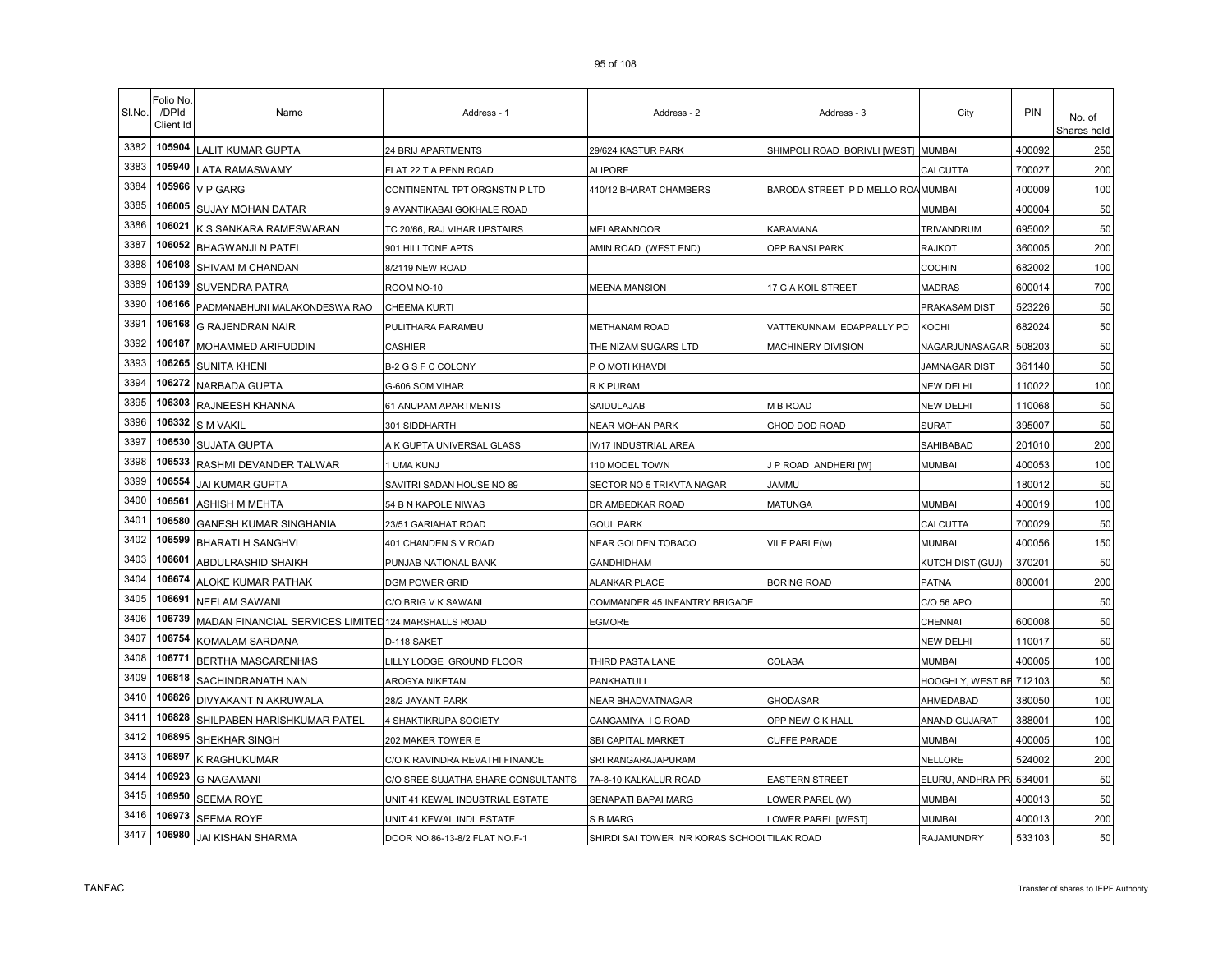| SI.No. | <sup>=</sup> olio No.<br>/DPId<br>Client Id | Name                                                | Address - 1                        | Address - 2                                 | Address - 3                         | City                    | PIN    | No. of<br>Shares held |
|--------|---------------------------------------------|-----------------------------------------------------|------------------------------------|---------------------------------------------|-------------------------------------|-------------------------|--------|-----------------------|
| 3382   | 105904                                      | LALIT KUMAR GUPTA                                   | 24 BRIJ APARTMENTS                 | 29/624 KASTUR PARK                          | SHIMPOLI ROAD BORIVLI [WEST] MUMBAI |                         | 400092 | 250                   |
| 3383   | 105940                                      | LATA RAMASWAMY                                      | FLAT 22 T A PENN ROAD              | <b>ALIPORE</b>                              |                                     | CALCUTTA                | 700027 | 200                   |
| 3384   | 105966                                      | V P GARG                                            | CONTINENTAL TPT ORGNSTN P LTD      | 410/12 BHARAT CHAMBERS                      | BARODA STREET P D MELLO ROAMUMBAI   |                         | 400009 | 100                   |
| 3385   | 106005                                      | <b>SUJAY MOHAN DATAR</b>                            | 9 AVANTIKABAI GOKHALE ROAD         |                                             |                                     | <b>MUMBAI</b>           | 400004 | 50                    |
| 3386   | 106021                                      | K S SANKARA RAMESWARAN                              | TC 20/66, RAJ VIHAR UPSTAIRS       | MELARANNOOR                                 | KARAMANA                            | TRIVANDRUM              | 695002 | 50                    |
| 3387   | 106052                                      | <b>BHAGWANJI N PATEL</b>                            | 901 HILLTONE APTS                  | AMIN ROAD (WEST END)                        | OPP BANSI PARK                      | <b>RAJKOT</b>           | 360005 | 200                   |
| 3388   | 106108                                      | SHIVAM M CHANDAN                                    | 8/2119 NEW ROAD                    |                                             |                                     | <b>COCHIN</b>           | 682002 | 100                   |
| 3389   | 106139                                      | SUVENDRA PATRA                                      | ROOM NO-10                         | <b>MEENA MANSION</b>                        | 17 G A KOIL STREET                  | <b>MADRAS</b>           | 600014 | 700                   |
| 3390   | 106166                                      | PADMANABHUNI MALAKONDESWA RAO                       | <b>CHEEMA KURTI</b>                |                                             |                                     | PRAKASAM DIST           | 523226 | 50                    |
| 3391   | 106168                                      | <b>G RAJENDRAN NAIR</b>                             | PULITHARA PARAMBU                  | METHANAM ROAD                               | VATTEKUNNAM EDAPPALLY PO            | KOCHI                   | 682024 | 50                    |
| 3392   | 106187                                      | MOHAMMED ARIFUDDIN                                  | CASHIER                            | THE NIZAM SUGARS LTD                        | MACHINERY DIVISION                  | NAGARJUNASAGAR          | 508203 | 50                    |
| 3393   | 106265                                      | <b>SUNITA KHENI</b>                                 | B-2 G S F C COLONY                 | P O MOTI KHAVDI                             |                                     | <b>JAMNAGAR DIST</b>    | 361140 | 50                    |
| 3394   | 106272                                      | <b>NARBADA GUPTA</b>                                | G-606 SOM VIHAR                    | R K PURAM                                   |                                     | <b>NEW DELHI</b>        | 110022 | 100                   |
| 3395   | 106303                                      | RAJNEESH KHANNA                                     | 61 ANUPAM APARTMENTS               | SAIDULAJAB                                  | M B ROAD                            | <b>NEW DELHI</b>        | 110068 | 50                    |
| 3396   | 106332                                      | <b>S M VAKIL</b>                                    | 301 SIDDHARTH                      | NEAR MOHAN PARK                             | GHOD DOD ROAD                       | <b>SURAT</b>            | 395007 | 50                    |
| 3397   | 106530                                      | <b>SUJATA GUPTA</b>                                 | A K GUPTA UNIVERSAL GLASS          | IV/17 INDUSTRIAL AREA                       |                                     | SAHIBABAD               | 201010 | 200                   |
| 3398   | 106533                                      | RASHMI DEVANDER TALWAR                              | 1 UMA KUNJ                         | 110 MODEL TOWN                              | P ROAD ANDHERI [W]                  | <b>MUMBAI</b>           | 400053 | 100                   |
| 3399   | 106554                                      | JAI KUMAR GUPTA                                     | SAVITRI SADAN HOUSE NO 89          | SECTOR NO 5 TRIKVTA NAGAR                   | Jammu                               |                         | 180012 | 50                    |
| 3400   | 106561                                      | ASHISH M MEHTA                                      | 54 B N KAPOLE NIWAS                | DR AMBEDKAR ROAD                            | <b>MATUNGA</b>                      | <b>MUMBAI</b>           | 400019 | 100                   |
| 3401   | 106580                                      | GANESH KUMAR SINGHANIA                              | 23/51 GARIAHAT ROAD                | <b>GOUL PARK</b>                            |                                     | CALCUTTA                | 700029 | 50                    |
| 3402   | 106599                                      | <b>BHARATI H SANGHVI</b>                            | 401 CHANDEN S V ROAD               | NEAR GOLDEN TOBACO                          | VILE PARLE(w)                       | <b>MUMBAI</b>           | 400056 | 150                   |
| 3403   | 106601                                      | ABDULRASHID SHAIKH                                  | PUNJAB NATIONAL BANK               | GANDHIDHAM                                  |                                     | KUTCH DIST (GUJ)        | 370201 | 50                    |
| 3404   | 106674                                      | ALOKE KUMAR PATHAK                                  | DGM POWER GRID                     | <b>ALANKAR PLACE</b>                        | <b>BORING ROAD</b>                  | <b>PATNA</b>            | 800001 | 200                   |
| 3405   | 106691                                      | NEELAM SAWANI                                       | C/O BRIG V K SAWANI                | COMMANDER 45 INFANTRY BRIGADE               |                                     | C/O 56 APO              |        | 50                    |
| 3406   | 106739                                      | MADAN FINANCIAL SERVICES LIMITED 124 MARSHALLS ROAD |                                    | EGMORE                                      |                                     | CHENNAI                 | 600008 | 50                    |
| 3407   | 106754                                      | KOMALAM SARDANA                                     | D-118 SAKET                        |                                             |                                     | <b>NEW DELHI</b>        | 110017 | 50                    |
| 3408   | 106771                                      | BERTHA MASCARENHAS                                  | LILLY LODGE GROUND FLOOR           | THIRD PASTA LANE                            | COLABA                              | <b>MUMBAI</b>           | 400005 | 100                   |
| 3409   | 106818                                      | SACHINDRANATH NAN                                   | AROGYA NIKETAN                     | PANKHATULI                                  |                                     | HOOGHLY, WEST BE 712103 |        | 50                    |
| 3410   | 106826                                      | DIVYAKANT N AKRUWALA                                | 28/2 JAYANT PARK                   | NEAR BHADVATNAGAR                           | GHODASAR                            | AHMEDABAD               | 380050 | 100                   |
| 3411   | 106828                                      | SHILPABEN HARISHKUMAR PATEL                         | 4 SHAKTIKRUPA SOCIETY              | GANGAMIYA I G ROAD                          | OPP NEW C K HALL                    | ANAND GUJARAT           | 388001 | 100                   |
| 3412   | 106895                                      | SHEKHAR SINGH                                       | 202 MAKER TOWER E                  | SBI CAPITAL MARKET                          | CUFFE PARADE                        | <b>MUMBAI</b>           | 400005 | 100                   |
| 3413   | 106897                                      | K RAGHUKUMAR                                        | C/O K RAVINDRA REVATHI FINANCE     | SRI RANGARAJAPURAM                          |                                     | NELLORE                 | 524002 | 200                   |
| 3414   | 106923                                      | <b>G NAGAMANI</b>                                   | C/O SREE SUJATHA SHARE CONSULTANTS | 7A-8-10 KALKALUR ROAD                       | EASTERN STREET                      | ELURU, ANDHRA PR        | 534001 | 50                    |
| 3415   | 106950                                      | SEEMA ROYE                                          | UNIT 41 KEWAL INDUSTRIAL ESTATE    | SENAPATI BAPAI MARG                         | OWER PAREL (W)                      | <b>MUMBAI</b>           | 400013 | 50                    |
| 3416   | 106973                                      | <b>SEEMA ROYE</b>                                   | UNIT 41 KEWAL INDL ESTATE          | S B MARG                                    | OWER PAREL [WEST]                   | MUMBAI                  | 400013 | 200                   |
| 3417   | 106980                                      | JAI KISHAN SHARMA                                   | DOOR NO.86-13-8/2 FLAT NO.F-1      | SHIRDI SAI TOWER NR KORAS SCHOOL TILAK ROAD |                                     | RAJAMUNDRY              | 533103 | 50                    |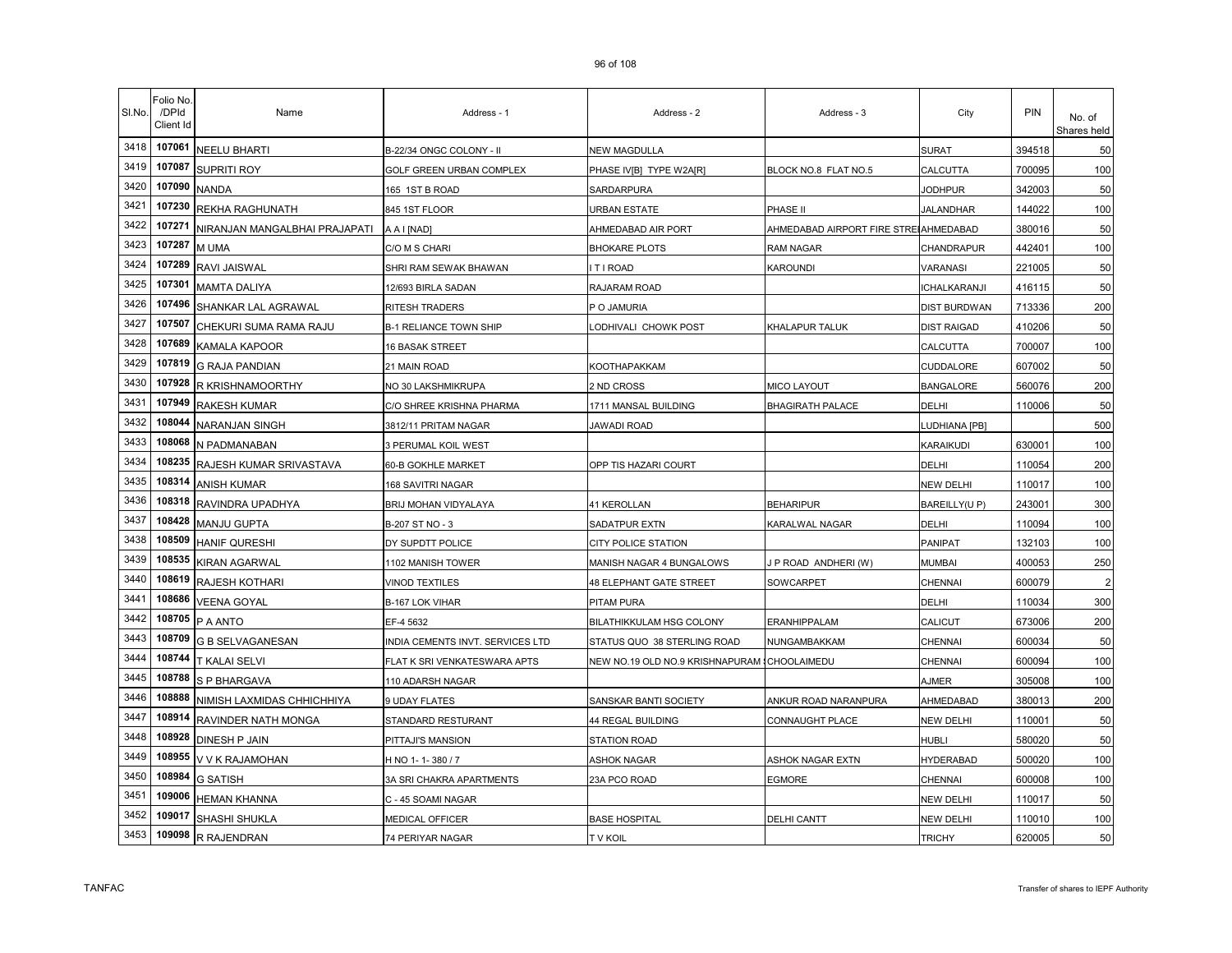| SI.No. | Folio No.<br>/DPId<br>Client Id | Name                          | Address - 1                      | Address - 2                                  | Address - 3                           | City                | PIN    | No. of<br>Shares held |
|--------|---------------------------------|-------------------------------|----------------------------------|----------------------------------------------|---------------------------------------|---------------------|--------|-----------------------|
| 3418   | 107061                          | <b>NEELU BHARTI</b>           | B-22/34 ONGC COLONY - II         | NEW MAGDULLA                                 |                                       | <b>SURAT</b>        | 394518 | 50                    |
| 3419   | 107087                          | <b>SUPRITI ROY</b>            | GOLF GREEN URBAN COMPLEX         | PHASE IV[B]  TYPE W2A[R]                     | BLOCK NO.8 FLAT NO.5                  | CALCUTTA            | 700095 | 100                   |
| 3420   | 107090                          | <b>NANDA</b>                  | 165 1ST B ROAD                   | SARDARPURA                                   |                                       | <b>JODHPUR</b>      | 342003 | 50                    |
| 3421   | 107230                          | REKHA RAGHUNATH               | 845 1ST FLOOR                    | URBAN ESTATE                                 | PHASE II                              | <b>JALANDHAR</b>    | 144022 | 100                   |
| 3422   | 107271                          | NIRANJAN MANGALBHAI PRAJAPATI | A A I [NAD]                      | AHMEDABAD AIR PORT                           | AHMEDABAD AIRPORT FIRE STREIAHMEDABAD |                     | 380016 | 50                    |
| 3423   | 107287                          | M UMA                         | C/O M S CHARI                    | <b>BHOKARE PLOTS</b>                         | <b>RAM NAGAR</b>                      | CHANDRAPUR          | 442401 | 100                   |
| 3424   | 107289                          | RAVI JAISWAL                  | SHRI RAM SEWAK BHAWAN            | I T I ROAD                                   | Karoundi                              | VARANASI            | 221005 | 50                    |
| 3425   | 107301                          | <b>MAMTA DALIYA</b>           | 12/693 BIRLA SADAN               | RAJARAM ROAD                                 |                                       | <b>ICHALKARANJI</b> | 416115 | 50                    |
| 3426   | 107496                          | SHANKAR LAL AGRAWAL           | RITESH TRADERS                   | P O JAMURIA                                  |                                       | <b>DIST BURDWAN</b> | 713336 | 200                   |
| 3427   | 107507                          | CHEKURI SUMA RAMA RAJU        | <b>B-1 RELIANCE TOWN SHIP</b>    | ODHIVALI CHOWK POST                          | KHALAPUR TALUK                        | <b>DIST RAIGAD</b>  | 410206 | 50                    |
| 3428   | 107689                          | KAMALA KAPOOR                 | 16 BASAK STREET                  |                                              |                                       | CALCUTTA            | 700007 | 100                   |
| 3429   | 107819                          | <b>G RAJA PANDIAN</b>         | 21 MAIN ROAD                     | KOOTHAPAKKAM                                 |                                       | <b>CUDDALORE</b>    | 607002 | 50                    |
| 3430   | 107928                          | R KRISHNAMOORTHY              | NO 30 LAKSHMIKRUPA               | 2 ND CROSS                                   | <b>MICO LAYOUT</b>                    | <b>BANGALORE</b>    | 560076 | 200                   |
| 3431   | 107949                          | RAKESH KUMAR                  | C/O SHREE KRISHNA PHARMA         | 1711 MANSAL BUILDING                         | <b>BHAGIRATH PALACE</b>               | DELHI               | 110006 | 50                    |
| 3432   | 108044                          | NARANJAN SINGH                | 3812/11 PRITAM NAGAR             | JAWADI ROAD                                  |                                       | LUDHIANA [PB]       |        | 500                   |
| 3433   | 108068                          | N PADMANABAN                  | 3 PERUMAL KOIL WEST              |                                              |                                       | KARAIKUDI           | 630001 | 100                   |
| 3434   | 108235                          | RAJESH KUMAR SRIVASTAVA       | 60-B GOKHLE MARKET               | OPP TIS HAZARI COURT                         |                                       | DELHI               | 110054 | 200                   |
| 3435   | 108314                          | <b>ANISH KUMAR</b>            | 168 SAVITRI NAGAR                |                                              |                                       | <b>NEW DELHI</b>    | 110017 | 100                   |
| 3436   | 108318                          | RAVINDRA UPADHYA              | BRIJ MOHAN VIDYALAYA             | 41 KEROLLAN                                  | <b>BEHARIPUR</b>                      | BAREILLY(UP)        | 243001 | 300                   |
| 3437   | 108428                          | MANJU GUPTA                   | B-207 ST NO - 3                  | SADATPUR EXTN                                | <b>KARALWAL NAGAR</b>                 | DELHI               | 110094 | 100                   |
| 3438   | 108509                          | <b>HANIF QURESHI</b>          | DY SUPDTT POLICE                 | <b>CITY POLICE STATION</b>                   |                                       | <b>PANIPAT</b>      | 132103 | 100                   |
| 3439   | 108535                          | KIRAN AGARWAL                 | 1102 MANISH TOWER                | MANISH NAGAR 4 BUNGALOWS                     | P ROAD ANDHERI (W)                    | <b>MUMBAI</b>       | 400053 | 250                   |
| 3440   | 108619                          | RAJESH KOTHARI                | <b>VINOD TEXTILES</b>            | <b>48 ELEPHANT GATE STREET</b>               | SOWCARPET                             | CHENNAI             | 600079 | $\overline{2}$        |
| 3441   | 108686                          | <b>VEENA GOYAL</b>            | B-167 LOK VIHAR                  | PITAM PURA                                   |                                       | DELHI               | 110034 | 300                   |
| 3442   | 108705                          | P A ANTO                      | EF-4 5632                        | BILATHIKKULAM HSG COLONY                     | ERANHIPPALAM                          | CALICUT             | 673006 | 200                   |
| 3443   | 108709                          | <b>G B SELVAGANESAN</b>       | INDIA CEMENTS INVT. SERVICES LTD | STATUS QUO 38 STERLING ROAD                  | NUNGAMBAKKAM                          | CHENNAI             | 600034 | 50                    |
| 3444   | 108744                          | <b>T KALAI SELVI</b>          | FLAT K SRI VENKATESWARA APTS     | NEW NO.19 OLD NO.9 KRISHNAPURAM (CHOOLAIMEDU |                                       | CHENNAI             | 600094 | 100                   |
| 3445   | 108788                          | S P BHARGAVA                  | 110 ADARSH NAGAR                 |                                              |                                       | <b>AJMER</b>        | 305008 | 100                   |
| 3446   | 108888                          | NIMISH LAXMIDAS CHHICHHIYA    | 9 UDAY FLATES                    | SANSKAR BANTI SOCIETY                        | ANKUR ROAD NARANPURA                  | AHMEDABAD           | 380013 | 200                   |
| 3447   | 108914                          | RAVINDER NATH MONGA           | STANDARD RESTURANT               | 44 REGAL BUILDING                            | CONNAUGHT PLACE                       | <b>NEW DELHI</b>    | 110001 | 50                    |
| 3448   | 108928                          | DINESH P JAIN                 | PITTAJI'S MANSION                | STATION ROAD                                 |                                       | <b>HUBLI</b>        | 580020 | 50                    |
| 3449   | 108955                          | V V K RAJAMOHAN               | H NO 1-1-380/7                   | <b>ASHOK NAGAR</b>                           | ASHOK NAGAR EXTN                      | <b>HYDERABAD</b>    | 500020 | 100                   |
| 3450   | 108984                          | <b>G SATISH</b>               | 3A SRI CHAKRA APARTMENTS         | 23A PCO ROAD                                 | <b>EGMORE</b>                         | CHENNAI             | 600008 | 100                   |
| 3451   | 109006                          | <b>HEMAN KHANNA</b>           | C - 45 SOAMI NAGAR               |                                              |                                       | <b>NEW DELHI</b>    | 110017 | 50                    |
| 3452   | 109017                          | SHASHI SHUKLA                 | MEDICAL OFFICER                  | <b>BASE HOSPITAL</b>                         | <b>DELHI CANTT</b>                    | <b>NEW DELHI</b>    | 110010 | 100                   |
| 3453   | 109098                          | R RAJENDRAN                   | 74 PERIYAR NAGAR                 | <b>TV KOIL</b>                               |                                       | <b>TRICHY</b>       | 620005 | 50                    |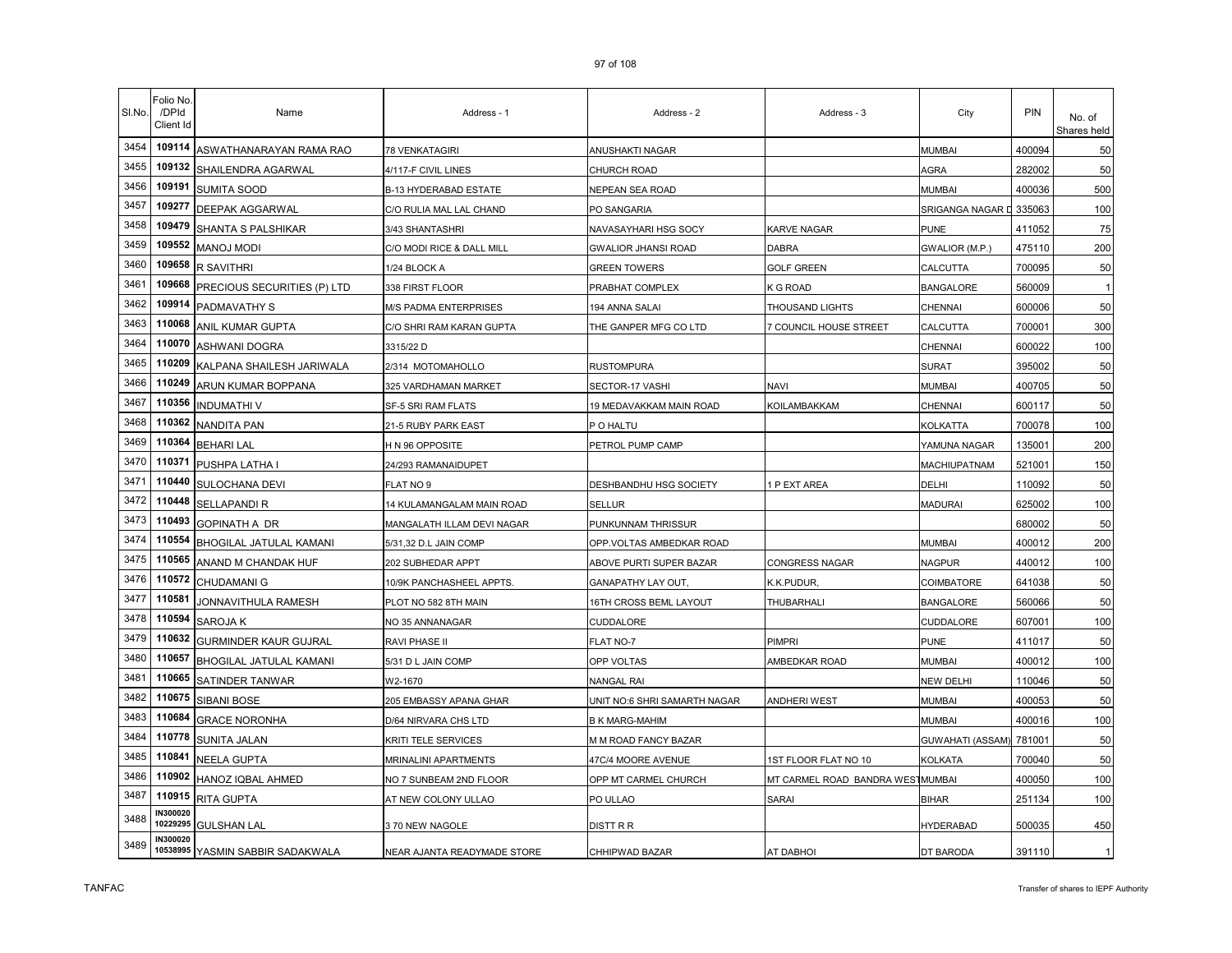| SI.No. | Folio No<br>/DPId<br>Client Id | Name                             | Address - 1                      | Address - 2                  | Address - 3                      | City             | PIN    | No. of<br>Shares held |
|--------|--------------------------------|----------------------------------|----------------------------------|------------------------------|----------------------------------|------------------|--------|-----------------------|
| 3454   | 109114                         | ASWATHANARAYAN RAMA RAO          | <b>78 VENKATAGIRI</b>            | ANUSHAKTI NAGAR              |                                  | <b>MUMBAI</b>    | 400094 | 50                    |
| 3455   | 109132                         | SHAILENDRA AGARWAL               | 4/117-F CIVIL LINES              | CHURCH ROAD                  |                                  | AGRA             | 282002 | 50                    |
| 3456   | 109191                         | SUMITA SOOD                      | B-13 HYDERABAD ESTATE            | NEPEAN SEA ROAD              |                                  | <b>MUMBAI</b>    | 400036 | 500                   |
| 3457   | 109277                         | <b>DEEPAK AGGARWAL</b>           | C/O RULIA MAL LAL CHAND          | PO SANGARIA                  |                                  | SRIGANGA NAGAR D | 335063 | 100                   |
| 3458   | 109479                         | SHANTA S PALSHIKAR               | 3/43 SHANTASHRI                  | NAVASAYHARI HSG SOCY         | KARVE NAGAR                      | <b>PUNE</b>      | 411052 | 75                    |
| 3459   | 109552                         | <b>MANOJ MODI</b>                | C/O MODI RICE & DALL MILL        | <b>GWALIOR JHANSI ROAD</b>   | <b>DABRA</b>                     | GWALIOR (M.P.)   | 475110 | 200                   |
| 3460   | 109658                         | <b>R SAVITHRI</b>                | 1/24 BLOCK A                     | <b>GREEN TOWERS</b>          | <b>GOLF GREEN</b>                | CALCUTTA         | 700095 | 50                    |
| 3461   | 109668                         | PRECIOUS SECURITIES (P) LTD      | 338 FIRST FLOOR                  | PRABHAT COMPLEX              | <b>GROAD</b>                     | <b>BANGALORE</b> | 560009 | -1                    |
| 3462   | 109914                         | PADMAVATHY S                     | M/S PADMA ENTERPRISES            | 194 ANNA SALAI               | THOUSAND LIGHTS                  | CHENNAI          | 600006 | 50                    |
| 3463   | 110068                         | ANIL KUMAR GUPTA                 | C/O SHRI RAM KARAN GUPTA         | THE GANPER MFG CO LTD        | <b>7 COUNCIL HOUSE STREET</b>    | CALCUTTA         | 700001 | 300                   |
| 3464   | 110070                         | ASHWANI DOGRA                    | 3315/22 D                        |                              |                                  | CHENNAI          | 600022 | 100                   |
| 3465   | 110209                         | KALPANA SHAILESH JARIWALA        | 2/314 MOTOMAHOLLO                | RUSTOMPURA                   |                                  | SURAT            | 395002 | 50                    |
| 3466   | 110249                         | ARUN KUMAR BOPPANA               | 325 VARDHAMAN MARKET             | SECTOR-17 VASHI              | NAVI                             | <b>MUMBAI</b>    | 400705 | 50                    |
| 3467   | 110356                         | <b>INDUMATHI V</b>               | SF-5 SRI RAM FLATS               | 19 MEDAVAKKAM MAIN ROAD      | KOILAMBAKKAM                     | CHENNAI          | 600117 | 50                    |
| 3468   | 110362                         | <b>NANDITA PAN</b>               | 21-5 RUBY PARK EAST              | P O HALTU                    |                                  | KOLKATTA         | 700078 | 100                   |
| 3469   | 110364                         | <b>BEHARI LAL</b>                | H N 96 OPPOSITE                  | PETROL PUMP CAMP             |                                  | YAMUNA NAGAR     | 135001 | 200                   |
| 3470   | 110371                         | PUSHPA LATHA I                   | 24/293 RAMANAIDUPET              |                              |                                  | MACHIUPATNAM     | 521001 | 150                   |
| 3471   | 110440                         | SULOCHANA DEVI                   | FLAT NO 9                        | DESHBANDHU HSG SOCIETY       | P EXT AREA                       | DELHI            | 110092 | 50                    |
| 3472   | 110448                         | <b>SELLAPANDI R</b>              | <b>14 KULAMANGALAM MAIN ROAD</b> | SELLUR                       |                                  | <b>MADURAI</b>   | 625002 | 100                   |
| 3473   | 110493                         | <b>GOPINATH A DR</b>             | MANGALATH ILLAM DEVI NAGAR       | PUNKUNNAM THRISSUR           |                                  |                  | 680002 | 50                    |
| 3474   | 110554                         | BHOGILAL JATULAL KAMANI          | 5/31,32 D.L JAIN COMP            | OPP.VOLTAS AMBEDKAR ROAD     |                                  | MUMBAI           | 400012 | 200                   |
| 3475   | 110565                         | ANAND M CHANDAK HUF              | 202 SUBHEDAR APPT                | ABOVE PURTI SUPER BAZAR      | CONGRESS NAGAR                   | <b>NAGPUR</b>    | 440012 | 100                   |
| 3476   | 110572                         | CHUDAMANI G                      | 10/9K PANCHASHEEL APPTS.         | GANAPATHY LAY OUT            | K.K.PUDUR.                       | COIMBATORE       | 641038 | 50                    |
| 3477   | 110581                         | JONNAVITHULA RAMESH              | PLOT NO 582 8TH MAIN             | 16TH CROSS BEML LAYOUT       | THUBARHALI                       | <b>BANGALORE</b> | 560066 | 50                    |
| 3478   | 110594                         | SAROJA K                         | NO 35 ANNANAGAR                  | CUDDALORE                    |                                  | CUDDALORE        | 607001 | 100                   |
| 3479   | 110632                         | <b>GURMINDER KAUR GUJRAL</b>     | RAVI PHASE II                    | FLAT NO-7                    | PIMPRI                           | <b>PUNE</b>      | 411017 | 50                    |
| 3480   | 110657                         | BHOGILAL JATULAL KAMANI          | 5/31 D L JAIN COMP               | OPP VOLTAS                   | AMBEDKAR ROAD                    | <b>MUMBAI</b>    | 400012 | 100                   |
| 3481   | 110665                         | SATINDER TANWAR                  | W2-1670                          | NANGAL RAI                   |                                  | <b>NEW DELHI</b> | 110046 | 50                    |
| 3482   | 110675                         | SIBANI BOSE                      | 205 EMBASSY APANA GHAR           | UNIT NO:6 SHRI SAMARTH NAGAR | ANDHERI WEST                     | <b>MUMBAI</b>    | 400053 | 50                    |
| 3483   | 110684                         | <b>GRACE NORONHA</b>             | D/64 NIRVARA CHS LTD             | <b>B K MARG-MAHIM</b>        |                                  | <b>MUMBAI</b>    | 400016 | 100                   |
| 3484   | 110778                         | SUNITA JALAN                     | KRITI TELE SERVICES              | M M ROAD FANCY BAZAR         |                                  | GUWAHATI (ASSAM) | 781001 | 50                    |
| 3485   | 110841                         | <b>NEELA GUPTA</b>               | <b>MRINALINI APARTMENTS</b>      | 47C/4 MOORE AVENUE           | <b>IST FLOOR FLAT NO 10</b>      | KOLKATA          | 700040 | 50                    |
| 3486   | 110902                         | HANOZ IQBAL AHMED                | NO 7 SUNBEAM 2ND FLOOR           | OPP MT CARMEL CHURCH         | MT CARMEL ROAD BANDRA WESTMUMBAI |                  | 400050 | 100                   |
| 3487   | 110915                         | <b>RITA GUPTA</b>                | AT NEW COLONY ULLAO              | PO ULLAO                     | SARAI                            | <b>BIHAR</b>     | 251134 | 100                   |
| 3488   | N300020<br>10229295            | <b>GULSHAN LAL</b>               | 3 70 NEW NAGOLE                  | DISTT R R                    |                                  | <b>HYDERABAD</b> | 500035 | 450                   |
| 3489   | <b>IN300020</b>                | 10538995 YASMIN SABBIR SADAKWALA | NEAR AJANTA READYMADE STORE      | CHHIPWAD BAZAR               | <b>AT DABHOI</b>                 | DT BARODA        | 391110 | 1                     |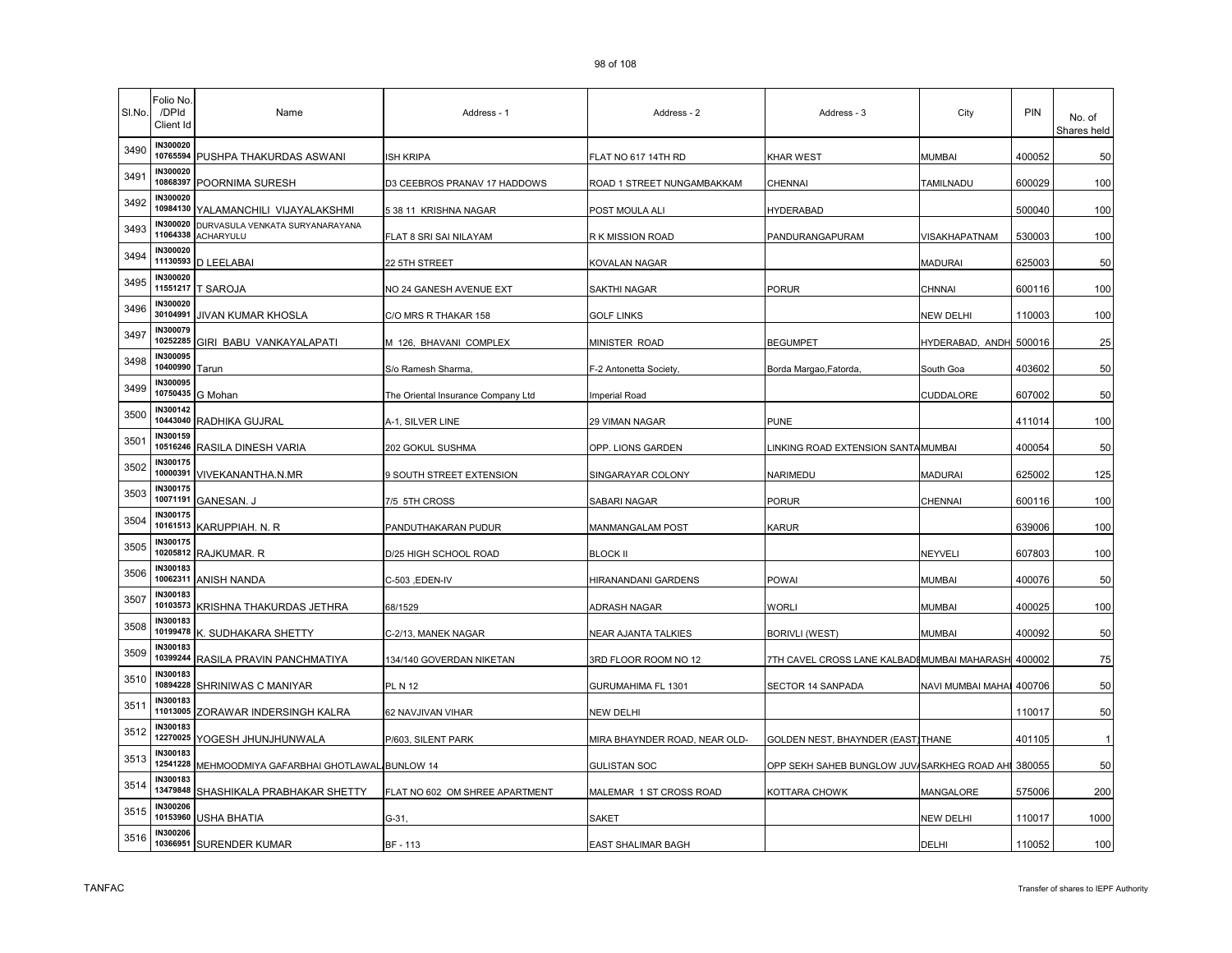| SI.No. | Folio No<br>/DPId<br>Client Id | Name                                                | Address - 1                        | Address - 2                   | Address - 3                                        | City                   | PIN    | No. of<br>Shares held |
|--------|--------------------------------|-----------------------------------------------------|------------------------------------|-------------------------------|----------------------------------------------------|------------------------|--------|-----------------------|
| 3490   | <b>IN300020</b><br>10765594    | PUSHPA THAKURDAS ASWANI                             | <b>ISH KRIPA</b>                   | FLAT NO 617 14TH RD           | KHAR WEST                                          | <b>MUMBAI</b>          | 400052 | 50                    |
| 3491   | IN300020<br>10868397           | POORNIMA SURESH                                     | D3 CEEBROS PRANAV 17 HADDOWS       | ROAD 1 STREET NUNGAMBAKKAM    | CHENNAI                                            | TAMILNADU              | 600029 | 100                   |
| 3492   | <b>IN300020</b><br>10984130    | YALAMANCHILI VIJAYALAKSHMI                          | 5 38 11 KRISHNA NAGAR              | POST MOULA ALI                | HYDERABAD                                          |                        | 500040 | 100                   |
| 3493   | IN300020<br>11064338           | DURVASULA VENKATA SURYANARAYANA<br><b>ACHARYULU</b> | FLAT 8 SRI SAI NILAYAM             | R K MISSION ROAD              | PANDURANGAPURAM                                    | VISAKHAPATNAM          | 530003 | 100                   |
| 3494   | <b>IN300020</b><br>11130593    | <b>D LEELABAI</b>                                   | 22 5TH STREET                      | KOVALAN NAGAR                 |                                                    | <b>MADURAI</b>         | 625003 | 50                    |
| 3495   | <b>IN300020</b><br>11551217    | <b>T SAROJA</b>                                     | NO 24 GANESH AVENUE EXT            | SAKTHI NAGAR                  | PORUR                                              | CHNNAI                 | 600116 | 100                   |
| 3496   | <b>IN300020</b><br>30104991    | JIVAN KUMAR KHOSLA                                  | C/O MRS R THAKAR 158               | GOLF LINKS                    |                                                    | <b>NEW DELHI</b>       | 110003 | 100                   |
| 3497   | <b>IN300079</b><br>10252285    | GIRI BABU VANKAYALAPATI                             | M 126, BHAVANI COMPLEX             | MINISTER ROAD                 | <b>BEGUMPET</b>                                    | HYDERABAD, ANDH 500016 |        | 25                    |
| 3498   | <b>IN300095</b><br>10400990    | Tarun                                               | S/o Ramesh Sharma,                 | F-2 Antonetta Society,        | Borda Margao, Fatorda,                             | South Goa              | 403602 | 50                    |
| 3499   | <b>IN300095</b><br>10750435    | G Mohan                                             | The Oriental Insurance Company Ltd | Imperial Road                 |                                                    | CUDDALORE              | 607002 | 50                    |
| 3500   | IN300142<br>10443040           | RADHIKA GUJRAL                                      | A-1, SILVER LINE                   | 29 VIMAN NAGAR                | PUNE                                               |                        | 411014 | 100                   |
| 3501   | IN300159<br>10516246           | RASILA DINESH VARIA                                 | 202 GOKUL SUSHMA                   | OPP. LIONS GARDEN             | INKING ROAD EXTENSION SANTAMUMBAI                  |                        | 400054 | 50                    |
| 3502   | <b>IN300175</b><br>10000391    | VIVEKANANTHA.N.MR                                   | 9 SOUTH STREET EXTENSION           | SINGARAYAR COLONY             | NARIMEDU                                           | <b>MADURAI</b>         | 625002 | 125                   |
| 3503   | IN300175<br>10071191           | <b>GANESAN. J</b>                                   | 7/5 5TH CROSS                      | SABARI NAGAR                  | PORUR                                              | <b>CHENNAI</b>         | 600116 | 100                   |
| 3504   | IN300175<br>10161513           | KARUPPIAH. N. R                                     | PANDUTHAKARAN PUDUR                | MANMANGALAM POST              | KARUR                                              |                        | 639006 | 100                   |
| 3505   | IN300175<br>10205812           | RAJKUMAR. R                                         | D/25 HIGH SCHOOL ROAD              | BLOCK II                      |                                                    | NEYVELI                | 607803 | 100                   |
| 3506   | <b>IN300183</b><br>10062311    | ANISH NANDA                                         | C-503 ,EDEN-IV                     | HIRANANDANI GARDENS           | POWAI                                              | <b>MUMBAI</b>          | 400076 | 50                    |
| 3507   | <b>IN300183</b><br>10103573    | KRISHNA THAKURDAS JETHRA                            | 68/1529                            | ADRASH NAGAR                  | <b>WORLI</b>                                       | <b>MUMBAI</b>          | 400025 | 100                   |
| 3508   | IN300183<br>10199478           | K. SUDHAKARA SHETTY                                 | C-2/13, MANEK NAGAR                | NEAR AJANTA TALKIES           | <b>BORIVLI (WEST)</b>                              | <b>MUMBAI</b>          | 400092 | 50                    |
| 3509   | IN300183<br>10399244           | RASILA PRAVIN PANCHMATIYA                           | 134/140 GOVERDAN NIKETAN           | 3RD FLOOR ROOM NO 12          | 7TH CAVEL CROSS LANE KALBADI MUMBAI MAHARASH       |                        | 400002 | 75                    |
| 3510   | <b>IN300183</b><br>10894228    | SHRINIWAS C MANIYAR                                 | PL N 12                            | GURUMAHIMA FL 1301            | SECTOR 14 SANPADA                                  | NAVI MUMBAI MAHAI      | 400706 | 50                    |
| 3511   | IN300183<br>11013005           | ZORAWAR INDERSINGH KALRA                            | 62 NAVJIVAN VIHAR                  | NEW DELHI                     |                                                    |                        | 110017 | 50                    |
| 3512   | IN300183<br>12270025           | YOGESH JHUNJHUNWALA                                 | P/603, SILENT PARK                 | MIRA BHAYNDER ROAD, NEAR OLD- | GOLDEN NEST, BHAYNDER (EAST)THANE                  |                        | 401105 |                       |
| 3513   | IN300183<br>12541228           | MEHMOODMIYA GAFARBHAI GHOTLAWAL BUNLOW 14           |                                    | GULISTAN SOC                  | OPP SEKH SAHEB BUNGLOW JUV/SARKHEG ROAD AHI 380055 |                        |        | 50                    |
| 3514   | IN300183<br>13479848           | SHASHIKALA PRABHAKAR SHETTY                         | FLAT NO 602 OM SHREE APARTMENT     | MALEMAR 1 ST CROSS ROAD       | KOTTARA CHOWK                                      | MANGALORE              | 575006 | 200                   |
| 3515   | IN300206<br>10153960           | USHA BHATIA                                         | $G-31$                             | SAKET                         |                                                    | <b>NEW DELHI</b>       | 110017 | 1000                  |
| 3516   | <b>IN300206</b><br>10366951    | <b>SURENDER KUMAR</b>                               | BF-113                             | EAST SHALIMAR BAGH            |                                                    | DELHI                  | 110052 | 100                   |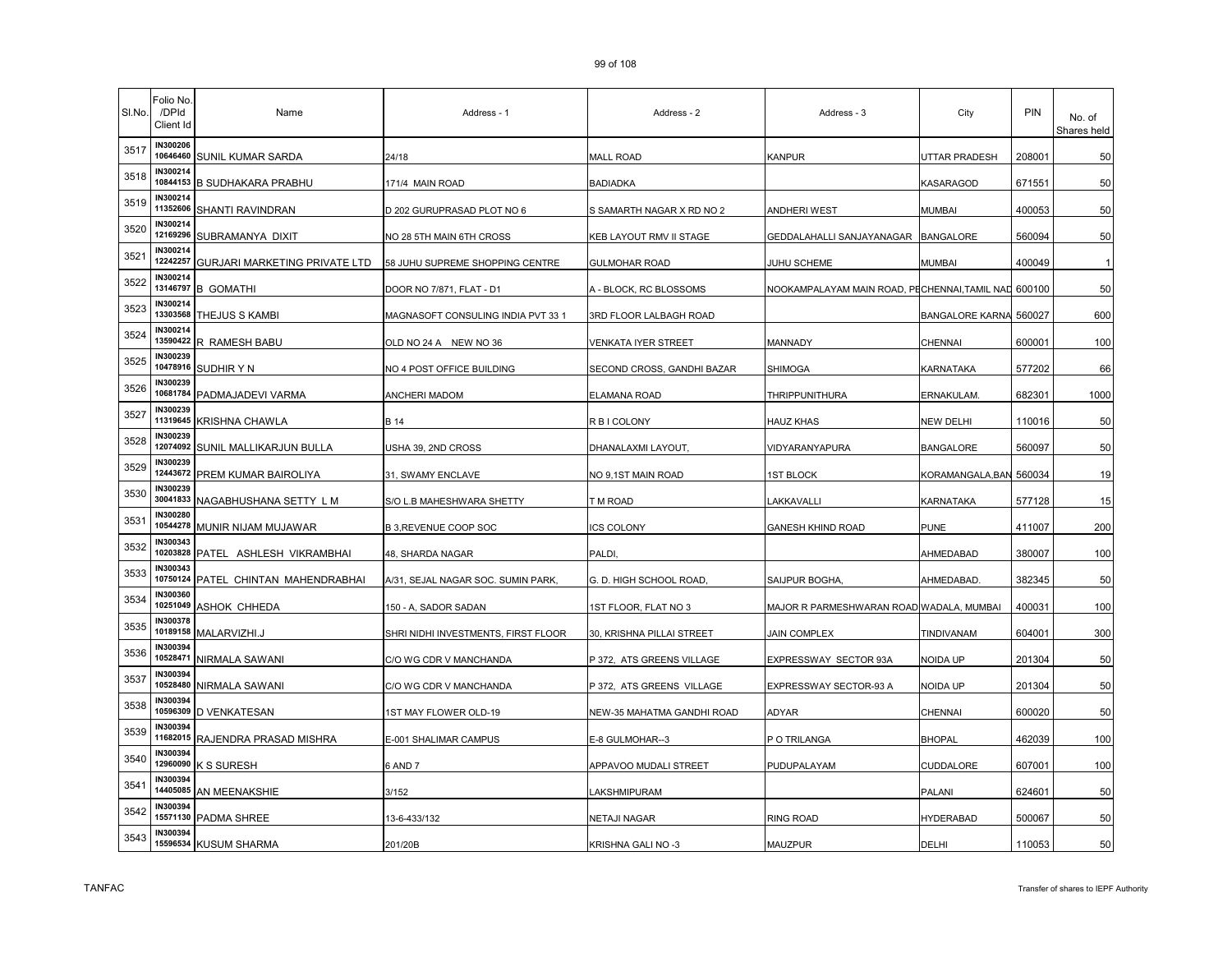| SI.No. | <sup>=</sup> olio No.<br>/DPId<br>Client Id | Name                          | Address - 1                         | Address - 2                | Address - 3                                         | City                    | <b>PIN</b> | No. of<br>Shares held |
|--------|---------------------------------------------|-------------------------------|-------------------------------------|----------------------------|-----------------------------------------------------|-------------------------|------------|-----------------------|
| 3517   | IN300206<br>10646460                        | SUNIL KUMAR SARDA             | 24/18                               | <b>MALL ROAD</b>           | <b>KANPUR</b>                                       | <b>UTTAR PRADESH</b>    | 208001     | 50                    |
| 3518   | IN300214<br>10844153                        | <b>B SUDHAKARA PRABHU</b>     | 171/4 MAIN ROAD                     | BADIADKA                   |                                                     | KASARAGOD               | 671551     | 50                    |
| 3519   | IN300214<br>11352606                        | SHANTI RAVINDRAN              | D 202 GURUPRASAD PLOT NO 6          | S SAMARTH NAGAR X RD NO 2  | ANDHERI WEST                                        | <b>MUMBAI</b>           | 400053     | 50                    |
| 3520   | IN300214<br>12169296                        | SUBRAMANYA DIXIT              | NO 28 5TH MAIN 6TH CROSS            | KEB LAYOUT RMV II STAGE    | GEDDALAHALLI SANJAYANAGAR                           | <b>BANGALORE</b>        | 560094     | 50                    |
| 3521   | IN300214<br>12242257                        | GURJARI MARKETING PRIVATE LTD | 58 JUHU SUPREME SHOPPING CENTRE     | GULMOHAR ROAD              | JUHU SCHEME                                         | <b>MUMBAI</b>           | 400049     |                       |
| 3522   | N300214<br>13146797                         | <b>B GOMATHI</b>              | DOOR NO 7/871, FLAT - D1            | A - BLOCK, RC BLOSSOMS     | NOOKAMPALAYAM MAIN ROAD, PECHENNAI,TAMIL NAD 600100 |                         |            | 50                    |
| 3523   | IN300214<br>13303568                        | THEJUS S KAMBI                | MAGNASOFT CONSULING INDIA PVT 33 1  | 3RD FLOOR LALBAGH ROAD     |                                                     | <b>BANGALORE KARNA</b>  | 560027     | 600                   |
| 3524   | IN300214                                    | 13590422 R RAMESH BABU        | OLD NO 24 A NEW NO 36               | VENKATA IYER STREET        | MANNADY                                             | <b>CHENNAI</b>          | 600001     | 100                   |
| 3525   | IN300239<br>10478916                        | SUDHIR Y N                    | NO 4 POST OFFICE BUILDING           | SECOND CROSS, GANDHI BAZAR | <b>SHIMOGA</b>                                      | KARNATAKA               | 577202     | 66                    |
| 3526   | IN300239<br>10681784                        | PADMAJADEVI VARMA             | ANCHERI MADOM                       | ELAMANA ROAD               | THRIPPUNITHURA                                      | ERNAKULAM.              | 682301     | 1000                  |
| 3527   | IN300239<br>11319645                        | KRISHNA CHAWLA                | B 14                                | R B I COLONY               | HAUZ KHAS                                           | <b>NEW DELHI</b>        | 110016     | 50                    |
| 3528   | IN300239<br>12074092                        | SUNIL MALLIKARJUN BULLA       | USHA 39, 2ND CROSS                  | DHANALAXMI LAYOUT,         | VIDYARANYAPURA                                      | <b>BANGALORE</b>        | 560097     | 50                    |
| 3529   | N300239<br>12443672                         | PREM KUMAR BAIROLIYA          | 31, SWAMY ENCLAVE                   | NO 9,1ST MAIN ROAD         | <b>1ST BLOCK</b>                                    | KORAMANGALA, BAN 560034 |            | 19                    |
| 3530   | IN300239<br>30041833                        | NAGABHUSHANA SETTY L M        | S/O L.B MAHESHWARA SHETTY           | T M ROAD                   | <b>_AKKAVALLI</b>                                   | KARNATAKA               | 577128     | 15                    |
| 3531   | IN300280<br>10544278                        | MUNIR NIJAM MUJAWAR           | B 3, REVENUE COOP SOC               | <b>ICS COLONY</b>          | <b>GANESH KHIND ROAD</b>                            | <b>PUNE</b>             | 411007     | 200                   |
| 3532   | IN300343<br>10203828                        | PATEL ASHLESH VIKRAMBHAI      | 48, SHARDA NAGAR                    | PALDI,                     |                                                     | AHMEDABAD               | 380007     | 100                   |
| 3533   | IN300343<br>10750124                        | PATEL CHINTAN MAHENDRABHAI    | A/31, SEJAL NAGAR SOC. SUMIN PARK,  | G. D. HIGH SCHOOL ROAD,    | SAIJPUR BOGHA                                       | AHMEDABAD.              | 382345     | 50                    |
| 3534   | <b>IN300360</b><br>10251049                 | <b>ASHOK CHHEDA</b>           | 150 - A, SADOR SADAN                | 1ST FLOOR, FLAT NO 3       | MAJOR R PARMESHWARAN ROAD WADALA, MUMBAI            |                         | 400031     | 100                   |
| 3535   | IN300378<br>10189158                        | MALARVIZHI.J                  | SHRI NIDHI INVESTMENTS, FIRST FLOOR | 30, KRISHNA PILLAI STREET  | JAIN COMPLEX                                        | TINDIVANAM              | 604001     | 300                   |
| 3536   | N300394<br>10528471                         | NIRMALA SAWANI                | C/O WG CDR V MANCHANDA              | P 372, ATS GREENS VILLAGE  | EXPRESSWAY SECTOR 93A                               | NOIDA UP                | 201304     | 50                    |
| 3537   | N300394<br>10528480                         | NIRMALA SAWANI                | C/O WG CDR V MANCHANDA              | P 372, ATS GREENS VILLAGE  | EXPRESSWAY SECTOR-93 A                              | NOIDA UP                | 201304     | 50                    |
| 3538   | IN300394<br>10596309                        | <b>D VENKATESAN</b>           | 1ST MAY FLOWER OLD-19               | NEW-35 MAHATMA GANDHI ROAD | ADYAR                                               | <b>CHENNAI</b>          | 600020     | 50                    |
| 3539   | IN300394<br>11682015                        | RAJENDRA PRASAD MISHRA        | E-001 SHALIMAR CAMPUS               | E-8 GULMOHAR--3            | P O TRILANGA                                        | <b>BHOPAL</b>           | 462039     | 100                   |
| 3540   | IN300394<br>12960090                        | K S SURESH                    | 6 AND 7                             | APPAVOO MUDALI STREET      | PUDUPALAYAM                                         | <b>CUDDALORE</b>        | 607001     | 100                   |
| 3541   | IN300394<br>14405085                        | AN MEENAKSHIE                 | 3/152                               | LAKSHMIPURAM               |                                                     | PALANI                  | 624601     | 50                    |
| 3542   | IN300394<br>15571130                        | PADMA SHREE                   | 13-6-433/132                        | NETAJI NAGAR               | RING ROAD                                           | <b>HYDERABAD</b>        | 500067     | 50                    |
| 3543   | IN300394<br>15596534                        | <b>KUSUM SHARMA</b>           | 201/20B                             | KRISHNA GALI NO -3         | MAUZPUR                                             | <b>DELHI</b>            | 110053     | 50                    |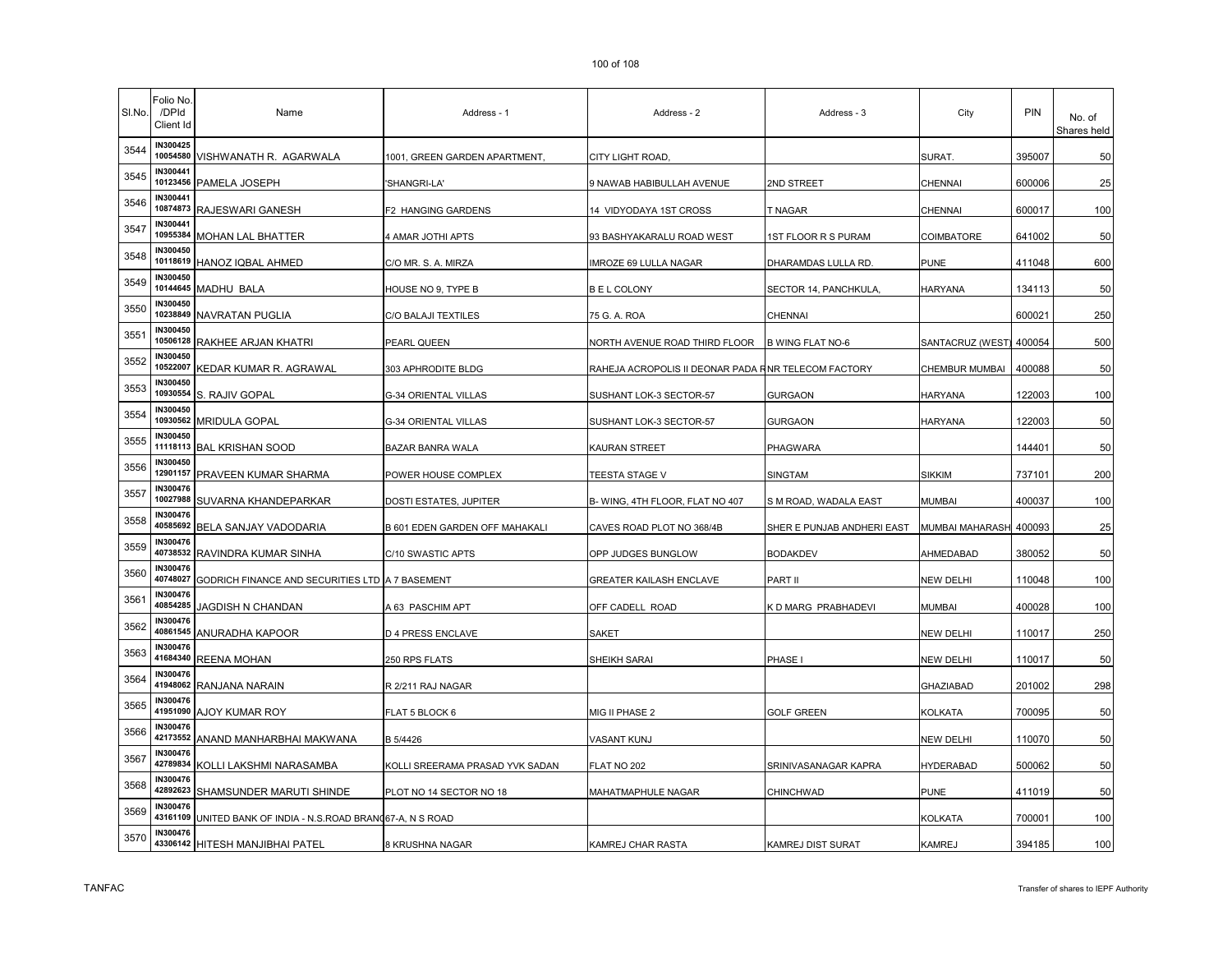| SI.No. | Folio No.<br>/DPId<br>Client Id | Name                                                | Address - 1                     | Address - 2                                         | Address - 3                | City                   | <b>PIN</b> | No. of<br>Shares held |
|--------|---------------------------------|-----------------------------------------------------|---------------------------------|-----------------------------------------------------|----------------------------|------------------------|------------|-----------------------|
| 3544   | IN300425                        | 10054580 VISHWANATH R. AGARWALA                     | 1001, GREEN GARDEN APARTMENT,   | CITY LIGHT ROAD,                                    |                            | SURAT.                 | 395007     | 50                    |
| 3545   | IN300441<br>10123456            | PAMELA JOSEPH                                       | 'SHANGRI-LA'                    | 9 NAWAB HABIBULLAH AVENUE                           | 2ND STREET                 | CHENNAI                | 600006     | 25                    |
| 3546   | <b>IN300441</b><br>10874873     | RAJESWARI GANESH                                    | F2 HANGING GARDENS              | 14 VIDYODAYA 1ST CROSS                              | T NAGAR                    | CHENNAI                | 600017     | 100                   |
| 3547   | <b>IN300441</b><br>10955384     | MOHAN LAL BHATTER                                   | 4 AMAR JOTHI APTS               | 93 BASHYAKARALU ROAD WEST                           | <b>1ST FLOOR R S PURAM</b> | COIMBATORE             | 641002     | 50                    |
| 3548   | IN300450<br>10118619            | HANOZ IQBAL AHMED                                   | C/O MR. S. A. MIRZA             | IMROZE 69 LULLA NAGAR                               | DHARAMDAS LULLA RD.        | <b>PUNE</b>            | 411048     | 600                   |
| 3549   | IN300450<br>10144645            | MADHU BALA                                          | HOUSE NO 9, TYPE B              | <b>BEL COLONY</b>                                   | SECTOR 14, PANCHKULA       | <b>HARYANA</b>         | 134113     | 50                    |
| 3550   | <b>IN300450</b><br>10238849     | <b>NAVRATAN PUGLIA</b>                              | C/O BALAJI TEXTILES             | 75 G. A. ROA                                        | CHENNAI                    |                        | 600021     | 250                   |
| 3551   | <b>IN300450</b><br>10506128     | RAKHEE ARJAN KHATRI                                 | PEARL QUEEN                     | NORTH AVENUE ROAD THIRD FLOOR                       | <b>B WING FLAT NO-6</b>    | SANTACRUZ (WEST)       | 400054     | 500                   |
| 3552   | IN300450<br>10522007            | KEDAR KUMAR R. AGRAWAL                              | 303 APHRODITE BLDG              | RAHEJA ACROPOLIS II DEONAR PADA RNR TELECOM FACTORY |                            | CHEMBUR MUMBAI         | 400088     | 50                    |
| 3553   | IN300450<br>10930554            | S. RAJIV GOPAL                                      | G-34 ORIENTAL VILLAS            | SUSHANT LOK-3 SECTOR-57                             | GURGAON                    | <b>HARYANA</b>         | 122003     | 100                   |
| 3554   | <b>IN300450</b><br>10930562     | <b>MRIDULA GOPAL</b>                                | G-34 ORIENTAL VILLAS            | SUSHANT LOK-3 SECTOR-57                             | GURGAON                    | <b>HARYANA</b>         | 122003     | 50                    |
| 3555   | IN300450<br>11118113            | <b>BAL KRISHAN SOOD</b>                             | BAZAR BANRA WALA                | KAURAN STREET                                       | PHAGWARA                   |                        | 144401     | 50                    |
| 3556   | IN300450<br>12901157            | PRAVEEN KUMAR SHARMA                                | POWER HOUSE COMPLEX             | TEESTA STAGE V                                      | SINGTAM                    | <b>SIKKIM</b>          | 737101     | 200                   |
| 3557   | IN300476<br>10027988            | SUVARNA KHANDEPARKAR                                | DOSTI ESTATES, JUPITER          | B- WING, 4TH FLOOR, FLAT NO 407                     | S M ROAD, WADALA EAST      | <b>MUMBAI</b>          | 400037     | 100                   |
| 3558   | IN300476<br>40585692            | BELA SANJAY VADODARIA                               | B 601 EDEN GARDEN OFF MAHAKALI  | CAVES ROAD PLOT NO 368/4B                           | SHER E PUNJAB ANDHERI EAST | <b>MUMBAI MAHARASH</b> | 400093     | 25                    |
| 3559   | <b>IN300476</b><br>40738532     | RAVINDRA KUMAR SINHA                                | C/10 SWASTIC APTS               | OPP JUDGES BUNGLOW                                  | <b>BODAKDEV</b>            | AHMEDABAD              | 380052     | 50                    |
| 3560   | <b>IN300476</b><br>40748027     | GODRICH FINANCE AND SECURITIES LTD A 7 BASEMENT     |                                 | GREATER KAILASH ENCLAVE                             | PART II                    | <b>NEW DELHI</b>       | 110048     | 100                   |
| 3561   | <b>IN300476</b><br>40854285     | JAGDISH N CHANDAN                                   | A 63 PASCHIM APT                | OFF CADELL ROAD                                     | <b>D MARG PRABHADEVI</b>   | <b>MUMBAI</b>          | 400028     | 100                   |
| 3562   | IN300476<br>40861545            | ANURADHA KAPOOR                                     | D 4 PRESS ENCLAVE               | <b>SAKET</b>                                        |                            | <b>NEW DELHI</b>       | 110017     | 250                   |
| 3563   | <b>IN300476</b><br>41684340     | REENA MOHAN                                         | 250 RPS FLATS                   | SHEIKH SARAI                                        | PHASE I                    | <b>NEW DELHI</b>       | 110017     | 50                    |
| 3564   | <b>IN300476</b><br>41948062     | RANJANA NARAIN                                      | R 2/211 RAJ NAGAR               |                                                     |                            | <b>GHAZIABAD</b>       | 201002     | 298                   |
| 3565   | IN300476<br>41951090            | AJOY KUMAR ROY                                      | FLAT 5 BLOCK 6                  | MIG II PHASE 2                                      | <b>GOLF GREEN</b>          | <b>KOLKATA</b>         | 700095     | 50                    |
| 3566   | IN300476<br>42173552            | ANAND MANHARBHAI MAKWANA                            | B 5/4426                        | VASANT KUNJ                                         |                            | <b>NEW DELHI</b>       | 110070     | 50                    |
| 3567   | <b>IN300476</b><br>42789834     | KOLLI LAKSHMI NARASAMBA                             | KOLLI SREERAMA PRASAD YVK SADAN | FLAT NO 202                                         | SRINIVASANAGAR KAPRA       | <b>HYDERABAD</b>       | 500062     | 50                    |
| 3568   | IN300476<br>42892623            | SHAMSUNDER MARUTI SHINDE                            | PLOT NO 14 SECTOR NO 18         | MAHATMAPHULE NAGAR                                  | CHINCHWAD                  | <b>PUNE</b>            | 411019     | 50                    |
| 3569   | IN300476<br>43161109            | UNITED BANK OF INDIA - N.S.ROAD BRANC67-A, N S ROAD |                                 |                                                     |                            | <b>KOLKATA</b>         | 700001     | 100                   |
| 3570   | IN300476                        | 43306142 HITESH MANJIBHAI PATEL                     | 8 KRUSHNA NAGAR                 | KAMREJ CHAR RASTA                                   | KAMREJ DIST SURAT          | <b>KAMREJ</b>          | 394185     | 100                   |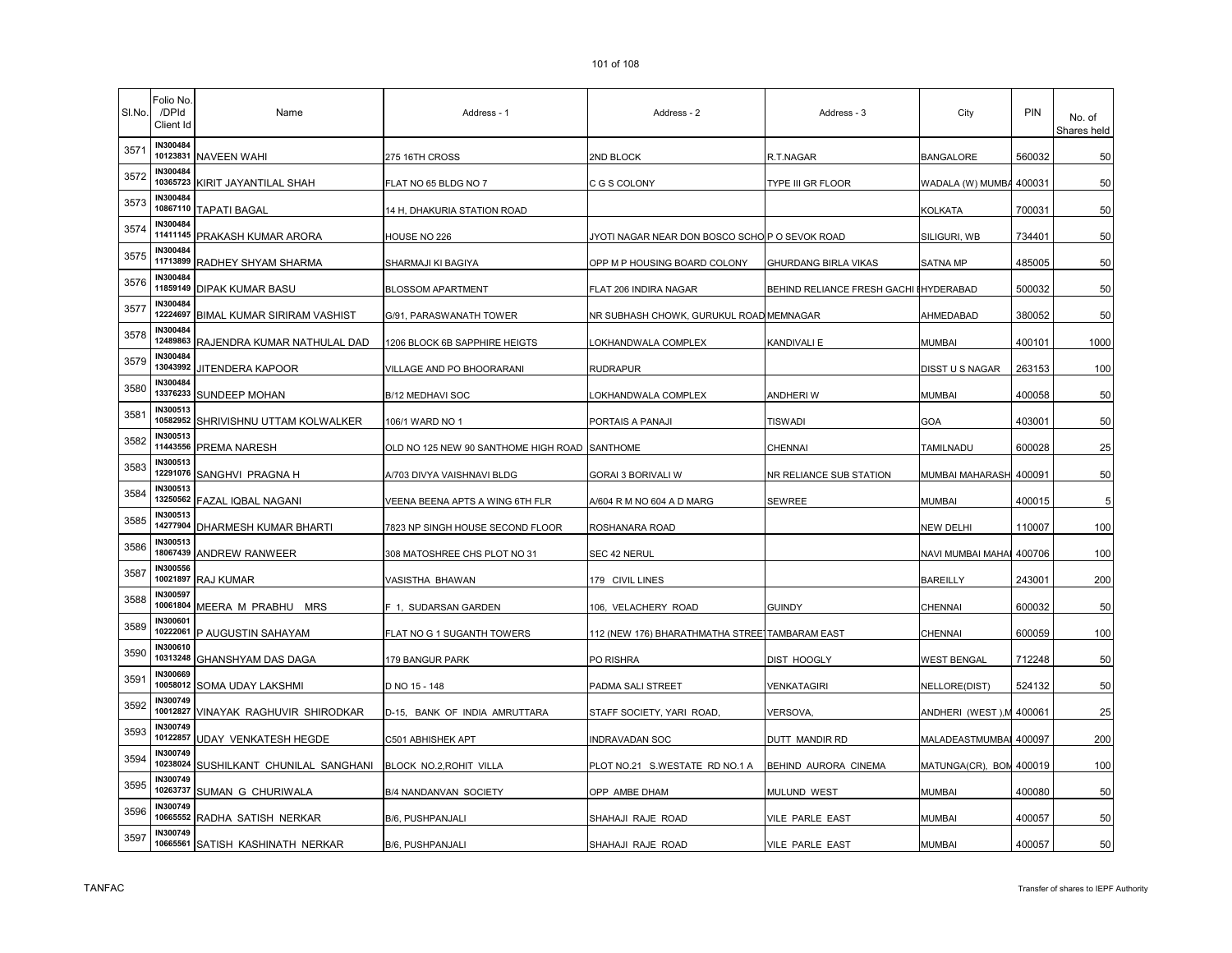| SI.No. | Folio No.<br>/DPId<br>Client Id | Name                               | Address - 1                          | Address - 2                                    | Address - 3                            | City                     | <b>PIN</b> | No. of<br>Shares held |
|--------|---------------------------------|------------------------------------|--------------------------------------|------------------------------------------------|----------------------------------------|--------------------------|------------|-----------------------|
| 3571   | IN300484                        | 10123831 NAVEEN WAHI               | 275 16TH CROSS                       | 2ND BLOCK                                      | R.T.NAGAR                              | <b>BANGALORE</b>         | 560032     | 50                    |
| 3572   | IN300484<br>10365723            | KIRIT JAYANTILAL SHAH              | FLAT NO 65 BLDG NO 7                 | C G S COLONY                                   | TYPE III GR FLOOR                      | WADALA (W) MUMBA 400031  |            | 50                    |
| 3573   | IN300484<br>10867110            | <b>TAPATI BAGAL</b>                | 14 H, DHAKURIA STATION ROAD          |                                                |                                        | KOLKATA                  | 700031     | 50                    |
| 3574   | IN300484<br>11411145            | <b>PRAKASH KUMAR ARORA</b>         | HOUSE NO 226                         | JYOTI NAGAR NEAR DON BOSCO SCHO P O SEVOK ROAD |                                        | SILIGURI, WB             | 734401     | 50                    |
| 3575   | IN300484<br>11713899            | RADHEY SHYAM SHARMA                | SHARMAJI KI BAGIYA                   | OPP M P HOUSING BOARD COLONY                   | GHURDANG BIRLA VIKAS                   | <b>SATNA MP</b>          | 485005     | 50                    |
| 3576   | IN300484<br>11859149            | <b>DIPAK KUMAR BASU</b>            | <b>BLOSSOM APARTMENT</b>             | FLAT 206 INDIRA NAGAR                          | BEHIND RELIANCE FRESH GACHI IHYDERABAD |                          | 500032     | 50                    |
| 3577   | IN300484<br>12224697            | <b>BIMAL KUMAR SIRIRAM VASHIST</b> | G/91, PARASWANATH TOWER              | NR SUBHASH CHOWK, GURUKUL ROAD MEMNAGAR        |                                        | AHMEDABAD                | 380052     | 50                    |
| 3578   | IN300484<br>12489863            | RAJENDRA KUMAR NATHULAL DAD        | 1206 BLOCK 6B SAPPHIRE HEIGTS        | LOKHANDWALA COMPLEX                            | KANDIVALI E                            | <b>MUMBAI</b>            | 400101     | 1000                  |
| 3579   | IN300484<br>13043992            | JITENDERA KAPOOR                   | VILLAGE AND PO BHOORARANI            | RUDRAPUR                                       |                                        | <b>DISST U S NAGAR</b>   | 263153     | 100                   |
| 3580   | IN300484<br>13376233            | <b>SUNDEEP MOHAN</b>               | B/12 MEDHAVI SOC                     | OKHANDWALA COMPLEX                             | ANDHERI W                              | <b>MUMBAI</b>            | 400058     | 50                    |
| 3581   | IN300513<br>10582952            | SHRIVISHNU UTTAM KOLWALKER         | 106/1 WARD NO 1                      | PORTAIS A PANAJI                               | <b>TISWADI</b>                         | GOA                      | 403001     | 50                    |
| 3582   | IN300513<br>11443556            | <b>PREMA NARESH</b>                | OLD NO 125 NEW 90 SANTHOME HIGH ROAD | <b>SANTHOME</b>                                | CHENNAI                                | TAMILNADU                | 600028     | 25                    |
| 3583   | IN300513<br>12291076            | SANGHVI PRAGNA H                   | A/703 DIVYA VAISHNAVI BLDG           | GORAI 3 BORIVALI W                             | NR RELIANCE SUB STATION                | MUMBAI MAHARASH 400091   |            | 50                    |
| 3584   | IN300513<br>13250562            | <b>FAZAL IQBAL NAGANI</b>          | VEENA BEENA APTS A WING 6TH FLR      | A/604 R M NO 604 A D MARG                      | SEWREE                                 | <b>MUMBAI</b>            | 400015     | 5                     |
| 3585   | IN300513                        | 14277904 DHARMESH KUMAR BHARTI     | 7823 NP SINGH HOUSE SECOND FLOOR     | ROSHANARA ROAD                                 |                                        | <b>NEW DELHI</b>         | 110007     | 100                   |
| 3586   | IN300513<br>18067439            | <b>ANDREW RANWEER</b>              | 308 MATOSHREE CHS PLOT NO 31         | SEC 42 NERUL                                   |                                        | NAVI MUMBAI MAHAI 400706 |            | 100                   |
| 3587   | IN300556<br>10021897            | <b>RAJ KUMAR</b>                   | VASISTHA BHAWAN                      | 179 CIVIL LINES                                |                                        | <b>BAREILLY</b>          | 243001     | 200                   |
| 3588   | IN300597<br>10061804            | MEERA M PRABHU MRS                 | F 1, SUDARSAN GARDEN                 | 106, VELACHERY ROAD                            | <b>GUINDY</b>                          | CHENNAI                  | 600032     | 50                    |
| 3589   | IN300601<br>10222061            | P AUGUSTIN SAHAYAM                 | FLAT NO G 1 SUGANTH TOWERS           | 112 (NEW 176) BHARATHMATHA STREE]TAMBARAM EAST |                                        | CHENNAI                  | 600059     | 100                   |
| 3590   | IN300610<br>10313248            | GHANSHYAM DAS DAGA                 | 179 BANGUR PARK                      | PO RISHRA                                      | DIST HOOGLY                            | WEST BENGAL              | 712248     | 50                    |
| 3591   | IN300669<br>10058012            | SOMA UDAY LAKSHMI                  | D NO 15 - 148                        | PADMA SALI STREET                              | VENKATAGIRI                            | NELLORE(DIST)            | 524132     | 50                    |
| 3592   | IN300749<br>10012827            | VINAYAK RAGHUVIR SHIRODKAR         | D-15, BANK OF INDIA AMRUTTARA        | STAFF SOCIETY, YARI ROAD                       | VERSOVA,                               | ANDHERI (WEST), M 400061 |            | 25                    |
| 3593   | IN300749<br>10122857            | UDAY VENKATESH HEGDE               | C501 ABHISHEK APT                    | INDRAVADAN SOC                                 | DUTT MANDIR RD                         | MALADEASTMUMBAI 400097   |            | 200                   |
| 3594   | IN300749<br>10238024            | SUSHILKANT CHUNILAL SANGHANI       | BLOCK NO.2, ROHIT VILLA              | PLOT NO.21 S.WESTATE RD NO.1 A                 | BEHIND AURORA CINEMA                   | MATUNGA(CR), BOM 400019  |            | 100                   |
| 3595   | IN300749<br>10263737            | SUMAN G CHURIWALA                  | B/4 NANDANVAN SOCIETY                | OPP AMBE DHAM                                  | MULUND WEST                            | <b>MUMBAI</b>            | 400080     | 50                    |
| 3596   | IN300749<br>10665552            | RADHA SATISH NERKAR                | B/6, PUSHPANJALI                     | SHAHAJI RAJE ROAD                              | VILE PARLE EAST                        | <b>MUMBAI</b>            | 400057     | 50                    |
| 3597   | IN300749<br>10665561            | SATISH KASHINATH NERKAR            | B/6, PUSHPANJALI                     | SHAHAJI RAJE ROAD                              | VILE PARLE EAST                        | <b>MUMBAI</b>            | 400057     | 50                    |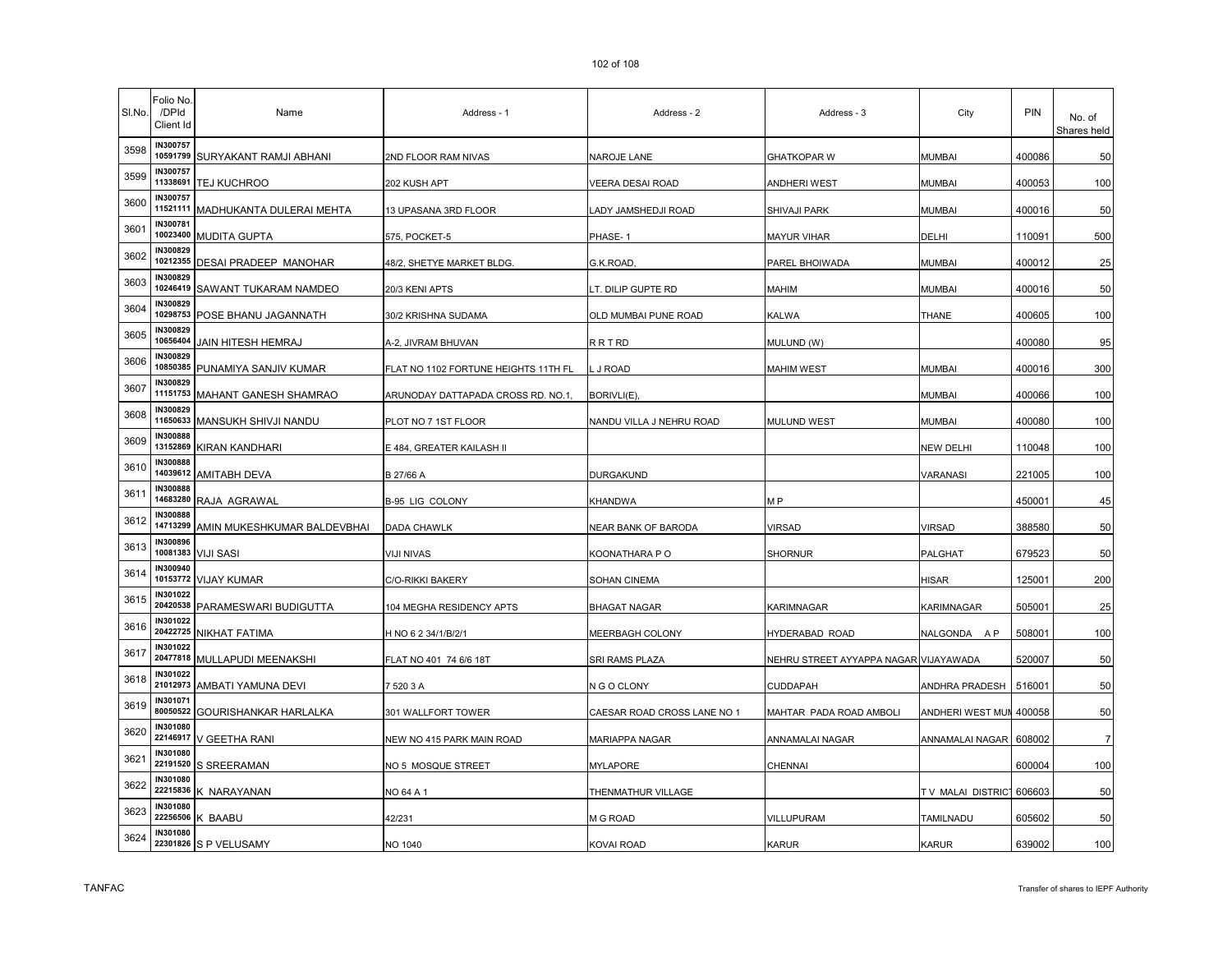| SI.No. | Folio No.<br>/DPId<br>Client Id | Name                         | Address - 1                          | Address - 2                 | Address - 3                           | City              | PIN    | No. of<br>Shares held |
|--------|---------------------------------|------------------------------|--------------------------------------|-----------------------------|---------------------------------------|-------------------|--------|-----------------------|
| 3598   | IN300757<br>10591799            | SURYAKANT RAMJI ABHANI       | 2ND FLOOR RAM NIVAS                  | NAROJE LANE                 | <b>GHATKOPAR W</b>                    | <b>MUMBAI</b>     | 400086 | 50                    |
| 3599   | IN300757<br>11338691            | TEJ KUCHROO                  | 202 KUSH APT                         | VEERA DESAI ROAD            | ANDHERI WEST                          | MUMBAI            | 400053 | 100                   |
| 3600   | IN300757<br>11521111            | MADHUKANTA DULERAI MEHTA     | 13 UPASANA 3RD FLOOR                 | ADY JAMSHEDJI ROAD          | SHIVAJI PARK                          | <b>MUMBAI</b>     | 400016 | 50                    |
| 3601   | IN300781<br>10023400            | <b>MUDITA GUPTA</b>          | 575, POCKET-5                        | PHASE-1                     | MAYUR VIHAR                           | DELHI             | 110091 | 500                   |
| 3602   | IN300829<br>10212355            | <b>DESAI PRADEEP MANOHAR</b> | 48/2, SHETYE MARKET BLDG.            | G.K.ROAD,                   | PAREL BHOIWADA                        | <b>MUMBAI</b>     | 400012 | 25                    |
| 3603   | IN300829<br>10246419            | SAWANT TUKARAM NAMDEO        | 20/3 KENI APTS                       | LT. DILIP GUPTE RD          | MAHIM                                 | <b>MUMBAI</b>     | 400016 | 50                    |
| 3604   | IN300829<br>10298753            | POSE BHANU JAGANNATH         | 30/2 KRISHNA SUDAMA                  | OLD MUMBAI PUNE ROAD        | <b>KALWA</b>                          | <b>THANE</b>      | 400605 | 100                   |
| 3605   | IN300829<br>10656404            | JAIN HITESH HEMRAJ           | A-2, JIVRAM BHUVAN                   | <b>RRTRD</b>                | MULUND (W)                            |                   | 400080 | 95                    |
| 3606   | IN300829<br>10850385            | PUNAMIYA SANJIV KUMAR        | FLAT NO 1102 FORTUNE HEIGHTS 11TH FL | J ROAD                      | MAHIM WEST                            | <b>MUMBAI</b>     | 400016 | 300                   |
| 3607   | IN300829<br>11151753            | MAHANT GANESH SHAMRAO        | ARUNODAY DATTAPADA CROSS RD. NO.1,   | BORIVLI(E)                  |                                       | <b>MUMBAI</b>     | 400066 | 100                   |
| 3608   | IN300829<br>11650633            | MANSUKH SHIVJI NANDU         | PLOT NO 7 1ST FLOOR                  | NANDU VILLA J NEHRU ROAD    | MULUND WEST                           | MUMBAI            | 400080 | 100                   |
| 3609   | IN300888<br>13152869            | <b>KIRAN KANDHARI</b>        | E 484, GREATER KAILASH II            |                             |                                       | <b>NEW DELHI</b>  | 110048 | 100                   |
| 3610   | IN300888<br>14039612            | <b>AMITABH DEVA</b>          | B 27/66 A                            | DURGAKUND                   |                                       | <b>VARANASI</b>   | 221005 | 100                   |
| 3611   | IN300888<br>14683280            | RAJA AGRAWAL                 | <b>B-95 LIG COLONY</b>               | KHANDWA                     | M <sub>P</sub>                        |                   | 450001 | 45                    |
| 3612   | IN300888<br>14713299            | AMIN MUKESHKUMAR BALDEVBHAI  | DADA CHAWLK                          | NEAR BANK OF BARODA         | VIRSAD                                | <b>VIRSAD</b>     | 388580 | 50                    |
| 3613   | IN300896<br>10081383            | <b>VIJI SASI</b>             | VIJI NIVAS                           | KOONATHARA P O              | <b>SHORNUR</b>                        | PALGHAT           | 679523 | 50                    |
| 3614   | IN300940<br>10153772            | <b>VIJAY KUMAR</b>           | C/O-RIKKI BAKERY                     | SOHAN CINEMA                |                                       | HISAR             | 125001 | 200                   |
| 3615   | IN301022<br>20420538            | PARAMESWARI BUDIGUTTA        | 104 MEGHA RESIDENCY APTS             | <b>BHAGAT NAGAR</b>         | KARIMNAGAR                            | KARIMNAGAR        | 505001 | 25                    |
| 3616   | IN301022<br>20422725            | NIKHAT FATIMA                | H NO 6 2 34/1/B/2/1                  | MEERBAGH COLONY             | HYDERABAD ROAD                        | NALGONDA AP       | 508001 | 100                   |
| 3617   | IN301022<br>20477818            | MULLAPUDI MEENAKSHI          | FLAT NO 401 74 6/6 18T               | SRI RAMS PLAZA              | NEHRU STREET AYYAPPA NAGAR VIJAYAWADA |                   | 520007 | 50                    |
| 3618   | IN301022<br>21012973            | AMBATI YAMUNA DEVI           | 7 520 3 A                            | N G O CLONY                 | CUDDAPAH                              | ANDHRA PRADESH    | 516001 | 50                    |
| 3619   | IN301071<br>80050522            | GOURISHANKAR HARLALKA        | 301 WALLFORT TOWER                   | CAESAR ROAD CROSS LANE NO 1 | MAHTAR PADA ROAD AMBOLI               | ANDHERI WEST MUN  | 400058 | 50                    |
| 3620   | IN301080<br>22146917            | V GEETHA RANI                | NEW NO 415 PARK MAIN ROAD            | MARIAPPA NAGAR              | ANNAMALAI NAGAR                       | ANNAMALAI NAGAR   | 608002 | $\overline{7}$        |
| 3621   | IN301080<br>22191520            | S SREERAMAN                  | NO 5 MOSQUE STREET                   | MYLAPORE                    | CHENNAI                               |                   | 600004 | 100                   |
| 3622   | IN301080<br>22215836            | K NARAYANAN                  | NO 64 A 1                            | THENMATHUR VILLAGE          |                                       | TV MALAI DISTRICT | 606603 | 50                    |
| 3623   | IN301080<br>22256506            | K BAABU                      | 42/231                               | M G ROAD                    | VILLUPURAM                            | <b>TAMILNADU</b>  | 605602 | 50                    |
| 3624   | IN301080                        | 22301826 S P VELUSAMY        | <b>NO 1040</b>                       | KOVAI ROAD                  | <b>KARUR</b>                          | KARUR             | 639002 | 100                   |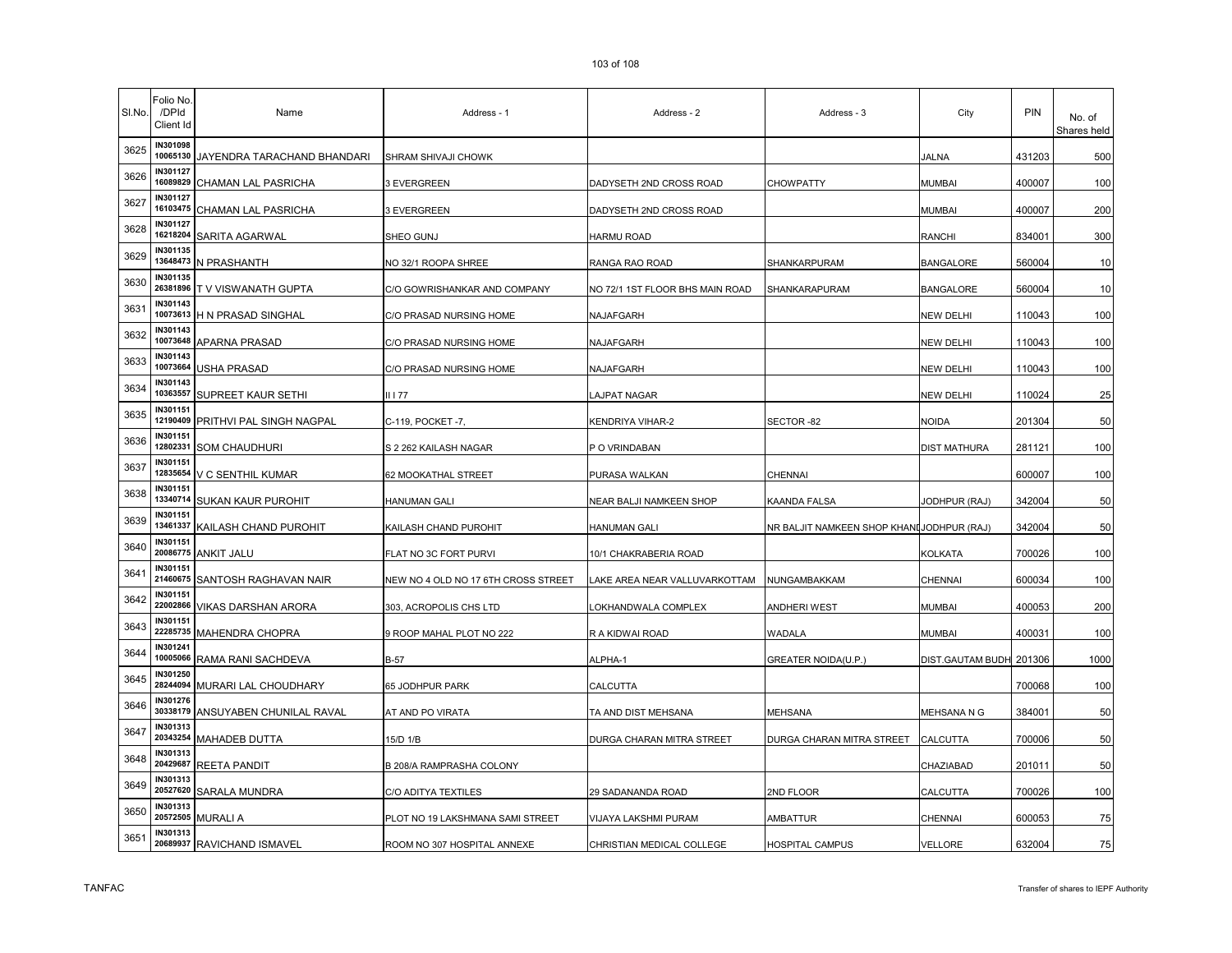| SI.No. | Folio No.<br>/DPId<br>Client Id | Name                        | Address - 1                         | Address - 2                     | Address - 3                               | City                    | <b>PIN</b> | No. of<br>Shares held |
|--------|---------------------------------|-----------------------------|-------------------------------------|---------------------------------|-------------------------------------------|-------------------------|------------|-----------------------|
| 3625   | IN301098<br>10065130            | JAYENDRA TARACHAND BHANDARI | SHRAM SHIVAJI CHOWK                 |                                 |                                           | <b>JALNA</b>            | 431203     | 500                   |
| 3626   | IN301127<br>16089829            | CHAMAN LAL PASRICHA         | 3 EVERGREEN                         | DADYSETH 2ND CROSS ROAD         | CHOWPATTY                                 | <b>MUMBAI</b>           | 400007     | 100                   |
| 3627   | IN301127<br>16103475            | CHAMAN LAL PASRICHA         | <b>BEVERGREEN</b>                   | DADYSETH 2ND CROSS ROAD         |                                           | <b>MUMBAI</b>           | 400007     | 200                   |
| 3628   | IN301127<br>16218204            | SARITA AGARWAL              | SHEO GUNJ                           | <b>HARMU ROAD</b>               |                                           | <b>RANCHI</b>           | 834001     | 300                   |
| 3629   | IN301135<br>13648473            | N PRASHANTH                 | NO 32/1 ROOPA SHREE                 | RANGA RAO ROAD                  | SHANKARPURAM                              | <b>BANGALORE</b>        | 560004     | 10                    |
| 3630   | IN301135<br>26381896            | T V VISWANATH GUPTA         | C/O GOWRISHANKAR AND COMPANY        | NO 72/1 1ST FLOOR BHS MAIN ROAD | SHANKARAPURAM                             | <b>BANGALORE</b>        | 560004     | 10                    |
| 3631   | IN301143<br>10073613            | H N PRASAD SINGHAL          | C/O PRASAD NURSING HOME             | NAJAFGARH                       |                                           | <b>NEW DELHI</b>        | 110043     | 100                   |
| 3632   | IN301143<br>10073648            | APARNA PRASAD               | C/O PRASAD NURSING HOME             | NAJAFGARH                       |                                           | <b>NEW DELHI</b>        | 110043     | 100                   |
| 3633   | IN301143<br>10073664            | USHA PRASAD                 | C/O PRASAD NURSING HOME             | <b>NAJAFGARH</b>                |                                           | <b>NEW DELHI</b>        | 110043     | 100                   |
| 3634   | <b>IN301143</b><br>10363557     | SUPREET KAUR SETHI          | II I 77                             | LAJPAT NAGAR                    |                                           | <b>NEW DELHI</b>        | 110024     | 25                    |
| 3635   | <b>IN301151</b><br>12190409     | PRITHVI PAL SINGH NAGPAL    | C-119, POCKET -7,                   | KENDRIYA VIHAR-2                | SECTOR-82                                 | <b>NOIDA</b>            | 201304     | 50                    |
| 3636   | <b>IN301151</b><br>12802331     | SOM CHAUDHURI               | S 2 262 KAILASH NAGAR               | P O VRINDABAN                   |                                           | <b>DIST MATHURA</b>     | 281121     | 100                   |
| 3637   | <b>IN301151</b><br>12835654     | V C SENTHIL KUMAR           | 62 MOOKATHAL STREET                 | PURASA WALKAN                   | CHENNAI                                   |                         | 600007     | 100                   |
| 3638   | IN301151                        | 13340714 SUKAN KAUR PUROHIT | HANUMAN GALI                        | NEAR BALJI NAMKEEN SHOP         | KAANDA FALSA                              | JODHPUR (RAJ)           | 342004     | 50                    |
| 3639   | IN301151<br>13461337            | KAILASH CHAND PUROHIT       | KAILASH CHAND PUROHIT               | <b>HANUMAN GALI</b>             | NR BALJIT NAMKEEN SHOP KHANIJODHPUR (RAJ) |                         | 342004     | 50                    |
| 3640   | IN301151<br>20086775            | ANKIT JALU                  | FLAT NO 3C FORT PURVI               | 10/1 CHAKRABERIA ROAD           |                                           | <b>KOLKATA</b>          | 700026     | 100                   |
| 3641   | IN301151<br>21460675            | SANTOSH RAGHAVAN NAIR       | NEW NO 4 OLD NO 17 6TH CROSS STREET | LAKE AREA NEAR VALLUVARKOTTAM   | NUNGAMBAKKAM                              | CHENNAI                 | 600034     | 100                   |
| 3642   | <b>IN301151</b><br>22002866     | VIKAS DARSHAN ARORA         | 303, ACROPOLIS CHS LTD              | OKHANDWALA COMPLEX              | ANDHERI WEST                              | <b>MUMBAI</b>           | 400053     | 200                   |
| 3643   | <b>IN301151</b><br>22285735     | MAHENDRA CHOPRA             | 9 ROOP MAHAL PLOT NO 222            | R A KIDWAI ROAD                 | WADALA                                    | <b>MUMBAI</b>           | 400031     | 100                   |
| 3644   | IN301241<br>10005066            | RAMA RANI SACHDEVA          | $B-57$                              | ALPHA-1                         | GREATER NOIDA(U.P.)                       | DIST.GAUTAM BUDH 201306 |            | 1000                  |
| 3645   | IN301250<br>28244094            | MURARI LAL CHOUDHARY        | 65 JODHPUR PARK                     | CALCUTTA                        |                                           |                         | 700068     | 100                   |
| 3646   | IN301276<br>30338179            | ANSUYABEN CHUNILAL RAVAL    | AT AND PO VIRATA                    | TA AND DIST MEHSANA             | MEHSANA                                   | MEHSANA N G             | 384001     | 50                    |
| 3647   | <b>IN301313</b><br>20343254     | MAHADEB DUTTA               | 15/D 1/B                            | DURGA CHARAN MITRA STREET       | DURGA CHARAN MITRA STREET                 | CALCUTTA                | 700006     | 50                    |
| 3648   | <b>IN301313</b><br>20429687     | <b>REETA PANDIT</b>         | B 208/A RAMPRASHA COLONY            |                                 |                                           | CHAZIABAD               | 201011     | 50                    |
| 3649   | IN301313<br>20527620            | SARALA MUNDRA               | C/O ADITYA TEXTILES                 | 29 SADANANDA ROAD               | 2ND FLOOR                                 | CALCUTTA                | 700026     | 100                   |
| 3650   | IN301313<br>20572505            | MURALI A                    | PLOT NO 19 LAKSHMANA SAMI STREET    | VIJAYA LAKSHMI PURAM            | AMBATTUR                                  | CHENNAI                 | 600053     | 75                    |
| 3651   | IN301313                        | 20689937 RAVICHAND ISMAVEL  | ROOM NO 307 HOSPITAL ANNEXE         | CHRISTIAN MEDICAL COLLEGE       | HOSPITAL CAMPUS                           | VELLORE                 | 632004     | 75                    |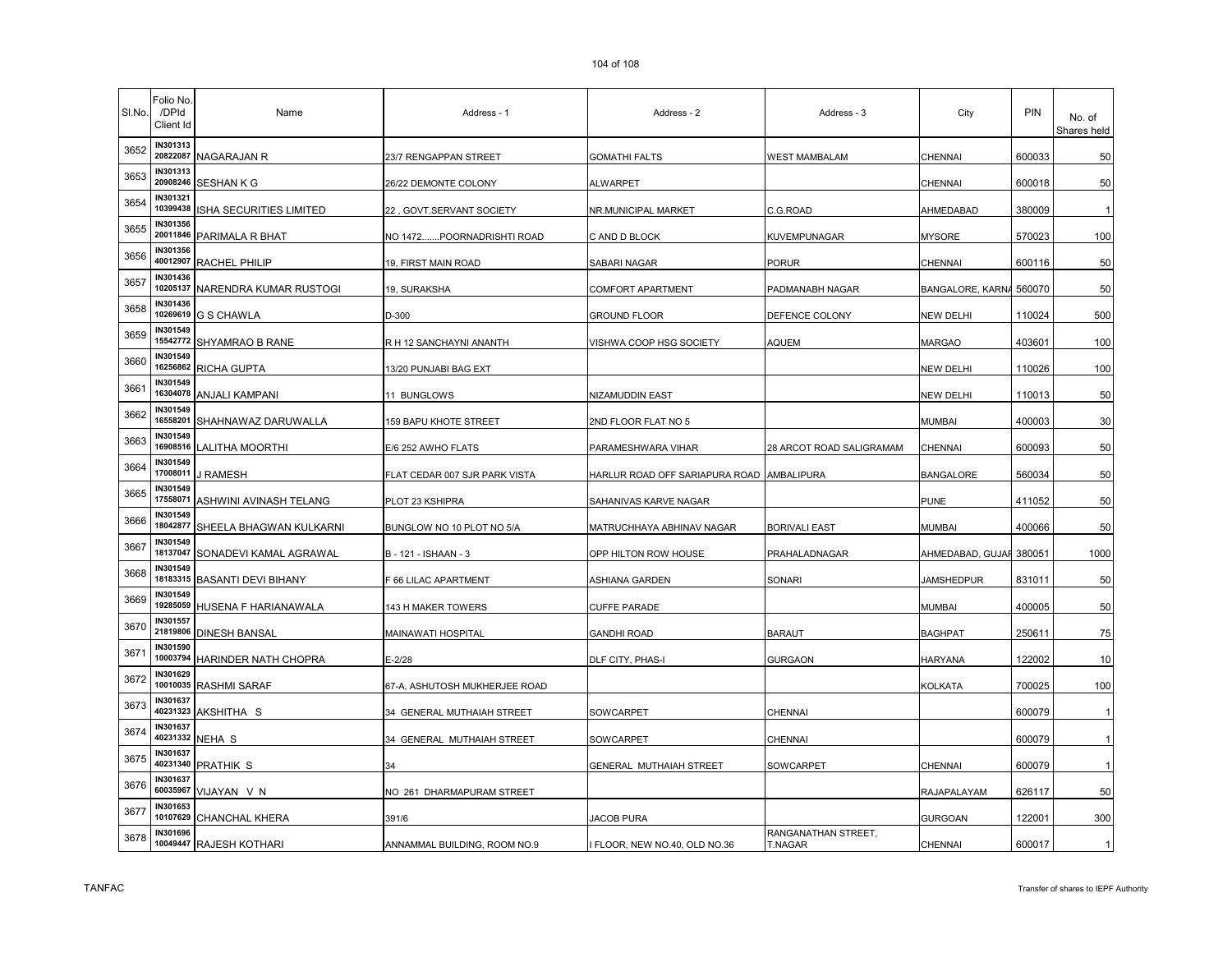| SI.No. | Folio No.<br>/DPId<br>Client Id | Name                       | Address - 1                   | Address - 2                               | Address - 3                           | City                    | <b>PIN</b> | No. of<br>Shares held |
|--------|---------------------------------|----------------------------|-------------------------------|-------------------------------------------|---------------------------------------|-------------------------|------------|-----------------------|
| 3652   | IN301313                        | 20822087 NAGARAJAN R       | 23/7 RENGAPPAN STREET         | <b>GOMATHI FALTS</b>                      | <b>WEST MAMBALAM</b>                  | <b>CHENNAI</b>          | 600033     | 50                    |
| 3653   | IN301313<br>20908246            | SESHAN K G                 | 26/22 DEMONTE COLONY          | ALWARPET                                  |                                       | CHENNAI                 | 600018     | 50                    |
| 3654   | IN301321<br>10399438            | ISHA SECURITIES LIMITED    | 22, GOVT.SERVANT SOCIETY      | NR.MUNICIPAL MARKET                       | C.G.ROAD                              | AHMEDABAD               | 380009     |                       |
| 3655   | <b>IN301356</b><br>20011846     | PARIMALA R BHAT            | NO 1472POORNADRISHTI ROAD     | C AND D BLOCK                             | KUVEMPUNAGAR                          | <b>MYSORE</b>           | 570023     | 100                   |
| 3656   | IN301356<br>40012907            | RACHEL PHILIP              | 19, FIRST MAIN ROAD           | SABARI NAGAR                              | PORUR                                 | CHENNAI                 | 600116     | 50                    |
| 3657   | IN301436<br>10205137            | NARENDRA KUMAR RUSTOGI     | 19, SURAKSHA                  | COMFORT APARTMENT                         | PADMANABH NAGAR                       | BANGALORE, KARNA 560070 |            | 50                    |
| 3658   | IN301436<br>10269619            | <b>G S CHAWLA</b>          | D-300                         | <b>GROUND FLOOR</b>                       | DEFENCE COLONY                        | <b>NEW DELHI</b>        | 110024     | 500                   |
| 3659   | IN301549                        | 15542772 SHYAMRAO B RANE   | R H 12 SANCHAYNI ANANTH       | VISHWA COOP HSG SOCIETY                   | <b>AQUEM</b>                          | <b>MARGAO</b>           | 403601     | 100                   |
| 3660   | IN301549<br>16256862            | RICHA GUPTA                | 13/20 PUNJABI BAG EXT         |                                           |                                       | <b>NEW DELHI</b>        | 110026     | 100                   |
| 3661   | IN301549<br>16304078            | ANJALI KAMPANI             | 11 BUNGLOWS                   | NIZAMUDDIN EAST                           |                                       | <b>NEW DELHI</b>        | 110013     | 50                    |
| 3662   | <b>IN301549</b><br>16558201     | SHAHNAWAZ DARUWALLA        | 159 BAPU KHOTE STREET         | 2ND FLOOR FLAT NO 5                       |                                       | <b>MUMBAI</b>           | 400003     | 30                    |
| 3663   | IN301549<br>16908516            | LALITHA MOORTHI            | E/6 252 AWHO FLATS            | PARAMESHWARA VIHAR                        | 28 ARCOT ROAD SALIGRAMAM              | <b>CHENNAI</b>          | 600093     | 50                    |
| 3664   | IN301549<br>17008011            | J RAMESH                   | FLAT CEDAR 007 SJR PARK VISTA | HARLUR ROAD OFF SARIAPURA ROAD AMBALIPURA |                                       | <b>BANGALORE</b>        | 560034     | 50                    |
| 3665   | IN301549<br>17558071            | ASHWINI AVINASH TELANG     | PLOT 23 KSHIPRA               | SAHANIVAS KARVE NAGAR                     |                                       | <b>PUNE</b>             | 411052     | 50                    |
| 3666   | IN301549<br>18042877            | SHEELA BHAGWAN KULKARNI    | BUNGLOW NO 10 PLOT NO 5/A     | MATRUCHHAYA ABHINAV NAGAR                 | <b>BORIVALI EAST</b>                  | <b>MUMBAI</b>           | 400066     | 50                    |
| 3667   | IN301549<br>18137047            | SONADEVI KAMAL AGRAWAL     | B - 121 - ISHAAN - 3          | OPP HILTON ROW HOUSE                      | PRAHALADNAGAR                         | AHMEDABAD, GUJAF 380051 |            | 1000                  |
| 3668   | IN301549<br>18183315            | <b>BASANTI DEVI BIHANY</b> | F 66 LILAC APARTMENT          | ASHIANA GARDEN                            | SONARI                                | JAMSHEDPUR              | 831011     | 50                    |
| 3669   | IN301549<br>19285059            | HUSENA F HARIANAWALA       | 143 H MAKER TOWERS            | <b>CUFFE PARADE</b>                       |                                       | <b>MUMBAI</b>           | 400005     | 50                    |
| 3670   | IN301557<br>21819806            | <b>DINESH BANSAL</b>       | MAINAWATI HOSPITAL            | <b>GANDHI ROAD</b>                        | <b>BARAUT</b>                         | <b>BAGHPAT</b>          | 250611     | 75                    |
| 3671   | IN301590<br>10003794            | HARINDER NATH CHOPRA       | E-2/28                        | DLF CITY, PHAS-I                          | <b>GURGAON</b>                        | <b>HARYANA</b>          | 122002     | 10                    |
| 3672   | IN301629                        | 10010035 RASHMI SARAF      | 67-A, ASHUTOSH MUKHERJEE ROAD |                                           |                                       | <b>KOLKATA</b>          | 700025     | 100                   |
| 3673   | IN301637<br>40231323            | AKSHITHA S                 | 34 GENERAL MUTHAIAH STREET    | SOWCARPET                                 | CHENNAI                               |                         | 600079     | -1                    |
| 3674   | <b>IN301637</b><br>40231332     | NEHA S                     | 34 GENERAL MUTHAIAH STREET    | SOWCARPET                                 | CHENNAI                               |                         | 600079     | -1                    |
| 3675   | <b>IN301637</b><br>40231340     | <b>PRATHIK S</b>           | 34                            | GENERAL MUTHAIAH STREET                   | SOWCARPET                             | CHENNAI                 | 600079     | -1                    |
| 3676   | IN301637<br>60035967            | VIJAYAN V N                | NO 261 DHARMAPURAM STREET     |                                           |                                       | RAJAPALAYAM             | 626117     | 50                    |
| 3677   | IN301653<br>10107629            | <b>CHANCHAL KHERA</b>      | 391/6                         | JACOB PURA                                |                                       | <b>GURGOAN</b>          | 122001     | 300                   |
| 3678   | <b>IN301696</b>                 | 10049447 RAJESH KOTHARI    | ANNAMMAL BUILDING, ROOM NO.9  | I FLOOR, NEW NO.40, OLD NO.36             | RANGANATHAN STREET,<br><b>T.NAGAR</b> | <b>CHENNAI</b>          | 600017     | $\mathbf{1}$          |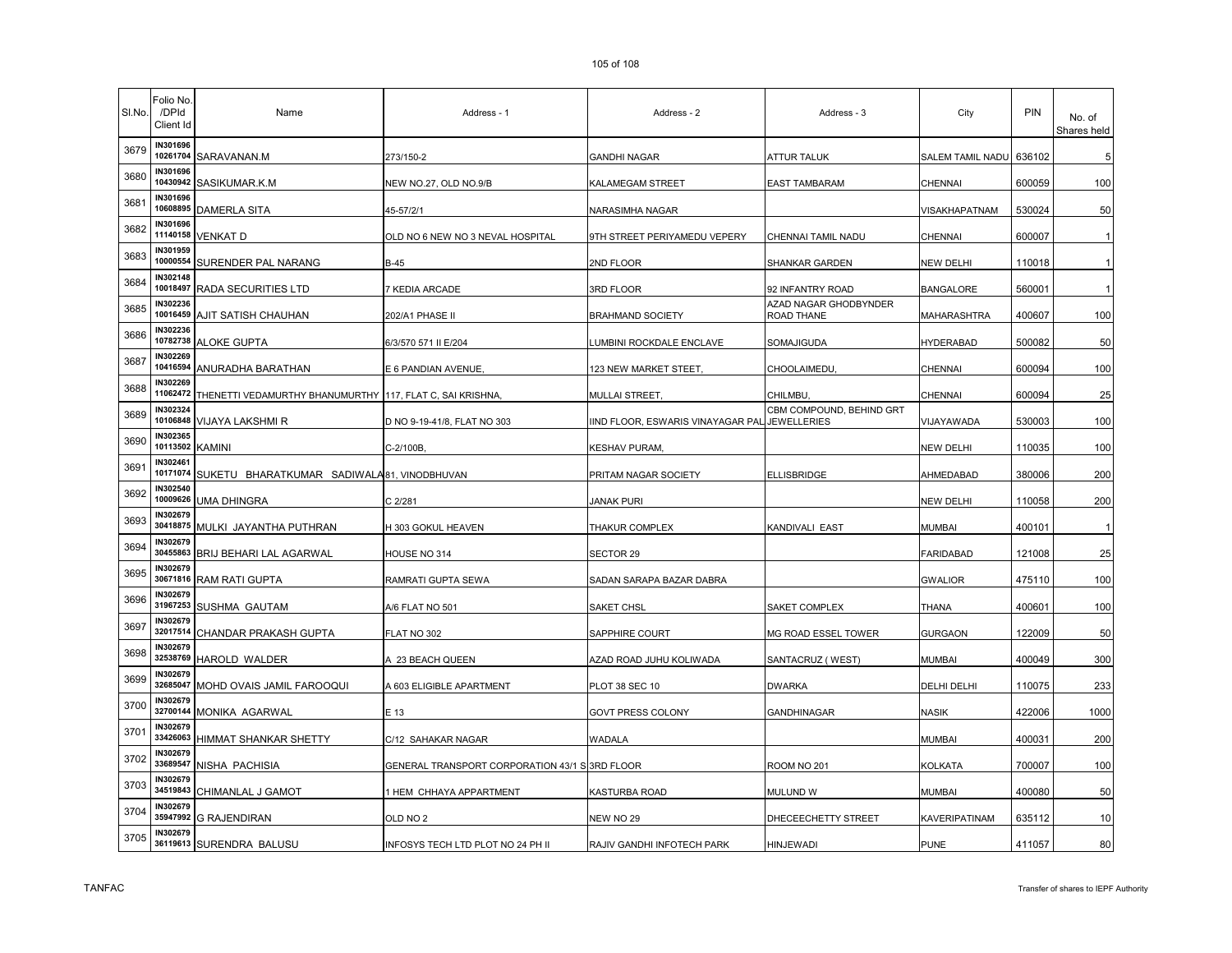| SI.No. | Folio No.<br>/DPId<br>Client Id | Name                                       | Address - 1                                    | Address - 2                       | Address - 3                                    | City             | <b>PIN</b> | No. of<br>Shares held |
|--------|---------------------------------|--------------------------------------------|------------------------------------------------|-----------------------------------|------------------------------------------------|------------------|------------|-----------------------|
| 3679   | IN301696                        | 10261704 SARAVANAN.M                       | 273/150-2                                      | <b>GANDHI NAGAR</b>               | <b>ATTUR TALUK</b>                             | SALEM TAMIL NADU | 636102     | 5                     |
| 3680   | IN301696<br>10430942            | SASIKUMAR.K.M                              | NEW NO.27, OLD NO.9/B                          | KALAMEGAM STREET                  | <b>EAST TAMBARAM</b>                           | CHENNAI          | 600059     | 100                   |
| 3681   | IN301696<br>10608895            | DAMERLA SITA                               | 45-57/2/1                                      | NARASIMHA NAGAR                   |                                                | VISAKHAPATNAM    | 530024     | 50                    |
| 3682   | IN301696<br>11140158            | VENKAT D                                   | OLD NO 6 NEW NO 3 NEVAL HOSPITAL               | 9TH STREET PERIYAMEDU VEPERY      | CHENNAI TAMIL NADU                             | CHENNAI          | 600007     |                       |
| 3683   | IN301959<br>10000554            | SURENDER PAL NARANG                        | B-45                                           | 2ND FLOOR                         | SHANKAR GARDEN                                 | <b>NEW DELHI</b> | 110018     | -1                    |
| 3684   | <b>IN302148</b><br>10018497     | RADA SECURITIES LTD                        | 7 KEDIA ARCADE                                 | 3RD FLOOR                         | 92 INFANTRY ROAD                               | <b>BANGALORE</b> | 560001     | -1                    |
| 3685   | IN302236<br>10016459            | AJIT SATISH CHAUHAN                        | 202/A1 PHASE II                                | <b>BRAHMAND SOCIETY</b>           | AZAD NAGAR GHODBYNDER<br>ROAD THANE            | MAHARASHTRA      | 400607     | 100                   |
| 3686   | IN302236                        | 10782738 ALOKE GUPTA                       | 6/3/570 571 II E/204                           | UMBINI ROCKDALE ENCLAVE           | SOMAJIGUDA                                     | <b>HYDERABAD</b> | 500082     | 50                    |
| 3687   | IN302269<br>10416594            | ANURADHA BARATHAN                          | E 6 PANDIAN AVENUE,                            | 123 NEW MARKET STEET,             | CHOOLAIMEDU.                                   | CHENNAI          | 600094     | 100                   |
| 3688   | IN302269<br>11062472            | THENETTI VEDAMURTHY BHANUMURTHY            | 117, FLAT C, SAI KRISHNA,                      | MULLAI STREET,                    | CHILMBU.                                       | CHENNAI          | 600094     | 25                    |
| 3689   | <b>IN302324</b><br>10106848     | <b>VIJAYA LAKSHMI R</b>                    | D NO 9-19-41/8, FLAT NO 303                    | IIND FLOOR, ESWARIS VINAYAGAR PAL | CBM COMPOUND, BEHIND GRT<br><b>JEWELLERIES</b> | VIJAYAWADA       | 530003     | 100                   |
| 3690   | N302365<br>10113502             | <b>KAMINI</b>                              | C-2/100B,                                      | <b>KESHAV PURAM</b>               |                                                | <b>NEW DELHI</b> | 110035     | 100                   |
| 3691   | IN302461<br>10171074            | SUKETU BHARATKUMAR SADIWALA81, VINODBHUVAN |                                                | PRITAM NAGAR SOCIETY              | <b>ELLISBRIDGE</b>                             | AHMEDABAD        | 380006     | 200                   |
| 3692   | IN302540<br>10009626            | <b>UMA DHINGRA</b>                         | C 2/281                                        | JANAK PURI                        |                                                | <b>NEW DELHI</b> | 110058     | 200                   |
| 3693   | <b>IN302679</b><br>30418875     | MULKI JAYANTHA PUTHRAN                     | H 303 GOKUL HEAVEN                             | THAKUR COMPLEX                    | KANDIVALI EAST                                 | <b>MUMBAI</b>    | 400101     | $\mathbf{1}$          |
| 3694   | IN302679<br>30455863            | BRIJ BEHARI LAL AGARWAL                    | HOUSE NO 314                                   | SECTOR 29                         |                                                | <b>FARIDABAD</b> | 121008     | 25                    |
| 3695   | <b>IN302679</b><br>30671816     | RAM RATI GUPTA                             | RAMRATI GUPTA SEWA                             | SADAN SARAPA BAZAR DABRA          |                                                | <b>GWALIOR</b>   | 475110     | 100                   |
| 3696   | IN302679<br>31967253            | SUSHMA GAUTAM                              | A/6 FLAT NO 501                                | <b>SAKET CHSL</b>                 | SAKET COMPLEX                                  | THANA            | 400601     | 100                   |
| 3697   | IN302679<br>32017514            | CHANDAR PRAKASH GUPTA                      | FLAT NO 302                                    | SAPPHIRE COURT                    | <b>MG ROAD ESSEL TOWER</b>                     | <b>GURGAON</b>   | 122009     | 50                    |
| 3698   | IN302679<br>32538769            | HAROLD WALDER                              | A 23 BEACH QUEEN                               | AZAD ROAD JUHU KOLIWADA           | SANTACRUZ (WEST)                               | MUMBAI           | 400049     | 300                   |
| 3699   | IN302679<br>32685047            | MOHD OVAIS JAMIL FAROOQUI                  | A 603 ELIGIBLE APARTMENT                       | PLOT 38 SEC 10                    | <b>DWARKA</b>                                  | DELHI DELHI      | 110075     | 233                   |
| 3700   | IN302679<br>32700144            | MONIKA AGARWAL                             | E 13                                           | <b>GOVT PRESS COLONY</b>          | GANDHINAGAR                                    | <b>NASIK</b>     | 422006     | 1000                  |
| 3701   | <b>IN302679</b><br>33426063     | HIMMAT SHANKAR SHETTY                      | C/12 SAHAKAR NAGAR                             | WADALA                            |                                                | <b>MUMBAI</b>    | 400031     | 200                   |
| 3702   | <b>IN302679</b><br>33689547     | NISHA PACHISIA                             | GENERAL TRANSPORT CORPORATION 43/1 S 3RD FLOOR |                                   | ROOM NO 201                                    | <b>KOLKATA</b>   | 700007     | 100                   |
| 3703   | IN302679<br>34519843            | CHIMANLAL J GAMOT                          | 1 HEM CHHAYA APPARTMENT                        | KASTURBA ROAD                     | mulund w                                       | <b>MUMBAI</b>    | 400080     | 50                    |
| 3704   | IN302679<br>35947992            | <b>G RAJENDIRAN</b>                        | old no 2                                       | NEW NO 29                         | DHECEECHETTY STREET                            | KAVERIPATINAM    | 635112     | 10                    |
| 3705   | IN302679                        | 36119613 SURENDRA BALUSU                   | INFOSYS TECH LTD PLOT NO 24 PH II              | RAJIV GANDHI INFOTECH PARK        | <b>HINJEWADI</b>                               | <b>PUNE</b>      | 411057     | 80                    |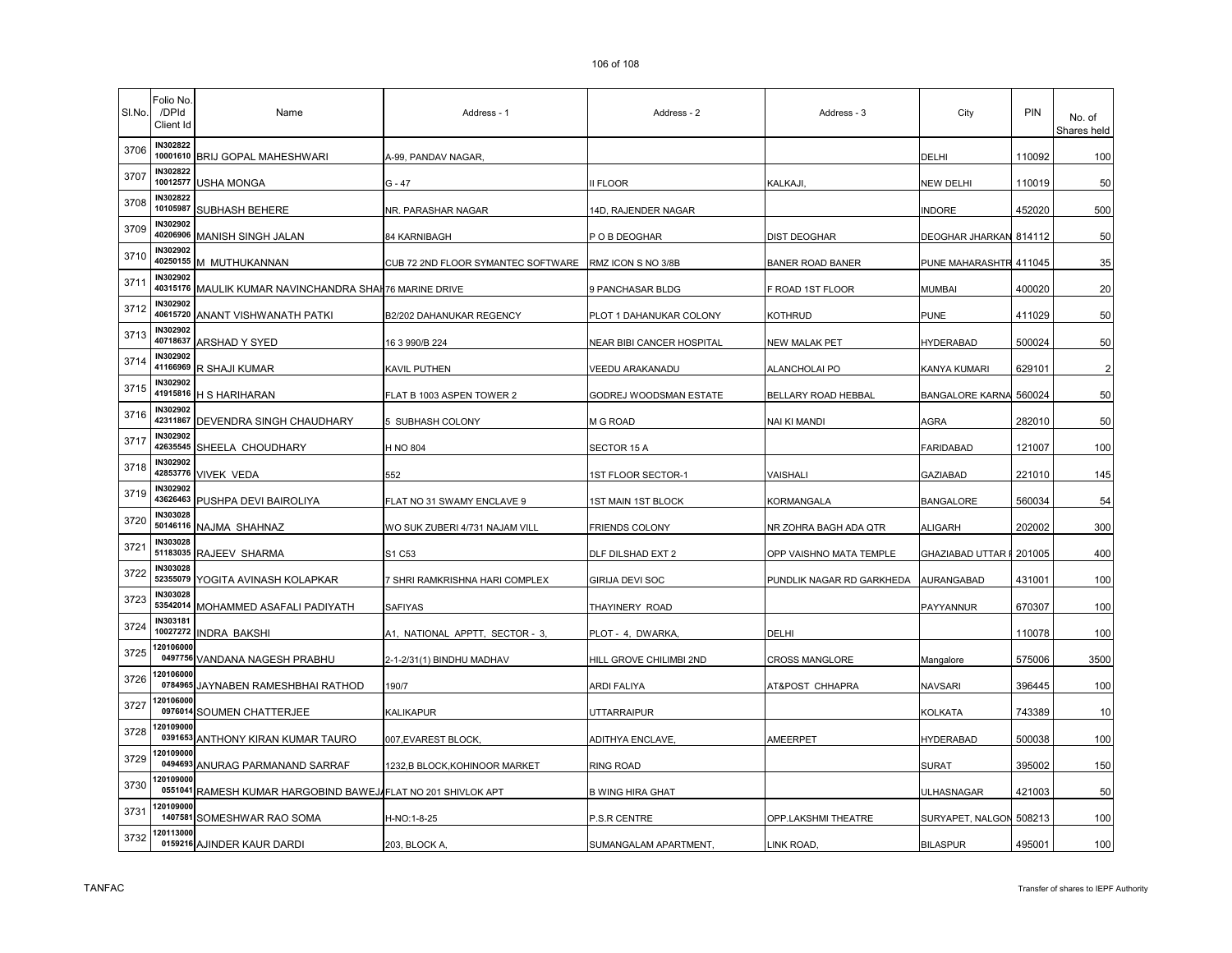| SI.No. | <sup>=</sup> olio No.<br>/DPId<br>Client Id | Name                                                 | Address - 1                        | Address - 2               | Address - 3               | City                     | <b>PIN</b> | No. of<br>Shares held |
|--------|---------------------------------------------|------------------------------------------------------|------------------------------------|---------------------------|---------------------------|--------------------------|------------|-----------------------|
| 3706   | IN302822                                    | 10001610 BRIJ GOPAL MAHESHWARI                       | A-99, PANDAV NAGAR,                |                           |                           | <b>DELHI</b>             | 110092     | 100                   |
| 3707   | IN302822<br>10012577                        | <b>USHA MONGA</b>                                    | $G - 47$                           | II FLOOR                  | KALKAJI.                  | <b>NEW DELHI</b>         | 110019     | 50                    |
| 3708   | IN302822<br>10105987                        | SUBHASH BEHERE                                       | NR. PARASHAR NAGAR                 | 14D, RAJENDER NAGAR       |                           | <b>INDORE</b>            | 452020     | 500                   |
| 3709   | IN302902<br>40206906                        | MANISH SINGH JALAN                                   | 84 KARNIBAGH                       | P O B DEOGHAR             | <b>DIST DEOGHAR</b>       | <b>DEOGHAR JHARKAN</b>   | 814112     | 50                    |
| 3710   | IN302902<br>40250155                        | M MUTHUKANNAN                                        | CUB 72 2ND FLOOR SYMANTEC SOFTWARE | RMZ ICON S NO 3/8B        | <b>BANER ROAD BANER</b>   | PUNE MAHARASHTR 411045   |            | 35                    |
| 3711   | IN302902<br>40315176                        | MAULIK KUMAR NAVINCHANDRA SHAI 76 MARINE DRIVE       |                                    | 9 PANCHASAR BLDG          | F ROAD 1ST FLOOR          | <b>MUMBAI</b>            | 400020     | 20                    |
| 3712   | IN302902<br>40615720                        | ANANT VISHWANATH PATKI                               | B2/202 DAHANUKAR REGENCY           | PLOT 1 DAHANUKAR COLONY   | <b>KOTHRUD</b>            | <b>PUNE</b>              | 411029     | 50                    |
| 3713   | IN302902<br>40718637                        | ARSHAD Y SYED                                        | 16 3 990/B 224                     | NEAR BIBI CANCER HOSPITAL | <b>NEW MALAK PET</b>      | <b>HYDERABAD</b>         | 500024     | 50                    |
| 3714   | IN302902<br>41166969                        | R SHAJI KUMAR                                        | KAVIL PUTHEN                       | VEEDU ARAKANADU           | ALANCHOLAI PO             | KANYA KUMARI             | 629101     | $\overline{2}$        |
| 3715   | IN302902<br>41915816                        | H S HARIHARAN                                        | FLAT B 1003 ASPEN TOWER 2          | GODREJ WOODSMAN ESTATE    | BELLARY ROAD HEBBAL       | <b>BANGALORE KARNA</b>   | 560024     | 50                    |
| 3716   | IN302902<br>42311867                        | DEVENDRA SINGH CHAUDHARY                             | 5 SUBHASH COLONY                   | M G ROAD                  | NAI KI MANDI              | AGRA                     | 282010     | 50                    |
| 3717   | IN302902<br>42635545                        | SHEELA CHOUDHARY                                     | H NO 804                           | SECTOR 15 A               |                           | <b>FARIDABAD</b>         | 121007     | 100                   |
| 3718   | IN302902<br>42853776                        | <b>VIVEK VEDA</b>                                    | 552                                | 1ST FLOOR SECTOR-1        | VAISHALI                  | <b>GAZIABAD</b>          | 221010     | 145                   |
| 3719   | IN302902                                    | 43626463 PUSHPA DEVI BAIROLIYA                       | FLAT NO 31 SWAMY ENCLAVE 9         | 1ST MAIN 1ST BLOCK        | KORMANGALA                | <b>BANGALORE</b>         | 560034     | 54                    |
| 3720   | IN303028<br>50146116                        | NAJMA SHAHNAZ                                        | WO SUK ZUBERI 4/731 NAJAM VILL     | <b>FRIENDS COLONY</b>     | NR ZOHRA BAGH ADA QTR     | <b>ALIGARH</b>           | 202002     | 300                   |
| 3721   | IN303028<br>51183035                        | RAJEEV SHARMA                                        | S1 C53                             | DLF DILSHAD EXT 2         | OPP VAISHNO MATA TEMPLE   | <b>GHAZIABAD UTTAR F</b> | 201005     | 400                   |
| 3722   | IN303028<br>52355079                        | YOGITA AVINASH KOLAPKAR                              | 7 SHRI RAMKRISHNA HARI COMPLEX     | GIRIJA DEVI SOC           | PUNDLIK NAGAR RD GARKHEDA | <b>AURANGABAD</b>        | 431001     | 100                   |
| 3723   | IN303028<br>53542014                        | MOHAMMED ASAFALI PADIYATH                            | <b>SAFIYAS</b>                     | THAYINERY ROAD            |                           | PAYYANNUR                | 670307     | 100                   |
| 3724   | IN303181<br>10027272                        | INDRA BAKSHI                                         | A1, NATIONAL APPTT, SECTOR - 3,    | PLOT - 4, DWARKA,         | DELHI                     |                          | 110078     | 100                   |
| 3725   | 20106000                                    | 0497756 VANDANA NAGESH PRABHU                        | 2-1-2/31(1) BINDHU MADHAV          | HILL GROVE CHILIMBI 2ND   | <b>CROSS MANGLORE</b>     | Mangalore                | 575006     | 3500                  |
| 3726   | 20106000                                    | 0784965 JAYNABEN RAMESHBHAI RATHOD                   | 190/7                              | ARDI FALIYA               | AT&POST CHHAPRA           | <b>NAVSARI</b>           | 396445     | 100                   |
| 3727   | 20106000                                    | 0976014 SOUMEN CHATTERJEE                            | KALIKAPUR                          | <b>UTTARRAIPUR</b>        |                           | <b>KOLKATA</b>           | 743389     | 10                    |
| 3728   | 2010900<br>0391653                          | ANTHONY KIRAN KUMAR TAURO                            | 007, EVAREST BLOCK,                | <b>ADITHYA ENCLAVE,</b>   | AMEERPET                  | <b>HYDERABAD</b>         | 500038     | 100                   |
| 3729   | 20109000<br>0494693                         | ANURAG PARMANAND SARRAF                              | 1232,B BLOCK,KOHINOOR MARKET       | <b>RING ROAD</b>          |                           | <b>SURAT</b>             | 395002     | 150                   |
| 3730   | 20109000<br>0551041                         | RAMESH KUMAR HARGOBIND BAWEJ FLAT NO 201 SHIVLOK APT |                                    | <b>B WING HIRA GHAT</b>   |                           | <b>ULHASNAGAR</b>        | 421003     | 50                    |
| 3731   | 20109000                                    | 1407581 SOMESHWAR RAO SOMA                           | H-NO:1-8-25                        | P.S.R CENTRE              | OPP.LAKSHMI THEATRE       | SURYAPET, NALGON         | 508213     | 100                   |
| 3732   | 20113000                                    | 0159216 AJINDER KAUR DARDI                           | 203, BLOCK A                       | SUMANGALAM APARTMENT      | LINK ROAD,                | <b>BILASPUR</b>          | 495001     | 100                   |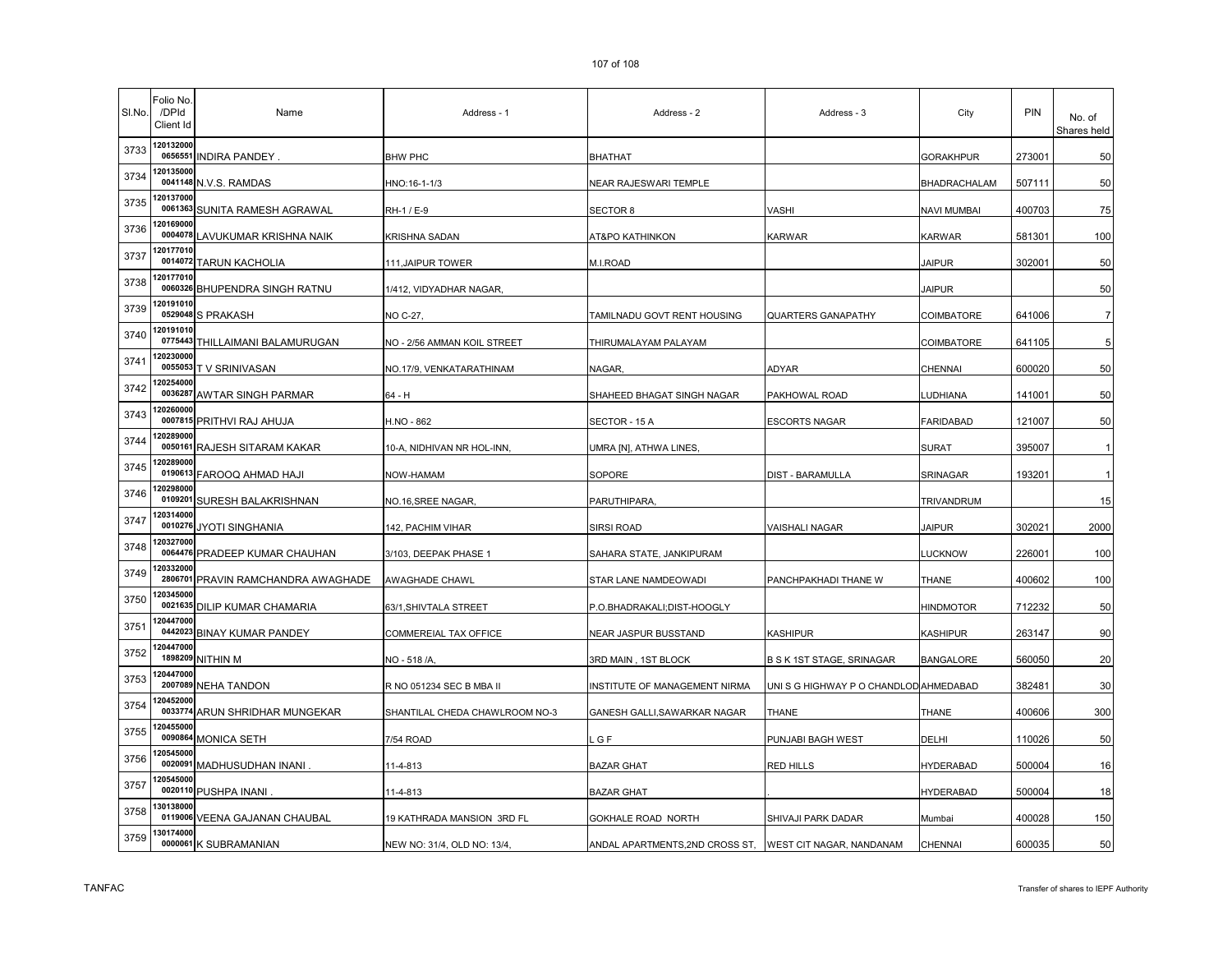| SI.No. | Folio No<br>/DPId<br>Client Id | Name                            | Address - 1                    | Address - 2                     | Address - 3                           | City               | PIN    | No. of<br>Shares held |
|--------|--------------------------------|---------------------------------|--------------------------------|---------------------------------|---------------------------------------|--------------------|--------|-----------------------|
| 3733   | 120132000                      | 0656551 INDIRA PANDEY           | <b>BHW PHC</b>                 | BHATHAT                         |                                       | <b>GORAKHPUR</b>   | 273001 | 50                    |
| 3734   | 20135000                       | 0041148 N.V.S. RAMDAS           | HNO:16-1-1/3                   | NEAR RAJESWARI TEMPLE           |                                       | BHADRACHALAM       | 507111 | 50                    |
| 3735   | 120137000                      | 0061363 SUNITA RAMESH AGRAWAL   | RH-1 / E-9                     | SECTOR 8                        | VASHI                                 | <b>NAVI MUMBAI</b> | 400703 | 75                    |
| 3736   | 20169000                       | 0004078 LAVUKUMAR KRISHNA NAIK  | <b>KRISHNA SADAN</b>           | AT&PO KATHINKON                 | <b>KARWAR</b>                         | <b>KARWAR</b>      | 581301 | 100                   |
| 3737   | 20177010                       | 0014072 TARUN KACHOLIA          | 111, JAIPUR TOWER              | M.I.ROAD                        |                                       | <b>JAIPUR</b>      | 302001 | 50                    |
| 3738   | 20177010                       | 0060326 BHUPENDRA SINGH RATNU   | 1/412, VIDYADHAR NAGAR,        |                                 |                                       | JAIPUR             |        | 50                    |
| 3739   | 120191010                      | 0529048 S PRAKASH               | NO C-27,                       | TAMILNADU GOVT RENT HOUSING     | QUARTERS GANAPATHY                    | COIMBATORE         | 641006 | $\overline{7}$        |
| 3740   | 20191010                       | 0775443 THILLAIMANI BALAMURUGAN | NO - 2/56 AMMAN KOIL STREET    | THIRUMALAYAM PALAYAM            |                                       | COIMBATORE         | 641105 | 5                     |
| 3741   | 20230000                       | 0055053 T V SRINIVASAN          | NO.17/9, VENKATARATHINAM       | NAGAR,                          | ADYAR                                 | <b>CHENNAI</b>     | 600020 | 50                    |
| 3742   | 20254000                       | 0036287 AWTAR SINGH PARMAR      | 64 - H                         | SHAHEED BHAGAT SINGH NAGAR      | PAKHOWAL ROAD                         | <b>LUDHIANA</b>    | 141001 | 50                    |
| 3743   | 120260000                      | 0007815 PRITHVI RAJ AHUJA       | H.NO - 862                     | SECTOR - 15 A                   | ESCORTS NAGAR                         | <b>FARIDABAD</b>   | 121007 | 50                    |
| 3744   | 20289000<br>0050161            | RAJESH SITARAM KAKAR            | 10-A, NIDHIVAN NR HOL-INN,     | UMRA [N], ATHWA LINES,          |                                       | <b>SURAT</b>       | 395007 | $\mathbf{1}$          |
| 3745   | 20289000                       | 0190613 FAROOQ AHMAD HAJI       | NOW-HAMAM                      | SOPORE                          | DIST - BARAMULLA                      | SRINAGAR           | 193201 | $\mathbf{1}$          |
| 3746   | 20298000                       | 0109201 SURESH BALAKRISHNAN     | NO.16, SREE NAGAR,             | PARUTHIPARA,                    |                                       | TRIVANDRUM         |        | 15                    |
| 3747   | 20314000                       | 0010276 JYOTI SINGHANIA         | 142, PACHIM VIHAR              | SIRSI ROAD                      | VAISHALI NAGAR                        | <b>JAIPUR</b>      | 302021 | 2000                  |
| 3748   | 20327000                       | 0064476 PRADEEP KUMAR CHAUHAN   | 3/103, DEEPAK PHASE 1          | SAHARA STATE, JANKIPURAM        |                                       | LUCKNOW            | 226001 | 100                   |
| 3749   | 20332000<br>2806701            | PRAVIN RAMCHANDRA AWAGHADE      | AWAGHADE CHAWL                 | STAR LANE NAMDEOWADI            | PANCHPAKHADI THANE W                  | THANE              | 400602 | 100                   |
| 3750   | 120345000                      | 0021635 DILIP KUMAR CHAMARIA    | 63/1, SHIVTALA STREET          | P.O.BHADRAKALI;DIST-HOOGLY      |                                       | <b>HINDMOTOR</b>   | 712232 | 50                    |
| 3751   | 20447000                       | 0442023 BINAY KUMAR PANDEY      | COMMEREIAL TAX OFFICE          | NEAR JASPUR BUSSTAND            | KASHIPUR                              | <b>KASHIPUR</b>    | 263147 | 90                    |
| 3752   | 20447000<br>1898209            | NITHIN M                        | NO - 518 /A,                   | 3RD MAIN , 1ST BLOCK            | B S K 1ST STAGE, SRINAGAR             | <b>BANGALORE</b>   | 560050 | 20                    |
| 3753   | 20447000                       | 2007089 NEHA TANDON             | R NO 051234 SEC B MBA II       | INSTITUTE OF MANAGEMENT NIRMA   | UNIS G HIGHWAY P O CHANDLOD AHMEDABAD |                    | 382481 | 30                    |
| 3754   | 20452000                       | 0033774 ARUN SHRIDHAR MUNGEKAR  | SHANTILAL CHEDA CHAWLROOM NO-3 | GANESH GALLI, SAWARKAR NAGAR    | THANE                                 | THANE              | 400606 | 300                   |
| 3755   | 20455000                       | 0090864 MONICA SETH             | 7/54 ROAD                      | G F                             | PUNJABI BAGH WEST                     | DELHI              | 110026 | 50                    |
| 3756   | 20545000<br>0020091            | MADHUSUDHAN INANI               | 11-4-813                       | <b>BAZAR GHAT</b>               | RED HILLS                             | <b>HYDERABAD</b>   | 500004 | 16                    |
| 3757   | 20545000                       | 0020110 PUSHPA INANI            | 11-4-813                       | <b>BAZAR GHAT</b>               |                                       | <b>HYDERABAD</b>   | 500004 | 18                    |
| 3758   | 30138000                       | 0119006 VEENA GAJANAN CHAUBAL   | 19 KATHRADA MANSION 3RD FL     | GOKHALE ROAD NORTH              | SHIVAJI PARK DADAR                    | Mumbai             | 400028 | 150                   |
| 3759   | 30174000                       | 0000061 K SUBRAMANIAN           | NEW NO: 31/4, OLD NO: 13/4,    | ANDAL APARTMENTS, 2ND CROSS ST, | <b>WEST CIT NAGAR, NANDANAM</b>       | <b>CHENNAI</b>     | 600035 | 50                    |